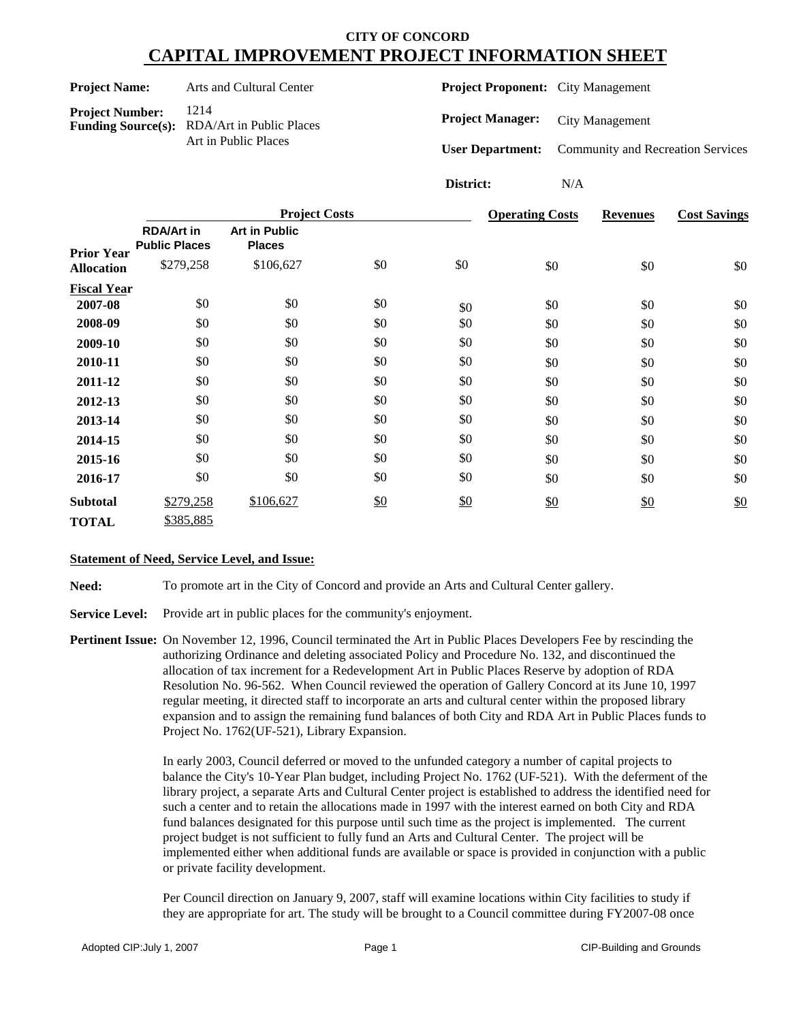| <b>Project Name:</b>   | Arts and Cultural Center                                   | <b>Project Proponent:</b> City Management |                                          |
|------------------------|------------------------------------------------------------|-------------------------------------------|------------------------------------------|
| <b>Project Number:</b> | 1214<br><b>Funding Source(s):</b> RDA/Art in Public Places | <b>Project Manager:</b>                   | <b>City Management</b>                   |
|                        | Art in Public Places                                       | <b>User Department:</b>                   | <b>Community and Recreation Services</b> |
|                        |                                                            | District:                                 | N/A                                      |

|                    |                                           | <b>Project Costs</b>                  |               |     | <b>Operating Costs</b> | <b>Revenues</b> | <b>Cost Savings</b> |  |
|--------------------|-------------------------------------------|---------------------------------------|---------------|-----|------------------------|-----------------|---------------------|--|
| <b>Prior Year</b>  | <b>RDA/Art in</b><br><b>Public Places</b> | <b>Art in Public</b><br><b>Places</b> |               |     |                        |                 |                     |  |
| <b>Allocation</b>  | \$279,258                                 | \$106,627                             | \$0           | \$0 | \$0                    | \$0             | \$0                 |  |
| <b>Fiscal Year</b> |                                           |                                       |               |     |                        |                 |                     |  |
| 2007-08            | \$0                                       | \$0                                   | \$0           | \$0 | \$0                    | \$0             | \$0                 |  |
| 2008-09            | \$0                                       | \$0                                   | \$0           | \$0 | \$0                    | \$0             | \$0                 |  |
| 2009-10            | \$0                                       | \$0                                   | \$0           | \$0 | \$0                    | \$0             | \$0                 |  |
| 2010-11            | \$0                                       | \$0                                   | \$0           | \$0 | \$0                    | \$0             | \$0                 |  |
| 2011-12            | \$0                                       | \$0                                   | \$0           | \$0 | \$0                    | \$0             | \$0                 |  |
| 2012-13            | \$0                                       | \$0                                   | \$0           | \$0 | \$0                    | \$0             | \$0                 |  |
| 2013-14            | \$0                                       | \$0                                   | \$0           | \$0 | \$0                    | \$0             | \$0                 |  |
| 2014-15            | \$0                                       | \$0                                   | \$0           | \$0 | \$0                    | \$0             | \$0                 |  |
| 2015-16            | \$0                                       | \$0                                   | \$0           | \$0 | \$0                    | \$0             | \$0                 |  |
| 2016-17            | \$0                                       | \$0                                   | \$0           | \$0 | \$0                    | \$0             | \$0                 |  |
| <b>Subtotal</b>    | \$279,258                                 | \$106,627                             | $\frac{$0}{}$ | \$0 | \$0                    | $\frac{$0}{}$   | \$0                 |  |
| <b>TOTAL</b>       | \$385,885                                 |                                       |               |     |                        |                 |                     |  |

#### **Statement of Need, Service Level, and Issue:**

**Need:** To promote art in the City of Concord and provide an Arts and Cultural Center gallery.

**Service Level:** Provide art in public places for the community's enjoyment.

**Pertinent Issue:** On November 12, 1996, Council terminated the Art in Public Places Developers Fee by rescinding the authorizing Ordinance and deleting associated Policy and Procedure No. 132, and discontinued the allocation of tax increment for a Redevelopment Art in Public Places Reserve by adoption of RDA Resolution No. 96-562. When Council reviewed the operation of Gallery Concord at its June 10, 1997 regular meeting, it directed staff to incorporate an arts and cultural center within the proposed library expansion and to assign the remaining fund balances of both City and RDA Art in Public Places funds to Project No. 1762(UF-521), Library Expansion.

> In early 2003, Council deferred or moved to the unfunded category a number of capital projects to balance the City's 10-Year Plan budget, including Project No. 1762 (UF-521). With the deferment of the library project, a separate Arts and Cultural Center project is established to address the identified need for such a center and to retain the allocations made in 1997 with the interest earned on both City and RDA fund balances designated for this purpose until such time as the project is implemented. The current project budget is not sufficient to fully fund an Arts and Cultural Center. The project will be implemented either when additional funds are available or space is provided in conjunction with a public or private facility development.

Per Council direction on January 9, 2007, staff will examine locations within City facilities to study if they are appropriate for art. The study will be brought to a Council committee during FY2007-08 once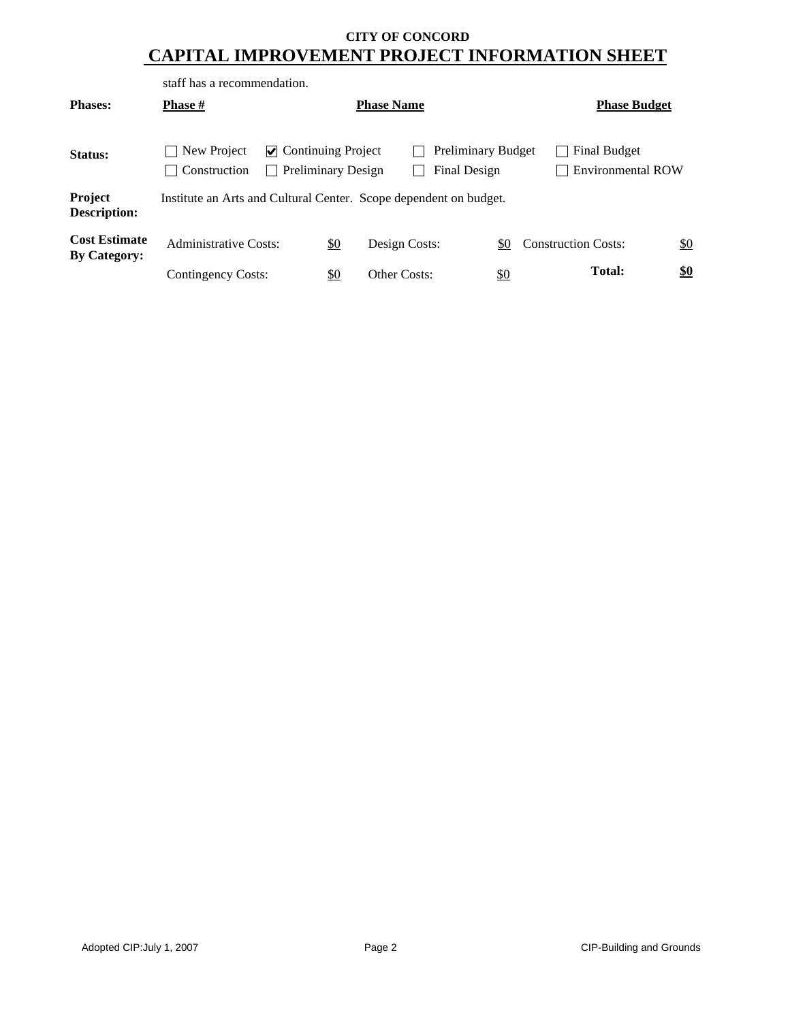|                                             | staff has a recommendation.                                       |                           |                           |               |  |                                           |                   |                     |                                                 |  |     |
|---------------------------------------------|-------------------------------------------------------------------|---------------------------|---------------------------|---------------|--|-------------------------------------------|-------------------|---------------------|-------------------------------------------------|--|-----|
| <b>Phases:</b>                              | <b>Phase</b> #                                                    |                           | <b>Phase Name</b>         |               |  |                                           |                   | <b>Phase Budget</b> |                                                 |  |     |
| Status:                                     | New Project<br>Construction                                       | $\vee$ Continuing Project | <b>Preliminary Design</b> |               |  | <b>Preliminary Budget</b><br>Final Design |                   |                     | <b>Final Budget</b><br><b>Environmental ROW</b> |  |     |
| Project<br><b>Description:</b>              | Institute an Arts and Cultural Center. Scope dependent on budget. |                           |                           |               |  |                                           |                   |                     |                                                 |  |     |
| <b>Cost Estimate</b><br><b>By Category:</b> | Administrative Costs:                                             |                           | <u>\$0</u>                | Design Costs: |  |                                           | \$0               |                     | <b>Construction Costs:</b>                      |  | \$0 |
|                                             | Contingency Costs:                                                |                           | \$0                       | Other Costs:  |  |                                           | $\underline{\$0}$ |                     | <b>Total:</b>                                   |  | \$0 |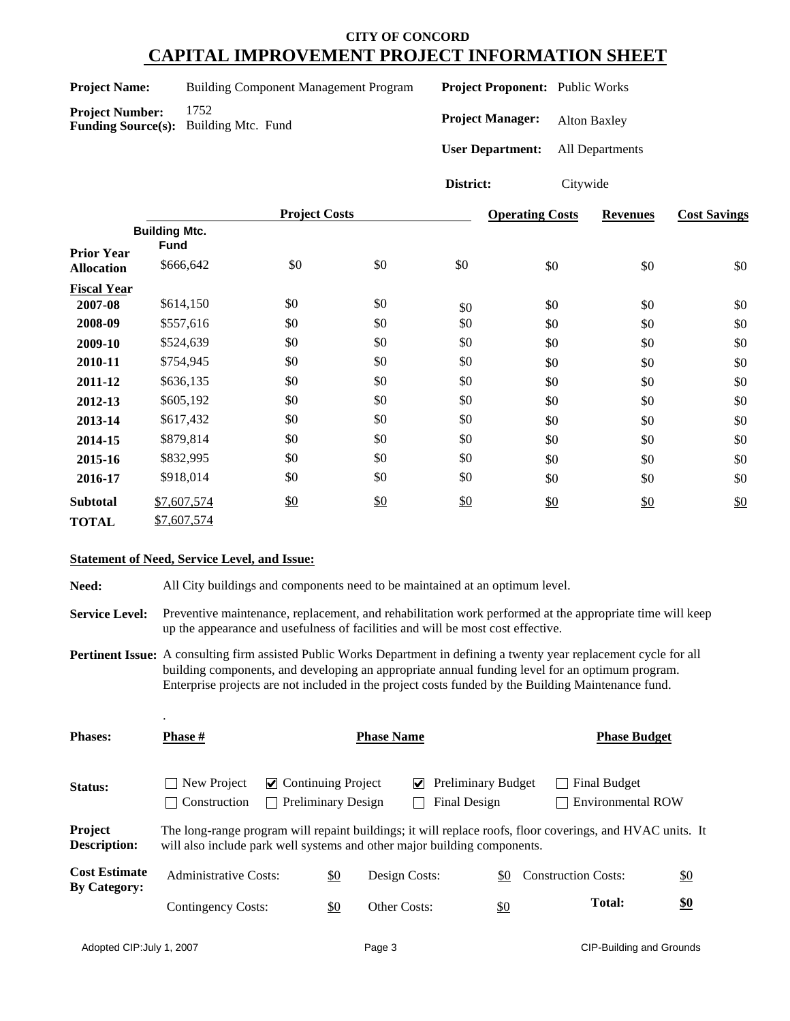**Building Component Management Program Project Number:** 1752

**Funding Source(s):** Building Mtc. Fund

**Project Proponent:** Public Works

**Project Manager:** Alton Baxley

**User Department:** All Departments

**District:** Citywide

|                                        |                                     | <b>Project Costs</b> |     |     | <b>Operating Costs</b> | <b>Revenues</b> | <b>Cost Savings</b> |
|----------------------------------------|-------------------------------------|----------------------|-----|-----|------------------------|-----------------|---------------------|
|                                        | <b>Building Mtc.</b><br><b>Fund</b> |                      |     |     |                        |                 |                     |
| <b>Prior Year</b><br><b>Allocation</b> | \$666,642                           | \$0                  | \$0 | \$0 | \$0                    | \$0             | \$0                 |
| <b>Fiscal Year</b>                     |                                     |                      |     |     |                        |                 |                     |
| 2007-08                                | \$614,150                           | \$0                  | \$0 | \$0 | \$0                    | \$0             | \$0                 |
| 2008-09                                | \$557,616                           | \$0                  | \$0 | \$0 | \$0                    | \$0             | \$0                 |
| 2009-10                                | \$524,639                           | \$0                  | \$0 | \$0 | \$0                    | \$0             | \$0                 |
| 2010-11                                | \$754,945                           | \$0                  | \$0 | \$0 | \$0                    | \$0             | \$0                 |
| 2011-12                                | \$636,135                           | \$0                  | \$0 | \$0 | \$0                    | \$0             | \$0                 |
| 2012-13                                | \$605,192                           | \$0                  | \$0 | \$0 | \$0                    | \$0             | \$0                 |
| 2013-14                                | \$617,432                           | \$0                  | \$0 | \$0 | \$0                    | \$0             | \$0                 |
| 2014-15                                | \$879,814                           | \$0                  | \$0 | \$0 | \$0                    | \$0             | \$0                 |
| 2015-16                                | \$832,995                           | \$0                  | \$0 | \$0 | \$0                    | \$0             | \$0                 |
| 2016-17                                | \$918,014                           | \$0                  | \$0 | \$0 | \$0                    | \$0             | \$0                 |
| <b>Subtotal</b>                        | \$7,607,574                         | \$0                  | \$0 | \$0 | \$0                    | \$0             | \$0                 |
| <b>TOTAL</b>                           | \$7,607,574                         |                      |     |     |                        |                 |                     |

## **Statement of Need, Service Level, and Issue:**

.

**Need:** All City buildings and components need to be maintained at an optimum level.

**Service Level:** Preventive maintenance, replacement, and rehabilitation work performed at the appropriate time will keep up the appearance and usefulness of facilities and will be most cost effective.

**Pertinent Issue:** A consulting firm assisted Public Works Department in defining a twenty year replacement cycle for all building components, and developing an appropriate annual funding level for an optimum program. Enterprise projects are not included in the project costs funded by the Building Maintenance fund.

| <b>Phases:</b>                              | <b>Phase</b> #               |                                                                                                                                                                                       | <b>Phase Name</b>         |               |   |                                           | <b>Phase Budget</b> |  |                            |               |                          |                   |
|---------------------------------------------|------------------------------|---------------------------------------------------------------------------------------------------------------------------------------------------------------------------------------|---------------------------|---------------|---|-------------------------------------------|---------------------|--|----------------------------|---------------|--------------------------|-------------------|
| Status:                                     | New Project<br>Construction  | $\vee$ Continuing Project                                                                                                                                                             | <b>Preliminary Design</b> |               | V | <b>Preliminary Budget</b><br>Final Design |                     |  |                            | Final Budget  | <b>Environmental ROW</b> |                   |
| Project<br><b>Description:</b>              |                              | The long-range program will repaint buildings; it will replace roofs, floor coverings, and HVAC units. It<br>will also include park well systems and other major building components. |                           |               |   |                                           |                     |  |                            |               |                          |                   |
| <b>Cost Estimate</b><br><b>By Category:</b> | <b>Administrative Costs:</b> |                                                                                                                                                                                       | \$0                       | Design Costs: |   |                                           | \$0                 |  | <b>Construction Costs:</b> |               |                          | $\underline{\$0}$ |
|                                             | Contingency Costs:           |                                                                                                                                                                                       | \$0                       | Other Costs:  |   |                                           | $\frac{$0}{}$       |  |                            | <b>Total:</b> |                          | <u>\$0</u>        |
|                                             |                              |                                                                                                                                                                                       |                           |               |   |                                           |                     |  |                            |               |                          |                   |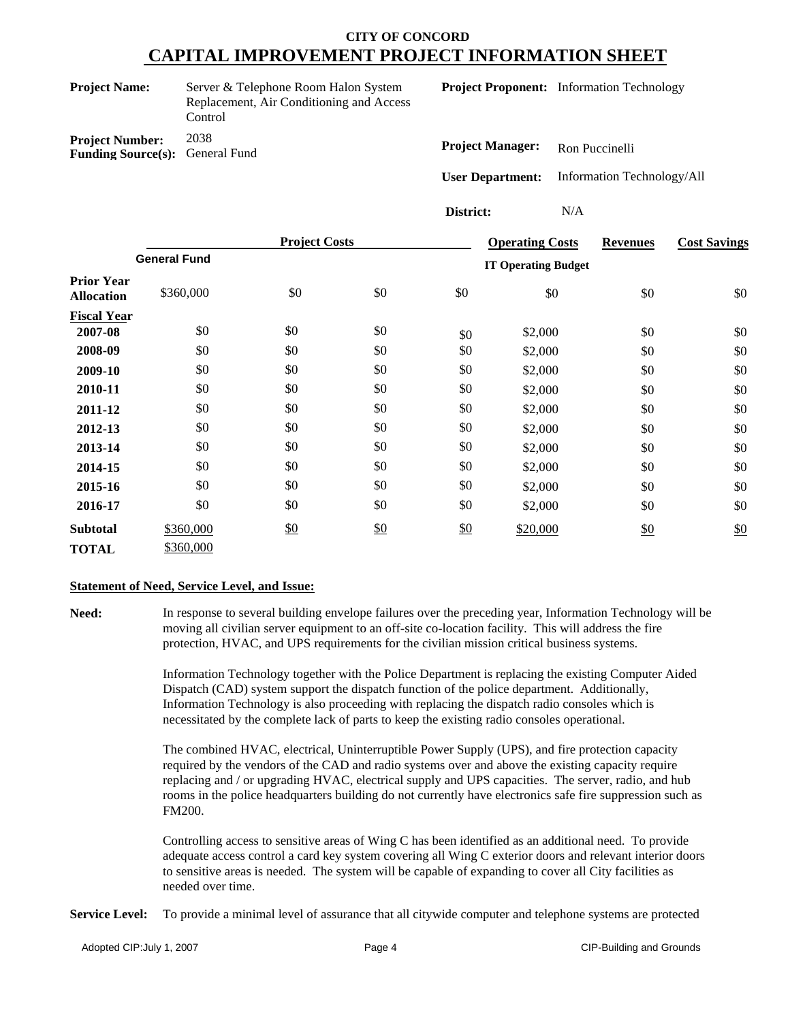Server & Telephone Room Halon System Replacement, Air Conditioning and Access Control

**Project Proponent:** Information Technology

**Project Number:** 2038 **Funding Source(s):** General Fund

**Project Manager:** Ron Puccinelli **User Department:** Information Technology/All

**District:** N/A

|                                        |                     | <b>Project Costs</b> |     |               | <b>Operating Costs</b>     | <b>Revenues</b> | <b>Cost Savings</b> |  |
|----------------------------------------|---------------------|----------------------|-----|---------------|----------------------------|-----------------|---------------------|--|
|                                        | <b>General Fund</b> |                      |     |               | <b>IT Operating Budget</b> |                 |                     |  |
| <b>Prior Year</b><br><b>Allocation</b> | \$360,000           | \$0                  | \$0 | \$0           | \$0                        | \$0             | \$0                 |  |
| <b>Fiscal Year</b>                     |                     |                      |     |               |                            |                 |                     |  |
| 2007-08                                | \$0                 | \$0                  | \$0 | \$0           | \$2,000                    | \$0             | \$0                 |  |
| 2008-09                                | \$0                 | \$0                  | \$0 | \$0           | \$2,000                    | \$0             | \$0                 |  |
| 2009-10                                | \$0                 | \$0                  | \$0 | \$0           | \$2,000                    | \$0             | \$0                 |  |
| 2010-11                                | \$0                 | \$0                  | \$0 | \$0           | \$2,000                    | \$0             | \$0                 |  |
| 2011-12                                | \$0                 | \$0                  | \$0 | \$0           | \$2,000                    | \$0             | \$0                 |  |
| 2012-13                                | \$0                 | \$0                  | \$0 | \$0           | \$2,000                    | \$0             | \$0                 |  |
| 2013-14                                | \$0                 | \$0                  | \$0 | \$0           | \$2,000                    | \$0             | \$0                 |  |
| 2014-15                                | \$0                 | \$0                  | \$0 | \$0           | \$2,000                    | \$0             | \$0                 |  |
| 2015-16                                | \$0                 | \$0                  | \$0 | \$0           | \$2,000                    | \$0             | \$0                 |  |
| 2016-17                                | \$0                 | \$0                  | \$0 | \$0           | \$2,000                    | \$0             | \$0                 |  |
| <b>Subtotal</b>                        | \$360,000           | \$0                  | \$0 | $\frac{$0}{}$ | \$20,000                   | $\frac{$0}{}$   | $\frac{$0}{}$       |  |
| TOTAL                                  | \$360,000           |                      |     |               |                            |                 |                     |  |

#### **Statement of Need, Service Level, and Issue:**

**Need:** In response to several building envelope failures over the preceding year, Information Technology will be moving all civilian server equipment to an off-site co-location facility. This will address the fire protection, HVAC, and UPS requirements for the civilian mission critical business systems.

> Information Technology together with the Police Department is replacing the existing Computer Aided Dispatch (CAD) system support the dispatch function of the police department. Additionally, Information Technology is also proceeding with replacing the dispatch radio consoles which is necessitated by the complete lack of parts to keep the existing radio consoles operational.

The combined HVAC, electrical, Uninterruptible Power Supply (UPS), and fire protection capacity required by the vendors of the CAD and radio systems over and above the existing capacity require replacing and / or upgrading HVAC, electrical supply and UPS capacities. The server, radio, and hub rooms in the police headquarters building do not currently have electronics safe fire suppression such as FM200.

Controlling access to sensitive areas of Wing C has been identified as an additional need. To provide adequate access control a card key system covering all Wing C exterior doors and relevant interior doors to sensitive areas is needed. The system will be capable of expanding to cover all City facilities as needed over time.

**Service Level:** To provide a minimal level of assurance that all citywide computer and telephone systems are protected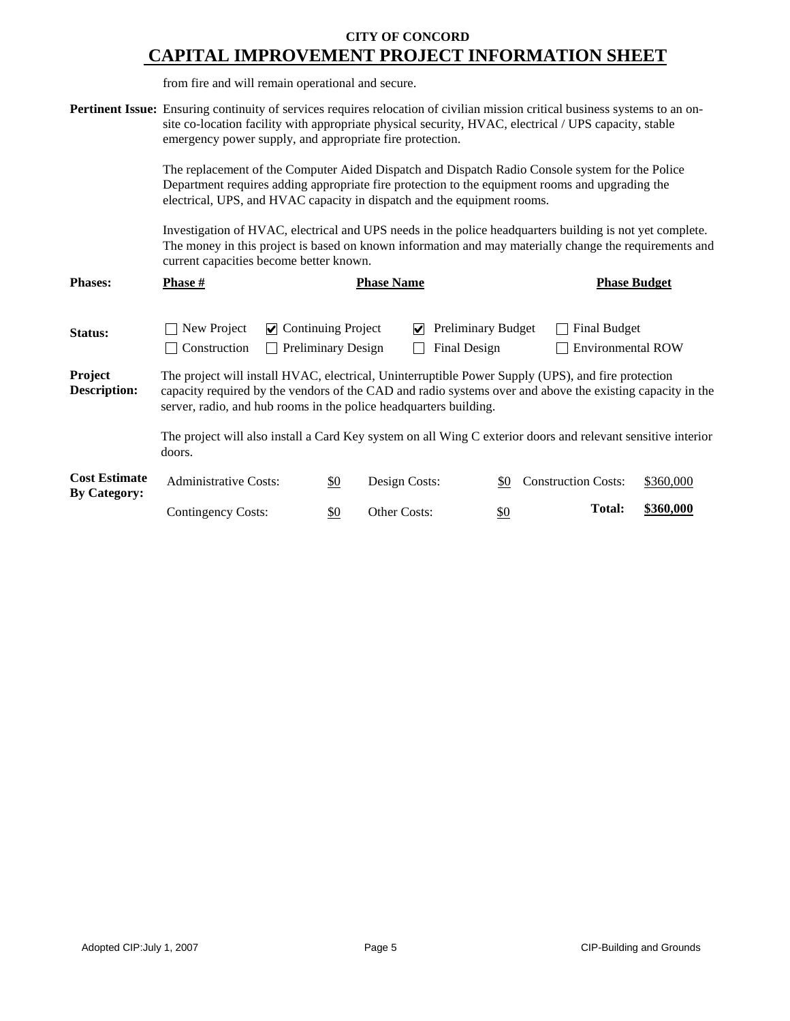from fire and will remain operational and secure.

|                                             | Pertinent Issue: Ensuring continuity of services requires relocation of civilian mission critical business systems to an on-<br>site co-location facility with appropriate physical security, HVAC, electrical / UPS capacity, stable<br>emergency power supply, and appropriate fire protection. |                                                        |                                                       |               |                                                 |           |  |  |  |  |
|---------------------------------------------|---------------------------------------------------------------------------------------------------------------------------------------------------------------------------------------------------------------------------------------------------------------------------------------------------|--------------------------------------------------------|-------------------------------------------------------|---------------|-------------------------------------------------|-----------|--|--|--|--|
|                                             | The replacement of the Computer Aided Dispatch and Dispatch Radio Console system for the Police<br>Department requires adding appropriate fire protection to the equipment rooms and upgrading the<br>electrical, UPS, and HVAC capacity in dispatch and the equipment rooms.                     |                                                        |                                                       |               |                                                 |           |  |  |  |  |
|                                             | Investigation of HVAC, electrical and UPS needs in the police headquarters building is not yet complete.<br>The money in this project is based on known information and may materially change the requirements and<br>current capacities become better known.                                     |                                                        |                                                       |               |                                                 |           |  |  |  |  |
| <b>Phases:</b>                              | Phase #                                                                                                                                                                                                                                                                                           |                                                        | <b>Phase Name</b>                                     |               | <b>Phase Budget</b>                             |           |  |  |  |  |
| Status:                                     | New Project<br>M<br>Construction                                                                                                                                                                                                                                                                  | <b>Continuing Project</b><br><b>Preliminary Design</b> | <b>Preliminary Budget</b><br>M<br><b>Final Design</b> |               | <b>Final Budget</b><br><b>Environmental ROW</b> |           |  |  |  |  |
| Project<br><b>Description:</b>              | The project will install HVAC, electrical, Uninterruptible Power Supply (UPS), and fire protection<br>capacity required by the vendors of the CAD and radio systems over and above the existing capacity in the<br>server, radio, and hub rooms in the police headquarters building.              |                                                        |                                                       |               |                                                 |           |  |  |  |  |
|                                             | The project will also install a Card Key system on all Wing C exterior doors and relevant sensitive interior<br>doors.                                                                                                                                                                            |                                                        |                                                       |               |                                                 |           |  |  |  |  |
| <b>Cost Estimate</b><br><b>By Category:</b> | <b>Administrative Costs:</b>                                                                                                                                                                                                                                                                      | $\underline{\$0}$                                      | Design Costs:                                         | \$0           | <b>Construction Costs:</b>                      | \$360,000 |  |  |  |  |
|                                             | <b>Contingency Costs:</b>                                                                                                                                                                                                                                                                         | \$0                                                    | Other Costs:                                          | $\frac{$0}{}$ | <b>Total:</b>                                   | \$360,000 |  |  |  |  |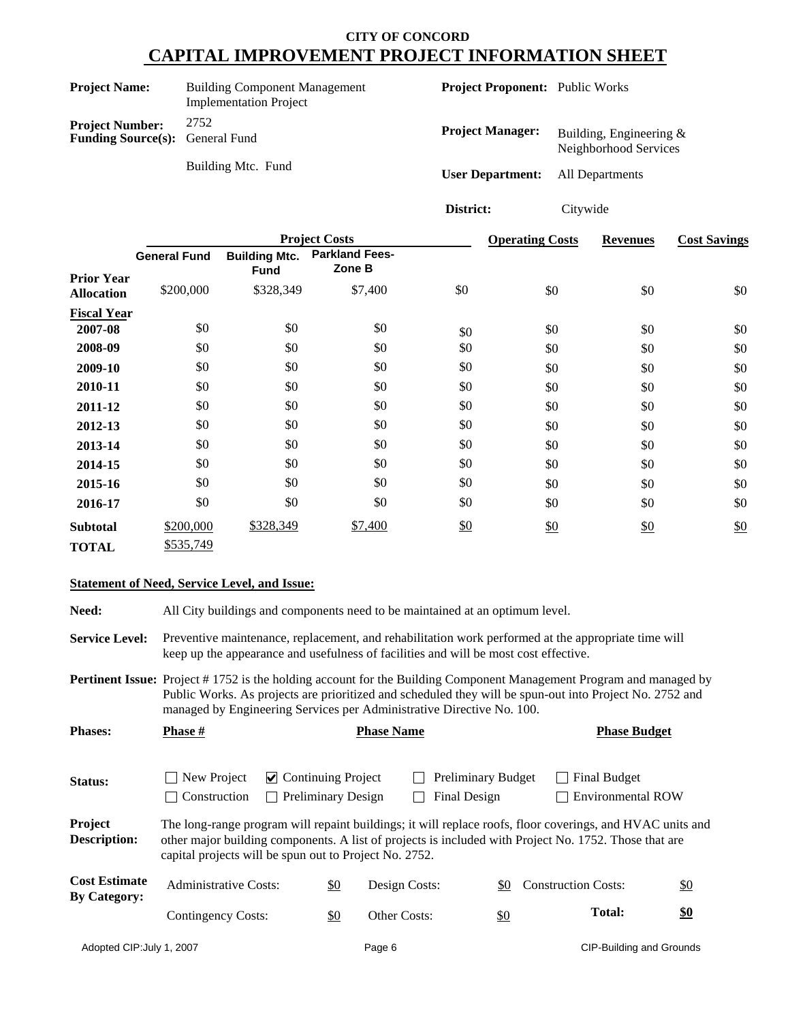| <b>Project Name:</b>                                             | <b>Building Component Management</b><br><b>Implementation Project</b> | <b>Project Proponent:</b> Public Works |                                                     |
|------------------------------------------------------------------|-----------------------------------------------------------------------|----------------------------------------|-----------------------------------------------------|
| <b>Project Number:</b><br><b>Funding Source(s):</b> General Fund | 2752                                                                  | <b>Project Manager:</b>                | Building, Engineering $\&$<br>Neighborhood Services |
|                                                                  | Building Mtc. Fund                                                    | <b>User Department:</b>                | All Departments                                     |

**District:** Citywide

|                                        |                     |                                     | <b>Project Costs</b>            | <b>Operating Costs</b> | <b>Revenues</b> | <b>Cost Savings</b> |     |  |
|----------------------------------------|---------------------|-------------------------------------|---------------------------------|------------------------|-----------------|---------------------|-----|--|
|                                        | <b>General Fund</b> | <b>Building Mtc.</b><br><b>Fund</b> | <b>Parkland Fees-</b><br>Zone B |                        |                 |                     |     |  |
| <b>Prior Year</b><br><b>Allocation</b> | \$200,000           | \$328,349                           | \$7,400                         | \$0                    | \$0             | \$0                 | \$0 |  |
| <b>Fiscal Year</b>                     |                     |                                     |                                 |                        |                 |                     |     |  |
| 2007-08                                | \$0                 | \$0                                 | \$0                             | \$0                    | \$0             | \$0                 | \$0 |  |
| 2008-09                                | \$0                 | \$0                                 | \$0                             | \$0                    | \$0             | \$0                 | \$0 |  |
| 2009-10                                | \$0                 | \$0                                 | \$0                             | \$0                    | \$0             | \$0                 | \$0 |  |
| 2010-11                                | \$0                 | \$0                                 | \$0                             | \$0                    | \$0             | \$0                 | \$0 |  |
| 2011-12                                | \$0                 | \$0                                 | \$0                             | \$0                    | \$0             | \$0                 | \$0 |  |
| 2012-13                                | \$0                 | \$0                                 | \$0                             | \$0                    | \$0             | \$0                 | \$0 |  |
| 2013-14                                | \$0                 | \$0                                 | \$0                             | \$0                    | \$0             | \$0                 | \$0 |  |
| 2014-15                                | \$0                 | \$0                                 | \$0                             | \$0                    | \$0             | \$0                 | \$0 |  |
| 2015-16                                | \$0                 | \$0                                 | \$0                             | \$0                    | \$0             | \$0                 | \$0 |  |
| 2016-17                                | \$0                 | \$0                                 | \$0                             | \$0                    | \$0             | \$0                 | \$0 |  |
| <b>Subtotal</b>                        | \$200,000           | \$328,349                           | \$7,400                         | \$0                    | \$0             | \$0                 | \$0 |  |
| <b>TOTAL</b>                           | \$535,749           |                                     |                                 |                        |                 |                     |     |  |

#### **Statement of Need, Service Level, and Issue:**

**Need:** All City buildings and components need to be maintained at an optimum level. Service Level: Preventive maintenance, replacement, and rehabilitation work performed at the appropriate time will keep up the appearance and usefulness of facilities and will be most cost effective. Pertinent Issue: Project #1752 is the holding account for the Building Component Management Program and managed by Public Works. As projects are prioritized and scheduled they will be spun-out into Project No. 2752 and managed by Engineering Services per Administrative Directive No. 100. **Phases: Phase # Phase Name Phase Budget**

| Status:                                     | $\Box$ New Project<br>$\triangleright$ Continuing Project                                                                                                                                                                                                                    |              |                           | <b>Preliminary Budget</b> |              |  | Final Budget                      |  |  |
|---------------------------------------------|------------------------------------------------------------------------------------------------------------------------------------------------------------------------------------------------------------------------------------------------------------------------------|--------------|---------------------------|---------------------------|--------------|--|-----------------------------------|--|--|
|                                             | $\vert$ Construction                                                                                                                                                                                                                                                         | $\mathbf{L}$ | <b>Preliminary Design</b> |                           | Final Design |  | <b>Environmental ROW</b>          |  |  |
| Project<br><b>Description:</b>              | The long-range program will repaint buildings; it will replace roofs, floor coverings, and HVAC units and<br>other major building components. A list of projects is included with Project No. 1752. Those that are<br>capital projects will be spun out to Project No. 2752. |              |                           |                           |              |  |                                   |  |  |
| <b>Cost Estimate</b><br><b>By Category:</b> | <b>Administrative Costs:</b>                                                                                                                                                                                                                                                 |              | \$0                       | Design Costs:             |              |  | \$0<br><b>Construction Costs:</b> |  |  |
|                                             | Contingency Costs:                                                                                                                                                                                                                                                           |              | <u>\$0</u>                | Other Costs:              |              |  | \$0<br>Total:                     |  |  |
| Adopted CIP: July 1, 2007                   |                                                                                                                                                                                                                                                                              |              | Page 6                    |                           |              |  | <b>CIP-Building and Grounds</b>   |  |  |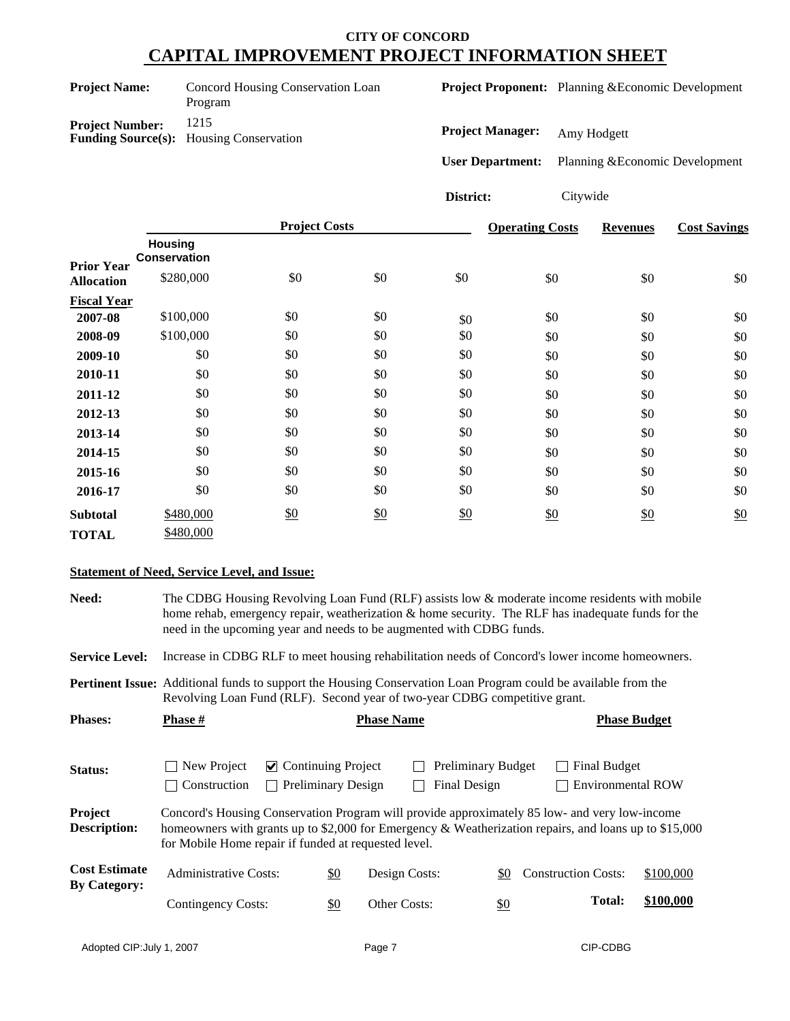| <b>Project Name:</b>   | Concord Housing Conservation Loan<br>Program           |
|------------------------|--------------------------------------------------------|
| <b>Project Number:</b> | 1215<br><b>Funding Source(s):</b> Housing Conservation |

**Project Proponent:** Planning &Economic Development

**Project Manager:** Amy Hodgett

**User Department:** Planning &Economic Development

**District:** Citywide

|                    |                                       | <b>Project Costs</b> |     |     | <b>Operating Costs</b> | <b>Revenues</b> | <b>Cost Savings</b> |
|--------------------|---------------------------------------|----------------------|-----|-----|------------------------|-----------------|---------------------|
| <b>Prior Year</b>  | <b>Housing</b><br><b>Conservation</b> |                      |     |     |                        |                 |                     |
| <b>Allocation</b>  | \$280,000                             | \$0                  | \$0 | \$0 | \$0                    | \$0             | \$0                 |
| <b>Fiscal Year</b> |                                       |                      |     |     |                        |                 |                     |
| 2007-08            | \$100,000                             | \$0                  | \$0 | \$0 | \$0                    | \$0             | \$0                 |
| 2008-09            | \$100,000                             | \$0                  | \$0 | \$0 | \$0                    | \$0             | \$0                 |
| 2009-10            | \$0                                   | \$0                  | \$0 | \$0 | \$0                    | \$0             | \$0                 |
| 2010-11            | \$0                                   | \$0                  | \$0 | \$0 | \$0                    | \$0             | \$0                 |
| 2011-12            | \$0                                   | \$0                  | \$0 | \$0 | \$0                    | \$0             | \$0                 |
| 2012-13            | \$0                                   | \$0                  | \$0 | \$0 | \$0                    | \$0             | \$0                 |
| 2013-14            | \$0                                   | \$0                  | \$0 | \$0 | \$0                    | \$0             | \$0                 |
| 2014-15            | \$0                                   | \$0                  | \$0 | \$0 | \$0                    | \$0             | \$0                 |
| 2015-16            | \$0                                   | \$0                  | \$0 | \$0 | \$0                    | \$0             | \$0                 |
| 2016-17            | \$0                                   | \$0                  | \$0 | \$0 | \$0                    | \$0             | \$0                 |
| <b>Subtotal</b>    | \$480,000                             | $\frac{$0}{}$        | \$0 | \$0 | \$0                    | \$0             | \$0                 |
| <b>TOTAL</b>       | \$480,000                             |                      |     |     |                        |                 |                     |

#### **Statement of Need, Service Level, and Issue:**

**Need:** The CDBG Housing Revolving Loan Fund (RLF) assists low & moderate income residents with mobile home rehab, emergency repair, weatherization & home security. The RLF has inadequate funds for the need in the upcoming year and needs to be augmented with CDBG funds.

**Service Level:** Increase in CDBG RLF to meet housing rehabilitation needs of Concord's lower income homeowners.

**Pertinent Issue:** Additional funds to support the Housing Conservation Loan Program could be available from the Revolving Loan Fund (RLF). Second year of two-year CDBG competitive grant.

| <b>Phases:</b>                              | <b>Phase</b> #                                                                                                                                                                                                                                                 |                                            |                           | <b>Phase Name</b> |               |                                           |                              | <b>Phase Budget</b>      |  |
|---------------------------------------------|----------------------------------------------------------------------------------------------------------------------------------------------------------------------------------------------------------------------------------------------------------------|--------------------------------------------|---------------------------|-------------------|---------------|-------------------------------------------|------------------------------|--------------------------|--|
| Status:                                     | New Project<br>  Construction                                                                                                                                                                                                                                  | $\triangleright$ Continuing Project<br>l 1 | <b>Preliminary Design</b> |                   |               | Preliminary Budget<br><b>Final Design</b> | Final Budget<br>$\mathbf{I}$ | <b>Environmental ROW</b> |  |
| Project<br><b>Description:</b>              | Concord's Housing Conservation Program will provide approximately 85 low- and very low-income<br>homeowners with grants up to \$2,000 for Emergency & Weatherization repairs, and loans up to \$15,000<br>for Mobile Home repair if funded at requested level. |                                            |                           |                   |               |                                           |                              |                          |  |
| <b>Cost Estimate</b><br><b>By Category:</b> | <b>Administrative Costs:</b>                                                                                                                                                                                                                                   |                                            | $\underline{\$0}$         |                   | Design Costs: | \$0                                       | <b>Construction Costs:</b>   | \$100,000                |  |
|                                             | Contingency Costs:                                                                                                                                                                                                                                             |                                            | \$0                       | Other Costs:      |               | <u>\$0</u>                                | <b>Total:</b>                | \$100,000                |  |
|                                             |                                                                                                                                                                                                                                                                |                                            |                           |                   |               |                                           |                              |                          |  |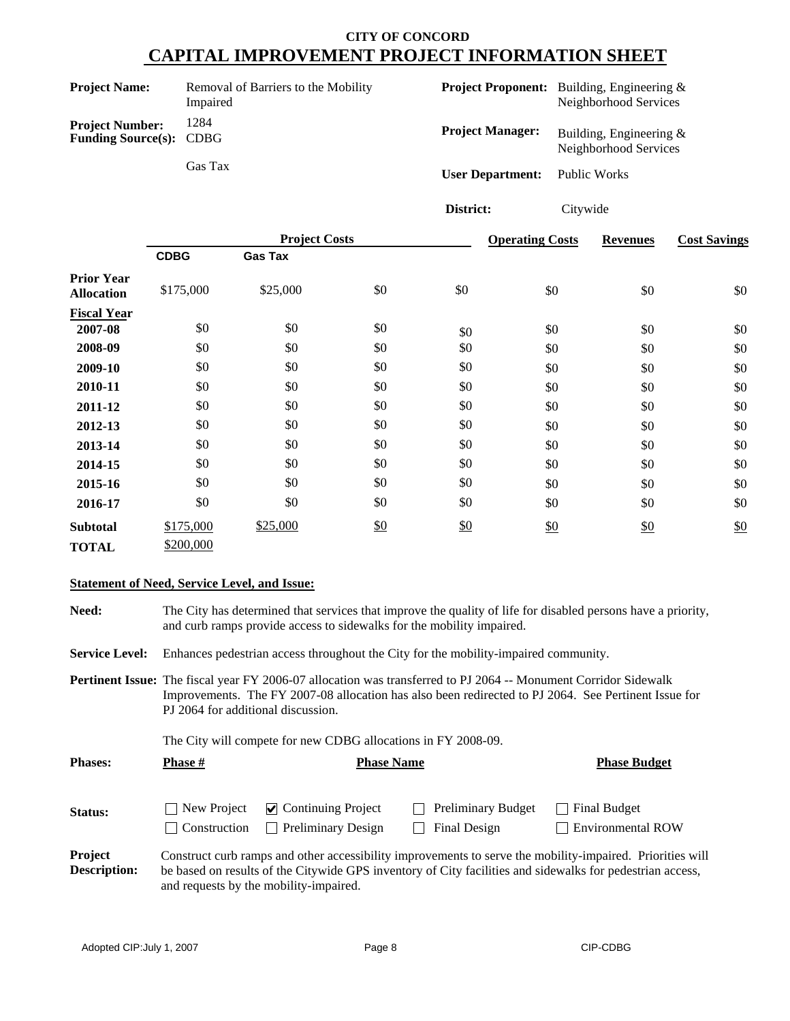**District:** Citywide

| <b>Project Name:</b>                                     | Removal of Barriers to the Mobility<br>Impaired |                         | <b>Project Proponent:</b> Building, Engineering &<br>Neighborhood Services |
|----------------------------------------------------------|-------------------------------------------------|-------------------------|----------------------------------------------------------------------------|
| <b>Project Number:</b><br><b>Funding Source(s): CDBG</b> | 1284                                            | <b>Project Manager:</b> | Building, Engineering $&$<br>Neighborhood Services                         |
|                                                          | Gas Tax                                         | <b>User Department:</b> | Public Works                                                               |

**Fiscal Year Project Costs CDBG** \$175,000 **2007-08** \$0 **2009-10** \$0 **2011-12** \$0 **2012-13** \$0 **2013-14** \$0 **2014-15** \$0 **2015-16** \$0 **2010-11** \$0 **Gas Tax** \$25,000 \$0 \$0 **Operating Costs** \$0 \$0 \$0 \$0 \$0 \$0 \$0 \$0 \$0 \$0 **Revenues** \$0 \$0 \$0 \$0 \$0 \$0 \$0 \$0 \$0 \$0 **Cost Savings** \$0 \$0 \$0 \$0 \$0 \$0 \$0 \$0 \$0 \$0 \$0 **2016-17** \$0 \$0 \$0 \$0 \$0 \$0 \$0 \$0 \$0 \$0 \$0 \$0 \$0 \$0 \$0 \$0 \$0 \$0 **Subtotal TOTAL** \$200,000  $\frac{$0}{$0}$  \$0 \$0 \$0 \$0 **2008-09** \$175,000 \$0 \$0 \$0 \$0 \$0 \$0 \$0 \$0 \$0 \$25,000 \$0 \$0 \$0 \$0 \$0 \$0 \$0 \$0 \$0 \$0 \$0  $\underline{\mathbf{50}}$ **Prior Year Allocation**

#### **Statement of Need, Service Level, and Issue:**

**Need:** The City has determined that services that improve the quality of life for disabled persons have a priority, and curb ramps provide access to sidewalks for the mobility impaired.

**Service Level:** Enhances pedestrian access throughout the City for the mobility-impaired community.

**Pertinent Issue:** The fiscal year FY 2006-07 allocation was transferred to PJ 2064 -- Monument Corridor Sidewalk Improvements. The FY 2007-08 allocation has also been redirected to PJ 2064. See Pertinent Issue for PJ 2064 for additional discussion.

The City will compete for new CDBG allocations in FY 2008-09.

| <b>Phases:</b> | <b>Phase #</b>              | <b>Phase Name</b>                                                      | <b>Phase Budget</b>                       |                                          |
|----------------|-----------------------------|------------------------------------------------------------------------|-------------------------------------------|------------------------------------------|
| Status:        | New Project<br>Construction | $\vee$ Continuing Project<br><b>Preliminary Design</b><br>$\mathbf{L}$ | <b>Preliminary Budget</b><br>Final Design | Final Budget<br><b>Environmental ROW</b> |

**Project Description:** Construct curb ramps and other accessibility improvements to serve the mobility-impaired. Priorities will be based on results of the Citywide GPS inventory of City facilities and sidewalks for pedestrian access, and requests by the mobility-impaired.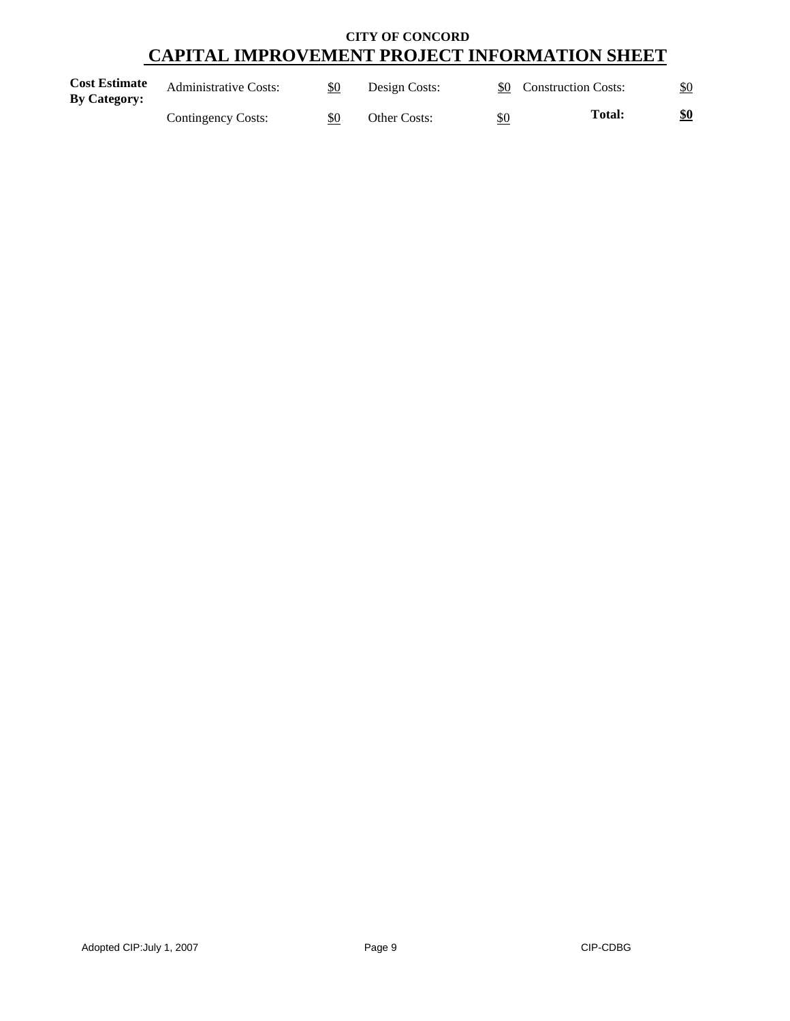| <b>Cost Estimate</b><br><b>By Category:</b> | <b>Administrative Costs:</b> | \$0 | Design Costs: |     | \$0 Construction Costs: | \$0 |
|---------------------------------------------|------------------------------|-----|---------------|-----|-------------------------|-----|
|                                             | Contingency Costs:           | \$0 | Other Costs:  | \$0 | <b>Total:</b>           | \$0 |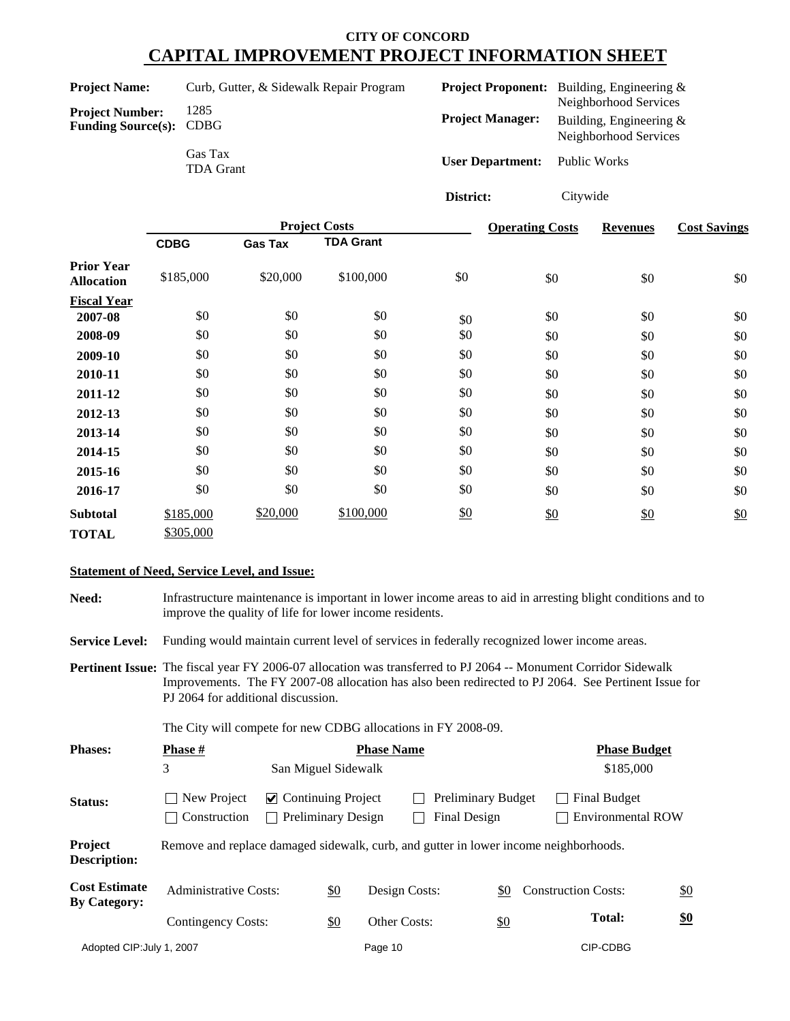| <b>Project Name:</b>                                     | Curb, Gutter, & Sidewalk Repair Program |                                      | <b>Project Proponent:</b> Building, Engineering &<br>Neighborhood Services |
|----------------------------------------------------------|-----------------------------------------|--------------------------------------|----------------------------------------------------------------------------|
| <b>Project Number:</b><br><b>Funding Source(s): CDBG</b> | 1285                                    | <b>Project Manager:</b>              | Building, Engineering &<br>Neighborhood Services                           |
|                                                          | Gas Tax<br><b>TDA Grant</b>             | <b>User Department:</b> Public Works |                                                                            |

**District:** Citywide

|                                        |             |                | <b>Project Costs</b> | <b>Operating Costs</b> | <b>Revenues</b> | <b>Cost Savings</b> |     |
|----------------------------------------|-------------|----------------|----------------------|------------------------|-----------------|---------------------|-----|
|                                        | <b>CDBG</b> | <b>Gas Tax</b> | <b>TDA Grant</b>     |                        |                 |                     |     |
| <b>Prior Year</b><br><b>Allocation</b> | \$185,000   | \$20,000       | \$100,000            | \$0                    | \$0             | \$0                 | \$0 |
| <b>Fiscal Year</b>                     |             |                |                      |                        |                 |                     |     |
| 2007-08                                | \$0         | \$0            | \$0                  | \$0                    | \$0             | \$0                 | \$0 |
| 2008-09                                | \$0         | \$0            | \$0                  | \$0                    | \$0             | \$0                 | \$0 |
| 2009-10                                | \$0         | \$0            | \$0                  | \$0                    | \$0             | \$0                 | \$0 |
| 2010-11                                | \$0         | \$0            | \$0                  | \$0                    | \$0             | \$0                 | \$0 |
| 2011-12                                | \$0         | \$0            | \$0                  | \$0                    | \$0             | \$0                 | \$0 |
| 2012-13                                | \$0         | \$0            | \$0                  | \$0                    | \$0             | \$0                 | \$0 |
| 2013-14                                | \$0         | \$0            | \$0                  | \$0                    | \$0             | \$0                 | \$0 |
| 2014-15                                | \$0         | \$0            | \$0                  | \$0                    | \$0             | \$0                 | \$0 |
| 2015-16                                | \$0         | \$0            | \$0                  | \$0                    | \$0             | \$0                 | \$0 |
| 2016-17                                | \$0         | \$0            | \$0                  | \$0                    | \$0             | \$0                 | \$0 |
| <b>Subtotal</b>                        | \$185,000   | \$20,000       | \$100,000            | \$0                    | \$0             | $\frac{$0}{}$       | \$0 |
| <b>TOTAL</b>                           | \$305,000   |                |                      |                        |                 |                     |     |

## **Statement of Need, Service Level, and Issue:**

PJ 2064 for additional discussion.

**Need:** Infrastructure maintenance is important in lower income areas to aid in arresting blight conditions and to improve the quality of life for lower income residents. Service Level: Funding would maintain current level of services in federally recognized lower income areas. **Pertinent Issue:** The fiscal year FY 2006-07 allocation was transferred to PJ 2064 -- Monument Corridor Sidewalk Improvements. The FY 2007-08 allocation has also been redirected to PJ 2064. See Pertinent Issue for

The City will compete for new CDBG allocations in FY 2008-09.

| <b>Phases:</b>                              | <b>Phase #</b>                                                                       |  | <b>Phase Budget</b>                                    |               |                                           |                                          |            |
|---------------------------------------------|--------------------------------------------------------------------------------------|--|--------------------------------------------------------|---------------|-------------------------------------------|------------------------------------------|------------|
|                                             | 3                                                                                    |  | San Miguel Sidewalk                                    |               |                                           | \$185,000                                |            |
| Status:                                     | New Project<br>Construction                                                          |  | $\vee$ Continuing Project<br><b>Preliminary Design</b> |               | <b>Preliminary Budget</b><br>Final Design | Final Budget<br><b>Environmental ROW</b> |            |
| Project<br><b>Description:</b>              | Remove and replace damaged sidewalk, curb, and gutter in lower income neighborhoods. |  |                                                        |               |                                           |                                          |            |
| <b>Cost Estimate</b><br><b>By Category:</b> | <b>Administrative Costs:</b>                                                         |  | \$0                                                    | Design Costs: | \$0                                       | <b>Construction Costs:</b>               | \$0        |
|                                             | Contingency Costs:                                                                   |  | \$0                                                    | Other Costs:  | \$0                                       | <b>Total:</b>                            | <u>\$0</u> |
| Adopted CIP: July 1, 2007                   |                                                                                      |  | Page 10                                                |               |                                           | CIP-CDBG                                 |            |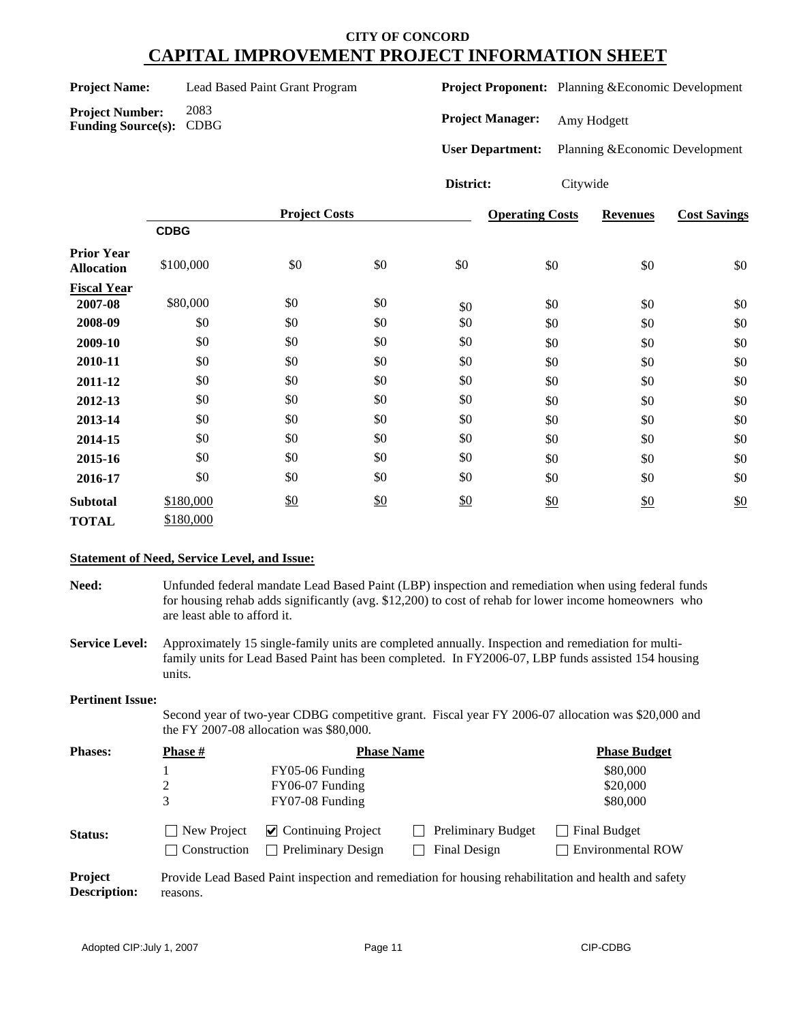|  | <b>Project Name:</b> |  |
|--|----------------------|--|
|  |                      |  |

**Project Number:** 2083 **Funding Source(s):** CDBG

Lead Based Paint Grant Program

**Project Proponent:** Planning &Economic Development

**Project Manager:** Amy Hodgett

**User Department:** Planning &Economic Development

# **District:** Citywide

|                                        |             | <b>Project Costs</b> |               | <b>Operating Costs</b> | <b>Revenues</b> | <b>Cost Savings</b> |     |
|----------------------------------------|-------------|----------------------|---------------|------------------------|-----------------|---------------------|-----|
|                                        | <b>CDBG</b> |                      |               |                        |                 |                     |     |
| <b>Prior Year</b><br><b>Allocation</b> | \$100,000   | \$0                  | \$0           | \$0                    | \$0             | \$0                 | \$0 |
| <b>Fiscal Year</b>                     |             |                      |               |                        |                 |                     |     |
| 2007-08                                | \$80,000    | \$0                  | \$0           | \$0                    | \$0             | \$0                 | \$0 |
| 2008-09                                | \$0         | \$0                  | \$0           | \$0                    | \$0             | \$0                 | \$0 |
| 2009-10                                | \$0         | \$0                  | \$0           | \$0                    | \$0             | \$0                 | \$0 |
| 2010-11                                | \$0         | \$0                  | \$0           | \$0                    | \$0             | \$0                 | \$0 |
| 2011-12                                | \$0         | \$0                  | \$0           | \$0                    | \$0             | \$0                 | \$0 |
| 2012-13                                | \$0         | \$0                  | \$0           | \$0                    | \$0             | \$0                 | \$0 |
| 2013-14                                | \$0         | \$0                  | \$0           | \$0                    | \$0             | \$0                 | \$0 |
| 2014-15                                | \$0         | \$0                  | \$0           | \$0                    | \$0             | \$0                 | \$0 |
| 2015-16                                | \$0         | \$0                  | \$0           | \$0                    | \$0             | \$0                 | \$0 |
| 2016-17                                | \$0         | \$0                  | \$0           | \$0                    | \$0             | \$0                 | \$0 |
| <b>Subtotal</b>                        | \$180,000   | $\frac{$0}{}$        | $\frac{$0}{}$ | \$0                    | \$0             | $\frac{$0}{}$       | \$0 |
| <b>TOTAL</b>                           | \$180,000   |                      |               |                        |                 |                     |     |

## **Statement of Need, Service Level, and Issue:**

**Need:** Unfunded federal mandate Lead Based Paint (LBP) inspection and remediation when using federal funds for housing rehab adds significantly (avg. \$12,200) to cost of rehab for lower income homeowners who are least able to afford it.

**Service Level:** Approximately 15 single-family units are completed annually. Inspection and remediation for multifamily units for Lead Based Paint has been completed. In FY2006-07, LBP funds assisted 154 housing units.

#### **Pertinent Issue:**

Second year of two-year CDBG competitive grant. Fiscal year FY 2006-07 allocation was \$20,000 and the FY 2007-08 allocation was \$80,000.

| <b>Phases:</b> | <b>Phase #</b>               | <b>Phase Name</b>                  | <b>Phase Budget</b>                                                                                  |                                |
|----------------|------------------------------|------------------------------------|------------------------------------------------------------------------------------------------------|--------------------------------|
|                |                              | FY05-06 Funding                    |                                                                                                      | \$80,000                       |
|                |                              | FY06-07 Funding                    |                                                                                                      | \$20,000                       |
|                | 3                            | FY07-08 Funding                    |                                                                                                      | \$80,000                       |
| <b>Status:</b> | $\Box$ New Project           | $\triangledown$ Continuing Project | <b>Preliminary Budget</b>                                                                            | Final Budget<br>$\blacksquare$ |
|                | Construction<br>$\mathbf{I}$ | <b>Preliminary Design</b>          | Final Design                                                                                         | <b>Environmental ROW</b>       |
| Project        |                              |                                    | Provide Lead Based Paint inspection and remediation for housing rehabilitation and health and safety |                                |

reasons.

**Description:**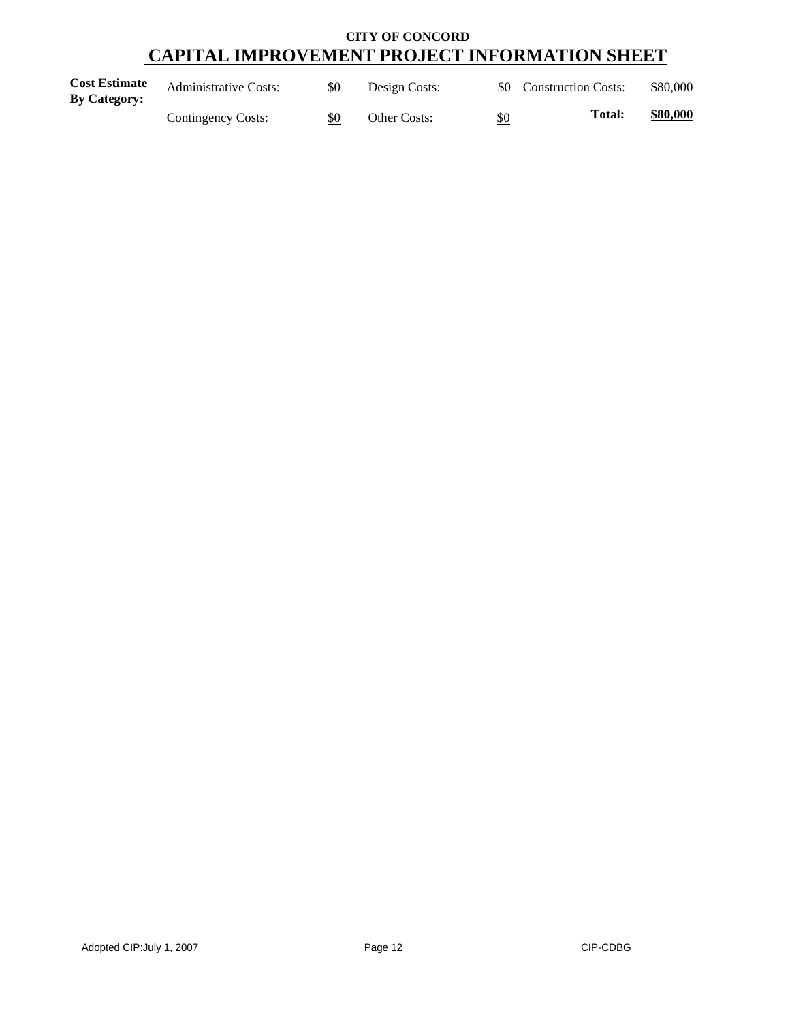| <b>Cost Estimate</b><br><b>By Category:</b> | <b>Administrative Costs:</b> | \$0 | Design Costs: |     | \$0 Construction Costs: | \$80,000 |
|---------------------------------------------|------------------------------|-----|---------------|-----|-------------------------|----------|
|                                             | Contingency Costs:           | \$0 | Other Costs:  | \$0 | Total:                  | \$80,000 |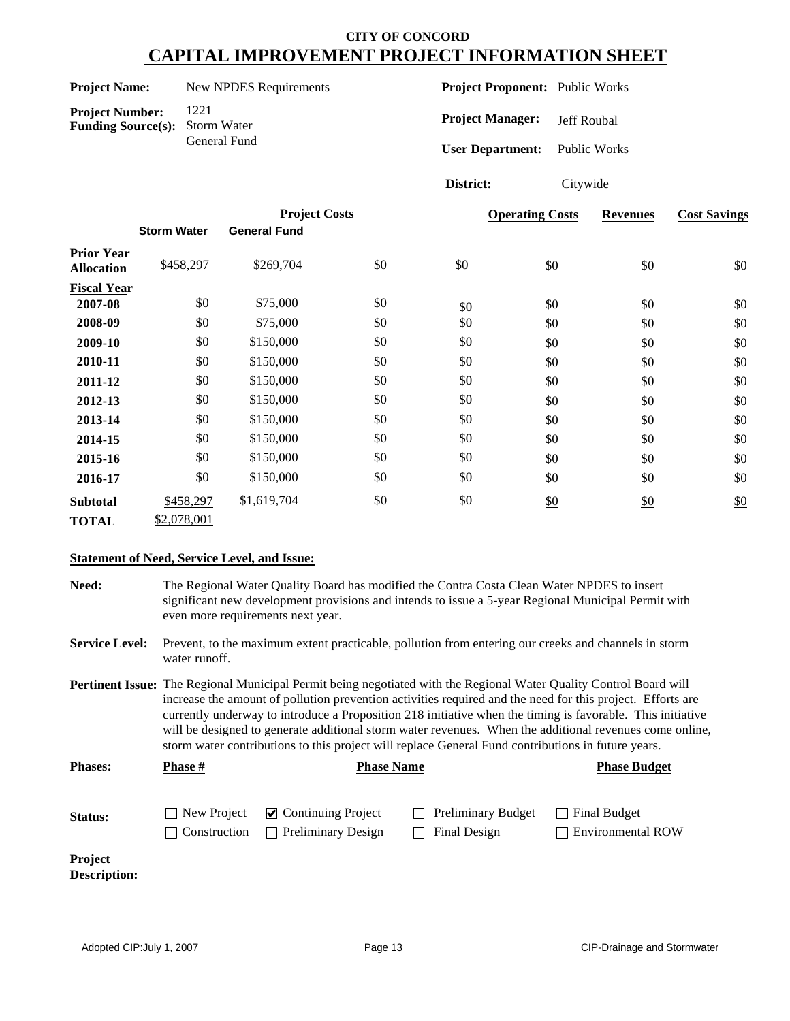| <b>Project Name:</b> | New NPDES Requirements |
|----------------------|------------------------|
|----------------------|------------------------|

**Project Number:** 1221<br>**Funding Source(s):** Storm Water **Funding Source(s):** General Fund **Project Proponent:** Public Works

**Project Manager:** Jeff Roubal

**User Department:** Public Works

**District:** Citywide

|                                        |                    | <b>Project Costs</b> |     | <b>Operating Costs</b> | <b>Revenues</b> | <b>Cost Savings</b> |     |
|----------------------------------------|--------------------|----------------------|-----|------------------------|-----------------|---------------------|-----|
|                                        | <b>Storm Water</b> | <b>General Fund</b>  |     |                        |                 |                     |     |
| <b>Prior Year</b><br><b>Allocation</b> | \$458,297          | \$269,704            | \$0 | \$0                    | \$0             | \$0                 | \$0 |
| <b>Fiscal Year</b>                     |                    |                      |     |                        |                 |                     |     |
| 2007-08                                | \$0                | \$75,000             | \$0 | \$0                    | \$0             | \$0                 | \$0 |
| 2008-09                                | \$0                | \$75,000             | \$0 | \$0                    | \$0             | \$0                 | \$0 |
| 2009-10                                | \$0                | \$150,000            | \$0 | \$0                    | \$0             | \$0                 | \$0 |
| 2010-11                                | \$0                | \$150,000            | \$0 | \$0                    | \$0             | \$0                 | \$0 |
| 2011-12                                | \$0                | \$150,000            | \$0 | \$0                    | \$0             | \$0                 | \$0 |
| 2012-13                                | \$0                | \$150,000            | \$0 | \$0                    | \$0             | \$0                 | \$0 |
| 2013-14                                | \$0                | \$150,000            | \$0 | \$0                    | \$0             | \$0                 | \$0 |
| 2014-15                                | \$0                | \$150,000            | \$0 | \$0                    | \$0             | \$0                 | \$0 |
| 2015-16                                | \$0                | \$150,000            | \$0 | \$0                    | \$0             | \$0                 | \$0 |
| 2016-17                                | \$0                | \$150,000            | \$0 | \$0                    | \$0             | \$0                 | \$0 |
| <b>Subtotal</b>                        | \$458,297          | \$1,619,704          | \$0 | \$0                    | \$0             | \$0                 | \$0 |
| <b>TOTAL</b>                           | \$2,078,001        |                      |     |                        |                 |                     |     |

## **Statement of Need, Service Level, and Issue:**

**Need:** The Regional Water Quality Board has modified the Contra Costa Clean Water NPDES to insert significant new development provisions and intends to issue a 5-year Regional Municipal Permit with even more requirements next year.

**Service Level:** Prevent, to the maximum extent practicable, pollution from entering our creeks and channels in storm water runoff.

**Pertinent Issue:** The Regional Municipal Permit being negotiated with the Regional Water Quality Control Board will increase the amount of pollution prevention activities required and the need for this project. Efforts are currently underway to introduce a Proposition 218 initiative when the timing is favorable. This initiative will be designed to generate additional storm water revenues. When the additional revenues come online, storm water contributions to this project will replace General Fund contributions in future years.

| <b>Phases:</b> | <b>Phase</b> #      | <b>Phase Name</b>                            |                           | <b>Phase Budget</b>      |  |
|----------------|---------------------|----------------------------------------------|---------------------------|--------------------------|--|
|                |                     |                                              |                           |                          |  |
| <b>Status:</b> |                     | $\Box$ New Project $\Box$ Continuing Project | <b>Preliminary Budget</b> | <b>Final Budget</b>      |  |
|                | <b>Construction</b> | <b>Preliminary Design</b>                    | Final Design              | <b>Environmental ROW</b> |  |

**Project Description:**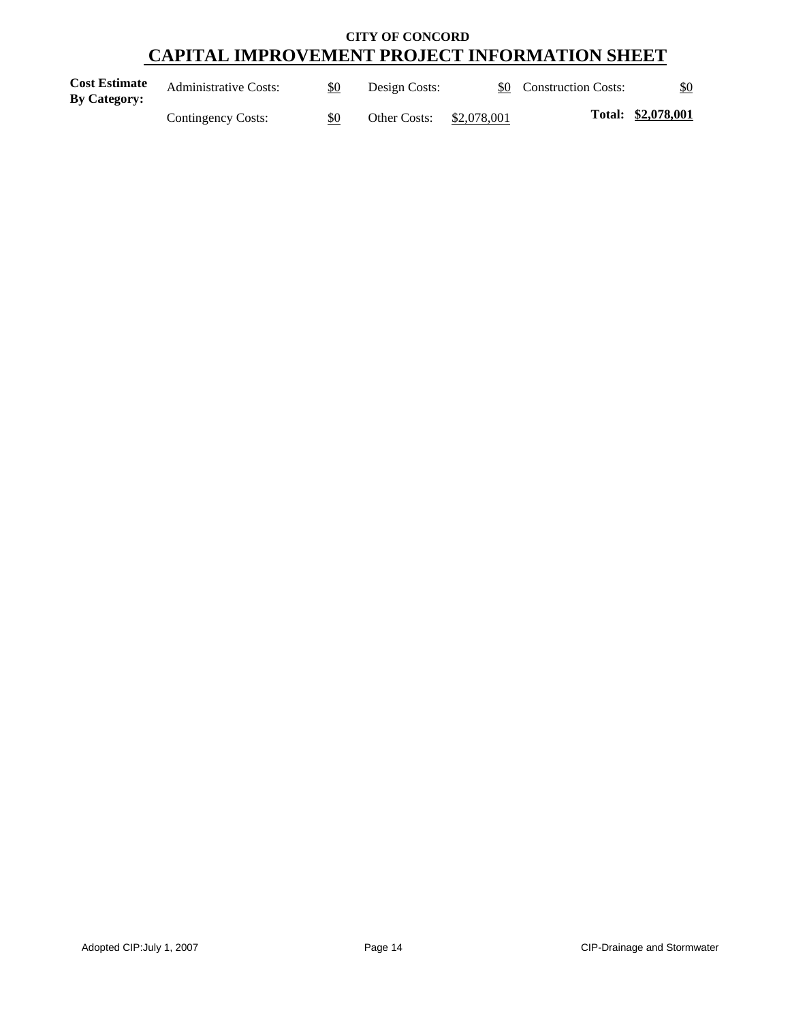| <b>Cost Estimate</b><br><b>By Category:</b> | <b>Administrative Costs:</b> | \$0 | Design Costs: |             | \$0 Construction Costs: | \$0                |
|---------------------------------------------|------------------------------|-----|---------------|-------------|-------------------------|--------------------|
|                                             | Contingency Costs:           | \$0 | Other Costs:  | \$2,078,001 |                         | Total: \$2,078,001 |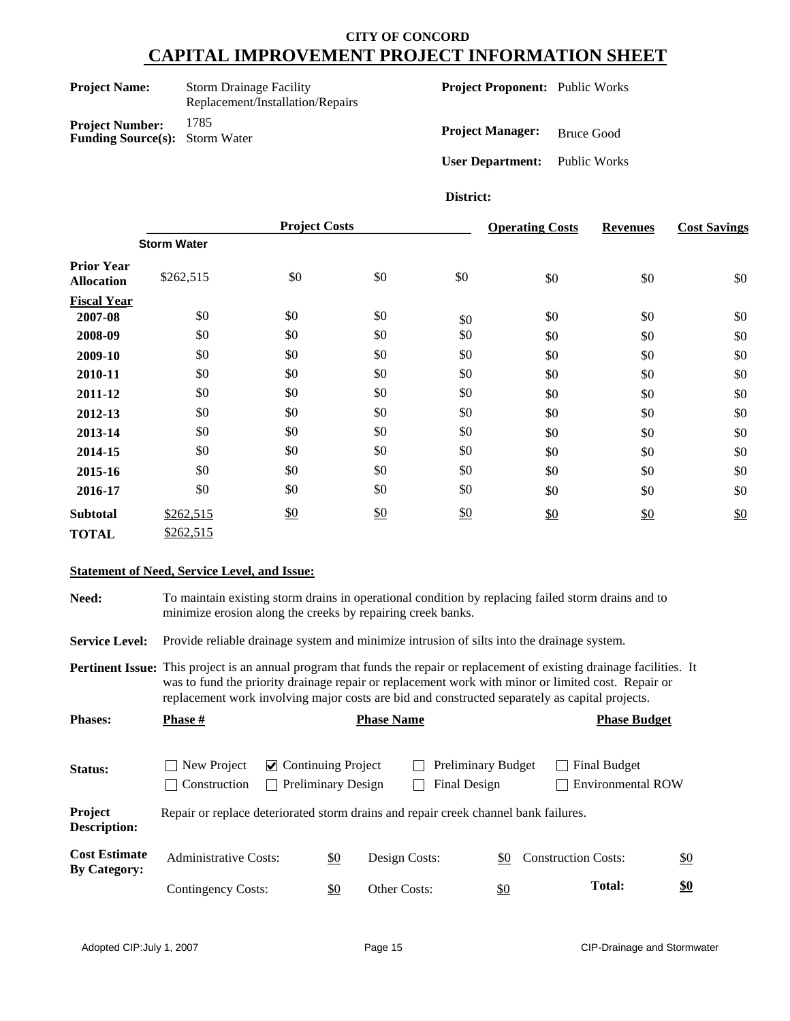| <b>Project Name:</b>  | <b>Storm Drainage Facility</b>   |
|-----------------------|----------------------------------|
|                       | Replacement/Installation/Repairs |
| David and Married and | 1785                             |

**Project Number:** 1785 **Funding Source(s):** Storm Water **Project Proponent:** Public Works

**Project Manager:** Bruce Good

**User Department:** Public Works

### **District:**

|                                        | <b>Project Costs</b> |     |               | <b>Operating Costs</b> | <b>Revenues</b> | <b>Cost Savings</b> |     |
|----------------------------------------|----------------------|-----|---------------|------------------------|-----------------|---------------------|-----|
|                                        | <b>Storm Water</b>   |     |               |                        |                 |                     |     |
| <b>Prior Year</b><br><b>Allocation</b> | \$262,515            | \$0 | \$0           | \$0                    | \$0             | \$0                 | \$0 |
| <b>Fiscal Year</b>                     |                      |     |               |                        |                 |                     |     |
| 2007-08                                | \$0                  | \$0 | \$0           | \$0                    | \$0             | \$0                 | \$0 |
| 2008-09                                | \$0                  | \$0 | \$0           | \$0                    | \$0             | \$0                 | \$0 |
| 2009-10                                | \$0                  | \$0 | \$0           | \$0                    | \$0             | \$0                 | \$0 |
| 2010-11                                | \$0                  | \$0 | \$0           | \$0                    | \$0             | \$0                 | \$0 |
| 2011-12                                | \$0                  | \$0 | \$0           | \$0                    | \$0             | \$0                 | \$0 |
| 2012-13                                | \$0                  | \$0 | \$0           | \$0                    | \$0             | \$0                 | \$0 |
| 2013-14                                | \$0                  | \$0 | \$0           | \$0                    | \$0             | \$0                 | \$0 |
| 2014-15                                | \$0                  | \$0 | \$0           | \$0                    | \$0             | \$0                 | \$0 |
| 2015-16                                | \$0                  | \$0 | \$0           | \$0                    | \$0             | \$0                 | \$0 |
| 2016-17                                | \$0                  | \$0 | \$0           | \$0                    | \$0             | \$0                 | \$0 |
| <b>Subtotal</b>                        | \$262,515            | \$0 | $\frac{$0}{}$ | \$0                    | \$0             | \$0                 | \$0 |
| <b>TOTAL</b>                           | \$262,515            |     |               |                        |                 |                     |     |

#### **Statement of Need, Service Level, and Issue:**

**Need:** To maintain existing storm drains in operational condition by replacing failed storm drains and to minimize erosion along the creeks by repairing creek banks.

**Service Level:** Provide reliable drainage system and minimize intrusion of silts into the drainage system.

**Pertinent Issue:** This project is an annual program that funds the repair or replacement of existing drainage facilities. It was to fund the priority drainage repair or replacement work with minor or limited cost. Repair or replacement work involving major costs are bid and constructed separately as capital projects.

| <b>Phases:</b>                              | <b>Phase</b> #                                                                      |                                             |                           | <b>Phase Name</b> |                                                  |            |  | <b>Phase Budget</b>                      |                   |
|---------------------------------------------|-------------------------------------------------------------------------------------|---------------------------------------------|---------------------------|-------------------|--------------------------------------------------|------------|--|------------------------------------------|-------------------|
| Status:                                     | New Project<br>$\blacksquare$<br>Construction<br>$\blacksquare$                     | $\vee$ Continuing Project<br>$\blacksquare$ | <b>Preliminary Design</b> |                   | <b>Preliminary Budget</b><br><b>Final Design</b> |            |  | Final Budget<br><b>Environmental ROW</b> |                   |
| Project<br><b>Description:</b>              | Repair or replace deteriorated storm drains and repair creek channel bank failures. |                                             |                           |                   |                                                  |            |  |                                          |                   |
| <b>Cost Estimate</b><br><b>By Category:</b> | <b>Administrative Costs:</b>                                                        |                                             | \$0                       | Design Costs:     |                                                  | \$0        |  | <b>Construction Costs:</b>               | $\underline{\$0}$ |
|                                             | Contingency Costs:                                                                  |                                             | \$0                       | Other Costs:      |                                                  | <u>\$0</u> |  | <b>Total:</b>                            | $\frac{$0}{}$     |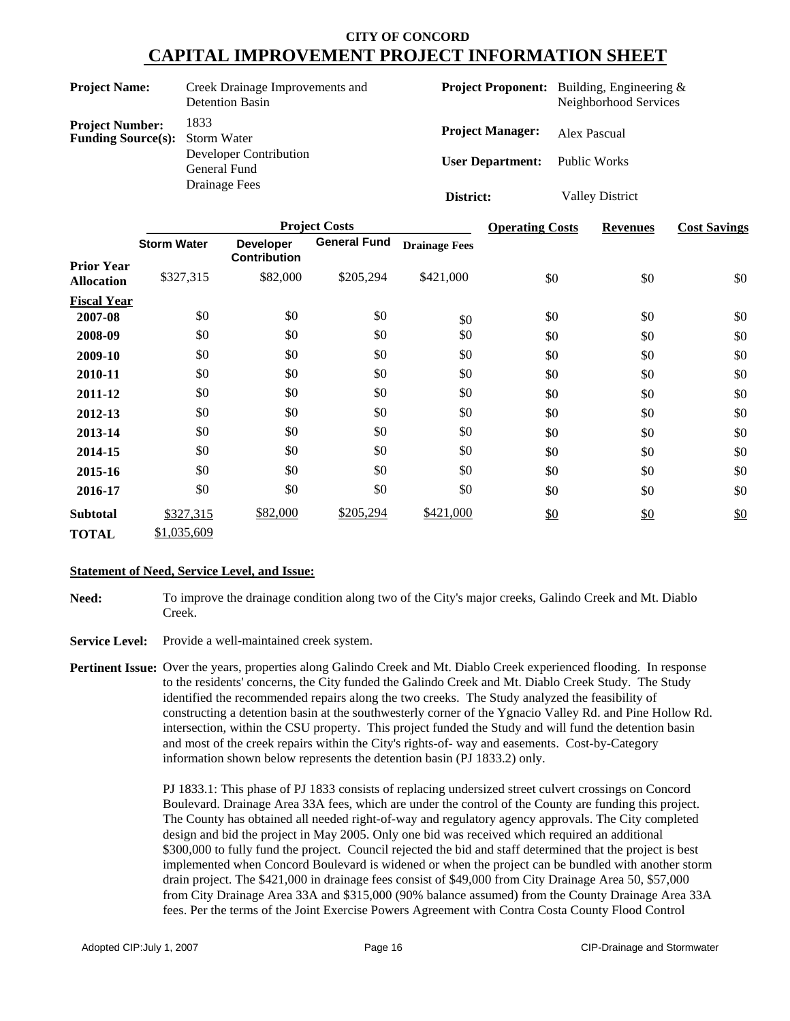| <b>Project Name:</b>                                            | Creek Drainage Improvements and<br><b>Detention Basin</b> |                         | <b>Project Proponent:</b> Building, Engineering &<br>Neighborhood Services |
|-----------------------------------------------------------------|-----------------------------------------------------------|-------------------------|----------------------------------------------------------------------------|
| <b>Project Number:</b><br><b>Funding Source(s):</b> Storm Water | 1833                                                      | <b>Project Manager:</b> | Alex Pascual                                                               |
|                                                                 | Developer Contribution<br>General Fund                    | <b>User Department:</b> | Public Works                                                               |
|                                                                 | Drainage Fees                                             | District:               | <b>Valley District</b>                                                     |

|                    |                    |                                         | <b>Project Costs</b> |                      | <b>Operating Costs</b> | <b>Revenues</b> | <b>Cost Savings</b> |
|--------------------|--------------------|-----------------------------------------|----------------------|----------------------|------------------------|-----------------|---------------------|
| <b>Prior Year</b>  | <b>Storm Water</b> | <b>Developer</b><br><b>Contribution</b> | <b>General Fund</b>  | <b>Drainage Fees</b> |                        |                 |                     |
| <b>Allocation</b>  | \$327,315          | \$82,000                                | \$205,294            | \$421,000            | \$0                    | \$0             | \$0                 |
| <b>Fiscal Year</b> |                    |                                         |                      |                      |                        |                 |                     |
| 2007-08            | \$0                | \$0                                     | \$0                  | \$0                  | \$0                    | \$0             | \$0                 |
| 2008-09            | \$0                | \$0                                     | \$0                  | \$0                  | \$0                    | \$0             | \$0                 |
| 2009-10            | \$0                | \$0                                     | \$0                  | \$0                  | \$0                    | \$0             | \$0                 |
| 2010-11            | \$0                | \$0                                     | \$0                  | \$0                  | \$0                    | \$0             | \$0                 |
| 2011-12            | \$0                | \$0                                     | \$0                  | \$0                  | \$0                    | \$0             | \$0                 |
| 2012-13            | \$0                | \$0                                     | \$0                  | \$0                  | \$0                    | \$0             | \$0                 |
| 2013-14            | \$0                | \$0                                     | \$0                  | \$0                  | \$0                    | \$0             | \$0                 |
| 2014-15            | \$0                | \$0                                     | \$0                  | \$0                  | \$0                    | \$0             | \$0                 |
| 2015-16            | \$0                | \$0                                     | \$0                  | \$0                  | \$0                    | \$0             | \$0                 |
| 2016-17            | \$0                | \$0                                     | \$0                  | \$0                  | \$0                    | \$0             | \$0                 |
| <b>Subtotal</b>    | \$327,315          | \$82,000                                | \$205,294            | \$421,000            | \$0                    | \$0             | \$0                 |
| <b>TOTAL</b>       | \$1,035,609        |                                         |                      |                      |                        |                 |                     |

#### **Statement of Need, Service Level, and Issue:**

- **Need:** To improve the drainage condition along two of the City's major creeks, Galindo Creek and Mt. Diablo Creek.
- **Service Level:** Provide a well-maintained creek system.
- **Pertinent Issue:** Over the years, properties along Galindo Creek and Mt. Diablo Creek experienced flooding. In response to the residents' concerns, the City funded the Galindo Creek and Mt. Diablo Creek Study. The Study identified the recommended repairs along the two creeks. The Study analyzed the feasibility of constructing a detention basin at the southwesterly corner of the Ygnacio Valley Rd. and Pine Hollow Rd. intersection, within the CSU property. This project funded the Study and will fund the detention basin and most of the creek repairs within the City's rights-of- way and easements. Cost-by-Category information shown below represents the detention basin (PJ 1833.2) only.

PJ 1833.1: This phase of PJ 1833 consists of replacing undersized street culvert crossings on Concord Boulevard. Drainage Area 33A fees, which are under the control of the County are funding this project. The County has obtained all needed right-of-way and regulatory agency approvals. The City completed design and bid the project in May 2005. Only one bid was received which required an additional \$300,000 to fully fund the project. Council rejected the bid and staff determined that the project is best implemented when Concord Boulevard is widened or when the project can be bundled with another storm drain project. The \$421,000 in drainage fees consist of \$49,000 from City Drainage Area 50, \$57,000 from City Drainage Area 33A and \$315,000 (90% balance assumed) from the County Drainage Area 33A fees. Per the terms of the Joint Exercise Powers Agreement with Contra Costa County Flood Control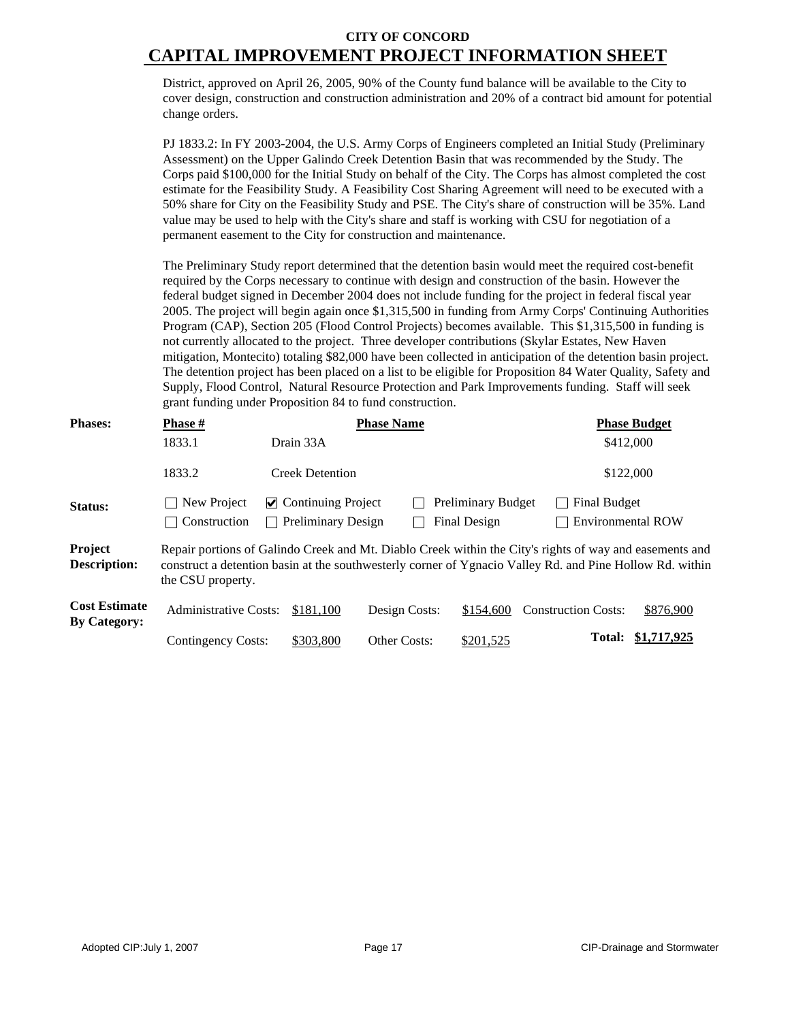District, approved on April 26, 2005, 90% of the County fund balance will be available to the City to cover design, construction and construction administration and 20% of a contract bid amount for potential change orders.

PJ 1833.2: In FY 2003-2004, the U.S. Army Corps of Engineers completed an Initial Study (Preliminary Assessment) on the Upper Galindo Creek Detention Basin that was recommended by the Study. The Corps paid \$100,000 for the Initial Study on behalf of the City. The Corps has almost completed the cost estimate for the Feasibility Study. A Feasibility Cost Sharing Agreement will need to be executed with a 50% share for City on the Feasibility Study and PSE. The City's share of construction will be 35%. Land value may be used to help with the City's share and staff is working with CSU for negotiation of a permanent easement to the City for construction and maintenance.

The Preliminary Study report determined that the detention basin would meet the required cost-benefit required by the Corps necessary to continue with design and construction of the basin. However the federal budget signed in December 2004 does not include funding for the project in federal fiscal year 2005. The project will begin again once \$1,315,500 in funding from Army Corps' Continuing Authorities Program (CAP), Section 205 (Flood Control Projects) becomes available. This \$1,315,500 in funding is not currently allocated to the project. Three developer contributions (Skylar Estates, New Haven mitigation, Montecito) totaling \$82,000 have been collected in anticipation of the detention basin project. The detention project has been placed on a list to be eligible for Proposition 84 Water Quality, Safety and Supply, Flood Control, Natural Resource Protection and Park Improvements funding. Staff will seek grant funding under Proposition 84 to fund construction.

| <b>Phases:</b>                              | Phase #                      |                           | <b>Phase Name</b> |                           |                                                                                                                                                                                                                     | <b>Phase Budget</b> |
|---------------------------------------------|------------------------------|---------------------------|-------------------|---------------------------|---------------------------------------------------------------------------------------------------------------------------------------------------------------------------------------------------------------------|---------------------|
|                                             | 1833.1                       | Drain 33A                 |                   |                           | \$412,000                                                                                                                                                                                                           |                     |
|                                             | 1833.2                       | <b>Creek Detention</b>    |                   |                           | \$122,000                                                                                                                                                                                                           |                     |
| Status:                                     | New Project                  | $\vee$ Continuing Project |                   | <b>Preliminary Budget</b> | <b>Final Budget</b>                                                                                                                                                                                                 |                     |
|                                             | Construction                 | <b>Preliminary Design</b> |                   | <b>Final Design</b>       | <b>Environmental ROW</b>                                                                                                                                                                                            |                     |
| Project<br><b>Description:</b>              | the CSU property.            |                           |                   |                           | Repair portions of Galindo Creek and Mt. Diablo Creek within the City's rights of way and easements and<br>construct a detention basin at the southwesterly corner of Ygnacio Valley Rd. and Pine Hollow Rd. within |                     |
| <b>Cost Estimate</b><br><b>By Category:</b> | <b>Administrative Costs:</b> | \$181.100                 | Design Costs:     | \$154,600                 | <b>Construction Costs:</b>                                                                                                                                                                                          | \$876,900           |
|                                             | Contingency Costs:           | \$303,800                 | Other Costs:      | \$201,525                 | <b>Total:</b>                                                                                                                                                                                                       | \$1,717,925         |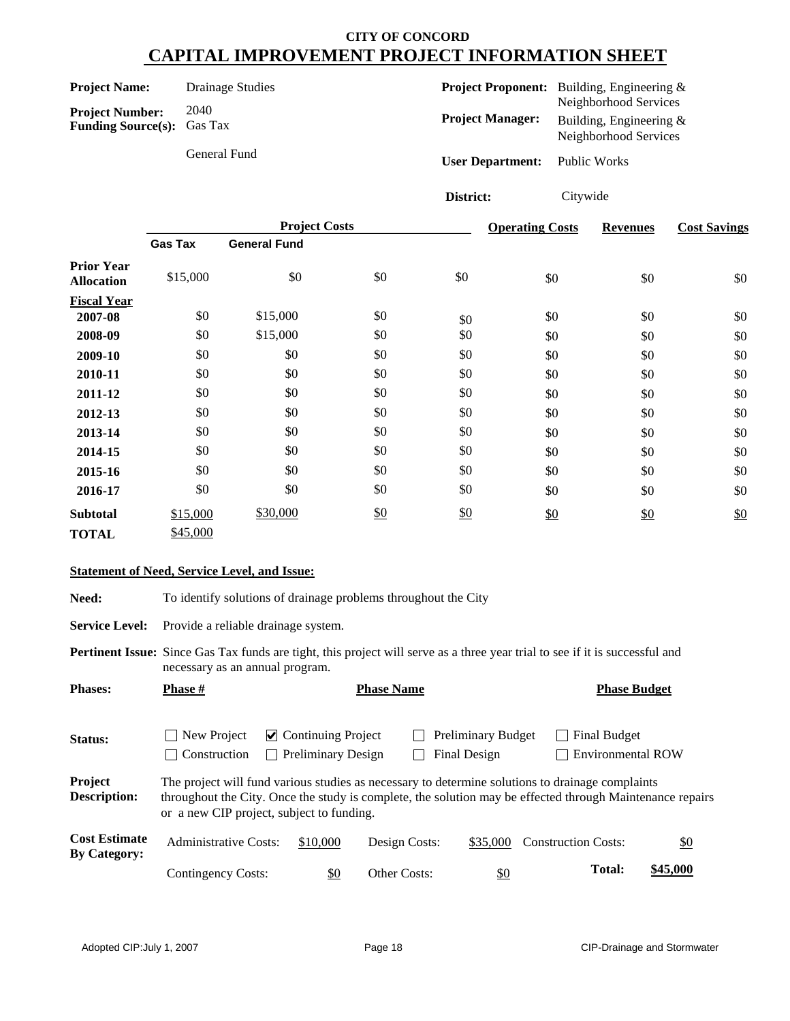| <b>Project Name:</b>                                        | Drainage Studies |                         | <b>Project Proponent:</b> Building, Engineering $\&$                         |
|-------------------------------------------------------------|------------------|-------------------------|------------------------------------------------------------------------------|
| <b>Project Number:</b><br><b>Funding Source(s):</b> Gas Tax | 2040             | <b>Project Manager:</b> | Neighborhood Services<br>Building, Engineering $\&$<br>Neighborhood Services |
|                                                             | General Fund     | <b>User Department:</b> | Public Works                                                                 |

**District:** Citywide

|                                        |                | <b>Project Costs</b> |               | <b>Operating Costs</b> | <b>Revenues</b> | <b>Cost Savings</b> |     |
|----------------------------------------|----------------|----------------------|---------------|------------------------|-----------------|---------------------|-----|
|                                        | <b>Gas Tax</b> | <b>General Fund</b>  |               |                        |                 |                     |     |
| <b>Prior Year</b><br><b>Allocation</b> | \$15,000       | \$0                  | \$0           | \$0                    | \$0             | \$0                 | \$0 |
| <b>Fiscal Year</b>                     |                |                      |               |                        |                 |                     |     |
| 2007-08                                | \$0            | \$15,000             | \$0           | \$0                    | \$0             | \$0                 | \$0 |
| 2008-09                                | \$0            | \$15,000             | \$0           | \$0                    | \$0             | \$0                 | \$0 |
| 2009-10                                | \$0            | \$0                  | \$0           | \$0                    | \$0             | \$0                 | \$0 |
| 2010-11                                | \$0            | \$0                  | \$0           | \$0                    | \$0             | \$0                 | \$0 |
| 2011-12                                | \$0            | \$0                  | \$0           | \$0                    | \$0             | \$0                 | \$0 |
| 2012-13                                | \$0            | \$0                  | \$0           | \$0                    | \$0             | \$0                 | \$0 |
| 2013-14                                | \$0            | \$0                  | \$0           | \$0                    | \$0             | \$0                 | \$0 |
| 2014-15                                | \$0            | \$0                  | \$0           | \$0                    | \$0             | \$0                 | \$0 |
| 2015-16                                | \$0            | \$0                  | \$0           | \$0                    | \$0             | \$0                 | \$0 |
| 2016-17                                | \$0            | \$0                  | \$0           | \$0                    | \$0             | \$0                 | \$0 |
| <b>Subtotal</b>                        | \$15,000       | \$30,000             | $\frac{$0}{}$ | \$0                    | \$0             | $\frac{$0}{}$       | \$0 |
| <b>TOTAL</b>                           | \$45,000       |                      |               |                        |                 |                     |     |

#### **Statement of Need, Service Level, and Issue:**

Need: To identify solutions of drainage problems throughout the City

Service Level: Provide a reliable drainage system.

**Pertinent Issue:** Since Gas Tax funds are tight, this project will serve as a three year trial to see if it is successful and necessary as an annual program.

| <b>Phases:</b>                              | <b>Phase</b> #               | <b>Phase Name</b>                                                      |                     |                                           |                                                                                                                                                                                                               | <b>Phase Budget</b> |  |  |
|---------------------------------------------|------------------------------|------------------------------------------------------------------------|---------------------|-------------------------------------------|---------------------------------------------------------------------------------------------------------------------------------------------------------------------------------------------------------------|---------------------|--|--|
| Status:                                     | New Project<br>Construction  | $\vee$ Continuing Project<br><b>Preliminary Design</b><br>$\mathbf{L}$ |                     | <b>Preliminary Budget</b><br>Final Design | <b>Final Budget</b><br><b>Environmental ROW</b>                                                                                                                                                               |                     |  |  |
| Project<br><b>Description:</b>              |                              | or a new CIP project, subject to funding.                              |                     |                                           | The project will fund various studies as necessary to determine solutions to drainage complaints<br>throughout the City. Once the study is complete, the solution may be effected through Maintenance repairs |                     |  |  |
| <b>Cost Estimate</b><br><b>By Category:</b> | <b>Administrative Costs:</b> | \$10,000                                                               | Design Costs:       | \$35,000                                  | <b>Construction Costs:</b>                                                                                                                                                                                    | <u>\$0</u>          |  |  |
|                                             | <b>Contingency Costs:</b>    | \$0                                                                    | <b>Other Costs:</b> | \$0                                       | <b>Total:</b>                                                                                                                                                                                                 | \$45,000            |  |  |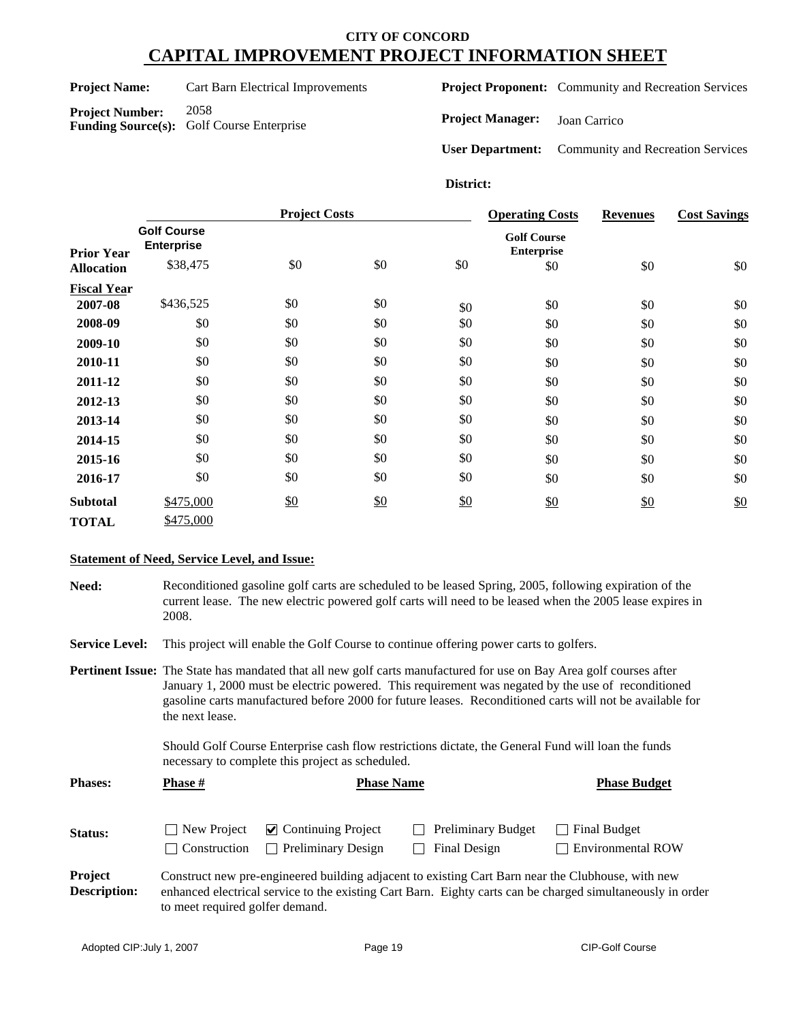**Project Name:** Cart Barn Electrical Improvements

**Project Number:** 2058 **Funding Source(s):** Golf Course Enterprise **Project Proponent:** Community and Recreation Services

**Project Manager:** Joan Carrico

**User Department:** Community and Recreation Services

### **District:**

|                    |                                                     | <b>Project Costs</b> |            |     | <b>Operating Costs</b>                         | <b>Revenues</b> | <b>Cost Savings</b> |
|--------------------|-----------------------------------------------------|----------------------|------------|-----|------------------------------------------------|-----------------|---------------------|
| <b>Prior Year</b>  | <b>Golf Course</b><br><b>Enterprise</b><br>\$38,475 | \$0                  | \$0        | \$0 | <b>Golf Course</b><br><b>Enterprise</b><br>\$0 | \$0             | \$0                 |
| <b>Allocation</b>  |                                                     |                      |            |     |                                                |                 |                     |
| <b>Fiscal Year</b> |                                                     |                      |            |     |                                                |                 |                     |
| 2007-08            | \$436,525                                           | \$0                  | \$0        | \$0 | \$0                                            | \$0             | \$0                 |
| 2008-09            | \$0                                                 | \$0                  | \$0        | \$0 | \$0                                            | \$0             | \$0                 |
| 2009-10            | \$0                                                 | \$0                  | \$0        | \$0 | \$0                                            | \$0             | \$0                 |
| 2010-11            | \$0                                                 | \$0                  | \$0        | \$0 | \$0                                            | \$0             | \$0                 |
| 2011-12            | \$0                                                 | \$0                  | \$0        | \$0 | \$0                                            | \$0             | \$0                 |
| 2012-13            | \$0                                                 | \$0                  | \$0        | \$0 | \$0                                            | \$0             | \$0                 |
| 2013-14            | \$0                                                 | \$0                  | \$0        | \$0 | \$0                                            | \$0             | \$0                 |
| 2014-15            | \$0                                                 | \$0                  | \$0        | \$0 | \$0                                            | \$0             | \$0                 |
| 2015-16            | \$0                                                 | \$0                  | \$0        | \$0 | \$0                                            | \$0             | \$0                 |
| 2016-17            | \$0                                                 | \$0                  | \$0        | \$0 | \$0                                            | \$0             | \$0                 |
| <b>Subtotal</b>    | \$475,000                                           | \$0                  | <u>\$0</u> | \$0 | \$0                                            | \$0             | \$0                 |
| <b>TOTAL</b>       | \$475,000                                           |                      |            |     |                                                |                 |                     |

## **Statement of Need, Service Level, and Issue:**

| Need: | Reconditioned gasoline golf carts are scheduled to be leased Spring, 2005, following expiration of the            |
|-------|-------------------------------------------------------------------------------------------------------------------|
|       | current lease. The new electric powered golf carts will need to be leased when the 2005 lease expires in<br>2008. |
|       |                                                                                                                   |

**Service Level:** This project will enable the Golf Course to continue offering power carts to golfers.

**Pertinent Issue:** The State has mandated that all new golf carts manufactured for use on Bay Area golf courses after January 1, 2000 must be electric powered. This requirement was negated by the use of reconditioned gasoline carts manufactured before 2000 for future leases. Reconditioned carts will not be available for the next lease.

> Should Golf Course Enterprise cash flow restrictions dictate, the General Fund will loan the funds necessary to complete this project as scheduled.

| <b>Phases:</b>                 | <b>Phase #</b>                      | <b>Phase Name</b>                                                | <b>Phase Budget</b>                                                                               |                                                                                                            |
|--------------------------------|-------------------------------------|------------------------------------------------------------------|---------------------------------------------------------------------------------------------------|------------------------------------------------------------------------------------------------------------|
| <b>Status:</b>                 | New Project<br>$\vert$ Construction | $\triangleright$ Continuing Project<br>$\Box$ Preliminary Design | <b>Preliminary Budget</b><br>Final Design                                                         | Final Budget<br><b>Environmental ROW</b>                                                                   |
| Project<br><b>Description:</b> | to meet required golfer demand.     |                                                                  | Construct new pre-engineered building adjacent to existing Cart Barn near the Clubhouse, with new | enhanced electrical service to the existing Cart Barn. Eighty carts can be charged simultaneously in order |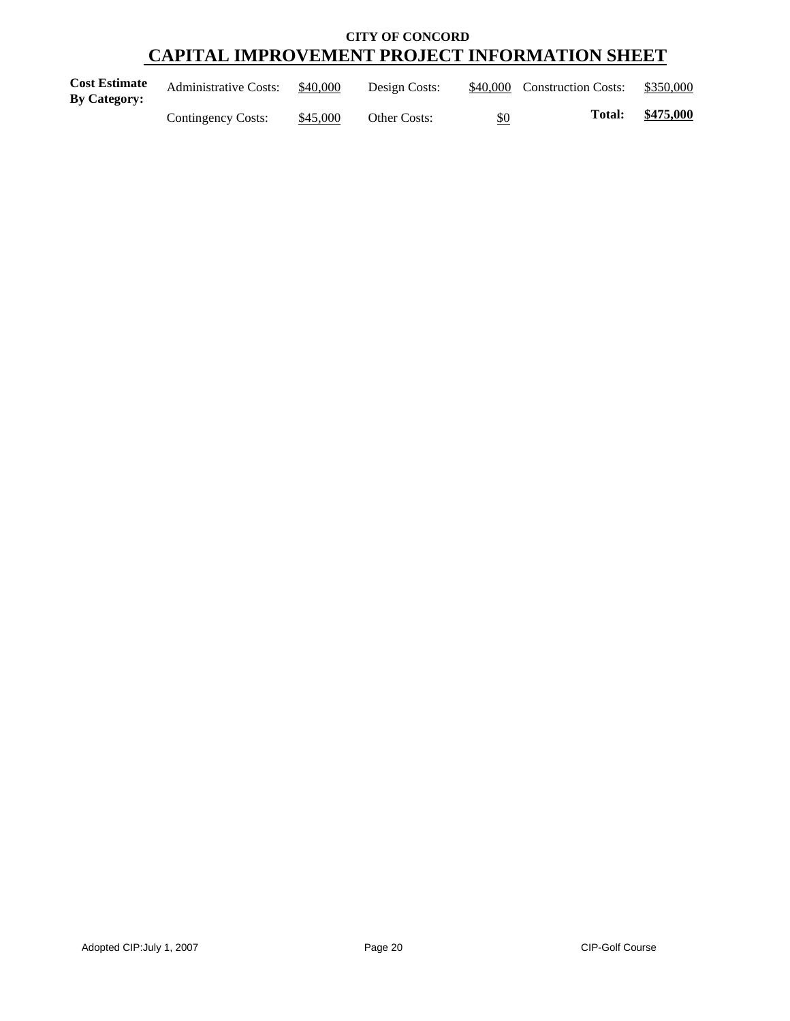| <b>Cost Estimate</b><br>By Category: | <b>Administrative Costs:</b> | \$40,000 | Design Costs: | \$40,000 | <b>Construction Costs:</b> | \$350,000 |
|--------------------------------------|------------------------------|----------|---------------|----------|----------------------------|-----------|
|                                      | Contingency Costs:           | \$45,000 | Other Costs:  | \$0      | <b>Total:</b>              | \$475,000 |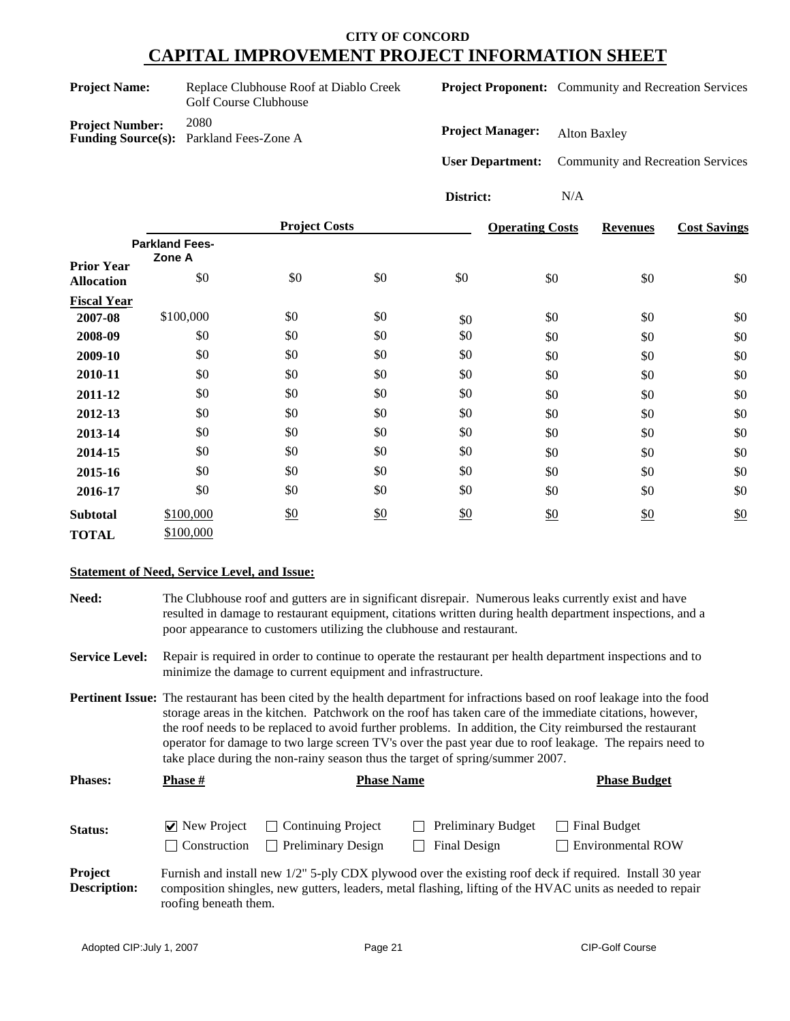| <b>Project Name:</b>   | Replace Clubhouse Roof at Diablo Creek<br>Golf Course Clubhouse |
|------------------------|-----------------------------------------------------------------|
| <b>Project Number:</b> | 2080<br><b>Funding Source(s):</b> Parkland Fees-Zone A          |

**Project Proponent:** Community and Recreation Services

**Project Manager:** Alton Baxley

**User Department:** Community and Recreation Services

**District:** N/A

|                                        |                                 | <b>Project Costs</b> |     |     | <b>Operating Costs</b> | <b>Revenues</b> | <b>Cost Savings</b> |
|----------------------------------------|---------------------------------|----------------------|-----|-----|------------------------|-----------------|---------------------|
|                                        | <b>Parkland Fees-</b><br>Zone A |                      |     |     |                        |                 |                     |
| <b>Prior Year</b><br><b>Allocation</b> | \$0                             | \$0                  | \$0 | \$0 | \$0                    | \$0             | \$0                 |
| <b>Fiscal Year</b>                     |                                 |                      |     |     |                        |                 |                     |
| 2007-08                                | \$100,000                       | \$0                  | \$0 | \$0 | \$0                    | \$0             | \$0                 |
| 2008-09                                | \$0                             | \$0                  | \$0 | \$0 | \$0                    | \$0             | \$0                 |
| 2009-10                                | \$0                             | \$0                  | \$0 | \$0 | \$0                    | \$0             | \$0                 |
| 2010-11                                | \$0                             | \$0                  | \$0 | \$0 | \$0                    | \$0             | \$0                 |
| 2011-12                                | \$0                             | \$0                  | \$0 | \$0 | \$0                    | \$0             | \$0                 |
| 2012-13                                | \$0                             | \$0                  | \$0 | \$0 | \$0                    | \$0             | \$0                 |
| 2013-14                                | \$0                             | \$0                  | \$0 | \$0 | \$0                    | \$0             | \$0                 |
| 2014-15                                | \$0                             | \$0                  | \$0 | \$0 | \$0                    | \$0             | \$0                 |
| 2015-16                                | \$0                             | \$0                  | \$0 | \$0 | \$0                    | \$0             | \$0                 |
| 2016-17                                | \$0                             | \$0                  | \$0 | \$0 | \$0                    | \$0             | \$0                 |
| <b>Subtotal</b>                        | \$100,000                       | $\frac{$0}{}$        | \$0 | \$0 | \$0                    | \$0             | \$0                 |
| <b>TOTAL</b>                           | \$100,000                       |                      |     |     |                        |                 |                     |

#### **Statement of Need, Service Level, and Issue:**

**Need:** The Clubhouse roof and gutters are in significant disrepair. Numerous leaks currently exist and have resulted in damage to restaurant equipment, citations written during health department inspections, and a poor appearance to customers utilizing the clubhouse and restaurant.

**Service Level:** Repair is required in order to continue to operate the restaurant per health department inspections and to minimize the damage to current equipment and infrastructure.

**Pertinent Issue:** The restaurant has been cited by the health department for infractions based on roof leakage into the food storage areas in the kitchen. Patchwork on the roof has taken care of the immediate citations, however, the roof needs to be replaced to avoid further problems. In addition, the City reimbursed the restaurant operator for damage to two large screen TV's over the past year due to roof leakage. The repairs need to take place during the non-rainy season thus the target of spring/summer 2007.

| <b>Phases:</b>                        | Phase #                                     | <b>Phase Name</b>                               |                                           | <b>Phase Budget</b>                                                                                                                                                                                                  |
|---------------------------------------|---------------------------------------------|-------------------------------------------------|-------------------------------------------|----------------------------------------------------------------------------------------------------------------------------------------------------------------------------------------------------------------------|
| Status:                               | $\triangledown$ New Project<br>Construction | Continuing Project<br><b>Preliminary Design</b> | <b>Preliminary Budget</b><br>Final Design | <b>Final Budget</b><br>$\Box$ Environmental ROW                                                                                                                                                                      |
| <b>Project</b><br><b>Description:</b> |                                             |                                                 |                                           | Furnish and install new 1/2" 5-ply CDX plywood over the existing roof deck if required. Install 30 year<br>composition shingles, new gutters, leaders, metal flashing, lifting of the HVAC units as needed to repair |

roofing beneath them.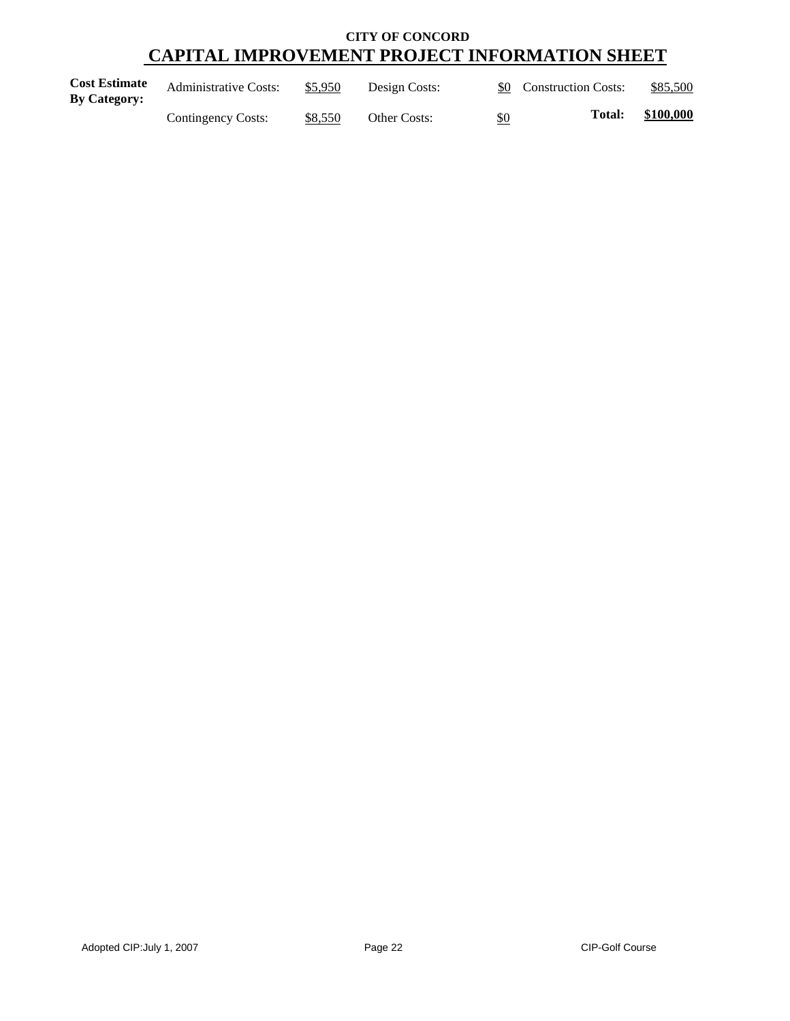| <b>Cost Estimate</b><br>By Category: | <b>Administrative Costs:</b> | \$5,950 | Design Costs: | \$0 Construction Costs: |               | \$85,500  |
|--------------------------------------|------------------------------|---------|---------------|-------------------------|---------------|-----------|
|                                      | Contingency Costs:           | \$8,550 | Other Costs:  | \$0                     | <b>Total:</b> | \$100,000 |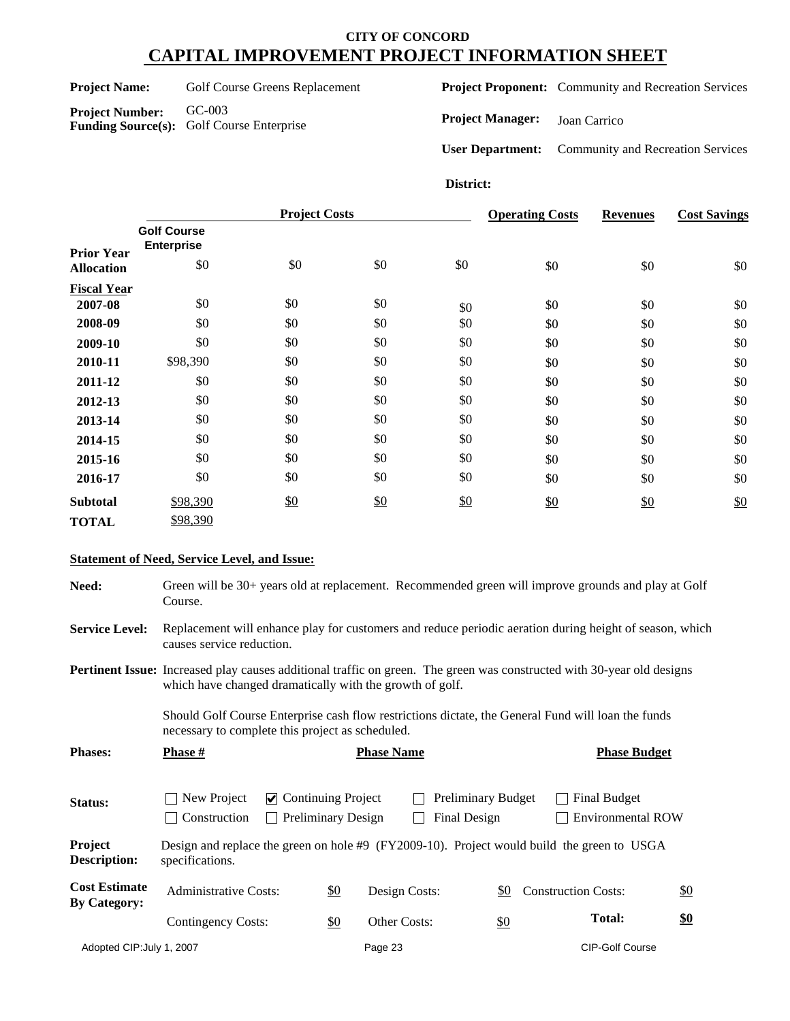Project Name: Golf Course Greens Replacement

**Project Number:** GC-003 **Funding Source(s):** Golf Course Enterprise **Project Proponent:** Community and Recreation Services

**Project Manager:** Joan Carrico

**User Department:** Community and Recreation Services

## **District:**

|                    |                                         | <b>Project Costs</b> |     |     | <b>Operating Costs</b> | <b>Revenues</b> | <b>Cost Savings</b> |
|--------------------|-----------------------------------------|----------------------|-----|-----|------------------------|-----------------|---------------------|
| <b>Prior Year</b>  | <b>Golf Course</b><br><b>Enterprise</b> |                      |     |     |                        |                 |                     |
| <b>Allocation</b>  | \$0                                     | \$0                  | \$0 | \$0 | \$0                    | \$0             | \$0                 |
| <b>Fiscal Year</b> |                                         |                      |     |     |                        |                 |                     |
| 2007-08            | \$0                                     | \$0                  | \$0 | \$0 | \$0                    | \$0             | \$0                 |
| 2008-09            | \$0                                     | \$0                  | \$0 | \$0 | \$0                    | \$0             | \$0                 |
| 2009-10            | \$0                                     | \$0                  | \$0 | \$0 | \$0                    | \$0             | \$0                 |
| 2010-11            | \$98,390                                | \$0                  | \$0 | \$0 | \$0                    | \$0             | \$0                 |
| 2011-12            | \$0                                     | \$0                  | \$0 | \$0 | \$0                    | \$0             | \$0                 |
| 2012-13            | \$0                                     | \$0                  | \$0 | \$0 | \$0                    | \$0             | \$0                 |
| 2013-14            | \$0                                     | \$0                  | \$0 | \$0 | \$0                    | \$0             | \$0                 |
| 2014-15            | \$0                                     | \$0                  | \$0 | \$0 | \$0                    | \$0             | \$0                 |
| 2015-16            | \$0                                     | \$0                  | \$0 | \$0 | \$0                    | \$0             | \$0                 |
| 2016-17            | \$0                                     | \$0                  | \$0 | \$0 | \$0                    | \$0             | \$0                 |
| <b>Subtotal</b>    | \$98,390                                | \$0                  | \$0 | \$0 | \$0                    | \$0             | \$0                 |
| <b>TOTAL</b>       | \$98,390                                |                      |     |     |                        |                 |                     |

## **Statement of Need, Service Level, and Issue:**

| Need:                                       | Green will be 30+ years old at replacement. Recommended green will improve grounds and play at Golf<br>Course.                       |                                                                                                                                                                                           |     |                                   |                                           |                   |                                                 |     |  |  |
|---------------------------------------------|--------------------------------------------------------------------------------------------------------------------------------------|-------------------------------------------------------------------------------------------------------------------------------------------------------------------------------------------|-----|-----------------------------------|-------------------------------------------|-------------------|-------------------------------------------------|-----|--|--|
| <b>Service Level:</b>                       | Replacement will enhance play for customers and reduce periodic aeration during height of season, which<br>causes service reduction. |                                                                                                                                                                                           |     |                                   |                                           |                   |                                                 |     |  |  |
|                                             |                                                                                                                                      | <b>Pertinent Issue:</b> Increased play causes additional traffic on green. The green was constructed with 30-year old designs<br>which have changed dramatically with the growth of golf. |     |                                   |                                           |                   |                                                 |     |  |  |
|                                             |                                                                                                                                      | Should Golf Course Enterprise cash flow restrictions dictate, the General Fund will loan the funds<br>necessary to complete this project as scheduled.                                    |     |                                   |                                           |                   |                                                 |     |  |  |
| <b>Phases:</b>                              | Phase #                                                                                                                              |                                                                                                                                                                                           |     | <b>Phase Name</b>                 |                                           |                   | <b>Phase Budget</b>                             |     |  |  |
| Status:                                     | New Project<br>Construction                                                                                                          | $\triangleright$ Continuing Project<br><b>Preliminary Design</b><br>$\mathbf{1}$                                                                                                          |     |                                   | <b>Preliminary Budget</b><br>Final Design |                   | <b>Final Budget</b><br><b>Environmental ROW</b> |     |  |  |
| Project<br>Description:                     | Design and replace the green on hole #9 (FY2009-10). Project would build the green to USGA<br>specifications.                        |                                                                                                                                                                                           |     |                                   |                                           |                   |                                                 |     |  |  |
| <b>Cost Estimate</b><br><b>By Category:</b> | <b>Administrative Costs:</b>                                                                                                         |                                                                                                                                                                                           | \$0 | Design Costs:                     |                                           | <u>\$0</u>        | <b>Construction Costs:</b>                      | \$0 |  |  |
|                                             | Contingency Costs:                                                                                                                   |                                                                                                                                                                                           | \$0 | Other Costs:                      |                                           | $\underline{\$0}$ | <b>Total:</b>                                   | \$0 |  |  |
| Adopted CIP: July 1, 2007                   |                                                                                                                                      |                                                                                                                                                                                           |     | Page 23<br><b>CIP-Golf Course</b> |                                           |                   |                                                 |     |  |  |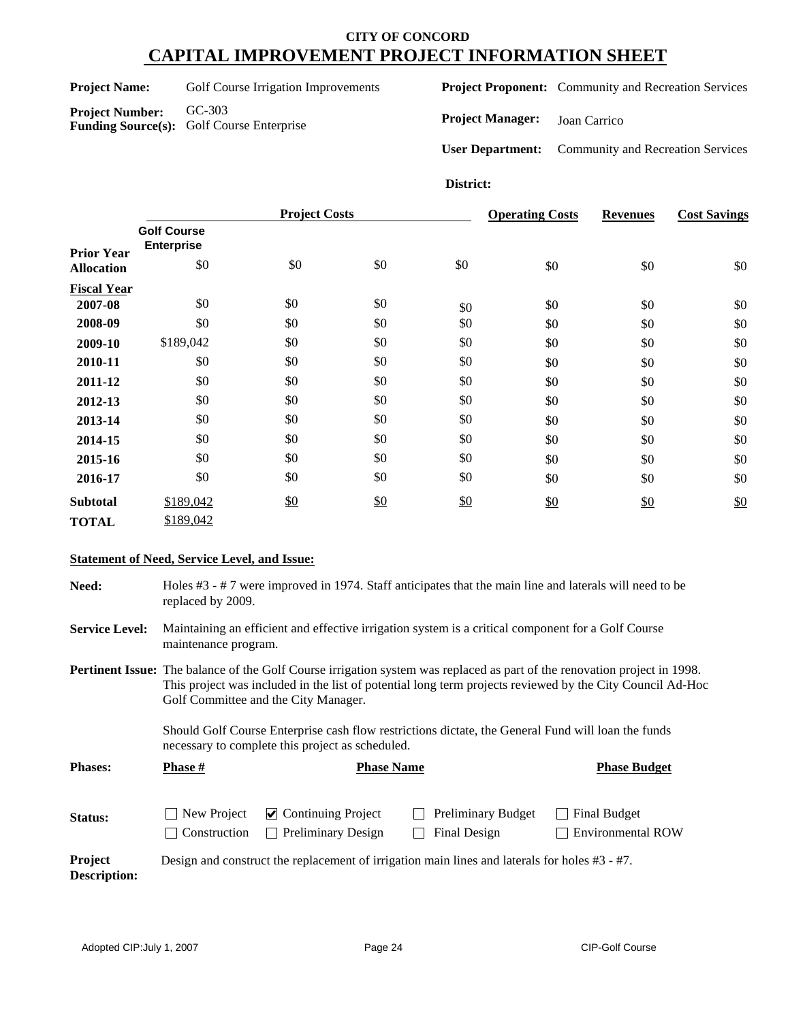Project Name: Golf Course Irrigation Improvements

**Project Number:** GC-303 **Funding Source(s):** Golf Course Enterprise **Project Proponent:** Community and Recreation Services

**Project Manager:** Joan Carrico

**User Department:** Community and Recreation Services

## **District:**

|                    |                                         |               | <b>Project Costs</b> |     |     | <b>Revenues</b> | <b>Cost Savings</b> |
|--------------------|-----------------------------------------|---------------|----------------------|-----|-----|-----------------|---------------------|
| <b>Prior Year</b>  | <b>Golf Course</b><br><b>Enterprise</b> |               |                      |     |     |                 |                     |
| <b>Allocation</b>  | \$0                                     | \$0           | \$0                  | \$0 | \$0 | \$0             | \$0                 |
| <b>Fiscal Year</b> |                                         |               |                      |     |     |                 |                     |
| 2007-08            | \$0                                     | \$0           | \$0                  | \$0 | \$0 | \$0             | \$0                 |
| 2008-09            | \$0                                     | \$0           | \$0                  | \$0 | \$0 | \$0             | \$0                 |
| 2009-10            | \$189,042                               | \$0           | \$0                  | \$0 | \$0 | \$0             | \$0                 |
| 2010-11            | \$0                                     | \$0           | \$0                  | \$0 | \$0 | \$0             | \$0                 |
| 2011-12            | \$0                                     | \$0           | \$0                  | \$0 | \$0 | \$0             | \$0                 |
| 2012-13            | \$0                                     | \$0           | \$0                  | \$0 | \$0 | \$0             | \$0                 |
| 2013-14            | \$0                                     | \$0           | \$0                  | \$0 | \$0 | \$0             | \$0                 |
| 2014-15            | \$0                                     | \$0           | \$0                  | \$0 | \$0 | \$0             | \$0                 |
| 2015-16            | \$0                                     | \$0           | \$0                  | \$0 | \$0 | \$0             | \$0                 |
| 2016-17            | \$0                                     | \$0           | \$0                  | \$0 | \$0 | \$0             | \$0                 |
| <b>Subtotal</b>    | \$189,042                               | $\frac{$0}{}$ | $\frac{$0}{}$        | \$0 | \$0 | $\frac{$0}{}$   | \$0                 |
| <b>TOTAL</b>       | \$189,042                               |               |                      |     |     |                 |                     |

## **Statement of Need, Service Level, and Issue:**

| Need:                          | Holes #3 - #7 were improved in 1974. Staff anticipates that the main line and laterals will need to be<br>replaced by 2009.                                                                                                                                                                                                                                                                                                                     |                                                        |                                                                                                  |                                          |  |  |  |  |  |
|--------------------------------|-------------------------------------------------------------------------------------------------------------------------------------------------------------------------------------------------------------------------------------------------------------------------------------------------------------------------------------------------------------------------------------------------------------------------------------------------|--------------------------------------------------------|--------------------------------------------------------------------------------------------------|------------------------------------------|--|--|--|--|--|
| <b>Service Level:</b>          | Maintaining an efficient and effective irrigation system is a critical component for a Golf Course<br>maintenance program.                                                                                                                                                                                                                                                                                                                      |                                                        |                                                                                                  |                                          |  |  |  |  |  |
|                                | <b>Pertinent Issue:</b> The balance of the Golf Course irrigation system was replaced as part of the renovation project in 1998.<br>This project was included in the list of potential long term projects reviewed by the City Council Ad-Hoc<br>Golf Committee and the City Manager.<br>Should Golf Course Enterprise cash flow restrictions dictate, the General Fund will loan the funds<br>necessary to complete this project as scheduled. |                                                        |                                                                                                  |                                          |  |  |  |  |  |
| <b>Phases:</b>                 | <b>Phase</b> #                                                                                                                                                                                                                                                                                                                                                                                                                                  | <b>Phase Name</b>                                      |                                                                                                  | <b>Phase Budget</b>                      |  |  |  |  |  |
| Status:                        | New Project<br>Construction                                                                                                                                                                                                                                                                                                                                                                                                                     | $\vee$ Continuing Project<br><b>Preliminary Design</b> | <b>Preliminary Budget</b><br>Final Design                                                        | Final Budget<br><b>Environmental ROW</b> |  |  |  |  |  |
| Project<br><b>Description:</b> |                                                                                                                                                                                                                                                                                                                                                                                                                                                 |                                                        | Design and construct the replacement of irrigation main lines and laterals for holes $#3 - #7$ . |                                          |  |  |  |  |  |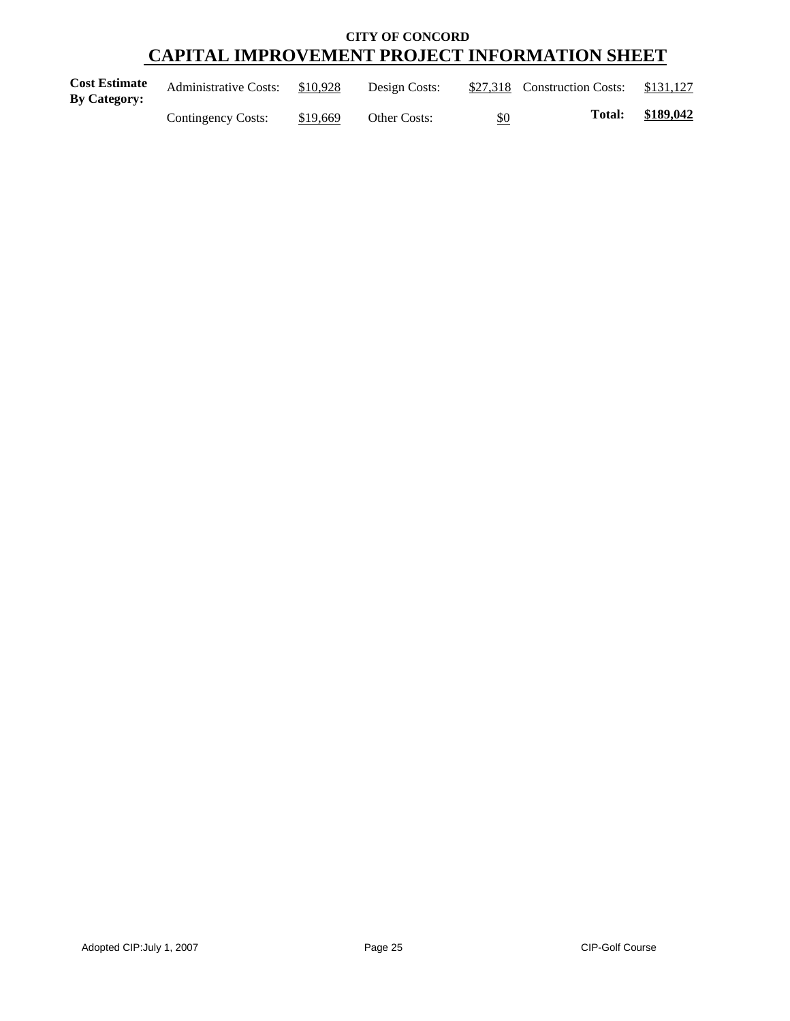| <b>Cost Estimate</b><br>By Category: | <b>Administrative Costs:</b> | \$10,928 | Design Costs: |     | \$27,318 Construction Costs: | \$131,127 |
|--------------------------------------|------------------------------|----------|---------------|-----|------------------------------|-----------|
|                                      | Contingency Costs:           | \$19,669 | Other Costs:  | \$0 | <b>Total:</b>                | \$189,042 |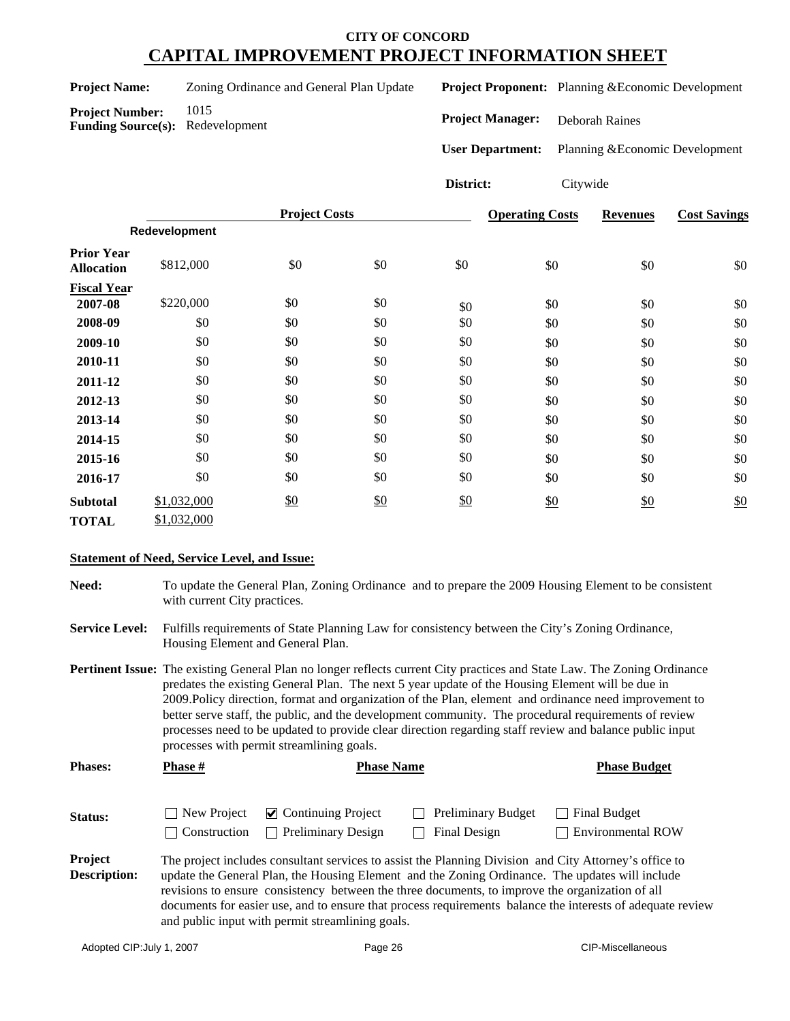|  | <b>Project Name:</b> |
|--|----------------------|
|--|----------------------|

**Project Number:** 1015

**Funding Source(s):** Redevelopment

Zoning Ordinance and General Plan Update

**Project Proponent:** Planning &Economic Development

**Project Manager:** Deborah Raines

**User Department:** Planning &Economic Development

**District:** 

| v<br>1 Г | W<br>16<br>16 |
|----------|---------------|
|          |               |

|                                        | <b>Project Costs</b> |     | <b>Operating Costs</b> | <b>Revenues</b> | <b>Cost Savings</b> |     |     |
|----------------------------------------|----------------------|-----|------------------------|-----------------|---------------------|-----|-----|
|                                        | Redevelopment        |     |                        |                 |                     |     |     |
| <b>Prior Year</b><br><b>Allocation</b> | \$812,000            | \$0 | \$0                    | \$0             | \$0                 | \$0 | \$0 |
| <b>Fiscal Year</b>                     |                      |     |                        |                 |                     |     |     |
| 2007-08                                | \$220,000            | \$0 | \$0                    | \$0             | \$0                 | \$0 | \$0 |
| 2008-09                                | \$0                  | \$0 | \$0                    | \$0             | \$0                 | \$0 | \$0 |
| 2009-10                                | \$0                  | \$0 | \$0                    | \$0             | \$0                 | \$0 | \$0 |
| 2010-11                                | \$0                  | \$0 | \$0                    | \$0             | \$0                 | \$0 | \$0 |
| 2011-12                                | \$0                  | \$0 | \$0                    | \$0             | \$0                 | \$0 | \$0 |
| 2012-13                                | \$0                  | \$0 | \$0                    | \$0             | \$0                 | \$0 | \$0 |
| 2013-14                                | \$0                  | \$0 | \$0                    | \$0             | \$0                 | \$0 | \$0 |
| 2014-15                                | \$0                  | \$0 | \$0                    | \$0             | \$0                 | \$0 | \$0 |
| 2015-16                                | \$0                  | \$0 | \$0                    | \$0             | \$0                 | \$0 | \$0 |
| 2016-17                                | \$0                  | \$0 | \$0                    | \$0             | \$0                 | \$0 | \$0 |
| <b>Subtotal</b>                        | \$1,032,000          | \$0 | \$0                    | \$0             | \$0                 | \$0 | \$0 |
| <b>TOTAL</b>                           | \$1,032,000          |     |                        |                 |                     |     |     |

## **Statement of Need, Service Level, and Issue:**

**Need:** To update the General Plan, Zoning Ordinance and to prepare the 2009 Housing Element to be consistent with current City practices.

**Service Level:** Fulfills requirements of State Planning Law for consistency between the City's Zoning Ordinance, Housing Element and General Plan.

**Pertinent Issue:** The existing General Plan no longer reflects current City practices and State Law. The Zoning Ordinance predates the existing General Plan. The next 5 year update of the Housing Element will be due in 2009.Policy direction, format and organization of the Plan, element and ordinance need improvement to better serve staff, the public, and the development community. The procedural requirements of review processes need to be updated to provide clear direction regarding staff review and balance public input processes with permit streamlining goals.

| <b>Phases:</b> | Phase #      | <b>Phase Name</b>                                                         |                                           | <b>Phase Budget</b>                      |
|----------------|--------------|---------------------------------------------------------------------------|-------------------------------------------|------------------------------------------|
| <b>Status:</b> | Construction | $\Box$ New Project $\Box$ Continuing Project<br><b>Preliminary Design</b> | <b>Preliminary Budget</b><br>Final Design | Final Budget<br><b>Environmental ROW</b> |

**Project Description:** The project includes consultant services to assist the Planning Division and City Attorney's office to update the General Plan, the Housing Element and the Zoning Ordinance. The updates will include revisions to ensure consistency between the three documents, to improve the organization of all documents for easier use, and to ensure that process requirements balance the interests of adequate review and public input with permit streamlining goals.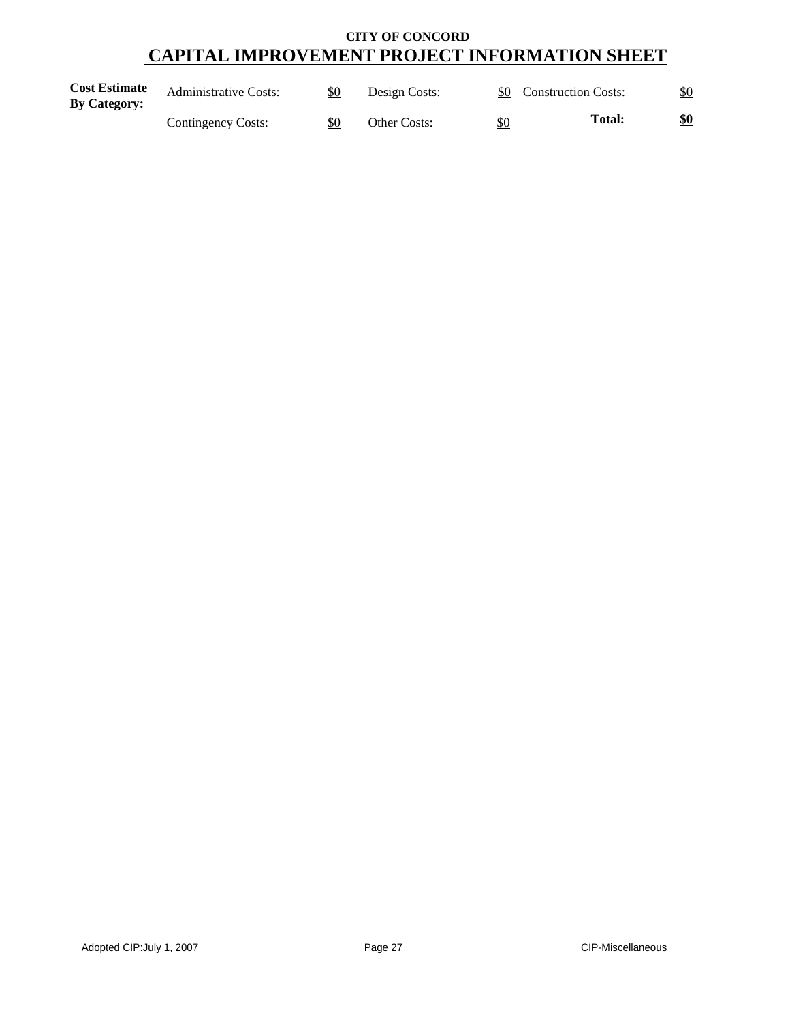| <b>Cost Estimate</b><br><b>By Category:</b> | <b>Administrative Costs:</b> | \$0 | Design Costs: |     | \$0 Construction Costs: | \$0 |
|---------------------------------------------|------------------------------|-----|---------------|-----|-------------------------|-----|
|                                             | Contingency Costs:           | \$0 | Other Costs:  | \$0 | Total:                  | \$0 |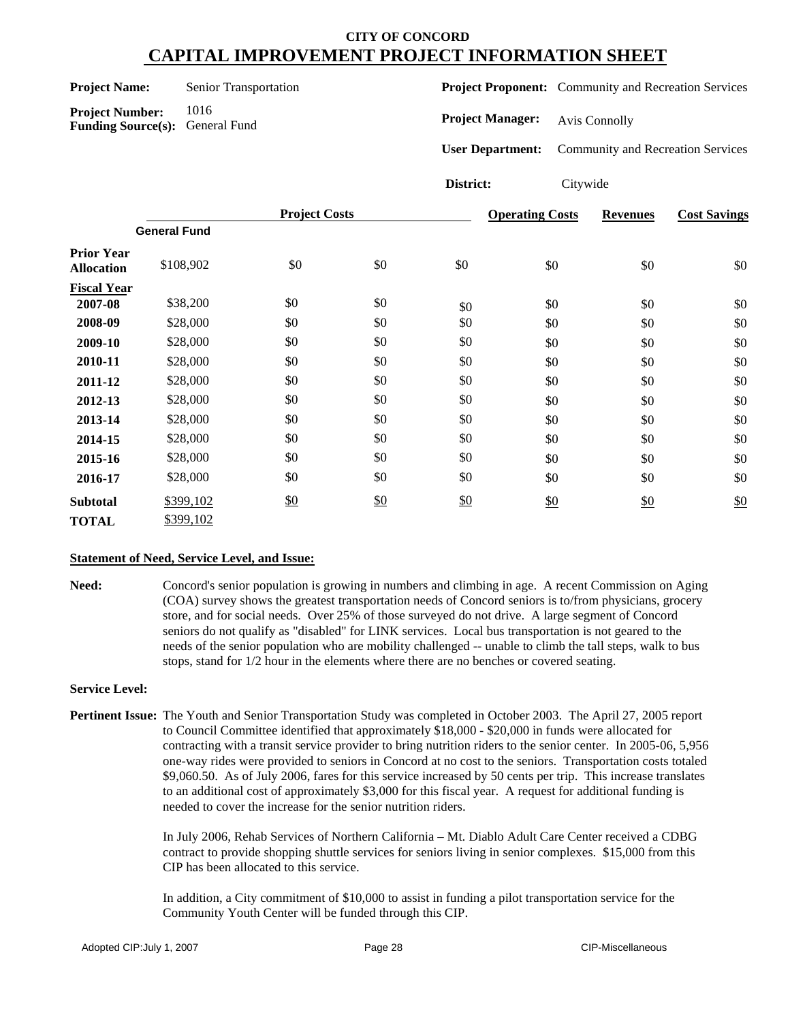| <b>Project Name:</b> |  |
|----------------------|--|
|----------------------|--|

**Senior Transportation** 

**Project Number:** 1016 **Funding Source(s):** General Fund **Project Proponent:** Community and Recreation Services

**Project Manager:** Avis Connolly

**User Department:** Community and Recreation Services

## **District:** Citywide

|                          |                     | <b>Project Costs</b> |     |     | <b>Operating Costs</b> | <b>Revenues</b> | <b>Cost Savings</b> |
|--------------------------|---------------------|----------------------|-----|-----|------------------------|-----------------|---------------------|
|                          | <b>General Fund</b> |                      |     |     |                        |                 |                     |
| Prior Year<br>Allocation | \$108,902           | \$0                  | \$0 | \$0 | \$0                    | \$0             | \$0                 |
| <b>Fiscal Year</b>       |                     |                      |     |     |                        |                 |                     |
| 2007-08                  | \$38,200            | \$0                  | \$0 | \$0 | \$0                    | \$0             | \$0                 |
| 2008-09                  | \$28,000            | \$0                  | \$0 | \$0 | \$0                    | \$0             | \$0                 |
| 2009-10                  | \$28,000            | \$0                  | \$0 | \$0 | \$0                    | \$0             | \$0                 |
| 2010-11                  | \$28,000            | \$0                  | \$0 | \$0 | \$0                    | \$0             | \$0                 |
| 2011-12                  | \$28,000            | \$0                  | \$0 | \$0 | \$0                    | \$0             | \$0                 |
| 2012-13                  | \$28,000            | \$0                  | \$0 | \$0 | \$0                    | \$0             | \$0                 |
| 2013-14                  | \$28,000            | \$0                  | \$0 | \$0 | \$0                    | \$0             | \$0                 |
| 2014-15                  | \$28,000            | \$0                  | \$0 | \$0 | \$0                    | \$0             | \$0                 |
| 2015-16                  | \$28,000            | \$0                  | \$0 | \$0 | \$0                    | \$0             | \$0                 |
| 2016-17                  | \$28,000            | \$0                  | \$0 | \$0 | \$0                    | \$0             | \$0                 |
| Subtotal                 | \$399,102           | $\frac{$0}{}$        | \$0 | \$0 | \$0                    | \$0             | \$0                 |
| TOTAL                    | \$399,102           |                      |     |     |                        |                 |                     |

## **Statement of Need, Service Level, and Issue:**

**Need:** Concord's senior population is growing in numbers and climbing in age. A recent Commission on Aging (COA) survey shows the greatest transportation needs of Concord seniors is to/from physicians, grocery store, and for social needs. Over 25% of those surveyed do not drive. A large segment of Concord seniors do not qualify as "disabled" for LINK services. Local bus transportation is not geared to the needs of the senior population who are mobility challenged -- unable to climb the tall steps, walk to bus stops, stand for 1/2 hour in the elements where there are no benches or covered seating.

#### **Service Level:**

**Pertinent Issue:** The Youth and Senior Transportation Study was completed in October 2003. The April 27, 2005 report to Council Committee identified that approximately \$18,000 - \$20,000 in funds were allocated for contracting with a transit service provider to bring nutrition riders to the senior center. In 2005-06, 5,956 one-way rides were provided to seniors in Concord at no cost to the seniors. Transportation costs totaled \$9,060.50. As of July 2006, fares for this service increased by 50 cents per trip. This increase translates to an additional cost of approximately \$3,000 for this fiscal year. A request for additional funding is needed to cover the increase for the senior nutrition riders.

> In July 2006, Rehab Services of Northern California – Mt. Diablo Adult Care Center received a CDBG contract to provide shopping shuttle services for seniors living in senior complexes. \$15,000 from this CIP has been allocated to this service.

In addition, a City commitment of \$10,000 to assist in funding a pilot transportation service for the Community Youth Center will be funded through this CIP.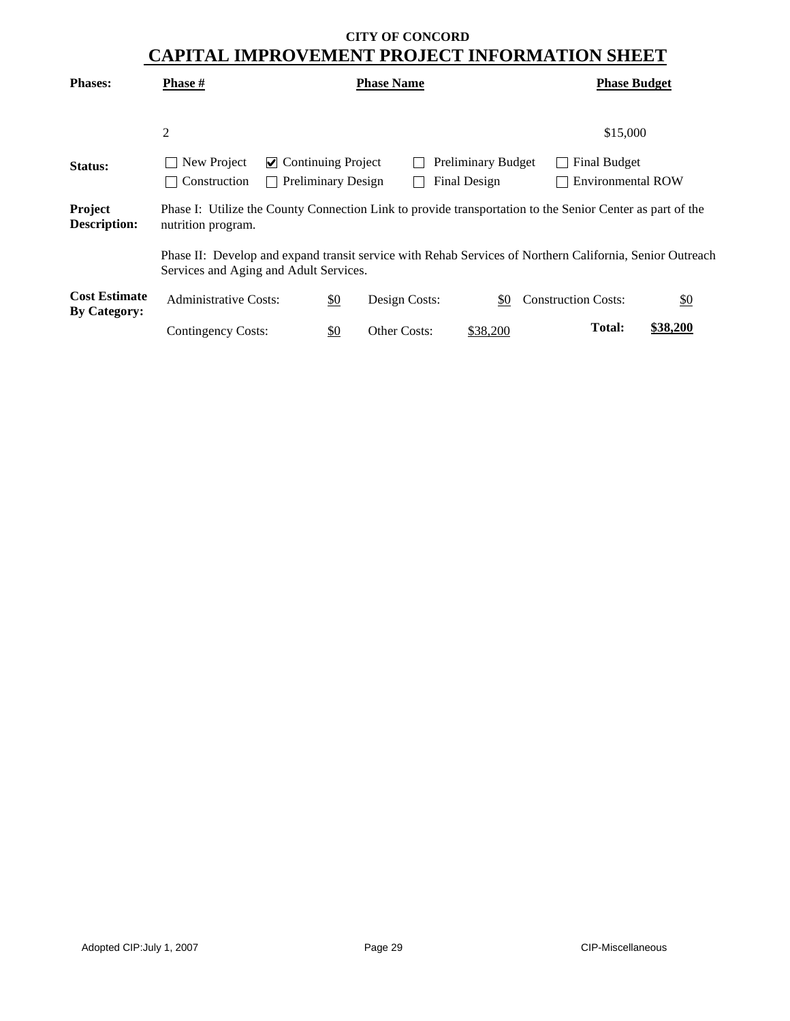| <b>Phases:</b>                              | Phase #                                                                                                                                            |                                                |               | <b>Phase Name</b>   |                           |  | <b>Phase Budget</b>        |                   |  |  |  |
|---------------------------------------------|----------------------------------------------------------------------------------------------------------------------------------------------------|------------------------------------------------|---------------|---------------------|---------------------------|--|----------------------------|-------------------|--|--|--|
|                                             |                                                                                                                                                    |                                                |               |                     |                           |  |                            |                   |  |  |  |
|                                             | $\overline{2}$                                                                                                                                     |                                                |               |                     |                           |  | \$15,000                   |                   |  |  |  |
| Status:                                     | New Project                                                                                                                                        | $\triangleright$ Continuing Project            |               |                     | <b>Preliminary Budget</b> |  | <b>Final Budget</b>        |                   |  |  |  |
|                                             | Construction                                                                                                                                       | <b>Preliminary Design</b><br>$\vert \ \ \vert$ |               |                     | Final Design              |  | <b>Environmental ROW</b>   |                   |  |  |  |
| Project<br><b>Description:</b>              | Phase I: Utilize the County Connection Link to provide transportation to the Senior Center as part of the<br>nutrition program.                    |                                                |               |                     |                           |  |                            |                   |  |  |  |
|                                             | Phase II: Develop and expand transit service with Rehab Services of Northern California, Senior Outreach<br>Services and Aging and Adult Services. |                                                |               |                     |                           |  |                            |                   |  |  |  |
| <b>Cost Estimate</b><br><b>By Category:</b> | <b>Administrative Costs:</b>                                                                                                                       |                                                | $\frac{$0}{}$ | Design Costs:       | \$0                       |  | <b>Construction Costs:</b> | $\underline{\$0}$ |  |  |  |
|                                             | <b>Contingency Costs:</b>                                                                                                                          |                                                | \$0           | <b>Other Costs:</b> | \$38,200                  |  | <b>Total:</b>              | \$38,200          |  |  |  |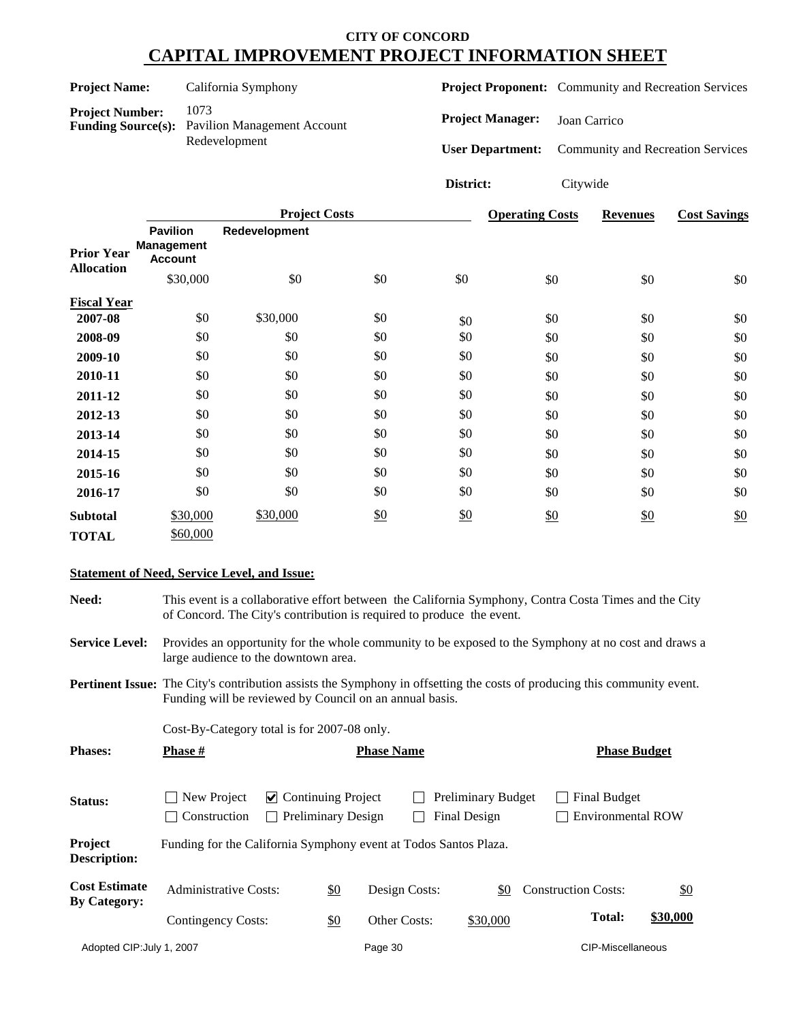| <b>Project Name:</b>                                                                                               |                                                        |          | California Symphony  |                         |              | <b>Project Proponent:</b> Community and Recreation Services |                 |                                          |
|--------------------------------------------------------------------------------------------------------------------|--------------------------------------------------------|----------|----------------------|-------------------------|--------------|-------------------------------------------------------------|-----------------|------------------------------------------|
| 1073<br><b>Project Number:</b><br><b>Funding Source(s):</b><br><b>Pavilion Management Account</b><br>Redevelopment |                                                        |          |                      | <b>Project Manager:</b> | Joan Carrico |                                                             |                 |                                          |
|                                                                                                                    |                                                        |          |                      |                         |              | <b>User Department:</b>                                     |                 | <b>Community and Recreation Services</b> |
|                                                                                                                    |                                                        |          |                      |                         | District:    | Citywide                                                    |                 |                                          |
|                                                                                                                    |                                                        |          | <b>Project Costs</b> |                         |              | <b>Operating Costs</b>                                      | <b>Revenues</b> | <b>Cost Savings</b>                      |
| <b>Prior Year</b>                                                                                                  | <b>Pavilion</b><br><b>Management</b><br><b>Account</b> |          | Redevelopment        |                         |              |                                                             |                 |                                          |
| <b>Allocation</b>                                                                                                  |                                                        | \$30,000 | \$0                  | \$0                     | \$0          | \$0                                                         | \$0             | \$0                                      |
| <b>Fiscal Year</b>                                                                                                 |                                                        |          |                      |                         |              |                                                             |                 |                                          |
| 2007-08                                                                                                            |                                                        | \$0      | \$30,000             | \$0                     | \$0          | \$0                                                         | \$0             | \$0                                      |
| 2008-09                                                                                                            |                                                        | \$0      | \$0                  | \$0                     | \$0          | \$0                                                         | \$0             | \$0                                      |
| 2009-10                                                                                                            |                                                        | \$0      | \$0                  | \$0                     | \$0          | \$0                                                         | \$0             | \$0                                      |
| 2010-11                                                                                                            |                                                        | \$0      | \$0                  | \$0                     | \$0          | \$0                                                         | \$0             | \$0                                      |
| 2011-12                                                                                                            |                                                        | \$0      | \$0                  | \$0                     | \$0          | \$0                                                         | \$0             | \$0                                      |
| 2012-13                                                                                                            |                                                        | \$0      | \$0                  | \$0                     | \$0          | \$0                                                         | \$0             | \$0                                      |
| 2013-14                                                                                                            |                                                        | \$0      | \$0                  | \$0                     | \$0          | \$0                                                         | \$0             | \$0                                      |
| 2014-15                                                                                                            |                                                        | \$0      | \$0                  | \$0                     | \$0          | \$0                                                         | \$0             | \$0                                      |
| 2015-16                                                                                                            |                                                        | \$0      | \$0                  | \$0                     | \$0          | \$0                                                         | \$0             | \$0                                      |
| 2016-17                                                                                                            |                                                        | \$0      | \$0                  | \$0                     | \$0          | \$0                                                         | \$0             | \$0                                      |
| <b>Subtotal</b>                                                                                                    |                                                        | \$30,000 | \$30,000             | \$0                     | \$0          | \$0                                                         | \$0             | $\underline{\$0}$                        |
| <b>TOTAL</b>                                                                                                       |                                                        | \$60,000 |                      |                         |              |                                                             |                 |                                          |

### **Statement of Need, Service Level, and Issue:**

**Need:** This event is a collaborative effort between the California Symphony, Contra Costa Times and the City of Concord. The City's contribution is required to produce the event.

**Service Level:** Provides an opportunity for the whole community to be exposed to the Symphony at no cost and draws a large audience to the downtown area.

**Pertinent Issue:** The City's contribution assists the Symphony in offsetting the costs of producing this community event. Funding will be reviewed by Council on an annual basis.

Cost-By-Category total is for 2007-08 only.

| <b>Phases:</b>                              | <b>Phase</b> #                                                   |                                                        |               | <b>Phase Name</b> |                                           |     |                                          | <b>Phase Budget</b> |
|---------------------------------------------|------------------------------------------------------------------|--------------------------------------------------------|---------------|-------------------|-------------------------------------------|-----|------------------------------------------|---------------------|
| Status:                                     | New Project<br>Construction                                      | $\vee$ Continuing Project<br><b>Preliminary Design</b> |               |                   | <b>Preliminary Budget</b><br>Final Design |     | <b>Final Budget</b><br>Environmental ROW |                     |
| <b>Project</b><br><b>Description:</b>       | Funding for the California Symphony event at Todos Santos Plaza. |                                                        |               |                   |                                           |     |                                          |                     |
| <b>Cost Estimate</b><br><b>By Category:</b> | <b>Administrative Costs:</b>                                     |                                                        | $\frac{$0}{}$ | Design Costs:     |                                           | \$0 | <b>Construction Costs:</b>               | $\frac{$0}{}$       |
|                                             | Contingency Costs:                                               |                                                        | \$0           | Other Costs:      | \$30,000                                  |     | <b>Total:</b>                            | \$30,000            |
| Adopted CIP: July 1, 2007                   |                                                                  |                                                        |               | Page 30           |                                           |     | CIP-Miscellaneous                        |                     |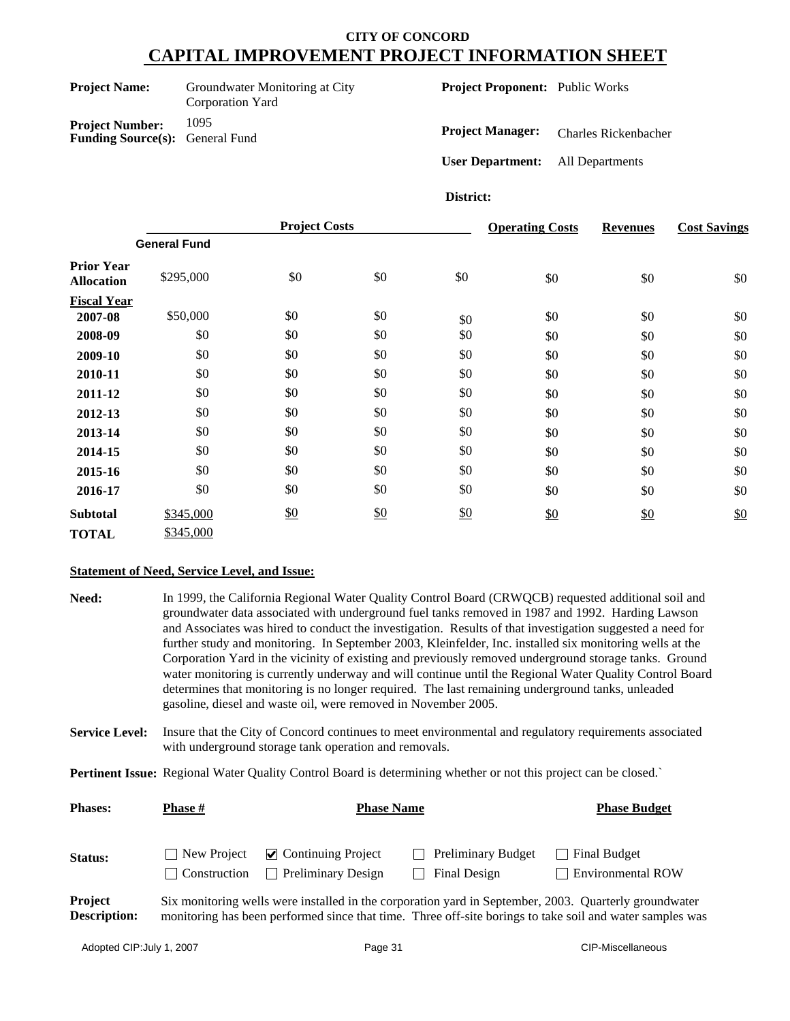| <b>Project Name:</b>                                             | Groundwater Monitoring at City<br>Corporation Yard |  |  |  |
|------------------------------------------------------------------|----------------------------------------------------|--|--|--|
| <b>Project Number:</b><br><b>Funding Source(s):</b> General Fund | 1095                                               |  |  |  |

**Project Proponent:** Public Works

**Project Manager:** Charles Rickenbacher

**User Department:** All Departments

**District:**

|                                        |                     | <b>Project Costs</b> |     |     | <b>Operating Costs</b> | <b>Revenues</b> | <b>Cost Savings</b> |
|----------------------------------------|---------------------|----------------------|-----|-----|------------------------|-----------------|---------------------|
|                                        | <b>General Fund</b> |                      |     |     |                        |                 |                     |
| <b>Prior Year</b><br><b>Allocation</b> | \$295,000           | \$0                  | \$0 | \$0 | \$0                    | \$0             | \$0                 |
| <b>Fiscal Year</b>                     |                     |                      |     |     |                        |                 |                     |
| 2007-08                                | \$50,000            | \$0                  | \$0 | \$0 | \$0                    | \$0             | \$0                 |
| 2008-09                                | \$0                 | \$0                  | \$0 | \$0 | \$0                    | \$0             | \$0                 |
| 2009-10                                | \$0                 | \$0                  | \$0 | \$0 | \$0                    | \$0             | \$0                 |
| 2010-11                                | \$0                 | \$0                  | \$0 | \$0 | \$0                    | \$0             | \$0                 |
| 2011-12                                | \$0                 | \$0                  | \$0 | \$0 | \$0                    | \$0             | \$0                 |
| 2012-13                                | \$0                 | \$0                  | \$0 | \$0 | \$0                    | \$0             | \$0                 |
| 2013-14                                | \$0                 | \$0                  | \$0 | \$0 | \$0                    | \$0             | \$0                 |
| 2014-15                                | \$0                 | \$0                  | \$0 | \$0 | \$0                    | \$0             | \$0                 |
| 2015-16                                | \$0                 | \$0                  | \$0 | \$0 | \$0                    | \$0             | \$0                 |
| 2016-17                                | \$0                 | \$0                  | \$0 | \$0 | \$0                    | \$0             | \$0                 |
| <b>Subtotal</b>                        | \$345,000           | \$0                  | \$0 | \$0 | \$0                    | \$0             | \$0                 |
| <b>TOTAL</b>                           | \$345,000           |                      |     |     |                        |                 |                     |

#### **Statement of Need, Service Level, and Issue:**

| Need: | In 1999, the California Regional Water Quality Control Board (CRWQCB) requested additional soil and       |
|-------|-----------------------------------------------------------------------------------------------------------|
|       | groundwater data associated with underground fuel tanks removed in 1987 and 1992. Harding Lawson          |
|       | and Associates was hired to conduct the investigation. Results of that investigation suggested a need for |
|       | further study and monitoring. In September 2003, Kleinfelder, Inc. installed six monitoring wells at the  |
|       | Corporation Yard in the vicinity of existing and previously removed underground storage tanks. Ground     |
|       | water monitoring is currently underway and will continue until the Regional Water Quality Control Board   |
|       | determines that monitoring is no longer required. The last remaining underground tanks, unleaded          |
|       | gasoline, diesel and waste oil, were removed in November 2005.                                            |

**Service Level:** Insure that the City of Concord continues to meet environmental and regulatory requirements associated with underground storage tank operation and removals.

**Pertinent Issue:** Regional Water Quality Control Board is determining whether or not this project can be closed.`

| <b>Phases:</b>                        | <b>Phase</b> #              | <b>Phase Name</b>                                                | <b>Phase Budget</b>                              |                                                                                                                                                                                                                   |
|---------------------------------------|-----------------------------|------------------------------------------------------------------|--------------------------------------------------|-------------------------------------------------------------------------------------------------------------------------------------------------------------------------------------------------------------------|
| <b>Status:</b>                        | New Project<br>Construction | $\triangleright$ Continuing Project<br><b>Preliminary Design</b> | <b>Preliminary Budget</b><br><b>Final Design</b> | Final Budget<br><b>Environmental ROW</b>                                                                                                                                                                          |
| <b>Project</b><br><b>Description:</b> |                             |                                                                  |                                                  | Six monitoring wells were installed in the corporation yard in September, 2003. Quarterly groundwater<br>monitoring has been performed since that time. Three off-site borings to take soil and water samples was |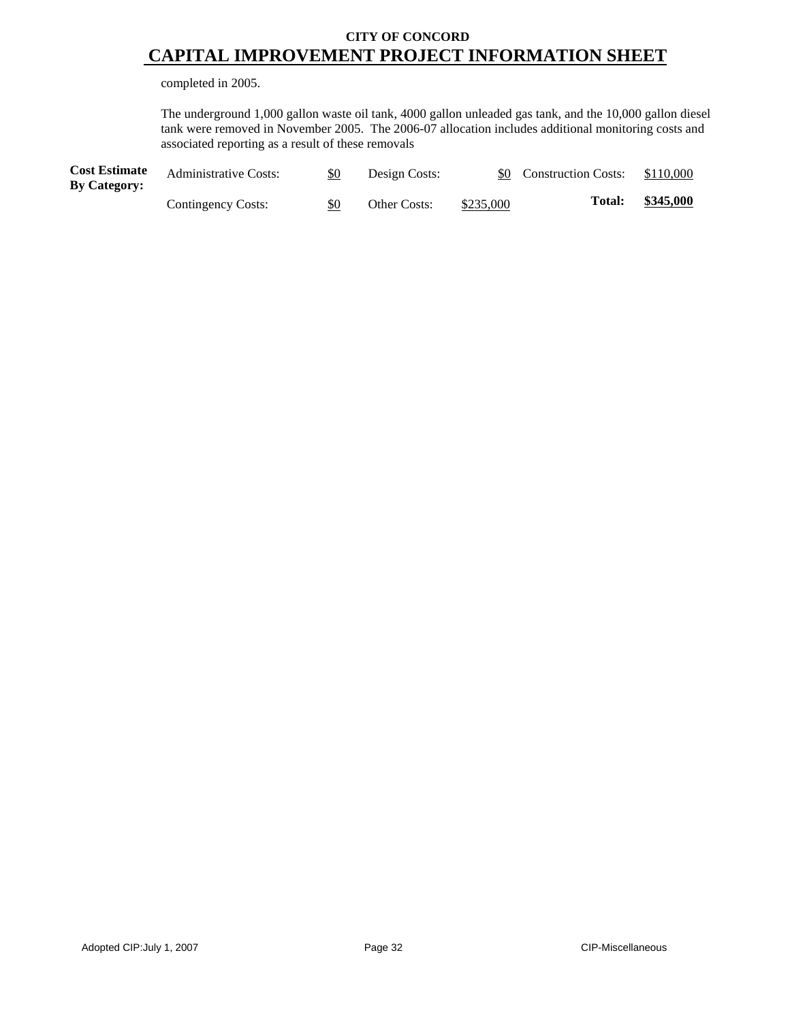completed in 2005.

The underground 1,000 gallon waste oil tank, 4000 gallon unleaded gas tank, and the 10,000 gallon diesel tank were removed in November 2005. The 2006-07 allocation includes additional monitoring costs and associated reporting as a result of these removals

| <b>Cost Estimate</b><br><b>By Category:</b> | <b>Administrative Costs:</b> | \$0 | Design Costs:       |           | \$0 Construction Costs: | \$110,000 |
|---------------------------------------------|------------------------------|-----|---------------------|-----------|-------------------------|-----------|
|                                             | Contingency Costs:           | \$0 | <b>Other Costs:</b> | \$235,000 | <b>Total:</b>           | \$345,000 |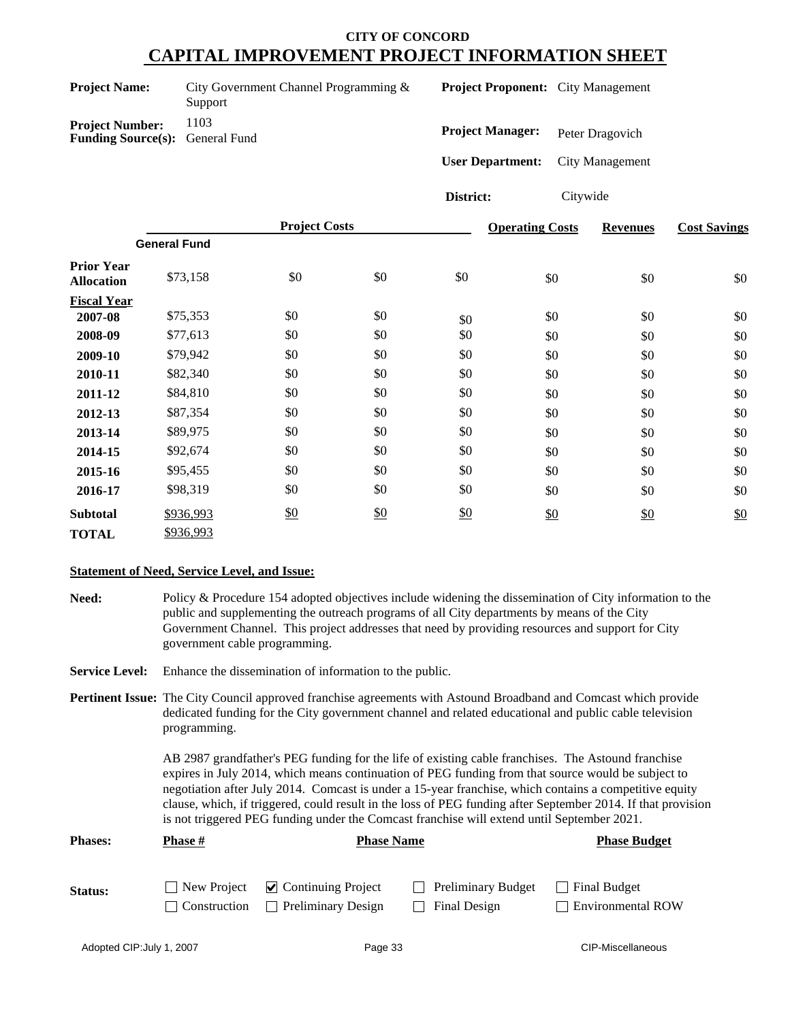| <b>Project Name:</b>                                             | City Government Channel Programming &<br>Support |  |
|------------------------------------------------------------------|--------------------------------------------------|--|
| <b>Project Number:</b><br><b>Funding Source(s):</b> General Fund | 1103                                             |  |
|                                                                  |                                                  |  |

**Project Proponent:** City Management

**Project Manager:** Peter Dragovich

**User Department:** City Management

**District:** Citywide

|                                        | <b>Project Costs</b> |     |               | <b>Operating Costs</b> | <b>Revenues</b> | <b>Cost Savings</b> |     |
|----------------------------------------|----------------------|-----|---------------|------------------------|-----------------|---------------------|-----|
|                                        | <b>General Fund</b>  |     |               |                        |                 |                     |     |
| <b>Prior Year</b><br><b>Allocation</b> | \$73,158             | \$0 | \$0           | \$0                    | \$0             | \$0                 | \$0 |
| <b>Fiscal Year</b>                     |                      |     |               |                        |                 |                     |     |
| 2007-08                                | \$75,353             | \$0 | \$0           | \$0                    | \$0             | \$0                 | \$0 |
| 2008-09                                | \$77,613             | \$0 | \$0           | \$0                    | \$0             | \$0                 | \$0 |
| 2009-10                                | \$79,942             | \$0 | \$0           | \$0                    | \$0             | \$0                 | \$0 |
| 2010-11                                | \$82,340             | \$0 | \$0           | \$0                    | \$0             | \$0                 | \$0 |
| 2011-12                                | \$84,810             | \$0 | \$0           | \$0                    | \$0             | \$0                 | \$0 |
| 2012-13                                | \$87,354             | \$0 | \$0           | \$0                    | \$0             | \$0                 | \$0 |
| 2013-14                                | \$89,975             | \$0 | \$0           | \$0                    | \$0             | \$0                 | \$0 |
| 2014-15                                | \$92,674             | \$0 | \$0           | \$0                    | \$0             | \$0                 | \$0 |
| 2015-16                                | \$95,455             | \$0 | \$0           | \$0                    | \$0             | \$0                 | \$0 |
| 2016-17                                | \$98,319             | \$0 | \$0           | \$0                    | \$0             | \$0                 | \$0 |
| <b>Subtotal</b>                        | \$936,993            | \$0 | $\frac{$0}{}$ | \$0                    | \$0             | \$0                 | \$0 |
| <b>TOTAL</b>                           | \$936,993            |     |               |                        |                 |                     |     |

## **Statement of Need, Service Level, and Issue:**

**Need:** Policy & Procedure 154 adopted objectives include widening the dissemination of City information to the public and supplementing the outreach programs of all City departments by means of the City Government Channel. This project addresses that need by providing resources and support for City government cable programming.

**Service Level:** Enhance the dissemination of information to the public.

**Pertinent Issue:** The City Council approved franchise agreements with Astound Broadband and Comcast which provide dedicated funding for the City government channel and related educational and public cable television programming.

> AB 2987 grandfather's PEG funding for the life of existing cable franchises. The Astound franchise expires in July 2014, which means continuation of PEG funding from that source would be subject to negotiation after July 2014. Comcast is under a 15-year franchise, which contains a competitive equity clause, which, if triggered, could result in the loss of PEG funding after September 2014. If that provision is not triggered PEG funding under the Comcast franchise will extend until September 2021.

| <b>Phases:</b> | Phase #             | <b>Phase Name</b>                                                         |                                           | <b>Phase Budget</b>                             |
|----------------|---------------------|---------------------------------------------------------------------------|-------------------------------------------|-------------------------------------------------|
| Status:        | <b>Construction</b> | $\Box$ New Project $\Box$ Continuing Project<br><b>Preliminary Design</b> | <b>Preliminary Budget</b><br>Final Design | <b>Final Budget</b><br><b>Environmental ROW</b> |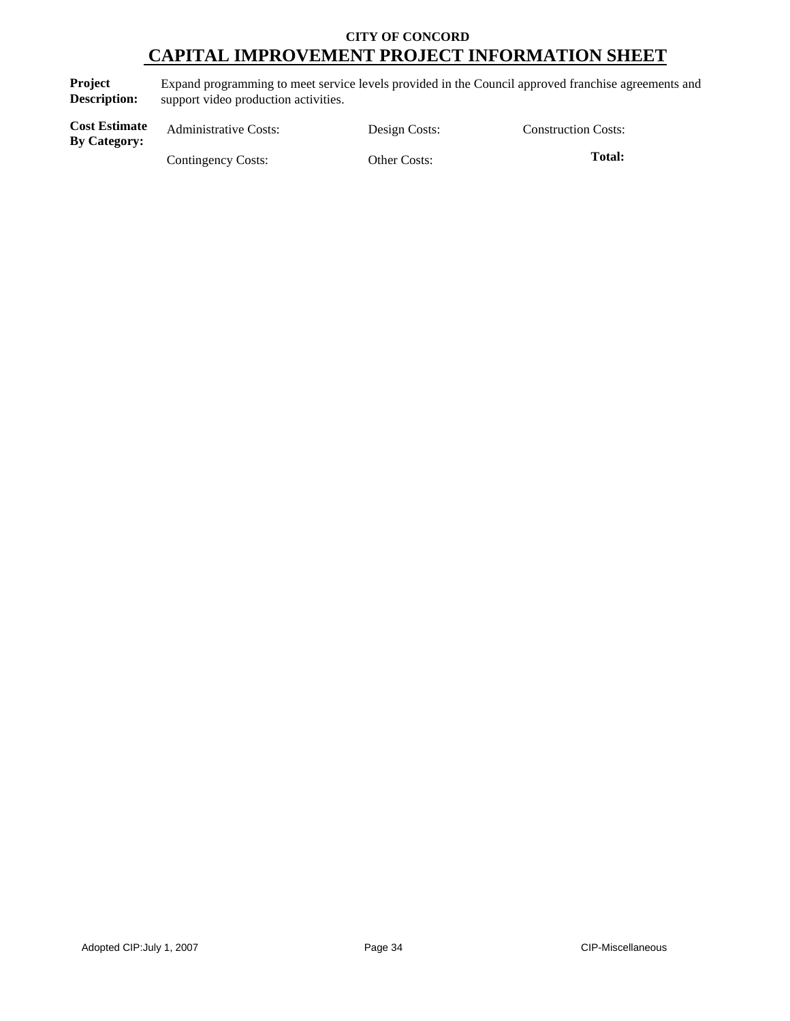**Project Description:** Expand programming to meet service levels provided in the Council approved franchise agreements and support video production activities.

| <b>Cost Estimate</b><br><b>By Category:</b> | <b>Administrative Costs:</b> | Design Costs:       | <b>Construction Costs:</b> |
|---------------------------------------------|------------------------------|---------------------|----------------------------|
|                                             | Contingency Costs:           | <b>Other Costs:</b> | <b>Total:</b>              |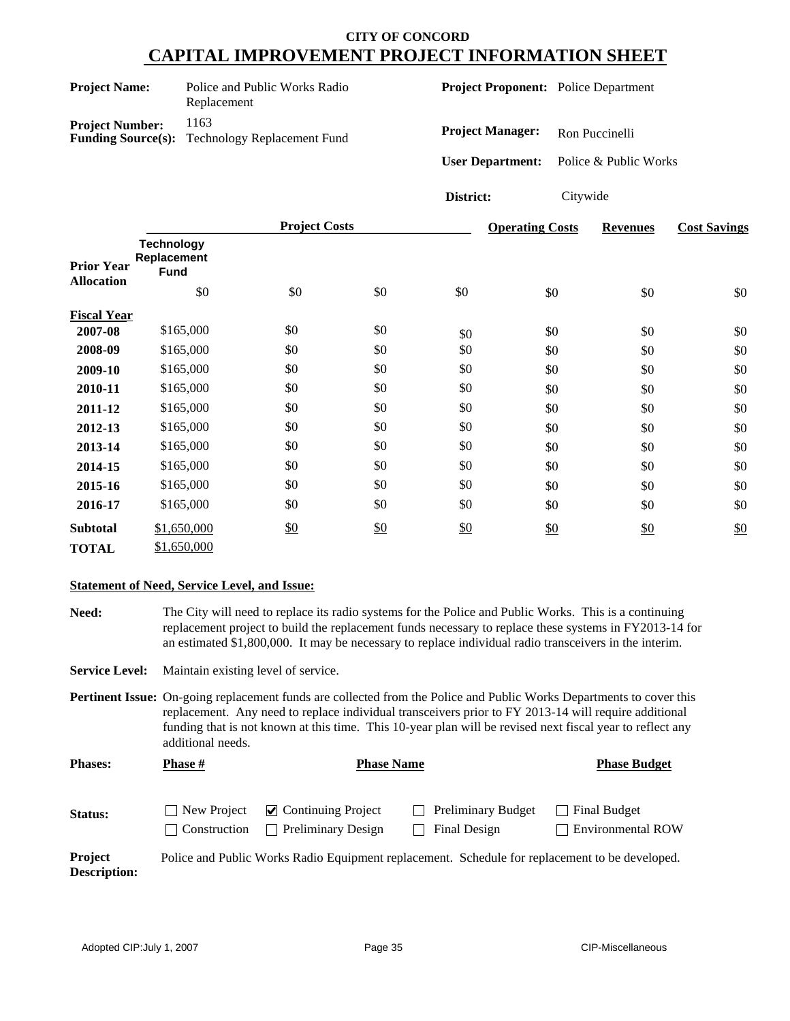| <b>Project Name:</b>      | Police and Public Works Radio<br>Replacement |  |  |  |
|---------------------------|----------------------------------------------|--|--|--|
| <b>Project Number:</b>    | 1163                                         |  |  |  |
| <b>Funding Source(s):</b> | <b>Technology Replacement Fund</b>           |  |  |  |

**Project Proponent:** Police Department

**Project Manager:** Ron Puccinelli

**User Department:** Police & Public Works

**District:** Citywide

|                                        |                                                        | <b>Project Costs</b> |     |               | <b>Operating Costs</b> | <b>Revenues</b> | <b>Cost Savings</b> |
|----------------------------------------|--------------------------------------------------------|----------------------|-----|---------------|------------------------|-----------------|---------------------|
| <b>Prior Year</b><br><b>Allocation</b> | <b>Technology</b><br>Replacement<br><b>Fund</b><br>\$0 | \$0                  | \$0 | \$0           | \$0                    | \$0             | \$0                 |
| <b>Fiscal Year</b>                     |                                                        |                      |     |               |                        |                 |                     |
| 2007-08                                | \$165,000                                              | \$0                  | \$0 | \$0           | \$0                    | \$0             | \$0                 |
| 2008-09                                | \$165,000                                              | \$0                  | \$0 | \$0           | \$0                    | \$0             | \$0                 |
| 2009-10                                | \$165,000                                              | \$0                  | \$0 | \$0           | \$0                    | \$0             | \$0                 |
| 2010-11                                | \$165,000                                              | \$0                  | \$0 | \$0           | \$0                    | \$0             | \$0                 |
| 2011-12                                | \$165,000                                              | \$0                  | \$0 | \$0           | \$0                    | \$0             | \$0                 |
| 2012-13                                | \$165,000                                              | \$0                  | \$0 | \$0           | \$0                    | \$0             | \$0                 |
| 2013-14                                | \$165,000                                              | \$0                  | \$0 | \$0           | \$0                    | \$0             | \$0                 |
| 2014-15                                | \$165,000                                              | \$0                  | \$0 | \$0           | \$0                    | \$0             | \$0                 |
| 2015-16                                | \$165,000                                              | \$0                  | \$0 | \$0           | \$0                    | \$0             | \$0                 |
| 2016-17                                | \$165,000                                              | \$0                  | \$0 | \$0           | \$0                    | \$0             | \$0                 |
| <b>Subtotal</b>                        | \$1,650,000                                            | $\frac{$0}{}$        | \$0 | $\frac{$0}{}$ | \$0                    | \$0             | \$0                 |
| <b>TOTAL</b>                           | \$1,650,000                                            |                      |     |               |                        |                 |                     |

## **Statement of Need, Service Level, and Issue:**

**Need:** The City will need to replace its radio systems for the Police and Public Works. This is a continuing replacement project to build the replacement funds necessary to replace these systems in FY2013-14 for an estimated \$1,800,000. It may be necessary to replace individual radio transceivers in the interim.

**Service Level:** Maintain existing level of service.

**Pertinent Issue:** On-going replacement funds are collected from the Police and Public Works Departments to cover this replacement. Any need to replace individual transceivers prior to FY 2013-14 will require additional funding that is not known at this time. This 10-year plan will be revised next fiscal year to reflect any additional needs.

| <b>Phases:</b> | <b>Phase</b> #     | <b>Phase Name</b>                                                      |                                                                                               | <b>Phase Budget</b>                 |
|----------------|--------------------|------------------------------------------------------------------------|-----------------------------------------------------------------------------------------------|-------------------------------------|
| Status:        | $\Box$ New Project | $\triangleright$ Continuing Project<br>Construction Preliminary Design | <b>Preliminary Budget</b><br>Final Design                                                     | Final Budget<br>  Environmental ROW |
| <b>Project</b> |                    |                                                                        | Police and Public Works Radio Fournment replacement. Schedule for replacement to be developed |                                     |

**Project Description:** Police and Public Works Radio Equipment replacement. Schedule for replacement to be developed.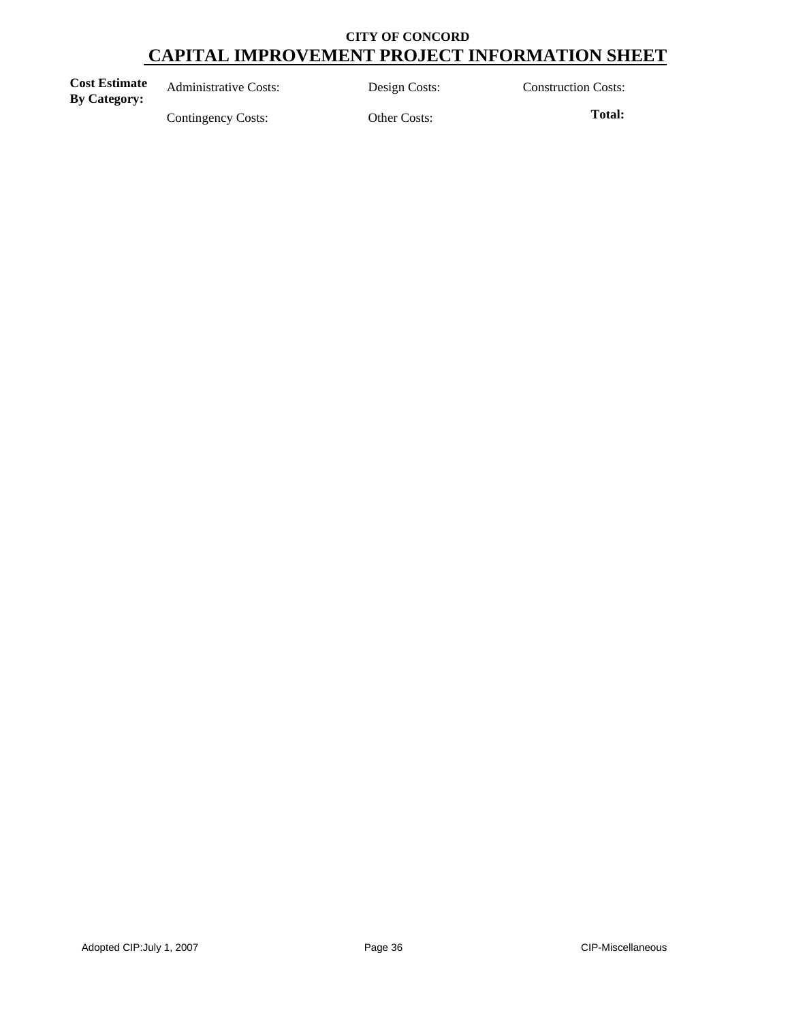| <b>Cost Estimate</b><br><b>By Category:</b> | <b>Administrative Costs:</b> | Design Costs: | <b>Construction Costs:</b> |
|---------------------------------------------|------------------------------|---------------|----------------------------|
|                                             | Contingency Costs:           | Other Costs:  | Total:                     |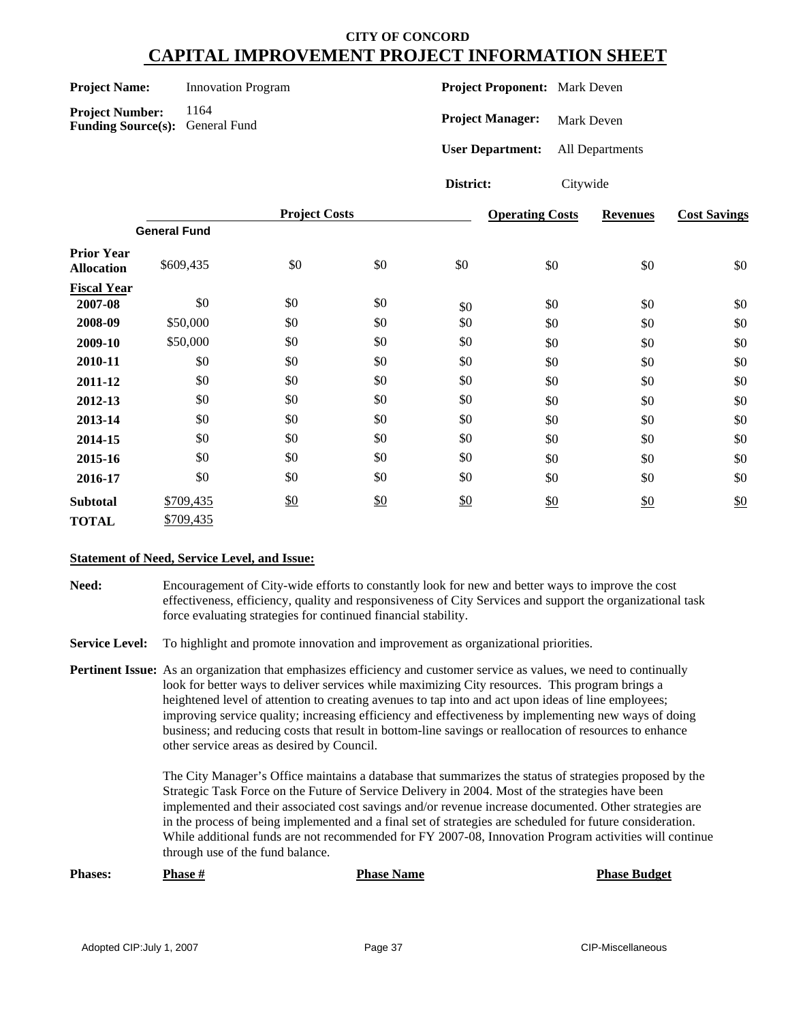| <b>Project Name:</b> | <b>Innovation Program</b> |
|----------------------|---------------------------|
|                      |                           |

Project Number: 1164 **Funding Source(s):** General Fund **Project Proponent:** Mark Deven

**Project Manager:** Mark Deven

**User Department:** All Departments

**District:** Citywide

|                                        |                     | <b>Project Costs</b> |     |     | <b>Operating Costs</b> | <b>Revenues</b> | <b>Cost Savings</b> |
|----------------------------------------|---------------------|----------------------|-----|-----|------------------------|-----------------|---------------------|
|                                        | <b>General Fund</b> |                      |     |     |                        |                 |                     |
| <b>Prior Year</b><br><b>Allocation</b> | \$609,435           | \$0                  | \$0 | \$0 | \$0                    | \$0             | \$0                 |
| <b>Fiscal Year</b>                     |                     |                      |     |     |                        |                 |                     |
| 2007-08                                | \$0                 | \$0                  | \$0 | \$0 | \$0                    | \$0             | \$0                 |
| 2008-09                                | \$50,000            | \$0                  | \$0 | \$0 | \$0                    | \$0             | \$0                 |
| 2009-10                                | \$50,000            | \$0                  | \$0 | \$0 | \$0                    | \$0             | \$0                 |
| 2010-11                                | \$0                 | \$0                  | \$0 | \$0 | \$0                    | \$0             | \$0                 |
| 2011-12                                | \$0                 | \$0                  | \$0 | \$0 | \$0                    | \$0             | \$0                 |
| 2012-13                                | \$0                 | \$0                  | \$0 | \$0 | \$0                    | \$0             | \$0                 |
| 2013-14                                | \$0                 | \$0                  | \$0 | \$0 | \$0                    | \$0             | \$0                 |
| 2014-15                                | \$0                 | \$0                  | \$0 | \$0 | \$0                    | \$0             | \$0                 |
| 2015-16                                | \$0                 | \$0                  | \$0 | \$0 | \$0                    | \$0             | \$0                 |
| 2016-17                                | \$0                 | \$0                  | \$0 | \$0 | \$0                    | \$0             | \$0                 |
| <b>Subtotal</b>                        | \$709,435           | \$0                  | \$0 | \$0 | \$0                    | $\frac{$0}{}$   | \$0                 |
| <b>TOTAL</b>                           | \$709,435           |                      |     |     |                        |                 |                     |

#### **Statement of Need, Service Level, and Issue:**

**Need:** Encouragement of City-wide efforts to constantly look for new and better ways to improve the cost effectiveness, efficiency, quality and responsiveness of City Services and support the organizational task force evaluating strategies for continued financial stability.

**Service Level:** To highlight and promote innovation and improvement as organizational priorities.

**Pertinent Issue:** As an organization that emphasizes efficiency and customer service as values, we need to continually look for better ways to deliver services while maximizing City resources. This program brings a heightened level of attention to creating avenues to tap into and act upon ideas of line employees; improving service quality; increasing efficiency and effectiveness by implementing new ways of doing business; and reducing costs that result in bottom-line savings or reallocation of resources to enhance other service areas as desired by Council.

> The City Manager's Office maintains a database that summarizes the status of strategies proposed by the Strategic Task Force on the Future of Service Delivery in 2004. Most of the strategies have been implemented and their associated cost savings and/or revenue increase documented. Other strategies are in the process of being implemented and a final set of strategies are scheduled for future consideration. While additional funds are not recommended for FY 2007-08, Innovation Program activities will continue through use of the fund balance.

**Phases: Phase # Phase Name Phase Budget**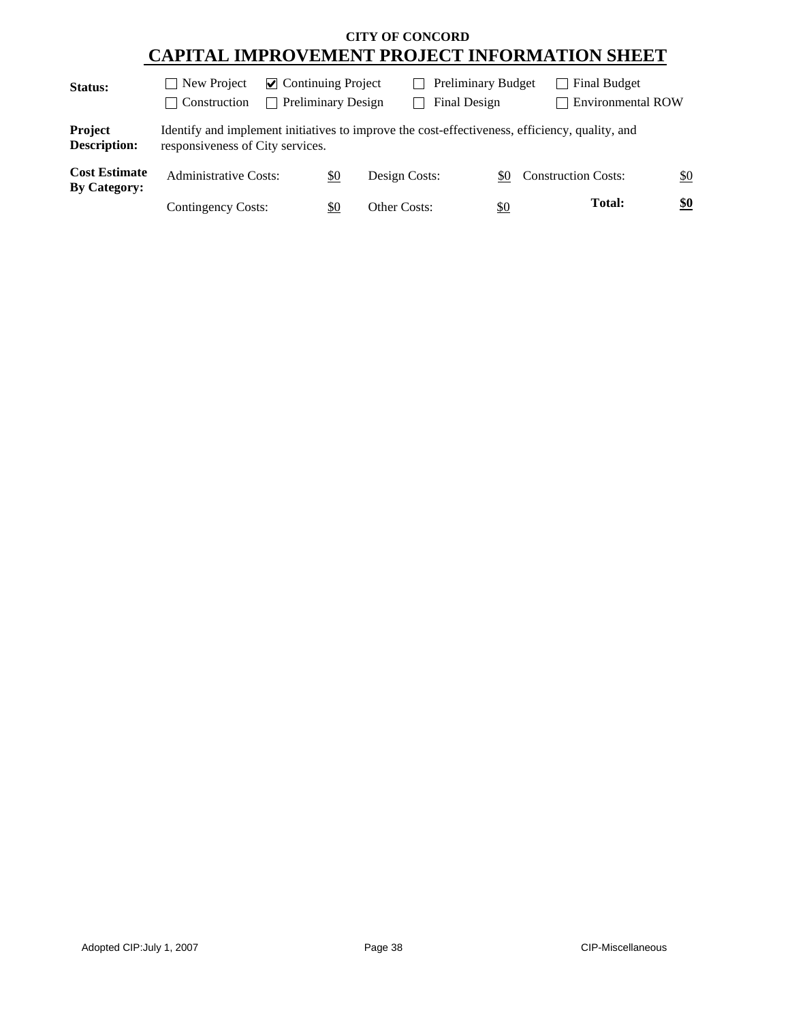| Status:                                     | New Project<br>$\mathcal{L}$<br>Construction<br>$\mathcal{L}$                                                                      | $\triangleright$ Continuing Project<br><b>Preliminary Design</b><br>$\sim$ |               | <b>Preliminary Budget</b><br>Final Design |                            | Final Budget<br><b>Environmental ROW</b> |
|---------------------------------------------|------------------------------------------------------------------------------------------------------------------------------------|----------------------------------------------------------------------------|---------------|-------------------------------------------|----------------------------|------------------------------------------|
| Project<br><b>Description:</b>              | Identify and implement initiatives to improve the cost-effectiveness, efficiency, quality, and<br>responsiveness of City services. |                                                                            |               |                                           |                            |                                          |
| <b>Cost Estimate</b><br><b>By Category:</b> | <b>Administrative Costs:</b>                                                                                                       | \$0                                                                        | Design Costs: | \$0                                       | <b>Construction Costs:</b> | \$0                                      |
|                                             | Contingency Costs:                                                                                                                 | \$0                                                                        | Other Costs:  | $\underline{\$0}$                         |                            | \$0<br><b>Total:</b>                     |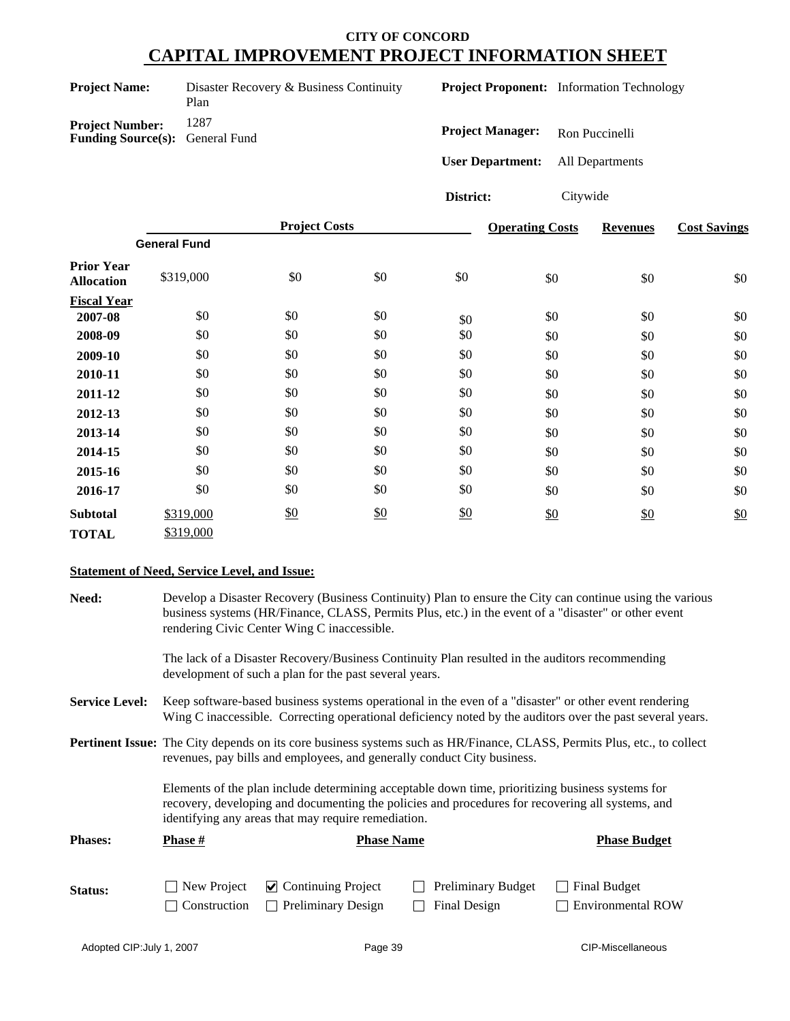| <b>Project Name:</b>                                             | Disaster Recovery & Business Continuity<br>Plan |
|------------------------------------------------------------------|-------------------------------------------------|
| <b>Project Number:</b><br><b>Funding Source(s):</b> General Fund | 1287                                            |

**Project Proponent:** Information Technology

**Project Manager:** Ron Puccinelli

**User Department:** All Departments

**District:** Citywide

|                                        |                     | <b>Project Costs</b> |     |     | <b>Operating Costs</b> | <b>Revenues</b> | <b>Cost Savings</b> |
|----------------------------------------|---------------------|----------------------|-----|-----|------------------------|-----------------|---------------------|
|                                        | <b>General Fund</b> |                      |     |     |                        |                 |                     |
| <b>Prior Year</b><br><b>Allocation</b> | \$319,000           | \$0                  | \$0 | \$0 | \$0                    | \$0             | \$0                 |
| <b>Fiscal Year</b>                     |                     |                      |     |     |                        |                 |                     |
| 2007-08                                | \$0                 | \$0                  | \$0 | \$0 | \$0                    | \$0             | \$0                 |
| 2008-09                                | \$0                 | \$0                  | \$0 | \$0 | \$0                    | \$0             | \$0                 |
| 2009-10                                | \$0                 | \$0                  | \$0 | \$0 | \$0                    | \$0             | \$0                 |
| 2010-11                                | \$0                 | \$0                  | \$0 | \$0 | \$0                    | \$0             | \$0                 |
| 2011-12                                | \$0                 | \$0                  | \$0 | \$0 | \$0                    | \$0             | \$0                 |
| 2012-13                                | \$0                 | \$0                  | \$0 | \$0 | \$0                    | \$0             | \$0                 |
| 2013-14                                | \$0                 | \$0                  | \$0 | \$0 | \$0                    | \$0             | \$0                 |
| 2014-15                                | \$0                 | \$0                  | \$0 | \$0 | \$0                    | \$0             | \$0                 |
| 2015-16                                | \$0                 | \$0                  | \$0 | \$0 | \$0                    | \$0             | \$0                 |
| 2016-17                                | \$0                 | \$0                  | \$0 | \$0 | \$0                    | \$0             | \$0                 |
| <b>Subtotal</b>                        | \$319,000           | \$0                  | \$0 | \$0 | \$0                    | \$0             | \$0                 |
| <b>TOTAL</b>                           | \$319,000           |                      |     |     |                        |                 |                     |

#### **Statement of Need, Service Level, and Issue:**

| <b>Need:</b>          |                                                                                                                                                                                                                                                             | Develop a Disaster Recovery (Business Continuity) Plan to ensure the City can continue using the various<br>business systems (HR/Finance, CLASS, Permits Plus, etc.) in the event of a "disaster" or other event<br>rendering Civic Center Wing C inaccessible. |                                    |                                                                                                                                 |  |  |  |  |  |
|-----------------------|-------------------------------------------------------------------------------------------------------------------------------------------------------------------------------------------------------------------------------------------------------------|-----------------------------------------------------------------------------------------------------------------------------------------------------------------------------------------------------------------------------------------------------------------|------------------------------------|---------------------------------------------------------------------------------------------------------------------------------|--|--|--|--|--|
|                       |                                                                                                                                                                                                                                                             | The lack of a Disaster Recovery/Business Continuity Plan resulted in the auditors recommending<br>development of such a plan for the past several years.                                                                                                        |                                    |                                                                                                                                 |  |  |  |  |  |
| <b>Service Level:</b> |                                                                                                                                                                                                                                                             | Keep software-based business systems operational in the even of a "disaster" or other event rendering<br>Wing C inaccessible. Correcting operational deficiency noted by the auditors over the past several years.                                              |                                    |                                                                                                                                 |  |  |  |  |  |
|                       |                                                                                                                                                                                                                                                             | revenues, pay bills and employees, and generally conduct City business.                                                                                                                                                                                         |                                    | <b>Pertinent Issue:</b> The City depends on its core business systems such as HR/Finance, CLASS, Permits Plus, etc., to collect |  |  |  |  |  |
|                       | Elements of the plan include determining acceptable down time, prioritizing business systems for<br>recovery, developing and documenting the policies and procedures for recovering all systems, and<br>identifying any areas that may require remediation. |                                                                                                                                                                                                                                                                 |                                    |                                                                                                                                 |  |  |  |  |  |
| <b>Phases:</b>        | <b>Phase #</b><br><b>Phase Budget</b><br><b>Phase Name</b>                                                                                                                                                                                                  |                                                                                                                                                                                                                                                                 |                                    |                                                                                                                                 |  |  |  |  |  |
| Status:               | New Project<br>Construction                                                                                                                                                                                                                                 | $\triangleright$ Continuing Project<br><b>Preliminary Design</b>                                                                                                                                                                                                | Preliminary Budget<br>Final Design | Final Budget<br><b>Environmental ROW</b>                                                                                        |  |  |  |  |  |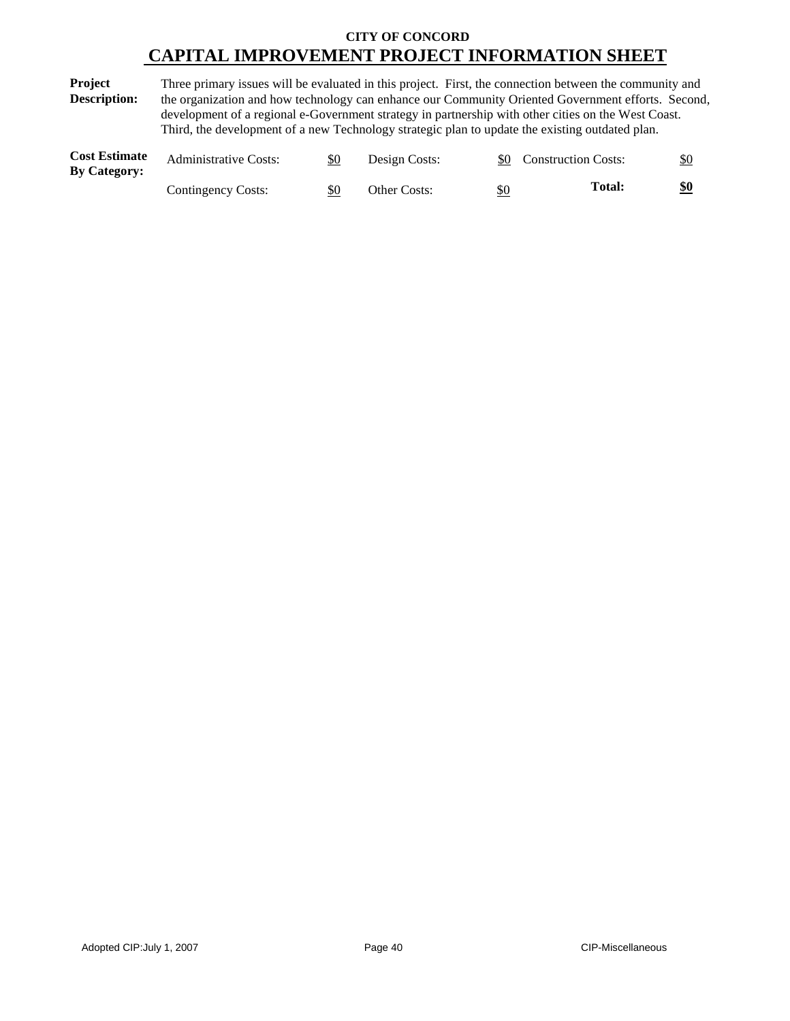**Project Description:** Three primary issues will be evaluated in this project. First, the connection between the community and the organization and how technology can enhance our Community Oriented Government efforts. Second, development of a regional e-Government strategy in partnership with other cities on the West Coast. Third, the development of a new Technology strategic plan to update the existing outdated plan.

| <b>Cost Estimate</b><br><b>By Category:</b> | <b>Administrative Costs:</b> | \$0 | Design Costs: |     | \$0 Construction Costs: | \$0 |
|---------------------------------------------|------------------------------|-----|---------------|-----|-------------------------|-----|
|                                             | Contingency Costs:           | \$0 | Other Costs:  | \$0 | Total:                  | \$0 |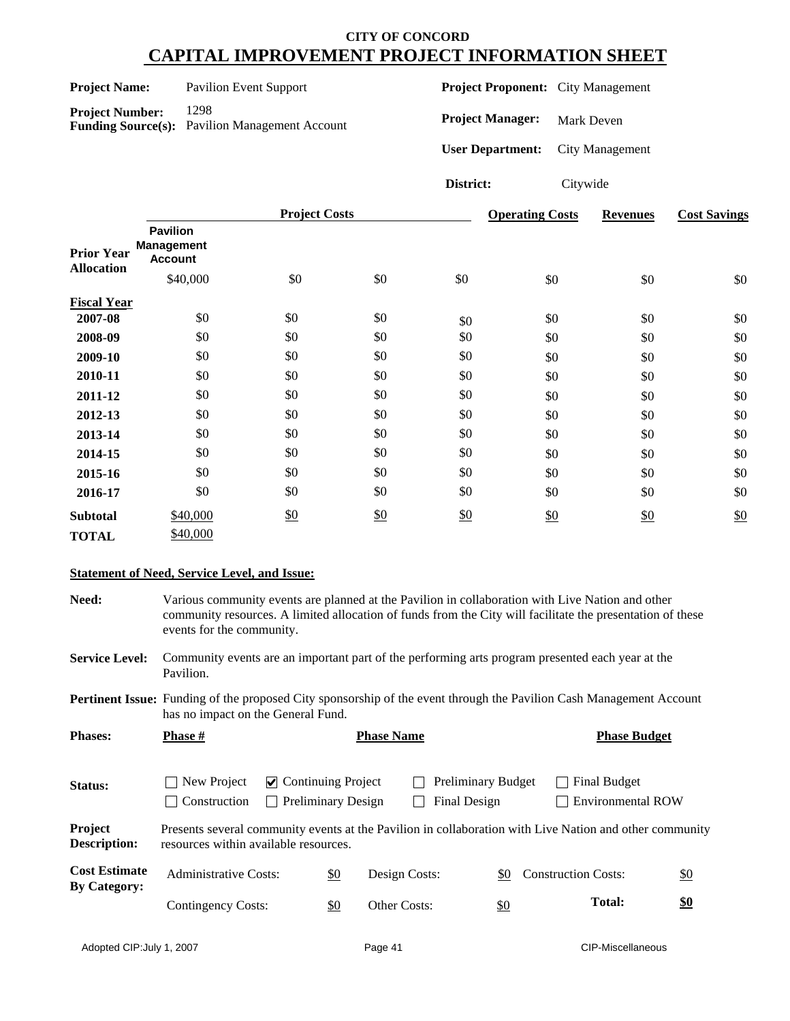| <b>Project Name:</b>                   |                                                                                                   | <b>Pavilion Event Support</b> |                         |     |                 | <b>Project Proponent:</b> City Management |                 |                     |
|----------------------------------------|---------------------------------------------------------------------------------------------------|-------------------------------|-------------------------|-----|-----------------|-------------------------------------------|-----------------|---------------------|
|                                        | 1298<br><b>Project Number:</b><br><b>Funding Source(s):</b><br><b>Pavilion Management Account</b> |                               | <b>Project Manager:</b> |     | Mark Deven      |                                           |                 |                     |
|                                        |                                                                                                   |                               | <b>User Department:</b> |     | City Management |                                           |                 |                     |
|                                        |                                                                                                   |                               |                         |     | District:       | Citywide                                  |                 |                     |
|                                        |                                                                                                   |                               | <b>Project Costs</b>    |     |                 | <b>Operating Costs</b>                    | <b>Revenues</b> | <b>Cost Savings</b> |
| <b>Prior Year</b><br><b>Allocation</b> | <b>Pavilion</b><br><b>Management</b><br><b>Account</b>                                            | \$40,000                      | \$0                     | \$0 | \$0             | \$0                                       | \$0             | \$0                 |
| <b>Fiscal Year</b>                     |                                                                                                   |                               |                         |     |                 |                                           |                 |                     |
| 2007_08                                |                                                                                                   | \$0                           | \$0                     | \$0 | $\triangle$     | ደበ                                        | \$∩             | \$0.                |

| гізсаі теаг  |          |     |     |     |     |     |     |
|--------------|----------|-----|-----|-----|-----|-----|-----|
| 2007-08      | \$0      | \$0 | \$0 | \$0 | \$0 | \$0 | \$0 |
| 2008-09      | \$0      | \$0 | \$0 | \$0 | \$0 | \$0 | \$0 |
| 2009-10      | \$0      | \$0 | \$0 | \$0 | \$0 | \$0 | \$0 |
| 2010-11      | \$0      | \$0 | \$0 | \$0 | \$0 | \$0 | \$0 |
| 2011-12      | \$0      | \$0 | \$0 | \$0 | \$0 | \$0 | \$0 |
| 2012-13      | \$0      | \$0 | \$0 | \$0 | \$0 | \$0 | \$0 |
| 2013-14      | \$0      | \$0 | \$0 | \$0 | \$0 | \$0 | \$0 |
| 2014-15      | \$0      | \$0 | \$0 | \$0 | \$0 | \$0 | \$0 |
| 2015-16      | \$0      | \$0 | \$0 | \$0 | \$0 | \$0 | \$0 |
| 2016-17      | \$0      | \$0 | \$0 | \$0 | \$0 | \$0 | \$0 |
| Subtotal     | \$40,000 | \$0 | \$0 | \$0 | \$0 | \$0 | \$0 |
| <b>TOTAL</b> | \$40,000 |     |     |     |     |     |     |

#### **Statement of Need, Service Level, and Issue:**

**Need:** Various community events are planned at the Pavilion in collaboration with Live Nation and other community resources. A limited allocation of funds from the City will facilitate the presentation of these events for the community.

**Service Level:** Community events are an important part of the performing arts program presented each year at the Pavilion.

**Pertinent Issue:** Funding of the proposed City sponsorship of the event through the Pavilion Cash Management Account has no impact on the General Fund.

| <b>Phases:</b>                              | <b>Phase</b> #                                                                                                                                   |                                                |                           | <b>Phase Name</b> |              |                    |                            | <b>Phase Budget</b>                      |                   |
|---------------------------------------------|--------------------------------------------------------------------------------------------------------------------------------------------------|------------------------------------------------|---------------------------|-------------------|--------------|--------------------|----------------------------|------------------------------------------|-------------------|
| Status:                                     | New Project<br>  Construction                                                                                                                    | $\vee$ Continuing Project<br>$\vert \ \ \vert$ | <b>Preliminary Design</b> |                   | Final Design | Preliminary Budget |                            | Final Budget<br><b>Environmental ROW</b> |                   |
| Project<br><b>Description:</b>              | Presents several community events at the Pavilion in collaboration with Live Nation and other community<br>resources within available resources. |                                                |                           |                   |              |                    |                            |                                          |                   |
| <b>Cost Estimate</b><br><b>By Category:</b> | <b>Administrative Costs:</b>                                                                                                                     |                                                | \$0                       | Design Costs:     |              | \$0                | <b>Construction Costs:</b> |                                          | $\underline{\$0}$ |
|                                             | Contingency Costs:                                                                                                                               |                                                | \$0                       | Other Costs:      |              | \$0                |                            | <b>Total:</b>                            | \$0               |
|                                             |                                                                                                                                                  |                                                |                           |                   |              |                    |                            |                                          |                   |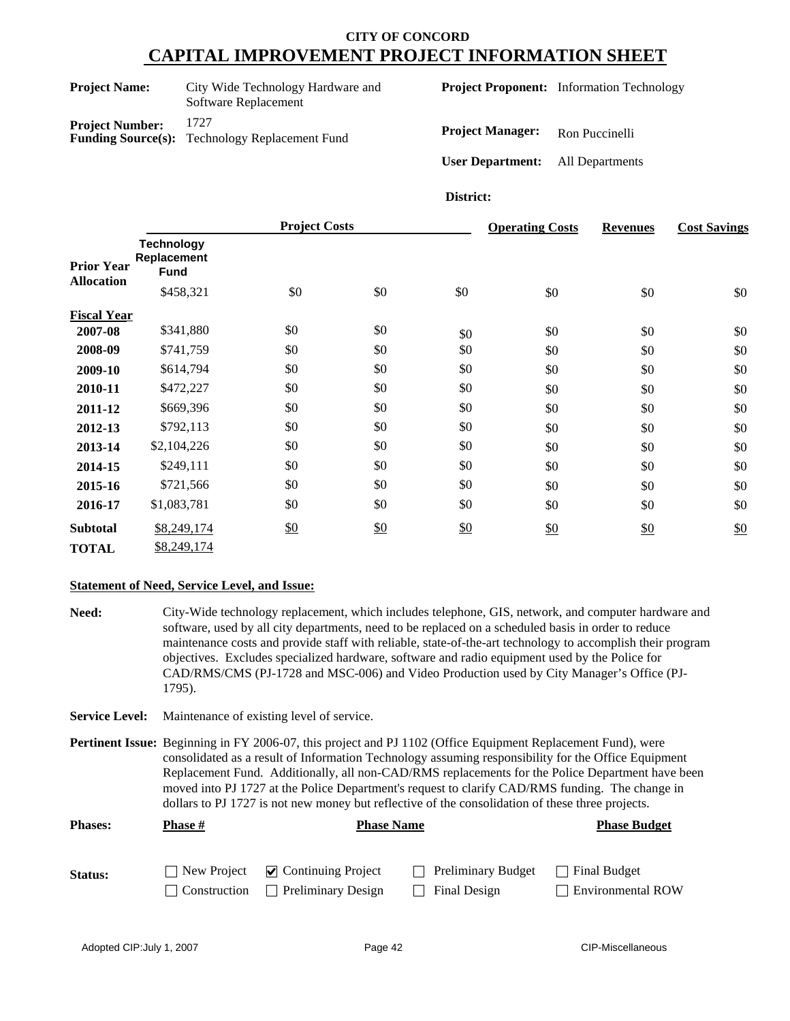| <b>Project Name:</b>      | City Wide Technology Hardware and<br>Software Replacement |
|---------------------------|-----------------------------------------------------------|
| <b>Project Number:</b>    | 1727                                                      |
| <b>Funding Source(s):</b> | Technology Replacement Fund                               |

**Project Proponent:** Information Technology

**Project Manager:** Ron Puccinelli

**User Department:** All Departments

**District:**

|                    |                                                 | <b>Project Costs</b> |               |     | <b>Operating Costs</b> | <b>Revenues</b> | <b>Cost Savings</b> |
|--------------------|-------------------------------------------------|----------------------|---------------|-----|------------------------|-----------------|---------------------|
| <b>Prior Year</b>  | <b>Technology</b><br>Replacement<br><b>Fund</b> |                      |               |     |                        |                 |                     |
| <b>Allocation</b>  | \$458,321                                       | \$0                  | \$0           | \$0 | \$0                    | \$0             | \$0                 |
| <b>Fiscal Year</b> |                                                 |                      |               |     |                        |                 |                     |
| 2007-08            | \$341,880                                       | \$0                  | \$0           | \$0 | \$0                    | \$0             | \$0                 |
| 2008-09            | \$741,759                                       | \$0                  | \$0           | \$0 | \$0                    | \$0             | \$0                 |
| 2009-10            | \$614,794                                       | \$0                  | \$0           | \$0 | \$0                    | \$0             | \$0                 |
| 2010-11            | \$472,227                                       | \$0                  | \$0           | \$0 | \$0                    | \$0             | \$0                 |
| 2011-12            | \$669,396                                       | \$0                  | \$0           | \$0 | \$0                    | \$0             | \$0                 |
| 2012-13            | \$792,113                                       | \$0                  | \$0           | \$0 | \$0                    | \$0             | \$0                 |
| 2013-14            | \$2,104,226                                     | \$0                  | \$0           | \$0 | \$0                    | \$0             | \$0                 |
| 2014-15            | \$249,111                                       | \$0                  | \$0           | \$0 | \$0                    | \$0             | \$0                 |
| 2015-16            | \$721,566                                       | \$0                  | \$0           | \$0 | \$0                    | \$0             | \$0                 |
| 2016-17            | \$1,083,781                                     | \$0                  | \$0           | \$0 | \$0                    | \$0             | \$0                 |
| <b>Subtotal</b>    | \$8,249,174                                     | \$0                  | $\frac{$0}{}$ | \$0 | \$0                    | \$0             | \$0                 |
| <b>TOTAL</b>       | \$8,249,174                                     |                      |               |     |                        |                 |                     |

#### **Statement of Need, Service Level, and Issue:**

**Need:** City-Wide technology replacement, which includes telephone, GIS, network, and computer hardware and software, used by all city departments, need to be replaced on a scheduled basis in order to reduce maintenance costs and provide staff with reliable, state-of-the-art technology to accomplish their program objectives. Excludes specialized hardware, software and radio equipment used by the Police for CAD/RMS/CMS (PJ-1728 and MSC-006) and Video Production used by City Manager's Office (PJ-1795).

**Service Level:** Maintenance of existing level of service.

**Pertinent Issue:** Beginning in FY 2006-07, this project and PJ 1102 (Office Equipment Replacement Fund), were consolidated as a result of Information Technology assuming responsibility for the Office Equipment Replacement Fund. Additionally, all non-CAD/RMS replacements for the Police Department have been moved into PJ 1727 at the Police Department's request to clarify CAD/RMS funding. The change in dollars to PJ 1727 is not new money but reflective of the consolidation of these three projects.

| <b>Phases:</b> | Phase #       | <b>Phase Name</b>         | <b>Phase Budget</b> |                          |
|----------------|---------------|---------------------------|---------------------|--------------------------|
| Status:        | □ New Project | $\vee$ Continuing Project | Preliminary Budget  | Final Budget             |
|                | Construction  | <b>Preliminary Design</b> | Final Design        | <b>Environmental ROW</b> |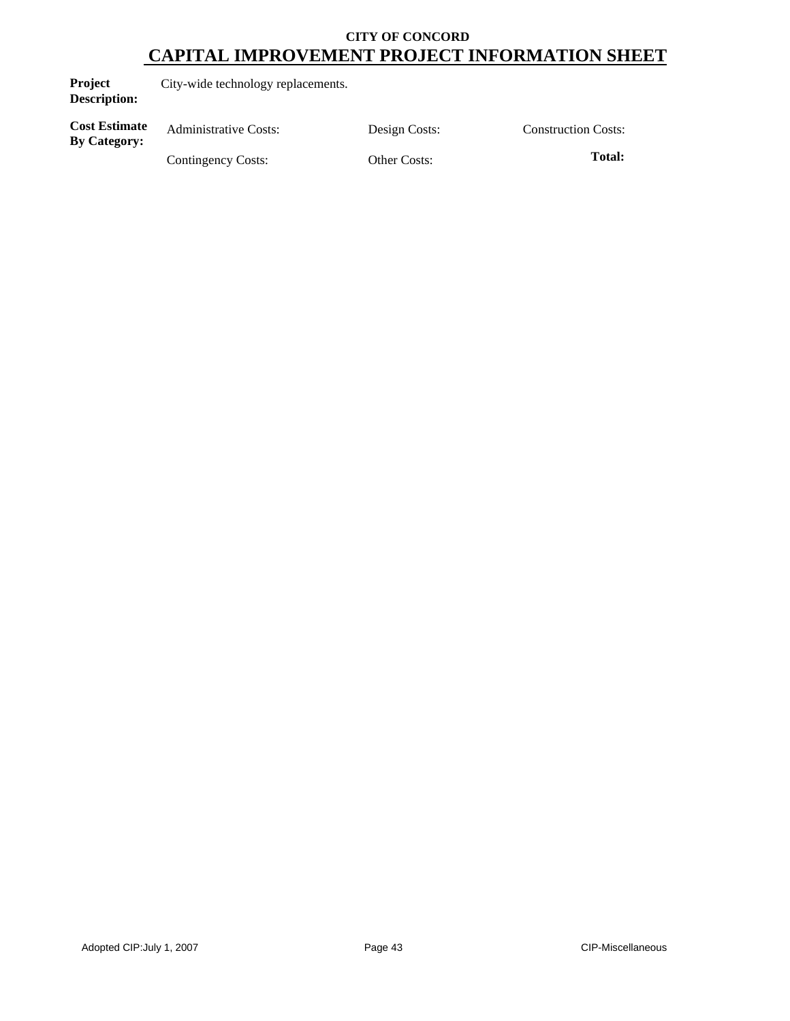| Project             | City-wide technology replacements. |
|---------------------|------------------------------------|
| <b>Description:</b> |                                    |
| $\sim$<br>.         |                                    |

**Cost Estimate Cost Estimate** Administrative Costs: Design Costs: Construction Costs:<br>By Category:

Contingency Costs: Other Costs: **Total:**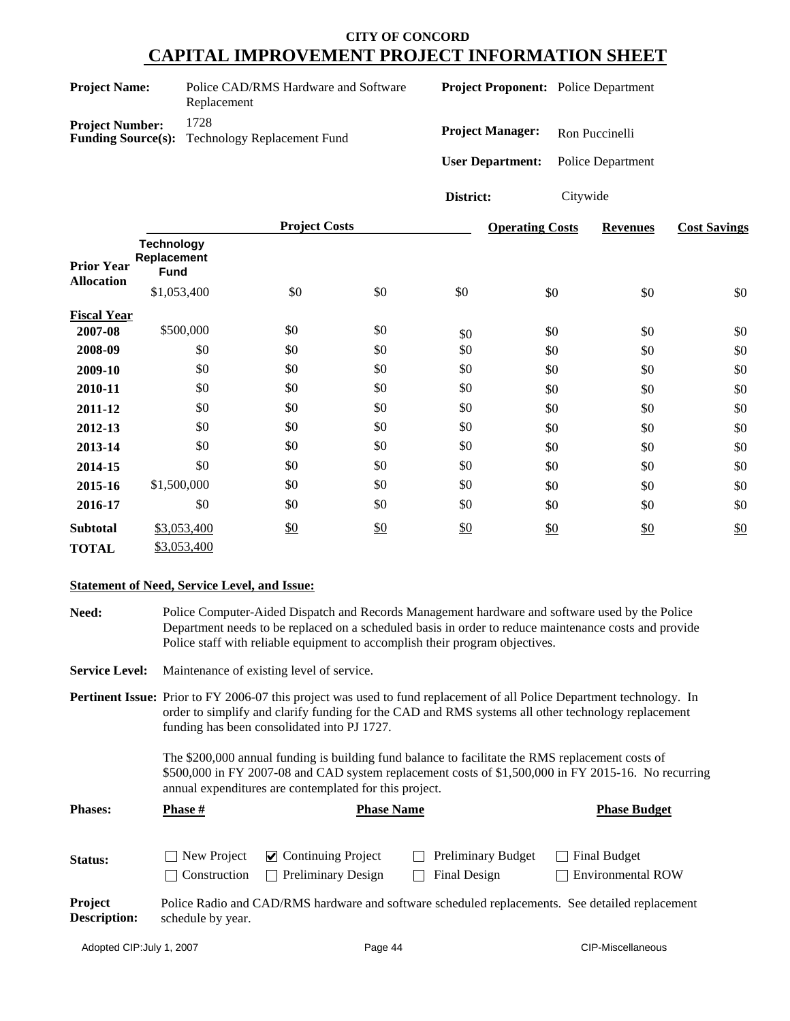| <b>Project Name:</b>   | Police CAD/RMS Hardware and Software<br>Replacement           |
|------------------------|---------------------------------------------------------------|
| <b>Project Number:</b> | 1728<br><b>Funding Source(s):</b> Technology Replacement Fund |

**Project Proponent:** Police Department

**Project Manager:** Ron Puccinelli

**User Department:** Police Department

**District:** Citywide

|                                        |                                                 | <b>Project Costs</b> |     |     | <b>Operating Costs</b> | <b>Revenues</b> | <b>Cost Savings</b> |
|----------------------------------------|-------------------------------------------------|----------------------|-----|-----|------------------------|-----------------|---------------------|
| <b>Prior Year</b><br><b>Allocation</b> | <b>Technology</b><br>Replacement<br><b>Fund</b> |                      |     |     |                        |                 |                     |
|                                        | \$1,053,400                                     | \$0                  | \$0 | \$0 | \$0                    | \$0             | \$0                 |
| <b>Fiscal Year</b>                     |                                                 |                      |     |     |                        |                 |                     |
| 2007-08                                | \$500,000                                       | \$0                  | \$0 | \$0 | \$0                    | \$0             | \$0                 |
| 2008-09                                | \$0                                             | \$0                  | \$0 | \$0 | \$0                    | \$0             | \$0                 |
| 2009-10                                | \$0                                             | \$0                  | \$0 | \$0 | \$0                    | \$0             | \$0                 |
| 2010-11                                | \$0                                             | \$0                  | \$0 | \$0 | \$0                    | \$0             | \$0                 |
| 2011-12                                | \$0                                             | \$0                  | \$0 | \$0 | \$0                    | \$0             | \$0                 |
| 2012-13                                | \$0                                             | \$0                  | \$0 | \$0 | \$0                    | \$0             | \$0                 |
| 2013-14                                | \$0                                             | \$0                  | \$0 | \$0 | \$0                    | \$0             | \$0                 |
| 2014-15                                | \$0                                             | \$0                  | \$0 | \$0 | \$0                    | \$0             | \$0                 |
| 2015-16                                | \$1,500,000                                     | \$0                  | \$0 | \$0 | \$0                    | \$0             | \$0                 |
| 2016-17                                | \$0                                             | \$0                  | \$0 | \$0 | \$0                    | \$0             | \$0                 |
| <b>Subtotal</b>                        | \$3,053,400                                     | $\frac{$0}{}$        | \$0 | \$0 | \$0                    | \$0             | \$0                 |
| <b>TOTAL</b>                           | \$3,053,400                                     |                      |     |     |                        |                 |                     |

#### **Statement of Need, Service Level, and Issue:**

**Need:** Police Computer-Aided Dispatch and Records Management hardware and software used by the Police Department needs to be replaced on a scheduled basis in order to reduce maintenance costs and provide Police staff with reliable equipment to accomplish their program objectives.

**Service Level:** Maintenance of existing level of service.

**Pertinent Issue:** Prior to FY 2006-07 this project was used to fund replacement of all Police Department technology. In order to simplify and clarify funding for the CAD and RMS systems all other technology replacement funding has been consolidated into PJ 1727.

> The \$200,000 annual funding is building fund balance to facilitate the RMS replacement costs of \$500,000 in FY 2007-08 and CAD system replacement costs of \$1,500,000 in FY 2015-16. No recurring annual expenditures are contemplated for this project.

| <b>Phases:</b>                 | <b>Phase</b> #                | <b>Phase Name</b>                                                |                                           | <b>Phase Budget</b>                                                                             |
|--------------------------------|-------------------------------|------------------------------------------------------------------|-------------------------------------------|-------------------------------------------------------------------------------------------------|
| <b>Status:</b>                 | New Project<br>  Construction | $\triangleright$ Continuing Project<br><b>Preliminary Design</b> | $\Box$ Preliminary Budget<br>Final Design | $\Box$ Final Budget<br><b>Environmental ROW</b>                                                 |
| Project<br><b>Description:</b> | schedule by year.             |                                                                  |                                           | Police Radio and CAD/RMS hardware and software scheduled replacements. See detailed replacement |

Adopted CIP: July 1, 2007 **Page 44** Page 44 CIP-Miscellaneous **CIP-Miscellaneous**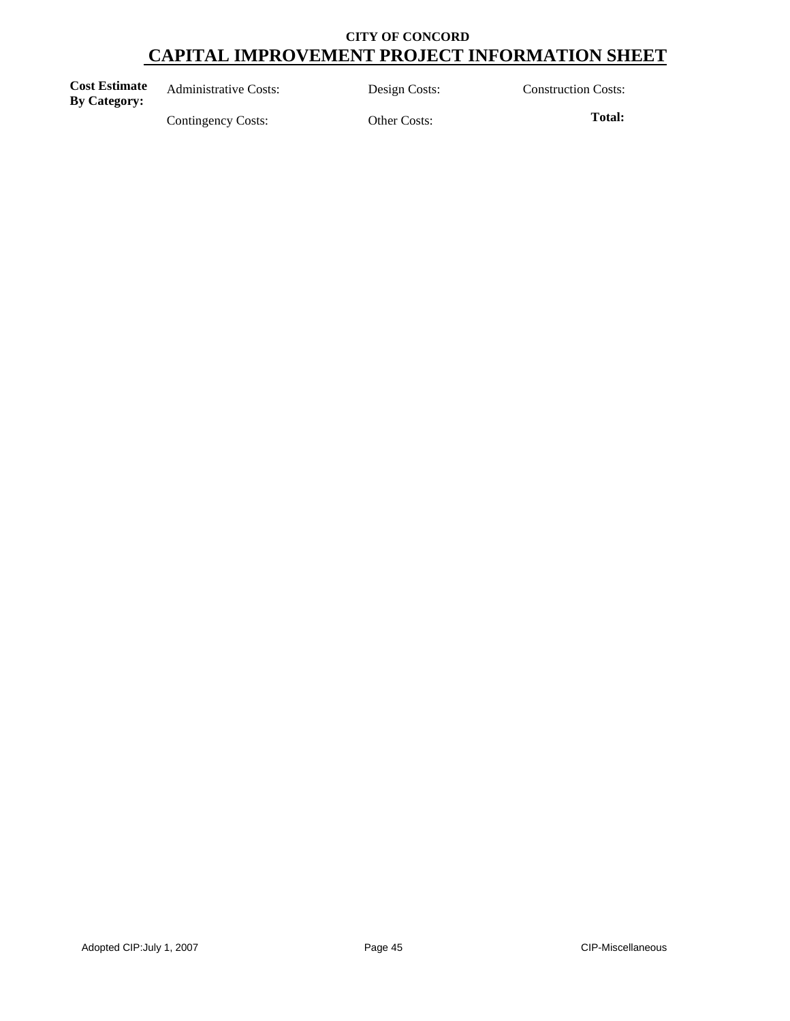**Cost Estimate By Category:** Administrative Costs: Design Costs: Construction Costs: By Category:

Contingency Costs: Other Costs: **Total:**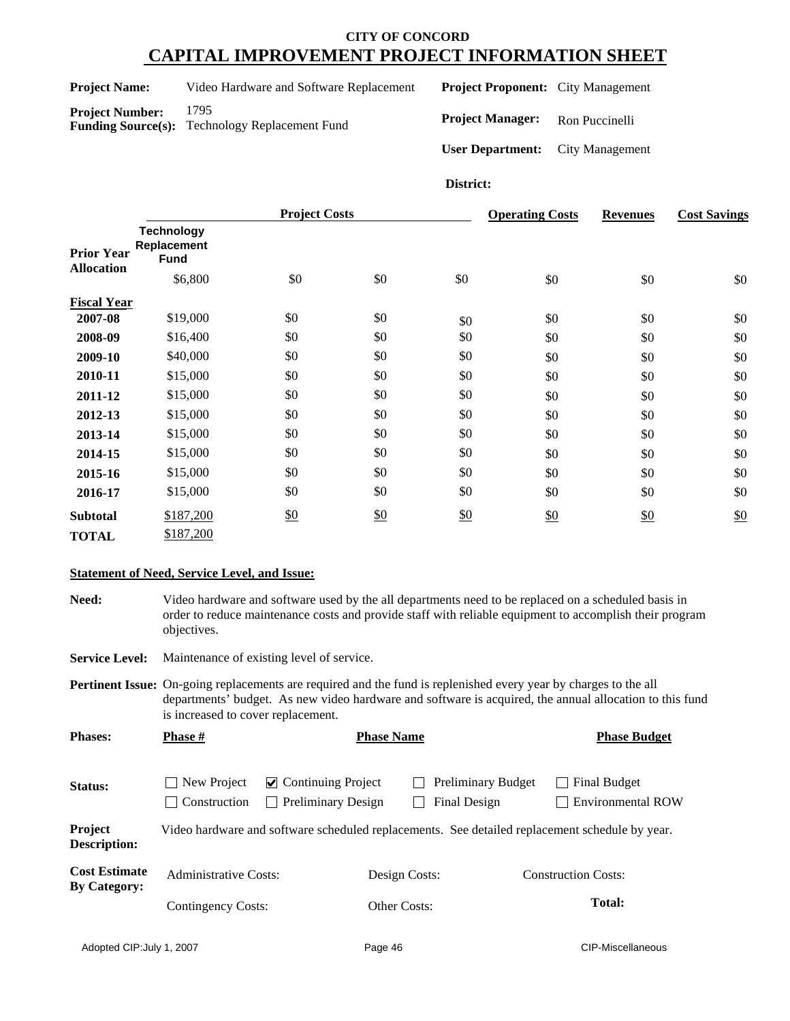| <b>Project Name:</b> |  |
|----------------------|--|
|----------------------|--|

Video Hardware and Software Replacement **Project Number:** 1795 **Funding Source(s):** Technology Replacement Fund

**Project Proponent:** City Management

**Project Manager:** Ron Puccinelli

**User Department:** City Management

#### **District:**

|                                        |                                                 | <b>Project Costs</b> |               |     | <b>Operating Costs</b> | <b>Revenues</b> | <b>Cost Savings</b> |
|----------------------------------------|-------------------------------------------------|----------------------|---------------|-----|------------------------|-----------------|---------------------|
| <b>Prior Year</b><br><b>Allocation</b> | <b>Technology</b><br>Replacement<br><b>Fund</b> |                      |               |     |                        |                 |                     |
|                                        | \$6,800                                         | \$0                  | \$0           | \$0 | \$0                    | \$0             | \$0                 |
| <b>Fiscal Year</b>                     |                                                 |                      |               |     |                        |                 |                     |
| 2007-08                                | \$19,000                                        | \$0                  | \$0           | \$0 | \$0                    | \$0             | \$0                 |
| 2008-09                                | \$16,400                                        | \$0                  | \$0           | \$0 | \$0                    | \$0             | \$0                 |
| 2009-10                                | \$40,000                                        | \$0                  | \$0           | \$0 | \$0                    | \$0             | \$0                 |
| 2010-11                                | \$15,000                                        | \$0                  | \$0           | \$0 | \$0                    | \$0             | \$0                 |
| 2011-12                                | \$15,000                                        | \$0                  | \$0           | \$0 | \$0                    | \$0             | \$0                 |
| 2012-13                                | \$15,000                                        | \$0                  | \$0           | \$0 | \$0                    | \$0             | \$0                 |
| 2013-14                                | \$15,000                                        | \$0                  | \$0           | \$0 | \$0                    | \$0             | \$0                 |
| 2014-15                                | \$15,000                                        | \$0                  | \$0           | \$0 | \$0                    | \$0             | \$0                 |
| 2015-16                                | \$15,000                                        | \$0                  | \$0           | \$0 | \$0                    | \$0             | \$0                 |
| 2016-17                                | \$15,000                                        | \$0                  | \$0           | \$0 | \$0                    | \$0             | \$0                 |
| <b>Subtotal</b>                        | \$187,200                                       | $\frac{$0}{}$        | $\frac{$0}{}$ | \$0 | \$0                    | \$0             | \$0                 |
| <b>TOTAL</b>                           | \$187,200                                       |                      |               |     |                        |                 |                     |

#### **Statement of Need, Service Level, and Issue:**

Need: Video hardware and software used by the all departments need to be replaced on a scheduled basis in order to reduce maintenance costs and provide staff with reliable equipment to accomplish their program objectives.

**Service Level:** Maintenance of existing level of service.

**Pertinent Issue:** On-going replacements are required and the fund is replenished every year by charges to the all departments' budget. As new video hardware and software is acquired, the annual allocation to this fund is increased to cover replacement.

| <b>Phases:</b>                              | <b>Phase</b> #                                     | <b>Phase Name</b>                                                                              |               |                                           | <b>Phase Budget</b>        |                                          |  |
|---------------------------------------------|----------------------------------------------------|------------------------------------------------------------------------------------------------|---------------|-------------------------------------------|----------------------------|------------------------------------------|--|
| Status:                                     | New Project<br>Construction                        | $\vee$ Continuing Project<br><b>Preliminary Design</b>                                         |               | <b>Preliminary Budget</b><br>Final Design |                            | Final Budget<br><b>Environmental ROW</b> |  |
| Project<br><b>Description:</b>              |                                                    | Video hardware and software scheduled replacements. See detailed replacement schedule by year. |               |                                           |                            |                                          |  |
| <b>Cost Estimate</b><br><b>By Category:</b> | <b>Administrative Costs:</b><br>Contingency Costs: |                                                                                                | Design Costs: |                                           | <b>Construction Costs:</b> |                                          |  |
|                                             |                                                    |                                                                                                | Other Costs:  |                                           | <b>Total:</b>              |                                          |  |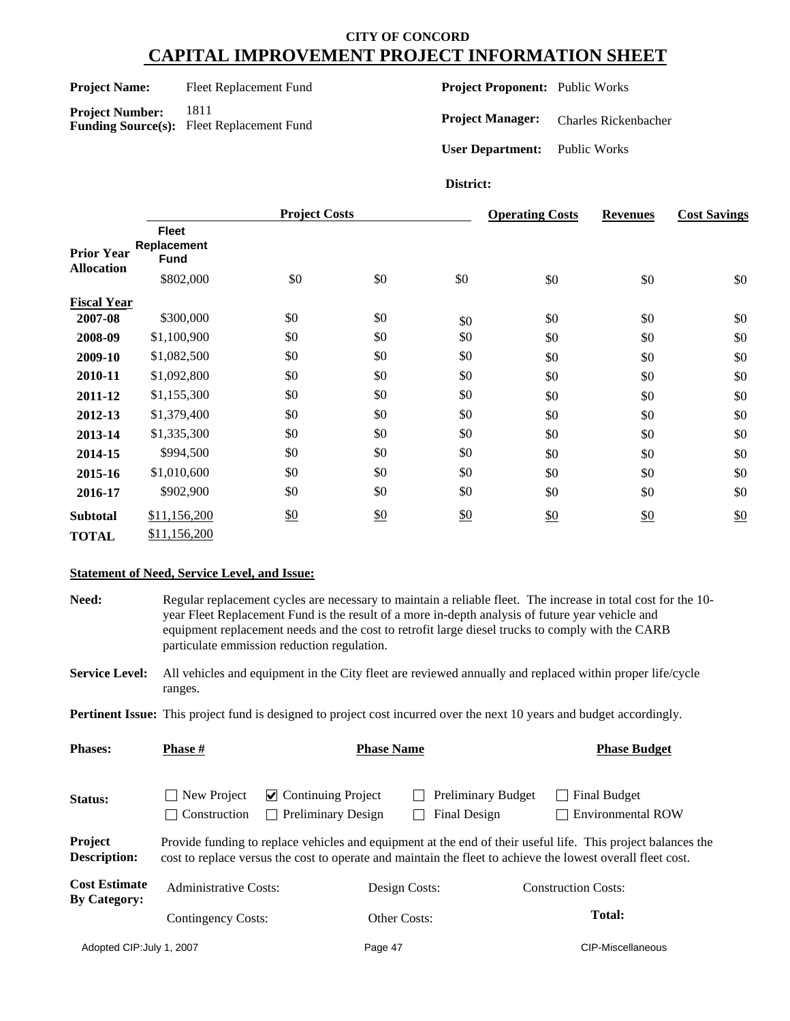Project Name: Fleet Replacement Fund

**Project Number:** 1811 **Funding Source(s):** Fleet Replacement Fund **Project Proponent:** Public Works

**Project Manager:** Charles Rickenbacher

**User Department:** Public Works

#### **District:**

|                                        |                                            | <b>Project Costs</b> |     |     | <b>Operating Costs</b> | <b>Revenues</b> | <b>Cost Savings</b> |
|----------------------------------------|--------------------------------------------|----------------------|-----|-----|------------------------|-----------------|---------------------|
| <b>Prior Year</b><br><b>Allocation</b> | <b>Fleet</b><br>Replacement<br><b>Fund</b> |                      |     |     |                        |                 |                     |
|                                        | \$802,000                                  | \$0                  | \$0 | \$0 | \$0                    | \$0             | \$0                 |
| <b>Fiscal Year</b>                     |                                            |                      |     |     |                        |                 |                     |
| 2007-08                                | \$300,000                                  | \$0                  | \$0 | \$0 | \$0                    | \$0             | \$0                 |
| 2008-09                                | \$1,100,900                                | \$0                  | \$0 | \$0 | \$0                    | \$0             | \$0                 |
| 2009-10                                | \$1,082,500                                | \$0                  | \$0 | \$0 | \$0                    | \$0             | \$0                 |
| 2010-11                                | \$1,092,800                                | \$0                  | \$0 | \$0 | \$0                    | \$0             | \$0                 |
| 2011-12                                | \$1,155,300                                | \$0                  | \$0 | \$0 | \$0                    | \$0             | \$0                 |
| 2012-13                                | \$1,379,400                                | \$0                  | \$0 | \$0 | \$0                    | \$0             | \$0                 |
| 2013-14                                | \$1,335,300                                | \$0                  | \$0 | \$0 | \$0                    | \$0             | \$0                 |
| 2014-15                                | \$994,500                                  | \$0                  | \$0 | \$0 | \$0                    | \$0             | \$0                 |
| 2015-16                                | \$1,010,600                                | \$0                  | \$0 | \$0 | \$0                    | \$0             | \$0                 |
| 2016-17                                | \$902,900                                  | \$0                  | \$0 | \$0 | \$0                    | \$0             | \$0                 |
| <b>Subtotal</b>                        | \$11,156,200                               | \$0                  | \$0 | \$0 | \$0                    | \$0             | \$0                 |
| <b>TOTAL</b>                           | \$11,156,200                               |                      |     |     |                        |                 |                     |

#### **Statement of Need, Service Level, and Issue:**

**Need:** Regular replacement cycles are necessary to maintain a reliable fleet. The increase in total cost for the 10 year Fleet Replacement Fund is the result of a more in-depth analysis of future year vehicle and equipment replacement needs and the cost to retrofit large diesel trucks to comply with the CARB particulate emmission reduction regulation.

**Service Level:** All vehicles and equipment in the City fleet are reviewed annually and replaced within proper life/cycle ranges.

**Pertinent Issue:** This project fund is designed to project cost incurred over the next 10 years and budget accordingly.

| <b>Phases:</b>                              | <b>Phase</b> #              | <b>Phase Name</b>                                                      |                                           | <b>Phase Budget</b>                                                                                                                                                                                                         |
|---------------------------------------------|-----------------------------|------------------------------------------------------------------------|-------------------------------------------|-----------------------------------------------------------------------------------------------------------------------------------------------------------------------------------------------------------------------------|
| Status:                                     | New Project<br>Construction | $\vee$ Continuing Project<br><b>Preliminary Design</b><br>$\mathbf{L}$ | <b>Preliminary Budget</b><br>Final Design | <b>Final Budget</b><br><b>Environmental ROW</b>                                                                                                                                                                             |
| Project<br><b>Description:</b>              |                             |                                                                        |                                           | Provide funding to replace vehicles and equipment at the end of their useful life. This project balances the<br>cost to replace versus the cost to operate and maintain the fleet to achieve the lowest overall fleet cost. |
| <b>Cost Estimate</b><br><b>By Category:</b> | Administrative Costs:       |                                                                        | Design Costs:                             | <b>Construction Costs:</b>                                                                                                                                                                                                  |
|                                             | Contingency Costs:          |                                                                        | Other Costs:                              | <b>Total:</b>                                                                                                                                                                                                               |
| Adopted CIP: July 1, 2007                   |                             | Page 47                                                                |                                           | CIP-Miscellaneous                                                                                                                                                                                                           |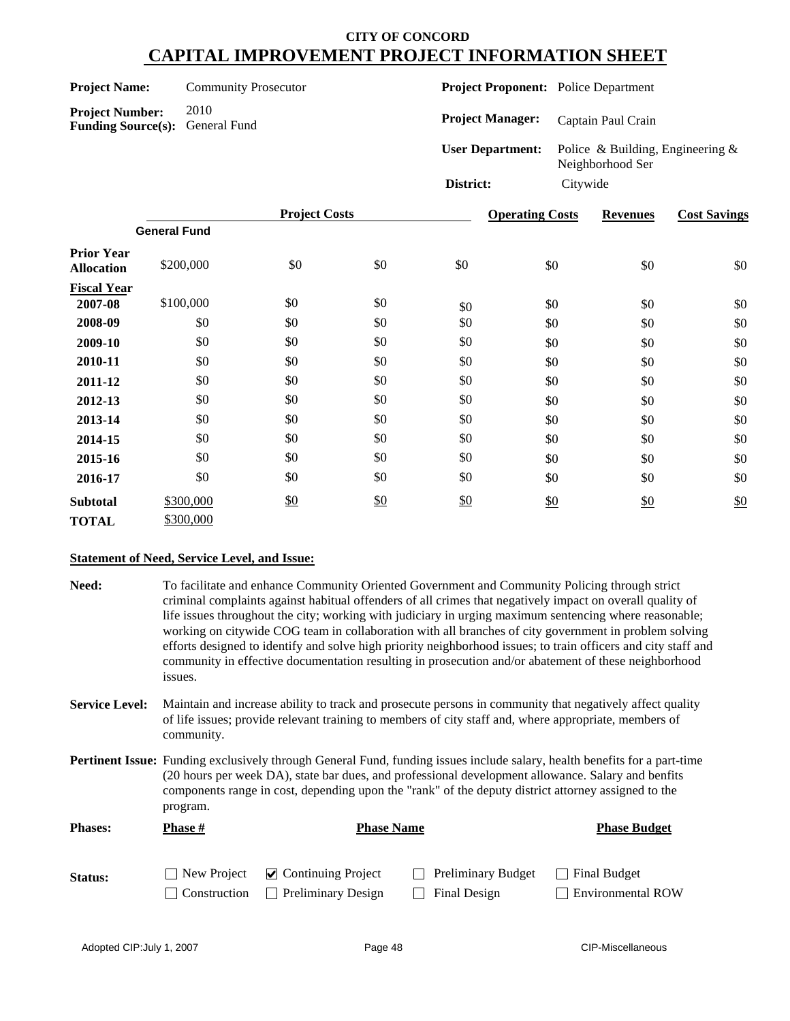|                                                                  |                             | <b>Project Costs</b> | Anerating Costs                             |          | Revenues                                                | Cost Savine |
|------------------------------------------------------------------|-----------------------------|----------------------|---------------------------------------------|----------|---------------------------------------------------------|-------------|
|                                                                  |                             |                      | District:                                   | Citywide |                                                         |             |
|                                                                  |                             |                      | <b>User Department:</b>                     |          | Police & Building, Engineering $\&$<br>Neighborhood Ser |             |
| <b>Project Number:</b><br><b>Funding Source(s):</b> General Fund | 2010                        |                      | <b>Project Manager:</b>                     |          | Captain Paul Crain                                      |             |
| <b>Project Name:</b>                                             | <b>Community Prosecutor</b> |                      | <b>Project Proponent:</b> Police Department |          |                                                         |             |
|                                                                  |                             |                      |                                             |          |                                                         |             |

|                                        |                     | <b>Project Costs</b> |     |     | <b>Operating Costs</b> | <b>Revenues</b> | <b>Cost Savings</b> |
|----------------------------------------|---------------------|----------------------|-----|-----|------------------------|-----------------|---------------------|
|                                        | <b>General Fund</b> |                      |     |     |                        |                 |                     |
| <b>Prior Year</b><br><b>Allocation</b> | \$200,000           | \$0                  | \$0 | \$0 | \$0                    | \$0             | \$0                 |
| <b>Fiscal Year</b>                     |                     |                      |     |     |                        |                 |                     |
| 2007-08                                | \$100,000           | \$0                  | \$0 | \$0 | \$0                    | \$0             | \$0                 |
| 2008-09                                | \$0                 | \$0                  | \$0 | \$0 | \$0                    | \$0             | \$0                 |
| 2009-10                                | \$0                 | \$0                  | \$0 | \$0 | \$0                    | \$0             | \$0                 |
| 2010-11                                | \$0                 | \$0                  | \$0 | \$0 | \$0                    | \$0             | \$0                 |
| 2011-12                                | \$0                 | \$0                  | \$0 | \$0 | \$0                    | \$0             | \$0                 |
| 2012-13                                | \$0                 | \$0                  | \$0 | \$0 | \$0                    | \$0             | \$0                 |
| 2013-14                                | \$0                 | \$0                  | \$0 | \$0 | \$0                    | \$0             | \$0                 |
| 2014-15                                | \$0                 | \$0                  | \$0 | \$0 | \$0                    | \$0             | \$0                 |
| 2015-16                                | \$0                 | \$0                  | \$0 | \$0 | \$0                    | \$0             | \$0                 |
| 2016-17                                | \$0                 | \$0                  | \$0 | \$0 | \$0                    | \$0             | \$0                 |
| <b>Subtotal</b>                        | \$300,000           | $\frac{$0}{}$        | \$0 | \$0 | \$0                    | \$0             | \$0                 |
| <b>TOTAL</b>                           | \$300,000           |                      |     |     |                        |                 |                     |

### **Statement of Need, Service Level, and Issue:**

| Need:                 | To facilitate and enhance Community Oriented Government and Community Policing through strict<br>criminal complaints against habitual offenders of all crimes that negatively impact on overall quality of<br>life issues throughout the city; working with judiciary in urging maximum sentencing where reasonable;<br>working on citywide COG team in collaboration with all branches of city government in problem solving<br>efforts designed to identify and solve high priority neighborhood issues; to train officers and city staff and<br>community in effective documentation resulting in prosecution and/or abatement of these neighborhood<br>issues. |                                                             |                                           |                                                 |  |  |  |
|-----------------------|--------------------------------------------------------------------------------------------------------------------------------------------------------------------------------------------------------------------------------------------------------------------------------------------------------------------------------------------------------------------------------------------------------------------------------------------------------------------------------------------------------------------------------------------------------------------------------------------------------------------------------------------------------------------|-------------------------------------------------------------|-------------------------------------------|-------------------------------------------------|--|--|--|
| <b>Service Level:</b> | Maintain and increase ability to track and prosecute persons in community that negatively affect quality<br>of life issues; provide relevant training to members of city staff and, where appropriate, members of<br>community.                                                                                                                                                                                                                                                                                                                                                                                                                                    |                                                             |                                           |                                                 |  |  |  |
|                       | <b>Pertinent Issue:</b> Funding exclusively through General Fund, funding issues include salary, health benefits for a part-time<br>(20 hours per week DA), state bar dues, and professional development allowance. Salary and benfits<br>components range in cost, depending upon the "rank" of the deputy district attorney assigned to the<br>program.                                                                                                                                                                                                                                                                                                          |                                                             |                                           |                                                 |  |  |  |
| <b>Phases:</b>        | <b>Phase #</b>                                                                                                                                                                                                                                                                                                                                                                                                                                                                                                                                                                                                                                                     | <b>Phase Name</b>                                           |                                           | <b>Phase Budget</b>                             |  |  |  |
| Status:               | New Project<br>Construction                                                                                                                                                                                                                                                                                                                                                                                                                                                                                                                                                                                                                                        | <b>Continuing Project</b><br>V<br><b>Preliminary Design</b> | Preliminary Budget<br><b>Final Design</b> | <b>Final Budget</b><br><b>Environmental ROW</b> |  |  |  |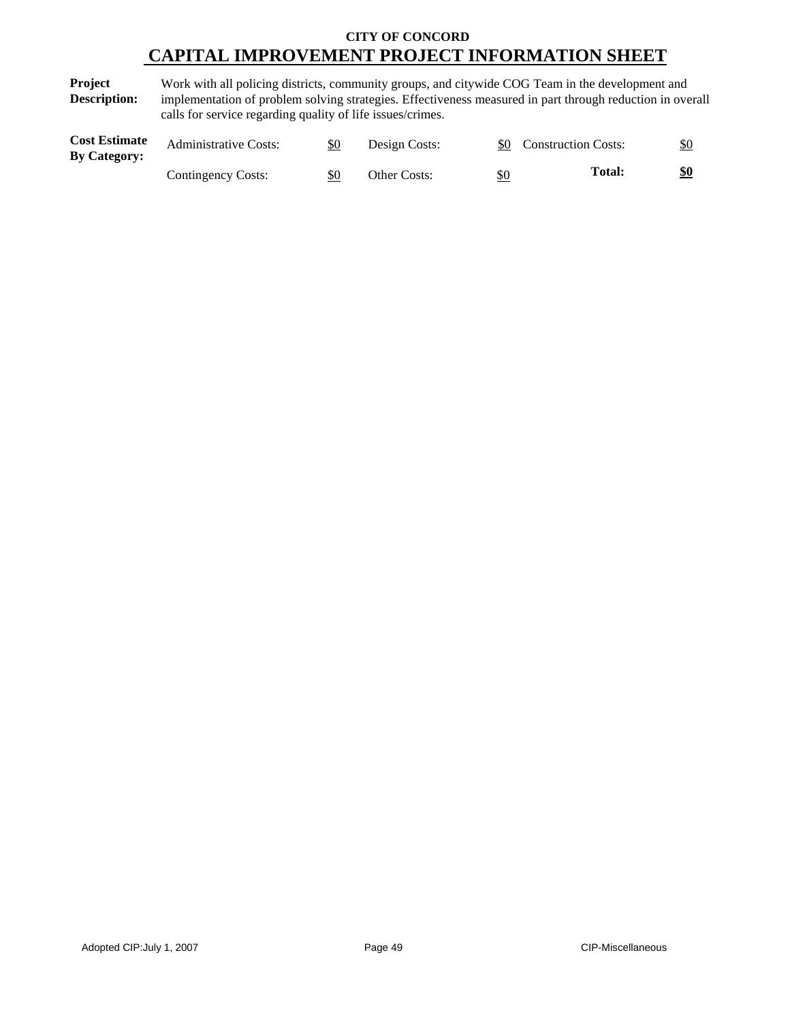**Project Description:** Work with all policing districts, community groups, and citywide COG Team in the development and implementation of problem solving strategies. Effectiveness measured in part through reduction in overall calls for service regarding quality of life issues/crimes.

| <b>Cost Estimate</b><br><b>By Category:</b> | <b>Administrative Costs:</b> | \$0 | Design Costs:       |            | <b>Construction Costs:</b> | \$0 |
|---------------------------------------------|------------------------------|-----|---------------------|------------|----------------------------|-----|
|                                             | Contingency Costs:           | \$0 | <b>Other Costs:</b> | <u>\$0</u> | <b>Total:</b>              | \$0 |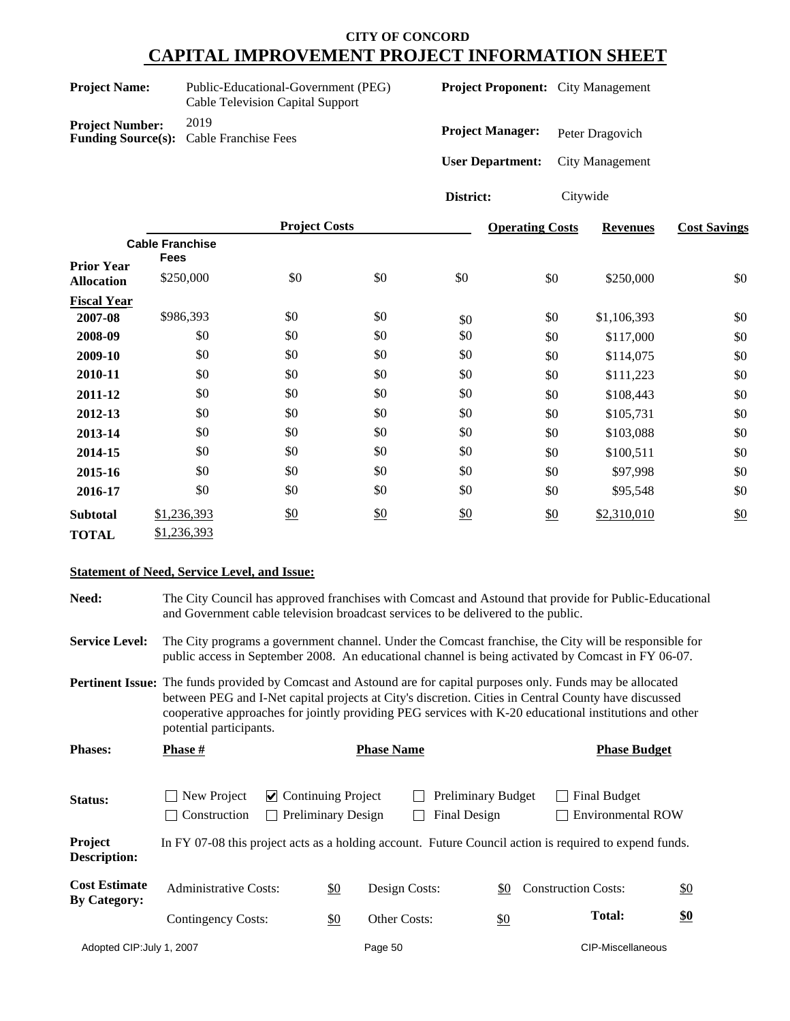| <b>Project Name:</b>   | Public-Educational-Government (PEG)<br>Cable Television Capital Support |  |  |  |  |
|------------------------|-------------------------------------------------------------------------|--|--|--|--|
| <b>Project Number:</b> | 2019<br><b>Funding Source(s):</b> Cable Franchise Fees                  |  |  |  |  |

**Project Proponent:** City Management

Project Manager: Peter Dragovich

**User Department:** City Management

**District:** Citywide

|                                        |                          | <b>Project Costs</b> |               |     | <b>Operating Costs</b> | <b>Revenues</b> | <b>Cost Savings</b> |
|----------------------------------------|--------------------------|----------------------|---------------|-----|------------------------|-----------------|---------------------|
|                                        | <b>Cable Franchise</b>   |                      |               |     |                        |                 |                     |
| <b>Prior Year</b><br><b>Allocation</b> | <b>Fees</b><br>\$250,000 | \$0                  | \$0           | \$0 | \$0                    | \$250,000       | \$0                 |
| <b>Fiscal Year</b>                     |                          |                      |               |     |                        |                 |                     |
| 2007-08                                | \$986,393                | \$0                  | \$0           | \$0 | \$0                    | \$1,106,393     | \$0                 |
| 2008-09                                | \$0                      | \$0                  | \$0           | \$0 | \$0                    | \$117,000       | \$0                 |
| 2009-10                                | \$0                      | \$0                  | \$0           | \$0 | \$0                    | \$114,075       | \$0                 |
| 2010-11                                | \$0                      | \$0                  | \$0           | \$0 | \$0                    | \$111,223       | \$0                 |
| 2011-12                                | \$0                      | \$0                  | \$0           | \$0 | \$0                    | \$108,443       | \$0                 |
| 2012-13                                | \$0                      | \$0                  | \$0           | \$0 | \$0                    | \$105,731       | \$0                 |
| 2013-14                                | \$0                      | \$0                  | \$0           | \$0 | \$0                    | \$103,088       | \$0                 |
| 2014-15                                | \$0                      | \$0                  | \$0           | \$0 | \$0                    | \$100,511       | \$0                 |
| 2015-16                                | \$0                      | \$0                  | \$0           | \$0 | \$0                    | \$97,998        | \$0                 |
| 2016-17                                | \$0                      | \$0                  | \$0           | \$0 | \$0                    | \$95,548        | \$0                 |
| <b>Subtotal</b>                        | \$1,236,393              | \$0                  | $\frac{$0}{}$ | \$0 | \$0                    | \$2,310,010     | $\underline{\$0}$   |
| <b>TOTAL</b>                           | \$1,236,393              |                      |               |     |                        |                 |                     |

#### **Statement of Need, Service Level, and Issue:**

**Need:** The City Council has approved franchises with Comcast and Astound that provide for Public-Educational and Government cable television broadcast services to be delivered to the public.

**Service Level:** The City programs a government channel. Under the Comcast franchise, the City will be responsible for public access in September 2008. An educational channel is being activated by Comcast in FY 06-07.

**Pertinent Issue:** The funds provided by Comcast and Astound are for capital purposes only. Funds may be allocated between PEG and I-Net capital projects at City's discretion. Cities in Central County have discussed cooperative approaches for jointly providing PEG services with K-20 educational institutions and other potential participants.

| <b>Phases:</b>                              | <b>Phase</b> #<br><b>Phase Name</b>                                                                                                |  |               |                                          | <b>Phase Budget</b> |               |                                                                                                        |               |
|---------------------------------------------|------------------------------------------------------------------------------------------------------------------------------------|--|---------------|------------------------------------------|---------------------|---------------|--------------------------------------------------------------------------------------------------------|---------------|
| Status:                                     | New Project<br>$\vee$ Continuing Project<br><b>Preliminary Budget</b><br><b>Preliminary Design</b><br>Final Design<br>Construction |  |               | Final Budget<br><b>Environmental ROW</b> |                     |               |                                                                                                        |               |
| Project<br><b>Description:</b>              |                                                                                                                                    |  |               |                                          |                     |               | In FY 07-08 this project acts as a holding account. Future Council action is required to expend funds. |               |
| <b>Cost Estimate</b><br><b>By Category:</b> | <b>Administrative Costs:</b>                                                                                                       |  | $\frac{$0}{}$ | Design Costs:                            |                     | \$0           | <b>Construction Costs:</b>                                                                             | $\frac{$0}{}$ |
|                                             | Contingency Costs:                                                                                                                 |  | \$0           | Other Costs:                             |                     | $\frac{$0}{}$ | <b>Total:</b>                                                                                          |               |
| Adopted CIP: July 1, 2007                   |                                                                                                                                    |  |               | Page 50                                  |                     |               | CIP-Miscellaneous                                                                                      |               |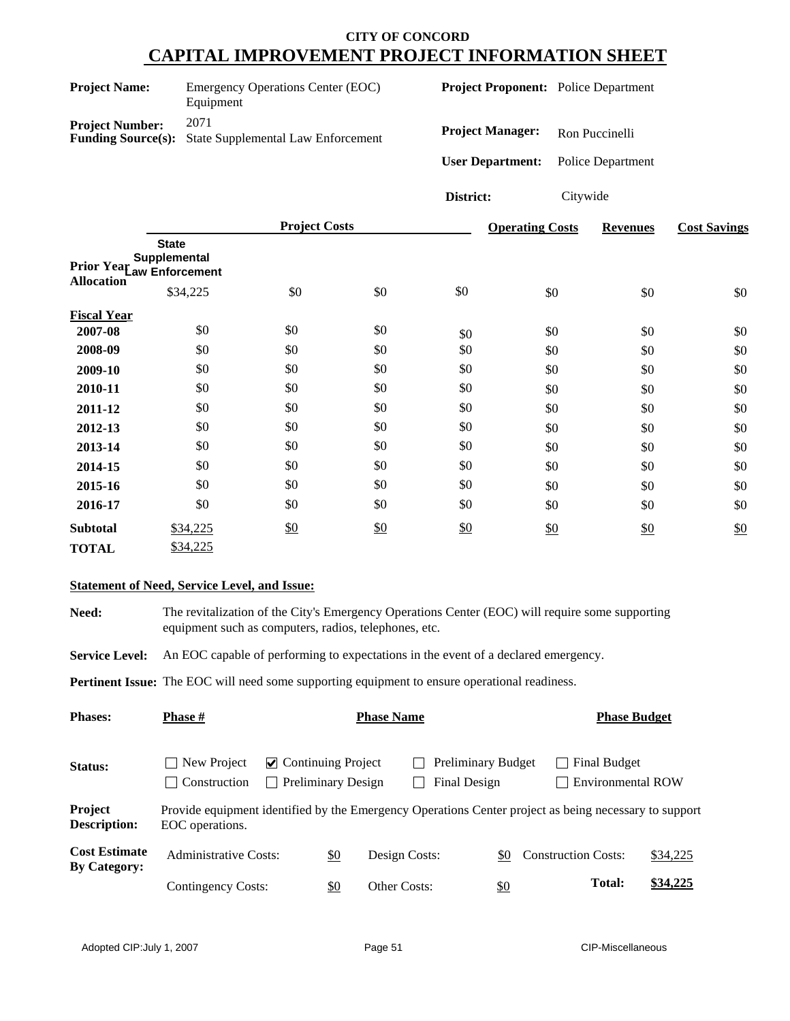| <b>Project Name:</b>   | Emergency Operations Center (EOC)<br>Equipment                       |  |  |  |  |
|------------------------|----------------------------------------------------------------------|--|--|--|--|
| <b>Project Number:</b> | 2071<br><b>Funding Source(s):</b> State Supplemental Law Enforcement |  |  |  |  |

**Project Proponent:** Police Department

**Project Manager:** Ron Puccinelli

**User Department:** Police Department

**District:** Citywide

|                    |                                                            | <b>Project Costs</b> |     |     | <b>Operating Costs</b> | <b>Revenues</b> | <b>Cost Savings</b> |
|--------------------|------------------------------------------------------------|----------------------|-----|-----|------------------------|-----------------|---------------------|
|                    | <b>State</b><br>Supplemental<br>Prior Year Caw Enforcement |                      |     |     |                        |                 |                     |
| <b>Allocation</b>  | \$34,225                                                   | \$0                  | \$0 | \$0 | \$0                    | \$0             | \$0                 |
| <b>Fiscal Year</b> |                                                            |                      |     |     |                        |                 |                     |
| 2007-08            | \$0                                                        | \$0                  | \$0 | \$0 | \$0                    | \$0             | \$0                 |
| 2008-09            | \$0                                                        | \$0                  | \$0 | \$0 | \$0                    | \$0             | \$0                 |
| 2009-10            | \$0                                                        | \$0                  | \$0 | \$0 | \$0                    | \$0             | \$0                 |
| 2010-11            | \$0                                                        | \$0                  | \$0 | \$0 | \$0                    | \$0             | \$0                 |
| 2011-12            | \$0                                                        | \$0                  | \$0 | \$0 | \$0                    | \$0             | \$0                 |
| 2012-13            | \$0                                                        | \$0                  | \$0 | \$0 | \$0                    | \$0             | \$0                 |
| 2013-14            | \$0                                                        | \$0                  | \$0 | \$0 | \$0                    | \$0             | \$0                 |
| 2014-15            | \$0                                                        | \$0                  | \$0 | \$0 | \$0                    | \$0             | \$0                 |
| 2015-16            | \$0                                                        | \$0                  | \$0 | \$0 | \$0                    | \$0             | \$0                 |
| 2016-17            | \$0                                                        | \$0                  | \$0 | \$0 | \$0                    | \$0             | \$0                 |
| <b>Subtotal</b>    | \$34,225                                                   | \$0                  | \$0 | \$0 | \$0                    | \$0             | \$0                 |
| <b>TOTAL</b>       | \$34,225                                                   |                      |     |     |                        |                 |                     |

#### **Statement of Need, Service Level, and Issue:**

| Need: | The revitalization of the City's Emergency Operations Center (EOC) will require some supporting |
|-------|-------------------------------------------------------------------------------------------------|
|       | equipment such as computers, radios, telephones, etc.                                           |

Service Level: An EOC capable of performing to expectations in the event of a declared emergency.

Pertinent Issue: The EOC will need some supporting equipment to ensure operational readiness.

| <b>Phases:</b>                              | <b>Phase</b> #                                                                                                           | <b>Phase Name</b>                                                |                     |  |                                           |            |                            | <b>Phase Budget</b>                      |          |  |
|---------------------------------------------|--------------------------------------------------------------------------------------------------------------------------|------------------------------------------------------------------|---------------------|--|-------------------------------------------|------------|----------------------------|------------------------------------------|----------|--|
| <b>Status:</b>                              | New Project<br>Construction                                                                                              | $\triangleright$ Continuing Project<br><b>Preliminary Design</b> |                     |  | <b>Preliminary Budget</b><br>Final Design |            |                            | Final Budget<br><b>Environmental ROW</b> |          |  |
| Project<br><b>Description:</b>              | Provide equipment identified by the Emergency Operations Center project as being necessary to support<br>EOC operations. |                                                                  |                     |  |                                           |            |                            |                                          |          |  |
| <b>Cost Estimate</b><br><b>By Category:</b> | <b>Administrative Costs:</b>                                                                                             | \$0                                                              | Design Costs:       |  |                                           | \$0        | <b>Construction Costs:</b> |                                          | \$34,225 |  |
|                                             | Contingency Costs:                                                                                                       | \$0                                                              | <b>Other Costs:</b> |  |                                           | <u>\$0</u> |                            | Total:                                   | \$34,225 |  |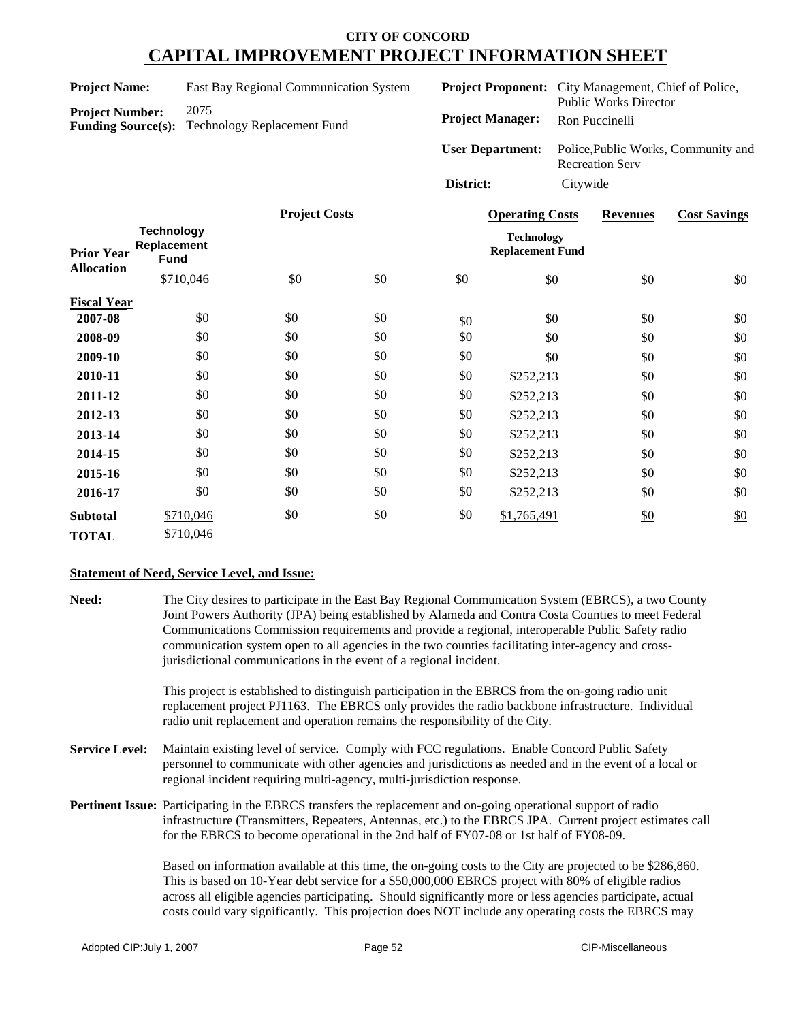| <b>Project Name:</b>   | East Bay Regional Communication System                |
|------------------------|-------------------------------------------------------|
| <b>Project Number:</b> | 2075                                                  |
|                        | <b>Funding Source(s):</b> Technology Replacement Fund |

|                         | <b>Project Proponent:</b> City Management, Chief of Police,<br><b>Public Works Director</b> |
|-------------------------|---------------------------------------------------------------------------------------------|
| <b>Project Manager:</b> | Ron Puccinelli                                                                              |
| <b>User Department:</b> | Police, Public Works, Community and<br><b>Recreation Serv</b>                               |
| District:               | Citywide                                                                                    |

|                    |                                                 | <b>Project Costs</b> |     |     | <b>Operating Costs</b>                       | <b>Revenues</b> | <b>Cost Savings</b> |
|--------------------|-------------------------------------------------|----------------------|-----|-----|----------------------------------------------|-----------------|---------------------|
| <b>Prior Year</b>  | <b>Technology</b><br>Replacement<br><b>Fund</b> |                      |     |     | <b>Technology</b><br><b>Replacement Fund</b> |                 |                     |
| <b>Allocation</b>  | \$710,046                                       | \$0                  | \$0 | \$0 | \$0                                          | \$0             | \$0                 |
| <b>Fiscal Year</b> |                                                 |                      |     |     |                                              |                 |                     |
| 2007-08            | \$0                                             | \$0                  | \$0 | \$0 | \$0                                          | \$0             | \$0                 |
| 2008-09            | \$0                                             | \$0                  | \$0 | \$0 | \$0                                          | \$0             | \$0                 |
| 2009-10            | \$0                                             | \$0                  | \$0 | \$0 | \$0                                          | \$0             | \$0                 |
| 2010-11            | \$0                                             | \$0                  | \$0 | \$0 | \$252,213                                    | \$0             | \$0                 |
| 2011-12            | \$0                                             | \$0                  | \$0 | \$0 | \$252,213                                    | \$0             | \$0                 |
| 2012-13            | \$0                                             | \$0                  | \$0 | \$0 | \$252,213                                    | \$0             | \$0                 |
| 2013-14            | \$0                                             | \$0                  | \$0 | \$0 | \$252,213                                    | \$0             | \$0                 |
| 2014-15            | \$0                                             | \$0                  | \$0 | \$0 | \$252,213                                    | \$0             | \$0                 |
| 2015-16            | \$0                                             | \$0                  | \$0 | \$0 | \$252,213                                    | \$0             | \$0                 |
| 2016-17            | \$0                                             | \$0                  | \$0 | \$0 | \$252,213                                    | \$0             | \$0                 |
| <b>Subtotal</b>    | \$710,046                                       | \$0                  | \$0 | \$0 | \$1,765,491                                  | \$0             | \$0                 |
| <b>TOTAL</b>       | \$710,046                                       |                      |     |     |                                              |                 |                     |

#### **Statement of Need, Service Level, and Issue:**

**Need:** The City desires to participate in the East Bay Regional Communication System (EBRCS), a two County Joint Powers Authority (JPA) being established by Alameda and Contra Costa Counties to meet Federal Communications Commission requirements and provide a regional, interoperable Public Safety radio communication system open to all agencies in the two counties facilitating inter-agency and crossjurisdictional communications in the event of a regional incident.

> This project is established to distinguish participation in the EBRCS from the on-going radio unit replacement project PJ1163. The EBRCS only provides the radio backbone infrastructure. Individual radio unit replacement and operation remains the responsibility of the City.

- **Service Level:** Maintain existing level of service. Comply with FCC regulations. Enable Concord Public Safety personnel to communicate with other agencies and jurisdictions as needed and in the event of a local or regional incident requiring multi-agency, multi-jurisdiction response.
- **Pertinent Issue:** Participating in the EBRCS transfers the replacement and on-going operational support of radio infrastructure (Transmitters, Repeaters, Antennas, etc.) to the EBRCS JPA. Current project estimates call for the EBRCS to become operational in the 2nd half of FY07-08 or 1st half of FY08-09.

Based on information available at this time, the on-going costs to the City are projected to be \$286,860. This is based on 10-Year debt service for a \$50,000,000 EBRCS project with 80% of eligible radios across all eligible agencies participating. Should significantly more or less agencies participate, actual costs could vary significantly. This projection does NOT include any operating costs the EBRCS may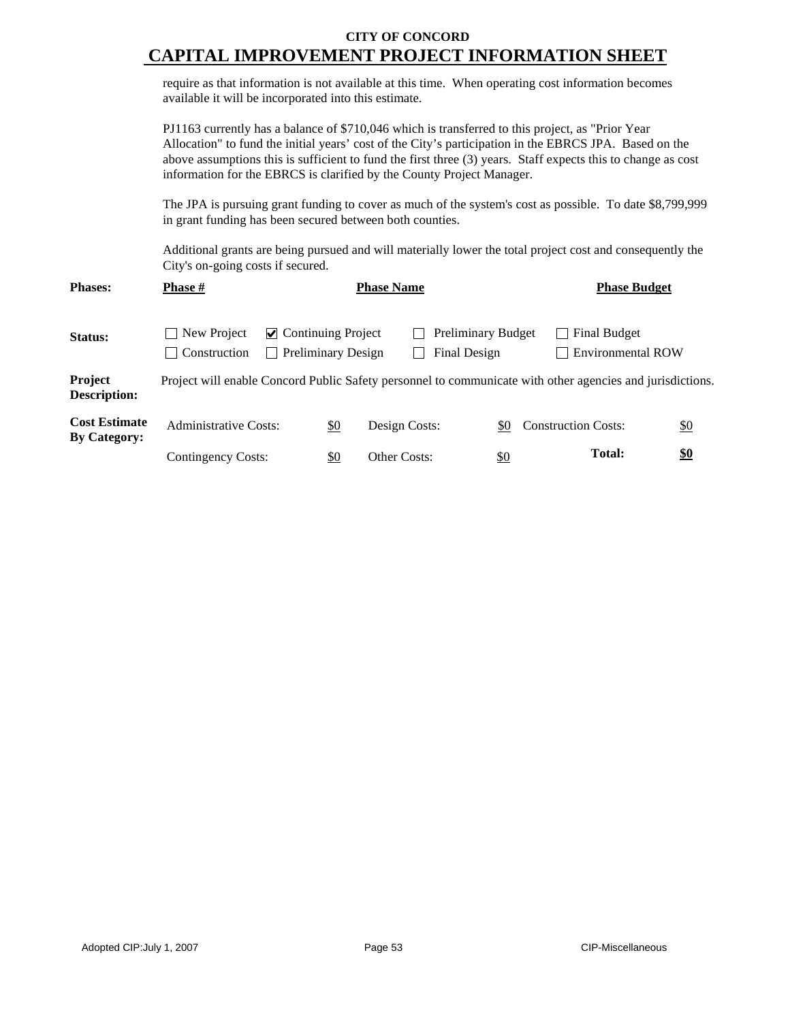|                                             | require as that information is not available at this time. When operating cost information becomes<br>available it will be incorporated into this estimate.                                                                                                                                                                                                                                                                                                                                                                                                                  |                           |                   |                                           |                                                 |                   |
|---------------------------------------------|------------------------------------------------------------------------------------------------------------------------------------------------------------------------------------------------------------------------------------------------------------------------------------------------------------------------------------------------------------------------------------------------------------------------------------------------------------------------------------------------------------------------------------------------------------------------------|---------------------------|-------------------|-------------------------------------------|-------------------------------------------------|-------------------|
|                                             | PJ1163 currently has a balance of \$710,046 which is transferred to this project, as "Prior Year"<br>Allocation" to fund the initial years' cost of the City's participation in the EBRCS JPA. Based on the<br>above assumptions this is sufficient to fund the first three (3) years. Staff expects this to change as cost<br>information for the EBRCS is clarified by the County Project Manager.<br>The JPA is pursuing grant funding to cover as much of the system's cost as possible. To date \$8,799,999<br>in grant funding has been secured between both counties. |                           |                   |                                           |                                                 |                   |
|                                             |                                                                                                                                                                                                                                                                                                                                                                                                                                                                                                                                                                              |                           |                   |                                           |                                                 |                   |
|                                             | Additional grants are being pursued and will materially lower the total project cost and consequently the<br>City's on-going costs if secured.                                                                                                                                                                                                                                                                                                                                                                                                                               |                           |                   |                                           |                                                 |                   |
| <b>Phases:</b>                              | Phase #                                                                                                                                                                                                                                                                                                                                                                                                                                                                                                                                                                      |                           | <b>Phase Name</b> |                                           | <b>Phase Budget</b>                             |                   |
| Status:                                     | $\triangleright$ Continuing Project<br>New Project<br>Construction                                                                                                                                                                                                                                                                                                                                                                                                                                                                                                           | <b>Preliminary Design</b> |                   | <b>Preliminary Budget</b><br>Final Design | <b>Final Budget</b><br><b>Environmental ROW</b> |                   |
| Project<br><b>Description:</b>              | Project will enable Concord Public Safety personnel to communicate with other agencies and jurisdictions.                                                                                                                                                                                                                                                                                                                                                                                                                                                                    |                           |                   |                                           |                                                 |                   |
| <b>Cost Estimate</b><br><b>By Category:</b> | <b>Administrative Costs:</b>                                                                                                                                                                                                                                                                                                                                                                                                                                                                                                                                                 | \$0                       | Design Costs:     | \$0                                       | <b>Construction Costs:</b>                      | $\underline{\$0}$ |
|                                             | Contingency Costs:                                                                                                                                                                                                                                                                                                                                                                                                                                                                                                                                                           | \$0                       | Other Costs:      | \$0                                       | <b>Total:</b>                                   | $\underline{\$0}$ |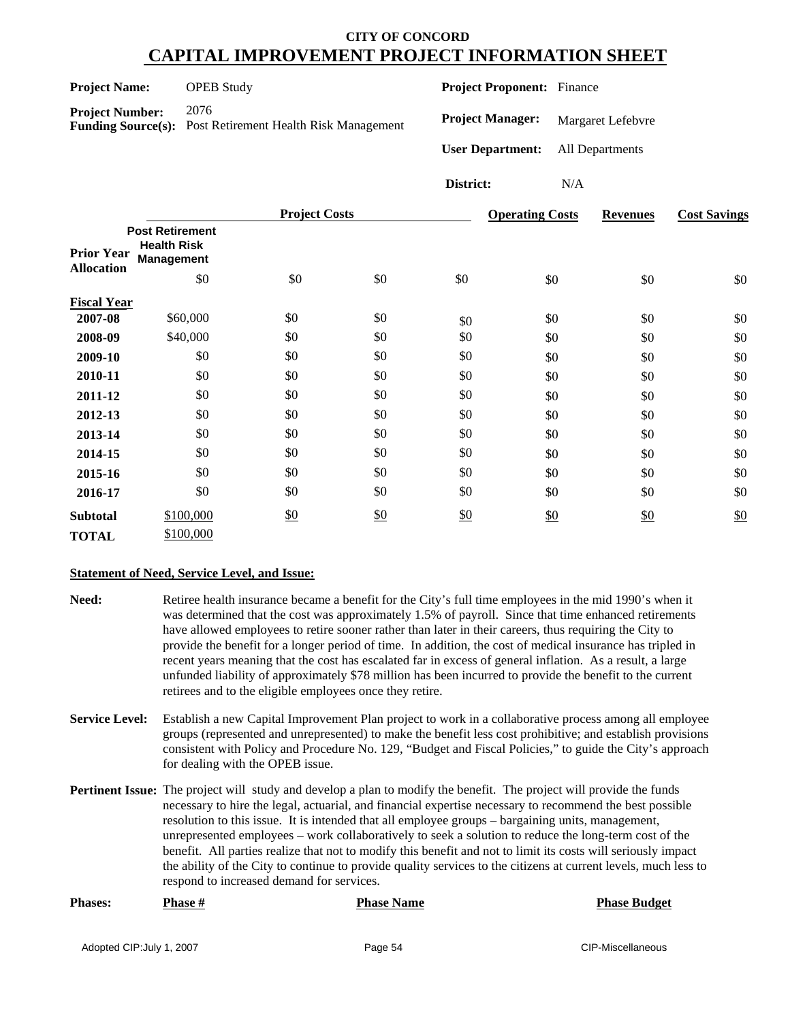| <b>Project Name:</b>   | <b>OPEB</b> Study                                                        | <b>Project Proponent:</b> Finance       |                   |
|------------------------|--------------------------------------------------------------------------|-----------------------------------------|-------------------|
| <b>Project Number:</b> | 2076<br><b>Funding Source(s):</b> Post Retirement Health Risk Management | <b>Project Manager:</b>                 | Margaret Lefebvre |
|                        |                                                                          | <b>User Department:</b> All Departments |                   |
|                        |                                                                          | District:                               | N/A               |

|                                        |                                                                          | <b>Project Costs</b> |     |     | <b>Operating Costs</b> | <b>Revenues</b> | <b>Cost Savings</b> |
|----------------------------------------|--------------------------------------------------------------------------|----------------------|-----|-----|------------------------|-----------------|---------------------|
| <b>Prior Year</b><br><b>Allocation</b> | <b>Post Retirement</b><br><b>Health Risk</b><br><b>Management</b><br>\$0 | \$0                  | \$0 | \$0 |                        |                 |                     |
|                                        |                                                                          |                      |     |     | \$0                    | \$0             | \$0                 |
| <b>Fiscal Year</b>                     |                                                                          |                      |     |     |                        |                 |                     |
| 2007-08                                | \$60,000                                                                 | \$0                  | \$0 | \$0 | \$0                    | \$0             | \$0                 |
| 2008-09                                | \$40,000                                                                 | \$0                  | \$0 | \$0 | \$0                    | \$0             | \$0                 |
| 2009-10                                | \$0                                                                      | \$0                  | \$0 | \$0 | \$0                    | \$0             | \$0                 |
| 2010-11                                | \$0                                                                      | \$0                  | \$0 | \$0 | \$0                    | \$0             | \$0                 |
| 2011-12                                | \$0                                                                      | \$0                  | \$0 | \$0 | \$0                    | \$0             | \$0                 |
| 2012-13                                | \$0                                                                      | \$0                  | \$0 | \$0 | \$0                    | \$0             | \$0                 |
| 2013-14                                | \$0                                                                      | \$0                  | \$0 | \$0 | \$0                    | \$0             | \$0                 |
| 2014-15                                | \$0                                                                      | \$0                  | \$0 | \$0 | \$0                    | \$0             | \$0                 |
| 2015-16                                | \$0                                                                      | \$0                  | \$0 | \$0 | \$0                    | \$0             | \$0                 |
| 2016-17                                | \$0                                                                      | \$0                  | \$0 | \$0 | \$0                    | \$0             | \$0                 |
| <b>Subtotal</b>                        | \$100,000                                                                | \$0                  | \$0 | \$0 | \$0                    | \$0             | \$0                 |
| <b>TOTAL</b>                           | \$100,000                                                                |                      |     |     |                        |                 |                     |

#### **Statement of Need, Service Level, and Issue:**

- **Need:** Retiree health insurance became a benefit for the City's full time employees in the mid 1990's when it was determined that the cost was approximately 1.5% of payroll. Since that time enhanced retirements have allowed employees to retire sooner rather than later in their careers, thus requiring the City to provide the benefit for a longer period of time. In addition, the cost of medical insurance has tripled in recent years meaning that the cost has escalated far in excess of general inflation. As a result, a large unfunded liability of approximately \$78 million has been incurred to provide the benefit to the current retirees and to the eligible employees once they retire.
- **Service Level:** Establish a new Capital Improvement Plan project to work in a collaborative process among all employee groups (represented and unrepresented) to make the benefit less cost prohibitive; and establish provisions consistent with Policy and Procedure No. 129, "Budget and Fiscal Policies," to guide the City's approach for dealing with the OPEB issue.
- **Pertinent Issue:** The project will study and develop a plan to modify the benefit. The project will provide the funds necessary to hire the legal, actuarial, and financial expertise necessary to recommend the best possible resolution to this issue. It is intended that all employee groups – bargaining units, management, unrepresented employees – work collaboratively to seek a solution to reduce the long-term cost of the benefit. All parties realize that not to modify this benefit and not to limit its costs will seriously impact the ability of the City to continue to provide quality services to the citizens at current levels, much less to respond to increased demand for services.

| <b>Phases:</b> | <b>Phase #</b> | <b>Phase Name</b> | <b>Phase Budget</b> |
|----------------|----------------|-------------------|---------------------|
|                |                |                   |                     |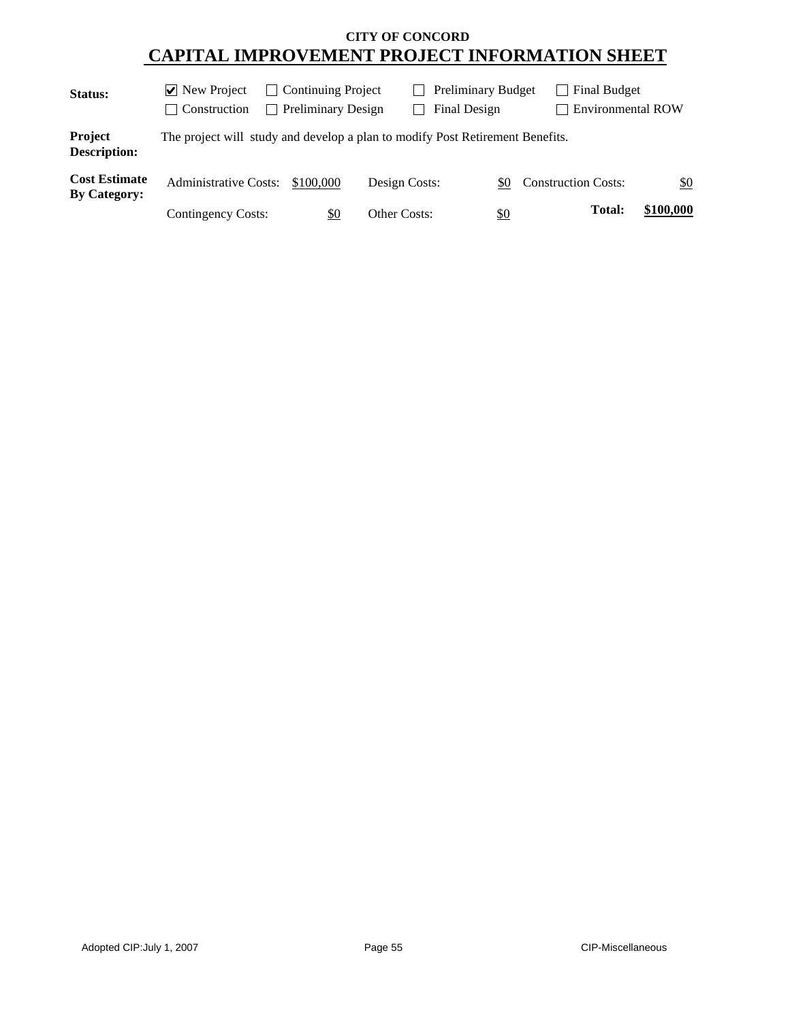| Status:                                     | $ v $ New Project<br>  Construction                                           | <b>Continuing Project</b><br>$\mathbf{L}$<br><b>Preliminary Design</b> |               | <b>Preliminary Budget</b><br>Final Design | Final Budget<br><b>Environmental ROW</b> |           |
|---------------------------------------------|-------------------------------------------------------------------------------|------------------------------------------------------------------------|---------------|-------------------------------------------|------------------------------------------|-----------|
| Project<br><b>Description:</b>              | The project will study and develop a plan to modify Post Retirement Benefits. |                                                                        |               |                                           |                                          |           |
| <b>Cost Estimate</b><br><b>By Category:</b> | <b>Administrative Costs:</b>                                                  | \$100,000                                                              | Design Costs: | \$0                                       | <b>Construction Costs:</b>               | \$0       |
|                                             | Contingency Costs:                                                            | \$0                                                                    | Other Costs:  | $\frac{1}{2}$                             | Total:                                   | \$100,000 |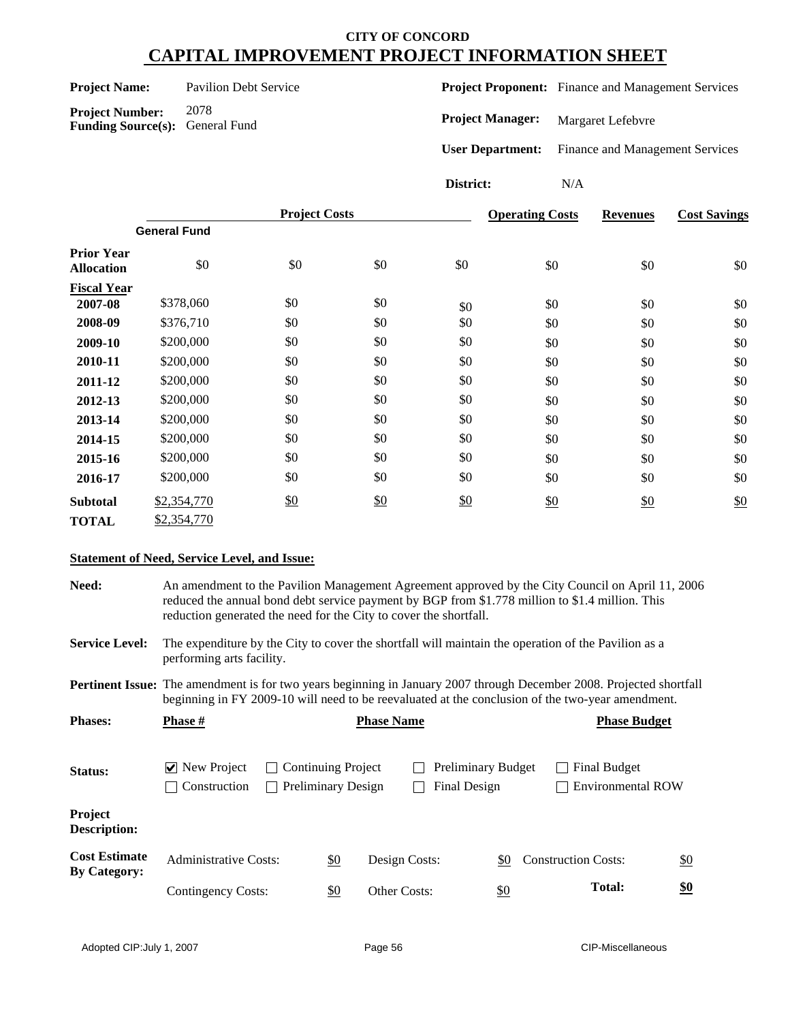| <b>Project Name:</b> |  |
|----------------------|--|
|----------------------|--|

**Project Number:** 2078

**Funding Source(s):** General Fund

**Pavilion Debt Service** 

**Project Proponent:** Finance and Management Services

**Project Manager:** Margaret Lefebvre

**User Department:** Finance and Management Services

**District:** N/A

|                                        |                     | <b>Project Costs</b> |     |     | <b>Operating Costs</b> | <b>Revenues</b> | <b>Cost Savings</b> |
|----------------------------------------|---------------------|----------------------|-----|-----|------------------------|-----------------|---------------------|
|                                        | <b>General Fund</b> |                      |     |     |                        |                 |                     |
| <b>Prior Year</b><br><b>Allocation</b> | \$0                 | \$0                  | \$0 | \$0 | \$0                    | \$0             | \$0                 |
| <b>Fiscal Year</b>                     |                     |                      |     |     |                        |                 |                     |
| 2007-08                                | \$378,060           | \$0                  | \$0 | \$0 | \$0                    | \$0             | \$0                 |
| 2008-09                                | \$376,710           | \$0                  | \$0 | \$0 | \$0                    | \$0             | \$0                 |
| 2009-10                                | \$200,000           | \$0                  | \$0 | \$0 | \$0                    | \$0             | \$0                 |
| 2010-11                                | \$200,000           | \$0                  | \$0 | \$0 | \$0                    | \$0             | \$0                 |
| 2011-12                                | \$200,000           | \$0                  | \$0 | \$0 | \$0                    | \$0             | \$0                 |
| 2012-13                                | \$200,000           | \$0                  | \$0 | \$0 | \$0                    | \$0             | \$0                 |
| 2013-14                                | \$200,000           | \$0                  | \$0 | \$0 | \$0                    | \$0             | \$0                 |
| 2014-15                                | \$200,000           | \$0                  | \$0 | \$0 | \$0                    | \$0             | \$0                 |
| 2015-16                                | \$200,000           | \$0                  | \$0 | \$0 | \$0                    | \$0             | \$0                 |
| 2016-17                                | \$200,000           | \$0                  | \$0 | \$0 | \$0                    | \$0             | \$0                 |
| <b>Subtotal</b>                        | \$2,354,770         | \$0                  | \$0 | \$0 | \$0                    | \$0             | \$0                 |
| <b>TOTAL</b>                           | \$2,354,770         |                      |     |     |                        |                 |                     |

#### **Statement of Need, Service Level, and Issue:**

| <b>Need:</b>                                | An amendment to the Pavilion Management Agreement approved by the City Council on April 11, 2006<br>reduced the annual bond debt service payment by BGP from \$1.778 million to \$1.4 million. This<br>reduction generated the need for the City to cover the shortfall. |                                                                                                                                  |                                                 |                   |                                           |                            |                                                 |                   |  |
|---------------------------------------------|--------------------------------------------------------------------------------------------------------------------------------------------------------------------------------------------------------------------------------------------------------------------------|----------------------------------------------------------------------------------------------------------------------------------|-------------------------------------------------|-------------------|-------------------------------------------|----------------------------|-------------------------------------------------|-------------------|--|
| <b>Service Level:</b>                       |                                                                                                                                                                                                                                                                          | The expenditure by the City to cover the shortfall will maintain the operation of the Pavilion as a<br>performing arts facility. |                                                 |                   |                                           |                            |                                                 |                   |  |
|                                             | <b>Pertinent Issue:</b> The amendment is for two years beginning in January 2007 through December 2008. Projected shortfall<br>beginning in FY 2009-10 will need to be reevaluated at the conclusion of the two-year amendment.                                          |                                                                                                                                  |                                                 |                   |                                           |                            |                                                 |                   |  |
| <b>Phases:</b>                              | <b>Phase</b> $#$                                                                                                                                                                                                                                                         |                                                                                                                                  |                                                 | <b>Phase Name</b> |                                           |                            | <b>Phase Budget</b>                             |                   |  |
| Status:                                     | $\vee$ New Project<br>Construction                                                                                                                                                                                                                                       |                                                                                                                                  | Continuing Project<br><b>Preliminary Design</b> |                   | <b>Preliminary Budget</b><br>Final Design |                            | <b>Final Budget</b><br><b>Environmental ROW</b> |                   |  |
| Project<br>Description:                     |                                                                                                                                                                                                                                                                          |                                                                                                                                  |                                                 |                   |                                           |                            |                                                 |                   |  |
| <b>Cost Estimate</b><br><b>By Category:</b> | <b>Administrative Costs:</b>                                                                                                                                                                                                                                             |                                                                                                                                  | <u>\$0</u>                                      | Design Costs:     | \$0                                       | <b>Construction Costs:</b> |                                                 | $\underline{\$0}$ |  |
|                                             | Contingency Costs:                                                                                                                                                                                                                                                       |                                                                                                                                  | \$0                                             | Other Costs:      | \$0                                       |                            | <b>Total:</b>                                   | <u>\$0</u>        |  |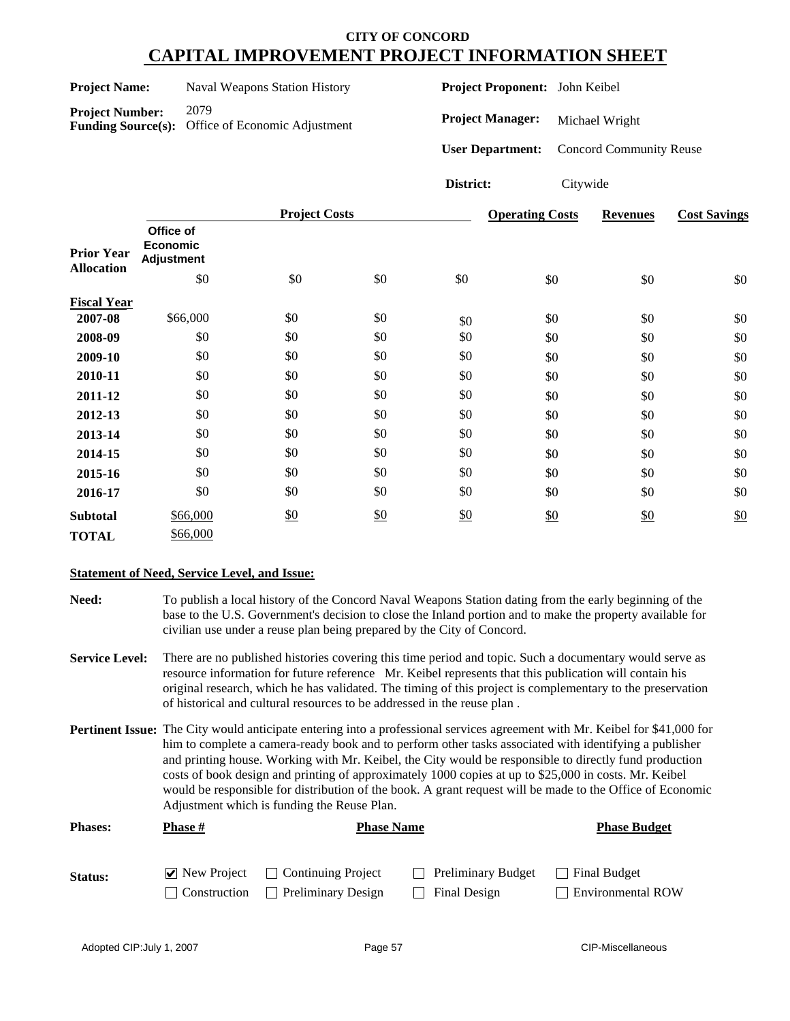| <b>Project Name:</b>                                                                         |                                                   |          | Naval Weapons Station History             |     |                         | Project Proponent: John Keibel |                                |                     |
|----------------------------------------------------------------------------------------------|---------------------------------------------------|----------|-------------------------------------------|-----|-------------------------|--------------------------------|--------------------------------|---------------------|
| 2079<br><b>Project Number:</b><br><b>Funding Source(s):</b><br>Office of Economic Adjustment |                                                   |          | <b>Project Manager:</b><br>Michael Wright |     |                         |                                |                                |                     |
|                                                                                              |                                                   |          |                                           |     | <b>User Department:</b> |                                | <b>Concord Community Reuse</b> |                     |
|                                                                                              |                                                   |          |                                           |     | District:               | Citywide                       |                                |                     |
|                                                                                              |                                                   |          | <b>Project Costs</b>                      |     |                         | <b>Operating Costs</b>         | <b>Revenues</b>                | <b>Cost Savings</b> |
| <b>Prior Year</b>                                                                            | Office of<br><b>Economic</b><br><b>Adjustment</b> |          |                                           |     |                         |                                |                                |                     |
| <b>Allocation</b>                                                                            |                                                   | \$0      | \$0                                       | \$0 | \$0                     | \$0                            | \$0                            | \$0                 |
| <b>Fiscal Year</b>                                                                           |                                                   |          |                                           |     |                         |                                |                                |                     |
| 2007-08                                                                                      |                                                   | \$66,000 | \$0                                       | \$0 | \$0                     | \$0                            | \$0                            | \$0                 |
| 2008-09                                                                                      |                                                   | \$0      | \$0                                       | \$0 | \$0                     | \$0                            | \$0                            | \$0                 |
| 2009-10                                                                                      |                                                   | \$0      | \$0                                       | \$0 | \$0                     | \$0                            | \$0                            | \$0                 |
| 2010-11                                                                                      |                                                   | \$0      | \$0                                       | \$0 | \$0                     | \$0                            | \$0                            | \$0                 |
| 2011-12                                                                                      |                                                   | \$0      | \$0                                       | \$0 | \$0                     | \$0                            | \$0                            | \$0                 |
| 2012-13                                                                                      |                                                   | \$0      | \$0                                       | \$0 | \$0                     | \$0                            | \$0                            | \$0                 |
| 2013-14                                                                                      |                                                   | \$0      | \$0                                       | \$0 | \$0                     | \$0                            | \$0                            | \$0                 |
| 2014-15                                                                                      |                                                   | \$0      | \$0                                       | \$0 | \$0                     | \$0                            | \$0                            | \$0                 |
| 2015-16                                                                                      |                                                   | \$0      | \$0                                       | \$0 | \$0                     | \$0                            | \$0                            | \$0                 |
| 2016-17                                                                                      |                                                   | \$0      | \$0                                       | \$0 | \$0                     | \$0                            | \$0                            | \$0                 |

#### **Statement of Need, Service Level, and Issue:**

\$66,000

\$0

**Subtotal**

**TOTAL** \$66,000

**Need:** To publish a local history of the Concord Naval Weapons Station dating from the early beginning of the base to the U.S. Government's decision to close the Inland portion and to make the property available for civilian use under a reuse plan being prepared by the City of Concord.

- **Service Level:** There are no published histories covering this time period and topic. Such a documentary would serve as resource information for future reference Mr. Keibel represents that this publication will contain his original research, which he has validated. The timing of this project is complementary to the preservation of historical and cultural resources to be addressed in the reuse plan .
- **Pertinent Issue:** The City would anticipate entering into a professional services agreement with Mr. Keibel for \$41,000 for him to complete a camera-ready book and to perform other tasks associated with identifying a publisher and printing house. Working with Mr. Keibel, the City would be responsible to directly fund production costs of book design and printing of approximately 1000 copies at up to \$25,000 in costs. Mr. Keibel would be responsible for distribution of the book. A grant request will be made to the Office of Economic Adjustment which is funding the Reuse Plan.

| <b>Phases:</b> | <b>Phase #</b> | <b>Phase Name</b>                                        | <b>Phase Budget</b>       |                          |
|----------------|----------------|----------------------------------------------------------|---------------------------|--------------------------|
| <b>Status:</b> |                | $\triangledown$ New Project $\square$ Continuing Project | <b>Preliminary Budget</b> | Final Budget             |
|                |                | $\Box$ Construction $\Box$ Preliminary Design            | Final Design              | <b>Environmental ROW</b> |

\$0 \$0 \$0 \$0

\$0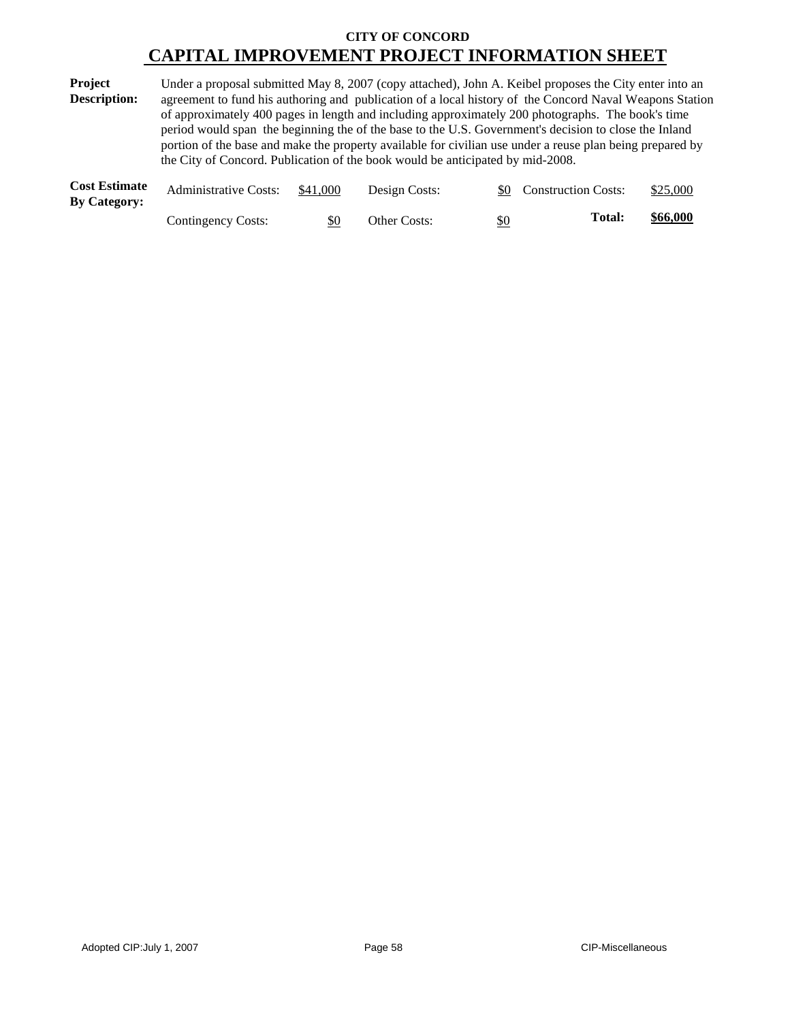| Project             | Under a proposal submitted May 8, 2007 (copy attached), John A. Keibel proposes the City enter into an    |
|---------------------|-----------------------------------------------------------------------------------------------------------|
| <b>Description:</b> | agreement to fund his authoring and publication of a local history of the Concord Naval Weapons Station   |
|                     | of approximately 400 pages in length and including approximately 200 photographs. The book's time         |
|                     | period would span the beginning the of the base to the U.S. Government's decision to close the Inland     |
|                     | portion of the base and make the property available for civilian use under a reuse plan being prepared by |
|                     | the City of Concord. Publication of the book would be anticipated by mid-2008.                            |
|                     |                                                                                                           |

| <b>Cost Estimate</b><br><b>By Category:</b> | <b>Administrative Costs:</b> | \$41,000 | Design Costs:       |            | <b>Construction Costs:</b> | \$25,000 |
|---------------------------------------------|------------------------------|----------|---------------------|------------|----------------------------|----------|
|                                             | Contingency Costs:           | \$0      | <b>Other Costs:</b> | <u>\$0</u> | Total:                     | \$66,000 |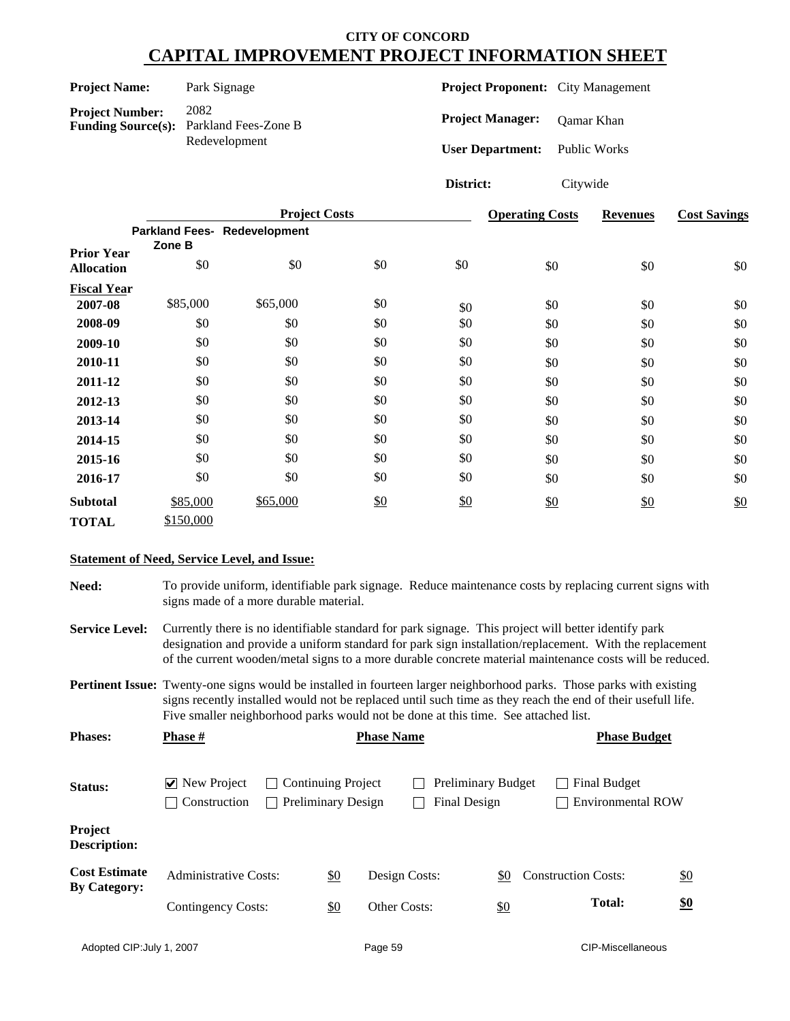| <b>Project Name:</b>   | Park Signage                                           | <b>Project Proponent:</b> City Management |              |
|------------------------|--------------------------------------------------------|-------------------------------------------|--------------|
| <b>Project Number:</b> | 2082<br><b>Funding Source(s):</b> Parkland Fees-Zone B | <b>Project Manager:</b>                   | Qamar Khan   |
|                        | Redevelopment                                          | <b>User Department:</b>                   | Public Works |

**District:** Citywide

|                    |           | <b>Project Costs</b>         |     | <b>Operating Costs</b> | <b>Revenues</b> | <b>Cost Savings</b> |     |
|--------------------|-----------|------------------------------|-----|------------------------|-----------------|---------------------|-----|
| <b>Prior Year</b>  | Zone B    | Parkland Fees- Redevelopment |     |                        |                 |                     |     |
| <b>Allocation</b>  | \$0       | \$0                          | \$0 | \$0                    | \$0             | \$0                 | \$0 |
| <b>Fiscal Year</b> |           |                              |     |                        |                 |                     |     |
| 2007-08            | \$85,000  | \$65,000                     | \$0 | \$0                    | \$0             | \$0                 | \$0 |
| 2008-09            | \$0       | \$0                          | \$0 | \$0                    | \$0             | \$0                 | \$0 |
| 2009-10            | \$0       | \$0                          | \$0 | \$0                    | \$0             | \$0                 | \$0 |
| 2010-11            | \$0       | \$0                          | \$0 | \$0                    | \$0             | \$0                 | \$0 |
| 2011-12            | \$0       | \$0                          | \$0 | \$0                    | \$0             | \$0                 | \$0 |
| 2012-13            | \$0       | \$0                          | \$0 | \$0                    | \$0             | \$0                 | \$0 |
| 2013-14            | \$0       | \$0                          | \$0 | \$0                    | \$0             | \$0                 | \$0 |
| 2014-15            | \$0       | \$0                          | \$0 | \$0                    | \$0             | \$0                 | \$0 |
| 2015-16            | \$0       | \$0                          | \$0 | \$0                    | \$0             | \$0                 | \$0 |
| 2016-17            | \$0       | \$0                          | \$0 | \$0                    | \$0             | \$0                 | \$0 |
| <b>Subtotal</b>    | \$85,000  | \$65,000                     | \$0 | \$0                    | \$0             | \$0                 | \$0 |
| <b>TOTAL</b>       | \$150,000 |                              |     |                        |                 |                     |     |

#### **Statement of Need, Service Level, and Issue:**

**Need:** To provide uniform, identifiable park signage. Reduce maintenance costs by replacing current signs with signs made of a more durable material.

**Service Level:** Currently there is no identifiable standard for park signage. This project will better identify park designation and provide a uniform standard for park sign installation/replacement. With the replacement of the current wooden/metal signs to a more durable concrete material maintenance costs will be reduced.

**Pertinent Issue:** Twenty-one signs would be installed in fourteen larger neighborhood parks. Those parks with existing signs recently installed would not be replaced until such time as they reach the end of their usefull life. Five smaller neighborhood parks would not be done at this time. See attached list.

| <b>Phases:</b>                              | <b>Phase #</b>                     |              |                                                 | <b>Phase Name</b>   |                                                  |               | <b>Phase Budget</b>                      |                   |
|---------------------------------------------|------------------------------------|--------------|-------------------------------------------------|---------------------|--------------------------------------------------|---------------|------------------------------------------|-------------------|
| Status:                                     | $\vee$ New Project<br>Construction | $\mathbf{I}$ | Continuing Project<br><b>Preliminary Design</b> |                     | <b>Preliminary Budget</b><br><b>Final Design</b> |               | Final Budget<br><b>Environmental ROW</b> |                   |
| Project<br><b>Description:</b>              |                                    |              |                                                 |                     |                                                  |               |                                          |                   |
| <b>Cost Estimate</b><br><b>By Category:</b> | <b>Administrative Costs:</b>       |              | $\underline{\$0}$                               | Design Costs:       |                                                  | \$0           | <b>Construction Costs:</b>               | $\underline{\$0}$ |
|                                             | Contingency Costs:                 |              | $\underline{\$0}$                               | <b>Other Costs:</b> |                                                  | $\frac{$0}{}$ | <b>Total:</b>                            | \$0               |
|                                             |                                    |              |                                                 |                     |                                                  |               |                                          |                   |

| Adopted CIP: July 1, 2007 |  |  |  |
|---------------------------|--|--|--|
|---------------------------|--|--|--|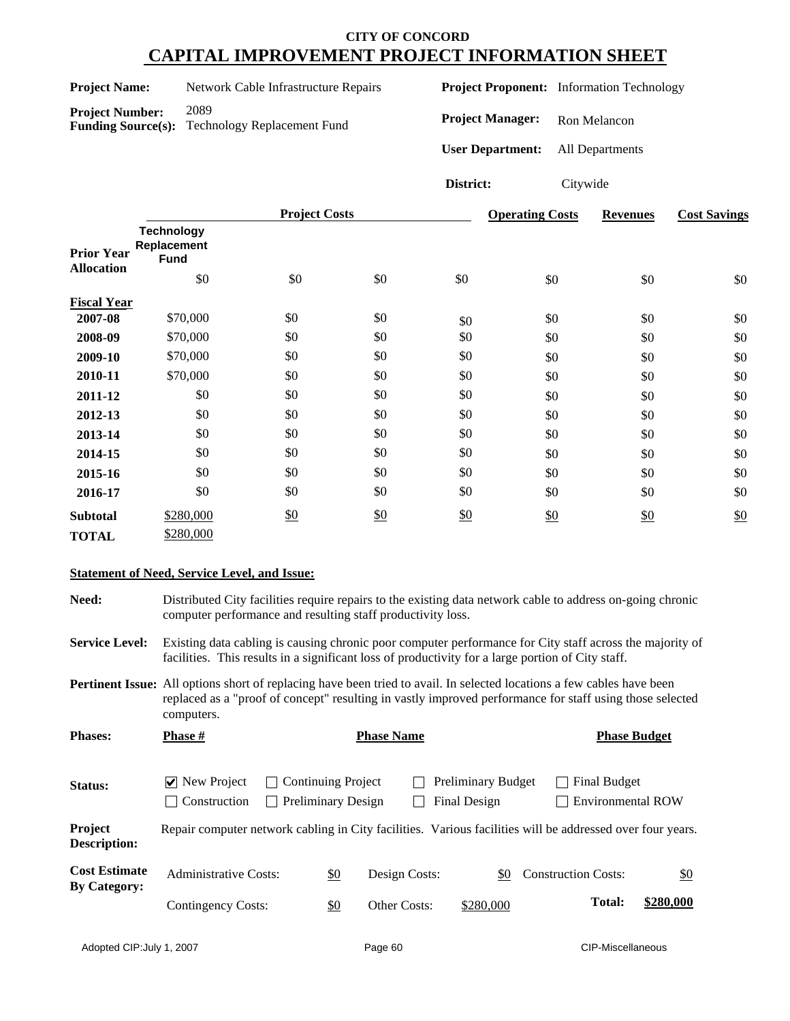| <b>Project Name:</b>   | Network Cable Infrastructure Repairs |
|------------------------|--------------------------------------|
| <b>Project Number:</b> | 2089                                 |

**Funding Source(s):** Technology Replacement Fund

**Project Proponent:** Information Technology

**Project Manager:** Ron Melancon

**User Department:** All Departments

**District:** Citywide

|                                        |                                                        | <b>Project Costs</b> |     |     | <b>Operating Costs</b> | <b>Revenues</b> | <b>Cost Savings</b> |
|----------------------------------------|--------------------------------------------------------|----------------------|-----|-----|------------------------|-----------------|---------------------|
| <b>Prior Year</b><br><b>Allocation</b> | <b>Technology</b><br>Replacement<br><b>Fund</b><br>\$0 | \$0                  | \$0 | \$0 | \$0                    | \$0             | \$0                 |
|                                        |                                                        |                      |     |     |                        |                 |                     |
| <b>Fiscal Year</b>                     |                                                        |                      |     |     |                        |                 |                     |
| 2007-08                                | \$70,000                                               | \$0                  | \$0 | \$0 | \$0                    | \$0             | \$0                 |
| 2008-09                                | \$70,000                                               | \$0                  | \$0 | \$0 | \$0                    | \$0             | \$0                 |
| 2009-10                                | \$70,000                                               | \$0                  | \$0 | \$0 | \$0                    | \$0             | \$0                 |
| 2010-11                                | \$70,000                                               | \$0                  | \$0 | \$0 | \$0                    | \$0             | \$0                 |
| 2011-12                                | \$0                                                    | \$0                  | \$0 | \$0 | \$0                    | \$0             | \$0                 |
| 2012-13                                | \$0                                                    | \$0                  | \$0 | \$0 | \$0                    | \$0             | \$0                 |
| 2013-14                                | \$0                                                    | \$0                  | \$0 | \$0 | \$0                    | \$0             | \$0                 |
| 2014-15                                | \$0                                                    | \$0                  | \$0 | \$0 | \$0                    | \$0             | \$0                 |
| 2015-16                                | \$0                                                    | \$0                  | \$0 | \$0 | \$0                    | \$0             | \$0                 |
| 2016-17                                | \$0                                                    | \$0                  | \$0 | \$0 | \$0                    | \$0             | \$0                 |
| <b>Subtotal</b>                        | \$280,000                                              | \$0                  | \$0 | \$0 | \$0                    | \$0             | \$0                 |
| <b>TOTAL</b>                           | \$280,000                                              |                      |     |     |                        |                 |                     |

#### **Statement of Need, Service Level, and Issue:**

**Need:** Distributed City facilities require repairs to the existing data network cable to address on-going chronic computer performance and resulting staff productivity loss.

**Service Level:** Existing data cabling is causing chronic poor computer performance for City staff across the majority of facilities. This results in a significant loss of productivity for a large portion of City staff.

**Pertinent Issue:** All options short of replacing have been tried to avail. In selected locations a few cables have been replaced as a "proof of concept" resulting in vastly improved performance for staff using those selected computers.

| <b>Phases:</b>                              | <b>Phase</b> #                                                                                            |                           |                           | <b>Phase Name</b> |                                           | <b>Phase Budget</b>                      |           |
|---------------------------------------------|-----------------------------------------------------------------------------------------------------------|---------------------------|---------------------------|-------------------|-------------------------------------------|------------------------------------------|-----------|
| <b>Status:</b>                              | $\vee$ New Project<br>Construction                                                                        | $\Box$ Continuing Project | <b>Preliminary Design</b> |                   | <b>Preliminary Budget</b><br>Final Design | Final Budget<br><b>Environmental ROW</b> |           |
| Project<br><b>Description:</b>              | Repair computer network cabling in City facilities. Various facilities will be addressed over four years. |                           |                           |                   |                                           |                                          |           |
| <b>Cost Estimate</b><br><b>By Category:</b> | <b>Administrative Costs:</b>                                                                              |                           | \$0                       | Design Costs:     | \$0                                       | <b>Construction Costs:</b>               | \$0       |
|                                             | Contingency Costs:                                                                                        |                           | <u>\$0</u>                | Other Costs:      | \$280,000                                 | <b>Total:</b>                            | \$280,000 |
|                                             |                                                                                                           |                           |                           |                   |                                           |                                          |           |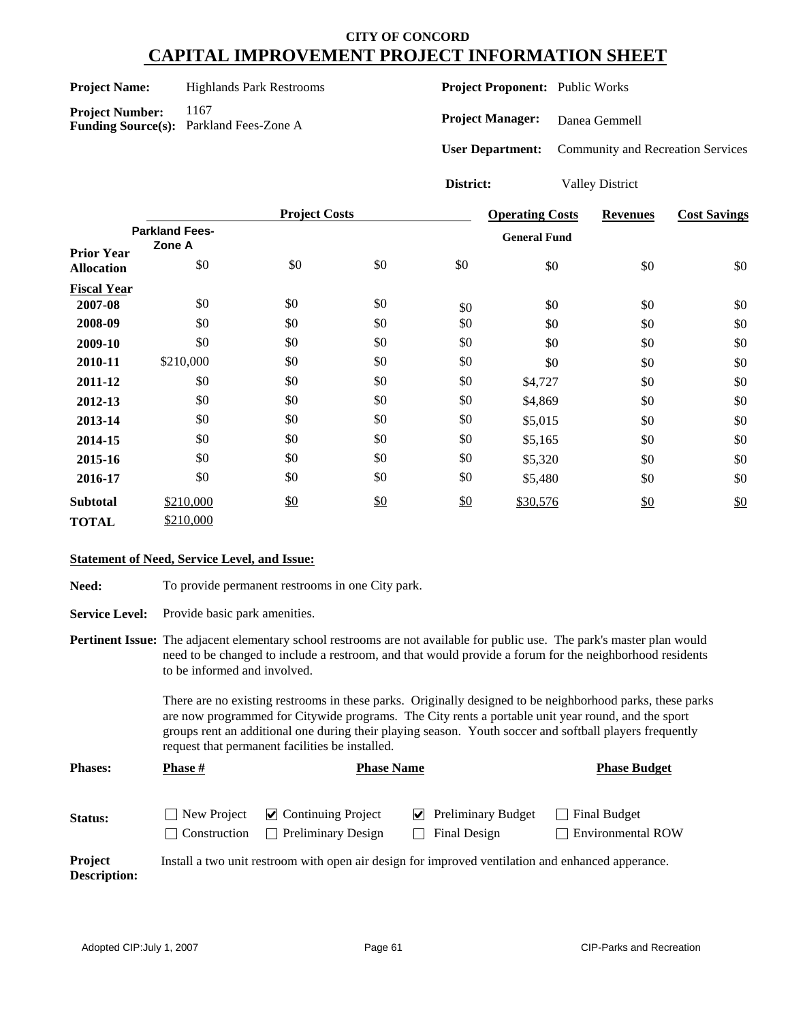#### Project Name: Highlands Park Restrooms

Project Number: 1167 **Funding Source(s):** Parkland Fees-Zone A **Project Proponent:** Public Works

**Project Manager:** Danea Gemmell

**User Department:** Community and Recreation Services

**District:** Valley District

|                    |                       | <b>Project Costs</b> |     |     | <b>Operating Costs</b> | <b>Revenues</b> | <b>Cost Savings</b> |
|--------------------|-----------------------|----------------------|-----|-----|------------------------|-----------------|---------------------|
|                    | <b>Parkland Fees-</b> |                      |     |     | <b>General Fund</b>    |                 |                     |
| <b>Prior Year</b>  | Zone A                |                      |     |     |                        |                 |                     |
| <b>Allocation</b>  | \$0                   | \$0                  | \$0 | \$0 | \$0                    | \$0             | \$0                 |
| <b>Fiscal Year</b> |                       |                      |     |     |                        |                 |                     |
| 2007-08            | \$0                   | \$0                  | \$0 | \$0 | \$0                    | \$0             | \$0                 |
| 2008-09            | \$0                   | \$0                  | \$0 | \$0 | \$0                    | \$0             | \$0                 |
| 2009-10            | \$0                   | \$0                  | \$0 | \$0 | \$0                    | \$0             | \$0                 |
| 2010-11            | \$210,000             | \$0                  | \$0 | \$0 | \$0                    | \$0             | \$0                 |
| 2011-12            | \$0                   | \$0                  | \$0 | \$0 | \$4,727                | \$0             | \$0                 |
| 2012-13            | \$0                   | \$0                  | \$0 | \$0 | \$4,869                | \$0             | \$0                 |
| 2013-14            | \$0                   | \$0                  | \$0 | \$0 | \$5,015                | \$0             | \$0                 |
| 2014-15            | \$0                   | \$0                  | \$0 | \$0 | \$5,165                | \$0             | \$0                 |
| 2015-16            | \$0                   | \$0                  | \$0 | \$0 | \$5,320                | \$0             | \$0                 |
| 2016-17            | \$0                   | \$0                  | \$0 | \$0 | \$5,480                | \$0             | \$0                 |
| <b>Subtotal</b>    | \$210,000             | \$0                  | \$0 | \$0 | \$30,576               | \$0             | \$0                 |
| <b>TOTAL</b>       | \$210,000             |                      |     |     |                        |                 |                     |

#### **Statement of Need, Service Level, and Issue:**

Need: To provide permanent restrooms in one City park.

**Service Level:** Provide basic park amenities.

**Pertinent Issue:** The adjacent elementary school restrooms are not available for public use. The park's master plan would need to be changed to include a restroom, and that would provide a forum for the neighborhood residents to be informed and involved.

> There are no existing restrooms in these parks. Originally designed to be neighborhood parks, these parks are now programmed for Citywide programs. The City rents a portable unit year round, and the sport groups rent an additional one during their playing season. Youth soccer and softball players frequently request that permanent facilities be installed.

| <b>Phases:</b><br>Phase # |              | <b>Phase Name</b>                                                                         | <b>Phase Budget</b>                                      |                                          |
|---------------------------|--------------|-------------------------------------------------------------------------------------------|----------------------------------------------------------|------------------------------------------|
| <b>Status:</b>            | Construction | $\Box$ New Project $\Box$ Continuing Project<br><b>Preliminary Design</b><br>$\mathbf{I}$ | $\blacktriangleright$ Preliminary Budget<br>Final Design | Final Budget<br><b>Environmental ROW</b> |

**Project Description:** Install a two unit restroom with open air design for improved ventilation and enhanced apperance.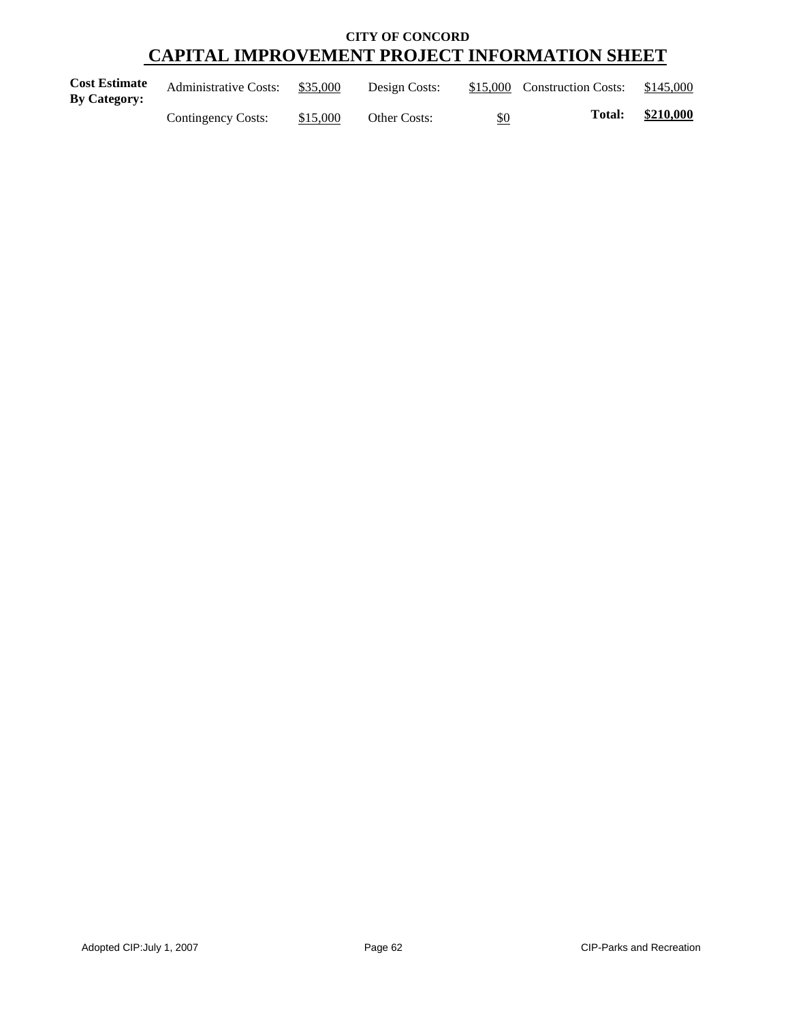| <b>Cost Estimate</b><br>By Category: | <b>Administrative Costs:</b> | \$35,000 | Design Costs:       |     | \$15,000 Construction Costs: | \$145,000 |
|--------------------------------------|------------------------------|----------|---------------------|-----|------------------------------|-----------|
|                                      | Contingency Costs:           | \$15,000 | <b>Other Costs:</b> | \$0 | <b>Total:</b>                | \$210,000 |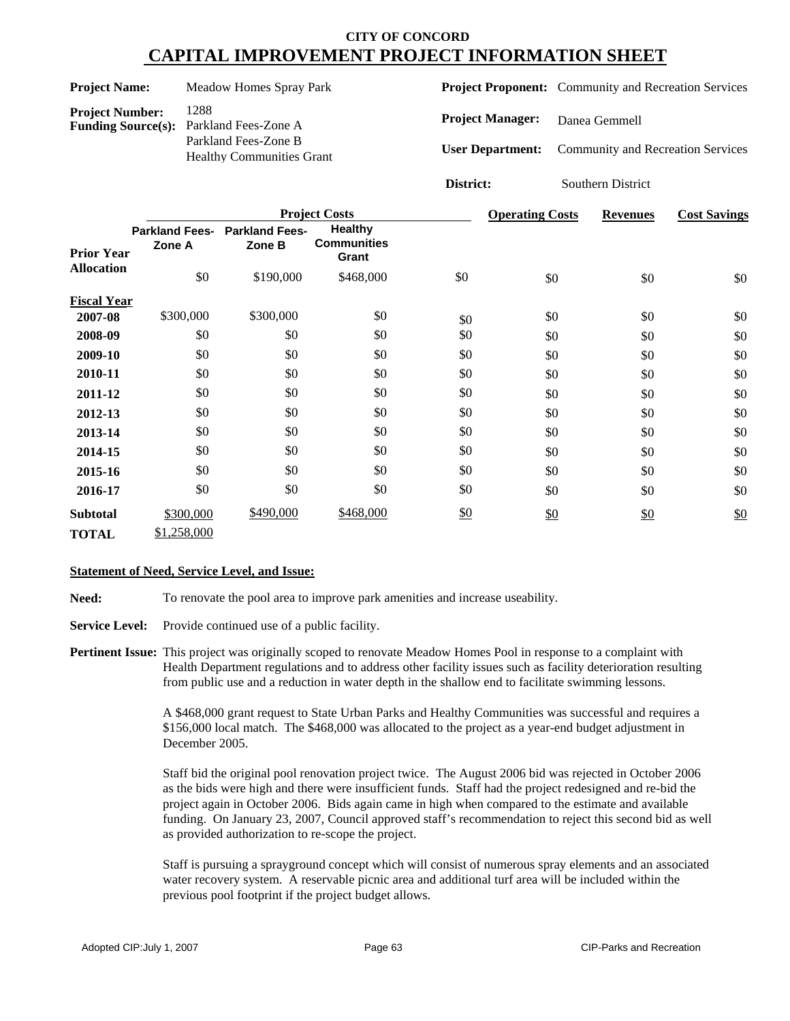| <b>Project Name:</b>                                |        |                                                                                          | <b>Meadow Homes Spray Park</b>          |                                               |           | <b>Project Proponent:</b> Community and Recreation Services |                                   |     |                     |  |
|-----------------------------------------------------|--------|------------------------------------------------------------------------------------------|-----------------------------------------|-----------------------------------------------|-----------|-------------------------------------------------------------|-----------------------------------|-----|---------------------|--|
| <b>Project Number:</b><br><b>Funding Source(s):</b> |        | 1288<br>Parkland Fees-Zone A<br>Parkland Fees-Zone B<br><b>Healthy Communities Grant</b> |                                         |                                               |           | <b>Project Manager:</b>                                     | Danea Gemmell                     |     |                     |  |
|                                                     |        |                                                                                          |                                         |                                               |           | <b>User Department:</b>                                     | Community and Recreation Services |     |                     |  |
|                                                     |        |                                                                                          |                                         |                                               | District: |                                                             | Southern District                 |     |                     |  |
|                                                     |        |                                                                                          |                                         | <b>Project Costs</b>                          |           | <b>Operating Costs</b>                                      | <b>Revenues</b>                   |     | <b>Cost Savings</b> |  |
| <b>Prior Year</b>                                   | Zone A |                                                                                          | Parkland Fees- Parkland Fees-<br>Zone B | <b>Healthy</b><br><b>Communities</b><br>Grant |           |                                                             |                                   |     |                     |  |
| <b>Allocation</b>                                   |        | \$0                                                                                      | \$190,000                               | \$468,000                                     | \$0       | \$0                                                         |                                   | \$0 | \$0                 |  |
| <b>Fiscal Year</b>                                  |        |                                                                                          |                                         |                                               |           |                                                             |                                   |     |                     |  |
| 2007-08                                             |        | \$300,000                                                                                | \$300,000                               | \$0                                           | \$0       | \$0                                                         |                                   | \$0 | \$0                 |  |
| 2008-09                                             |        | \$0                                                                                      | \$0                                     | \$0                                           | \$0       | \$0                                                         |                                   | \$0 | \$0                 |  |
| 2009-10                                             |        | \$0                                                                                      | \$0                                     | \$0                                           | \$0       | \$0                                                         |                                   | \$0 | \$0                 |  |
| 2010-11                                             |        | \$0                                                                                      | \$0                                     | \$0                                           | \$0       | \$0                                                         |                                   | \$0 | \$0                 |  |
| 2011-12                                             |        | \$0                                                                                      | \$0                                     | \$0                                           | \$0       | \$0                                                         |                                   | \$0 | \$0                 |  |
| 2012-13                                             |        | \$0                                                                                      | \$0                                     | \$0                                           | \$0       | \$0                                                         |                                   | \$0 | \$0                 |  |
| 2013-14                                             |        | \$0                                                                                      | \$0                                     | \$0                                           | \$0       | \$0                                                         |                                   | \$0 | \$0                 |  |
| 2014-15                                             |        | \$0                                                                                      | \$0                                     | \$0                                           | \$0       | \$0                                                         |                                   | \$0 | \$0                 |  |
| 2015-16                                             |        | \$0                                                                                      | \$0                                     | \$0                                           | \$0       | \$0                                                         |                                   | \$0 | \$0                 |  |
| 2016-17                                             |        | \$0                                                                                      | \$0                                     | \$0                                           | \$0       | \$0                                                         |                                   | \$0 | \$0                 |  |

#### **Statement of Need, Service Level, and Issue:**

\$300,000

**Subtotal**

**TOTAL** \$1,258,000

**Need:** To renovate the pool area to improve park amenities and increase useability.

\$490,000

**Service Level:** Provide continued use of a public facility.

**Pertinent Issue:** This project was originally scoped to renovate Meadow Homes Pool in response to a complaint with Health Department regulations and to address other facility issues such as facility deterioration resulting from public use and a reduction in water depth in the shallow end to facilitate swimming lessons.

> A \$468,000 grant request to State Urban Parks and Healthy Communities was successful and requires a \$156,000 local match. The \$468,000 was allocated to the project as a year-end budget adjustment in December 2005.

\$0

 $$468,000$  \$0 \$0 \$0 \$0 \$0

Staff bid the original pool renovation project twice. The August 2006 bid was rejected in October 2006 as the bids were high and there were insufficient funds. Staff had the project redesigned and re-bid the project again in October 2006. Bids again came in high when compared to the estimate and available funding. On January 23, 2007, Council approved staff's recommendation to reject this second bid as well as provided authorization to re-scope the project.

Staff is pursuing a sprayground concept which will consist of numerous spray elements and an associated water recovery system. A reservable picnic area and additional turf area will be included within the previous pool footprint if the project budget allows.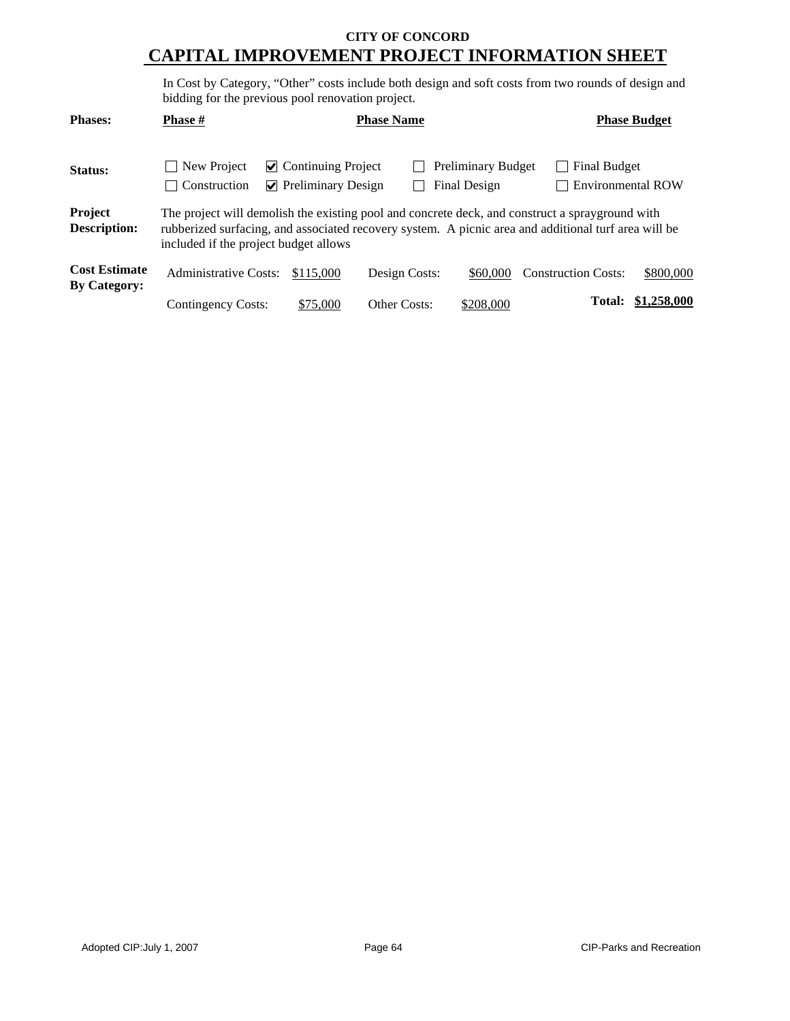In Cost by Category, "Other" costs include both design and soft costs from two rounds of design and bidding for the previous pool renovation project.

| <b>Phases:</b>                              | <b>Phase</b> #                                                                                                                                                                                                                                   | <b>Phase Name</b>                                                |                     | <b>Phase Budget</b>                       |                            |                          |
|---------------------------------------------|--------------------------------------------------------------------------------------------------------------------------------------------------------------------------------------------------------------------------------------------------|------------------------------------------------------------------|---------------------|-------------------------------------------|----------------------------|--------------------------|
| Status:                                     | New Project<br>Construction                                                                                                                                                                                                                      | $\vee$ Continuing Project<br>$\triangleright$ Preliminary Design |                     | <b>Preliminary Budget</b><br>Final Design | Final Budget               | <b>Environmental ROW</b> |
| Project<br><b>Description:</b>              | The project will demolish the existing pool and concrete deck, and construct a sprayground with<br>rubberized surfacing, and associated recovery system. A picnic area and additional turf area will be<br>included if the project budget allows |                                                                  |                     |                                           |                            |                          |
| <b>Cost Estimate</b><br><b>By Category:</b> | <b>Administrative Costs:</b>                                                                                                                                                                                                                     | \$115,000                                                        | Design Costs:       | \$60,000                                  | <b>Construction Costs:</b> | \$800,000                |
|                                             | <b>Contingency Costs:</b>                                                                                                                                                                                                                        | \$75,000                                                         | <b>Other Costs:</b> | \$208,000                                 | Total:                     | \$1,258,000              |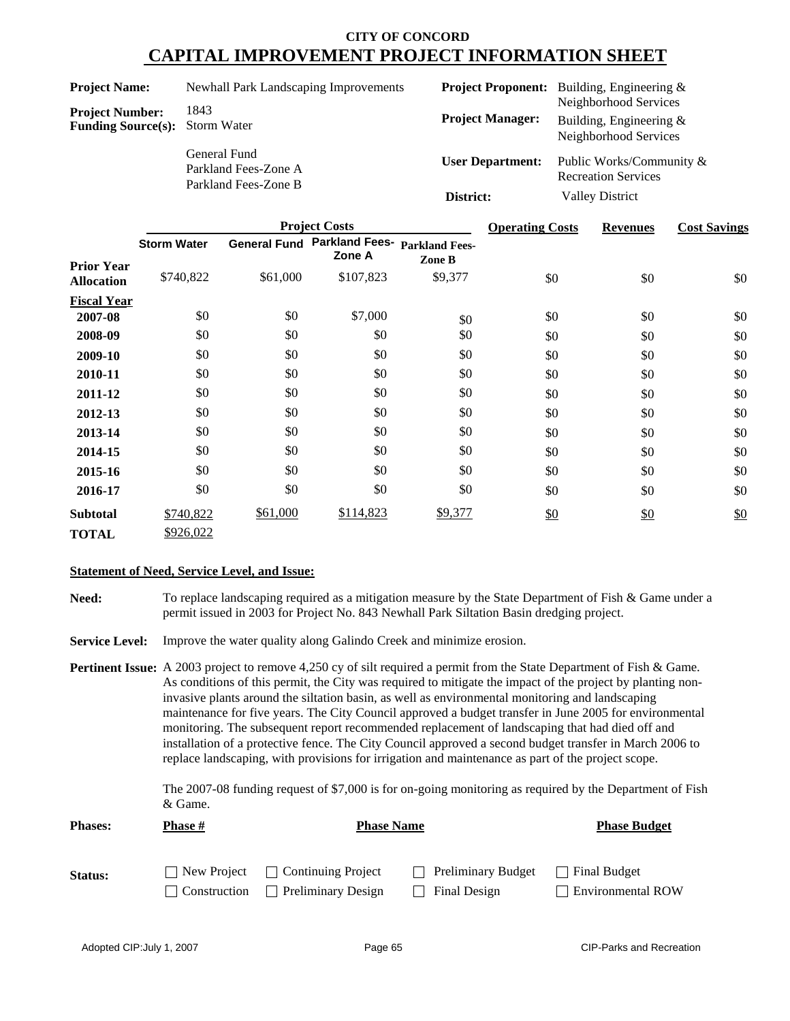| <b>Project Name:</b>                                            | Newhall Park Landscaping Improvements                        |                         | <b>Project Proponent:</b> Building, Engineering &                           |
|-----------------------------------------------------------------|--------------------------------------------------------------|-------------------------|-----------------------------------------------------------------------------|
| <b>Project Number:</b><br><b>Funding Source(s):</b> Storm Water | 1843                                                         | <b>Project Manager:</b> | Neighborhood Services<br>Building, Engineering $&$<br>Neighborhood Services |
|                                                                 | General Fund<br>Parkland Fees-Zone A<br>Parkland Fees-Zone B | <b>User Department:</b> | Public Works/Community &<br><b>Recreation Services</b>                      |
|                                                                 |                                                              | District:               | <b>Valley District</b>                                                      |

|                    | <b>Project Costs</b> |                     |                                 |                                 | <b>Operating Costs</b> | <b>Revenues</b> | <b>Cost Savings</b> |
|--------------------|----------------------|---------------------|---------------------------------|---------------------------------|------------------------|-----------------|---------------------|
| <b>Prior Year</b>  | <b>Storm Water</b>   | <b>General Fund</b> | <b>Parkland Fees-</b><br>Zone A | <b>Parkland Fees-</b><br>Zone B |                        |                 |                     |
| <b>Allocation</b>  | \$740,822            | \$61,000            | \$107,823                       | \$9,377                         | \$0                    | \$0             | \$0                 |
| <b>Fiscal Year</b> |                      |                     |                                 |                                 |                        |                 |                     |
| 2007-08            | \$0                  | \$0                 | \$7,000                         | \$0                             | \$0                    | \$0             | \$0                 |
| 2008-09            | \$0                  | \$0                 | \$0                             | \$0                             | \$0                    | \$0             | \$0                 |
| 2009-10            | \$0                  | \$0                 | \$0                             | \$0                             | \$0                    | \$0             | \$0                 |
| 2010-11            | \$0                  | \$0                 | \$0                             | \$0                             | \$0                    | \$0             | \$0                 |
| 2011-12            | \$0                  | \$0                 | \$0                             | \$0                             | \$0                    | \$0             | \$0                 |
| 2012-13            | \$0                  | \$0                 | \$0                             | \$0                             | \$0                    | \$0             | \$0                 |
| 2013-14            | \$0                  | \$0                 | \$0                             | \$0                             | \$0                    | \$0             | \$0                 |
| 2014-15            | \$0                  | \$0                 | \$0                             | \$0                             | \$0                    | \$0             | \$0                 |
| 2015-16            | \$0                  | \$0                 | \$0                             | \$0                             | \$0                    | \$0             | \$0                 |
| 2016-17            | \$0                  | \$0                 | \$0                             | \$0                             | \$0                    | \$0             | \$0                 |
| <b>Subtotal</b>    | \$740,822            | \$61,000            | \$114,823                       | \$9,377                         | \$0                    | \$0             | \$0                 |
| <b>TOTAL</b>       | \$926,022            |                     |                                 |                                 |                        |                 |                     |

#### **Statement of Need, Service Level, and Issue:**

**Need:** To replace landscaping required as a mitigation measure by the State Department of Fish & Game under a permit issued in 2003 for Project No. 843 Newhall Park Siltation Basin dredging project.

**Service Level:** Improve the water quality along Galindo Creek and minimize erosion.

**Pertinent Issue:** A 2003 project to remove 4,250 cy of silt required a permit from the State Department of Fish & Game. As conditions of this permit, the City was required to mitigate the impact of the project by planting noninvasive plants around the siltation basin, as well as environmental monitoring and landscaping maintenance for five years. The City Council approved a budget transfer in June 2005 for environmental monitoring. The subsequent report recommended replacement of landscaping that had died off and installation of a protective fence. The City Council approved a second budget transfer in March 2006 to replace landscaping, with provisions for irrigation and maintenance as part of the project scope.

> The 2007-08 funding request of \$7,000 is for on-going monitoring as required by the Department of Fish & Game.

| <b>Phases:</b> | Phase #      | <b>Phase Name</b>                              | <b>Phase Budget</b>       |                          |
|----------------|--------------|------------------------------------------------|---------------------------|--------------------------|
|                |              |                                                |                           |                          |
| Status:        |              | $\vert$ New Project $\vert$ Continuing Project | $\Box$ Preliminary Budget | Final Budget             |
|                | Construction | Preliminary Design<br>$\perp$                  | Final Design              | <b>Environmental ROW</b> |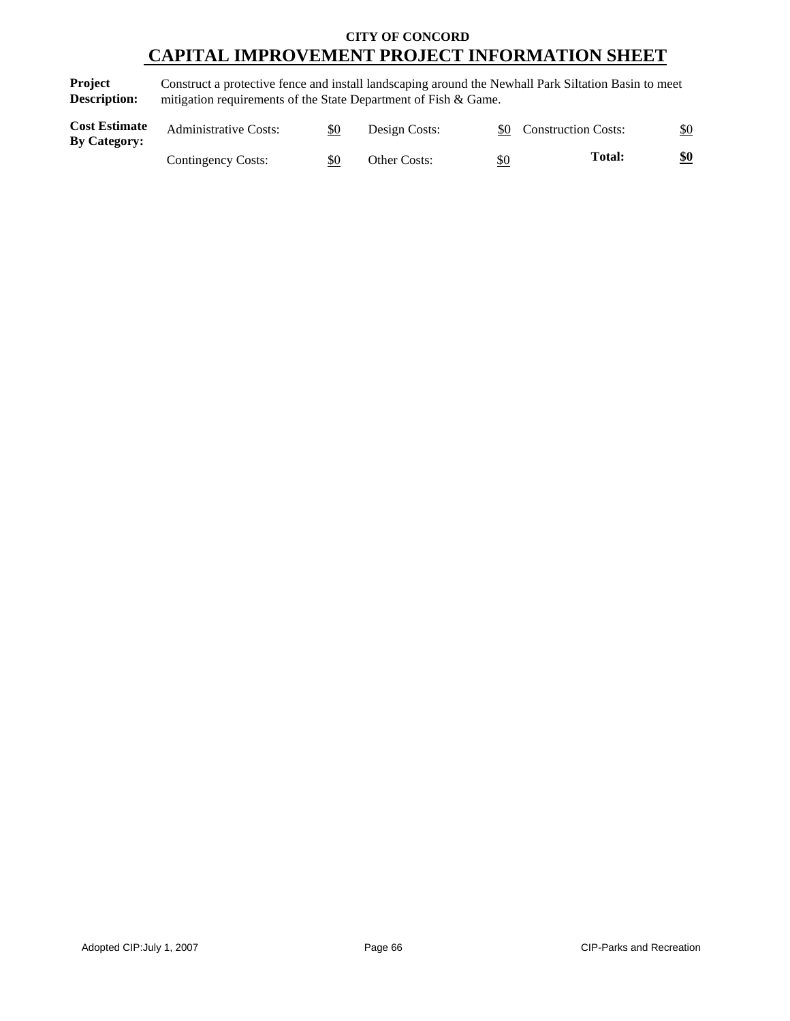**Project Description:** Construct a protective fence and install landscaping around the Newhall Park Siltation Basin to meet mitigation requirements of the State Department of Fish & Game.

| <b>Cost Estimate</b><br><b>By Category:</b> | <b>Administrative Costs:</b> | \$0 | Design Costs:       |            | \$0 Construction Costs: | $\underline{\$0}$ |
|---------------------------------------------|------------------------------|-----|---------------------|------------|-------------------------|-------------------|
|                                             | Contingency Costs:           | \$0 | <b>Other Costs:</b> | <u>\$0</u> | <b>Total:</b>           | \$0               |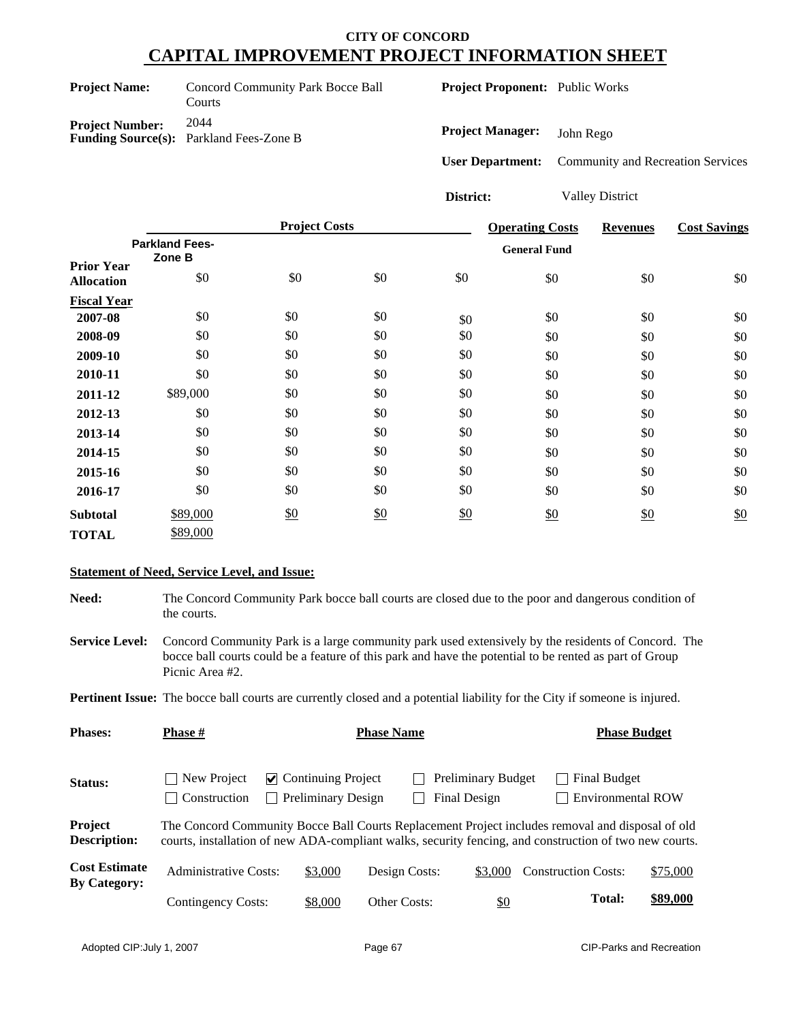| <b>Project Name:</b>   | Concord Community Park Bocce Ball<br>Courts            |
|------------------------|--------------------------------------------------------|
| <b>Project Number:</b> | 2044<br><b>Funding Source(s):</b> Parkland Fees-Zone B |

**Project Proponent:** Public Works

**Project Manager:** John Rego

**User Department:** Community and Recreation Services

**District:** Valley District

|                    |                       | <b>Project Costs</b> |               |     | <b>Operating Costs</b> | <b>Revenues</b> | <b>Cost Savings</b> |
|--------------------|-----------------------|----------------------|---------------|-----|------------------------|-----------------|---------------------|
|                    | <b>Parkland Fees-</b> |                      |               |     | <b>General Fund</b>    |                 |                     |
| <b>Prior Year</b>  | Zone B                |                      |               |     |                        |                 |                     |
| <b>Allocation</b>  | \$0                   | \$0                  | \$0           | \$0 | \$0                    | \$0             | \$0                 |
| <b>Fiscal Year</b> |                       |                      |               |     |                        |                 |                     |
| 2007-08            | \$0                   | \$0                  | \$0           | \$0 | \$0                    | \$0             | \$0                 |
| 2008-09            | \$0                   | \$0                  | \$0           | \$0 | \$0                    | \$0             | \$0                 |
| 2009-10            | \$0                   | \$0                  | \$0           | \$0 | \$0                    | \$0             | \$0                 |
| 2010-11            | \$0                   | \$0                  | \$0           | \$0 | \$0                    | \$0             | \$0                 |
| 2011-12            | \$89,000              | \$0                  | \$0           | \$0 | \$0                    | \$0             | \$0                 |
| 2012-13            | \$0                   | \$0                  | \$0           | \$0 | \$0                    | \$0             | \$0                 |
| 2013-14            | \$0                   | \$0                  | \$0           | \$0 | \$0                    | \$0             | \$0                 |
| 2014-15            | \$0                   | \$0                  | \$0           | \$0 | \$0                    | \$0             | \$0                 |
| 2015-16            | \$0                   | \$0                  | \$0           | \$0 | \$0                    | \$0             | \$0                 |
| 2016-17            | \$0                   | \$0                  | \$0           | \$0 | \$0                    | \$0             | \$0                 |
| <b>Subtotal</b>    | \$89,000              | \$0                  | $\frac{$0}{}$ | \$0 | \$0                    | \$0             | \$0                 |
| <b>TOTAL</b>       | \$89,000              |                      |               |     |                        |                 |                     |

#### **Statement of Need, Service Level, and Issue:**

**Need:** The Concord Community Park bocce ball courts are closed due to the poor and dangerous condition of the courts.

**Service Level:** Concord Community Park is a large community park used extensively by the residents of Concord. The bocce ball courts could be a feature of this park and have the potential to be rented as part of Group Picnic Area #2.

**Pertinent Issue:** The bocce ball courts are currently closed and a potential liability for the City if someone is injured.

| <b>Phases:</b>                              | <b>Phase #</b>                                               | <b>Phase Name</b>                                                                                                                                                                                          |                     |                                           |                                          | <b>Phase Budget</b> |  |  |
|---------------------------------------------|--------------------------------------------------------------|------------------------------------------------------------------------------------------------------------------------------------------------------------------------------------------------------------|---------------------|-------------------------------------------|------------------------------------------|---------------------|--|--|
| Status:                                     | New Project<br>$\mathbf{I}$<br>Construction<br>$\mathcal{L}$ | $\vee$ Continuing Project<br><b>Preliminary Design</b>                                                                                                                                                     |                     | <b>Preliminary Budget</b><br>Final Design | Final Budget<br><b>Environmental ROW</b> |                     |  |  |
| Project<br><b>Description:</b>              |                                                              | The Concord Community Bocce Ball Courts Replacement Project includes removal and disposal of old<br>courts, installation of new ADA-compliant walks, security fencing, and construction of two new courts. |                     |                                           |                                          |                     |  |  |
| <b>Cost Estimate</b><br><b>By Category:</b> | Administrative Costs:                                        | \$3,000                                                                                                                                                                                                    | Design Costs:       | \$3,000                                   | <b>Construction Costs:</b>               | \$75,000            |  |  |
|                                             | Contingency Costs:                                           | \$8,000                                                                                                                                                                                                    | <b>Other Costs:</b> | <u>\$0</u>                                | <b>Total:</b>                            | \$89,000            |  |  |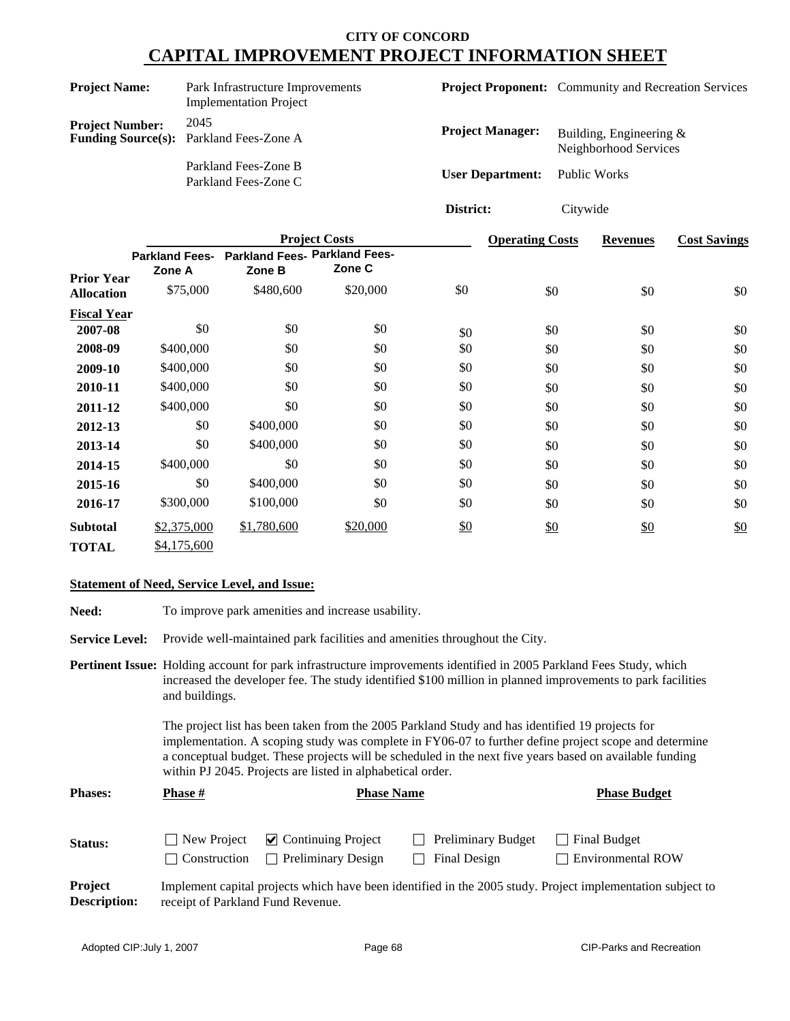| <b>Project Name:</b>   | Park Infrastructure Improvements<br><b>Implementation Project</b> |                                      | <b>Project Proponent:</b> Community and Recreation Services |
|------------------------|-------------------------------------------------------------------|--------------------------------------|-------------------------------------------------------------|
| <b>Project Number:</b> | 2045<br><b>Funding Source(s):</b> Parkland Fees-Zone A            | <b>Project Manager:</b>              | Building, Engineering $&$<br>Neighborhood Services          |
|                        | Parkland Fees-Zone B<br>Parkland Fees-Zone C                      | <b>User Department:</b> Public Works |                                                             |

**District:** Citywide

|                    |                                 |                                                | <b>Project Costs</b> |     | <b>Operating Costs</b> | <b>Revenues</b> | <b>Cost Savings</b> |
|--------------------|---------------------------------|------------------------------------------------|----------------------|-----|------------------------|-----------------|---------------------|
| <b>Prior Year</b>  | <b>Parkland Fees-</b><br>Zone A | <b>Parkland Fees- Parkland Fees-</b><br>Zone B | Zone C               |     |                        |                 |                     |
| <b>Allocation</b>  | \$75,000                        | \$480,600                                      | \$20,000             | \$0 | \$0                    | \$0             | \$0                 |
| <b>Fiscal Year</b> |                                 |                                                |                      |     |                        |                 |                     |
| 2007-08            | \$0                             | \$0                                            | \$0                  | \$0 | \$0                    | \$0             | \$0                 |
| 2008-09            | \$400,000                       | \$0                                            | \$0                  | \$0 | \$0                    | \$0             | \$0                 |
| 2009-10            | \$400,000                       | \$0                                            | \$0                  | \$0 | \$0                    | \$0             | \$0                 |
| 2010-11            | \$400,000                       | \$0                                            | \$0                  | \$0 | \$0                    | \$0             | \$0                 |
| 2011-12            | \$400,000                       | \$0                                            | \$0                  | \$0 | \$0                    | \$0             | \$0                 |
| 2012-13            | \$0                             | \$400,000                                      | \$0                  | \$0 | \$0                    | \$0             | \$0                 |
| 2013-14            | \$0                             | \$400,000                                      | \$0                  | \$0 | \$0                    | \$0             | \$0                 |
| 2014-15            | \$400,000                       | \$0                                            | \$0                  | \$0 | \$0                    | \$0             | \$0                 |
| 2015-16            | \$0                             | \$400,000                                      | \$0                  | \$0 | \$0                    | \$0             | \$0                 |
| 2016-17            | \$300,000                       | \$100,000                                      | \$0                  | \$0 | \$0                    | \$0             | \$0                 |
| <b>Subtotal</b>    | \$2,375,000                     | \$1,780,600                                    | \$20,000             | \$0 | \$0                    | \$0             | \$0                 |
| <b>TOTAL</b>       | \$4,175,600                     |                                                |                      |     |                        |                 |                     |

#### **Statement of Need, Service Level, and Issue:**

| Need:                                 |                                                                                                                                                                                                                                                                                                                                                                                   | To improve park amenities and increase usability.                          |                                           |                                                                                                            |  |  |
|---------------------------------------|-----------------------------------------------------------------------------------------------------------------------------------------------------------------------------------------------------------------------------------------------------------------------------------------------------------------------------------------------------------------------------------|----------------------------------------------------------------------------|-------------------------------------------|------------------------------------------------------------------------------------------------------------|--|--|
| <b>Service Level:</b>                 |                                                                                                                                                                                                                                                                                                                                                                                   | Provide well-maintained park facilities and amenities throughout the City. |                                           |                                                                                                            |  |  |
|                                       | <b>Pertinent Issue:</b> Holding account for park infrastructure improvements identified in 2005 Parkland Fees Study, which<br>increased the developer fee. The study identified \$100 million in planned improvements to park facilities<br>and buildings.                                                                                                                        |                                                                            |                                           |                                                                                                            |  |  |
|                                       | The project list has been taken from the 2005 Parkland Study and has identified 19 projects for<br>implementation. A scoping study was complete in FY06-07 to further define project scope and determine<br>a conceptual budget. These projects will be scheduled in the next five years based on available funding<br>within PJ 2045. Projects are listed in alphabetical order. |                                                                            |                                           |                                                                                                            |  |  |
| <b>Phases:</b>                        | Phase #                                                                                                                                                                                                                                                                                                                                                                           | <b>Phase Name</b>                                                          |                                           | <b>Phase Budget</b>                                                                                        |  |  |
| Status:                               | New Project<br>Construction                                                                                                                                                                                                                                                                                                                                                       | $\triangleright$ Continuing Project<br>Preliminary Design<br>$\mathbf{L}$  | <b>Preliminary Budget</b><br>Final Design | <b>Final Budget</b><br><b>Environmental ROW</b>                                                            |  |  |
| <b>Project</b><br><b>Description:</b> | receipt of Parkland Fund Revenue.                                                                                                                                                                                                                                                                                                                                                 |                                                                            |                                           | Implement capital projects which have been identified in the 2005 study. Project implementation subject to |  |  |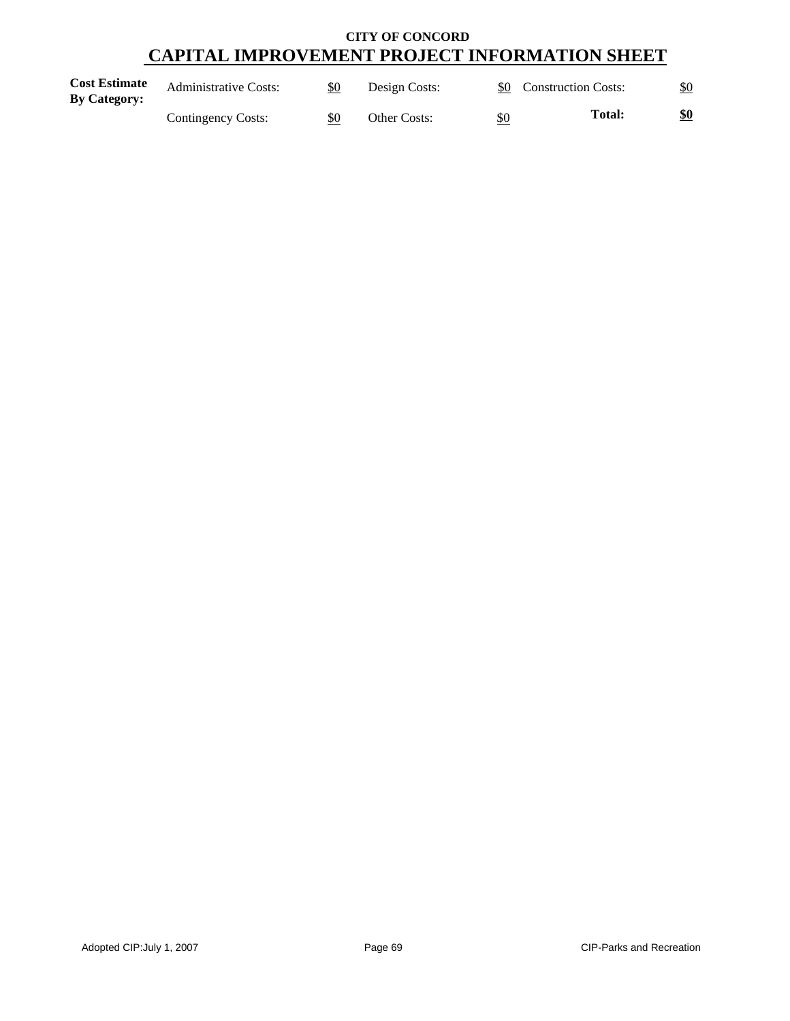| <b>Cost Estimate</b><br><b>By Category:</b> | <b>Administrative Costs:</b> | \$0 | Design Costs: |     | \$0 Construction Costs: | \$0 |
|---------------------------------------------|------------------------------|-----|---------------|-----|-------------------------|-----|
|                                             | Contingency Costs:           | \$0 | Other Costs:  | \$0 | <b>Total:</b>           | \$0 |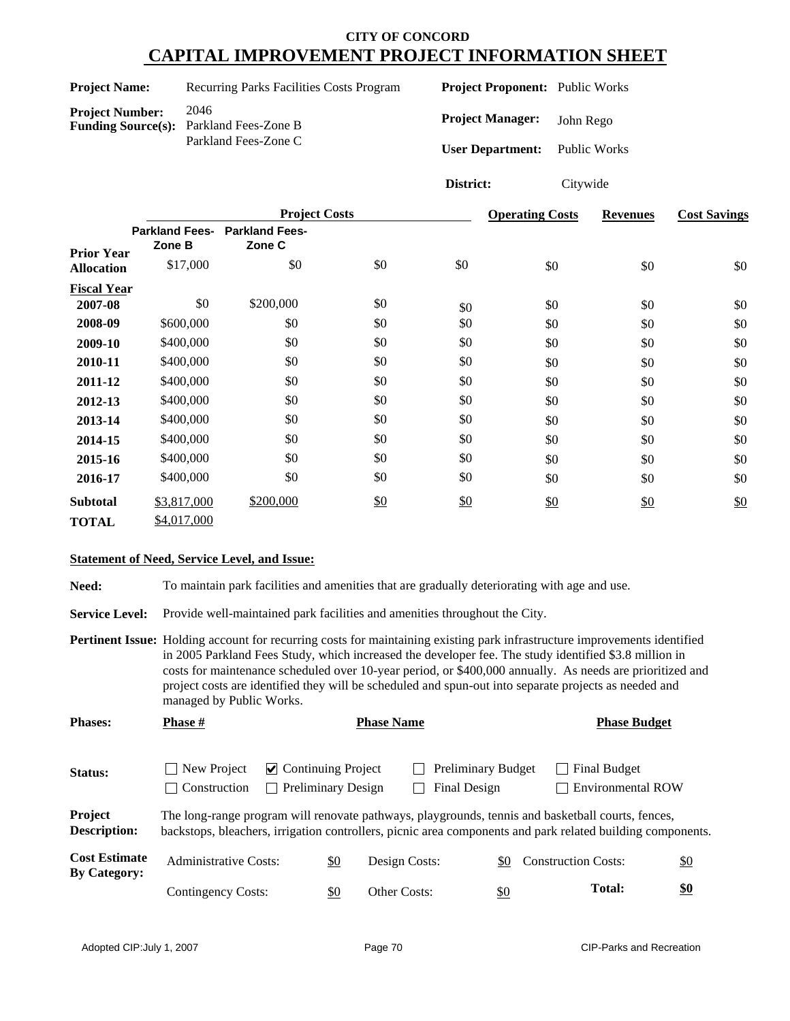| <b>Project Name:</b>   | Recurring Parks Facilities Costs Program                                       | <b>Project Proponent:</b> Public Works                          |           |
|------------------------|--------------------------------------------------------------------------------|-----------------------------------------------------------------|-----------|
| <b>Project Number:</b> | 2046<br><b>Funding Source(s):</b> Parkland Fees-Zone B<br>Parkland Fees-Zone C | <b>Project Manager:</b><br><b>User Department:</b> Public Works | John Rego |

**District:** Citywide

|                    |                                 | <b>Project Costs</b>            | <b>Operating Costs</b> | <b>Revenues</b> | <b>Cost Savings</b> |     |                   |
|--------------------|---------------------------------|---------------------------------|------------------------|-----------------|---------------------|-----|-------------------|
| <b>Prior Year</b>  | <b>Parkland Fees-</b><br>Zone B | <b>Parkland Fees-</b><br>Zone C |                        |                 |                     |     |                   |
| <b>Allocation</b>  | \$17,000                        | \$0                             | \$0                    | \$0             | \$0                 | \$0 | \$0               |
| <b>Fiscal Year</b> |                                 |                                 |                        |                 |                     |     |                   |
| 2007-08            | \$0                             | \$200,000                       | \$0                    | \$0             | \$0                 | \$0 | \$0               |
| 2008-09            | \$600,000                       | \$0                             | \$0                    | \$0             | \$0                 | \$0 | \$0               |
| 2009-10            | \$400,000                       | \$0                             | \$0                    | \$0             | \$0                 | \$0 | \$0               |
| 2010-11            | \$400,000                       | \$0                             | \$0                    | \$0             | \$0                 | \$0 | \$0               |
| 2011-12            | \$400,000                       | \$0                             | \$0                    | \$0             | \$0                 | \$0 | \$0               |
| 2012-13            | \$400,000                       | \$0                             | \$0                    | \$0             | \$0                 | \$0 | \$0               |
| 2013-14            | \$400,000                       | \$0                             | \$0                    | \$0             | \$0                 | \$0 | \$0               |
| 2014-15            | \$400,000                       | \$0                             | \$0                    | \$0             | \$0                 | \$0 | \$0               |
| 2015-16            | \$400,000                       | \$0                             | \$0                    | \$0             | \$0                 | \$0 | \$0               |
| 2016-17            | \$400,000                       | \$0                             | \$0                    | \$0             | \$0                 | \$0 | \$0               |
| <b>Subtotal</b>    | \$3,817,000                     | \$200,000                       | $\frac{$0}{}$          | \$0             | \$0                 | \$0 | $\underline{\$0}$ |
| <b>TOTAL</b>       | \$4,017,000                     |                                 |                        |                 |                     |     |                   |

#### **Statement of Need, Service Level, and Issue:**

Need: To maintain park facilities and amenities that are gradually deteriorating with age and use.

Service Level: Provide well-maintained park facilities and amenities throughout the City.

**Pertinent Issue:** Holding account for recurring costs for maintaining existing park infrastructure improvements identified in 2005 Parkland Fees Study, which increased the developer fee. The study identified \$3.8 million in costs for maintenance scheduled over 10-year period, or \$400,000 annually. As needs are prioritized and project costs are identified they will be scheduled and spun-out into separate projects as needed and managed by Public Works.

| <b>Phases:</b>                              | <b>Phase</b> #                                                                                                                                                                                                  | <b>Phase Name</b>         |                           |                     |  |                                    |     | <b>Phase Budget</b>        |  |                                          |  |                   |
|---------------------------------------------|-----------------------------------------------------------------------------------------------------------------------------------------------------------------------------------------------------------------|---------------------------|---------------------------|---------------------|--|------------------------------------|-----|----------------------------|--|------------------------------------------|--|-------------------|
| Status:                                     | New Project<br><b>Construction</b>                                                                                                                                                                              | $\vee$ Continuing Project | <b>Preliminary Design</b> |                     |  | Preliminary Budget<br>Final Design |     |                            |  | Final Budget<br><b>Environmental ROW</b> |  |                   |
| Project<br><b>Description:</b>              | The long-range program will renovate pathways, playgrounds, tennis and basketball courts, fences,<br>backstops, bleachers, irrigation controllers, picnic area components and park related building components. |                           |                           |                     |  |                                    |     |                            |  |                                          |  |                   |
| <b>Cost Estimate</b><br><b>By Category:</b> | <b>Administrative Costs:</b>                                                                                                                                                                                    |                           | \$0                       | Design Costs:       |  |                                    | \$0 | <b>Construction Costs:</b> |  |                                          |  | $\underline{\$0}$ |
|                                             | Contingency Costs:                                                                                                                                                                                              |                           | \$0                       | <b>Other Costs:</b> |  |                                    | \$0 |                            |  | <b>Total:</b>                            |  | \$0               |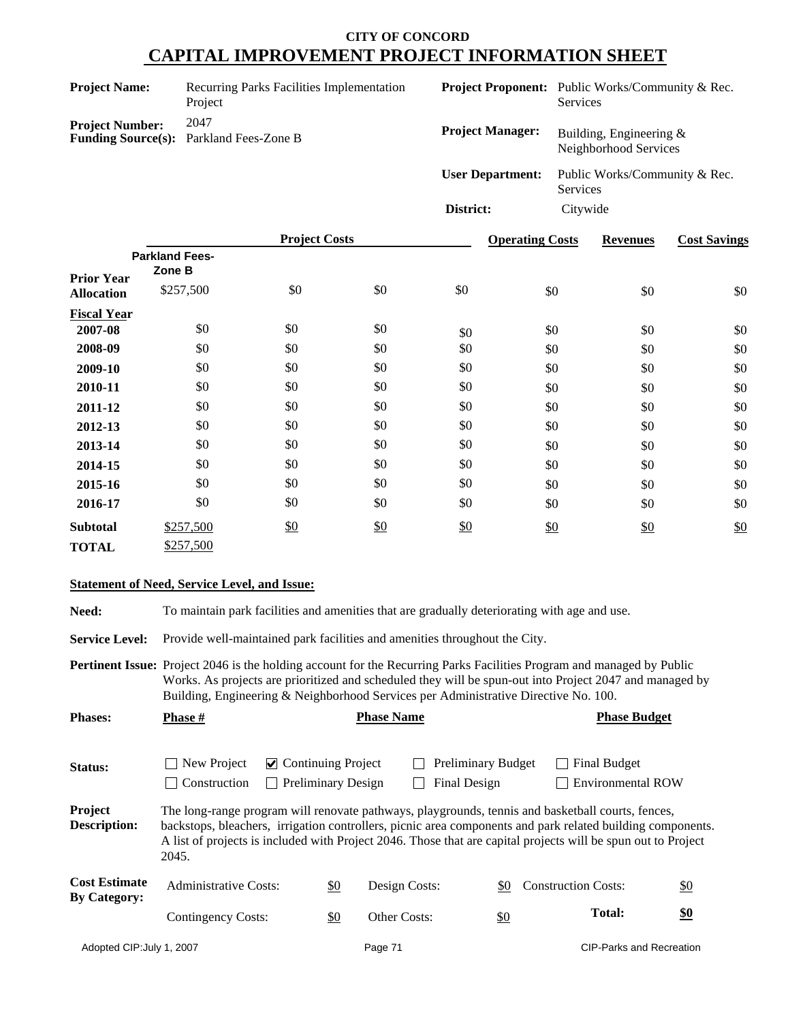| <b>Project Name:</b>   | Recurring Parks Facilities Implementation<br>Project   |                         | <b>Project Proponent:</b> Public Works/Community & Rec.<br><b>Services</b> |
|------------------------|--------------------------------------------------------|-------------------------|----------------------------------------------------------------------------|
| <b>Project Number:</b> | 2047<br><b>Funding Source(s):</b> Parkland Fees-Zone B | <b>Project Manager:</b> | Building, Engineering $&$<br>Neighborhood Services                         |
|                        |                                                        | <b>User Department:</b> | Public Works/Community & Rec.<br>Services                                  |
|                        |                                                        | District:               | Citywide                                                                   |

|                                        |                       | <b>Project Costs</b> |     |     | <b>Operating Costs</b> | <b>Revenues</b> | <b>Cost Savings</b> |
|----------------------------------------|-----------------------|----------------------|-----|-----|------------------------|-----------------|---------------------|
|                                        | <b>Parkland Fees-</b> |                      |     |     |                        |                 |                     |
| <b>Prior Year</b><br><b>Allocation</b> | Zone B<br>\$257,500   | \$0                  | \$0 | \$0 | \$0                    | \$0             | \$0                 |
| <b>Fiscal Year</b>                     |                       |                      |     |     |                        |                 |                     |
| 2007-08                                | \$0                   | \$0                  | \$0 | \$0 | \$0                    | \$0             | \$0                 |
| 2008-09                                | \$0                   | \$0                  | \$0 | \$0 | \$0                    | \$0             | \$0                 |
| 2009-10                                | \$0                   | \$0                  | \$0 | \$0 | \$0                    | \$0             | \$0                 |
| 2010-11                                | \$0                   | \$0                  | \$0 | \$0 | \$0                    | \$0             | \$0                 |
| 2011-12                                | \$0                   | \$0                  | \$0 | \$0 | \$0                    | \$0             | \$0                 |
| 2012-13                                | \$0                   | \$0                  | \$0 | \$0 | \$0                    | \$0             | \$0                 |
| 2013-14                                | \$0                   | \$0                  | \$0 | \$0 | \$0                    | \$0             | \$0                 |
| 2014-15                                | \$0                   | \$0                  | \$0 | \$0 | \$0                    | \$0             | \$0                 |
| 2015-16                                | \$0                   | \$0                  | \$0 | \$0 | \$0                    | \$0             | \$0                 |
| 2016-17                                | \$0                   | \$0                  | \$0 | \$0 | \$0                    | \$0             | \$0                 |
| <b>Subtotal</b>                        | \$257,500             | \$0                  | \$0 | \$0 | \$0                    | $\frac{$0}{}$   | \$0                 |
| <b>TOTAL</b>                           | \$257,500             |                      |     |     |                        |                 |                     |

#### **Statement of Need, Service Level, and Issue:**

**Need:** To maintain park facilities and amenities that are gradually deteriorating with age and use.

Service Level: Provide well-maintained park facilities and amenities throughout the City.

**Pertinent Issue:** Project 2046 is the holding account for the Recurring Parks Facilities Program and managed by Public Works. As projects are prioritized and scheduled they will be spun-out into Project 2047 and managed by Building, Engineering & Neighborhood Services per Administrative Directive No. 100.

| <b>Phases:</b>                              | <b>Phase</b> #                                                                                                                                                                                                                                                                                                                            |                                                        | <b>Phase Name</b>                  |  | <b>Phase Budget</b>                              |                                                 |                                 |
|---------------------------------------------|-------------------------------------------------------------------------------------------------------------------------------------------------------------------------------------------------------------------------------------------------------------------------------------------------------------------------------------------|--------------------------------------------------------|------------------------------------|--|--------------------------------------------------|-------------------------------------------------|---------------------------------|
| Status:                                     | New Project<br>Construction                                                                                                                                                                                                                                                                                                               | $\vee$ Continuing Project<br><b>Preliminary Design</b> |                                    |  | <b>Preliminary Budget</b><br><b>Final Design</b> | Final Budget<br><b>Environmental ROW</b>        |                                 |
| Project<br><b>Description:</b>              | The long-range program will renovate pathways, playgrounds, tennis and basketball courts, fences,<br>backstops, bleachers, irrigation controllers, picnic area components and park related building components.<br>A list of projects is included with Project 2046. Those that are capital projects will be spun out to Project<br>2045. |                                                        |                                    |  |                                                  |                                                 |                                 |
| <b>Cost Estimate</b><br><b>By Category:</b> | Administrative Costs:                                                                                                                                                                                                                                                                                                                     |                                                        | $\underline{\$0}$<br>Design Costs: |  | \$0                                              | <b>Construction Costs:</b><br>$\underline{\$0}$ |                                 |
|                                             | Contingency Costs:                                                                                                                                                                                                                                                                                                                        | $\underline{\$0}$                                      | Other Costs:                       |  | \$0                                              | Total:                                          | \$0                             |
| Adopted CIP: July 1, 2007                   |                                                                                                                                                                                                                                                                                                                                           |                                                        | Page 71                            |  |                                                  |                                                 | <b>CIP-Parks and Recreation</b> |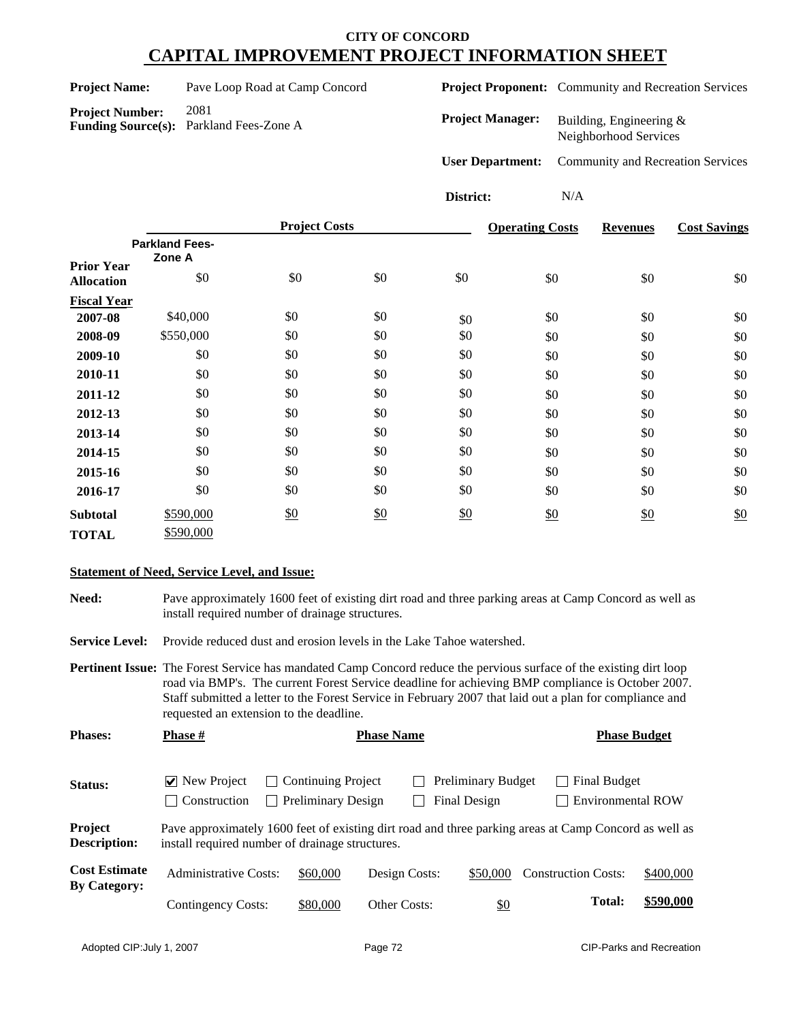| <b>Project Name:</b> | Pave Loop Road at Camp Concord |  |
|----------------------|--------------------------------|--|
|----------------------|--------------------------------|--|

**Project Proponent:** Community and Recreation Services

**Project Number:** 2081 **Funding Source(s):** Parkland Fees-Zone A

**Project Manager:** Building, Engineering & Neighborhood Services

**User Department:** Community and Recreation Services

**District:** N/A

|                    |                       | <b>Project Costs</b> |               | <b>Operating Costs</b> | <b>Revenues</b> | <b>Cost Savings</b> |     |
|--------------------|-----------------------|----------------------|---------------|------------------------|-----------------|---------------------|-----|
|                    | <b>Parkland Fees-</b> |                      |               |                        |                 |                     |     |
| <b>Prior Year</b>  | Zone A                |                      |               |                        |                 |                     |     |
| <b>Allocation</b>  | \$0                   | \$0                  | \$0           | \$0                    | \$0             | \$0                 | \$0 |
| <b>Fiscal Year</b> |                       |                      |               |                        |                 |                     |     |
| 2007-08            | \$40,000              | \$0                  | \$0           | \$0                    | \$0             | \$0                 | \$0 |
| 2008-09            | \$550,000             | \$0                  | \$0           | \$0                    | \$0             | \$0                 | \$0 |
| 2009-10            | \$0                   | \$0                  | \$0           | \$0                    | \$0             | \$0                 | \$0 |
| 2010-11            | \$0                   | \$0                  | \$0           | \$0                    | \$0             | \$0                 | \$0 |
| 2011-12            | \$0                   | \$0                  | \$0           | \$0                    | \$0             | \$0                 | \$0 |
| 2012-13            | \$0                   | \$0                  | \$0           | \$0                    | \$0             | \$0                 | \$0 |
| 2013-14            | \$0                   | \$0                  | \$0           | \$0                    | \$0             | \$0                 | \$0 |
| 2014-15            | \$0                   | \$0                  | \$0           | \$0                    | \$0             | \$0                 | \$0 |
| 2015-16            | \$0                   | \$0                  | \$0           | \$0                    | \$0             | \$0                 | \$0 |
| 2016-17            | \$0                   | \$0                  | \$0           | \$0                    | \$0             | \$0                 | \$0 |
| <b>Subtotal</b>    | \$590,000             | $\frac{$0}{}$        | $\frac{$0}{}$ | \$0                    | \$0             | \$0                 | \$0 |
| <b>TOTAL</b>       | \$590,000             |                      |               |                        |                 |                     |     |

#### **Statement of Need, Service Level, and Issue:**

**Need:** Pave approximately 1600 feet of existing dirt road and three parking areas at Camp Concord as well as install required number of drainage structures.

**Service Level:** Provide reduced dust and erosion levels in the Lake Tahoe watershed.

**Pertinent Issue:** The Forest Service has mandated Camp Concord reduce the pervious surface of the existing dirt loop road via BMP's. The current Forest Service deadline for achieving BMP compliance is October 2007. Staff submitted a letter to the Forest Service in February 2007 that laid out a plan for compliance and requested an extension to the deadline.

Status: V New Project Continuing Project C Preliminary Budget C Final Budget Construction Preliminary Design Final Design Environmental ROW **Project Description:** Pave approximately 1600 feet of existing dirt road and three parking areas at Camp Concord as well as install required number of drainage structures. **Cost Estimate** Administrative Costs: \$60,000 Design Costs: \$50,000 Construction Costs: \$400,000 <br>By Category: \$80,000 Other Costs: \$0 **Cost Estimate** Contingency Costs: **Total: \$590,000 Phases: Phase**  $\frac{H}{2}$  **<b>Phase Phase Budget Phase Budget Phase Budget**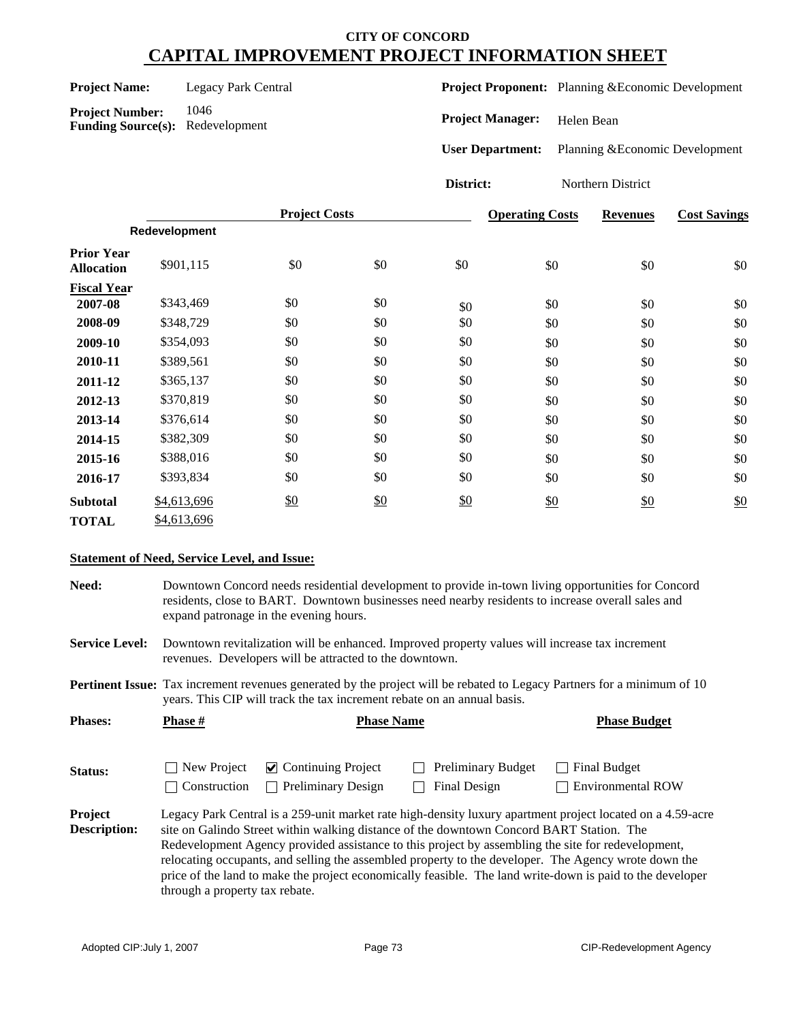| <b>Project Name:</b> | Legacy Park Central |
|----------------------|---------------------|
|                      |                     |

Project Number: 1046 **Funding Source(s):** Redevelopment **Project Proponent:** Planning &Economic Development

**Project Manager:** Helen Bean

**User Department:** Planning &Economic Development

**District:** Northern District

|                                        |               | <b>Project Costs</b> |     |     | <b>Operating Costs</b> | <b>Revenues</b> | <b>Cost Savings</b> |
|----------------------------------------|---------------|----------------------|-----|-----|------------------------|-----------------|---------------------|
|                                        | Redevelopment |                      |     |     |                        |                 |                     |
| <b>Prior Year</b><br><b>Allocation</b> | \$901,115     | \$0                  | \$0 | \$0 | \$0                    | \$0             | \$0                 |
| <b>Fiscal Year</b>                     |               |                      |     |     |                        |                 |                     |
| 2007-08                                | \$343,469     | \$0                  | \$0 | \$0 | \$0                    | \$0             | \$0                 |
| 2008-09                                | \$348,729     | \$0                  | \$0 | \$0 | \$0                    | \$0             | \$0                 |
| 2009-10                                | \$354,093     | \$0                  | \$0 | \$0 | \$0                    | \$0             | \$0                 |
| 2010-11                                | \$389,561     | \$0                  | \$0 | \$0 | \$0                    | \$0             | \$0                 |
| 2011-12                                | \$365,137     | \$0                  | \$0 | \$0 | \$0                    | \$0             | \$0                 |
| 2012-13                                | \$370,819     | \$0                  | \$0 | \$0 | \$0                    | \$0             | \$0                 |
| 2013-14                                | \$376,614     | \$0                  | \$0 | \$0 | \$0                    | \$0             | \$0                 |
| 2014-15                                | \$382,309     | \$0                  | \$0 | \$0 | \$0                    | \$0             | \$0                 |
| 2015-16                                | \$388,016     | \$0                  | \$0 | \$0 | \$0                    | \$0             | \$0                 |
| 2016-17                                | \$393,834     | \$0                  | \$0 | \$0 | \$0                    | \$0             | \$0                 |
| <b>Subtotal</b>                        | \$4,613,696   | \$0                  | \$0 | \$0 | \$0                    | \$0             | \$0                 |
| <b>TOTAL</b>                           | \$4,613,696   |                      |     |     |                        |                 |                     |

#### **Statement of Need, Service Level, and Issue:**

**Need:** Downtown Concord needs residential development to provide in-town living opportunities for Concord residents, close to BART. Downtown businesses need nearby residents to increase overall sales and expand patronage in the evening hours.

**Service Level:** Downtown revitalization will be enhanced. Improved property values will increase tax increment revenues. Developers will be attracted to the downtown.

**Pertinent Issue:** Tax increment revenues generated by the project will be rebated to Legacy Partners for a minimum of 10 years. This CIP will track the tax increment rebate on an annual basis.

| <b>Phases:</b>                 | <b>Phase</b> #                 | <b>Phase Budget</b>                        |                                                                                                                                                                                                |                                                                                                                                                                                                                    |
|--------------------------------|--------------------------------|--------------------------------------------|------------------------------------------------------------------------------------------------------------------------------------------------------------------------------------------------|--------------------------------------------------------------------------------------------------------------------------------------------------------------------------------------------------------------------|
| Status:                        | New Project                    | $\triangleright$ Continuing Project        | <b>Preliminary Budget</b>                                                                                                                                                                      | Final Budget<br>$\sim$                                                                                                                                                                                             |
|                                | Construction                   | <b>Preliminary Design</b><br>$\mathcal{L}$ | Final Design                                                                                                                                                                                   | <b>Environmental ROW</b>                                                                                                                                                                                           |
| Project<br><b>Description:</b> |                                |                                            | site on Galindo Street within walking distance of the downtown Concord BART Station. The<br>Redevelopment Agency provided assistance to this project by assembling the site for redevelopment, | Legacy Park Central is a 259-unit market rate high-density luxury apartment project located on a 4.59-acre<br>relocating occupants, and selling the assembled property to the developer. The Agency wrote down the |
|                                |                                |                                            |                                                                                                                                                                                                | price of the land to make the project economically feasible. The land write-down is paid to the developer                                                                                                          |
|                                | through a property tax rebate. |                                            |                                                                                                                                                                                                |                                                                                                                                                                                                                    |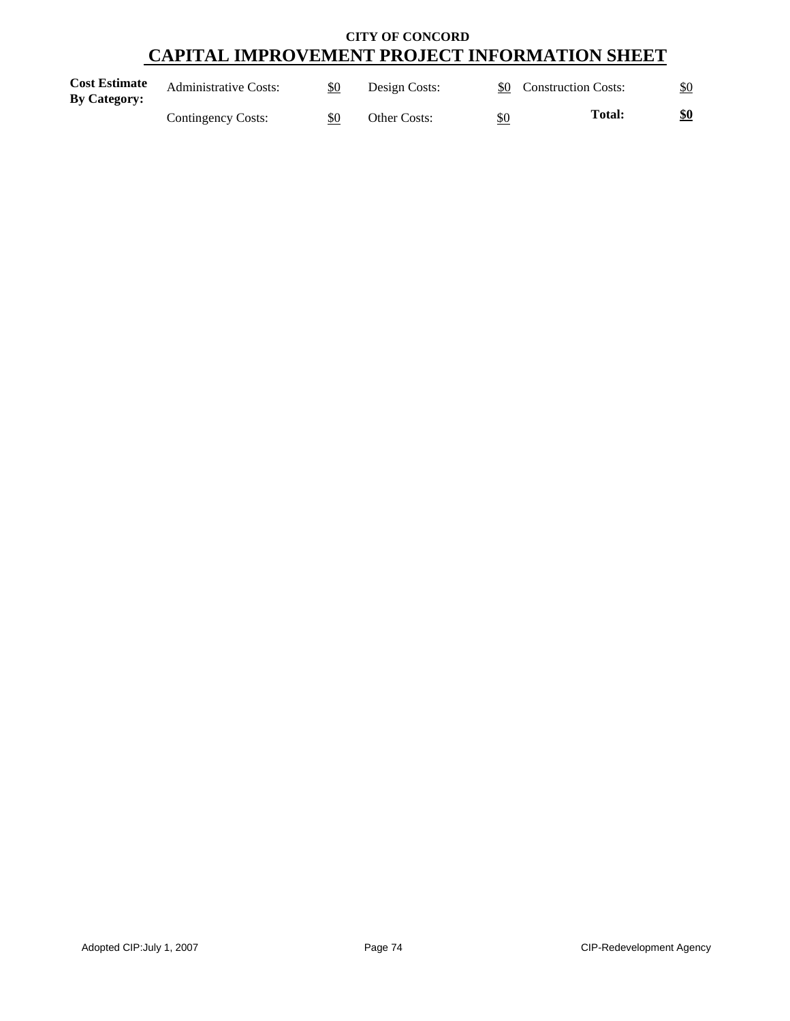| <b>Cost Estimate</b><br><b>By Category:</b> | <b>Administrative Costs:</b> | \$0 | Design Costs: |     | \$0 Construction Costs: | \$0 |
|---------------------------------------------|------------------------------|-----|---------------|-----|-------------------------|-----|
|                                             | Contingency Costs:           | \$0 | Other Costs:  | \$0 | <b>Total:</b>           | \$0 |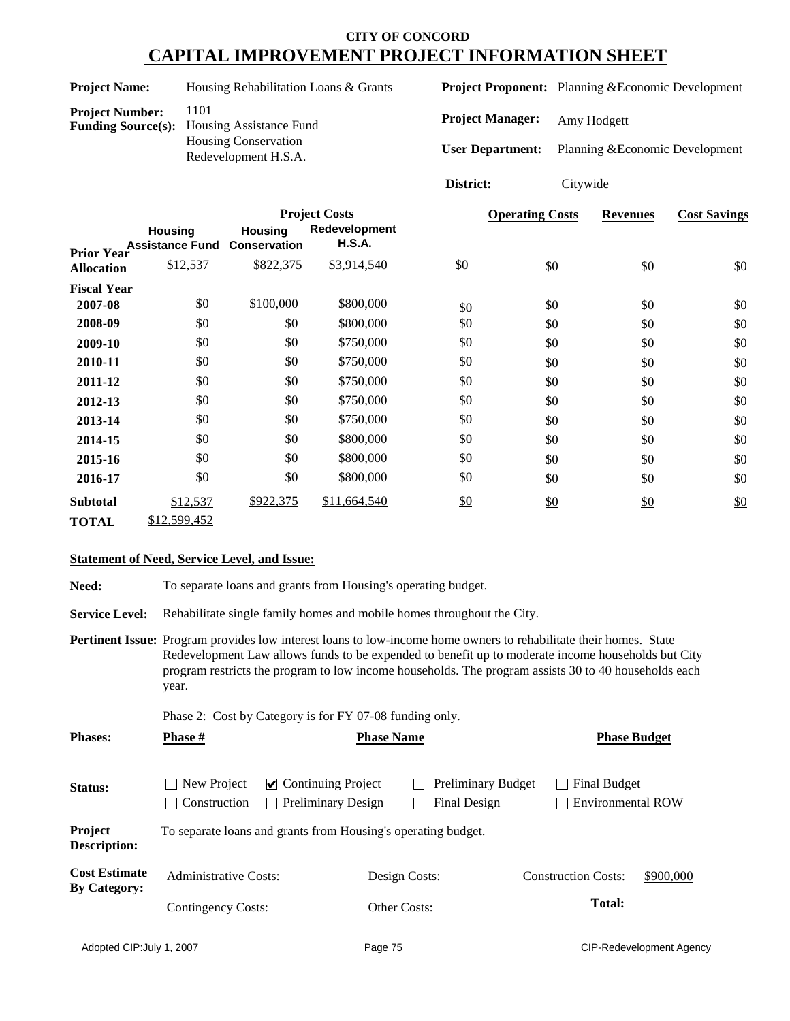| <b>Project Name:</b>   | Housing Rehabilitation Loans & Grants                                                                            |                                                    | <b>Project Proponent:</b> Planning & Economic Development |
|------------------------|------------------------------------------------------------------------------------------------------------------|----------------------------------------------------|-----------------------------------------------------------|
| <b>Project Number:</b> | 1101<br><b>Funding Source(s):</b> Housing Assistance Fund<br><b>Housing Conservation</b><br>Redevelopment H.S.A. | <b>Project Manager:</b><br><b>User Department:</b> | Amy Hodgett<br>Planning & Economic Development            |
|                        |                                                                                                                  | District:                                          | Citywide                                                  |

|                    |                                          |                                       | <b>Project Costs</b>           |     | <b>Operating Costs</b> | <b>Revenues</b> | <b>Cost Savings</b> |
|--------------------|------------------------------------------|---------------------------------------|--------------------------------|-----|------------------------|-----------------|---------------------|
| <b>Prior Year</b>  | <b>Housing</b><br><b>Assistance Fund</b> | <b>Housing</b><br><b>Conservation</b> | Redevelopment<br><b>H.S.A.</b> |     |                        |                 |                     |
| <b>Allocation</b>  | \$12,537                                 | \$822,375                             | \$3,914,540                    | \$0 | \$0                    | \$0             | \$0                 |
| <b>Fiscal Year</b> |                                          |                                       |                                |     |                        |                 |                     |
| 2007-08            | \$0                                      | \$100,000                             | \$800,000                      | \$0 | \$0                    | \$0             | \$0                 |
| 2008-09            | \$0                                      | \$0                                   | \$800,000                      | \$0 | \$0                    | \$0             | \$0                 |
| 2009-10            | \$0                                      | \$0                                   | \$750,000                      | \$0 | \$0                    | \$0             | \$0                 |
| 2010-11            | \$0                                      | \$0                                   | \$750,000                      | \$0 | \$0                    | \$0             | \$0                 |
| 2011-12            | \$0                                      | \$0                                   | \$750,000                      | \$0 | \$0                    | \$0             | \$0                 |
| 2012-13            | \$0                                      | \$0                                   | \$750,000                      | \$0 | \$0                    | \$0             | \$0                 |
| 2013-14            | \$0                                      | \$0                                   | \$750,000                      | \$0 | \$0                    | \$0             | \$0                 |
| 2014-15            | \$0                                      | \$0                                   | \$800,000                      | \$0 | \$0                    | \$0             | \$0                 |
| 2015-16            | \$0                                      | \$0                                   | \$800,000                      | \$0 | \$0                    | \$0             | \$0                 |
| 2016-17            | \$0                                      | \$0                                   | \$800,000                      | \$0 | \$0                    | \$0             | \$0                 |
| <b>Subtotal</b>    | \$12,537                                 | \$922,375                             | \$11,664,540                   | \$0 | \$0                    | $\frac{$0}{}$   | \$0                 |
| <b>TOTAL</b>       | \$12,599,452                             |                                       |                                |     |                        |                 |                     |

#### **Statement of Need, Service Level, and Issue:**

Need: To separate loans and grants from Housing's operating budget.

**Service Level:** Rehabilitate single family homes and mobile homes throughout the City.

**Pertinent Issue:** Program provides low interest loans to low-income home owners to rehabilitate their homes. State Redevelopment Law allows funds to be expended to benefit up to moderate income households but City program restricts the program to low income households. The program assists 30 to 40 households each year.

Phase 2: Cost by Category is for FY 07-08 funding only.

| <b>Phases:</b>                 | <b>Phase</b> #                                                            |                                                                  | <b>Phase Name</b> |                                                  | <b>Phase Budget</b>                      |  |  |
|--------------------------------|---------------------------------------------------------------------------|------------------------------------------------------------------|-------------------|--------------------------------------------------|------------------------------------------|--|--|
| <b>Status:</b>                 | New Project<br>$\sim$<br>Construction                                     | $\triangleright$ Continuing Project<br><b>Preliminary Design</b> |                   | <b>Preliminary Budget</b><br><b>Final Design</b> | Final Budget<br><b>Environmental ROW</b> |  |  |
| Project<br><b>Description:</b> |                                                                           | To separate loans and grants from Housing's operating budget.    |                   |                                                  |                                          |  |  |
| <b>Cost Estimate</b>           | <b>Administrative Costs:</b><br><b>By Category:</b><br>Contingency Costs: |                                                                  | Design Costs:     |                                                  | \$900,000<br><b>Construction Costs:</b>  |  |  |
|                                |                                                                           |                                                                  | Other Costs:      |                                                  | <b>Total:</b>                            |  |  |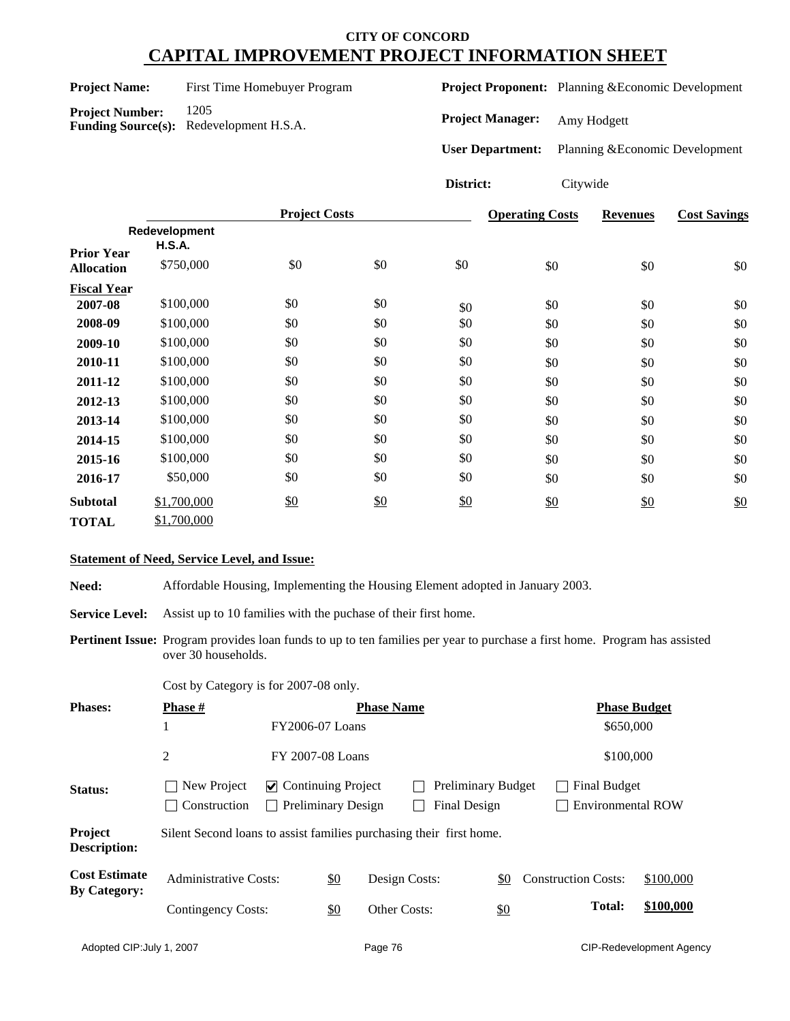| <b>Project Name:</b> | First Time Homebuyer Program |
|----------------------|------------------------------|
|                      |                              |

**Project Proponent:** Planning &Economic Development

**Project Number:** 1205 **Funding Source(s):** Redevelopment H.S.A.

**Project Manager:** Amy Hodgett

**User Department:** Planning &Economic Development

**District:** Citywide

|                    |               | <b>Project Costs</b> |     |     | <b>Operating Costs</b> | <b>Revenues</b> | <b>Cost Savings</b> |
|--------------------|---------------|----------------------|-----|-----|------------------------|-----------------|---------------------|
|                    | Redevelopment |                      |     |     |                        |                 |                     |
| <b>Prior Year</b>  | <b>H.S.A.</b> |                      |     |     |                        |                 |                     |
| <b>Allocation</b>  | \$750,000     | \$0                  | \$0 | \$0 | \$0                    | \$0             | \$0                 |
| <b>Fiscal Year</b> |               |                      |     |     |                        |                 |                     |
| 2007-08            | \$100,000     | \$0                  | \$0 | \$0 | \$0                    | \$0             | $\$0$               |
| 2008-09            | \$100,000     | \$0                  | \$0 | \$0 | \$0                    | \$0             | \$0                 |
| 2009-10            | \$100,000     | \$0                  | \$0 | \$0 | \$0                    | \$0             | \$0                 |
| 2010-11            | \$100,000     | \$0                  | \$0 | \$0 | \$0                    | \$0             | \$0                 |
| 2011-12            | \$100,000     | \$0                  | \$0 | \$0 | \$0                    | \$0             | \$0                 |
| 2012-13            | \$100,000     | \$0                  | \$0 | \$0 | \$0                    | \$0             | \$0                 |
| 2013-14            | \$100,000     | \$0                  | \$0 | \$0 | \$0                    | \$0             | \$0                 |
| 2014-15            | \$100,000     | \$0                  | \$0 | \$0 | \$0                    | \$0             | \$0                 |
| 2015-16            | \$100,000     | \$0                  | \$0 | \$0 | \$0                    | \$0             | \$0                 |
| 2016-17            | \$50,000      | \$0                  | \$0 | \$0 | \$0                    | \$0             | \$0                 |
| <b>Subtotal</b>    | \$1,700,000   | \$0                  | \$0 | \$0 | \$0                    | \$0             | \$0                 |
| <b>TOTAL</b>       | \$1,700,000   |                      |     |     |                        |                 |                     |

#### **Statement of Need, Service Level, and Issue:**

**Need:** Affordable Housing, Implementing the Housing Element adopted in January 2003.

Service Level: Assist up to 10 families with the puchase of their first home.

**Pertinent Issue:** Program provides loan funds to up to ten families per year to purchase a first home. Program has assisted over 30 households.

Cost by Category is for 2007-08 only.

| <b>Phases:</b>                              | <b>Phase #</b>                                                      |                                           |                           | <b>Phase Name</b> |                                           |     |                            | <b>Phase Budget</b> |                          |
|---------------------------------------------|---------------------------------------------------------------------|-------------------------------------------|---------------------------|-------------------|-------------------------------------------|-----|----------------------------|---------------------|--------------------------|
|                                             | 1                                                                   | <b>FY2006-07 Loans</b>                    |                           |                   |                                           |     |                            | \$650,000           |                          |
|                                             | 2                                                                   | FY 2007-08 Loans                          |                           |                   |                                           |     |                            | \$100,000           |                          |
| <b>Status:</b>                              | New Project<br>Construction                                         | $\vee$ Continuing Project<br>$\mathbf{I}$ | <b>Preliminary Design</b> |                   | <b>Preliminary Budget</b><br>Final Design |     |                            | <b>Final Budget</b> | <b>Environmental ROW</b> |
| Project<br>Description:                     | Silent Second loans to assist families purchasing their first home. |                                           |                           |                   |                                           |     |                            |                     |                          |
| <b>Cost Estimate</b><br><b>By Category:</b> | <b>Administrative Costs:</b>                                        |                                           | $\frac{$0}{}$             | Design Costs:     |                                           | \$0 | <b>Construction Costs:</b> |                     | \$100,000                |
|                                             | Contingency Costs:                                                  |                                           | \$0                       | Other Costs:      |                                           | \$0 |                            | <b>Total:</b>       | \$100,000                |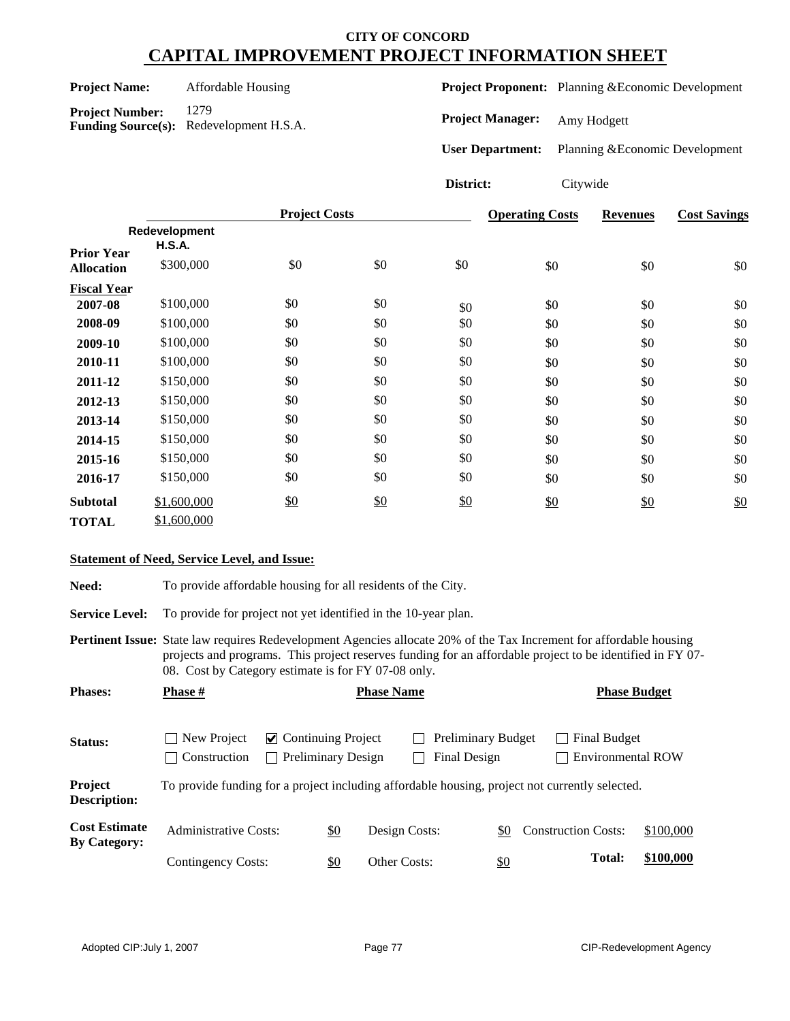| <b>Project Name:</b> | Affordable Housing |
|----------------------|--------------------|
|----------------------|--------------------|

**Project Number:** 1279

**Funding Source(s):** Redevelopment H.S.A.

**Project Proponent:** Planning &Economic Development

**Project Manager:** Amy Hodgett

**User Department:** Planning &Economic Development

# **District:** Citywide

|                                        |                                | <b>Project Costs</b> |               |     | <b>Operating Costs</b> | <b>Revenues</b> | <b>Cost Savings</b> |
|----------------------------------------|--------------------------------|----------------------|---------------|-----|------------------------|-----------------|---------------------|
|                                        | Redevelopment<br><b>H.S.A.</b> |                      |               |     |                        |                 |                     |
| <b>Prior Year</b><br><b>Allocation</b> | \$300,000                      | \$0                  | \$0           | \$0 | \$0                    | \$0             | \$0                 |
| <b>Fiscal Year</b>                     |                                |                      |               |     |                        |                 |                     |
| 2007-08                                | \$100,000                      | \$0                  | \$0           | \$0 | \$0                    | \$0             | \$0                 |
| 2008-09                                | \$100,000                      | \$0                  | \$0           | \$0 | \$0                    | \$0             | \$0                 |
| 2009-10                                | \$100,000                      | \$0                  | \$0           | \$0 | \$0                    | \$0             | \$0                 |
| 2010-11                                | \$100,000                      | \$0                  | \$0           | \$0 | \$0                    | \$0             | \$0                 |
| 2011-12                                | \$150,000                      | \$0                  | \$0           | \$0 | \$0                    | \$0             | \$0                 |
| 2012-13                                | \$150,000                      | \$0                  | \$0           | \$0 | \$0                    | \$0             | \$0                 |
| 2013-14                                | \$150,000                      | \$0                  | \$0           | \$0 | \$0                    | \$0             | \$0                 |
| 2014-15                                | \$150,000                      | \$0                  | \$0           | \$0 | \$0                    | \$0             | \$0                 |
| 2015-16                                | \$150,000                      | \$0                  | \$0           | \$0 | \$0                    | \$0             | \$0                 |
| 2016-17                                | \$150,000                      | \$0                  | \$0           | \$0 | \$0                    | \$0             | \$0                 |
| <b>Subtotal</b>                        | \$1,600,000                    | \$0                  | $\frac{$0}{}$ | \$0 | \$0                    | $\frac{$0}{}$   | \$0                 |
| <b>TOTAL</b>                           | \$1,600,000                    |                      |               |     |                        |                 |                     |

#### **Statement of Need, Service Level, and Issue:**

Need: To provide affordable housing for all residents of the City.

Service Level: To provide for project not yet identified in the 10-year plan.

**Pertinent Issue:** State law requires Redevelopment Agencies allocate 20% of the Tax Increment for affordable housing projects and programs. This project reserves funding for an affordable project to be identified in FY 07- 08. Cost by Category estimate is for FY 07-08 only.

| <b>Phases:</b>                              | <b>Phase</b> #                                                                                 |                                                                  | <b>Phase Name</b> |               |                                           |     |                            |                                          | <b>Phase Budget</b> |  |
|---------------------------------------------|------------------------------------------------------------------------------------------------|------------------------------------------------------------------|-------------------|---------------|-------------------------------------------|-----|----------------------------|------------------------------------------|---------------------|--|
| Status:                                     | New Project<br>$\blacksquare$<br>Construction<br>$\blacksquare$                                | $\vee$ Continuing Project<br>Preliminary Design<br>$\mathcal{L}$ |                   |               | <b>Preliminary Budget</b><br>Final Design |     |                            | Final Budget<br><b>Environmental ROW</b> |                     |  |
| Project<br><b>Description:</b>              | To provide funding for a project including affordable housing, project not currently selected. |                                                                  |                   |               |                                           |     |                            |                                          |                     |  |
| <b>Cost Estimate</b><br><b>By Category:</b> | <b>Administrative Costs:</b>                                                                   |                                                                  | $\underline{\$0}$ | Design Costs: |                                           | \$0 | <b>Construction Costs:</b> |                                          | \$100,000           |  |
|                                             | Contingency Costs:                                                                             | \$0                                                              |                   | Other Costs:  |                                           | \$0 |                            | <b>Total:</b>                            | \$100,000           |  |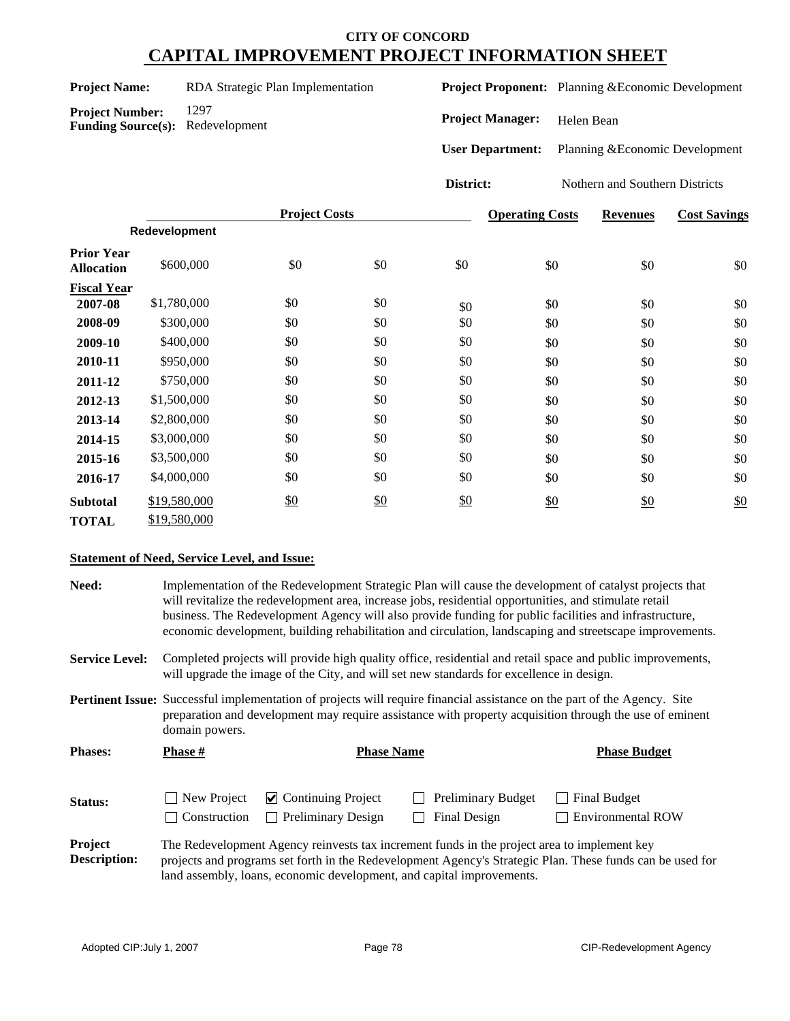| <b>Project Name:</b> | RDA Strategic Plan Implementation |  |
|----------------------|-----------------------------------|--|
|                      |                                   |  |

**Project Proponent:** Planning &Economic Development

**Project Number:** 1297 **Funding Source(s):** Redevelopment

**Project Manager:** Helen Bean

**User Department:** Planning &Economic Development

**District:** Nothern and Southern Districts

|                                        |               | <b>Project Costs</b> |     |     | <b>Operating Costs</b> | <b>Revenues</b> | <b>Cost Savings</b> |
|----------------------------------------|---------------|----------------------|-----|-----|------------------------|-----------------|---------------------|
|                                        | Redevelopment |                      |     |     |                        |                 |                     |
| <b>Prior Year</b><br><b>Allocation</b> | \$600,000     | \$0                  | \$0 | \$0 | \$0                    | \$0             | \$0                 |
| <b>Fiscal Year</b>                     |               |                      |     |     |                        |                 |                     |
| 2007-08                                | \$1,780,000   | \$0                  | \$0 | \$0 | \$0                    | \$0             | \$0                 |
| 2008-09                                | \$300,000     | \$0                  | \$0 | \$0 | \$0                    | \$0             | \$0                 |
| 2009-10                                | \$400,000     | \$0                  | \$0 | \$0 | \$0                    | \$0             | \$0                 |
| 2010-11                                | \$950,000     | \$0                  | \$0 | \$0 | \$0                    | \$0             | \$0                 |
| 2011-12                                | \$750,000     | \$0                  | \$0 | \$0 | \$0                    | \$0             | \$0                 |
| 2012-13                                | \$1,500,000   | \$0                  | \$0 | \$0 | \$0                    | \$0             | \$0                 |
| 2013-14                                | \$2,800,000   | \$0                  | \$0 | \$0 | \$0                    | \$0             | \$0                 |
| 2014-15                                | \$3,000,000   | \$0                  | \$0 | \$0 | \$0                    | \$0             | \$0                 |
| 2015-16                                | \$3,500,000   | \$0                  | \$0 | \$0 | \$0                    | \$0             | \$0                 |
| 2016-17                                | \$4,000,000   | \$0                  | \$0 | \$0 | \$0                    | \$0             | \$0                 |
| <b>Subtotal</b>                        | \$19,580,000  | \$0                  | \$0 | \$0 | \$0                    | $\frac{$0}{}$   | \$0                 |
| <b>TOTAL</b>                           | \$19,580,000  |                      |     |     |                        |                 |                     |

#### **Statement of Need, Service Level, and Issue:**

| Need:                          | Implementation of the Redevelopment Strategic Plan will cause the development of catalyst projects that<br>will revitalize the redevelopment area, increase jobs, residential opportunities, and stimulate retail<br>business. The Redevelopment Agency will also provide funding for public facilities and infrastructure,<br>economic development, building rehabilitation and circulation, landscaping and streetscape improvements. |                                                                                                                                                                                                                                            |                                                                                             |                                                                                                           |  |  |  |  |
|--------------------------------|-----------------------------------------------------------------------------------------------------------------------------------------------------------------------------------------------------------------------------------------------------------------------------------------------------------------------------------------------------------------------------------------------------------------------------------------|--------------------------------------------------------------------------------------------------------------------------------------------------------------------------------------------------------------------------------------------|---------------------------------------------------------------------------------------------|-----------------------------------------------------------------------------------------------------------|--|--|--|--|
| <b>Service Level:</b>          |                                                                                                                                                                                                                                                                                                                                                                                                                                         | Completed projects will provide high quality office, residential and retail space and public improvements,<br>will upgrade the image of the City, and will set new standards for excellence in design.                                     |                                                                                             |                                                                                                           |  |  |  |  |
|                                | domain powers.                                                                                                                                                                                                                                                                                                                                                                                                                          | <b>Pertinent Issue:</b> Successful implementation of projects will require financial assistance on the part of the Agency. Site<br>preparation and development may require assistance with property acquisition through the use of eminent |                                                                                             |                                                                                                           |  |  |  |  |
| <b>Phases:</b>                 | <b>Phase #</b>                                                                                                                                                                                                                                                                                                                                                                                                                          | <b>Phase Name</b>                                                                                                                                                                                                                          |                                                                                             | <b>Phase Budget</b>                                                                                       |  |  |  |  |
| Status:                        | New Project<br>Construction                                                                                                                                                                                                                                                                                                                                                                                                             | $\triangleright$ Continuing Project<br><b>Preliminary Design</b><br>$\mathbf{I}$                                                                                                                                                           | <b>Preliminary Budget</b><br>Final Design                                                   | <b>Final Budget</b><br><b>Environmental ROW</b>                                                           |  |  |  |  |
| Project<br><b>Description:</b> |                                                                                                                                                                                                                                                                                                                                                                                                                                         |                                                                                                                                                                                                                                            | The Redevelopment Agency reinvests tax increment funds in the project area to implement key | projects and programs set forth in the Redevelopment Agency's Strategic Plan. These funds can be used for |  |  |  |  |

land assembly, loans, economic development, and capital improvements.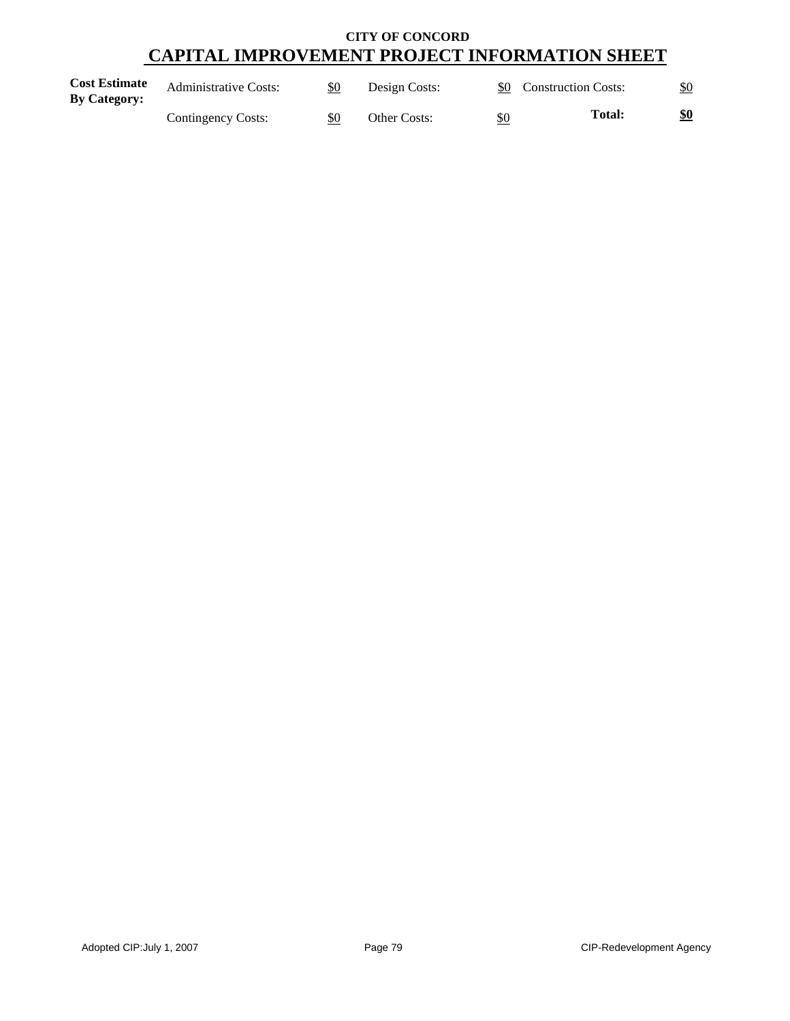| <b>Cost Estimate</b><br><b>By Category:</b> | <b>Administrative Costs:</b> | \$0 | Design Costs: |     | \$0 Construction Costs: |     |
|---------------------------------------------|------------------------------|-----|---------------|-----|-------------------------|-----|
|                                             | Contingency Costs:           | \$0 | Other Costs:  | \$0 | <b>Total:</b>           | \$0 |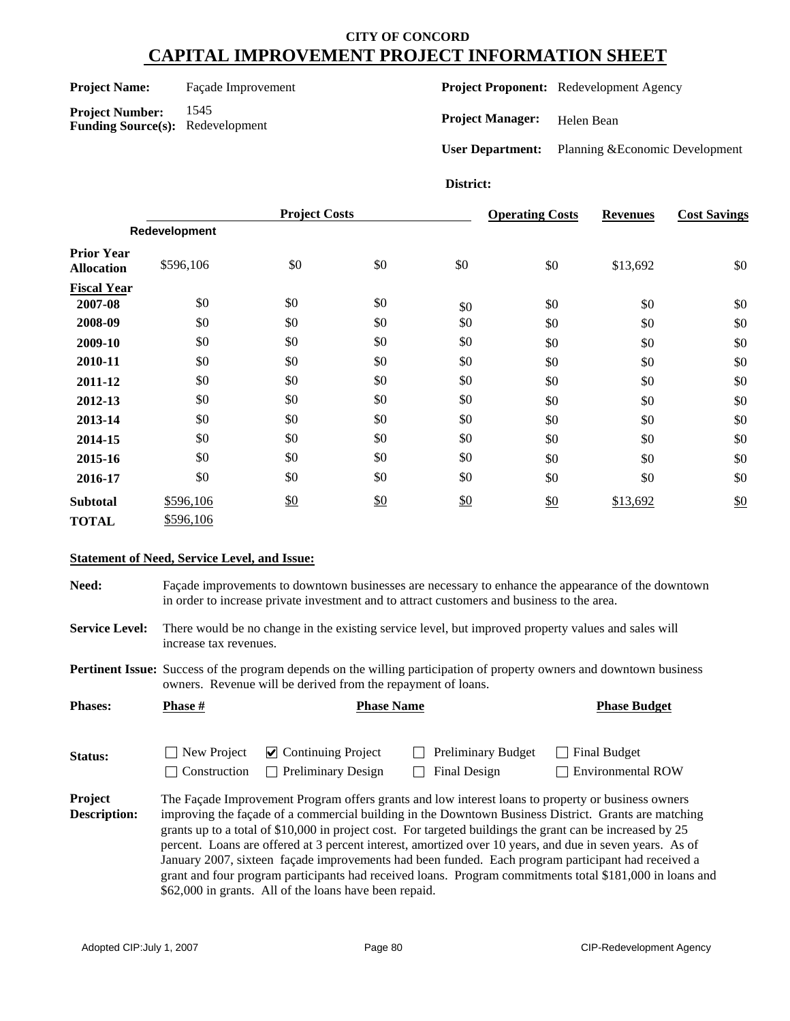#### **Project Name:** Façade Improvement

**Project Number:** 1545 **Funding Source(s):** Redevelopment **Project Proponent:** Redevelopment Agency

**Project Manager:** Helen Bean

**User Department:** Planning &Economic Development

#### **District:**

|                                        |               | <b>Project Costs</b> |     |     | <b>Operating Costs</b> | <b>Revenues</b> | <b>Cost Savings</b> |
|----------------------------------------|---------------|----------------------|-----|-----|------------------------|-----------------|---------------------|
|                                        | Redevelopment |                      |     |     |                        |                 |                     |
| <b>Prior Year</b><br><b>Allocation</b> | \$596,106     | \$0                  | \$0 | \$0 | \$0                    | \$13,692        | \$0                 |
| <b>Fiscal Year</b>                     |               |                      |     |     |                        |                 |                     |
| 2007-08                                | \$0           | \$0                  | \$0 | \$0 | \$0                    | \$0             | \$0                 |
| 2008-09                                | \$0           | \$0                  | \$0 | \$0 | \$0                    | \$0             | \$0                 |
| 2009-10                                | \$0           | \$0                  | \$0 | \$0 | \$0                    | \$0             | \$0                 |
| 2010-11                                | \$0           | \$0                  | \$0 | \$0 | \$0                    | \$0             | \$0                 |
| 2011-12                                | \$0           | \$0                  | \$0 | \$0 | \$0                    | \$0             | \$0                 |
| 2012-13                                | \$0           | \$0                  | \$0 | \$0 | \$0                    | \$0             | \$0                 |
| 2013-14                                | \$0           | \$0                  | \$0 | \$0 | \$0                    | \$0             | \$0                 |
| 2014-15                                | \$0           | \$0                  | \$0 | \$0 | \$0                    | \$0             | \$0                 |
| 2015-16                                | \$0           | \$0                  | \$0 | \$0 | \$0                    | \$0             | \$0                 |
| 2016-17                                | \$0           | \$0                  | \$0 | \$0 | \$0                    | \$0             | \$0                 |
| <b>Subtotal</b>                        | \$596,106     | \$0                  | \$0 | \$0 | \$0                    | \$13,692        | \$0                 |
| <b>TOTAL</b>                           | \$596,106     |                      |     |     |                        |                 |                     |

#### **Statement of Need, Service Level, and Issue:**

Need: Façade improvements to downtown businesses are necessary to enhance the appearance of the downtown in order to increase private investment and to attract customers and business to the area.

**Service Level:** There would be no change in the existing service level, but improved property values and sales will increase tax revenues.

**Pertinent Issue:** Success of the program depends on the willing participation of property owners and downtown business owners. Revenue will be derived from the repayment of loans.

| <b>Phases:</b>                 | <b>Phase</b> #              | <b>Phase Name</b>                                                        | <b>Phase Budget</b>                       |                                                                                                                                                                                                                                                                                                                                                                                                                                                                                                                                                                                                                                                       |  |
|--------------------------------|-----------------------------|--------------------------------------------------------------------------|-------------------------------------------|-------------------------------------------------------------------------------------------------------------------------------------------------------------------------------------------------------------------------------------------------------------------------------------------------------------------------------------------------------------------------------------------------------------------------------------------------------------------------------------------------------------------------------------------------------------------------------------------------------------------------------------------------------|--|
| Status:                        | New Project<br>Construction | $\vee$ Continuing Project<br><b>Preliminary Design</b><br>$\blacksquare$ | <b>Preliminary Budget</b><br>Final Design | Final Budget<br><b>Environmental ROW</b>                                                                                                                                                                                                                                                                                                                                                                                                                                                                                                                                                                                                              |  |
| Project<br><b>Description:</b> |                             | \$62,000 in grants. All of the loans have been repaid.                   |                                           | The Façade Improvement Program offers grants and low interest loans to property or business owners<br>improving the façade of a commercial building in the Downtown Business District. Grants are matching<br>grants up to a total of \$10,000 in project cost. For targeted buildings the grant can be increased by 25<br>percent. Loans are offered at 3 percent interest, amortized over 10 years, and due in seven years. As of<br>January 2007, sixteen façade improvements had been funded. Each program participant had received a<br>grant and four program participants had received loans. Program commitments total \$181,000 in loans and |  |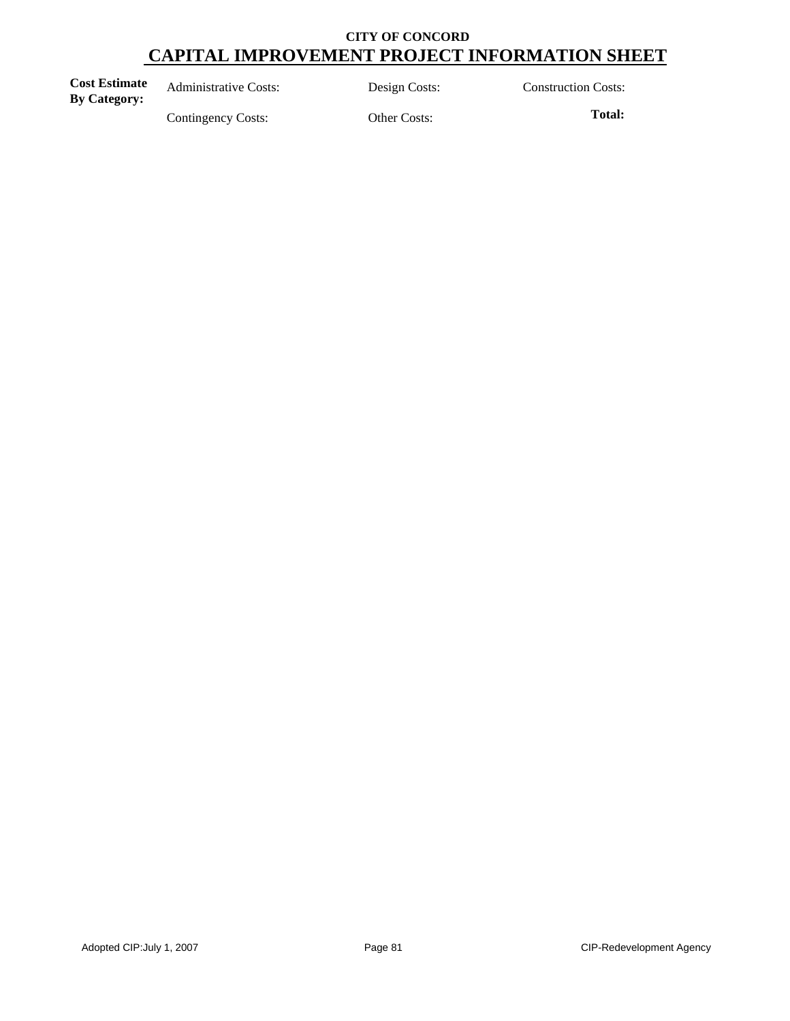| <b>Cost Estimate</b><br><b>By Category:</b> | <b>Administrative Costs:</b> | Design Costs: | <b>Construction Costs:</b> |
|---------------------------------------------|------------------------------|---------------|----------------------------|
|                                             | Contingency Costs:           | Other Costs:  | Total:                     |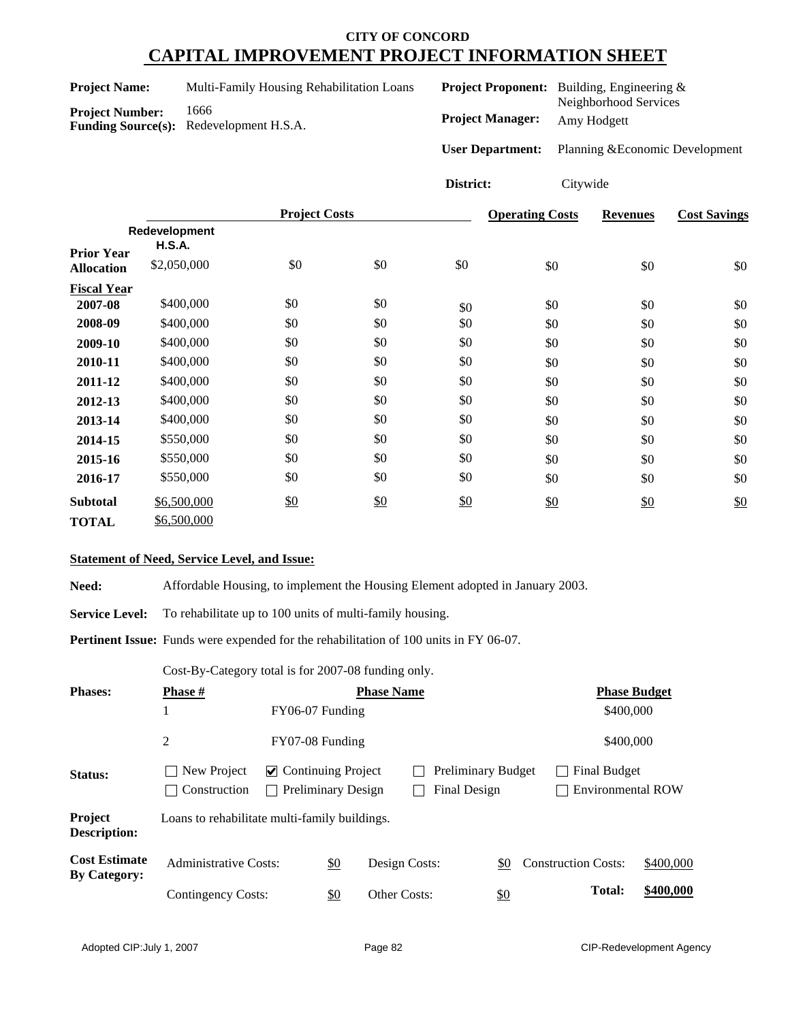| <b>Project Name:</b> | Multi-Family Housing Rehabilitation Loans |
|----------------------|-------------------------------------------|
|                      |                                           |

**Project Number:** 1666 **Funding Source(s):** Redevelopment H.S.A. **Project Manager:** Amy Hodgett **User Department:** Planning &Economic Development **Project Proponent:** Building, Engineering & Neighborhood Services

**District:** Citywide

|                    | <b>Project Costs</b> |     | <b>Operating Costs</b> | <b>Revenues</b> | <b>Cost Savings</b> |     |     |
|--------------------|----------------------|-----|------------------------|-----------------|---------------------|-----|-----|
|                    | Redevelopment        |     |                        |                 |                     |     |     |
| <b>Prior Year</b>  | <b>H.S.A.</b>        |     |                        |                 |                     |     |     |
| <b>Allocation</b>  | \$2,050,000          | \$0 | \$0                    | \$0             | \$0                 | \$0 | \$0 |
| <b>Fiscal Year</b> |                      |     |                        |                 |                     |     |     |
| 2007-08            | \$400,000            | \$0 | \$0                    | \$0             | \$0                 | \$0 | \$0 |
| 2008-09            | \$400,000            | \$0 | \$0                    | \$0             | \$0                 | \$0 | \$0 |
| 2009-10            | \$400,000            | \$0 | \$0                    | \$0             | \$0                 | \$0 | \$0 |
| 2010-11            | \$400,000            | \$0 | \$0                    | \$0             | \$0                 | \$0 | \$0 |
| 2011-12            | \$400,000            | \$0 | \$0                    | \$0             | \$0                 | \$0 | \$0 |
| 2012-13            | \$400,000            | \$0 | \$0                    | \$0             | \$0                 | \$0 | \$0 |
| 2013-14            | \$400,000            | \$0 | \$0                    | \$0             | \$0                 | \$0 | \$0 |
| 2014-15            | \$550,000            | \$0 | \$0                    | \$0             | \$0                 | \$0 | \$0 |
| 2015-16            | \$550,000            | \$0 | \$0                    | \$0             | \$0                 | \$0 | \$0 |
| 2016-17            | \$550,000            | \$0 | \$0                    | \$0             | \$0                 | \$0 | \$0 |
| <b>Subtotal</b>    | \$6,500,000          | \$0 | \$0                    | \$0             | \$0                 | \$0 | \$0 |
| <b>TOTAL</b>       | \$6,500,000          |     |                        |                 |                     |     |     |

#### **Statement of Need, Service Level, and Issue:**

**Need:** Affordable Housing, to implement the Housing Element adopted in January 2003.

Service Level: To rehabilitate up to 100 units of multi-family housing.

Pertinent Issue: Funds were expended for the rehabilitation of 100 units in FY 06-07.

Cost-By-Category total is for 2007-08 funding only.

| <b>Phases:</b>                              | <b>Phase</b> #                                | <b>Phase Name</b>                                      |            |               |  |                                                  | <b>Phase Budget</b> |  |                            |                                                 |           |
|---------------------------------------------|-----------------------------------------------|--------------------------------------------------------|------------|---------------|--|--------------------------------------------------|---------------------|--|----------------------------|-------------------------------------------------|-----------|
|                                             | 1                                             | FY06-07 Funding                                        |            |               |  |                                                  |                     |  |                            | \$400,000                                       |           |
|                                             | 2                                             | FY07-08 Funding                                        |            |               |  |                                                  |                     |  |                            | \$400,000                                       |           |
| Status:                                     | New Project<br>Construction                   | $\vee$ Continuing Project<br><b>Preliminary Design</b> |            |               |  | <b>Preliminary Budget</b><br><b>Final Design</b> |                     |  |                            | <b>Final Budget</b><br><b>Environmental ROW</b> |           |
| Project<br><b>Description:</b>              | Loans to rehabilitate multi-family buildings. |                                                        |            |               |  |                                                  |                     |  |                            |                                                 |           |
| <b>Cost Estimate</b><br><b>By Category:</b> | <b>Administrative Costs:</b>                  |                                                        | \$0        | Design Costs: |  |                                                  | \$0                 |  | <b>Construction Costs:</b> |                                                 | \$400,000 |
|                                             | Contingency Costs:                            |                                                        | <u>\$0</u> | Other Costs:  |  |                                                  | <u>\$0</u>          |  |                            | Total:                                          | \$400,000 |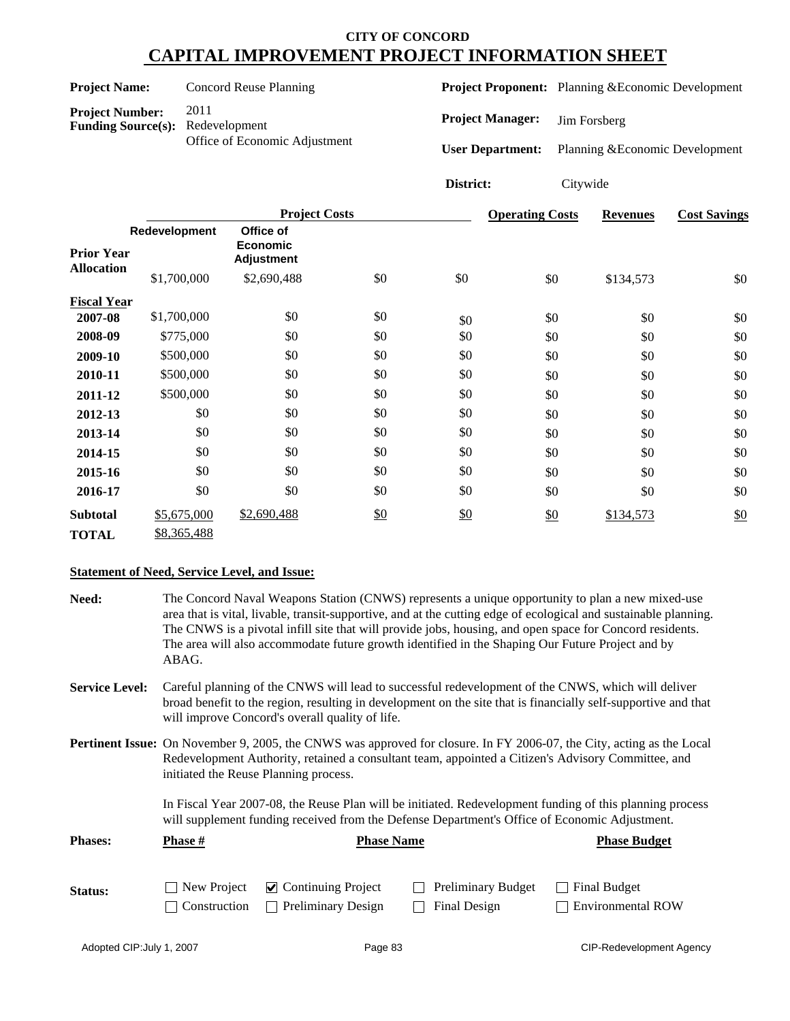| <b>Project Name:</b>                                |               |                                                        | <b>Concord Reuse Planning</b>                     |     |                         | Project Proponent: Planning & Economic Development |                 |                                 |
|-----------------------------------------------------|---------------|--------------------------------------------------------|---------------------------------------------------|-----|-------------------------|----------------------------------------------------|-----------------|---------------------------------|
| <b>Project Number:</b><br><b>Funding Source(s):</b> |               | 2011<br>Redevelopment<br>Office of Economic Adjustment |                                                   |     | <b>Project Manager:</b> |                                                    | Jim Forsberg    |                                 |
|                                                     |               |                                                        |                                                   |     | <b>User Department:</b> |                                                    |                 | Planning & Economic Development |
|                                                     |               |                                                        |                                                   |     | District:               | Citywide                                           |                 |                                 |
|                                                     |               |                                                        | <b>Project Costs</b>                              |     |                         | <b>Operating Costs</b>                             | <b>Revenues</b> | <b>Cost Savings</b>             |
| <b>Prior Year</b>                                   | Redevelopment |                                                        | Office of<br><b>Economic</b><br><b>Adjustment</b> |     |                         |                                                    |                 |                                 |
| <b>Allocation</b>                                   |               | \$1,700,000                                            | \$2,690,488                                       | \$0 | \$0                     | \$0                                                | \$134,573       | \$0                             |
| <b>Fiscal Year</b>                                  |               |                                                        |                                                   |     |                         |                                                    |                 |                                 |
| 2007-08                                             |               | \$1,700,000                                            | \$0                                               | \$0 | \$0                     | \$0                                                | \$0             | \$0                             |
| 2008-09                                             |               | \$775,000                                              | \$0                                               | \$0 | \$0                     | \$0                                                | \$0             | \$0                             |
| 2009-10                                             |               | \$500,000                                              | \$0                                               | \$0 | \$0                     | \$0                                                | \$0             | \$0                             |
| 2010-11                                             |               | \$500,000                                              | \$0                                               | \$0 | \$0                     | \$0                                                | \$0             | \$0                             |
| 2011-12                                             |               | \$500,000                                              | \$0                                               | \$0 | \$0                     | \$0                                                | \$0             | \$0                             |
| 2012-13                                             |               | \$0                                                    | \$0                                               | \$0 | \$0                     | \$0                                                | \$0             | \$0                             |
| 2013-14                                             |               | \$0                                                    | \$0                                               | \$0 | \$0                     | \$0                                                | \$0             | \$0                             |
| 2014-15                                             |               | \$0                                                    | \$0                                               | \$0 | \$0                     | \$0                                                | \$0             | \$0                             |
| 2015-16                                             |               | \$0                                                    | \$0                                               | \$0 | \$0                     | \$0                                                | \$0             | \$0                             |
| 2016-17                                             |               | \$0                                                    | \$0                                               | \$0 | \$0                     | \$0                                                | \$0             | \$0                             |
| <b>Subtotal</b>                                     |               | \$5,675,000                                            | \$2,690,488                                       | \$0 | \$0                     | \$0                                                | \$134,573       | \$0                             |
| <b>TOTAL</b>                                        |               | \$8,365,488                                            |                                                   |     |                         |                                                    |                 |                                 |

### **Statement of Need, Service Level, and Issue:**

| Need:                 | ABAG.                                           | The Concord Naval Weapons Station (CNWS) represents a unique opportunity to plan a new mixed-use<br>area that is vital, livable, transit-supportive, and at the cutting edge of ecological and sustainable planning.<br>The CNWS is a pivotal infill site that will provide jobs, housing, and open space for Concord residents.<br>The area will also accommodate future growth identified in the Shaping Our Future Project and by |                     |
|-----------------------|-------------------------------------------------|--------------------------------------------------------------------------------------------------------------------------------------------------------------------------------------------------------------------------------------------------------------------------------------------------------------------------------------------------------------------------------------------------------------------------------------|---------------------|
| <b>Service Level:</b> | will improve Concord's overall quality of life. | Careful planning of the CNWS will lead to successful redevelopment of the CNWS, which will deliver<br>broad benefit to the region, resulting in development on the site that is financially self-supportive and that                                                                                                                                                                                                                 |                     |
|                       | initiated the Reuse Planning process.           | <b>Pertinent Issue:</b> On November 9, 2005, the CNWS was approved for closure. In FY 2006-07, the City, acting as the Local<br>Redevelopment Authority, retained a consultant team, appointed a Citizen's Advisory Committee, and                                                                                                                                                                                                   |                     |
|                       |                                                 | In Fiscal Year 2007-08, the Reuse Plan will be initiated. Redevelopment funding of this planning process<br>will supplement funding received from the Defense Department's Office of Economic Adjustment.                                                                                                                                                                                                                            |                     |
| <b>Phases:</b>        | <b>Phase</b> #                                  | <b>Phase Name</b>                                                                                                                                                                                                                                                                                                                                                                                                                    | <b>Phase Budget</b> |

| Status: | $\Box$ New Project $\Box$ Continuing Project  | $\Box$ Preliminary Budget $\Box$ Final Budget |                          |
|---------|-----------------------------------------------|-----------------------------------------------|--------------------------|
|         | $\Box$ Construction $\Box$ Preliminary Design | $\Box$ Final Design                           | $\Box$ Environmental ROW |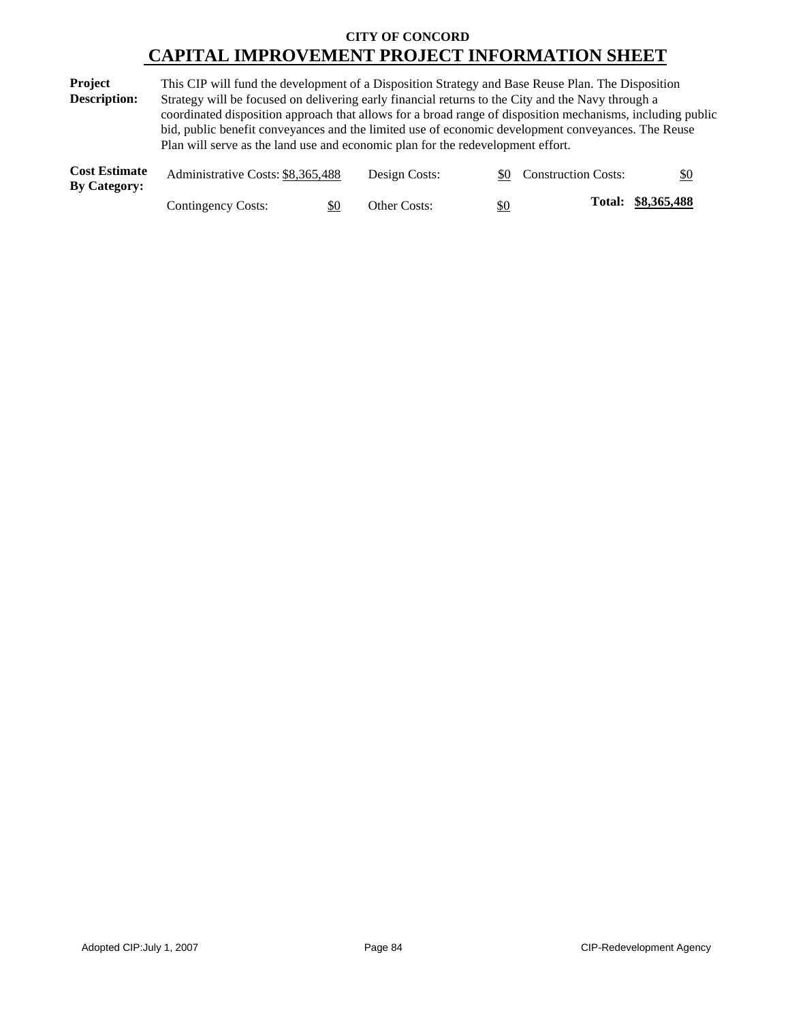| <b>Project</b>      | This CIP will fund the development of a Disposition Strategy and Base Reuse Plan. The Disposition          |  |  |  |  |  |  |
|---------------------|------------------------------------------------------------------------------------------------------------|--|--|--|--|--|--|
| <b>Description:</b> | Strategy will be focused on delivering early financial returns to the City and the Navy through a          |  |  |  |  |  |  |
|                     | coordinated disposition approach that allows for a broad range of disposition mechanisms, including public |  |  |  |  |  |  |
|                     | bid, public benefit conveyances and the limited use of economic development conveyances. The Reuse         |  |  |  |  |  |  |
|                     | Plan will serve as the land use and economic plan for the redevelopment effort.                            |  |  |  |  |  |  |
|                     | . .                                                                                                        |  |  |  |  |  |  |

| <b>Cost Estimate</b><br><b>By Category:</b> | Administrative Costs: \$8,365,488 |     | Design Costs: |     | \$0 Construction Costs: | \$0                |
|---------------------------------------------|-----------------------------------|-----|---------------|-----|-------------------------|--------------------|
|                                             | Contingency Costs:                | \$0 | Other Costs:  | \$0 |                         | Total: \$8,365,488 |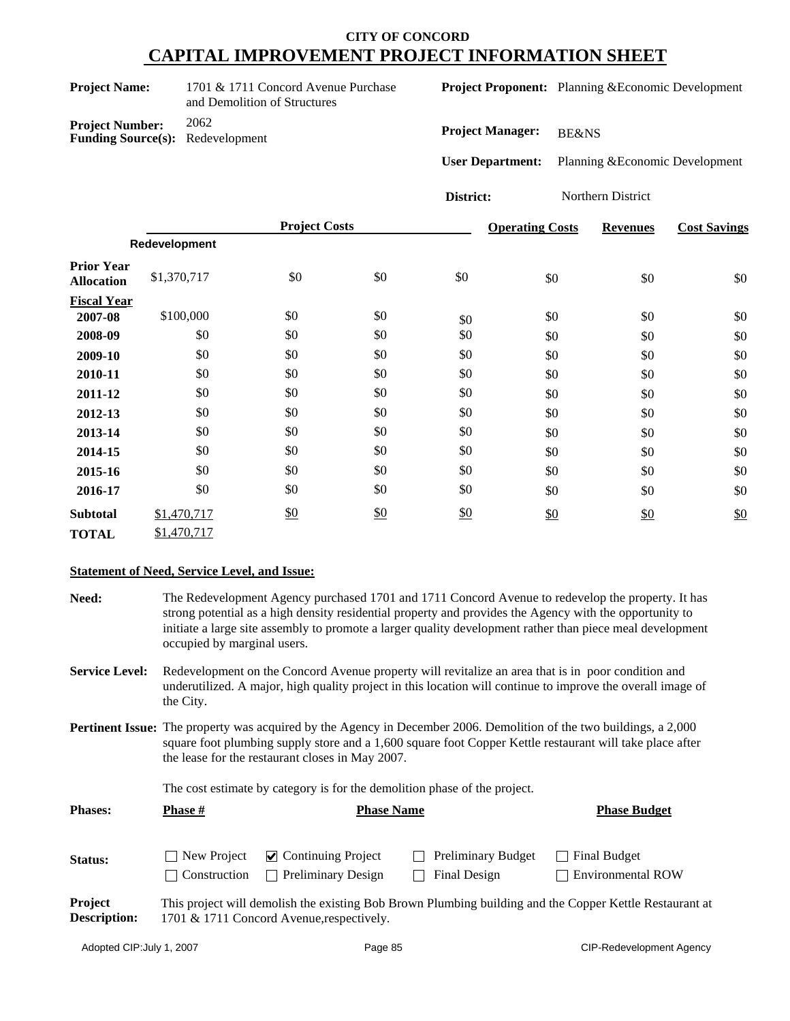| <b>Project Name:</b>                                              | 1701 & 1711 Concord Avenue Purchase<br>and Demolition of Structures |
|-------------------------------------------------------------------|---------------------------------------------------------------------|
| <b>Project Number:</b><br><b>Funding Source(s):</b> Redevelopment | 2062                                                                |

**Project Proponent:** Planning &Economic Development

**Project Manager:** BE&NS

**User Department:** Planning &Economic Development

**District:** Northern District

|                                        |               | <b>Project Costs</b> |     |     | <b>Operating Costs</b> | <b>Revenues</b> | <b>Cost Savings</b> |
|----------------------------------------|---------------|----------------------|-----|-----|------------------------|-----------------|---------------------|
|                                        | Redevelopment |                      |     |     |                        |                 |                     |
| <b>Prior Year</b><br><b>Allocation</b> | \$1,370,717   | \$0                  | \$0 | \$0 | \$0                    | \$0             | \$0                 |
| <b>Fiscal Year</b>                     |               |                      |     |     |                        |                 |                     |
| 2007-08                                | \$100,000     | \$0                  | \$0 | \$0 | \$0                    | \$0             | \$0                 |
| 2008-09                                | \$0           | \$0                  | \$0 | \$0 | \$0                    | \$0             | \$0                 |
| 2009-10                                | \$0           | \$0                  | \$0 | \$0 | \$0                    | \$0             | \$0                 |
| 2010-11                                | \$0           | \$0                  | \$0 | \$0 | \$0                    | \$0             | \$0                 |
| 2011-12                                | \$0           | \$0                  | \$0 | \$0 | \$0                    | \$0             | \$0                 |
| 2012-13                                | \$0           | \$0                  | \$0 | \$0 | \$0                    | \$0             | \$0                 |
| 2013-14                                | \$0           | \$0                  | \$0 | \$0 | \$0                    | \$0             | \$0                 |
| 2014-15                                | \$0           | \$0                  | \$0 | \$0 | \$0                    | \$0             | \$0                 |
| 2015-16                                | \$0           | \$0                  | \$0 | \$0 | \$0                    | \$0             | \$0                 |
| 2016-17                                | \$0           | \$0                  | \$0 | \$0 | \$0                    | \$0             | \$0                 |
| <b>Subtotal</b>                        | \$1,470,717   | $\frac{$0}{}$        | \$0 | \$0 | \$0                    | \$0             | \$0                 |
| <b>TOTAL</b>                           | \$1,470,717   |                      |     |     |                        |                 |                     |

### **Statement of Need, Service Level, and Issue:**

| Need:                                 | The Redevelopment Agency purchased 1701 and 1711 Concord Avenue to redevelop the property. It has<br>strong potential as a high density residential property and provides the Agency with the opportunity to<br>initiate a large site assembly to promote a larger quality development rather than piece meal development<br>occupied by marginal users.                |                                                                                          |                                           |                                                                                                         |  |  |  |  |
|---------------------------------------|-------------------------------------------------------------------------------------------------------------------------------------------------------------------------------------------------------------------------------------------------------------------------------------------------------------------------------------------------------------------------|------------------------------------------------------------------------------------------|-------------------------------------------|---------------------------------------------------------------------------------------------------------|--|--|--|--|
| <b>Service Level:</b>                 | Redevelopment on the Concord Avenue property will revitalize an area that is in poor condition and<br>underutilized. A major, high quality project in this location will continue to improve the overall image of<br>the City.                                                                                                                                          |                                                                                          |                                           |                                                                                                         |  |  |  |  |
|                                       | <b>Pertinent Issue:</b> The property was acquired by the Agency in December 2006. Demolition of the two buildings, a 2,000<br>square foot plumbing supply store and a 1,600 square foot Copper Kettle restaurant will take place after<br>the lease for the restaurant closes in May 2007.<br>The cost estimate by category is for the demolition phase of the project. |                                                                                          |                                           |                                                                                                         |  |  |  |  |
| <b>Phases:</b>                        | Phase #                                                                                                                                                                                                                                                                                                                                                                 | <b>Phase Name</b>                                                                        |                                           | <b>Phase Budget</b>                                                                                     |  |  |  |  |
| Status:                               | New Project<br>Construction                                                                                                                                                                                                                                                                                                                                             | <b>Continuing Project</b><br>$\blacktriangledown$<br><b>Preliminary Design</b><br>$\Box$ | <b>Preliminary Budget</b><br>Final Design | Final Budget<br><b>Environmental ROW</b>                                                                |  |  |  |  |
| <b>Project</b><br><b>Description:</b> |                                                                                                                                                                                                                                                                                                                                                                         | 1701 & 1711 Concord Avenue, respectively.                                                |                                           | This project will demolish the existing Bob Brown Plumbing building and the Copper Kettle Restaurant at |  |  |  |  |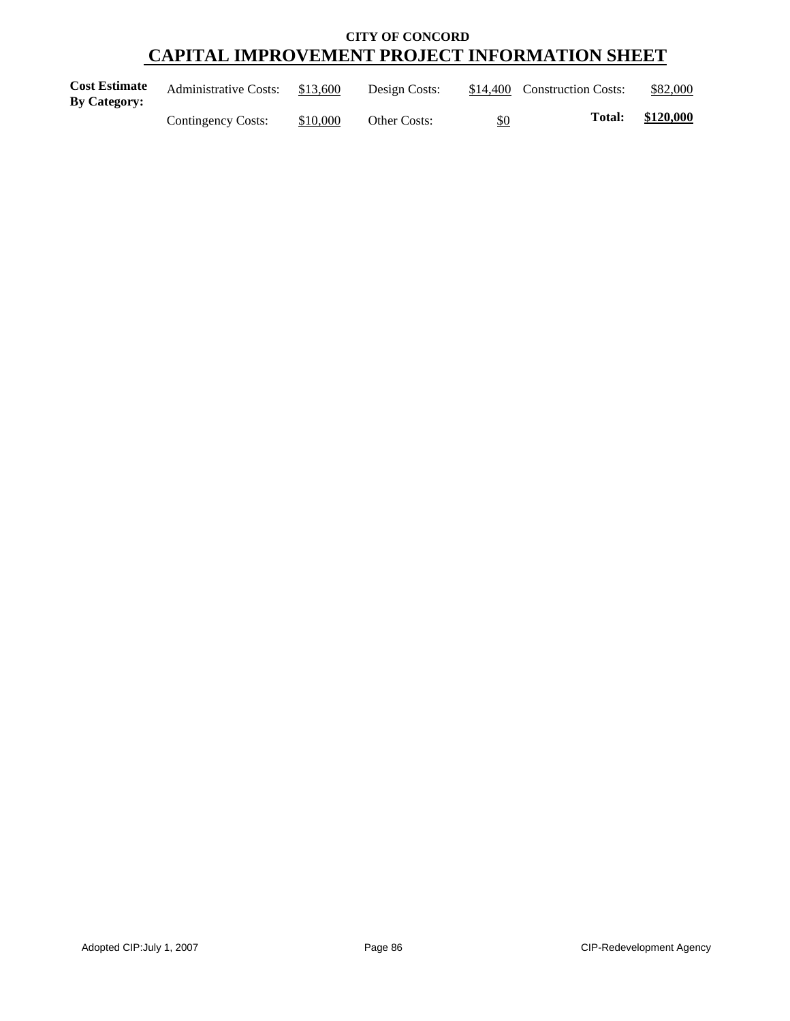| <b>Cost Estimate</b><br><b>By Category:</b> | <b>Administrative Costs:</b> | \$13,600 | Design Costs: |            | \$14,400 Construction Costs: | \$82,000  |
|---------------------------------------------|------------------------------|----------|---------------|------------|------------------------------|-----------|
|                                             | Contingency Costs:           | \$10,000 | Other Costs:  | <u>\$0</u> | <b>Total:</b>                | \$120,000 |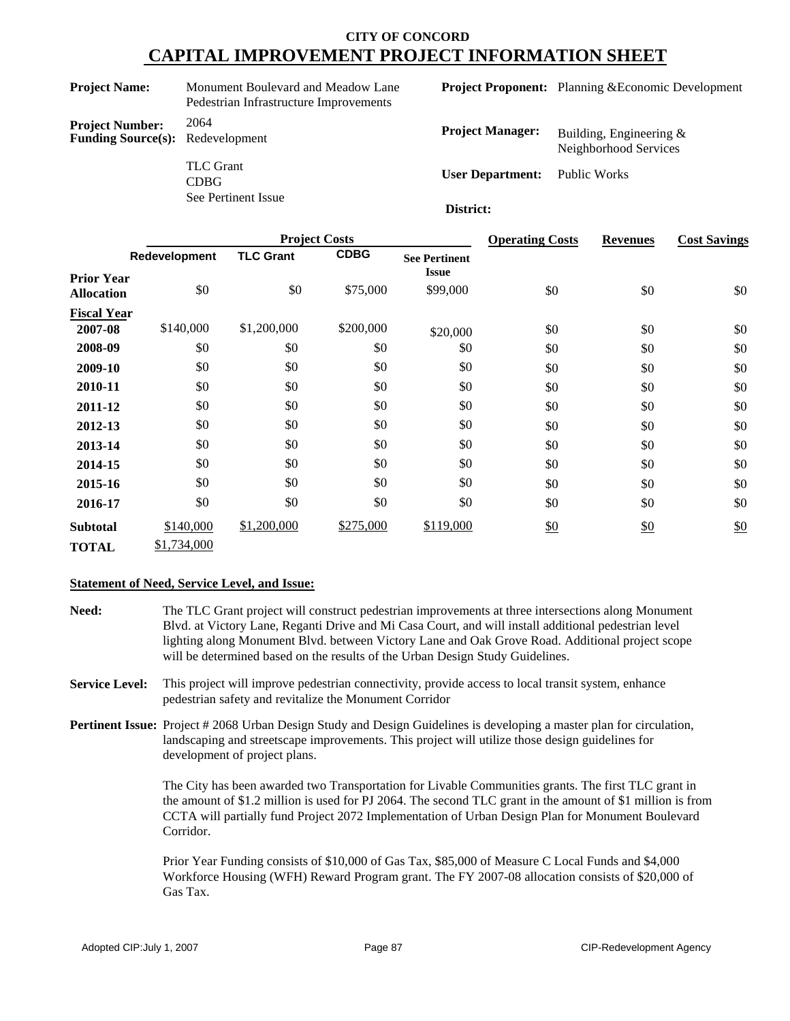**Project Name:** Monument Boulevard and Meadow Lane Pedestrian Infrastructure Improvements **Project Number:** 2064 **Funding Source(s):** Redevelopment

> TLC Grant CDBG

See Pertinent Issue

**Project Proponent:** Planning &Economic Development

| <b>Project Manager:</b> | Building, Engineering $\&$<br>Neighborhood Services |  |  |  |  |
|-------------------------|-----------------------------------------------------|--|--|--|--|
| <b>User Department:</b> | Public Works                                        |  |  |  |  |

#### **District:**

|                                        |               |                  | <b>Operating Costs</b> | <b>Revenues</b>                      | <b>Cost Savings</b> |     |     |
|----------------------------------------|---------------|------------------|------------------------|--------------------------------------|---------------------|-----|-----|
|                                        | Redevelopment | <b>TLC Grant</b> | <b>CDBG</b>            | <b>See Pertinent</b><br><b>Issue</b> |                     |     |     |
| <b>Prior Year</b><br><b>Allocation</b> | \$0           | \$0              | \$75,000               | \$99,000                             | \$0                 | \$0 | \$0 |
| <b>Fiscal Year</b>                     |               |                  |                        |                                      |                     |     |     |
| 2007-08                                | \$140,000     | \$1,200,000      | \$200,000              | \$20,000                             | \$0                 | \$0 | \$0 |
| 2008-09                                | \$0           | \$0              | \$0                    | \$0                                  | \$0                 | \$0 | \$0 |
| 2009-10                                | \$0           | \$0              | \$0                    | \$0                                  | \$0                 | \$0 | \$0 |
| 2010-11                                | \$0           | \$0              | \$0                    | \$0                                  | \$0                 | \$0 | \$0 |
| 2011-12                                | \$0           | \$0              | \$0                    | \$0                                  | \$0                 | \$0 | \$0 |
| 2012-13                                | \$0           | \$0              | \$0                    | \$0                                  | \$0                 | \$0 | \$0 |
| 2013-14                                | \$0           | \$0              | \$0                    | \$0                                  | \$0                 | \$0 | \$0 |
| 2014-15                                | \$0           | \$0              | \$0                    | \$0                                  | \$0                 | \$0 | \$0 |
| 2015-16                                | \$0           | \$0              | \$0                    | \$0                                  | \$0                 | \$0 | \$0 |
| 2016-17                                | \$0           | \$0              | \$0                    | \$0                                  | \$0                 | \$0 | \$0 |
| <b>Subtotal</b>                        | \$140,000     | \$1,200,000      | \$275,000              | \$119,000                            | \$0                 | \$0 | \$0 |
| <b>TOTAL</b>                           | \$1,734,000   |                  |                        |                                      |                     |     |     |

#### **Statement of Need, Service Level, and Issue:**

- **Need:** The TLC Grant project will construct pedestrian improvements at three intersections along Monument Blvd. at Victory Lane, Reganti Drive and Mi Casa Court, and will install additional pedestrian level lighting along Monument Blvd. between Victory Lane and Oak Grove Road. Additional project scope will be determined based on the results of the Urban Design Study Guidelines.
- **Service Level:** This project will improve pedestrian connectivity, provide access to local transit system, enhance pedestrian safety and revitalize the Monument Corridor
- **Pertinent Issue:** Project # 2068 Urban Design Study and Design Guidelines is developing a master plan for circulation, landscaping and streetscape improvements. This project will utilize those design guidelines for development of project plans.

The City has been awarded two Transportation for Livable Communities grants. The first TLC grant in the amount of \$1.2 million is used for PJ 2064. The second TLC grant in the amount of \$1 million is from CCTA will partially fund Project 2072 Implementation of Urban Design Plan for Monument Boulevard Corridor.

Prior Year Funding consists of \$10,000 of Gas Tax, \$85,000 of Measure C Local Funds and \$4,000 Workforce Housing (WFH) Reward Program grant. The FY 2007-08 allocation consists of \$20,000 of Gas Tax.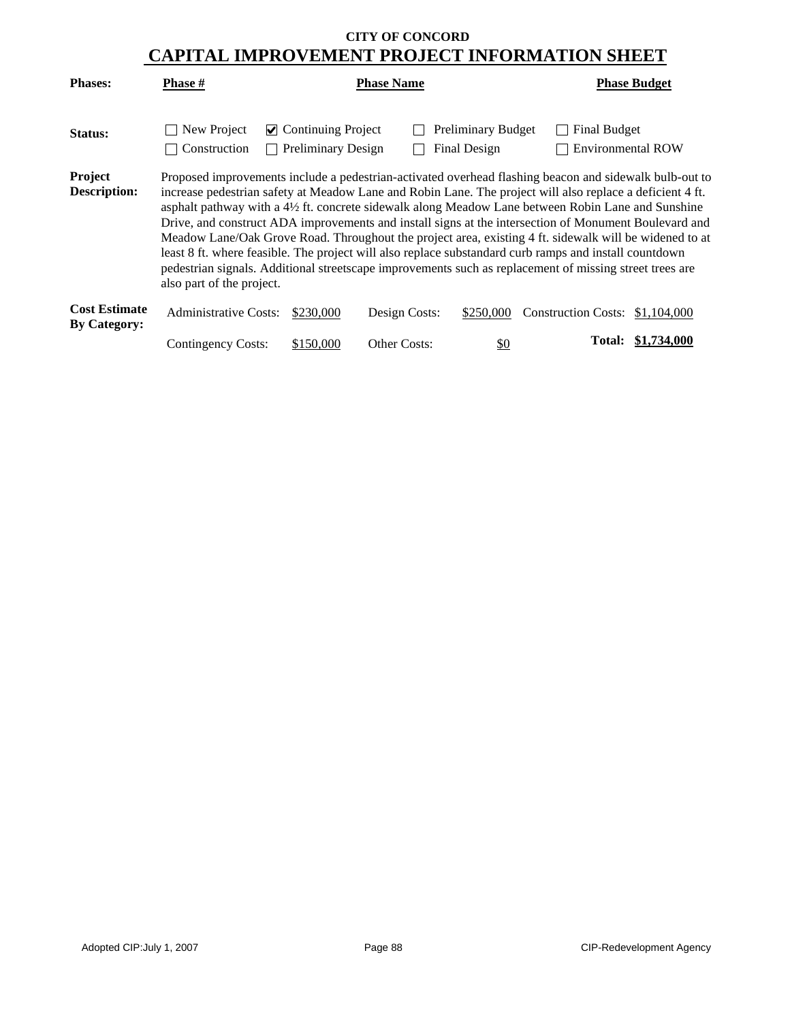| <b>Phases:</b>                              | <b>Phase #</b>                                                                                                                                                                                                                                                                                                                                                                                                                                                                                                                                                                                                                                                                                                                                                                                | <b>Phase Name</b>                                                |               |                                           |                                          | <b>Phase Budget</b> |  |  |
|---------------------------------------------|-----------------------------------------------------------------------------------------------------------------------------------------------------------------------------------------------------------------------------------------------------------------------------------------------------------------------------------------------------------------------------------------------------------------------------------------------------------------------------------------------------------------------------------------------------------------------------------------------------------------------------------------------------------------------------------------------------------------------------------------------------------------------------------------------|------------------------------------------------------------------|---------------|-------------------------------------------|------------------------------------------|---------------------|--|--|
| Status:                                     | New Project<br>Construction                                                                                                                                                                                                                                                                                                                                                                                                                                                                                                                                                                                                                                                                                                                                                                   | $\triangleright$ Continuing Project<br><b>Preliminary Design</b> |               | <b>Preliminary Budget</b><br>Final Design | Final Budget<br><b>Environmental ROW</b> |                     |  |  |
| Project<br><b>Description:</b>              | Proposed improvements include a pedestrian-activated overhead flashing beacon and sidewalk bulb-out to<br>increase pedestrian safety at Meadow Lane and Robin Lane. The project will also replace a deficient 4 ft.<br>asphalt pathway with a 4½ ft. concrete sidewalk along Meadow Lane between Robin Lane and Sunshine<br>Drive, and construct ADA improvements and install signs at the intersection of Monument Boulevard and<br>Meadow Lane/Oak Grove Road. Throughout the project area, existing 4 ft. sidewalk will be widened to at<br>least 8 ft. where feasible. The project will also replace substandard curb ramps and install countdown<br>pedestrian signals. Additional streetscape improvements such as replacement of missing street trees are<br>also part of the project. |                                                                  |               |                                           |                                          |                     |  |  |
| <b>Cost Estimate</b><br><b>By Category:</b> | <b>Administrative Costs:</b>                                                                                                                                                                                                                                                                                                                                                                                                                                                                                                                                                                                                                                                                                                                                                                  | \$230,000                                                        | Design Costs: | \$250,000                                 | Construction Costs: \$1,104,000          |                     |  |  |
|                                             | Contingency Costs:                                                                                                                                                                                                                                                                                                                                                                                                                                                                                                                                                                                                                                                                                                                                                                            | \$150,000                                                        | Other Costs:  | $\frac{1}{2}$                             | Total:                                   | \$1,734,000         |  |  |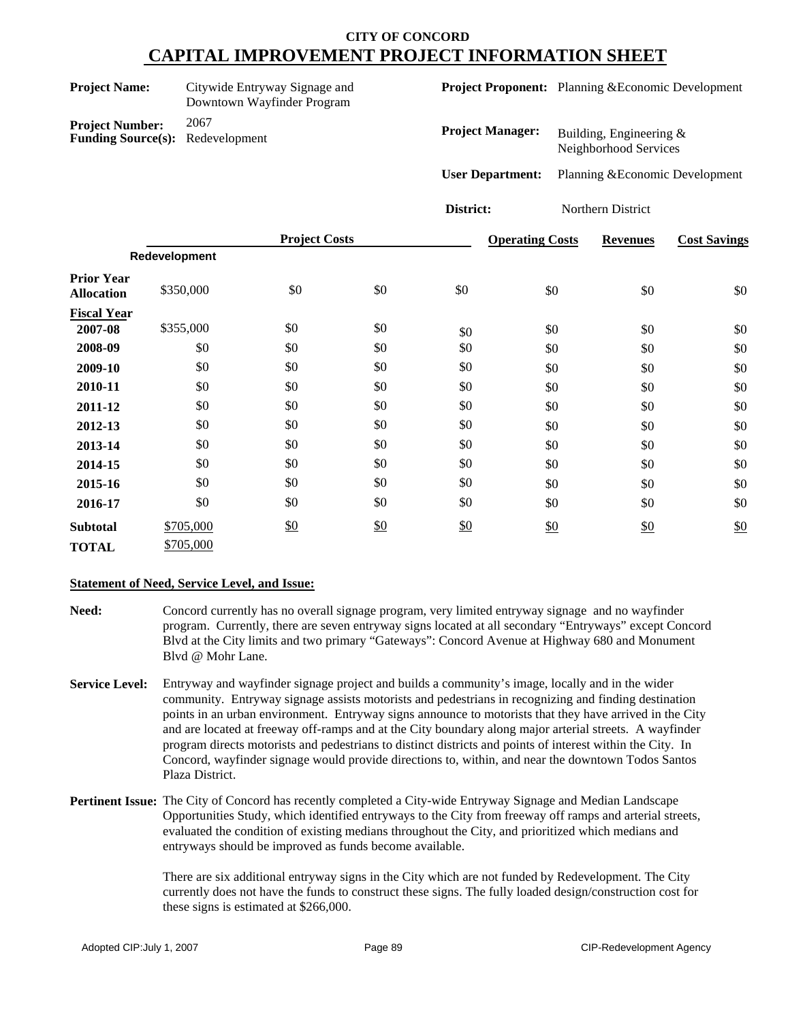| Citywide Entryway Signage and<br><b>Project Name:</b><br>Downtown Wayfinder Program |               |                      |     |                         | <b>Project Proponent:</b> Planning & Economic Development |                                                  |                   |                                 |
|-------------------------------------------------------------------------------------|---------------|----------------------|-----|-------------------------|-----------------------------------------------------------|--------------------------------------------------|-------------------|---------------------------------|
| <b>Project Number:</b><br><b>Funding Source(s):</b>                                 | 2067          | Redevelopment        |     |                         | <b>Project Manager:</b>                                   | Building, Engineering &<br>Neighborhood Services |                   |                                 |
|                                                                                     |               |                      |     | <b>User Department:</b> |                                                           |                                                  |                   | Planning & Economic Development |
|                                                                                     |               |                      |     | District:               |                                                           |                                                  | Northern District |                                 |
|                                                                                     |               | <b>Project Costs</b> |     |                         | <b>Operating Costs</b>                                    |                                                  | <b>Revenues</b>   | <b>Cost Savings</b>             |
|                                                                                     | Redevelopment |                      |     |                         |                                                           |                                                  |                   |                                 |
| <b>Prior Year</b><br><b>Allocation</b>                                              | \$350,000     | \$0                  | \$0 | \$0                     | \$0                                                       |                                                  | \$0               | \$0                             |
| <b>Fiscal Year</b>                                                                  |               |                      |     |                         |                                                           |                                                  |                   |                                 |
| 2007-08                                                                             | \$355,000     | \$0                  | \$0 | \$0                     | \$0                                                       |                                                  | \$0               | \$0                             |
| 2008-09                                                                             | \$0           | \$0                  | \$0 | \$0                     | \$0                                                       |                                                  | \$0               | \$0                             |
| 2009-10                                                                             | \$0           | \$0                  | \$0 | \$0                     | \$0                                                       |                                                  | \$0               | \$0                             |
| 2010-11                                                                             | \$0           | \$0                  | \$0 | \$0                     | \$0                                                       |                                                  | \$0               | \$0                             |
| 2011-12                                                                             | \$0           | \$0                  | \$0 | \$0                     | \$0                                                       |                                                  | \$0               | \$0                             |

\$0 \$0 \$0 \$0

 $\frac{$0}{$0}$  \$0 \$0 \$0 \$0

\$0 \$0 \$0 \$0 \$0 \$0 \$0 \$0 \$0

#### **Statement of Need, Service Level, and Issue:**

\$705,000

**2012-13** \$0 **2013-14** \$0 **2014-15** \$0 **2015-16** \$0

**TOTAL** \$705,000

**Subtotal**

**Need:** Concord currently has no overall signage program, very limited entryway signage and no wayfinder program. Currently, there are seven entryway signs located at all secondary "Entryways" except Concord Blvd at the City limits and two primary "Gateways": Concord Avenue at Highway 680 and Monument Blvd @ Mohr Lane.

**2016-17** \$0 \$0 \$0 \$0 \$0 \$0 \$0

\$0 \$0 \$0 \$0 \$0

\$0 \$0 \$0 \$0 \$0 \$0

\$0 \$0 \$0 \$0 \$0 \$0

- **Service Level:** Entryway and wayfinder signage project and builds a community's image, locally and in the wider community. Entryway signage assists motorists and pedestrians in recognizing and finding destination points in an urban environment. Entryway signs announce to motorists that they have arrived in the City and are located at freeway off-ramps and at the City boundary along major arterial streets. A wayfinder program directs motorists and pedestrians to distinct districts and points of interest within the City. In Concord, wayfinder signage would provide directions to, within, and near the downtown Todos Santos Plaza District.
- **Pertinent Issue:** The City of Concord has recently completed a City-wide Entryway Signage and Median Landscape Opportunities Study, which identified entryways to the City from freeway off ramps and arterial streets, evaluated the condition of existing medians throughout the City, and prioritized which medians and entryways should be improved as funds become available.

There are six additional entryway signs in the City which are not funded by Redevelopment. The City currently does not have the funds to construct these signs. The fully loaded design/construction cost for these signs is estimated at \$266,000.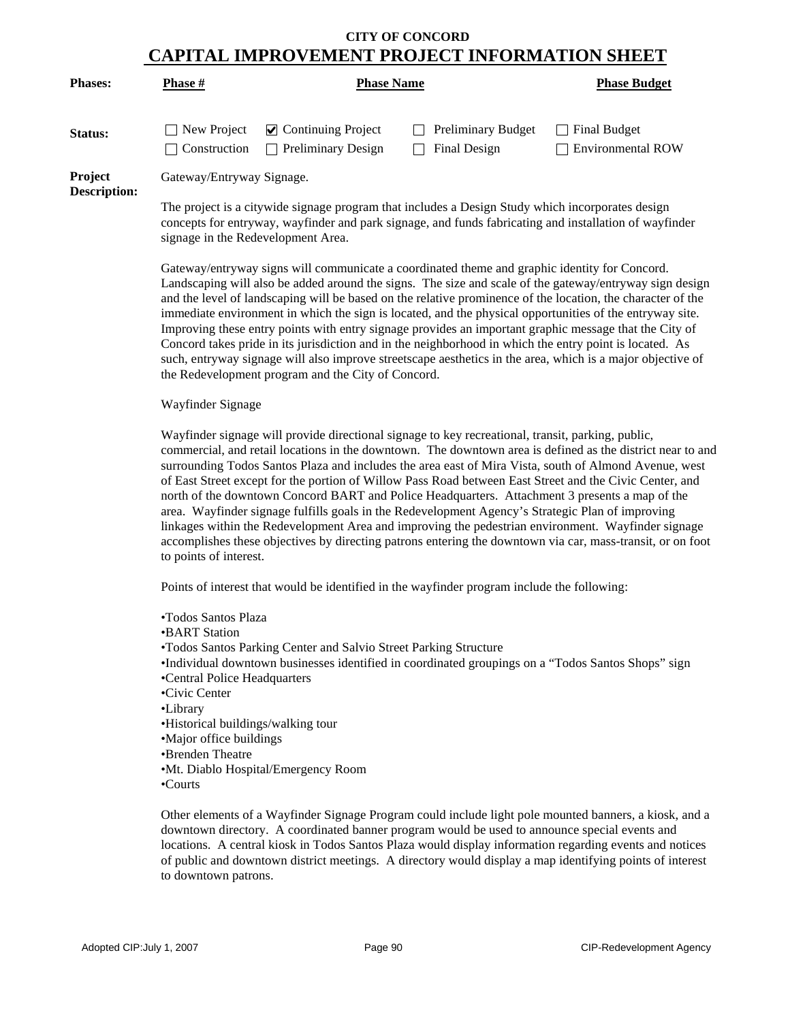| <b>Phases:</b>                        | <b>Phase</b> #                                                                                   | <b>Phase Name</b>                                                | <b>Phase Budget</b>                       |                                                 |  |  |
|---------------------------------------|--------------------------------------------------------------------------------------------------|------------------------------------------------------------------|-------------------------------------------|-------------------------------------------------|--|--|
| Status:                               | New Project<br>$\vert$ Construction                                                              | $\triangleright$ Continuing Project<br><b>Preliminary Design</b> | <b>Preliminary Budget</b><br>Final Design | <b>Final Budget</b><br><b>Environmental ROW</b> |  |  |
| <b>Project</b><br><b>Description:</b> | Gateway/Entryway Signage.                                                                        |                                                                  |                                           |                                                 |  |  |
|                                       | The project is a citywide signage program that includes a Design Study which incorporates design |                                                                  |                                           |                                                 |  |  |

The project is a citywide signage program that includes a Design Study which incorporates design concepts for entryway, wayfinder and park signage, and funds fabricating and installation of wayfinder signage in the Redevelopment Area.

Gateway/entryway signs will communicate a coordinated theme and graphic identity for Concord. Landscaping will also be added around the signs. The size and scale of the gateway/entryway sign design and the level of landscaping will be based on the relative prominence of the location, the character of the immediate environment in which the sign is located, and the physical opportunities of the entryway site. Improving these entry points with entry signage provides an important graphic message that the City of Concord takes pride in its jurisdiction and in the neighborhood in which the entry point is located. As such, entryway signage will also improve streetscape aesthetics in the area, which is a major objective of the Redevelopment program and the City of Concord.

#### Wayfinder Signage

Wayfinder signage will provide directional signage to key recreational, transit, parking, public, commercial, and retail locations in the downtown. The downtown area is defined as the district near to and surrounding Todos Santos Plaza and includes the area east of Mira Vista, south of Almond Avenue, west of East Street except for the portion of Willow Pass Road between East Street and the Civic Center, and north of the downtown Concord BART and Police Headquarters. Attachment 3 presents a map of the area. Wayfinder signage fulfills goals in the Redevelopment Agency's Strategic Plan of improving linkages within the Redevelopment Area and improving the pedestrian environment. Wayfinder signage accomplishes these objectives by directing patrons entering the downtown via car, mass-transit, or on foot to points of interest.

Points of interest that would be identified in the wayfinder program include the following:

- •Todos Santos Plaza
- •BART Station
- •Todos Santos Parking Center and Salvio Street Parking Structure
- •Individual downtown businesses identified in coordinated groupings on a "Todos Santos Shops" sign
- •Central Police Headquarters
- •Civic Center
- •Library
- •Historical buildings/walking tour
- •Major office buildings
- •Brenden Theatre
- •Mt. Diablo Hospital/Emergency Room
- •Courts

Other elements of a Wayfinder Signage Program could include light pole mounted banners, a kiosk, and a downtown directory. A coordinated banner program would be used to announce special events and locations. A central kiosk in Todos Santos Plaza would display information regarding events and notices of public and downtown district meetings. A directory would display a map identifying points of interest to downtown patrons.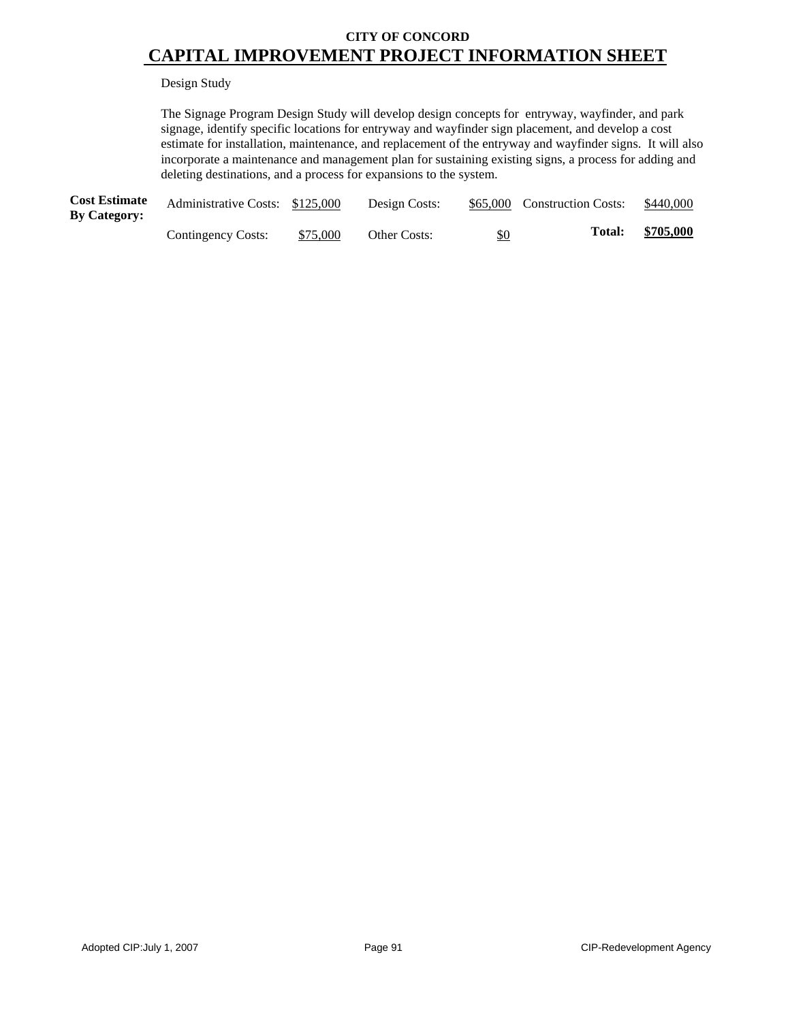#### Design Study

The Signage Program Design Study will develop design concepts for entryway, wayfinder, and park signage, identify specific locations for entryway and wayfinder sign placement, and develop a cost estimate for installation, maintenance, and replacement of the entryway and wayfinder signs. It will also incorporate a maintenance and management plan for sustaining existing signs, a process for adding and deleting destinations, and a process for expansions to the system.

| <b>Cost Estimate</b><br><b>By Category:</b> | Administrative Costs: \$125,000 |          | Design Costs: |     | \$65,000 Construction Costs: | \$440,000 |
|---------------------------------------------|---------------------------------|----------|---------------|-----|------------------------------|-----------|
|                                             | Contingency Costs:              | \$75,000 | Other Costs:  | \$0 | <b>Total:</b>                | \$705,000 |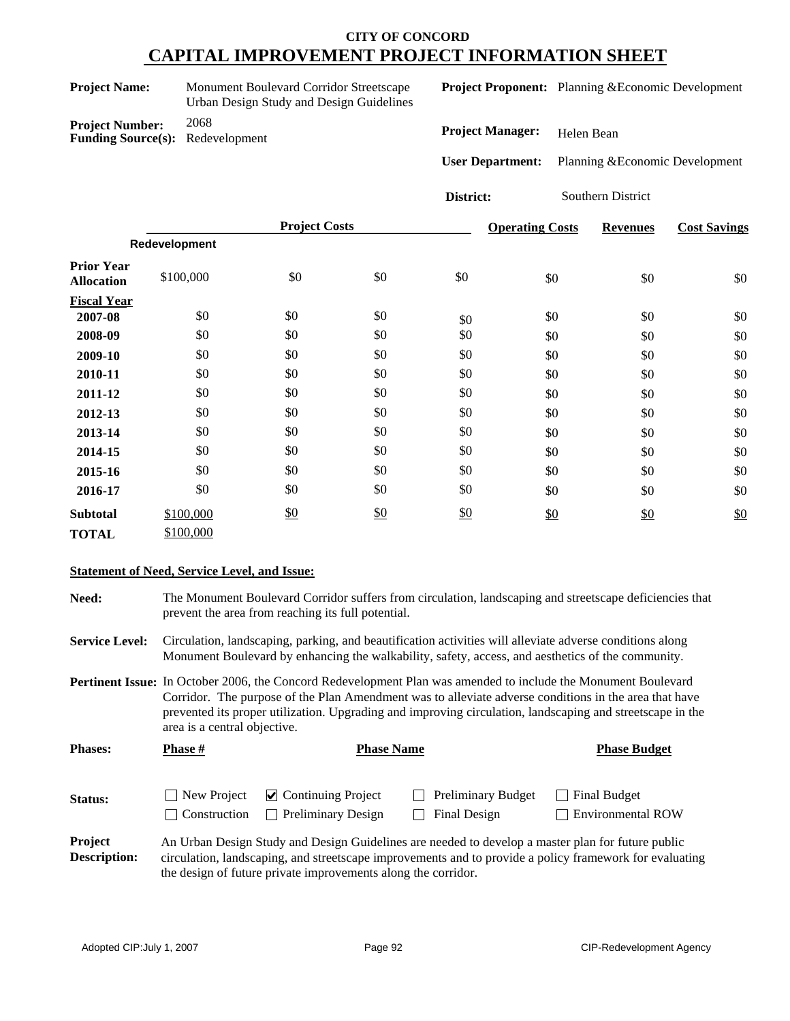| <b>Project Name:</b>   | Monument Boulevard Corridor Streetscape<br>Urban Design Study and Design Guidelines |  |  |  |
|------------------------|-------------------------------------------------------------------------------------|--|--|--|
| <b>Project Number:</b> | 2068                                                                                |  |  |  |

**Funding Source(s):** Redevelopment

**Project Proponent:** Planning &Economic Development

**Project Manager:** Helen Bean

**User Department:** Planning &Economic Development

**District:** Southern District

|                                        |               | <b>Project Costs</b> |               |     | <b>Operating Costs</b> | <b>Revenues</b> | <b>Cost Savings</b> |
|----------------------------------------|---------------|----------------------|---------------|-----|------------------------|-----------------|---------------------|
|                                        | Redevelopment |                      |               |     |                        |                 |                     |
| <b>Prior Year</b><br><b>Allocation</b> | \$100,000     | \$0                  | \$0           | \$0 | \$0                    | \$0             | \$0                 |
| <b>Fiscal Year</b>                     |               |                      |               |     |                        |                 |                     |
| 2007-08                                | \$0           | \$0                  | \$0           | \$0 | \$0                    | \$0             | \$0                 |
| 2008-09                                | \$0           | \$0                  | \$0           | \$0 | \$0                    | \$0             | \$0                 |
| 2009-10                                | \$0           | \$0                  | \$0           | \$0 | \$0                    | \$0             | \$0                 |
| 2010-11                                | \$0           | \$0                  | \$0           | \$0 | \$0                    | \$0             | \$0                 |
| 2011-12                                | \$0           | \$0                  | \$0           | \$0 | \$0                    | \$0             | \$0                 |
| 2012-13                                | \$0           | \$0                  | \$0           | \$0 | \$0                    | \$0             | \$0                 |
| 2013-14                                | \$0           | \$0                  | \$0           | \$0 | \$0                    | \$0             | \$0                 |
| 2014-15                                | \$0           | \$0                  | \$0           | \$0 | \$0                    | \$0             | \$0                 |
| 2015-16                                | \$0           | \$0                  | \$0           | \$0 | \$0                    | \$0             | \$0                 |
| 2016-17                                | \$0           | \$0                  | \$0           | \$0 | \$0                    | \$0             | \$0                 |
| <b>Subtotal</b>                        | \$100,000     | \$0                  | $\frac{$0}{}$ | \$0 | \$0                    | $\frac{$0}{}$   | \$0                 |
| <b>TOTAL</b>                           | \$100,000     |                      |               |     |                        |                 |                     |

### **Statement of Need, Service Level, and Issue:**

**Need:** The Monument Boulevard Corridor suffers from circulation, landscaping and streetscape deficiencies that prevent the area from reaching its full potential.

**Service Level:** Circulation, landscaping, parking, and beautification activities will alleviate adverse conditions along Monument Boulevard by enhancing the walkability, safety, access, and aesthetics of the community.

**Pertinent Issue:** In October 2006, the Concord Redevelopment Plan was amended to include the Monument Boulevard Corridor. The purpose of the Plan Amendment was to alleviate adverse conditions in the area that have prevented its proper utilization. Upgrading and improving circulation, landscaping and streetscape in the area is a central objective.

| <b>Phases:</b> | <b>Phase #</b>                     | <b>Phase Name</b>                                                | <b>Phase Budget</b>                                                                                      |                                     |
|----------------|------------------------------------|------------------------------------------------------------------|----------------------------------------------------------------------------------------------------------|-------------------------------------|
| Status:        | New Project<br><b>Construction</b> | $\triangleright$ Continuing Project<br><b>Preliminary Design</b> | <b>Preliminary Budget</b><br>Final Design<br>$\blacksquare$                                              | Final Budget<br>□ Environmental ROW |
| <b>Project</b> |                                    |                                                                  | <u>An Urben Design Study and Design Guidelines are peaded to develop a mester plan for future public</u> |                                     |

#### **Project Description:** An Urban Design Study and Design Guidelines are needed to develop a master plan for future public circulation, landscaping, and streetscape improvements and to provide a policy framework for evaluating the design of future private improvements along the corridor.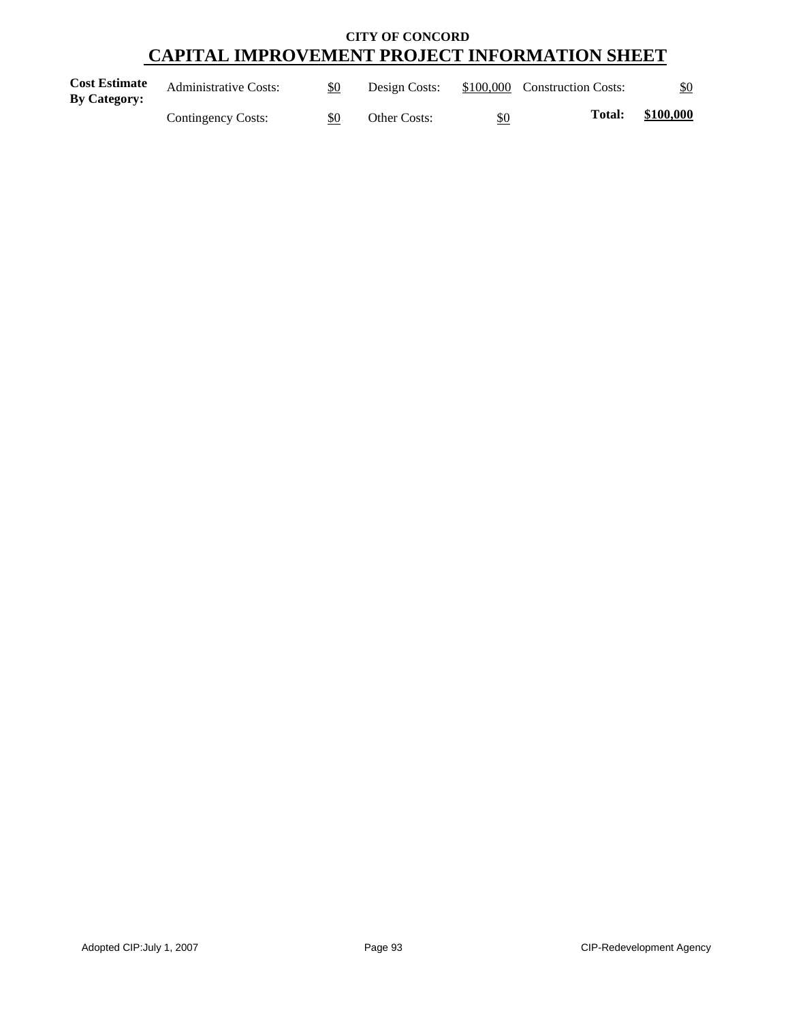| <b>Cost Estimate</b><br><b>By Category:</b> | <b>Administrative Costs:</b> | \$0 | Design Costs: |     | \$100,000 Construction Costs: | <u>\$0</u> |
|---------------------------------------------|------------------------------|-----|---------------|-----|-------------------------------|------------|
|                                             | Contingency Costs:           | \$0 | Other Costs:  | \$0 | Total:                        | \$100,000  |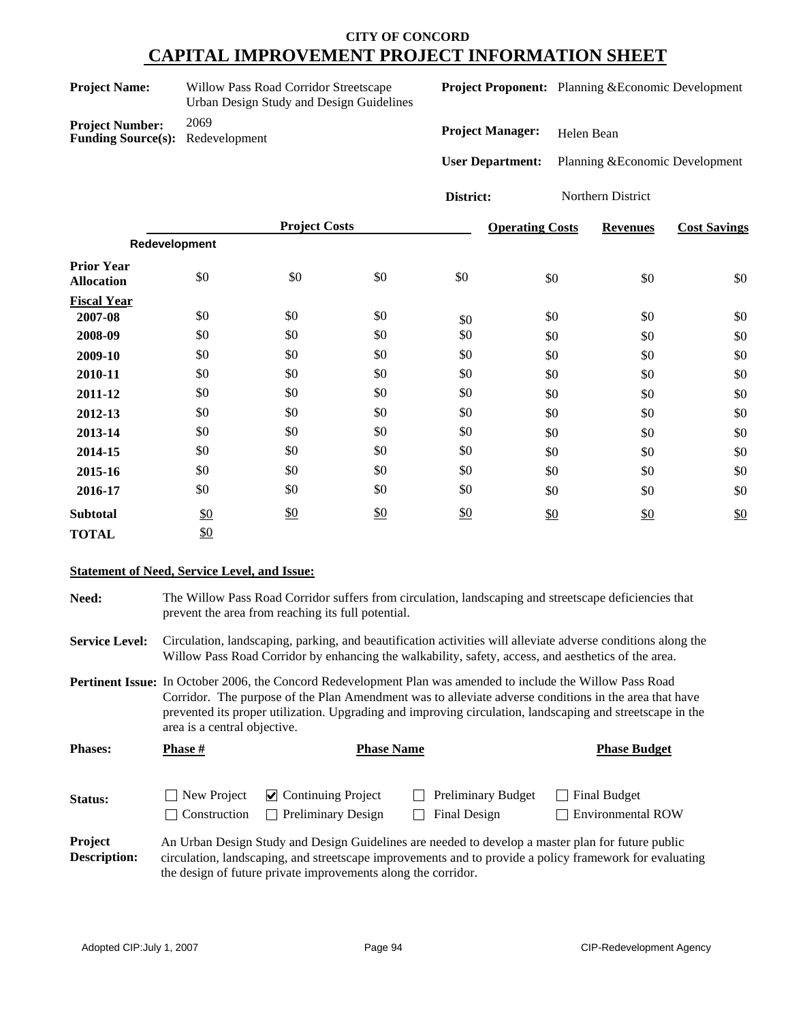| <b>Project Name:</b>   | Willow Pass Road Corridor Streetscape<br>Urban Design Study and Design Guidelines |
|------------------------|-----------------------------------------------------------------------------------|
| <b>Project Number:</b> | 2069                                                                              |

**Funding Source(s):** Redevelopment

**Project Proponent:** Planning &Economic Development

**Project Manager:** Helen Bean

**User Department:** Planning &Economic Development

**District:** Northern District

|                                        |               | <b>Project Costs</b> |     |     | <b>Operating Costs</b> | <b>Revenues</b> | <b>Cost Savings</b> |
|----------------------------------------|---------------|----------------------|-----|-----|------------------------|-----------------|---------------------|
|                                        | Redevelopment |                      |     |     |                        |                 |                     |
| <b>Prior Year</b><br><b>Allocation</b> | \$0           | \$0                  | \$0 | \$0 | \$0                    | \$0             | \$0                 |
| <b>Fiscal Year</b>                     |               |                      |     |     |                        |                 |                     |
| 2007-08                                | \$0           | \$0                  | \$0 | \$0 | \$0                    | \$0             | \$0                 |
| 2008-09                                | \$0           | \$0                  | \$0 | \$0 | \$0                    | \$0             | \$0                 |
| 2009-10                                | \$0           | \$0                  | \$0 | \$0 | \$0                    | \$0             | \$0                 |
| 2010-11                                | \$0           | \$0                  | \$0 | \$0 | \$0                    | \$0             | \$0                 |
| 2011-12                                | \$0           | \$0                  | \$0 | \$0 | \$0                    | \$0             | \$0                 |
| 2012-13                                | \$0           | \$0                  | \$0 | \$0 | \$0                    | \$0             | \$0                 |
| 2013-14                                | \$0           | \$0                  | \$0 | \$0 | \$0                    | \$0             | \$0                 |
| 2014-15                                | \$0           | \$0                  | \$0 | \$0 | \$0                    | \$0             | \$0                 |
| 2015-16                                | \$0           | \$0                  | \$0 | \$0 | \$0                    | \$0             | \$0                 |
| 2016-17                                | \$0           | \$0                  | \$0 | \$0 | \$0                    | \$0             | \$0                 |
| <b>Subtotal</b>                        | \$0           | $\frac{$0}{}$        | \$0 | \$0 | \$0                    | \$0             | \$0                 |
| <b>TOTAL</b>                           | \$0           |                      |     |     |                        |                 |                     |

#### **Statement of Need, Service Level, and Issue:**

**Need:** The Willow Pass Road Corridor suffers from circulation, landscaping and streetscape deficiencies that prevent the area from reaching its full potential. **Service Level:** Circulation, landscaping, parking, and beautification activities will alleviate adverse conditions along the

**Pertinent Issue:** In October 2006, the Concord Redevelopment Plan was amended to include the Willow Pass Road Corridor. The purpose of the Plan Amendment was to alleviate adverse conditions in the area that have prevented its proper utilization. Upgrading and improving circulation, landscaping and streetscape in the area is a central objective.

Willow Pass Road Corridor by enhancing the walkability, safety, access, and aesthetics of the area.

| <b>Phases:</b> | <b>Phase</b> #                     | <b>Phase Name</b>                                                                                 |                                           | <b>Phase Budget</b>                      |
|----------------|------------------------------------|---------------------------------------------------------------------------------------------------|-------------------------------------------|------------------------------------------|
| Status:        | New Project<br><b>Construction</b> | $\triangledown$ Continuing Project<br><b>Preliminary Design</b>                                   | <b>Preliminary Budget</b><br>Final Design | Final Budget<br><b>Environmental ROW</b> |
| Project        |                                    | An Urban Design Study and Design Guidelines are needed to develop a master plan for future public |                                           |                                          |

#### **Description:** circulation, landscaping, and streetscape improvements and to provide a policy framework for evaluating the design of future private improvements along the corridor.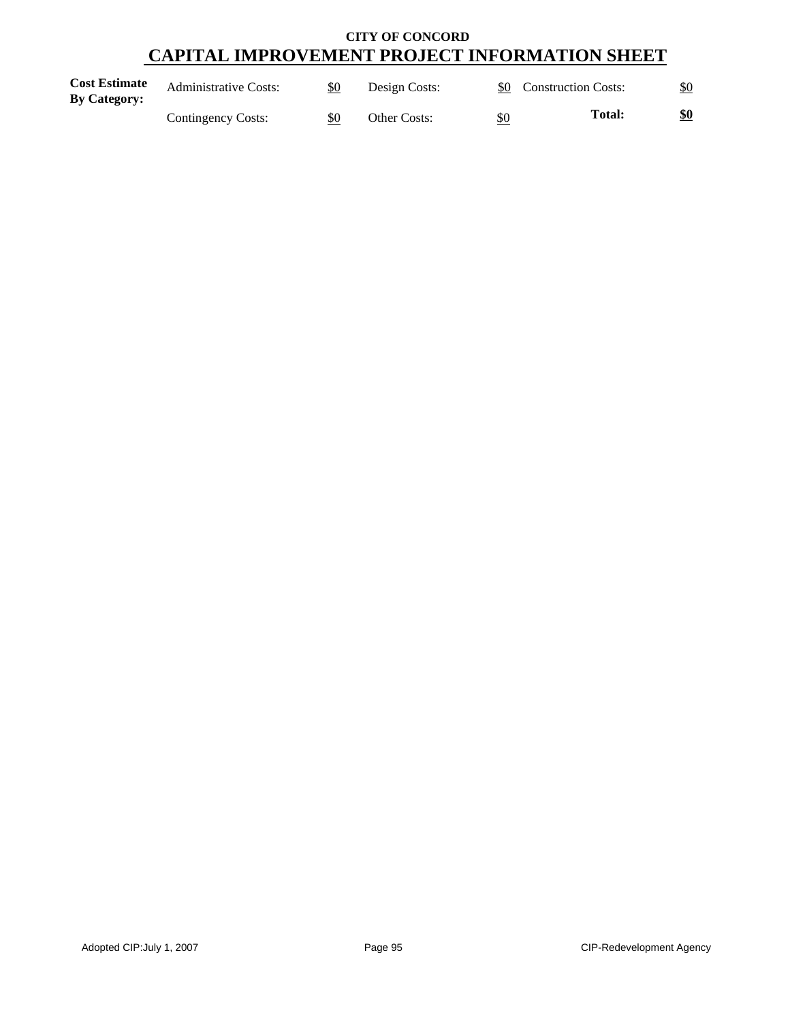| <b>Cost Estimate</b><br><b>By Category:</b> | <b>Administrative Costs:</b> | \$0 | Design Costs: |     | \$0 Construction Costs: | \$0 |
|---------------------------------------------|------------------------------|-----|---------------|-----|-------------------------|-----|
|                                             | Contingency Costs:           | \$0 | Other Costs:  | \$0 | <b>Total:</b>           | \$0 |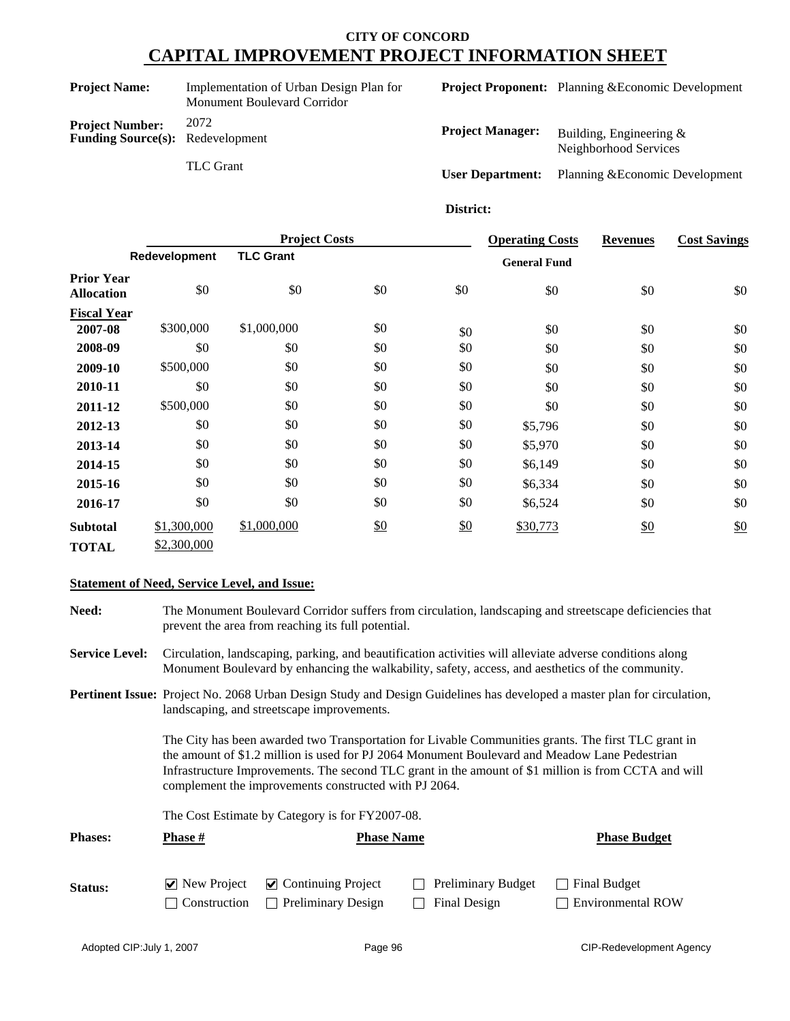**Funding Source(s):** Redevelopment

TLC Grant

**Project Name:** Implementation of Urban Design Plan for Monument Boulevard Corridor **Project Number:** 2072

**Project Proponent:** Planning &Economic Development

| <b>Project Manager:</b> | Building, Engineering $\&$<br>Neighborhood Services |
|-------------------------|-----------------------------------------------------|
| <b>User Department:</b> | Planning & Economic Development                     |

#### **District:**

|                                        | <b>Project Costs</b> |                  |               | <b>Operating Costs</b> | <b>Revenues</b>     | <b>Cost Savings</b> |     |
|----------------------------------------|----------------------|------------------|---------------|------------------------|---------------------|---------------------|-----|
|                                        | Redevelopment        | <b>TLC Grant</b> |               |                        | <b>General Fund</b> |                     |     |
| <b>Prior Year</b><br><b>Allocation</b> | \$0                  | \$0              | \$0           | \$0                    | \$0                 | \$0                 | \$0 |
| <b>Fiscal Year</b>                     |                      |                  |               |                        |                     |                     |     |
| 2007-08                                | \$300,000            | \$1,000,000      | \$0           | \$0                    | \$0                 | \$0                 | \$0 |
| 2008-09                                | \$0                  | \$0              | \$0           | \$0                    | \$0                 | \$0                 | \$0 |
| 2009-10                                | \$500,000            | \$0              | \$0           | \$0                    | \$0                 | \$0                 | \$0 |
| 2010-11                                | \$0                  | \$0              | \$0           | \$0                    | \$0                 | \$0                 | \$0 |
| 2011-12                                | \$500,000            | \$0              | \$0           | \$0                    | \$0                 | \$0                 | \$0 |
| 2012-13                                | \$0                  | \$0              | \$0           | \$0                    | \$5,796             | \$0                 | \$0 |
| 2013-14                                | \$0                  | \$0              | \$0           | \$0                    | \$5,970             | \$0                 | \$0 |
| 2014-15                                | \$0                  | \$0              | \$0           | \$0                    | \$6,149             | \$0                 | \$0 |
| 2015-16                                | \$0                  | \$0              | \$0           | \$0                    | \$6,334             | \$0                 | \$0 |
| 2016-17                                | \$0                  | \$0              | \$0           | \$0                    | \$6,524             | \$0                 | \$0 |
| <b>Subtotal</b>                        | \$1,300,000          | \$1,000,000      | $\frac{$0}{}$ | \$0                    | \$30,773            | $\frac{$0}{}$       | \$0 |
| <b>TOTAL</b>                           | \$2,300,000          |                  |               |                        |                     |                     |     |

#### **Statement of Need, Service Level, and Issue:**

**Need:** The Monument Boulevard Corridor suffers from circulation, landscaping and streetscape deficiencies that prevent the area from reaching its full potential.

**Service Level:** Circulation, landscaping, parking, and beautification activities will alleviate adverse conditions along Monument Boulevard by enhancing the walkability, safety, access, and aesthetics of the community.

**Pertinent Issue:** Project No. 2068 Urban Design Study and Design Guidelines has developed a master plan for circulation, landscaping, and streetscape improvements.

> The City has been awarded two Transportation for Livable Communities grants. The first TLC grant in the amount of \$1.2 million is used for PJ 2064 Monument Boulevard and Meadow Lane Pedestrian Infrastructure Improvements. The second TLC grant in the amount of \$1 million is from CCTA and will complement the improvements constructed with PJ 2064.

The Cost Estimate by Category is for FY2007-08.

| <b>Phases:</b> | Phase # | <b>Phase Name</b>                             | <b>Phase Budget</b> |                          |
|----------------|---------|-----------------------------------------------|---------------------|--------------------------|
|                |         |                                               |                     |                          |
| Status:        |         | $\vee$ New Project $\vee$ Continuing Project  | Preliminary Budget  | Final Budget             |
|                |         | $\Box$ Construction $\Box$ Preliminary Design | Final Design        | <b>Environmental ROW</b> |

Adopted CIP:July 1, 2007 November 2008 2012 12:30 Page 96 CIP-Redevelopment Agency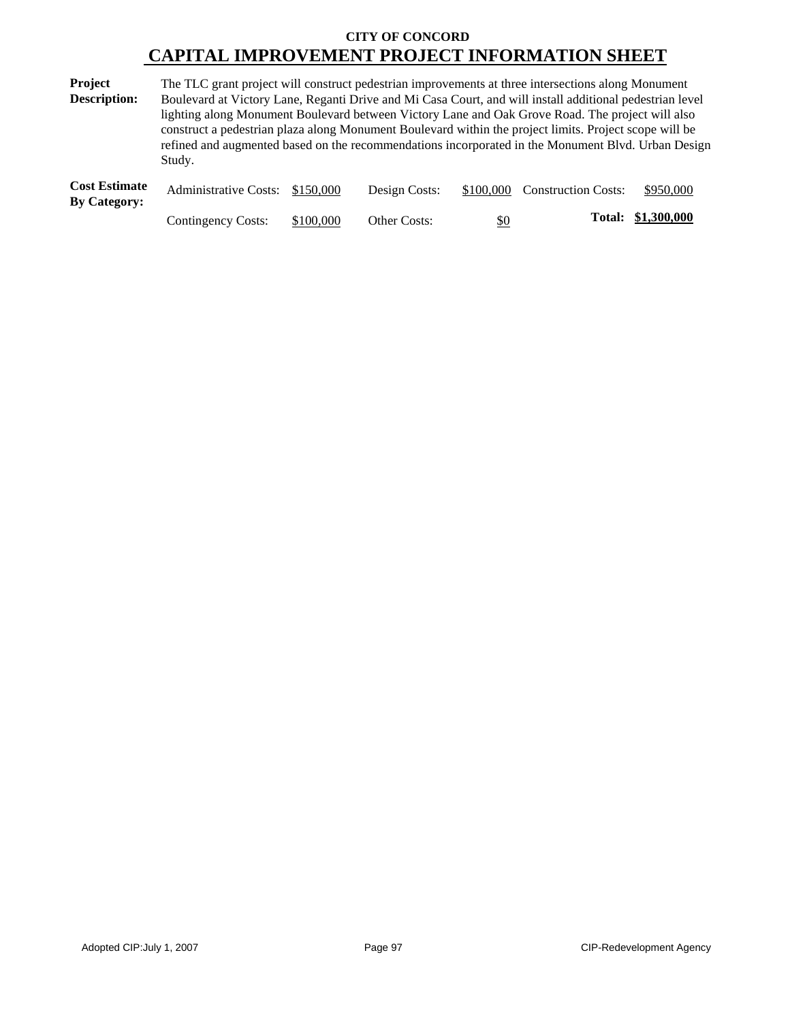| Project                                       | The TLC grant project will construct pedestrian improvements at three intersections along Monument       |
|-----------------------------------------------|----------------------------------------------------------------------------------------------------------|
| <b>Description:</b>                           | Boulevard at Victory Lane, Reganti Drive and Mi Casa Court, and will install additional pedestrian level |
|                                               | lighting along Monument Boulevard between Victory Lane and Oak Grove Road. The project will also         |
|                                               | construct a pedestrian plaza along Monument Boulevard within the project limits. Project scope will be   |
|                                               | refined and augmented based on the recommendations incorporated in the Monument Blvd. Urban Design       |
|                                               | Study.                                                                                                   |
| $\Gamma$ and $\Gamma$ at $\Gamma$ at $\Gamma$ |                                                                                                          |

| <b>Cost Estimate</b> | Administrative Costs: \$150,000 |           | Design Costs:       |     | \$100,000 Construction Costs: | \$950,000          |
|----------------------|---------------------------------|-----------|---------------------|-----|-------------------------------|--------------------|
| <b>By Category:</b>  |                                 |           |                     |     |                               |                    |
|                      | Contingency Costs:              | \$100,000 | <b>Other Costs:</b> | \$0 |                               | Total: \$1,300,000 |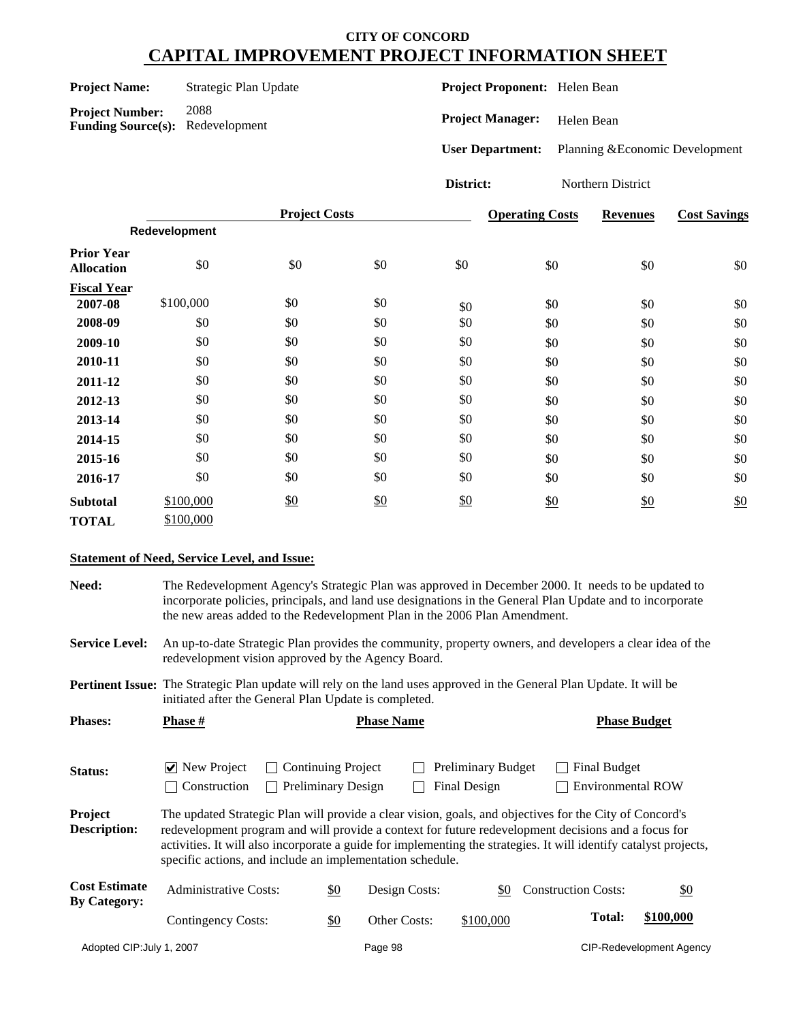| <b>Project Name:</b> |  |
|----------------------|--|
|----------------------|--|

**Strategic Plan Update** 

**Project Number:** 2088 **Funding Source(s):** Redevelopment **Project Proponent:** Helen Bean

**Project Manager:** Helen Bean

**User Department:** Planning &Economic Development

**District:** Northern District

|                                        |               | <b>Project Costs</b> |               |     | <b>Operating Costs</b> | <b>Revenues</b> | <b>Cost Savings</b> |
|----------------------------------------|---------------|----------------------|---------------|-----|------------------------|-----------------|---------------------|
|                                        | Redevelopment |                      |               |     |                        |                 |                     |
| <b>Prior Year</b><br><b>Allocation</b> | \$0           | \$0                  | \$0           | \$0 | \$0                    | \$0             | \$0                 |
| <b>Fiscal Year</b>                     |               |                      |               |     |                        |                 |                     |
| 2007-08                                | \$100,000     | \$0                  | \$0           | \$0 | \$0                    | \$0             | \$0                 |
| 2008-09                                | \$0           | \$0                  | \$0           | \$0 | \$0                    | \$0             | \$0                 |
| 2009-10                                | \$0           | \$0                  | \$0           | \$0 | \$0                    | \$0             | \$0                 |
| 2010-11                                | \$0           | \$0                  | \$0           | \$0 | \$0                    | \$0             | \$0                 |
| 2011-12                                | \$0           | \$0                  | \$0           | \$0 | \$0                    | \$0             | \$0                 |
| 2012-13                                | \$0           | \$0                  | \$0           | \$0 | \$0                    | \$0             | \$0                 |
| 2013-14                                | \$0           | \$0                  | \$0           | \$0 | \$0                    | \$0             | \$0                 |
| 2014-15                                | \$0           | \$0                  | \$0           | \$0 | \$0                    | \$0             | \$0                 |
| 2015-16                                | \$0           | \$0                  | \$0           | \$0 | \$0                    | \$0             | \$0                 |
| 2016-17                                | \$0           | \$0                  | \$0           | \$0 | \$0                    | \$0             | \$0                 |
| <b>Subtotal</b>                        | \$100,000     | \$0                  | $\frac{$0}{}$ | \$0 | \$0                    | $\frac{$0}{}$   | \$0                 |
| <b>TOTAL</b>                           | \$100,000     |                      |               |     |                        |                 |                     |

#### **Statement of Need, Service Level, and Issue:**

**Need:** The Redevelopment Agency's Strategic Plan was approved in December 2000. It needs to be updated to incorporate policies, principals, and land use designations in the General Plan Update and to incorporate the new areas added to the Redevelopment Plan in the 2006 Plan Amendment.

**Service Level:** An up-to-date Strategic Plan provides the community, property owners, and developers a clear idea of the redevelopment vision approved by the Agency Board.

**Pertinent Issue:** The Strategic Plan update will rely on the land uses approved in the General Plan Update. It will be initiated after the General Plan Update is completed.

| <b>Phases:</b>                              | <b>Phase</b> #                                                                                                                                                                                                                                                                                                                                                                                   |                                                                        |         | <b>Phase Name</b> |                                           |                            | <b>Phase Budget</b> |                                 |
|---------------------------------------------|--------------------------------------------------------------------------------------------------------------------------------------------------------------------------------------------------------------------------------------------------------------------------------------------------------------------------------------------------------------------------------------------------|------------------------------------------------------------------------|---------|-------------------|-------------------------------------------|----------------------------|---------------------|---------------------------------|
| Status:                                     | $ $ New Project<br>Construction                                                                                                                                                                                                                                                                                                                                                                  | <b>Continuing Project</b><br>$\mathbf{I}$<br><b>Preliminary Design</b> |         |                   | <b>Preliminary Budget</b><br>Final Design |                            | Final Budget        | <b>Environmental ROW</b>        |
| Project<br><b>Description:</b>              | The updated Strategic Plan will provide a clear vision, goals, and objectives for the City of Concord's<br>redevelopment program and will provide a context for future redevelopment decisions and a focus for<br>activities. It will also incorporate a guide for implementing the strategies. It will identify catalyst projects,<br>specific actions, and include an implementation schedule. |                                                                        |         |                   |                                           |                            |                     |                                 |
| <b>Cost Estimate</b><br><b>By Category:</b> | <b>Administrative Costs:</b>                                                                                                                                                                                                                                                                                                                                                                     | \$0                                                                    |         | Design Costs:     | \$0                                       | <b>Construction Costs:</b> |                     | $\frac{$0}{}$                   |
|                                             | Contingency Costs:                                                                                                                                                                                                                                                                                                                                                                               | \$0                                                                    |         | Other Costs:      | \$100,000                                 |                            | <b>Total:</b>       | \$100,000                       |
| Adopted CIP: July 1, 2007                   |                                                                                                                                                                                                                                                                                                                                                                                                  |                                                                        | Page 98 |                   |                                           |                            |                     | <b>CIP-Redevelopment Agency</b> |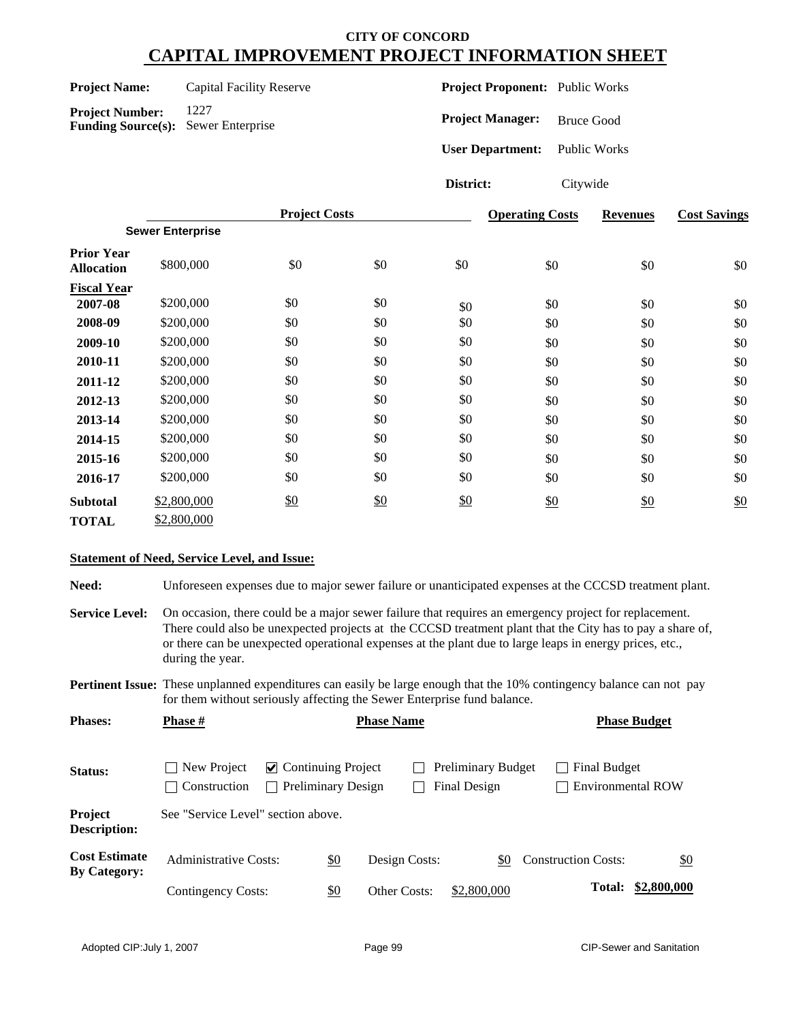| <b>Project Name:</b> | Capi |
|----------------------|------|
|                      |      |

**Product A** Facility Reserve

**Project Number:** 1227 **Funding Source(s):** Sewer Enterprise **Project Proponent:** Public Works

**Project Manager:** Bruce Good

**User Department:** Public Works

**District:** Citywide

|                                        |                         | <b>Project Costs</b> |     |     | <b>Operating Costs</b> | <b>Revenues</b> | <b>Cost Savings</b> |
|----------------------------------------|-------------------------|----------------------|-----|-----|------------------------|-----------------|---------------------|
|                                        | <b>Sewer Enterprise</b> |                      |     |     |                        |                 |                     |
| <b>Prior Year</b><br><b>Allocation</b> | \$800,000               | \$0                  | \$0 | \$0 | \$0                    | \$0             | \$0                 |
| <b>Fiscal Year</b>                     |                         |                      |     |     |                        |                 |                     |
| 2007-08                                | \$200,000               | \$0                  | \$0 | \$0 | \$0                    | \$0             | \$0                 |
| 2008-09                                | \$200,000               | \$0                  | \$0 | \$0 | \$0                    | \$0             | \$0                 |
| 2009-10                                | \$200,000               | \$0                  | \$0 | \$0 | \$0                    | \$0             | \$0                 |
| 2010-11                                | \$200,000               | \$0                  | \$0 | \$0 | \$0                    | \$0             | \$0                 |
| 2011-12                                | \$200,000               | \$0                  | \$0 | \$0 | \$0                    | \$0             | \$0                 |
| 2012-13                                | \$200,000               | \$0                  | \$0 | \$0 | \$0                    | \$0             | \$0                 |
| 2013-14                                | \$200,000               | \$0                  | \$0 | \$0 | \$0                    | \$0             | \$0                 |
| 2014-15                                | \$200,000               | \$0                  | \$0 | \$0 | \$0                    | \$0             | \$0                 |
| 2015-16                                | \$200,000               | \$0                  | \$0 | \$0 | \$0                    | \$0             | \$0                 |
| 2016-17                                | \$200,000               | \$0                  | \$0 | \$0 | \$0                    | \$0             | \$0                 |
| <b>Subtotal</b>                        | \$2,800,000             | \$0                  | \$0 | \$0 | \$0                    | \$0             | \$0                 |
| <b>TOTAL</b>                           | \$2,800,000             |                      |     |     |                        |                 |                     |

#### **Statement of Need, Service Level, and Issue:**

**Need:** Unforeseen expenses due to major sewer failure or unanticipated expenses at the CCCSD treatment plant.

**Service Level:** On occasion, there could be a major sewer failure that requires an emergency project for replacement. There could also be unexpected projects at the CCCSD treatment plant that the City has to pay a share of, or there can be unexpected operational expenses at the plant due to large leaps in energy prices, etc., during the year.

**Pertinent Issue:** These unplanned expenditures can easily be large enough that the 10% contingency balance can not pay for them without seriously affecting the Sewer Enterprise fund balance.

| <b>Phases:</b>                              | <b>Phase</b> #                               |                                                                         | <b>Phase Name</b> |                                           |                                          | <b>Phase Budget</b> |
|---------------------------------------------|----------------------------------------------|-------------------------------------------------------------------------|-------------------|-------------------------------------------|------------------------------------------|---------------------|
| <b>Status:</b>                              | New Project<br>Construction<br>$\mathcal{L}$ | $\vee$ Continuing Project<br><b>Preliminary Design</b><br>$\mathcal{L}$ |                   | <b>Preliminary Budget</b><br>Final Design | Final Budget<br><b>Environmental ROW</b> |                     |
| Project<br><b>Description:</b>              | See "Service Level" section above.           |                                                                         |                   |                                           |                                          |                     |
| <b>Cost Estimate</b><br><b>By Category:</b> | <b>Administrative Costs:</b>                 | \$0                                                                     | Design Costs:     | \$0                                       | <b>Construction Costs:</b>               | $\underline{\$0}$   |
|                                             | Contingency Costs:                           | \$0                                                                     | Other Costs:      | \$2,800,000                               |                                          | Total: \$2,800,000  |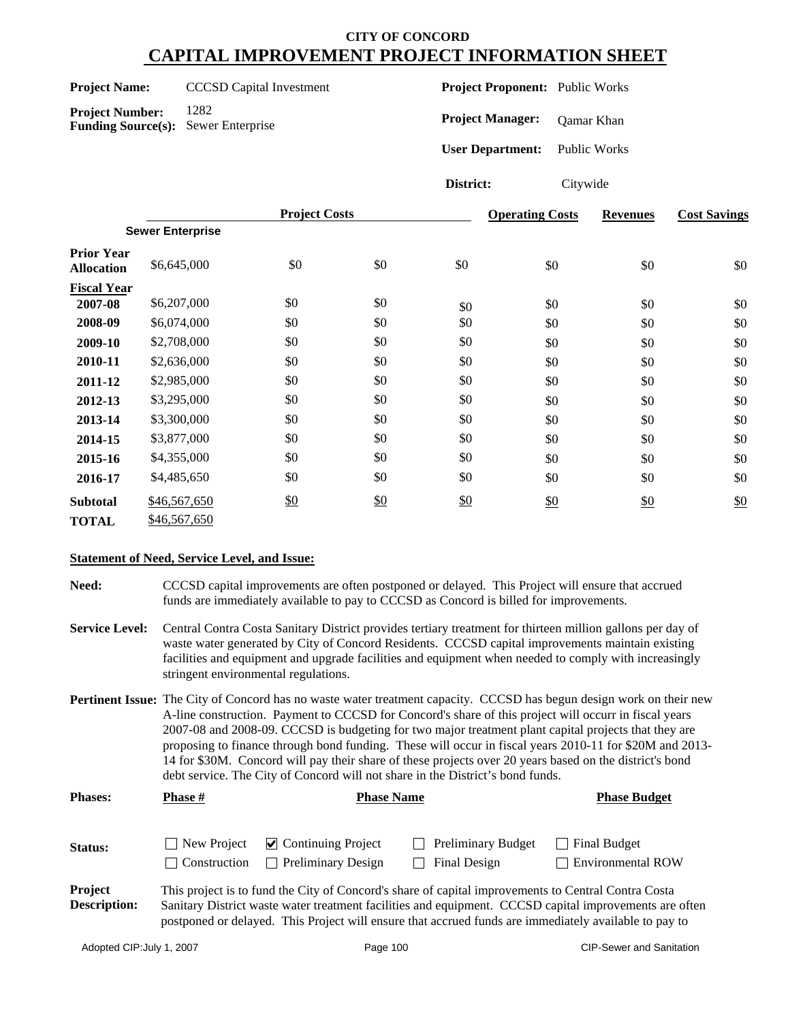#### **Project Name:** CCCSD Capital Investment

**Project Number:** 1282 **Funding Source(s):** Sewer Enterprise **Project Proponent:** Public Works

**Project Manager:** Qamar Khan

**User Department:** Public Works

**District:** Citywide

|                                        |                         | <b>Project Costs</b> |     |     | <b>Operating Costs</b> | <b>Revenues</b> | <b>Cost Savings</b> |
|----------------------------------------|-------------------------|----------------------|-----|-----|------------------------|-----------------|---------------------|
|                                        | <b>Sewer Enterprise</b> |                      |     |     |                        |                 |                     |
| <b>Prior Year</b><br><b>Allocation</b> | \$6,645,000             | \$0                  | \$0 | \$0 | \$0                    | \$0             | \$0                 |
| <b>Fiscal Year</b>                     |                         |                      |     |     |                        |                 |                     |
| 2007-08                                | \$6,207,000             | \$0                  | \$0 | \$0 | \$0                    | \$0             | \$0                 |
| 2008-09                                | \$6,074,000             | \$0                  | \$0 | \$0 | \$0                    | \$0             | \$0                 |
| 2009-10                                | \$2,708,000             | \$0                  | \$0 | \$0 | \$0                    | \$0             | \$0                 |
| 2010-11                                | \$2,636,000             | \$0                  | \$0 | \$0 | \$0                    | \$0             | \$0                 |
| 2011-12                                | \$2,985,000             | \$0                  | \$0 | \$0 | \$0                    | \$0             | \$0                 |
| 2012-13                                | \$3,295,000             | \$0                  | \$0 | \$0 | \$0                    | \$0             | \$0                 |
| 2013-14                                | \$3,300,000             | \$0                  | \$0 | \$0 | \$0                    | \$0             | \$0                 |
| 2014-15                                | \$3,877,000             | \$0                  | \$0 | \$0 | \$0                    | \$0             | \$0                 |
| 2015-16                                | \$4,355,000             | \$0                  | \$0 | \$0 | \$0                    | \$0             | \$0                 |
| 2016-17                                | \$4,485,650             | \$0                  | \$0 | \$0 | \$0                    | \$0             | \$0                 |
| <b>Subtotal</b>                        | \$46,567,650            | \$0                  | \$0 | \$0 | \$0                    | \$0             | \$0                 |
| TOTAL                                  | \$46,567,650            |                      |     |     |                        |                 |                     |

#### **Statement of Need, Service Level, and Issue:**

**Need:** CCCSD capital improvements are often postponed or delayed. This Project will ensure that accrued funds are immediately available to pay to CCCSD as Concord is billed for improvements.

- **Service Level:** Central Contra Costa Sanitary District provides tertiary treatment for thirteen million gallons per day of waste water generated by City of Concord Residents. CCCSD capital improvements maintain existing facilities and equipment and upgrade facilities and equipment when needed to comply with increasingly stringent environmental regulations.
- **Pertinent Issue:** The City of Concord has no waste water treatment capacity. CCCSD has begun design work on their new A-line construction. Payment to CCCSD for Concord's share of this project will occurr in fiscal years 2007-08 and 2008-09. CCCSD is budgeting for two major treatment plant capital projects that they are proposing to finance through bond funding. These will occur in fiscal years 2010-11 for \$20M and 2013- 14 for \$30M. Concord will pay their share of these projects over 20 years based on the district's bond debt service. The City of Concord will not share in the District's bond funds.

| <b>Phases:</b>                        | <b>Phase #</b>              | <b>Phase Name</b>                                                | <b>Phase Budget</b>                                                                                                                                                                                          |                                                                                                        |
|---------------------------------------|-----------------------------|------------------------------------------------------------------|--------------------------------------------------------------------------------------------------------------------------------------------------------------------------------------------------------------|--------------------------------------------------------------------------------------------------------|
| <b>Status:</b>                        | New Project<br>Construction | $\triangleright$ Continuing Project<br><b>Preliminary Design</b> | <b>Preliminary Budget</b><br>Final Design                                                                                                                                                                    | $\Box$ Final Budget<br>$\Box$ Environmental ROW                                                        |
| <b>Project</b><br><b>Description:</b> |                             |                                                                  | This project is to fund the City of Concord's share of capital improvements to Central Contra Costa<br>postponed or delayed. This Project will ensure that accrued funds are immediately available to pay to | Sanitary District waste water treatment facilities and equipment. CCCSD capital improvements are often |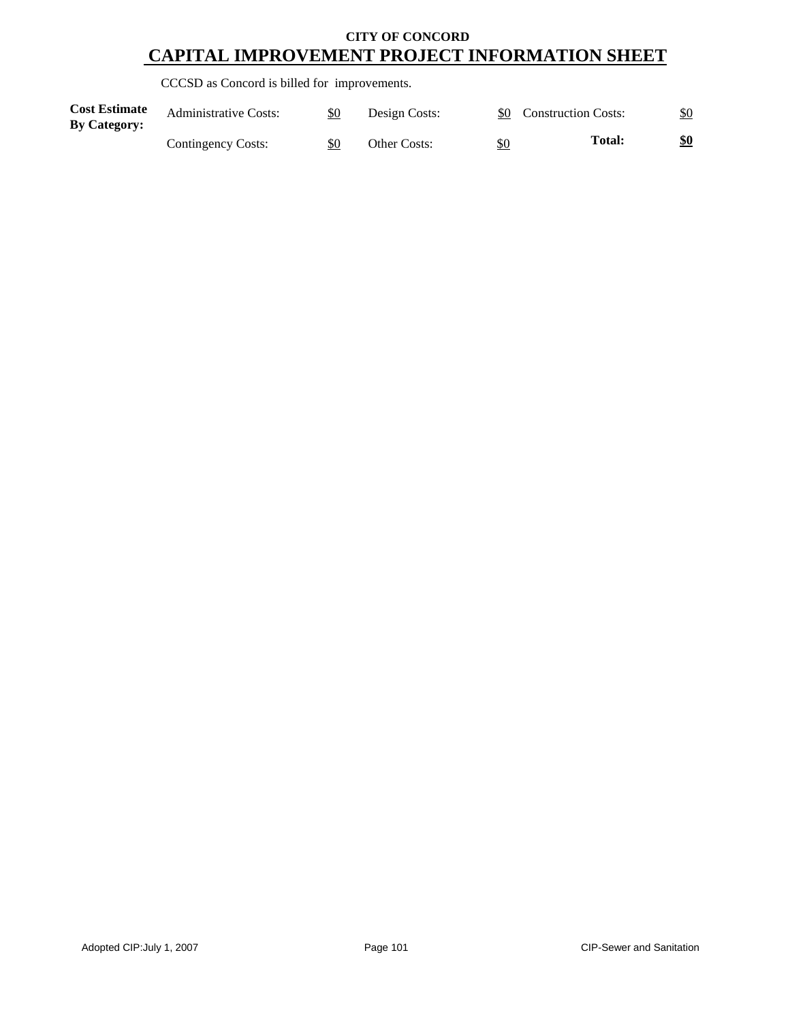CCCSD as Concord is billed for improvements.

| <b>Cost Estimate</b><br><b>By Category:</b> | <b>Administrative Costs:</b> | \$0 | Design Costs: |     | \$0 Construction Costs: | \$0        |
|---------------------------------------------|------------------------------|-----|---------------|-----|-------------------------|------------|
|                                             | Contingency Costs:           | \$0 | Other Costs:  | \$0 | <b>Total:</b>           | <u>\$0</u> |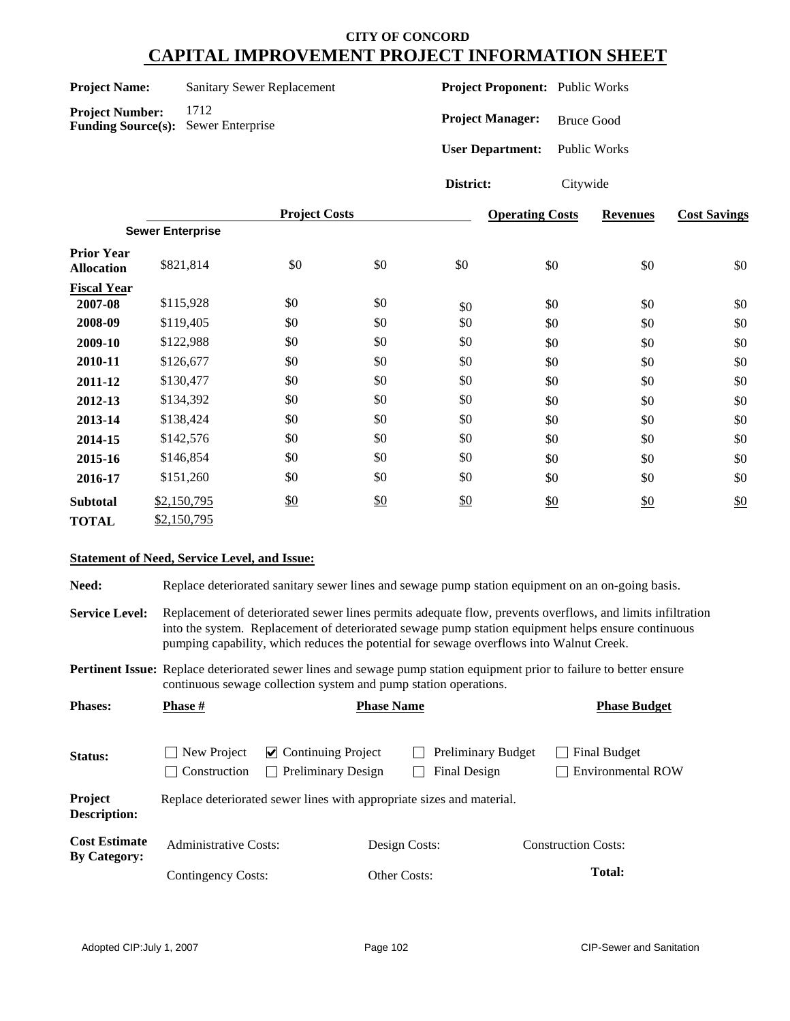**Project Name:** Sanitary Sewer Replacement

**Project Number:** 1712 **Funding Source(s):** Sewer Enterprise **Project Proponent:** Public Works

**Project Manager:** Bruce Good

**User Department:** Public Works

**District:** Citywide

|                                        |                         | <b>Project Costs</b> |     |     | <b>Operating Costs</b> | <b>Revenues</b> | <b>Cost Savings</b> |
|----------------------------------------|-------------------------|----------------------|-----|-----|------------------------|-----------------|---------------------|
|                                        | <b>Sewer Enterprise</b> |                      |     |     |                        |                 |                     |
| <b>Prior Year</b><br><b>Allocation</b> | \$821,814               | \$0                  | \$0 | \$0 | \$0                    | \$0             | \$0                 |
| <b>Fiscal Year</b>                     |                         |                      |     |     |                        |                 |                     |
| 2007-08                                | \$115,928               | \$0                  | \$0 | \$0 | \$0                    | \$0             | \$0                 |
| 2008-09                                | \$119,405               | \$0                  | \$0 | \$0 | \$0                    | \$0             | \$0                 |
| 2009-10                                | \$122,988               | \$0                  | \$0 | \$0 | \$0                    | \$0             | \$0                 |
| 2010-11                                | \$126,677               | \$0                  | \$0 | \$0 | \$0                    | \$0             | \$0                 |
| 2011-12                                | \$130,477               | \$0                  | \$0 | \$0 | \$0                    | \$0             | \$0                 |
| 2012-13                                | \$134,392               | \$0                  | \$0 | \$0 | \$0                    | \$0             | \$0                 |
| 2013-14                                | \$138,424               | \$0                  | \$0 | \$0 | \$0                    | \$0             | \$0                 |
| 2014-15                                | \$142,576               | \$0                  | \$0 | \$0 | \$0                    | \$0             | \$0                 |
| 2015-16                                | \$146,854               | \$0                  | \$0 | \$0 | \$0                    | \$0             | \$0                 |
| 2016-17                                | \$151,260               | \$0                  | \$0 | \$0 | \$0                    | \$0             | \$0                 |
| <b>Subtotal</b>                        | \$2,150,795             | \$0                  | \$0 | \$0 | \$0                    | \$0             | \$0                 |
| <b>TOTAL</b>                           | \$2,150,795             |                      |     |     |                        |                 |                     |

#### **Statement of Need, Service Level, and Issue:**

Need: Replace deteriorated sanitary sewer lines and sewage pump station equipment on an on-going basis.

**Service Level:** Replacement of deteriorated sewer lines permits adequate flow, prevents overflows, and limits infiltration into the system. Replacement of deteriorated sewage pump station equipment helps ensure continuous pumping capability, which reduces the potential for sewage overflows into Walnut Creek.

**Pertinent Issue:** Replace deteriorated sewer lines and sewage pump station equipment prior to failure to better ensure continuous sewage collection system and pump station operations.

| <b>Phases:</b>                              | <b>Phase #</b>                                   |                                                                       |                     | <b>Phase Name</b>                         |                            | <b>Phase Budget</b>                      |  |
|---------------------------------------------|--------------------------------------------------|-----------------------------------------------------------------------|---------------------|-------------------------------------------|----------------------------|------------------------------------------|--|
| Status:                                     | New Project<br>Construction<br>$\vert \ \ \vert$ | $\triangleright$ Continuing Project<br><b>Preliminary Design</b>      |                     | <b>Preliminary Budget</b><br>Final Design |                            | Final Budget<br><b>Environmental ROW</b> |  |
| <b>Project</b><br><b>Description:</b>       |                                                  | Replace deteriorated sewer lines with appropriate sizes and material. |                     |                                           |                            |                                          |  |
| <b>Cost Estimate</b><br><b>By Category:</b> | <b>Administrative Costs:</b>                     |                                                                       | Design Costs:       |                                           | <b>Construction Costs:</b> |                                          |  |
|                                             | Contingency Costs:                               |                                                                       | <b>Other Costs:</b> |                                           |                            | <b>Total:</b>                            |  |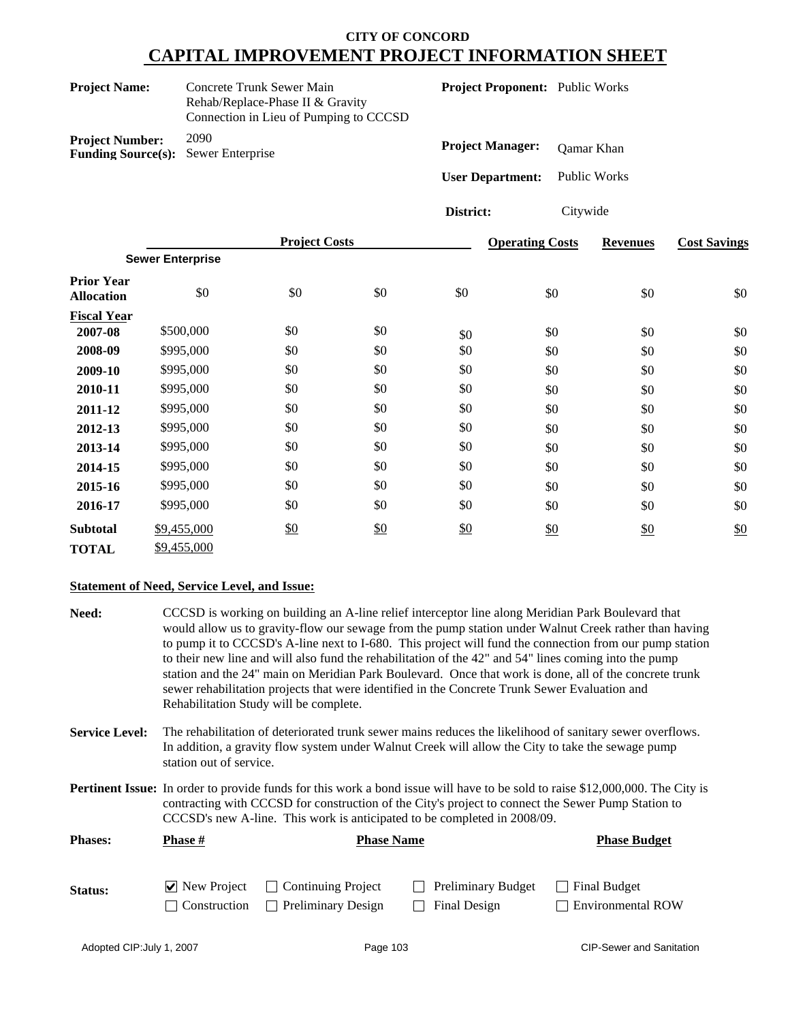|                                                     | Concrete Trunk Sewer Main<br><b>Project Name:</b><br>Rehab/Replace-Phase II & Gravity<br>Connection in Lieu of Pumping to CCCSD |                      |     | Project Proponent: Public Works |                                       |                     |                     |  |
|-----------------------------------------------------|---------------------------------------------------------------------------------------------------------------------------------|----------------------|-----|---------------------------------|---------------------------------------|---------------------|---------------------|--|
| <b>Project Number:</b><br><b>Funding Source(s):</b> | 2090                                                                                                                            | Sewer Enterprise     |     |                                 | <b>Project Manager:</b><br>Qamar Khan |                     |                     |  |
|                                                     |                                                                                                                                 |                      |     | <b>User Department:</b>         |                                       | <b>Public Works</b> |                     |  |
|                                                     |                                                                                                                                 |                      |     | District:                       | Citywide                              |                     |                     |  |
|                                                     |                                                                                                                                 | <b>Project Costs</b> |     |                                 | <b>Operating Costs</b>                | <b>Revenues</b>     | <b>Cost Savings</b> |  |
|                                                     | <b>Sewer Enterprise</b>                                                                                                         |                      |     |                                 |                                       |                     |                     |  |
| <b>Prior Year</b><br><b>Allocation</b>              | \$0                                                                                                                             | \$0                  | \$0 | \$0                             | \$0                                   | \$0                 | \$0                 |  |
| <b>Fiscal Year</b>                                  |                                                                                                                                 |                      |     |                                 |                                       |                     |                     |  |
| 2007-08                                             | \$500,000                                                                                                                       | \$0                  | \$0 | \$0                             | \$0                                   | \$0                 | \$0                 |  |
| 2008-09                                             | \$995,000                                                                                                                       | \$0                  | \$0 | \$0                             | \$0                                   | \$0                 | \$0                 |  |
| 2009-10                                             | \$995,000                                                                                                                       | \$0                  | \$0 | \$0                             | \$0                                   | \$0                 | \$0                 |  |
| 2010-11                                             | \$995,000                                                                                                                       | \$0                  | \$0 | \$0                             | \$0                                   | \$0                 | \$0                 |  |
| 2011-12                                             | \$995,000                                                                                                                       | \$0                  | \$0 | \$0                             | \$0                                   | \$0                 | \$0                 |  |
| 2012-13                                             | \$995,000                                                                                                                       | \$0                  | \$0 | \$0                             | \$0                                   | \$0                 | \$0                 |  |
| 2013-14                                             | \$995,000                                                                                                                       | \$0                  | \$0 | \$0                             | \$0                                   | \$0                 | \$0                 |  |
| 2014-15                                             | \$995,000                                                                                                                       | \$0                  | \$0 | \$0                             | \$0                                   | \$0                 | \$0                 |  |
| 2015-16                                             | \$995,000                                                                                                                       | \$0                  | \$0 | \$0                             | \$0                                   | \$0                 | \$0                 |  |

| 9773,000    | υ∪  | ΨΩ         | ΨΩ  | ΦU         | ΦU  | Ψ   |
|-------------|-----|------------|-----|------------|-----|-----|
| \$995,000   | \$0 | \$0        | \$0 | \$0        | \$0 | \$0 |
| \$995,000   | \$0 | \$0        | \$0 | \$0        | \$0 | \$0 |
| \$9,455,000 | \$0 | <u>\$0</u> | \$0 | <u>\$0</u> | \$0 | \$0 |
| \$9,455,000 |     |            |     |            |     |     |
|             |     |            |     |            |     |     |

#### **Statement of Need, Service Level, and Issue:**

| Need:                 |                              | Rehabilitation Study will be complete.                                                                                                                                                                                                                                                                                 | CCCSD is working on building an A-line relief interceptor line along Meridian Park Boulevard that<br>to their new line and will also fund the rehabilitation of the 42" and 54" lines coming into the pump<br>sewer rehabilitation projects that were identified in the Concrete Trunk Sewer Evaluation and | would allow us to gravity-flow our sewage from the pump station under Walnut Creek rather than having<br>to pump it to CCCSD's A-line next to I-680. This project will fund the connection from our pump station<br>station and the 24" main on Meridian Park Boulevard. Once that work is done, all of the concrete trunk |  |  |
|-----------------------|------------------------------|------------------------------------------------------------------------------------------------------------------------------------------------------------------------------------------------------------------------------------------------------------------------------------------------------------------------|-------------------------------------------------------------------------------------------------------------------------------------------------------------------------------------------------------------------------------------------------------------------------------------------------------------|----------------------------------------------------------------------------------------------------------------------------------------------------------------------------------------------------------------------------------------------------------------------------------------------------------------------------|--|--|
| <b>Service Level:</b> |                              | The rehabilitation of deteriorated trunk sewer mains reduces the likelihood of sanitary sewer overflows.<br>In addition, a gravity flow system under Walnut Creek will allow the City to take the sewage pump<br>station out of service.                                                                               |                                                                                                                                                                                                                                                                                                             |                                                                                                                                                                                                                                                                                                                            |  |  |
|                       |                              | <b>Pertinent Issue:</b> In order to provide funds for this work a bond issue will have to be sold to raise \$12,000,000. The City is<br>contracting with CCCSD for construction of the City's project to connect the Sewer Pump Station to<br>CCCSD's new A-line. This work is anticipated to be completed in 2008/09. |                                                                                                                                                                                                                                                                                                             |                                                                                                                                                                                                                                                                                                                            |  |  |
| <b>Phases:</b>        | <b>Phase #</b>               | <b>Phase Name</b>                                                                                                                                                                                                                                                                                                      |                                                                                                                                                                                                                                                                                                             | <b>Phase Budget</b>                                                                                                                                                                                                                                                                                                        |  |  |
| Status:               | $\triangleright$ New Project | <b>Continuing Project</b>                                                                                                                                                                                                                                                                                              | <b>Preliminary Budget</b>                                                                                                                                                                                                                                                                                   | <b>Final Budget</b>                                                                                                                                                                                                                                                                                                        |  |  |

Construction Preliminary Design Final Design Environmental ROW

\$0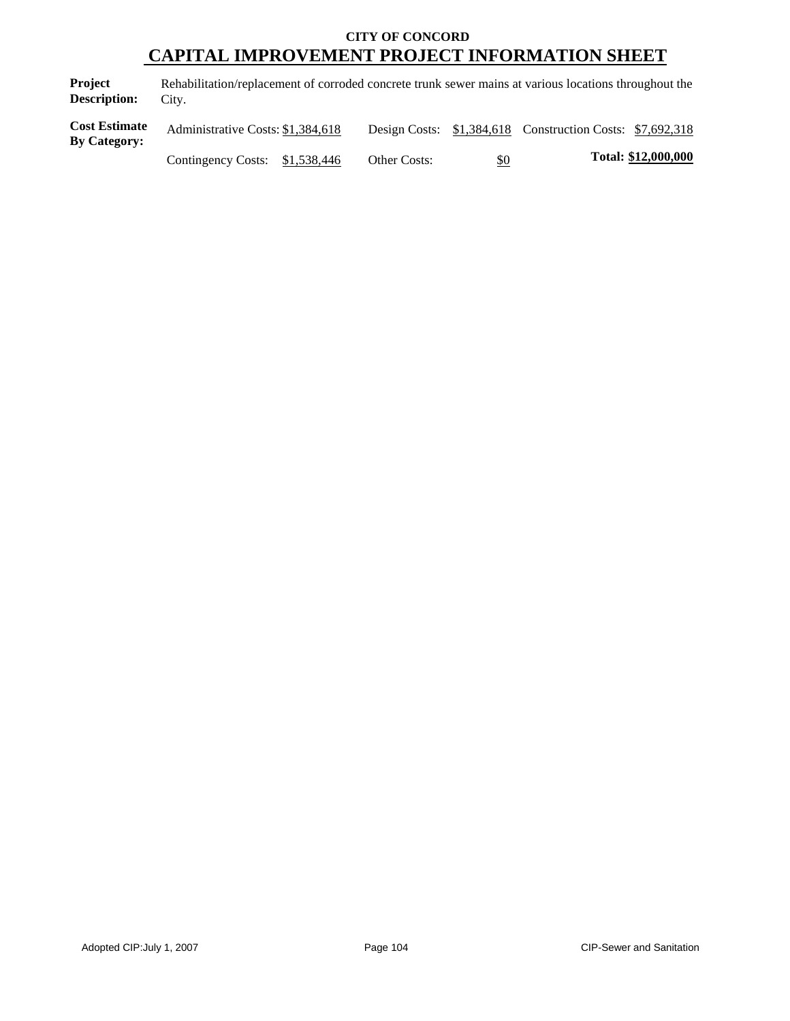**Project Description:** Rehabilitation/replacement of corroded concrete trunk sewer mains at various locations throughout the City.

| <b>Cost Estimate</b><br><b>By Category:</b> | Administrative Costs: \$1,384,618 |                     |            | Design Costs: \$1,384,618 Construction Costs: \$7,692,318 |                     |
|---------------------------------------------|-----------------------------------|---------------------|------------|-----------------------------------------------------------|---------------------|
|                                             | Contingency Costs: \$1,538,446    | <b>Other Costs:</b> | <u>\$0</u> |                                                           | Total: \$12,000,000 |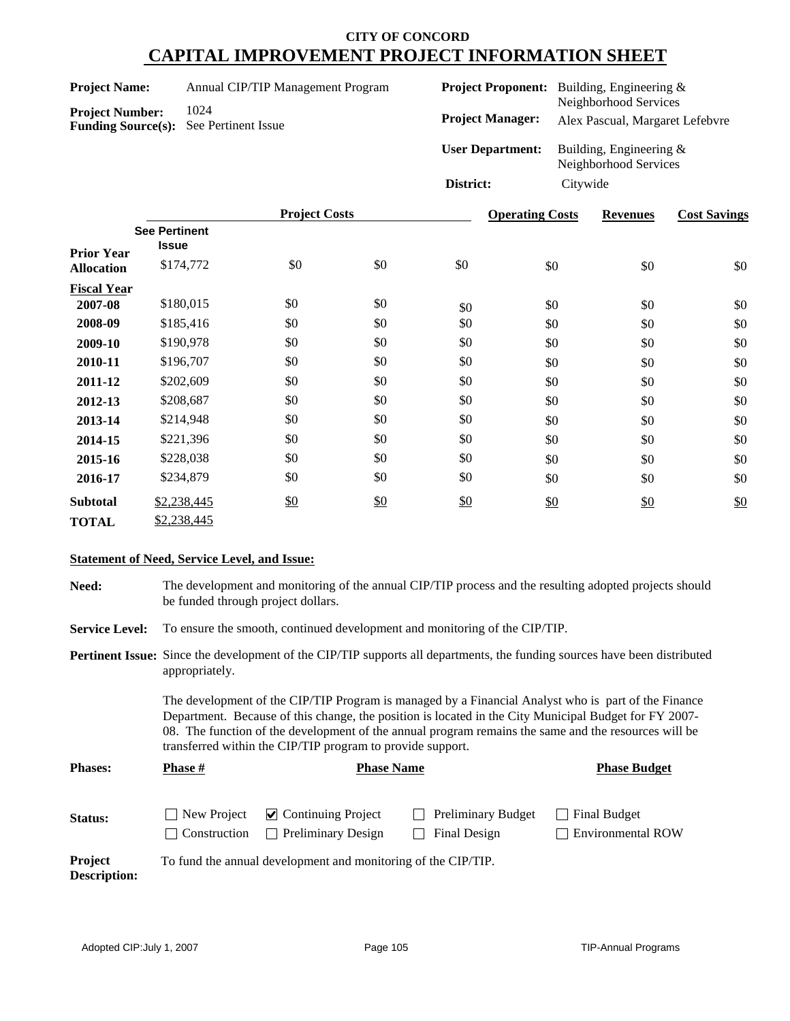| <b>Project Name:</b> | Annual CIP/TIP Management Program |  |
|----------------------|-----------------------------------|--|
|                      |                                   |  |

**Funding Source(s):** See Pertinent Issue

Project Number: 1024

| <b>Project Proponent:</b> | Building, Engineering $\&$                         |
|---------------------------|----------------------------------------------------|
|                           | Neighborhood Services                              |
| <b>Project Manager:</b>   | Alex Pascual, Margaret Lefebvre                    |
| <b>User Department:</b>   | Building, Engineering $&$<br>Neighborhood Services |
| District:                 | Citywide                                           |

|                                        |                                      | <b>Project Costs</b> |               |     | <b>Operating Costs</b> | <b>Revenues</b> | <b>Cost Savings</b> |
|----------------------------------------|--------------------------------------|----------------------|---------------|-----|------------------------|-----------------|---------------------|
|                                        | <b>See Pertinent</b><br><b>Issue</b> |                      |               |     |                        |                 |                     |
| <b>Prior Year</b><br><b>Allocation</b> | \$174,772                            | \$0                  | \$0           | \$0 | \$0                    | \$0             | \$0                 |
| <b>Fiscal Year</b>                     |                                      |                      |               |     |                        |                 |                     |
| 2007-08                                | \$180,015                            | \$0                  | \$0           | \$0 | \$0                    | \$0             | \$0                 |
| 2008-09                                | \$185,416                            | \$0                  | \$0           | \$0 | \$0                    | \$0             | \$0                 |
| 2009-10                                | \$190,978                            | \$0                  | \$0           | \$0 | \$0                    | \$0             | \$0                 |
| 2010-11                                | \$196,707                            | \$0                  | \$0           | \$0 | \$0                    | \$0             | \$0                 |
| 2011-12                                | \$202,609                            | \$0                  | \$0           | \$0 | \$0                    | \$0             | \$0                 |
| 2012-13                                | \$208,687                            | \$0                  | \$0           | \$0 | \$0                    | \$0             | \$0                 |
| 2013-14                                | \$214,948                            | \$0                  | \$0           | \$0 | \$0                    | \$0             | \$0                 |
| 2014-15                                | \$221,396                            | \$0                  | \$0           | \$0 | \$0                    | \$0             | \$0                 |
| 2015-16                                | \$228,038                            | \$0                  | \$0           | \$0 | \$0                    | \$0             | \$0                 |
| 2016-17                                | \$234,879                            | \$0                  | \$0           | \$0 | \$0                    | \$0             | \$0                 |
| <b>Subtotal</b>                        | \$2,238,445                          | $\frac{$0}{}$        | $\frac{$0}{}$ | \$0 | \$0                    | \$0             | \$0                 |
| <b>TOTAL</b>                           | \$2,238,445                          |                      |               |     |                        |                 |                     |

#### **Statement of Need, Service Level, and Issue:**

| Need:                          | The development and monitoring of the annual CIP/TIP process and the resulting adopted projects should<br>be funded through project dollars.                                                                                                                                                                                                                                       |                                                                                                                                  |                                                                            |                                          |  |  |
|--------------------------------|------------------------------------------------------------------------------------------------------------------------------------------------------------------------------------------------------------------------------------------------------------------------------------------------------------------------------------------------------------------------------------|----------------------------------------------------------------------------------------------------------------------------------|----------------------------------------------------------------------------|------------------------------------------|--|--|
| <b>Service Level:</b>          |                                                                                                                                                                                                                                                                                                                                                                                    |                                                                                                                                  | To ensure the smooth, continued development and monitoring of the CIP/TIP. |                                          |  |  |
|                                | appropriately.                                                                                                                                                                                                                                                                                                                                                                     | <b>Pertinent Issue:</b> Since the development of the CIP/TIP supports all departments, the funding sources have been distributed |                                                                            |                                          |  |  |
|                                | The development of the CIP/TIP Program is managed by a Financial Analyst who is part of the Finance<br>Department. Because of this change, the position is located in the City Municipal Budget for FY 2007-<br>08. The function of the development of the annual program remains the same and the resources will be<br>transferred within the CIP/TIP program to provide support. |                                                                                                                                  |                                                                            |                                          |  |  |
| <b>Phases:</b>                 | <b>Phase</b> #                                                                                                                                                                                                                                                                                                                                                                     | <b>Phase Name</b>                                                                                                                |                                                                            | <b>Phase Budget</b>                      |  |  |
| Status:                        | New Project<br>Construction                                                                                                                                                                                                                                                                                                                                                        | <b>Continuing Project</b><br>$\blacktriangledown$<br><b>Preliminary Design</b>                                                   | Preliminary Budget<br>Final Design                                         | Final Budget<br><b>Environmental ROW</b> |  |  |
| <b>Project</b><br>Description: | To fund the annual development and monitoring of the CIP/TIP.                                                                                                                                                                                                                                                                                                                      |                                                                                                                                  |                                                                            |                                          |  |  |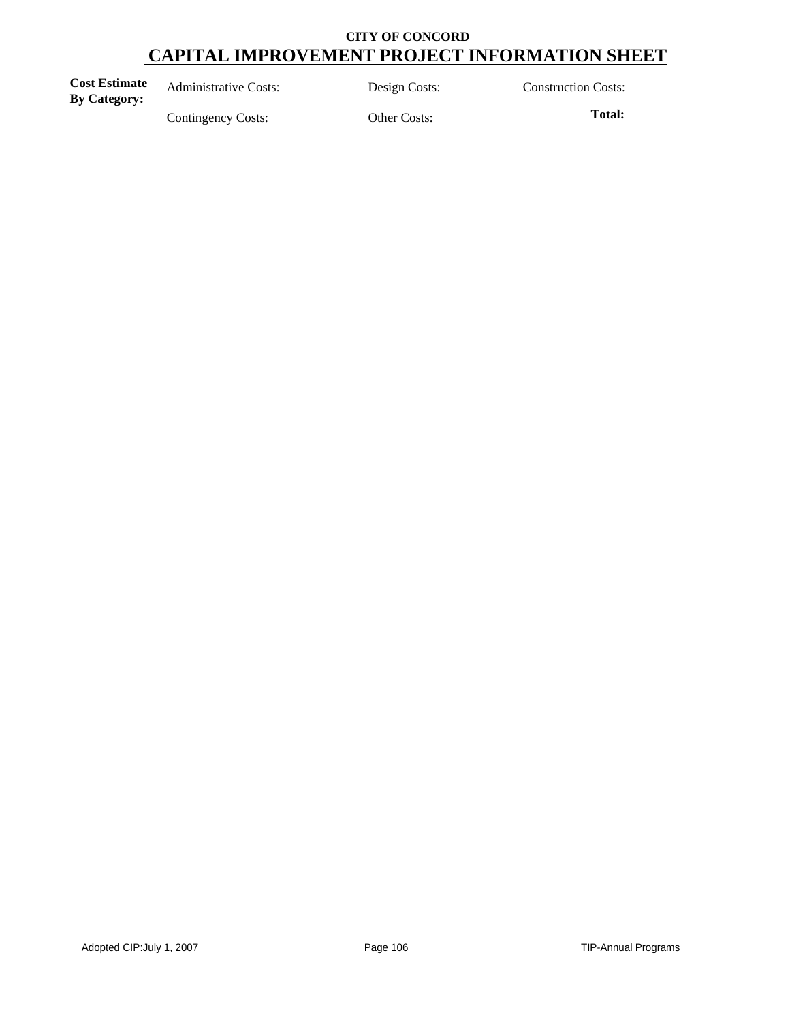| <b>Cost Estimate</b><br><b>By Category:</b> | <b>Administrative Costs:</b> | Design Costs: | <b>Construction Costs:</b> |
|---------------------------------------------|------------------------------|---------------|----------------------------|
|                                             | Contingency Costs:           | Other Costs:  | Total:                     |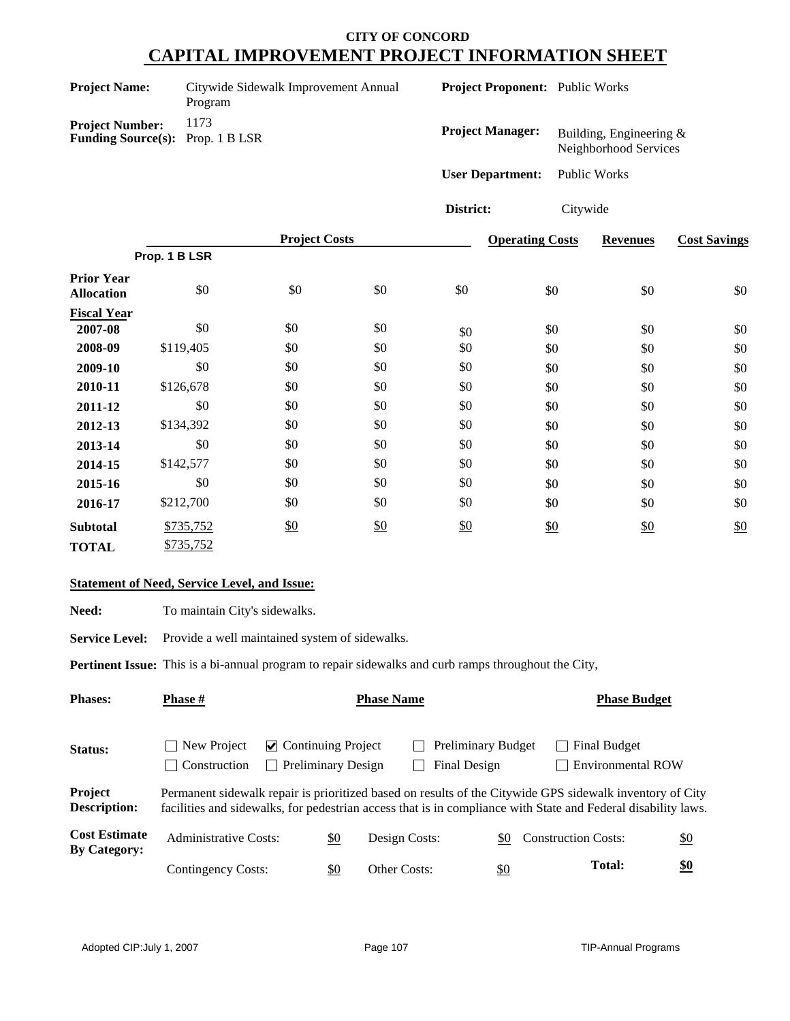| <b>Project Name:</b>                                              | Citywide Sidewalk Improvement Annual<br>Program |
|-------------------------------------------------------------------|-------------------------------------------------|
| <b>Project Number:</b><br><b>Funding Source(s):</b> Prop. 1 B LSR | 1173                                            |

**Project Proponent:** Public Works

| <b>Project Manager:</b> | Building, Engineering $\&$<br>Neighborhood Services |
|-------------------------|-----------------------------------------------------|
| <b>User Department:</b> | Public Works                                        |

**District:** Citywide

|                                        |           | <b>Project Costs</b> |               |     | <b>Operating Costs</b> | <b>Revenues</b> | <b>Cost Savings</b> |  |
|----------------------------------------|-----------|----------------------|---------------|-----|------------------------|-----------------|---------------------|--|
| Prop. 1 B LSR                          |           |                      |               |     |                        |                 |                     |  |
| <b>Prior Year</b><br><b>Allocation</b> | \$0       | \$0                  | \$0           | \$0 | \$0                    | \$0             | \$0                 |  |
| <b>Fiscal Year</b>                     |           |                      |               |     |                        |                 |                     |  |
| 2007-08                                | \$0       | \$0                  | \$0           | \$0 | \$0                    | \$0             | \$0                 |  |
| 2008-09                                | \$119,405 | \$0                  | \$0           | \$0 | \$0                    | \$0             | \$0                 |  |
| 2009-10                                | \$0       | \$0                  | \$0           | \$0 | \$0                    | \$0             | \$0                 |  |
| 2010-11                                | \$126,678 | \$0                  | \$0           | \$0 | \$0                    | \$0             | \$0                 |  |
| 2011-12                                | \$0       | \$0                  | \$0           | \$0 | \$0                    | \$0             | \$0                 |  |
| 2012-13                                | \$134,392 | \$0                  | \$0           | \$0 | \$0                    | \$0             | \$0                 |  |
| 2013-14                                | \$0       | \$0                  | \$0           | \$0 | \$0                    | \$0             | \$0                 |  |
| 2014-15                                | \$142,577 | \$0                  | \$0           | \$0 | \$0                    | \$0             | \$0                 |  |
| 2015-16                                | \$0       | \$0                  | \$0           | \$0 | \$0                    | \$0             | \$0                 |  |
| 2016-17                                | \$212,700 | \$0                  | \$0           | \$0 | \$0                    | \$0             | \$0                 |  |
| <b>Subtotal</b>                        | \$735,752 | \$0                  | $\frac{$0}{}$ | \$0 | \$0                    | \$0             | \$0                 |  |
| <b>TOTAL</b>                           | \$735,752 |                      |               |     |                        |                 |                     |  |

### **Statement of Need, Service Level, and Issue:**

Need: To maintain City's sidewalks.

Service Level: Provide a well maintained system of sidewalks.

**Pertinent Issue:** This is a bi-annual program to repair sidewalks and curb ramps throughout the City,

| <b>Phases:</b>                              | <b>Phase #</b>                                                                                                                                                                                                            |     | <b>Phase Name</b>                                                                                   |            | <b>Phase Budget</b>                      |            |  |  |
|---------------------------------------------|---------------------------------------------------------------------------------------------------------------------------------------------------------------------------------------------------------------------------|-----|-----------------------------------------------------------------------------------------------------|------------|------------------------------------------|------------|--|--|
| Status:                                     | New Project<br>Construction                                                                                                                                                                                               |     | <b>Preliminary Budget</b><br>$\vee$ Continuing Project<br><b>Preliminary Design</b><br>Final Design |            | Final Budget<br><b>Environmental ROW</b> |            |  |  |
| Project<br><b>Description:</b>              | Permanent sidewalk repair is prioritized based on results of the Citywide GPS sidewalk inventory of City<br>facilities and sidewalks, for pedestrian access that is in compliance with State and Federal disability laws. |     |                                                                                                     |            |                                          |            |  |  |
| <b>Cost Estimate</b><br><b>By Category:</b> | <b>Administrative Costs:</b>                                                                                                                                                                                              | \$0 | Design Costs:                                                                                       | -\$0       | <b>Construction Costs:</b>               | <u>\$0</u> |  |  |
|                                             | Contingency Costs:                                                                                                                                                                                                        | \$0 | <b>Other Costs:</b>                                                                                 | <u>\$0</u> | <b>Total:</b>                            | <u>\$0</u> |  |  |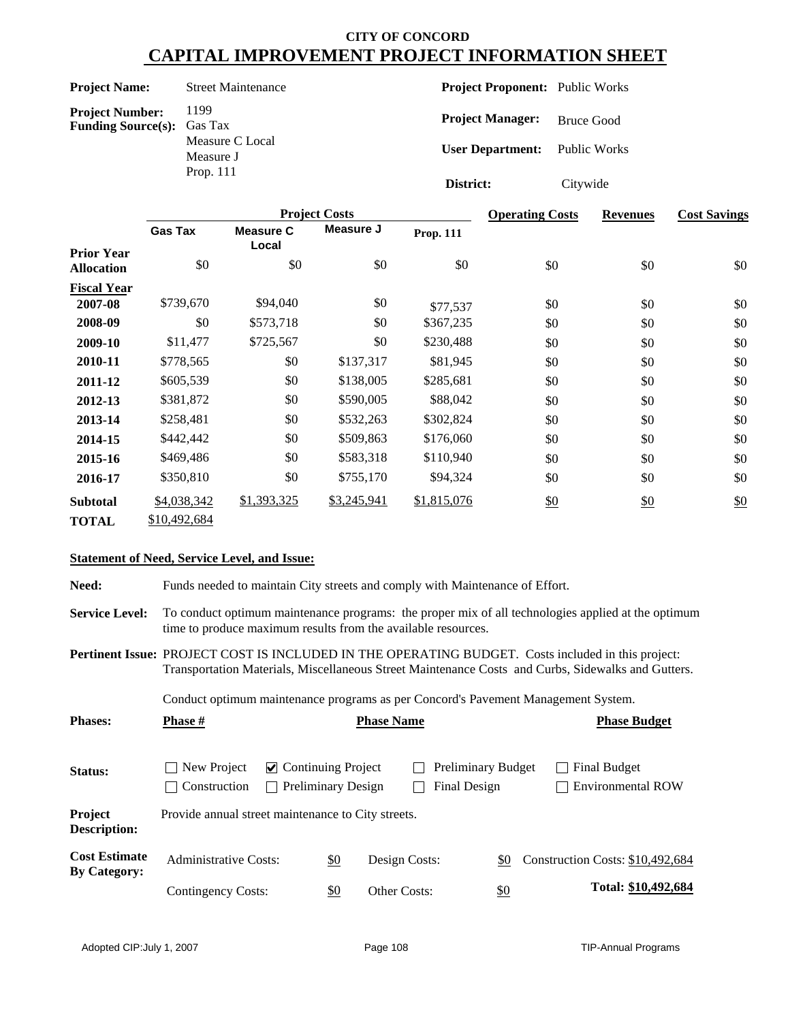| <b>Project Name:</b> | Street |
|----------------------|--------|
|                      |        |

**Project Number:** 1199<br>**Funding Source(s):** Gas Tax **Funding Source(s):** 

Measure C Local Measure J Prop. 111

**Maintenance** 

**Project Proponent:** Public Works

**Project Manager:** Bruce Good

**User Department:** Public Works

**District:** Citywide

|                                        |                |                           | <b>Project Costs</b> | <b>Operating Costs</b> | <b>Revenues</b> | <b>Cost Savings</b> |     |
|----------------------------------------|----------------|---------------------------|----------------------|------------------------|-----------------|---------------------|-----|
|                                        | <b>Gas Tax</b> | <b>Measure C</b><br>Local | Measure J            | <b>Prop. 111</b>       |                 |                     |     |
| <b>Prior Year</b><br><b>Allocation</b> | \$0            | \$0                       | \$0                  | \$0                    | \$0             | \$0                 | \$0 |
| <b>Fiscal Year</b>                     |                |                           |                      |                        |                 |                     |     |
| 2007-08                                | \$739,670      | \$94,040                  | \$0                  | \$77,537               | \$0             | \$0                 | \$0 |
| 2008-09                                | \$0            | \$573,718                 | \$0                  | \$367,235              | \$0             | \$0                 | \$0 |
| 2009-10                                | \$11,477       | \$725,567                 | \$0                  | \$230,488              | \$0             | \$0                 | \$0 |
| 2010-11                                | \$778,565      | \$0                       | \$137,317            | \$81,945               | \$0             | \$0                 | \$0 |
| 2011-12                                | \$605,539      | \$0                       | \$138,005            | \$285,681              | \$0             | \$0                 | \$0 |
| 2012-13                                | \$381,872      | \$0                       | \$590,005            | \$88,042               | \$0             | \$0                 | \$0 |
| 2013-14                                | \$258,481      | \$0                       | \$532,263            | \$302,824              | \$0             | \$0                 | \$0 |
| 2014-15                                | \$442,442      | \$0                       | \$509,863            | \$176,060              | \$0             | \$0                 | \$0 |
| 2015-16                                | \$469,486      | \$0                       | \$583,318            | \$110,940              | \$0             | \$0                 | \$0 |
| 2016-17                                | \$350,810      | \$0                       | \$755,170            | \$94,324               | \$0             | \$0                 | \$0 |
| <b>Subtotal</b>                        | \$4,038,342    | \$1,393,325               | \$3,245,941          | \$1,815,076            | \$0             | \$0                 | \$0 |
| <b>TOTAL</b>                           | \$10,492,684   |                           |                      |                        |                 |                     |     |

#### **Statement of Need, Service Level, and Issue:**

**Need:** Funds needed to maintain City streets and comply with Maintenance of Effort.

**Service Level:** To conduct optimum maintenance programs: the proper mix of all technologies applied at the optimum time to produce maximum results from the available resources.

**Pertinent Issue:** PROJECT COST IS INCLUDED IN THE OPERATING BUDGET. Costs included in this project: Transportation Materials, Miscellaneous Street Maintenance Costs and Curbs, Sidewalks and Gutters.

Conduct optimum maintenance programs as per Concord's Pavement Management System.

| <b>Phases:</b>                              | <b>Phase #</b>                                     | <b>Phase Name</b>                                         |            |                                    |  |  |     | <b>Phase Budget</b>                      |  |  |                     |  |
|---------------------------------------------|----------------------------------------------------|-----------------------------------------------------------|------------|------------------------------------|--|--|-----|------------------------------------------|--|--|---------------------|--|
| Status:                                     | New Project<br>Construction                        | $\vee$ Continuing Project<br>Preliminary Design<br>$\sim$ |            | Preliminary Budget<br>Final Design |  |  |     | Final Budget<br><b>Environmental ROW</b> |  |  |                     |  |
| Project<br><b>Description:</b>              | Provide annual street maintenance to City streets. |                                                           |            |                                    |  |  |     |                                          |  |  |                     |  |
| <b>Cost Estimate</b><br><b>By Category:</b> | <b>Administrative Costs:</b>                       |                                                           | <u>\$0</u> | Design Costs:                      |  |  | \$0 | Construction Costs: \$10,492,684         |  |  |                     |  |
|                                             | Contingency Costs:                                 |                                                           | \$0        | Other Costs:                       |  |  | \$0 |                                          |  |  | Total: \$10,492,684 |  |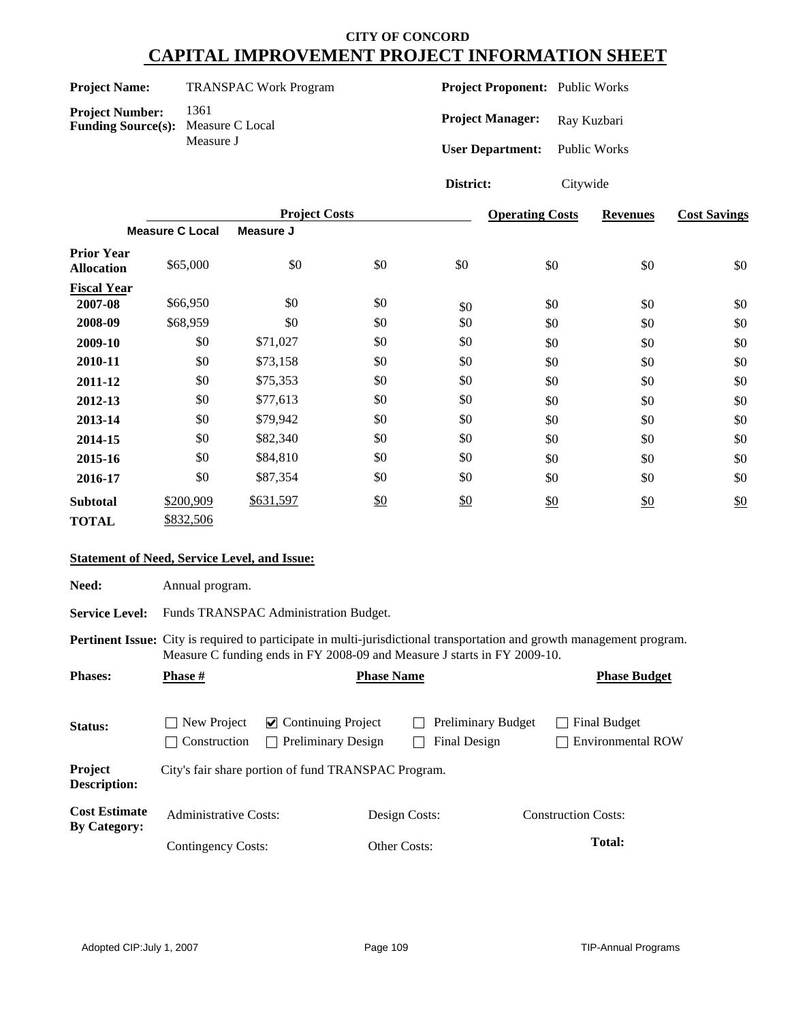| <b>Project Name:</b> | <b>TRANSPAC Work Program</b> |
|----------------------|------------------------------|
|----------------------|------------------------------|

**Project Number:** 1361<br>**Funding Source(s):** Measure C Local **Funding Source(s):** Measure J

**Project Proponent:** Public Works

Project Manager: Ray Kuzbari

**User Department:** Public Works

**District:** Citywide

|                                        |                        | <b>Project Costs</b> |     |     | <b>Operating Costs</b> | <b>Revenues</b> | <b>Cost Savings</b> |
|----------------------------------------|------------------------|----------------------|-----|-----|------------------------|-----------------|---------------------|
|                                        | <b>Measure C Local</b> | Measure J            |     |     |                        |                 |                     |
| <b>Prior Year</b><br><b>Allocation</b> | \$65,000               | \$0                  | \$0 | \$0 | \$0                    | \$0             | \$0                 |
| <b>Fiscal Year</b>                     |                        |                      |     |     |                        |                 |                     |
| 2007-08                                | \$66,950               | \$0                  | \$0 | \$0 | \$0                    | \$0             | \$0                 |
| 2008-09                                | \$68,959               | \$0                  | \$0 | \$0 | \$0                    | \$0             | \$0                 |
| 2009-10                                | \$0                    | \$71,027             | \$0 | \$0 | \$0                    | \$0             | \$0                 |
| 2010-11                                | \$0                    | \$73,158             | \$0 | \$0 | \$0                    | \$0             | \$0                 |
| 2011-12                                | \$0                    | \$75,353             | \$0 | \$0 | \$0                    | \$0             | \$0                 |
| 2012-13                                | \$0                    | \$77,613             | \$0 | \$0 | \$0                    | \$0             | \$0                 |
| 2013-14                                | \$0                    | \$79,942             | \$0 | \$0 | \$0                    | \$0             | \$0                 |
| 2014-15                                | \$0                    | \$82,340             | \$0 | \$0 | \$0                    | \$0             | \$0                 |
| 2015-16                                | \$0                    | \$84,810             | \$0 | \$0 | \$0                    | \$0             | \$0                 |
| 2016-17                                | \$0                    | \$87,354             | \$0 | \$0 | \$0                    | \$0             | \$0                 |
| <b>Subtotal</b>                        | \$200,909              | \$631,597            | \$0 | \$0 | \$0                    | \$0             | \$0                 |
| <b>TOTAL</b>                           | \$832,506              |                      |     |     |                        |                 |                     |

#### **Statement of Need, Service Level, and Issue:**

Need: Annual program.

Service Level: Funds TRANSPAC Administration Budget.

**Pertinent Issue:** City is required to participate in multi-jurisdictional transportation and growth management program. Measure C funding ends in FY 2008-09 and Measure J starts in FY 2009-10.

| <b>Phases:</b>                              | <b>Phase</b> #                                    |                                                        | <b>Phase Name</b> |                                           |  | <b>Phase Budget</b>                      |
|---------------------------------------------|---------------------------------------------------|--------------------------------------------------------|-------------------|-------------------------------------------|--|------------------------------------------|
| Status:                                     | New Project<br>$\sim$ 1<br>Construction<br>$\sim$ | $\vee$ Continuing Project<br><b>Preliminary Design</b> |                   | <b>Preliminary Budget</b><br>Final Design |  | Final Budget<br><b>Environmental ROW</b> |
| Project<br><b>Description:</b>              |                                                   | City's fair share portion of fund TRANSPAC Program.    |                   |                                           |  |                                          |
| <b>Cost Estimate</b><br><b>By Category:</b> | <b>Administrative Costs:</b>                      |                                                        | Design Costs:     |                                           |  | <b>Construction Costs:</b>               |
|                                             | Contingency Costs:                                |                                                        | Other Costs:      |                                           |  | Total:                                   |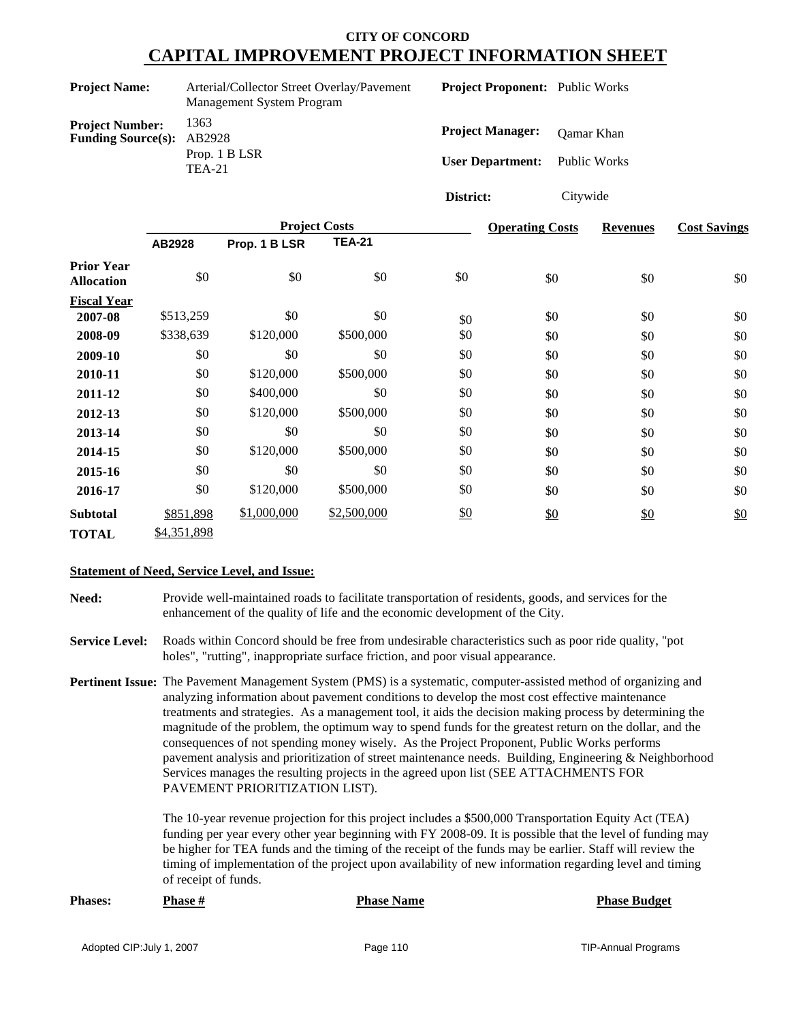| <b>Project Name:</b><br>Arterial/Collector Street Overlay/Pavement<br>Management System Program |        |                |                      | <b>Project Proponent:</b> Public Works |           |                         |                     |                 |                     |
|-------------------------------------------------------------------------------------------------|--------|----------------|----------------------|----------------------------------------|-----------|-------------------------|---------------------|-----------------|---------------------|
| <b>Project Number:</b><br><b>Funding Source(s):</b>                                             |        | 1363<br>AB2928 |                      |                                        |           | <b>Project Manager:</b> | <b>Oamar</b> Khan   |                 |                     |
|                                                                                                 |        | <b>TEA-21</b>  | Prop. 1 B LSR        |                                        |           | <b>User Department:</b> | <b>Public Works</b> |                 |                     |
|                                                                                                 |        |                |                      |                                        | District: |                         | Citywide            |                 |                     |
|                                                                                                 |        |                | <b>Project Costs</b> |                                        |           | <b>Operating Costs</b>  |                     | <b>Revenues</b> | <b>Cost Savings</b> |
|                                                                                                 | AB2928 |                | Prop. 1 B LSR        | <b>TEA-21</b>                          |           |                         |                     |                 |                     |
| <b>Prior Year</b><br><b>Allocation</b>                                                          |        | \$0            | \$0                  | \$0                                    | \$0       | \$0                     |                     | \$0             | \$0                 |
| <b>Fiscal Year</b>                                                                              |        |                |                      |                                        |           |                         |                     |                 |                     |
| 2007-08                                                                                         |        | \$513,259      | \$0                  | \$0                                    | \$0       | \$0                     |                     | \$0             | \$0                 |
| 2008-09                                                                                         |        | \$338,639      | \$120,000            | \$500,000                              | \$0       | \$0                     |                     | \$0             | \$0                 |
| 2009-10                                                                                         |        | \$0            | \$0                  | \$0                                    | \$0       | \$0                     |                     | \$0             | \$0                 |
| 2010-11                                                                                         |        | \$0            | \$120,000            | \$500,000                              | \$0       | \$0                     |                     | \$0             | \$0                 |

\$0 \$0 \$0 \$0 \$0

 $\frac{$2,500,000}{80}$  \$0 \$0 \$0 \$0

\$0 \$0 \$0 \$0 \$0 \$0 \$0 \$0 \$0 \$0 \$0

#### **Statement of Need, Service Level, and Issue:**

\$851,898

**2011-12** \$0 **2012-13** \$0 **2013-14** \$0 **2014-15** \$0 **2015-16** \$0

**TOTAL** \$4,351,898

**Subtotal**

**Need:** Provide well-maintained roads to facilitate transportation of residents, goods, and services for the enhancement of the quality of life and the economic development of the City.

**2016-17** \$0 \$120,000 \$500,000 \$0 \$0 \$0 \$0

\$500,000

\$500,000

\$400,000 \$120,000

\$120,000 \$0

\$120,000 \$1,000,000

\$0

\$500,000

\$0

\$0 \$0 \$0 \$0 \$0 \$0 \$0

\$0

\$0

**Service Level:** Roads within Concord should be free from undesirable characteristics such as poor ride quality, "pot holes", "rutting", inappropriate surface friction, and poor visual appearance.

**Pertinent Issue:** The Pavement Management System (PMS) is a systematic, computer-assisted method of organizing and analyzing information about pavement conditions to develop the most cost effective maintenance treatments and strategies. As a management tool, it aids the decision making process by determining the magnitude of the problem, the optimum way to spend funds for the greatest return on the dollar, and the consequences of not spending money wisely. As the Project Proponent, Public Works performs pavement analysis and prioritization of street maintenance needs. Building, Engineering & Neighborhood Services manages the resulting projects in the agreed upon list (SEE ATTACHMENTS FOR PAVEMENT PRIORITIZATION LIST).

> The 10-year revenue projection for this project includes a \$500,000 Transportation Equity Act (TEA) funding per year every other year beginning with FY 2008-09. It is possible that the level of funding may be higher for TEA funds and the timing of the receipt of the funds may be earlier. Staff will review the timing of implementation of the project upon availability of new information regarding level and timing of receipt of funds.

| <b>Phases:</b> | <b>Phase #</b> | <b>Phase Name</b> | <b>Phase Budget</b> |
|----------------|----------------|-------------------|---------------------|
|                |                |                   |                     |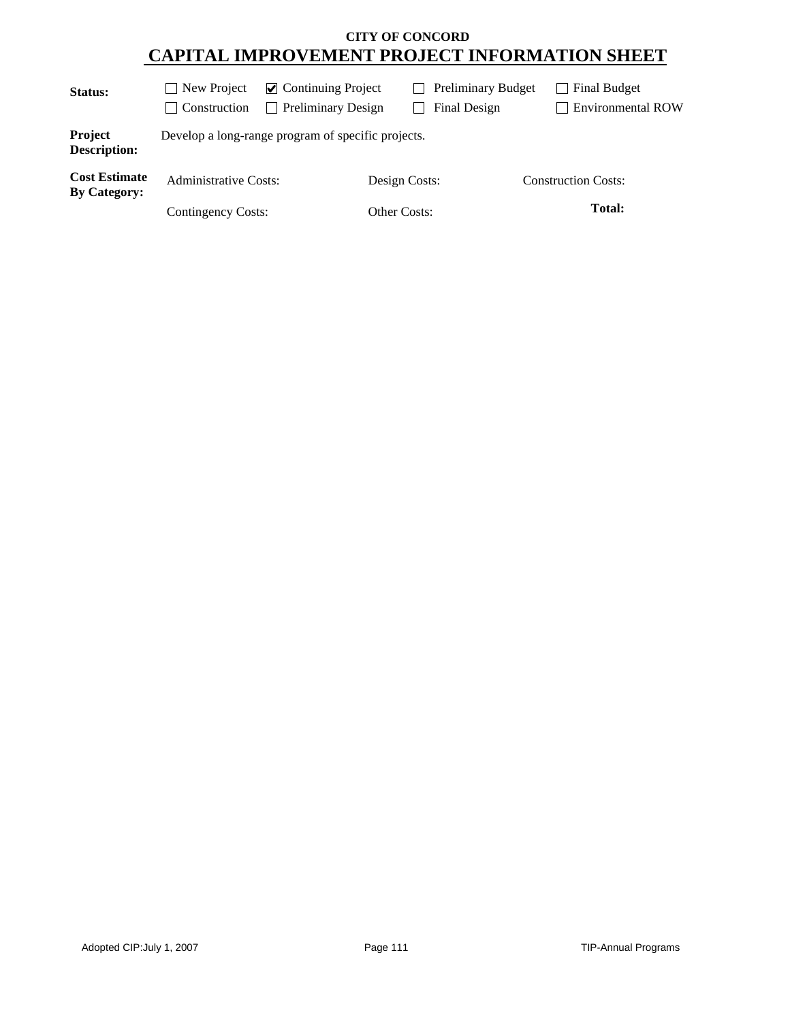| Status:                                     | $\blacksquare$ New Project<br>Construction  | $\vee$ Continuing Project<br><b>Preliminary Design</b> |                               | <b>Preliminary Budget</b><br>Final Design | Final Budget<br><b>Environmental ROW</b> |
|---------------------------------------------|---------------------------------------------|--------------------------------------------------------|-------------------------------|-------------------------------------------|------------------------------------------|
| Project<br><b>Description:</b>              |                                             | Develop a long-range program of specific projects.     |                               |                                           |                                          |
| <b>Cost Estimate</b><br><b>By Category:</b> | Administrative Costs:<br>Contingency Costs: |                                                        | Design Costs:<br>Other Costs: |                                           | <b>Construction Costs:</b><br>Total:     |
|                                             |                                             |                                                        |                               |                                           |                                          |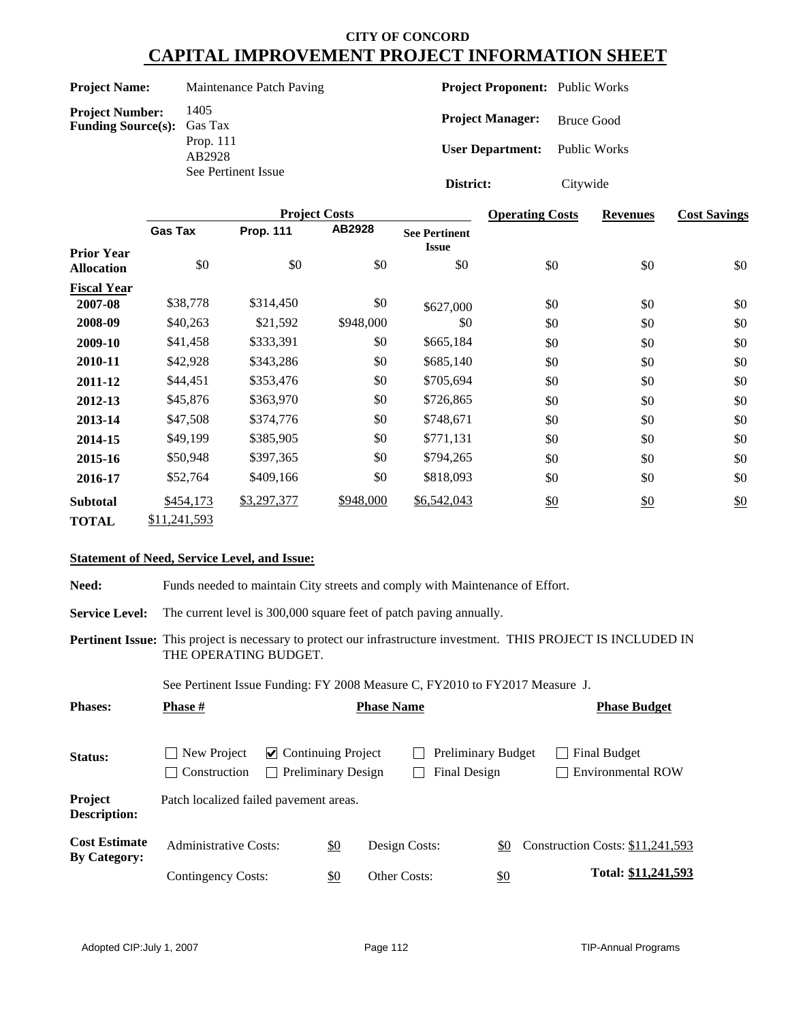#### **Project Name:** Maintenance Patch Paving

**Project Number:** 1405<br>**Funding Source(s):** Gas Tax **Funding Source(s):** Prop. 111

AB2928 See Pertinent Issue **Project Proponent:** Public Works

**Project Manager:** Bruce Good

**User Department:** Public Works

**District:** Citywide

|                                        |                |                  | <b>Project Costs</b> |                                      | <b>Operating Costs</b> | <b>Revenues</b> | <b>Cost Savings</b> |
|----------------------------------------|----------------|------------------|----------------------|--------------------------------------|------------------------|-----------------|---------------------|
|                                        | <b>Gas Tax</b> | <b>Prop. 111</b> | AB2928               | <b>See Pertinent</b><br><b>Issue</b> |                        |                 |                     |
| <b>Prior Year</b><br><b>Allocation</b> | \$0            | \$0              | \$0                  | \$0                                  | \$0                    | \$0             | \$0                 |
| <b>Fiscal Year</b>                     |                |                  |                      |                                      |                        |                 |                     |
| 2007-08                                | \$38,778       | \$314,450        | \$0                  | \$627,000                            | \$0                    | \$0             | \$0                 |
| 2008-09                                | \$40,263       | \$21,592         | \$948,000            | \$0                                  | \$0                    | \$0             | \$0                 |
| 2009-10                                | \$41,458       | \$333,391        | \$0                  | \$665,184                            | \$0                    | \$0             | \$0                 |
| 2010-11                                | \$42,928       | \$343,286        | \$0                  | \$685,140                            | \$0                    | \$0             | \$0                 |
| 2011-12                                | \$44,451       | \$353,476        | \$0                  | \$705,694                            | \$0                    | \$0             | \$0                 |
| 2012-13                                | \$45,876       | \$363,970        | \$0                  | \$726,865                            | \$0                    | \$0             | \$0                 |
| 2013-14                                | \$47,508       | \$374,776        | \$0                  | \$748,671                            | \$0                    | \$0             | \$0                 |
| 2014-15                                | \$49,199       | \$385,905        | \$0                  | \$771,131                            | \$0                    | \$0             | \$0                 |
| 2015-16                                | \$50,948       | \$397,365        | \$0                  | \$794,265                            | \$0                    | \$0             | \$0                 |
| 2016-17                                | \$52,764       | \$409,166        | \$0                  | \$818,093                            | \$0                    | \$0             | \$0                 |
| <b>Subtotal</b>                        | \$454,173      | \$3,297,377      | \$948,000            | \$6,542,043                          | \$0                    | \$0             | \$0                 |
| <b>TOTAL</b>                           | \$11,241,593   |                  |                      |                                      |                        |                 |                     |

#### **Statement of Need, Service Level, and Issue:**

**Need:** Funds needed to maintain City streets and comply with Maintenance of Effort.

**Service Level:** The current level is 300,000 square feet of patch paving annually.

**Pertinent Issue:** This project is necessary to protect our infrastructure investment. THIS PROJECT IS INCLUDED IN THE OPERATING BUDGET.

See Pertinent Issue Funding: FY 2008 Measure C, FY2010 to FY2017 Measure J.

| <b>Phases:</b>                              | <b>Phase #</b>                         |                                                        |            | <b>Phase Name</b>   |                                           |            |                                  | <b>Phase Budget</b>                      |  |
|---------------------------------------------|----------------------------------------|--------------------------------------------------------|------------|---------------------|-------------------------------------------|------------|----------------------------------|------------------------------------------|--|
| Status:                                     | New Project<br>Construction            | $\vee$ Continuing Project<br><b>Preliminary Design</b> |            |                     | <b>Preliminary Budget</b><br>Final Design |            |                                  | Final Budget<br><b>Environmental ROW</b> |  |
| <b>Project</b><br><b>Description:</b>       | Patch localized failed pavement areas. |                                                        |            |                     |                                           |            |                                  |                                          |  |
| <b>Cost Estimate</b><br><b>By Category:</b> | Administrative Costs:                  |                                                        | <u>\$0</u> | Design Costs:       |                                           | \$0        | Construction Costs: \$11,241,593 |                                          |  |
|                                             | Contingency Costs:                     |                                                        | \$0        | <b>Other Costs:</b> |                                           | <u>\$0</u> |                                  | Total: \$11,241,593                      |  |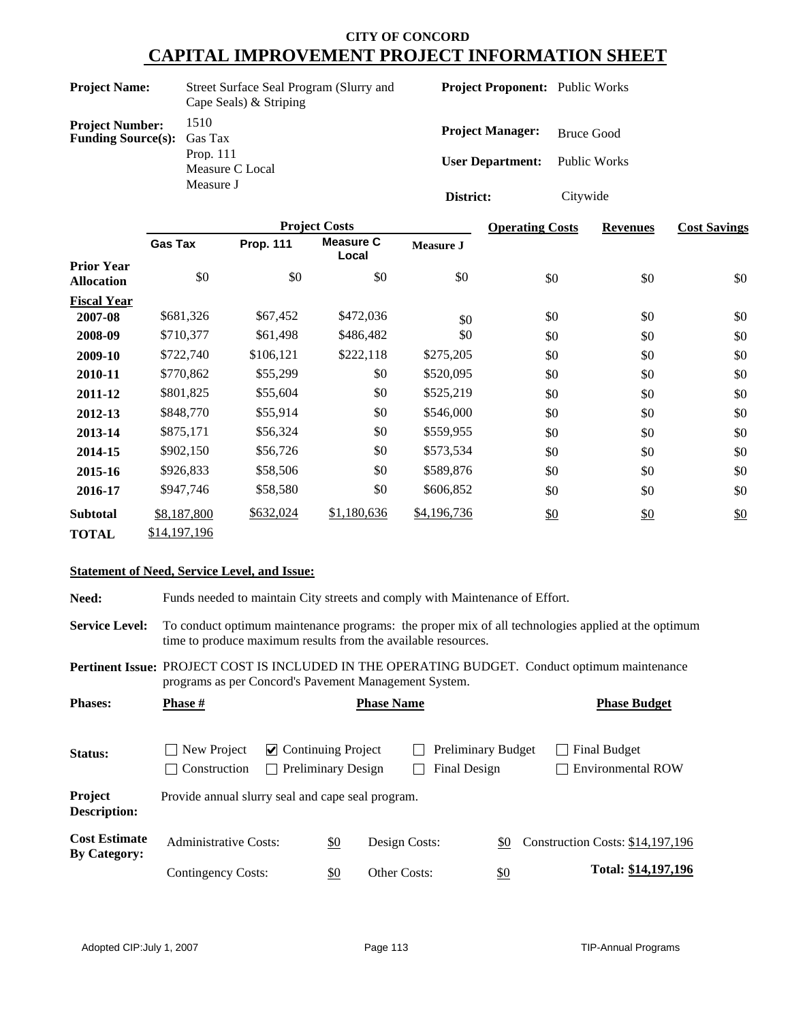|                                                                                                                    | Street Surface Seal Program (Slurry and |
|--------------------------------------------------------------------------------------------------------------------|-----------------------------------------|
| 1510<br><b>Project Number:</b><br><b>Funding Source(s):</b> Gas Tax<br>Prop. $111$<br>Measure C Local<br>Measure J |                                         |

**Project Proponent:** Public Works

**Project Manager:** Bruce Good **User Department:** Public Works

**District:** Citywide

|                                        |                |                  | <b>Project Costs</b>      |                  | <b>Operating Costs</b> | <b>Revenues</b> | <b>Cost Savings</b> |
|----------------------------------------|----------------|------------------|---------------------------|------------------|------------------------|-----------------|---------------------|
|                                        | <b>Gas Tax</b> | <b>Prop. 111</b> | <b>Measure C</b><br>Local | <b>Measure J</b> |                        |                 |                     |
| <b>Prior Year</b><br><b>Allocation</b> | \$0            | \$0              | \$0                       | \$0              | \$0                    | \$0             | \$0                 |
| <b>Fiscal Year</b>                     |                |                  |                           |                  |                        |                 |                     |
| 2007-08                                | \$681,326      | \$67,452         | \$472,036                 | \$0              | \$0                    | \$0             | \$0                 |
| 2008-09                                | \$710,377      | \$61,498         | \$486,482                 | \$0              | \$0                    | \$0             | \$0                 |
| 2009-10                                | \$722,740      | \$106,121        | \$222,118                 | \$275,205        | \$0                    | \$0             | \$0                 |
| 2010-11                                | \$770,862      | \$55,299         | \$0                       | \$520,095        | \$0                    | \$0             | \$0                 |
| 2011-12                                | \$801,825      | \$55,604         | \$0                       | \$525,219        | \$0                    | \$0             | \$0                 |
| 2012-13                                | \$848,770      | \$55,914         | \$0                       | \$546,000        | \$0                    | \$0             | \$0                 |
| 2013-14                                | \$875,171      | \$56,324         | \$0                       | \$559,955        | \$0                    | \$0             | \$0                 |
| 2014-15                                | \$902,150      | \$56,726         | \$0                       | \$573,534        | \$0                    | \$0             | \$0                 |
| 2015-16                                | \$926,833      | \$58,506         | \$0                       | \$589,876        | \$0                    | \$0             | \$0                 |
| 2016-17                                | \$947,746      | \$58,580         | \$0                       | \$606,852        | \$0                    | \$0             | \$0                 |
| <b>Subtotal</b>                        | \$8,187,800    | \$632,024        | \$1,180,636               | \$4,196,736      | \$0                    | \$0             | \$0                 |
| <b>TOTAL</b>                           | \$14,197,196   |                  |                           |                  |                        |                 |                     |

#### **Statement of Need, Service Level, and Issue:**

**Need:** Funds needed to maintain City streets and comply with Maintenance of Effort. **Service Level:** To conduct optimum maintenance programs: the proper mix of all technologies applied at the optimum time to produce maximum results from the available resources. Status: New Project **⊘** Continuing Project **D** Preliminary Budget **D** Final Budget Construction Preliminary Design Final Design Environmental ROW **Project Description:** Provide annual slurry seal and cape seal program. **Pertinent Issue:** PROJECT COST IS INCLUDED IN THE OPERATING BUDGET. Conduct optimum maintenance programs as per Concord's Pavement Management System. Cost Estimate Administrative Costs: <u>\$0</u> Design Costs: <u>\$0</u> Construction Costs: \$14,197,196 <br>By Category:  $\underline{\$0}$  Other Costs:  $\underline{\$0}$ **Cost Estimate** Contingency Costs: **Total: \$14,197,196 Phases: Phase # Phase Phase Name Phase Budget Phase Budget**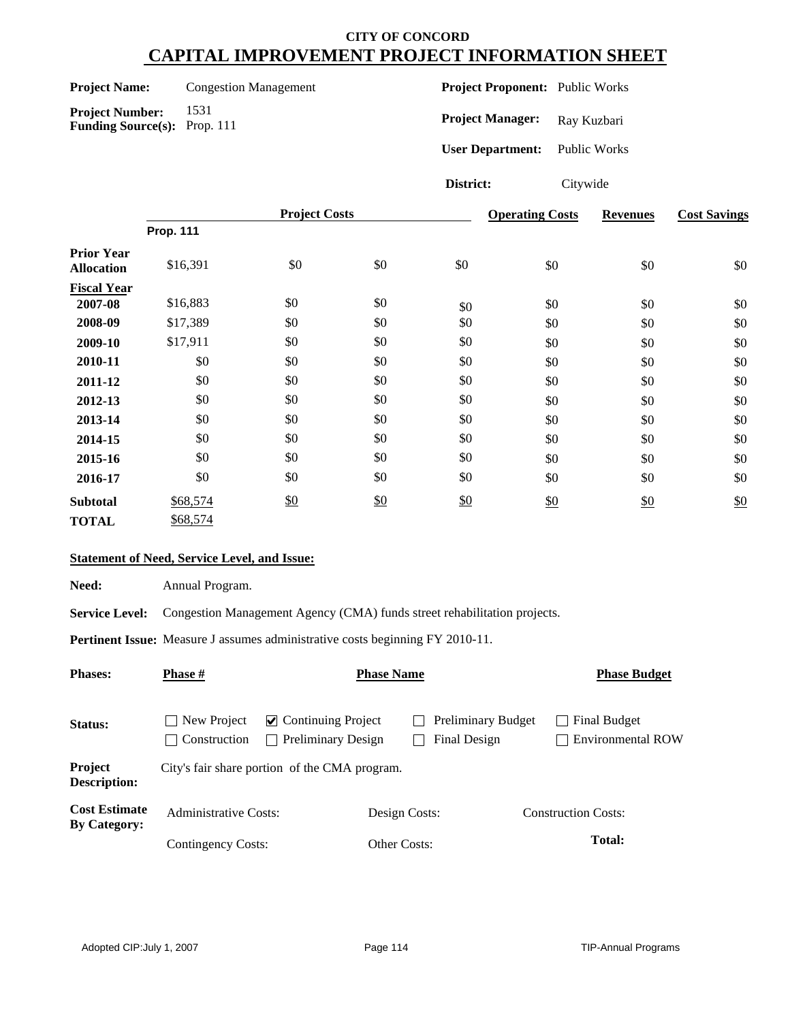| <b>Project Name:</b> | Co |
|----------------------|----|
|----------------------|----|

**Project Number:** 1531 **Funding Source(s):** Prop. 111

**Projection Management** 

**Project Proponent:** Public Works

Project Manager: Ray Kuzbari

**User Department:** Public Works

**District:** Citywide

|                                        | <b>Project Costs</b> |     |     |     | <b>Operating Costs</b> | <b>Revenues</b> | <b>Cost Savings</b> |
|----------------------------------------|----------------------|-----|-----|-----|------------------------|-----------------|---------------------|
|                                        | <b>Prop. 111</b>     |     |     |     |                        |                 |                     |
| <b>Prior Year</b><br><b>Allocation</b> | \$16,391             | \$0 | \$0 | \$0 | \$0                    | \$0             | \$0                 |
| <b>Fiscal Year</b>                     |                      |     |     |     |                        |                 |                     |
| 2007-08                                | \$16,883             | \$0 | \$0 | \$0 | \$0                    | \$0             | \$0                 |
| 2008-09                                | \$17,389             | \$0 | \$0 | \$0 | \$0                    | \$0             | \$0                 |
| 2009-10                                | \$17,911             | \$0 | \$0 | \$0 | \$0                    | \$0             | \$0                 |
| 2010-11                                | \$0                  | \$0 | \$0 | \$0 | \$0                    | \$0             | \$0                 |
| 2011-12                                | \$0                  | \$0 | \$0 | \$0 | \$0                    | \$0             | \$0                 |
| 2012-13                                | \$0                  | \$0 | \$0 | \$0 | \$0                    | \$0             | \$0                 |
| 2013-14                                | \$0                  | \$0 | \$0 | \$0 | \$0                    | \$0             | \$0                 |
| 2014-15                                | \$0                  | \$0 | \$0 | \$0 | \$0                    | \$0             | \$0                 |
| 2015-16                                | \$0                  | \$0 | \$0 | \$0 | \$0                    | \$0             | \$0                 |
| 2016-17                                | \$0                  | \$0 | \$0 | \$0 | \$0                    | \$0             | \$0                 |
| <b>Subtotal</b>                        | \$68,574             | \$0 | \$0 | \$0 | \$0                    | $\frac{$0}{}$   | \$0                 |
| <b>TOTAL</b>                           | \$68,574             |     |     |     |                        |                 |                     |

#### **Statement of Need, Service Level, and Issue:**

Need: Annual Program.

Service Level: Congestion Management Agency (CMA) funds street rehabilitation projects.

**Pertinent Issue:** Measure J assumes administrative costs beginning FY 2010-11.

| <b>Phases:</b>                              | <b>Phase</b> #                                     |                                                 | <b>Phase Name</b> |                           | <b>Phase Budget</b>                      |
|---------------------------------------------|----------------------------------------------------|-------------------------------------------------|-------------------|---------------------------|------------------------------------------|
| Status:                                     | $\Box$ New Project<br>Construction<br>$\mathbf{I}$ | $\vee$ Continuing Project<br>Preliminary Design | Final Design      | <b>Preliminary Budget</b> | Final Budget<br><b>Environmental ROW</b> |
| Project<br><b>Description:</b>              |                                                    | City's fair share portion of the CMA program.   |                   |                           |                                          |
| <b>Cost Estimate</b><br><b>By Category:</b> | <b>Administrative Costs:</b>                       |                                                 | Design Costs:     |                           | <b>Construction Costs:</b>               |
|                                             | Contingency Costs:                                 |                                                 | Other Costs:      |                           | Total:                                   |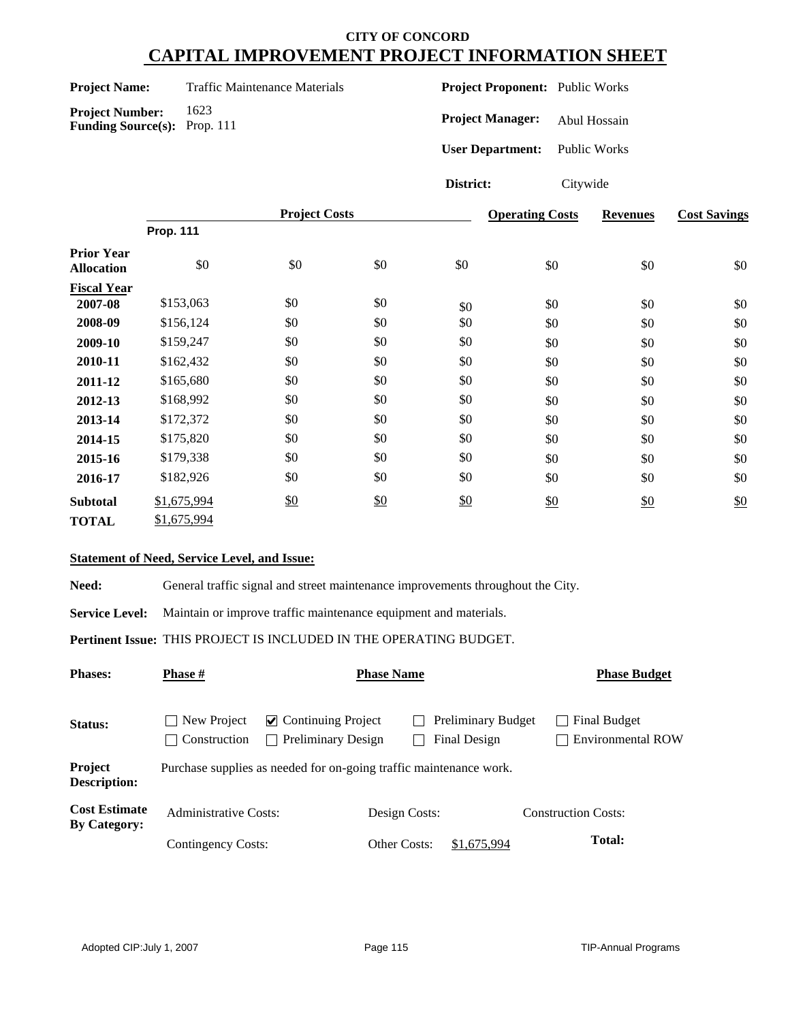**Project Number:** 1623 **Funding Source(s):** Prop. 111

**Traffic Maintenance Materials** 

**Project Proponent:** Public Works

**Project Manager:** Abul Hossain

**User Department:** Public Works

**District:** Citywide

|                                        |                  | <b>Project Costs</b> |     | <b>Operating Costs</b> | <b>Revenues</b> | <b>Cost Savings</b> |     |
|----------------------------------------|------------------|----------------------|-----|------------------------|-----------------|---------------------|-----|
|                                        | <b>Prop. 111</b> |                      |     |                        |                 |                     |     |
| <b>Prior Year</b><br><b>Allocation</b> | \$0              | \$0                  | \$0 | \$0                    | \$0             | \$0                 | \$0 |
| <b>Fiscal Year</b>                     |                  |                      |     |                        |                 |                     |     |
| 2007-08                                | \$153,063        | \$0                  | \$0 | \$0                    | \$0             | \$0                 | \$0 |
| 2008-09                                | \$156,124        | \$0                  | \$0 | \$0                    | \$0             | \$0                 | \$0 |
| 2009-10                                | \$159,247        | \$0                  | \$0 | \$0                    | \$0             | \$0                 | \$0 |
| 2010-11                                | \$162,432        | \$0                  | \$0 | \$0                    | \$0             | \$0                 | \$0 |
| 2011-12                                | \$165,680        | \$0                  | \$0 | \$0                    | \$0             | \$0                 | \$0 |
| 2012-13                                | \$168,992        | \$0                  | \$0 | \$0                    | \$0             | \$0                 | \$0 |
| 2013-14                                | \$172,372        | \$0                  | \$0 | \$0                    | \$0             | \$0                 | \$0 |
| 2014-15                                | \$175,820        | \$0                  | \$0 | \$0                    | \$0             | \$0                 | \$0 |
| 2015-16                                | \$179,338        | \$0                  | \$0 | \$0                    | \$0             | \$0                 | \$0 |
| 2016-17                                | \$182,926        | \$0                  | \$0 | \$0                    | \$0             | \$0                 | \$0 |
| <b>Subtotal</b>                        | \$1,675,994      | $\frac{$0}{}$        | \$0 | \$0                    | \$0             | \$0                 | \$0 |
| <b>TOTAL</b>                           | \$1,675,994      |                      |     |                        |                 |                     |     |

#### **Statement of Need, Service Level, and Issue:**

Need: General traffic signal and street maintenance improvements throughout the City.

**Service Level:** Maintain or improve traffic maintenance equipment and materials.

**Pertinent Issue:** THIS PROJECT IS INCLUDED IN THE OPERATING BUDGET.

| <b>Phases:</b>                              | <b>Phase</b> #                    |                                                                    | <b>Phase Name</b> |                                           | <b>Phase Budget</b>                      |
|---------------------------------------------|-----------------------------------|--------------------------------------------------------------------|-------------------|-------------------------------------------|------------------------------------------|
| Status:                                     | New Project<br>Construction<br>×. | $\vee$ Continuing Project<br><b>Preliminary Design</b>             |                   | <b>Preliminary Budget</b><br>Final Design | Final Budget<br><b>Environmental ROW</b> |
| Project<br><b>Description:</b>              |                                   | Purchase supplies as needed for on-going traffic maintenance work. |                   |                                           |                                          |
| <b>Cost Estimate</b><br><b>By Category:</b> | <b>Administrative Costs:</b>      |                                                                    | Design Costs:     |                                           | <b>Construction Costs:</b>               |
|                                             | Contingency Costs:                |                                                                    | Other Costs:      | \$1,675,994                               | <b>Total:</b>                            |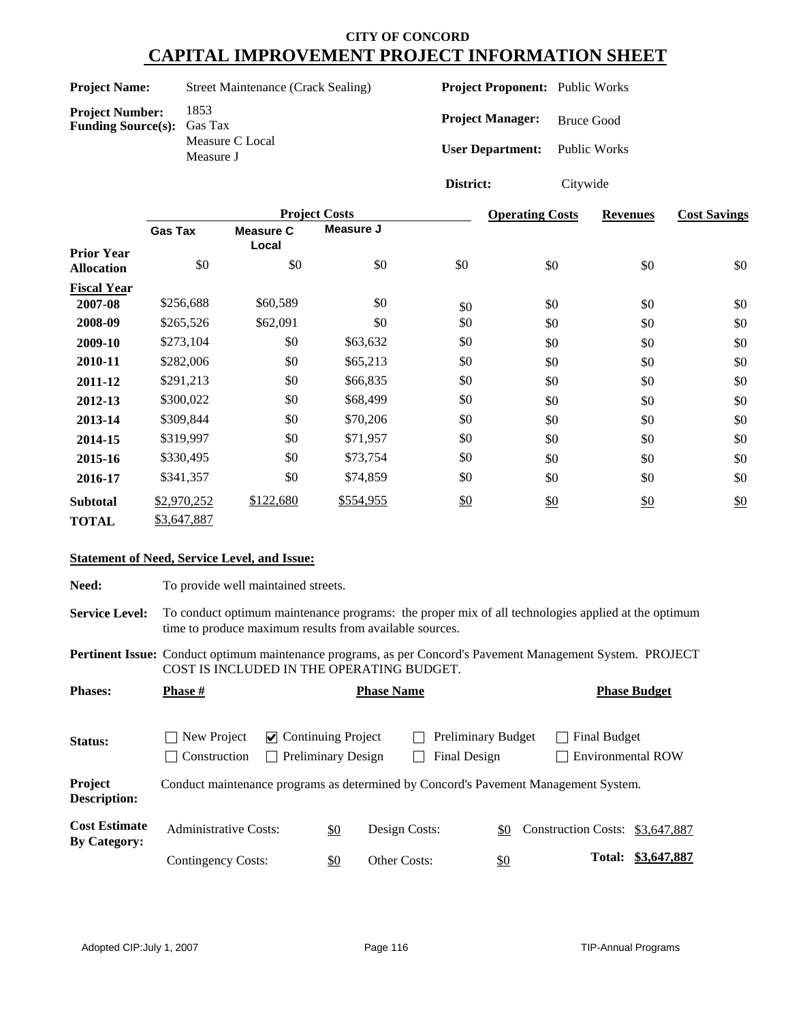#### **Project Name:** Street Maintenance (Crack Sealing)

**Project Number:** 1853<br>**Funding Source(s):** Gas Tax **Funding Source(s):** Measure C Local Measure J

**Project Proponent:** Public Works

**Project Manager:** Bruce Good

**User Department:** Public Works

**District:** Citywide

|                                        |                |                           | <b>Project Costs</b> | <b>Operating Costs</b> | <b>Revenues</b> | <b>Cost Savings</b> |     |
|----------------------------------------|----------------|---------------------------|----------------------|------------------------|-----------------|---------------------|-----|
|                                        | <b>Gas Tax</b> | <b>Measure C</b><br>Local | Measure J            |                        |                 |                     |     |
| <b>Prior Year</b><br><b>Allocation</b> | \$0            | \$0                       | \$0                  | \$0                    | \$0             | \$0                 | \$0 |
| <b>Fiscal Year</b>                     |                |                           |                      |                        |                 |                     |     |
| 2007-08                                | \$256,688      | \$60,589                  | \$0                  | \$0                    | \$0             | \$0                 | \$0 |
| 2008-09                                | \$265,526      | \$62,091                  | \$0                  | \$0                    | \$0             | \$0                 | \$0 |
| 2009-10                                | \$273,104      | \$0                       | \$63,632             | \$0                    | \$0             | \$0                 | \$0 |
| 2010-11                                | \$282,006      | \$0                       | \$65,213             | \$0                    | \$0             | \$0                 | \$0 |
| 2011-12                                | \$291,213      | \$0                       | \$66,835             | \$0                    | \$0             | \$0                 | \$0 |
| 2012-13                                | \$300,022      | \$0                       | \$68,499             | \$0                    | \$0             | \$0                 | \$0 |
| 2013-14                                | \$309,844      | \$0                       | \$70,206             | \$0                    | \$0             | \$0                 | \$0 |
| 2014-15                                | \$319,997      | \$0                       | \$71,957             | \$0                    | \$0             | \$0                 | \$0 |
| 2015-16                                | \$330,495      | \$0                       | \$73,754             | \$0                    | \$0             | \$0                 | \$0 |
| 2016-17                                | \$341,357      | \$0                       | \$74,859             | \$0                    | \$0             | \$0                 | \$0 |
| <b>Subtotal</b>                        | \$2,970,252    | \$122,680                 | \$554,955            | \$0                    | \$0             | \$0                 | \$0 |
| <b>TOTAL</b>                           | \$3,647,887    |                           |                      |                        |                 |                     |     |

#### **Statement of Need, Service Level, and Issue:**

Need: To provide well maintained streets.

**Service Level:** To conduct optimum maintenance programs: the proper mix of all technologies applied at the optimum time to produce maximum results from available sources.

**Pertinent Issue:** Conduct optimum maintenance programs, as per Concord's Pavement Management System. PROJECT COST IS INCLUDED IN THE OPERATING BUDGET.

| <b>Phases:</b>                              | <b>Phase</b> #                                                                      |                                            |                           | <b>Phase Name</b> |                                           |            |  |              | <b>Phase Budget</b>             |
|---------------------------------------------|-------------------------------------------------------------------------------------|--------------------------------------------|---------------------------|-------------------|-------------------------------------------|------------|--|--------------|---------------------------------|
| Status:                                     | New Project<br>$\blacksquare$<br>Construction<br>$\mathbf{I}$                       | $\vee$ Continuing Project<br>$\mathcal{L}$ | <b>Preliminary Design</b> |                   | <b>Preliminary Budget</b><br>Final Design |            |  | Final Budget | Environmental ROW               |
| Project<br>Description:                     | Conduct maintenance programs as determined by Concord's Pavement Management System. |                                            |                           |                   |                                           |            |  |              |                                 |
| <b>Cost Estimate</b><br><b>By Category:</b> | <b>Administrative Costs:</b>                                                        |                                            | \$0                       | Design Costs:     |                                           | \$0        |  |              | Construction Costs: \$3,647,887 |
|                                             | Contingency Costs:                                                                  |                                            | \$0                       | Other Costs:      |                                           | <u>\$0</u> |  | Total:       | \$3,647,887                     |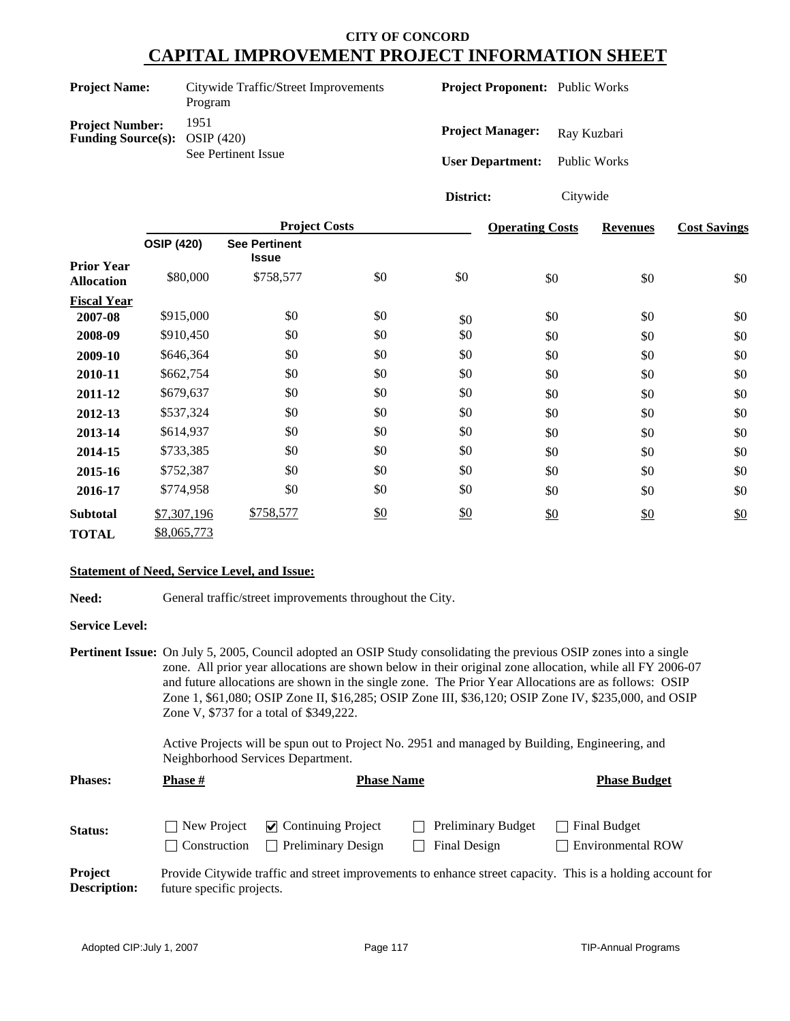| <b>Project Name:</b>                                             | Citywide Traffic/Street Improvements<br>Program | <b>Project Proponent:</b> Public Works |              |
|------------------------------------------------------------------|-------------------------------------------------|----------------------------------------|--------------|
| <b>Project Number:</b><br><b>Funding Source(s):</b> OSIP $(420)$ | 1951                                            | <b>Project Manager:</b>                | Ray Kuzbari  |
|                                                                  | See Pertinent Issue                             | <b>User Department:</b>                | Public Works |

**District:** Citywide

|                                        |                   | <b>Project Costs</b>                 |               | <b>Operating Costs</b> | <b>Revenues</b> | <b>Cost Savings</b> |     |
|----------------------------------------|-------------------|--------------------------------------|---------------|------------------------|-----------------|---------------------|-----|
|                                        | <b>OSIP (420)</b> | <b>See Pertinent</b><br><b>Issue</b> |               |                        |                 |                     |     |
| <b>Prior Year</b><br><b>Allocation</b> | \$80,000          | \$758,577                            | \$0           | \$0                    | \$0             | \$0                 | \$0 |
| <b>Fiscal Year</b>                     |                   |                                      |               |                        |                 |                     |     |
| 2007-08                                | \$915,000         | \$0                                  | \$0           | \$0                    | \$0             | \$0                 | \$0 |
| 2008-09                                | \$910,450         | \$0                                  | \$0           | \$0                    | \$0             | \$0                 | \$0 |
| 2009-10                                | \$646,364         | \$0                                  | \$0           | \$0                    | \$0             | \$0                 | \$0 |
| 2010-11                                | \$662,754         | \$0                                  | \$0           | \$0                    | \$0             | \$0                 | \$0 |
| 2011-12                                | \$679,637         | \$0                                  | \$0           | \$0                    | \$0             | \$0                 | \$0 |
| 2012-13                                | \$537,324         | \$0                                  | \$0           | \$0                    | \$0             | \$0                 | \$0 |
| 2013-14                                | \$614,937         | \$0                                  | \$0           | \$0                    | \$0             | \$0                 | \$0 |
| 2014-15                                | \$733,385         | \$0                                  | \$0           | \$0                    | \$0             | \$0                 | \$0 |
| 2015-16                                | \$752,387         | \$0                                  | \$0           | \$0                    | \$0             | \$0                 | \$0 |
| 2016-17                                | \$774,958         | \$0                                  | \$0           | \$0                    | \$0             | \$0                 | \$0 |
| <b>Subtotal</b>                        | \$7,307,196       | \$758,577                            | $\frac{$0}{}$ | \$0                    | \$0             | \$0                 | \$0 |
| <b>TOTAL</b>                           | \$8,065,773       |                                      |               |                        |                 |                     |     |

#### **Statement of Need, Service Level, and Issue:**

| Need:<br>General traffic/street improvements throughout the City. |
|-------------------------------------------------------------------|
|-------------------------------------------------------------------|

#### **Service Level:**

|                |                                                                                                                                     | <b>Pertinent Issue:</b> On July 5, 2005, Council adopted an OSIP Study consolidating the previous OSIP zones into a single |                     |  |  |  |  |
|----------------|-------------------------------------------------------------------------------------------------------------------------------------|----------------------------------------------------------------------------------------------------------------------------|---------------------|--|--|--|--|
|                |                                                                                                                                     | zone. All prior year allocations are shown below in their original zone allocation, while all FY 2006-07                   |                     |  |  |  |  |
|                |                                                                                                                                     | and future allocations are shown in the single zone. The Prior Year Allocations are as follows: OSIP                       |                     |  |  |  |  |
|                |                                                                                                                                     | Zone 1, \$61,080; OSIP Zone II, \$16,285; OSIP Zone III, \$36,120; OSIP Zone IV, \$235,000, and OSIP                       |                     |  |  |  |  |
|                | Zone V, \$737 for a total of \$349,222.                                                                                             |                                                                                                                            |                     |  |  |  |  |
|                | Active Projects will be spun out to Project No. 2951 and managed by Building, Engineering, and<br>Neighborhood Services Department. |                                                                                                                            |                     |  |  |  |  |
| <b>Phases:</b> | <b>Phase</b> #                                                                                                                      | <b>Phase Name</b>                                                                                                          | <b>Phase Budget</b> |  |  |  |  |

| <b>Status:</b>                        |                           | $\Box$ New Project $\Box$ Continuing Project | <b>Preliminary Budget</b> | Final Budget                                                                                               |
|---------------------------------------|---------------------------|----------------------------------------------|---------------------------|------------------------------------------------------------------------------------------------------------|
|                                       |                           | <b>Construction</b> Preliminary Design       | Final Design              | $\Box$ Environmental ROW                                                                                   |
| <b>Project</b><br><b>Description:</b> | future specific projects. |                                              |                           | Provide Citywide traffic and street improvements to enhance street capacity. This is a holding account for |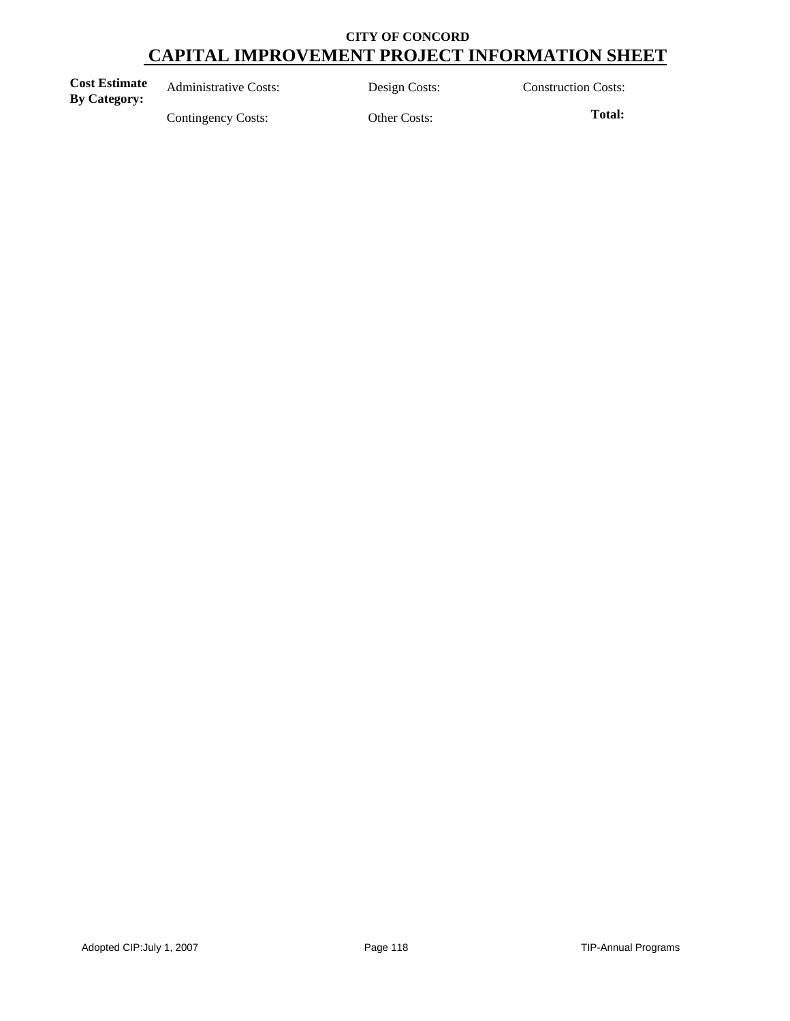| <b>Cost Estimate</b><br><b>By Category:</b> | <b>Administrative Costs:</b> | Design Costs: | <b>Construction Costs:</b> |
|---------------------------------------------|------------------------------|---------------|----------------------------|
|                                             | Contingency Costs:           | Other Costs:  | Total:                     |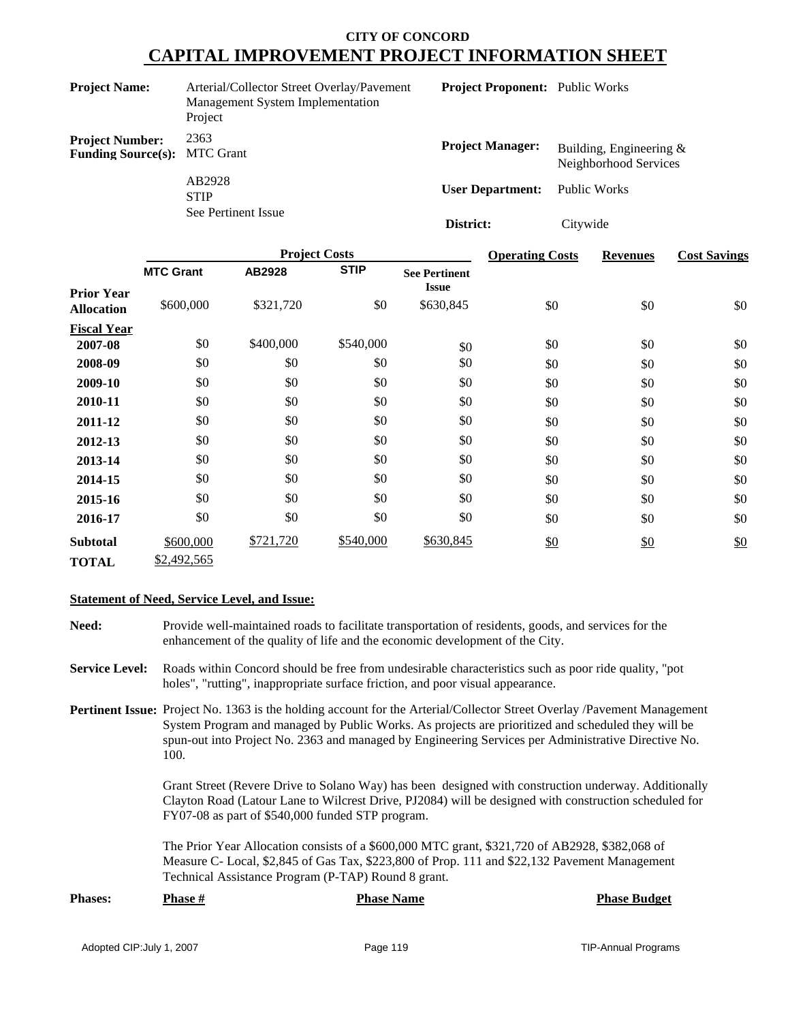| <b>Project Name:</b>                                          | Arterial/Collector Street Overlay/Pavement<br>Management System Implementation<br>Project | <b>Project Proponent:</b> Public Works |                                                     |
|---------------------------------------------------------------|-------------------------------------------------------------------------------------------|----------------------------------------|-----------------------------------------------------|
| <b>Project Number:</b><br><b>Funding Source(s): MTC Grant</b> | 2363                                                                                      | <b>Project Manager:</b>                | Building, Engineering $\&$<br>Neighborhood Services |
|                                                               | AB2928<br><b>STIP</b>                                                                     | <b>User Department:</b>                | Public Works                                        |
|                                                               | See Pertinent Issue                                                                       | District:                              | Citywide                                            |

|                                        |                  | <b>Project Costs</b> |             |                                      | <b>Operating Costs</b> | <b>Revenues</b> | <b>Cost Savings</b> |
|----------------------------------------|------------------|----------------------|-------------|--------------------------------------|------------------------|-----------------|---------------------|
|                                        | <b>MTC Grant</b> | AB2928               | <b>STIP</b> | <b>See Pertinent</b><br><b>Issue</b> |                        |                 |                     |
| <b>Prior Year</b><br><b>Allocation</b> | \$600,000        | \$321,720            | \$0         | \$630,845                            | \$0                    | \$0             | \$0                 |
| <b>Fiscal Year</b>                     |                  |                      |             |                                      |                        |                 |                     |
| 2007-08                                | \$0              | \$400,000            | \$540,000   | \$0                                  | \$0                    | \$0             | \$0                 |
| 2008-09                                | \$0              | \$0                  | \$0         | \$0                                  | \$0                    | \$0             | \$0                 |
| 2009-10                                | \$0              | \$0                  | \$0         | \$0                                  | \$0                    | \$0             | \$0                 |
| 2010-11                                | \$0              | \$0                  | \$0         | \$0                                  | \$0                    | \$0             | \$0                 |
| 2011-12                                | \$0              | \$0                  | \$0         | \$0                                  | \$0                    | \$0             | \$0                 |
| 2012-13                                | \$0              | \$0                  | \$0         | \$0                                  | \$0                    | \$0             | \$0                 |
| 2013-14                                | \$0              | \$0                  | \$0         | \$0                                  | \$0                    | \$0             | \$0                 |
| 2014-15                                | \$0              | \$0                  | \$0         | \$0                                  | \$0                    | \$0             | \$0                 |
| 2015-16                                | \$0              | \$0                  | \$0         | \$0                                  | \$0                    | \$0             | \$0                 |
| 2016-17                                | \$0              | \$0                  | \$0         | \$0                                  | \$0                    | \$0             | \$0                 |
| <b>Subtotal</b>                        | \$600,000        | \$721,720            | \$540,000   | \$630,845                            | \$0                    | $\frac{$0}{}$   | $\frac{$0}{}$       |
| <b>TOTAL</b>                           | \$2,492,565      |                      |             |                                      |                        |                 |                     |

#### **Statement of Need, Service Level, and Issue:**

- **Need:** Provide well-maintained roads to facilitate transportation of residents, goods, and services for the enhancement of the quality of life and the economic development of the City.
- **Service Level:** Roads within Concord should be free from undesirable characteristics such as poor ride quality, "pot holes", "rutting", inappropriate surface friction, and poor visual appearance.
- **Pertinent Issue:** Project No. 1363 is the holding account for the Arterial/Collector Street Overlay /Pavement Management System Program and managed by Public Works. As projects are prioritized and scheduled they will be spun-out into Project No. 2363 and managed by Engineering Services per Administrative Directive No. 100.

Grant Street (Revere Drive to Solano Way) has been designed with construction underway. Additionally Clayton Road (Latour Lane to Wilcrest Drive, PJ2084) will be designed with construction scheduled for FY07-08 as part of \$540,000 funded STP program.

The Prior Year Allocation consists of a \$600,000 MTC grant, \$321,720 of AB2928, \$382,068 of Measure C- Local, \$2,845 of Gas Tax, \$223,800 of Prop. 111 and \$22,132 Pavement Management Technical Assistance Program (P-TAP) Round 8 grant.

| <b>Phases:</b> | <b>Phase #</b> | <b>Phase Name</b> | <b>Phase Budget</b> |
|----------------|----------------|-------------------|---------------------|
|                |                |                   |                     |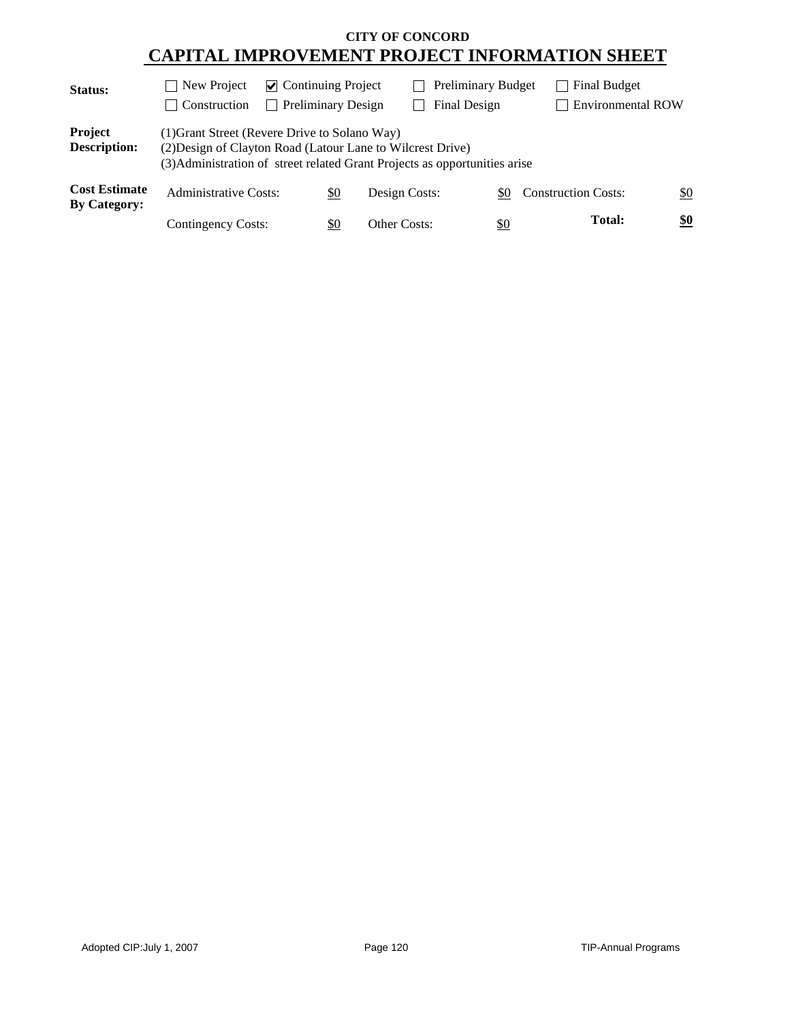| Status:                                     | New Project<br>$\mathcal{L}$                                                                                                                                                              | $\triangleright$ Continuing Project |                      | <b>Preliminary Budget</b> |                            | Final Budget             |               |
|---------------------------------------------|-------------------------------------------------------------------------------------------------------------------------------------------------------------------------------------------|-------------------------------------|----------------------|---------------------------|----------------------------|--------------------------|---------------|
|                                             | Construction<br>$\mathbf{I}$                                                                                                                                                              |                                     | Preliminary Design   | Final Design              |                            | <b>Environmental ROW</b> |               |
| Project<br><b>Description:</b>              | (1) Grant Street (Revere Drive to Solano Way)<br>(2) Design of Clayton Road (Latour Lane to Wilcrest Drive)<br>(3) Administration of street related Grant Projects as opportunities arise |                                     |                      |                           |                            |                          |               |
| <b>Cost Estimate</b><br><b>By Category:</b> | <b>Administrative Costs:</b>                                                                                                                                                              |                                     | Design Costs:<br>\$0 | \$0                       | <b>Construction Costs:</b> |                          | \$0           |
|                                             | <b>Contingency Costs:</b>                                                                                                                                                                 |                                     | \$0<br>Other Costs:  | <u>\$0</u>                |                            | <b>Total:</b>            | $\frac{$0}{}$ |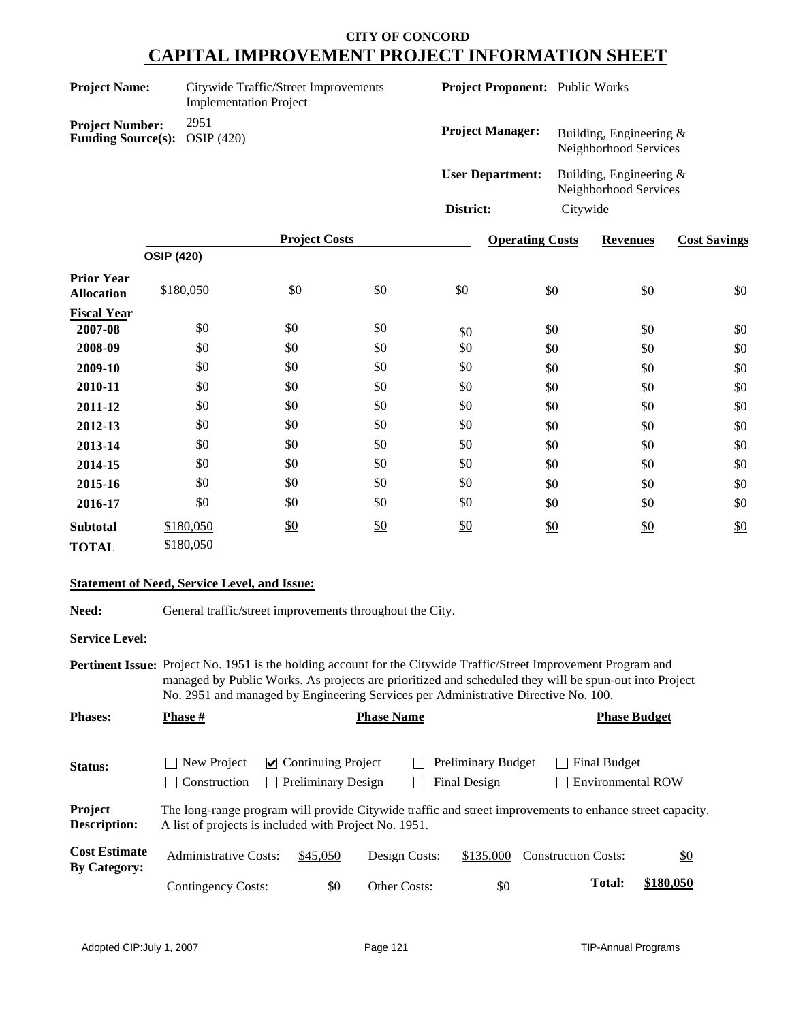| <b>Project Name:</b>                                           | Citywide Traffic/Street Improvements<br><b>Implementation Project</b> | <b>Project Proponent:</b> Public Works |                                                     |
|----------------------------------------------------------------|-----------------------------------------------------------------------|----------------------------------------|-----------------------------------------------------|
| <b>Project Number:</b><br><b>Funding Source(s): OSIP (420)</b> | 2951                                                                  | <b>Project Manager:</b>                | Building, Engineering $\&$<br>Neighborhood Services |
|                                                                |                                                                       | <b>User Department:</b>                | Building, Engineering $\&$<br>Neighborhood Services |
|                                                                |                                                                       | District:                              | Citywide                                            |

|                                        | <b>Project Costs</b> |     |     | <b>Operating Costs</b> | <b>Revenues</b> | <b>Cost Savings</b> |     |
|----------------------------------------|----------------------|-----|-----|------------------------|-----------------|---------------------|-----|
|                                        | <b>OSIP (420)</b>    |     |     |                        |                 |                     |     |
| <b>Prior Year</b><br><b>Allocation</b> | \$180,050            | \$0 | \$0 | \$0                    | \$0             | \$0                 | \$0 |
| <b>Fiscal Year</b>                     |                      |     |     |                        |                 |                     |     |
| 2007-08                                | \$0                  | \$0 | \$0 | \$0                    | \$0             | \$0                 | \$0 |
| 2008-09                                | \$0                  | \$0 | \$0 | \$0                    | \$0             | \$0                 | \$0 |
| 2009-10                                | \$0                  | \$0 | \$0 | \$0                    | \$0             | \$0                 | \$0 |
| 2010-11                                | \$0                  | \$0 | \$0 | \$0                    | \$0             | \$0                 | \$0 |
| 2011-12                                | \$0                  | \$0 | \$0 | \$0                    | \$0             | \$0                 | \$0 |
| 2012-13                                | \$0                  | \$0 | \$0 | \$0                    | \$0             | \$0                 | \$0 |
| 2013-14                                | \$0                  | \$0 | \$0 | \$0                    | \$0             | \$0                 | \$0 |
| 2014-15                                | \$0                  | \$0 | \$0 | \$0                    | \$0             | \$0                 | \$0 |
| 2015-16                                | \$0                  | \$0 | \$0 | \$0                    | \$0             | \$0                 | \$0 |
| 2016-17                                | \$0                  | \$0 | \$0 | \$0                    | \$0             | \$0                 | \$0 |
| <b>Subtotal</b>                        | \$180,050            | \$0 | \$0 | \$0                    | \$0             | \$0                 | \$0 |
| <b>TOTAL</b>                           | \$180,050            |     |     |                        |                 |                     |     |

#### **Statement of Need, Service Level, and Issue:**

Need: General traffic/street improvements throughout the City.

**Service Level:**

**Pertinent Issue:** Project No. 1951 is the holding account for the Citywide Traffic/Street Improvement Program and managed by Public Works. As projects are prioritized and scheduled they will be spun-out into Project No. 2951 and managed by Engineering Services per Administrative Directive No. 100.

| <b>Phases:</b>                              | <b>Phase #</b>                                        | <b>Phase Name</b>                                      |                     |                                    |                                                                                                          | <b>Phase Budget</b> |  |  |
|---------------------------------------------|-------------------------------------------------------|--------------------------------------------------------|---------------------|------------------------------------|----------------------------------------------------------------------------------------------------------|---------------------|--|--|
| Status:                                     | New Project<br>Construction                           | $\vee$ Continuing Project<br><b>Preliminary Design</b> |                     | Preliminary Budget<br>Final Design | Final Budget<br><b>Environmental ROW</b>                                                                 |                     |  |  |
| Project<br><b>Description:</b>              | A list of projects is included with Project No. 1951. |                                                        |                     |                                    | The long-range program will provide Citywide traffic and street improvements to enhance street capacity. |                     |  |  |
| <b>Cost Estimate</b><br><b>By Category:</b> | Administrative Costs:                                 | \$45,050                                               | Design Costs:       | \$135,000                          | <b>Construction Costs:</b>                                                                               | $\underline{\$0}$   |  |  |
|                                             | Contingency Costs:                                    | \$0                                                    | <b>Other Costs:</b> | <u>\$0</u>                         | <b>Total:</b>                                                                                            | \$180,050           |  |  |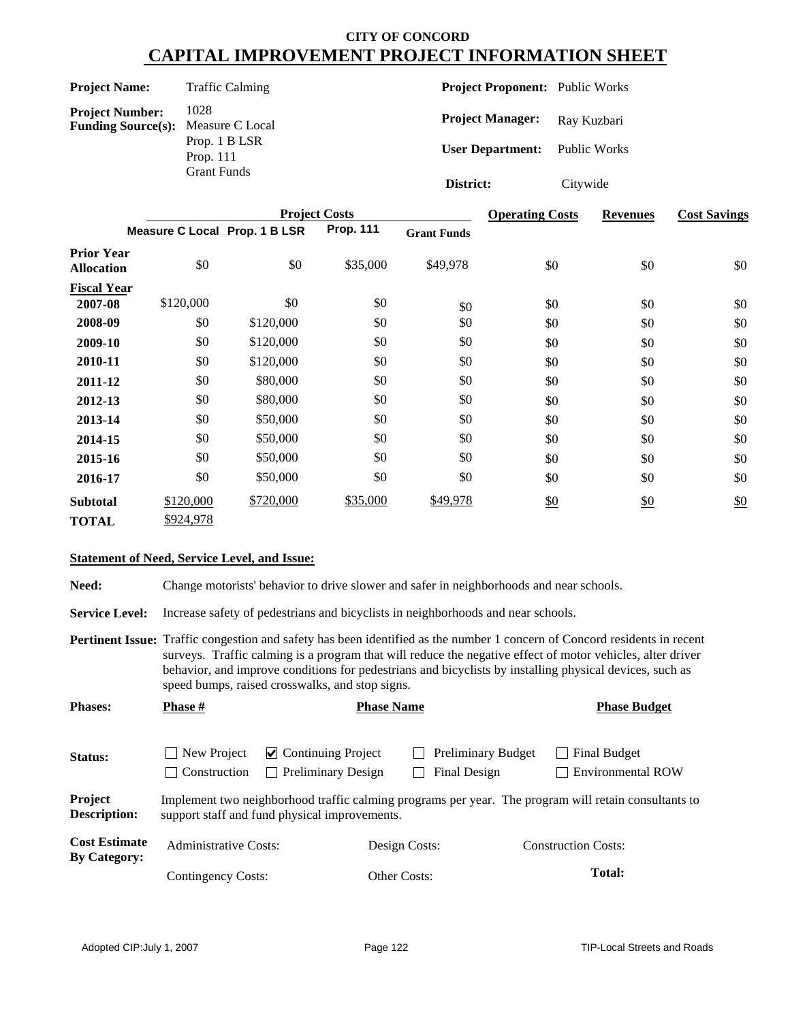| <b>Project Name:</b> | <b>Traffic Calming</b> |
|----------------------|------------------------|
|                      |                        |

**Project Number:** 1028<br>**Funding Source(s):** Measure C Local **Funding Source(s):** Prop. 1 B LSR Prop. 111 Grant Funds

**Project Proponent:** Public Works

Project Manager: Ray Kuzbari

**User Department:** Public Works

**District:** Citywide

|                                        |                               | <b>Operating Costs</b> | <b>Revenues</b>  | <b>Cost Savings</b> |     |               |     |
|----------------------------------------|-------------------------------|------------------------|------------------|---------------------|-----|---------------|-----|
|                                        | Measure C Local Prop. 1 B LSR |                        | <b>Prop. 111</b> | <b>Grant Funds</b>  |     |               |     |
| <b>Prior Year</b><br><b>Allocation</b> | \$0                           | \$0                    | \$35,000         | \$49,978            | \$0 | \$0           | \$0 |
| <b>Fiscal Year</b>                     |                               |                        |                  |                     |     |               |     |
| 2007-08                                | \$120,000                     | \$0                    | \$0              | \$0                 | \$0 | \$0           | \$0 |
| 2008-09                                | \$0                           | \$120,000              | \$0              | \$0                 | \$0 | \$0           | \$0 |
| 2009-10                                | \$0                           | \$120,000              | \$0              | \$0                 | \$0 | \$0           | \$0 |
| 2010-11                                | \$0                           | \$120,000              | \$0              | \$0                 | \$0 | \$0           | \$0 |
| 2011-12                                | \$0                           | \$80,000               | \$0              | \$0                 | \$0 | \$0           | \$0 |
| 2012-13                                | \$0                           | \$80,000               | \$0              | \$0                 | \$0 | \$0           | \$0 |
| 2013-14                                | \$0                           | \$50,000               | \$0              | \$0                 | \$0 | \$0           | \$0 |
| 2014-15                                | \$0                           | \$50,000               | \$0              | \$0                 | \$0 | \$0           | \$0 |
| 2015-16                                | \$0                           | \$50,000               | \$0              | \$0                 | \$0 | \$0           | \$0 |
| 2016-17                                | \$0                           | \$50,000               | \$0              | \$0                 | \$0 | \$0           | \$0 |
| <b>Subtotal</b>                        | \$120,000                     | \$720,000              | \$35,000         | \$49,978            | \$0 | $\frac{$0}{}$ | \$0 |
| <b>TOTAL</b>                           | \$924,978                     |                        |                  |                     |     |               |     |

#### **Statement of Need, Service Level, and Issue:**

Need: Change motorists' behavior to drive slower and safer in neighborhoods and near schools.

**Service Level:** Increase safety of pedestrians and bicyclists in neighborhoods and near schools.

**Pertinent Issue:** Traffic congestion and safety has been identified as the number 1 concern of Concord residents in recent surveys. Traffic calming is a program that will reduce the negative effect of motor vehicles, alter driver behavior, and improve conditions for pedestrians and bicyclists by installing physical devices, such as speed bumps, raised crosswalks, and stop signs.

| <b>Phases:</b>                              | <b>Phase #</b>                               | <b>Phase Name</b>                                                |                                           |  | <b>Phase Budget</b>                                                                                  |
|---------------------------------------------|----------------------------------------------|------------------------------------------------------------------|-------------------------------------------|--|------------------------------------------------------------------------------------------------------|
| <b>Status:</b>                              | New Project<br>Construction<br>$\mathcal{L}$ | $\triangleright$ Continuing Project<br><b>Preliminary Design</b> | <b>Preliminary Budget</b><br>Final Design |  | Final Budget<br>Environmental ROW                                                                    |
| Project<br><b>Description:</b>              |                                              | support staff and fund physical improvements.                    |                                           |  | Implement two neighborhood traffic calming programs per year. The program will retain consultants to |
| <b>Cost Estimate</b><br><b>By Category:</b> | Administrative Costs:                        |                                                                  | Design Costs:                             |  | <b>Construction Costs:</b>                                                                           |
|                                             | Contingency Costs:                           |                                                                  | Other Costs:                              |  | <b>Total:</b>                                                                                        |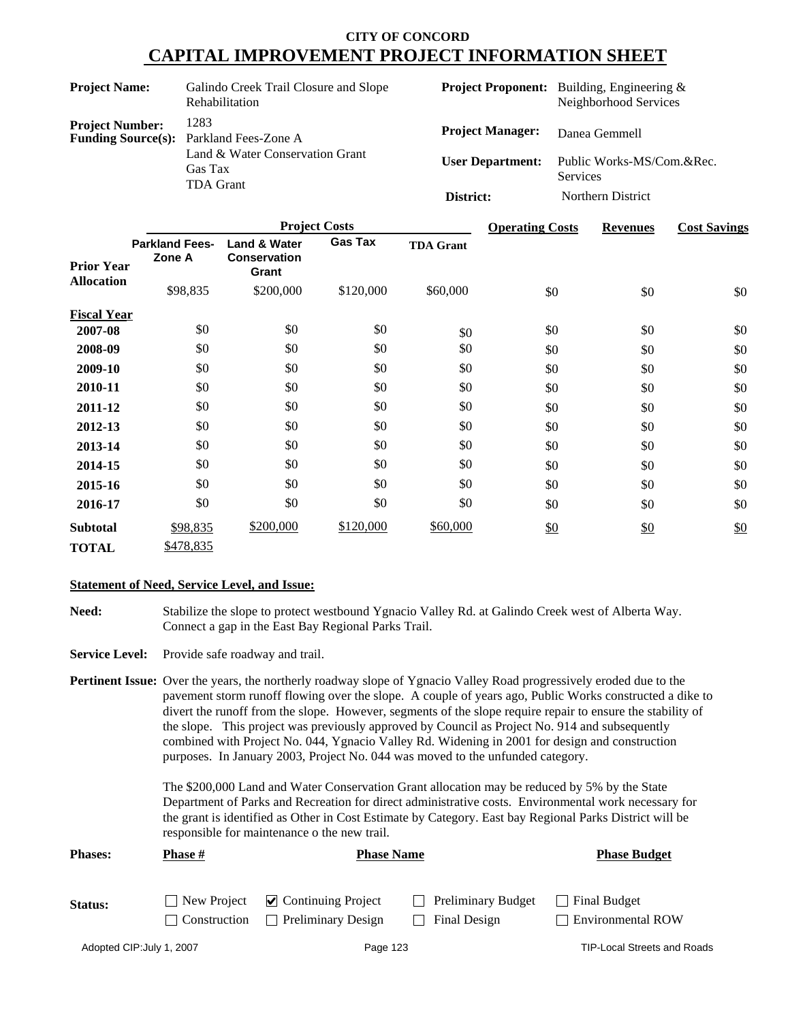|                           | <b>Project Costs</b>                                                                   | <b>Operating Costs</b>                             | <b>Revenues</b>                                                            | <b>Cost Savings</b> |
|---------------------------|----------------------------------------------------------------------------------------|----------------------------------------------------|----------------------------------------------------------------------------|---------------------|
|                           |                                                                                        | District:                                          | Northern District                                                          |                     |
| <b>Funding Source(s):</b> | Parkland Fees-Zone A<br>Land & Water Conservation Grant<br>Gas Tax<br><b>TDA Grant</b> | <b>Project Manager:</b><br><b>User Department:</b> | Danea Gemmell<br>Public Works-MS/Com.&Rec.<br><b>Services</b>              |                     |
| <b>Project Number:</b>    | 1283                                                                                   |                                                    |                                                                            |                     |
| <b>Project Name:</b>      | Galindo Creek Trail Closure and Slope<br><b>Rehabilitation</b>                         |                                                    | <b>Project Proponent:</b> Building, Engineering &<br>Neighborhood Services |                     |

|                    |                                 | 110JUU COSIS                                            |                |                  |     | revenues | CUST DAVILLES |
|--------------------|---------------------------------|---------------------------------------------------------|----------------|------------------|-----|----------|---------------|
| <b>Prior Year</b>  | <b>Parkland Fees-</b><br>Zone A | <b>Land &amp; Water</b><br><b>Conservation</b><br>Grant | <b>Gas Tax</b> | <b>TDA Grant</b> |     |          |               |
| <b>Allocation</b>  | \$98,835                        | \$200,000                                               | \$120,000      | \$60,000         | \$0 | \$0      | \$0           |
| <b>Fiscal Year</b> |                                 |                                                         |                |                  |     |          |               |
| 2007-08            | \$0                             | \$0                                                     | \$0            | \$0              | \$0 | \$0      | \$0           |
| 2008-09            | \$0                             | \$0                                                     | \$0            | \$0              | \$0 | \$0      | \$0           |
| 2009-10            | \$0                             | \$0                                                     | \$0            | \$0              | \$0 | \$0      | \$0           |
| 2010-11            | \$0                             | \$0                                                     | \$0            | \$0              | \$0 | \$0      | \$0           |
| 2011-12            | \$0                             | \$0                                                     | \$0            | \$0              | \$0 | \$0      | \$0           |
| 2012-13            | \$0                             | \$0                                                     | \$0            | \$0              | \$0 | \$0      | \$0           |
| 2013-14            | \$0                             | \$0                                                     | \$0            | \$0              | \$0 | \$0      | \$0           |
| 2014-15            | \$0                             | \$0                                                     | \$0            | \$0              | \$0 | \$0      | \$0           |
| 2015-16            | \$0                             | \$0                                                     | \$0            | \$0              | \$0 | \$0      | \$0           |
| 2016-17            | \$0                             | \$0                                                     | \$0            | \$0              | \$0 | \$0      | \$0           |
| <b>Subtotal</b>    | \$98,835                        | \$200,000                                               | \$120,000      | \$60,000         | \$0 | \$0      | \$0           |
| <b>TOTAL</b>       | \$478,835                       |                                                         |                |                  |     |          |               |

#### **Statement of Need, Service Level, and Issue:**

- **Need:** Stabilize the slope to protect westbound Ygnacio Valley Rd. at Galindo Creek west of Alberta Way. Connect a gap in the East Bay Regional Parks Trail.
- Service Level: Provide safe roadway and trail.

**Pertinent Issue:** Over the years, the northerly roadway slope of Ygnacio Valley Road progressively eroded due to the pavement storm runoff flowing over the slope. A couple of years ago, Public Works constructed a dike to divert the runoff from the slope. However, segments of the slope require repair to ensure the stability of the slope. This project was previously approved by Council as Project No. 914 and subsequently combined with Project No. 044, Ygnacio Valley Rd. Widening in 2001 for design and construction purposes. In January 2003, Project No. 044 was moved to the unfunded category.

> The \$200,000 Land and Water Conservation Grant allocation may be reduced by 5% by the State Department of Parks and Recreation for direct administrative costs. Environmental work necessary for the grant is identified as Other in Cost Estimate by Category. East bay Regional Parks District will be responsible for maintenance o the new trail.

| <b>Phases:</b> | <b>Phase #</b>      |                                                                           | <b>Phase Name</b><br><b>Phase Budget</b>  |                                          |
|----------------|---------------------|---------------------------------------------------------------------------|-------------------------------------------|------------------------------------------|
| Status:        | <b>Construction</b> | $\Box$ New Project $\Box$ Continuing Project<br><b>Preliminary Design</b> | <b>Preliminary Budget</b><br>Final Design | Final Budget<br><b>Environmental ROW</b> |

Adopted CIP: July 1, 2007 **Page 123** Page 123 **Page 123** TIP-Local Streets and Roads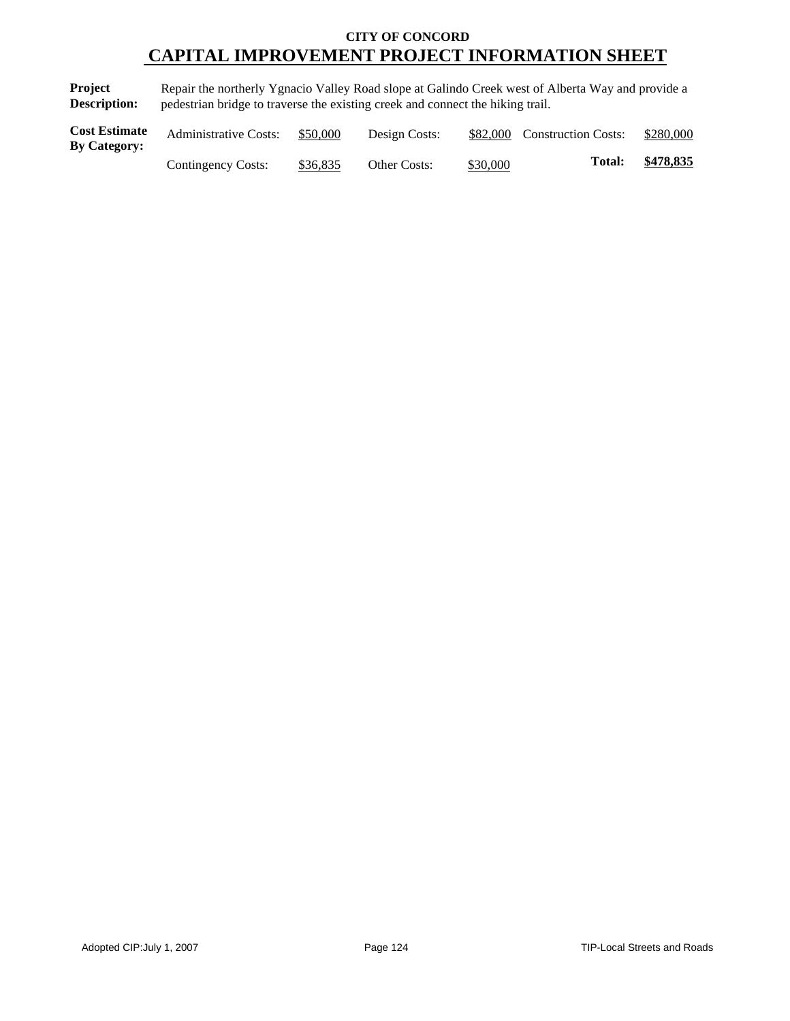**Project Description:** Repair the northerly Ygnacio Valley Road slope at Galindo Creek west of Alberta Way and provide a pedestrian bridge to traverse the existing creek and connect the hiking trail.

| <b>Cost Estimate</b><br><b>By Category:</b> | <b>Administrative Costs:</b> | \$50,000 | Design Costs:       |          | \$82,000 Construction Costs: | \$280,000 |
|---------------------------------------------|------------------------------|----------|---------------------|----------|------------------------------|-----------|
|                                             | Contingency Costs:           | \$36,835 | <b>Other Costs:</b> | \$30,000 | Total:                       | \$478,835 |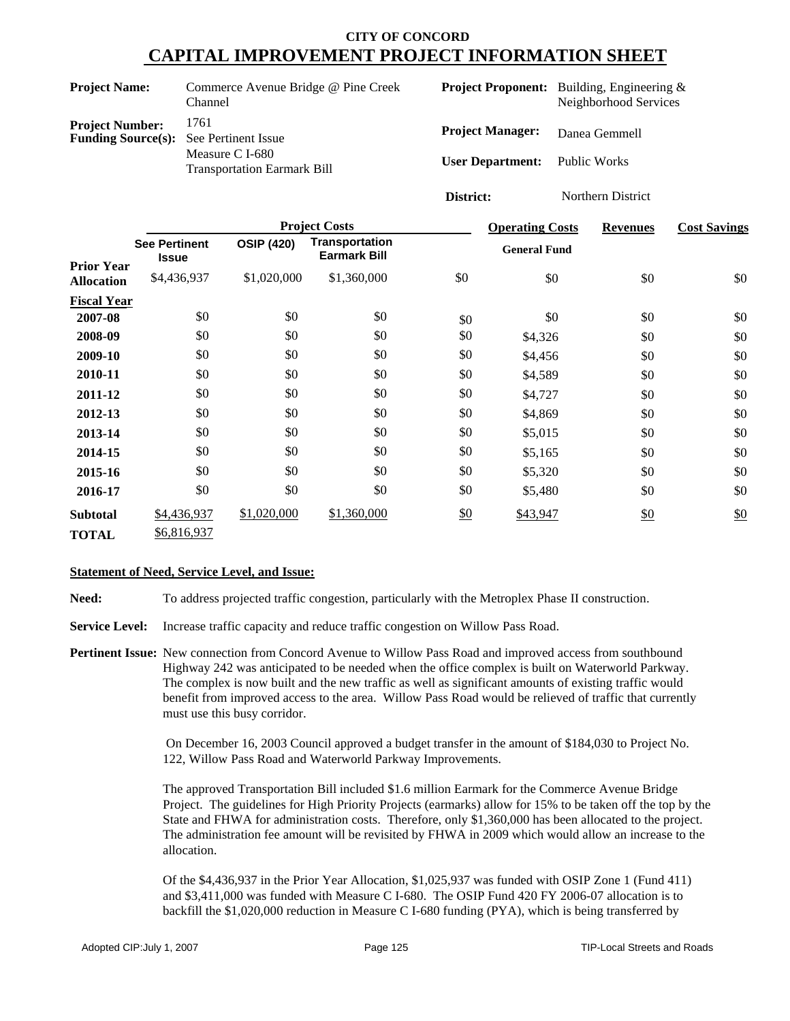| <b>Project Name:</b>                                                    | Commerce Avenue Bridge @ Pine Creek<br>Channel                |   |
|-------------------------------------------------------------------------|---------------------------------------------------------------|---|
| <b>Project Number:</b><br><b>Funding Source(s):</b> See Pertinent Issue | 1761<br>Measure C I-680<br><b>Transportation Earmark Bill</b> | Ŧ |

**Project Manager:** Danea Gemmell **User Department:** Public Works **Project Proponent:** Building, Engineering & Neighborhood Services

**District:** Northern District

|                    |                                      |                   | <b>Project Costs</b>                  |     | <b>Operating Costs</b> | <b>Revenues</b> | <b>Cost Savings</b> |
|--------------------|--------------------------------------|-------------------|---------------------------------------|-----|------------------------|-----------------|---------------------|
| <b>Prior Year</b>  | <b>See Pertinent</b><br><b>Issue</b> | <b>OSIP (420)</b> | Transportation<br><b>Earmark Bill</b> |     | <b>General Fund</b>    |                 |                     |
| <b>Allocation</b>  | \$4,436,937                          | \$1,020,000       | \$1,360,000                           | \$0 | \$0                    | \$0             | \$0                 |
| <b>Fiscal Year</b> |                                      |                   |                                       |     |                        |                 |                     |
| 2007-08            | \$0                                  | \$0               | \$0                                   | \$0 | \$0                    | \$0             | \$0                 |
| 2008-09            | \$0                                  | \$0               | \$0                                   | \$0 | \$4,326                | \$0             | \$0                 |
| 2009-10            | \$0                                  | \$0               | \$0                                   | \$0 | \$4,456                | \$0             | \$0                 |
| 2010-11            | \$0                                  | \$0               | \$0                                   | \$0 | \$4,589                | \$0             | \$0                 |
| 2011-12            | \$0                                  | \$0               | \$0                                   | \$0 | \$4,727                | \$0             | \$0                 |
| 2012-13            | \$0                                  | \$0               | \$0                                   | \$0 | \$4,869                | \$0             | \$0                 |
| 2013-14            | \$0                                  | \$0               | \$0                                   | \$0 | \$5,015                | \$0             | \$0                 |
| 2014-15            | \$0                                  | \$0               | \$0                                   | \$0 | \$5,165                | \$0             | \$0                 |
| 2015-16            | \$0                                  | \$0               | \$0                                   | \$0 | \$5,320                | \$0             | \$0                 |
| 2016-17            | \$0                                  | \$0               | \$0                                   | \$0 | \$5,480                | \$0             | \$0                 |
| <b>Subtotal</b>    | \$4,436,937                          | \$1,020,000       | \$1,360,000                           | \$0 | \$43,947               | \$0             | \$0                 |
| <b>TOTAL</b>       | \$6,816,937                          |                   |                                       |     |                        |                 |                     |

#### **Statement of Need, Service Level, and Issue:**

**Need:** To address projected traffic congestion, particularly with the Metroplex Phase II construction.

**Service Level:** Increase traffic capacity and reduce traffic congestion on Willow Pass Road.

**Pertinent Issue:** New connection from Concord Avenue to Willow Pass Road and improved access from southbound Highway 242 was anticipated to be needed when the office complex is built on Waterworld Parkway. The complex is now built and the new traffic as well as significant amounts of existing traffic would benefit from improved access to the area. Willow Pass Road would be relieved of traffic that currently must use this busy corridor.

> On December 16, 2003 Council approved a budget transfer in the amount of \$184,030 to Project No. 122, Willow Pass Road and Waterworld Parkway Improvements.

The approved Transportation Bill included \$1.6 million Earmark for the Commerce Avenue Bridge Project. The guidelines for High Priority Projects (earmarks) allow for 15% to be taken off the top by the State and FHWA for administration costs. Therefore, only \$1,360,000 has been allocated to the project. The administration fee amount will be revisited by FHWA in 2009 which would allow an increase to the allocation.

Of the \$4,436,937 in the Prior Year Allocation, \$1,025,937 was funded with OSIP Zone 1 (Fund 411) and \$3,411,000 was funded with Measure C I-680. The OSIP Fund 420 FY 2006-07 allocation is to backfill the \$1,020,000 reduction in Measure C I-680 funding (PYA), which is being transferred by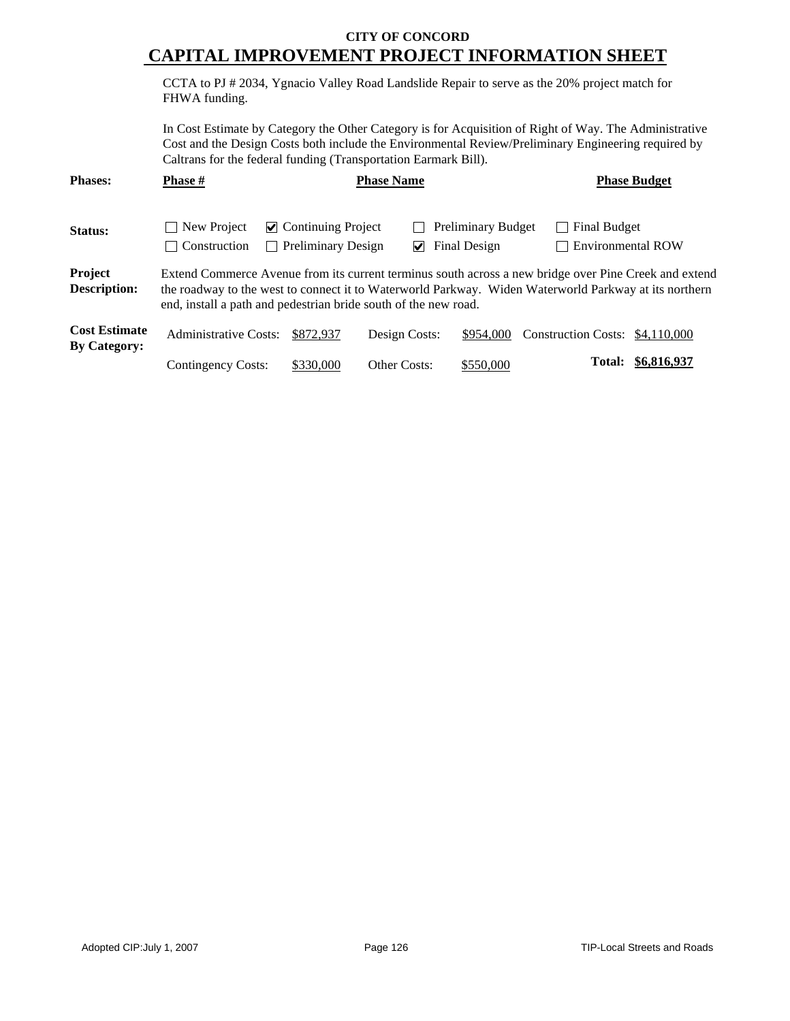CCTA to PJ # 2034, Ygnacio Valley Road Landslide Repair to serve as the 20% project match for FHWA funding.

In Cost Estimate by Category the Other Category is for Acquisition of Right of Way. The Administrative Cost and the Design Costs both include the Environmental Review/Preliminary Engineering required by Caltrans for the federal funding (Transportation Earmark Bill).

| <b>Phases:</b>                              | <b>Phase #</b>               |                                                                             | <b>Phase Name</b> |                                           |                                                                                                                                                                                                                | <b>Phase Budget</b> |
|---------------------------------------------|------------------------------|-----------------------------------------------------------------------------|-------------------|-------------------------------------------|----------------------------------------------------------------------------------------------------------------------------------------------------------------------------------------------------------------|---------------------|
| Status:                                     | New Project<br>Construction  | $\vee$ Continuing Project<br><b>Preliminary Design</b><br>$\vert \ \ \vert$ | V                 | <b>Preliminary Budget</b><br>Final Design | Final Budget<br>Environmental ROW                                                                                                                                                                              |                     |
| Project<br><b>Description:</b>              |                              | end, install a path and pedestrian bride south of the new road.             |                   |                                           | Extend Commerce Avenue from its current terminus south across a new bridge over Pine Creek and extend<br>the roadway to the west to connect it to Waterworld Parkway. Widen Waterworld Parkway at its northern |                     |
| <b>Cost Estimate</b><br><b>By Category:</b> | <b>Administrative Costs:</b> | \$872,937                                                                   | Design Costs:     | \$954,000                                 | Construction Costs: \$4,110,000                                                                                                                                                                                |                     |
|                                             | Contingency Costs:           | \$330,000                                                                   | Other Costs:      | \$550,000                                 | Total:                                                                                                                                                                                                         | <u>\$6,816,937</u>  |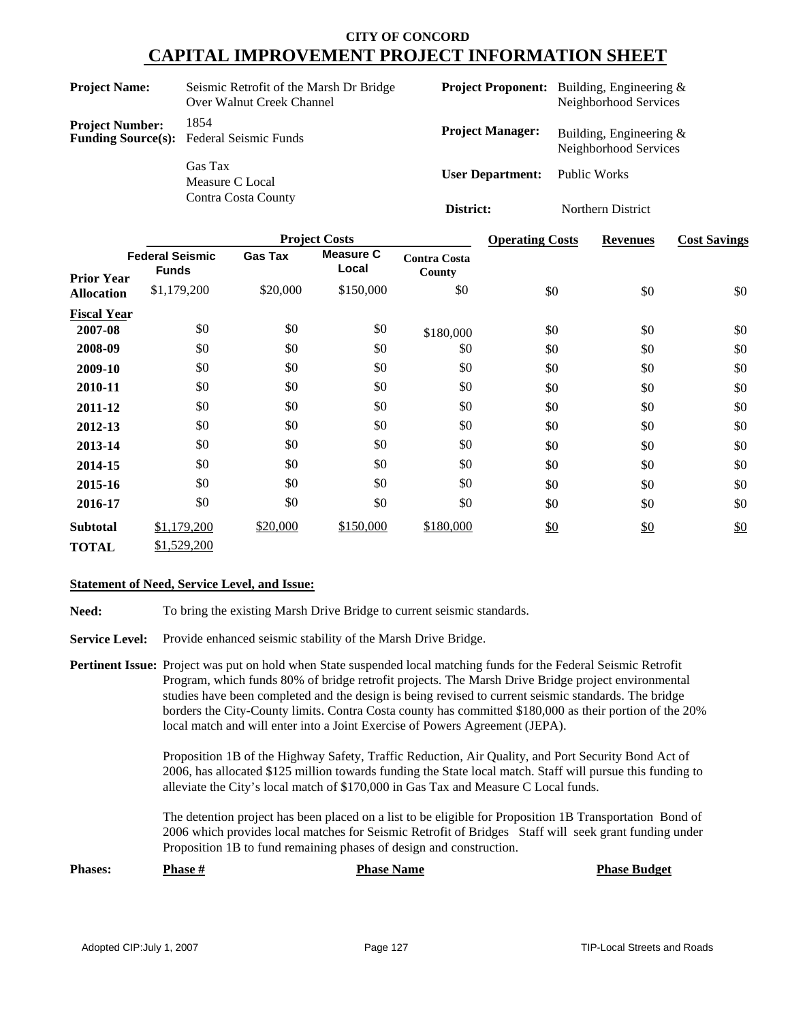| <b>Project Name:</b>   | Seismic Retrofit of the Marsh Dr Bridge<br>Over Walnut Creek Channel |                         | <b>Project Proponent:</b> Building, Engineering &<br>Neighborhood Services |
|------------------------|----------------------------------------------------------------------|-------------------------|----------------------------------------------------------------------------|
| <b>Project Number:</b> | 1854<br><b>Funding Source(s):</b> Federal Seismic Funds              | <b>Project Manager:</b> | Building, Engineering $\&$<br>Neighborhood Services                        |
|                        | Gas Tax<br>Measure C Local                                           | <b>User Department:</b> | Public Works                                                               |
|                        | Contra Costa County                                                  | District:               | Northern District                                                          |

|                    |                                        |                | <b>Project Costs</b>      |                               | <b>Operating Costs</b> | <b>Revenues</b> | <b>Cost Savings</b> |
|--------------------|----------------------------------------|----------------|---------------------------|-------------------------------|------------------------|-----------------|---------------------|
| <b>Prior Year</b>  | <b>Federal Seismic</b><br><b>Funds</b> | <b>Gas Tax</b> | <b>Measure C</b><br>Local | <b>Contra Costa</b><br>County |                        |                 |                     |
| <b>Allocation</b>  | \$1,179,200                            | \$20,000       | \$150,000                 | \$0                           | \$0                    | \$0             | \$0                 |
| <b>Fiscal Year</b> |                                        |                |                           |                               |                        |                 |                     |
| 2007-08            | \$0                                    | \$0            | \$0                       | \$180,000                     | \$0                    | \$0             | \$0                 |
| 2008-09            | \$0                                    | \$0            | \$0                       | \$0                           | \$0                    | \$0             | \$0                 |
| 2009-10            | \$0                                    | \$0            | \$0                       | \$0                           | \$0                    | \$0             | \$0                 |
| 2010-11            | \$0                                    | \$0            | \$0                       | \$0                           | \$0                    | \$0             | \$0                 |
| 2011-12            | \$0                                    | \$0            | \$0                       | \$0                           | \$0                    | \$0             | \$0                 |
| 2012-13            | \$0                                    | \$0            | \$0                       | \$0                           | \$0                    | \$0             | \$0                 |
| 2013-14            | \$0                                    | \$0            | \$0                       | \$0                           | \$0                    | \$0             | \$0                 |
| 2014-15            | \$0                                    | \$0            | \$0                       | \$0                           | \$0                    | \$0             | \$0                 |
| 2015-16            | \$0                                    | \$0            | \$0                       | \$0                           | \$0                    | \$0             | \$0                 |
| 2016-17            | \$0                                    | \$0            | \$0                       | \$0                           | \$0                    | \$0             | \$0                 |
| <b>Subtotal</b>    | \$1,179,200                            | \$20,000       | \$150,000                 | \$180,000                     | \$0                    | \$0             | \$0                 |
| <b>TOTAL</b>       | \$1,529,200                            |                |                           |                               |                        |                 |                     |

#### **Statement of Need, Service Level, and Issue:**

Need: To bring the existing Marsh Drive Bridge to current seismic standards.

**Service Level:** Provide enhanced seismic stability of the Marsh Drive Bridge.

**Pertinent Issue:** Project was put on hold when State suspended local matching funds for the Federal Seismic Retrofit Program, which funds 80% of bridge retrofit projects. The Marsh Drive Bridge project environmental studies have been completed and the design is being revised to current seismic standards. The bridge borders the City-County limits. Contra Costa county has committed \$180,000 as their portion of the 20% local match and will enter into a Joint Exercise of Powers Agreement (JEPA).

> Proposition 1B of the Highway Safety, Traffic Reduction, Air Quality, and Port Security Bond Act of 2006, has allocated \$125 million towards funding the State local match. Staff will pursue this funding to alleviate the City's local match of \$170,000 in Gas Tax and Measure C Local funds.

> The detention project has been placed on a list to be eligible for Proposition 1B Transportation Bond of 2006 which provides local matches for Seismic Retrofit of Bridges Staff will seek grant funding under Proposition 1B to fund remaining phases of design and construction.

**Phases: Phase**  $\frac{H}{2}$  **<b>Phase Phase Budget Phase Budget**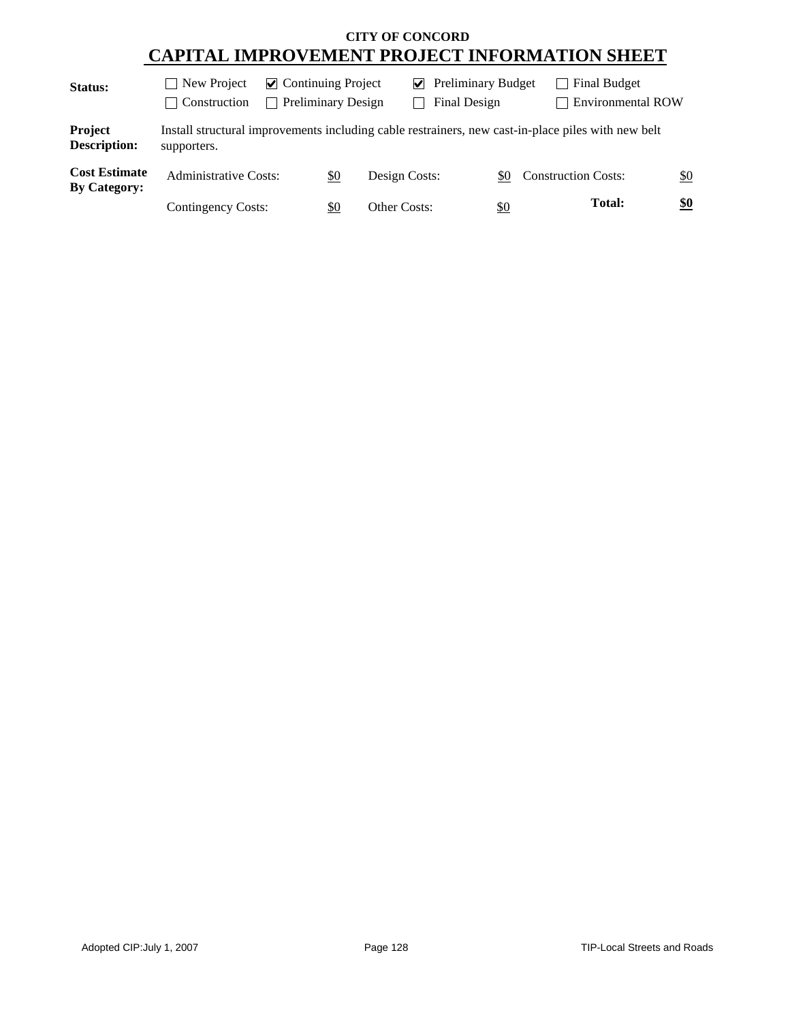| <b>Status:</b>                              | New Project<br>$\mathbf{I}$<br>Construction<br>$\vert \ \ \vert$ | $\vee$ Preliminary Budget<br>$\vee$ Continuing Project<br><b>Preliminary Design</b><br>Final Design<br>$\blacksquare$ |               | Final Budget  | <b>Environmental ROW</b>                                                                           |     |
|---------------------------------------------|------------------------------------------------------------------|-----------------------------------------------------------------------------------------------------------------------|---------------|---------------|----------------------------------------------------------------------------------------------------|-----|
| Project<br><b>Description:</b>              | supporters.                                                      |                                                                                                                       |               |               | Install structural improvements including cable restrainers, new cast-in-place piles with new belt |     |
| <b>Cost Estimate</b><br><b>By Category:</b> | <b>Administrative Costs:</b>                                     | <u>\$0</u>                                                                                                            | Design Costs: | \$0           | <b>Construction Costs:</b>                                                                         | \$0 |
|                                             | <b>Contingency Costs:</b>                                        | \$0                                                                                                                   | Other Costs:  | $\frac{$0}{}$ | <b>Total:</b>                                                                                      | \$0 |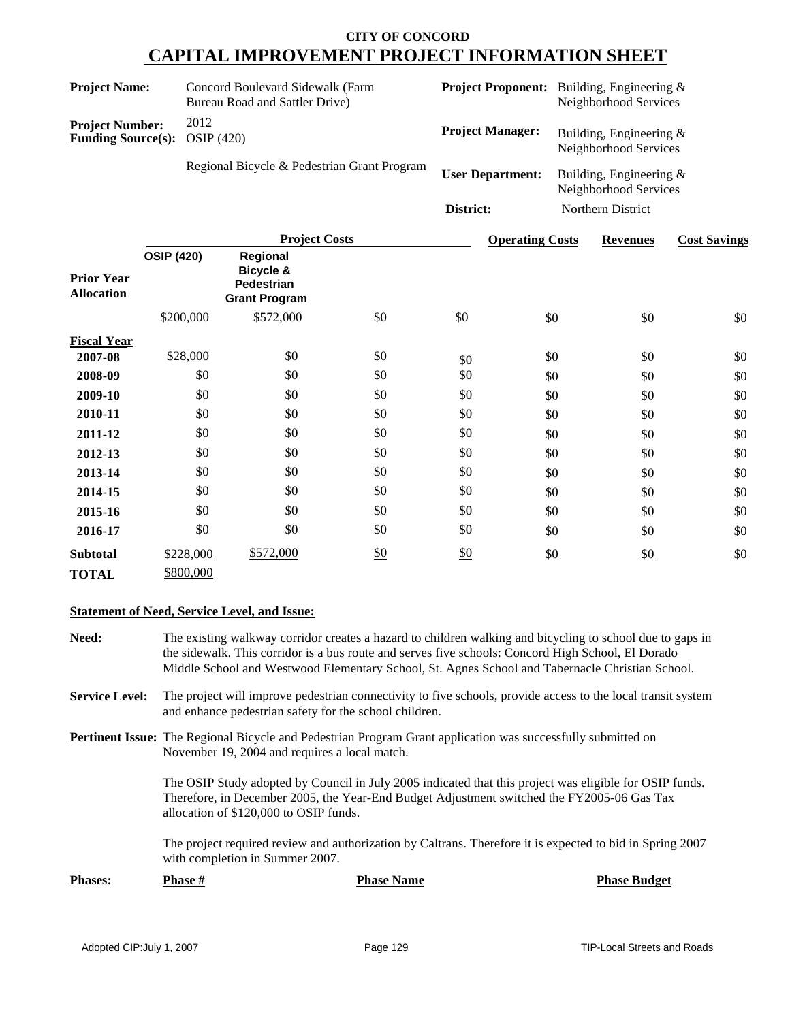| <b>Project Name:</b>                   |                                                                                                                                 |                        | Concord Boulevard Sidewalk (Farm<br>Bureau Road and Sattler Drive) |                         |           |                                                    | <b>Project Proponent:</b> Building, Engineering &<br>Neighborhood Services |                   |                     |
|----------------------------------------|---------------------------------------------------------------------------------------------------------------------------------|------------------------|--------------------------------------------------------------------|-------------------------|-----------|----------------------------------------------------|----------------------------------------------------------------------------|-------------------|---------------------|
|                                        | 2012<br><b>Project Number:</b><br><b>OSIP</b> (420)<br><b>Funding Source(s):</b><br>Regional Bicycle & Pedestrian Grant Program |                        | <b>Project Manager:</b>                                            |                         |           | Building, Engineering $&$<br>Neighborhood Services |                                                                            |                   |                     |
|                                        |                                                                                                                                 |                        |                                                                    | <b>User Department:</b> |           | Building, Engineering $&$<br>Neighborhood Services |                                                                            |                   |                     |
|                                        |                                                                                                                                 |                        |                                                                    |                         | District: |                                                    |                                                                            | Northern District |                     |
|                                        |                                                                                                                                 |                        | <b>Project Costs</b>                                               |                         |           | <b>Operating Costs</b>                             |                                                                            | <b>Revenues</b>   | <b>Cost Savings</b> |
| <b>Prior Year</b><br><b>Allocation</b> | <b>OSIP (420)</b>                                                                                                               |                        | Regional<br>Bicycle &<br>Pedestrian<br><b>Grant Program</b>        |                         |           |                                                    |                                                                            |                   |                     |
|                                        |                                                                                                                                 | \$200,000              | \$572,000                                                          | \$0                     | \$0       | \$0                                                |                                                                            | \$0               | \$0                 |
| <b>Fiscal Year</b>                     |                                                                                                                                 |                        |                                                                    |                         |           |                                                    |                                                                            |                   |                     |
| 2007-08                                |                                                                                                                                 | \$28,000               | \$0                                                                | \$0                     | \$0       | \$0                                                |                                                                            | \$0               | \$0                 |
| 2008-09                                |                                                                                                                                 | \$0                    | \$0                                                                | \$0                     | \$0       | \$0                                                |                                                                            | \$0               | \$0                 |
| 2009-10                                |                                                                                                                                 | \$0                    | \$0                                                                | \$0                     | \$0       | \$0                                                |                                                                            | \$0               | \$0                 |
| 2010-11                                |                                                                                                                                 | \$0                    | \$0                                                                | \$0                     | \$0       | \$0                                                |                                                                            | \$0               | \$0                 |
| 2011-12                                |                                                                                                                                 | \$0                    | \$0                                                                | \$0                     | \$0       | \$0                                                |                                                                            | \$0               | \$0                 |
| 2012-13                                |                                                                                                                                 | \$0                    | \$0                                                                | \$0                     | \$0       | \$0                                                |                                                                            | \$0               | \$0                 |
| 2013-14                                |                                                                                                                                 | \$0                    | \$0                                                                | \$0                     | \$0       | \$0                                                |                                                                            | \$0               | \$0                 |
| 2014-15                                |                                                                                                                                 | \$0                    | \$0                                                                | \$0                     | \$0       | \$0                                                |                                                                            | \$0               | \$0                 |
| 2015-16                                |                                                                                                                                 | \$0                    | \$0                                                                | \$0                     | \$0       | \$0                                                |                                                                            | \$0               | \$0                 |
| 2016-17                                |                                                                                                                                 | \$0                    | \$0                                                                | \$0                     | \$0       | \$0                                                |                                                                            | \$0               | \$0                 |
| <b>Subtotal</b><br><b>TOTAL</b>        |                                                                                                                                 | \$228,000<br>\$800,000 | \$572,000                                                          | \$0                     | \$0       | \$0                                                |                                                                            | \$0               | \$0                 |

#### **Statement of Need, Service Level, and Issue:**

- **Need:** The existing walkway corridor creates a hazard to children walking and bicycling to school due to gaps in the sidewalk. This corridor is a bus route and serves five schools: Concord High School, El Dorado Middle School and Westwood Elementary School, St. Agnes School and Tabernacle Christian School.
- **Service Level:** The project will improve pedestrian connectivity to five schools, provide access to the local transit system and enhance pedestrian safety for the school children.
- **Pertinent Issue:** The Regional Bicycle and Pedestrian Program Grant application was successfully submitted on November 19, 2004 and requires a local match.

The OSIP Study adopted by Council in July 2005 indicated that this project was eligible for OSIP funds. Therefore, in December 2005, the Year-End Budget Adjustment switched the FY2005-06 Gas Tax allocation of \$120,000 to OSIP funds.

The project required review and authorization by Caltrans. Therefore it is expected to bid in Spring 2007 with completion in Summer 2007.

| <b>Phases:</b> | <b>Phase #</b> | <b>Phase Name</b> | <b>Phase Budget</b> |
|----------------|----------------|-------------------|---------------------|
|                |                |                   |                     |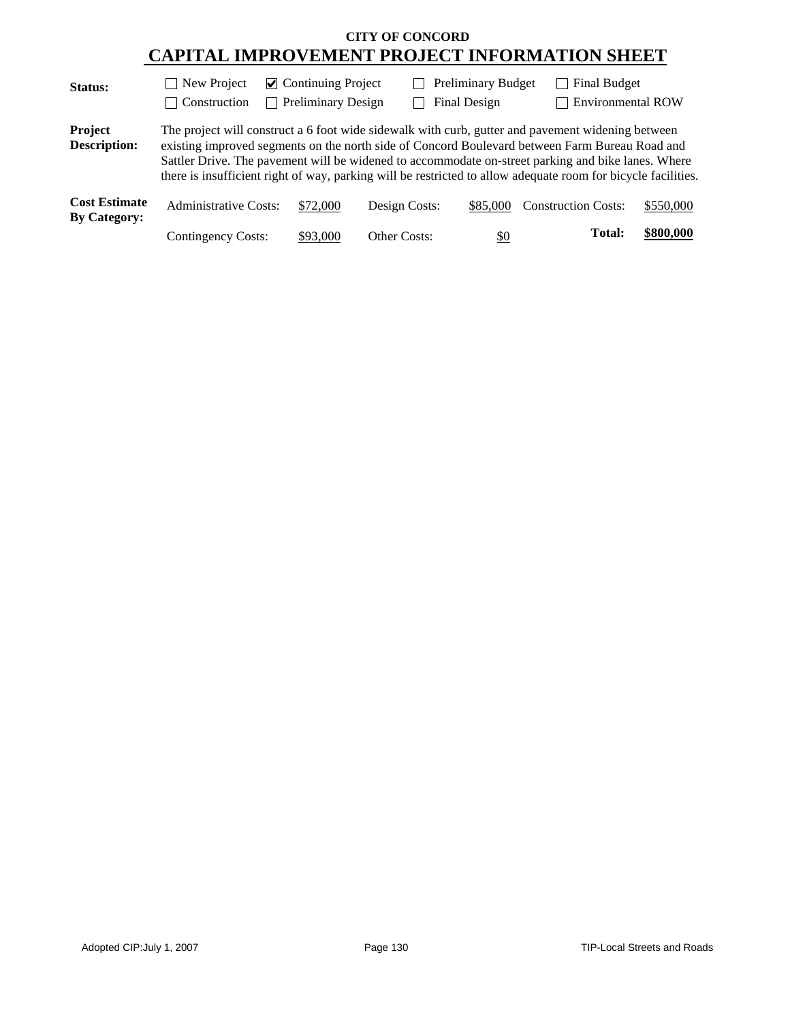| <b>Status:</b>                              | $\Box$ New Project                                                                                                                                                                                                                                                                                                                                                                                                         | $\triangleright$ Continuing Project |                     | <b>Preliminary Budget</b> |                            | <b>Final Budget</b> |                          |
|---------------------------------------------|----------------------------------------------------------------------------------------------------------------------------------------------------------------------------------------------------------------------------------------------------------------------------------------------------------------------------------------------------------------------------------------------------------------------------|-------------------------------------|---------------------|---------------------------|----------------------------|---------------------|--------------------------|
|                                             | Construction                                                                                                                                                                                                                                                                                                                                                                                                               | <b>Preliminary Design</b>           |                     | Final Design              |                            |                     | <b>Environmental ROW</b> |
| Project<br><b>Description:</b>              | The project will construct a 6 foot wide sidewalk with curb, gutter and pavement widening between<br>existing improved segments on the north side of Concord Boulevard between Farm Bureau Road and<br>Sattler Drive. The pavement will be widened to accommodate on-street parking and bike lanes. Where<br>there is insufficient right of way, parking will be restricted to allow adequate room for bicycle facilities. |                                     |                     |                           |                            |                     |                          |
| <b>Cost Estimate</b><br><b>By Category:</b> | <b>Administrative Costs:</b>                                                                                                                                                                                                                                                                                                                                                                                               | \$72,000                            | Design Costs:       | \$85,000                  | <b>Construction Costs:</b> |                     | \$550,000                |
|                                             | Contingency Costs:                                                                                                                                                                                                                                                                                                                                                                                                         | \$93,000                            | <b>Other Costs:</b> | \$0                       |                            | Total:              | \$800,000                |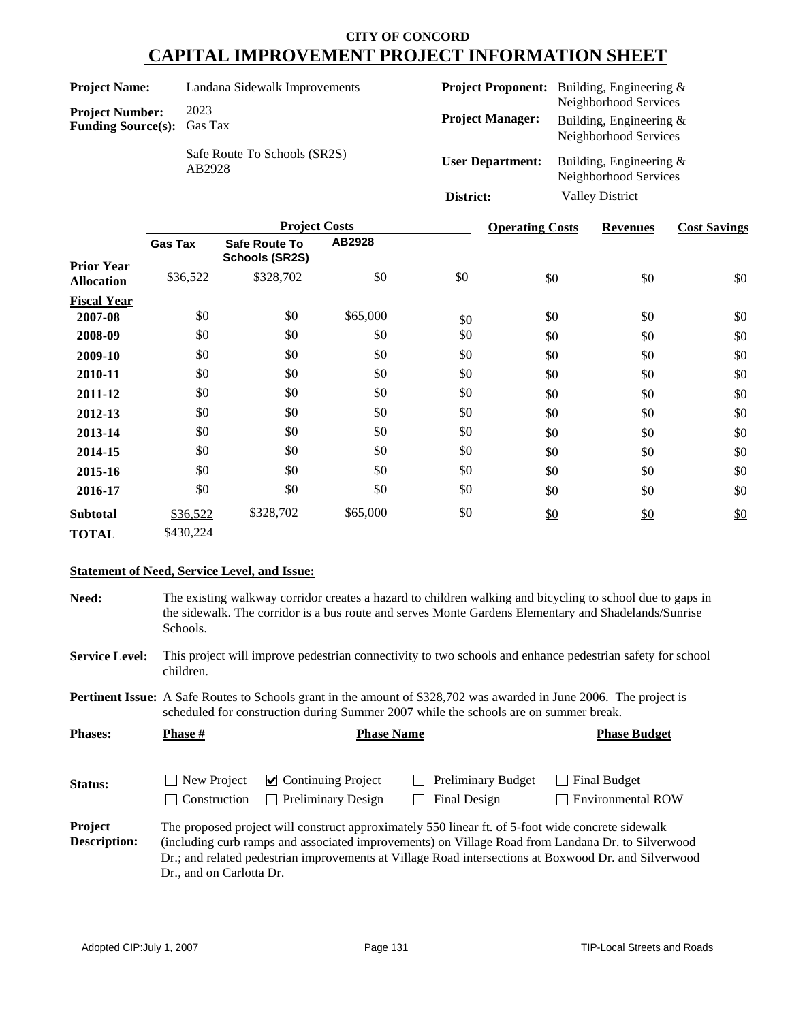| <b>Project Name:</b>                                        | Landana Sidewalk Improvements          |                         | <b>Project Proponent:</b> Building, Engineering &                         |
|-------------------------------------------------------------|----------------------------------------|-------------------------|---------------------------------------------------------------------------|
| <b>Project Number:</b><br><b>Funding Source(s):</b> Gas Tax | 2023                                   | <b>Project Manager:</b> | Neighborhood Services<br>Building, Engineering &<br>Neighborhood Services |
|                                                             | Safe Route To Schools (SR2S)<br>AB2928 | <b>User Department:</b> | Building, Engineering &<br>Neighborhood Services                          |
|                                                             |                                        | District:               | <b>Valley District</b>                                                    |

|                    | <b>Project Costs</b> |                                               |          |     | <b>Operating Costs</b> | <b>Revenues</b> | <b>Cost Savings</b> |
|--------------------|----------------------|-----------------------------------------------|----------|-----|------------------------|-----------------|---------------------|
| <b>Prior Year</b>  | <b>Gas Tax</b>       | <b>Safe Route To</b><br><b>Schools (SR2S)</b> | AB2928   |     |                        |                 |                     |
| <b>Allocation</b>  | \$36,522             | \$328,702                                     | \$0      | \$0 | \$0                    | \$0             | \$0                 |
| <b>Fiscal Year</b> |                      |                                               |          |     |                        |                 |                     |
| 2007-08            | \$0                  | \$0                                           | \$65,000 | \$0 | \$0                    | \$0             | \$0                 |
| 2008-09            | \$0                  | \$0                                           | \$0      | \$0 | \$0                    | \$0             | \$0                 |
| 2009-10            | \$0                  | \$0                                           | \$0      | \$0 | \$0                    | \$0             | \$0                 |
| 2010-11            | \$0                  | \$0                                           | \$0      | \$0 | \$0                    | \$0             | \$0                 |
| 2011-12            | \$0                  | \$0                                           | \$0      | \$0 | \$0                    | \$0             | \$0                 |
| 2012-13            | \$0                  | \$0                                           | \$0      | \$0 | \$0                    | \$0             | \$0                 |
| 2013-14            | \$0                  | \$0                                           | \$0      | \$0 | \$0                    | \$0             | \$0                 |
| 2014-15            | \$0                  | \$0                                           | \$0      | \$0 | \$0                    | \$0             | \$0                 |
| 2015-16            | \$0                  | \$0                                           | \$0      | \$0 | \$0                    | \$0             | \$0                 |
| 2016-17            | \$0                  | \$0                                           | \$0      | \$0 | \$0                    | \$0             | \$0                 |
| <b>Subtotal</b>    | \$36,522             | \$328,702                                     | \$65,000 | \$0 | \$0                    | \$0             | \$0                 |
| <b>TOTAL</b>       | \$430,224            |                                               |          |     |                        |                 |                     |

#### **Statement of Need, Service Level, and Issue:**

Dr., and on Carlotta Dr.

**Need:** The existing walkway corridor creates a hazard to children walking and bicycling to school due to gaps in the sidewalk. The corridor is a bus route and serves Monte Gardens Elementary and Shadelands/Sunrise Schools.

**Service Level:** This project will improve pedestrian connectivity to two schools and enhance pedestrian safety for school children.

**Pertinent Issue:** A Safe Routes to Schools grant in the amount of \$328,702 was awarded in June 2006. The project is scheduled for construction during Summer 2007 while the schools are on summer break.

| <b>Phases:</b>                        | <b>Phase #</b><br><b>Phase Name</b> |                                                                  |                                                                                                   | <b>Phase Budget</b>                                                                                                                                                                                       |
|---------------------------------------|-------------------------------------|------------------------------------------------------------------|---------------------------------------------------------------------------------------------------|-----------------------------------------------------------------------------------------------------------------------------------------------------------------------------------------------------------|
| <b>Status:</b>                        | New Project<br><b>Construction</b>  | $\triangleright$ Continuing Project<br><b>Preliminary Design</b> | <b>Preliminary Budget</b><br><b>Final Design</b>                                                  | <b>Final Budget</b><br>Environmental ROW                                                                                                                                                                  |
| <b>Project</b><br><b>Description:</b> |                                     |                                                                  | The proposed project will construct approximately 550 linear ft. of 5-foot wide concrete sidewalk | (including curb ramps and associated improvements) on Village Road from Landana Dr. to Silverwood<br>Dr.; and related pedestrian improvements at Village Road intersections at Boxwood Dr. and Silverwood |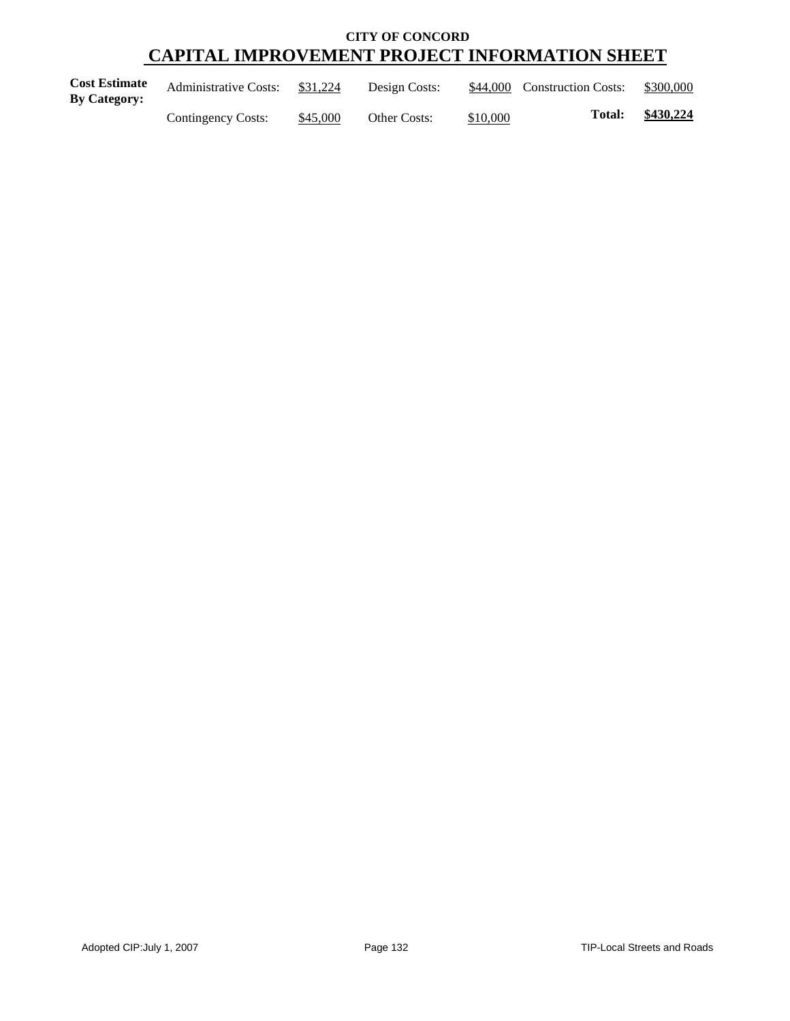| <b>Cost Estimate</b><br><b>By Category:</b> | <b>Administrative Costs:</b> | \$31,224 | Design Costs:       |          | \$44,000 Construction Costs: | \$300,000 |
|---------------------------------------------|------------------------------|----------|---------------------|----------|------------------------------|-----------|
|                                             | Contingency Costs:           | \$45,000 | <b>Other Costs:</b> | \$10,000 | <b>Total:</b>                | \$430,224 |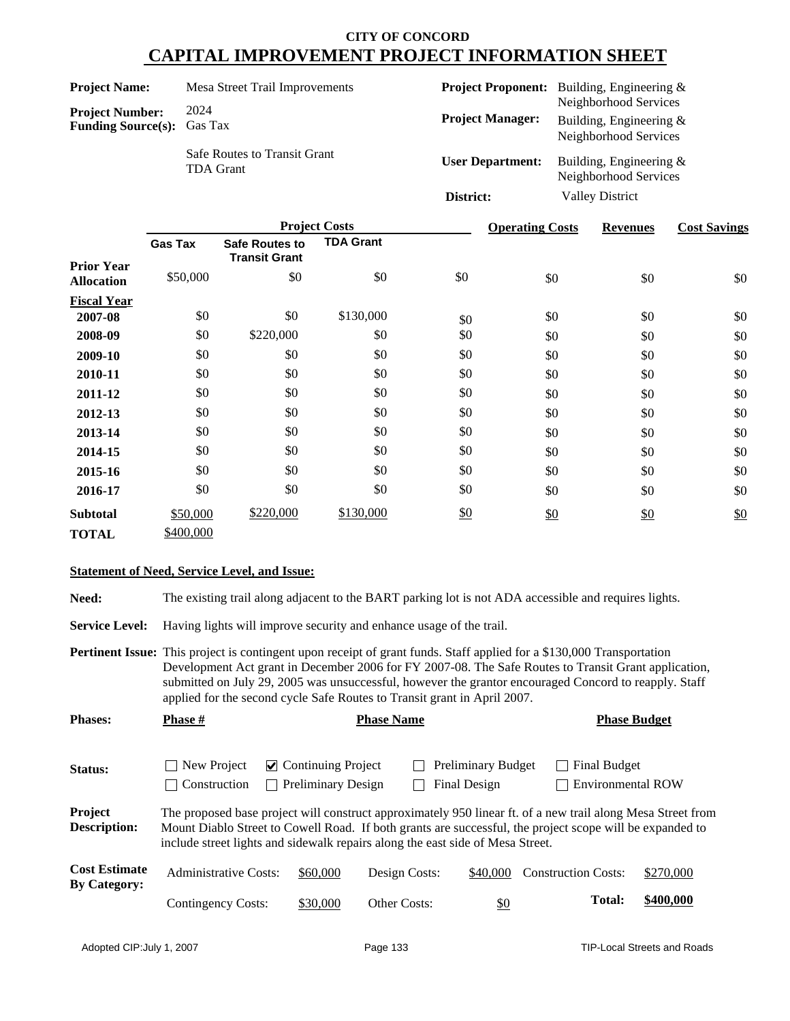| <b>Project Name:</b>                                        | Mesa Street Trail Improvements                          |                         | <b>Project Proponent:</b> Building, Engineering &                           |
|-------------------------------------------------------------|---------------------------------------------------------|-------------------------|-----------------------------------------------------------------------------|
| <b>Project Number:</b><br><b>Funding Source(s):</b> Gas Tax | 2024                                                    | <b>Project Manager:</b> | Neighborhood Services<br>Building, Engineering $&$<br>Neighborhood Services |
|                                                             | <b>Safe Routes to Transit Grant</b><br><b>TDA Grant</b> | <b>User Department:</b> | Building, Engineering $&$<br>Neighborhood Services                          |
|                                                             |                                                         | District:               | <b>Valley District</b>                                                      |

|                                        |                |                                               | <b>Project Costs</b> |     | <b>Operating Costs</b> | <b>Revenues</b> | <b>Cost Savings</b> |
|----------------------------------------|----------------|-----------------------------------------------|----------------------|-----|------------------------|-----------------|---------------------|
|                                        | <b>Gas Tax</b> | <b>Safe Routes to</b><br><b>Transit Grant</b> | <b>TDA Grant</b>     |     |                        |                 |                     |
| <b>Prior Year</b><br><b>Allocation</b> | \$50,000       | \$0                                           | \$0                  | \$0 | \$0                    | \$0             | \$0                 |
| <b>Fiscal Year</b>                     |                |                                               |                      |     |                        |                 |                     |
| 2007-08                                | \$0            | \$0                                           | \$130,000            | \$0 | \$0                    | \$0             | \$0                 |
| 2008-09                                | \$0            | \$220,000                                     | \$0                  | \$0 | \$0                    | \$0             | \$0                 |
| 2009-10                                | \$0            | \$0                                           | \$0                  | \$0 | \$0                    | \$0             | \$0                 |
| 2010-11                                | \$0            | \$0                                           | \$0                  | \$0 | \$0                    | \$0             | \$0                 |
| 2011-12                                | \$0            | \$0                                           | \$0                  | \$0 | \$0                    | \$0             | \$0                 |
| 2012-13                                | \$0            | \$0                                           | \$0                  | \$0 | \$0                    | \$0             | \$0                 |
| 2013-14                                | \$0            | \$0                                           | \$0                  | \$0 | \$0                    | \$0             | \$0                 |
| 2014-15                                | \$0            | \$0                                           | \$0                  | \$0 | \$0                    | \$0             | \$0                 |
| 2015-16                                | \$0            | \$0                                           | \$0                  | \$0 | \$0                    | \$0             | \$0                 |
| 2016-17                                | \$0            | \$0                                           | \$0                  | \$0 | \$0                    | \$0             | \$0                 |
| <b>Subtotal</b>                        | \$50,000       | \$220,000                                     | \$130,000            | \$0 | \$0                    | $\frac{$0}{}$   | \$0                 |
| <b>TOTAL</b>                           | \$400,000      |                                               |                      |     |                        |                 |                     |

#### **Statement of Need, Service Level, and Issue:**

**Need:** The existing trail along adjacent to the BART parking lot is not ADA accessible and requires lights.

**Service Level:** Having lights will improve security and enhance usage of the trail.

**Pertinent Issue:** This project is contingent upon receipt of grant funds. Staff applied for a \$130,000 Transportation Development Act grant in December 2006 for FY 2007-08. The Safe Routes to Transit Grant application, submitted on July 29, 2005 was unsuccessful, however the grantor encouraged Concord to reapply. Staff applied for the second cycle Safe Routes to Transit grant in April 2007.

| <b>Phases:</b>                              | <b>Phase</b> #                                                                 | <b>Phase Name</b>                                                        |               |                                           | <b>Phase Budget</b>                                                                                                                                                                                                     |           |
|---------------------------------------------|--------------------------------------------------------------------------------|--------------------------------------------------------------------------|---------------|-------------------------------------------|-------------------------------------------------------------------------------------------------------------------------------------------------------------------------------------------------------------------------|-----------|
| Status:                                     | New Project<br>Construction                                                    | $\vee$ Continuing Project<br><b>Preliminary Design</b><br>$\blacksquare$ |               | <b>Preliminary Budget</b><br>Final Design | <b>Final Budget</b><br><b>Environmental ROW</b>                                                                                                                                                                         |           |
| Project<br><b>Description:</b>              | include street lights and sidewalk repairs along the east side of Mesa Street. |                                                                          |               |                                           | The proposed base project will construct approximately 950 linear ft. of a new trail along Mesa Street from<br>Mount Diablo Street to Cowell Road. If both grants are successful, the project scope will be expanded to |           |
| <b>Cost Estimate</b><br><b>By Category:</b> | Administrative Costs:                                                          | \$60,000                                                                 | Design Costs: | \$40,000                                  | <b>Construction Costs:</b>                                                                                                                                                                                              | \$270,000 |
|                                             | <b>Contingency Costs:</b>                                                      | \$30,000                                                                 | Other Costs:  | <u>\$0</u>                                | <b>Total:</b>                                                                                                                                                                                                           | \$400,000 |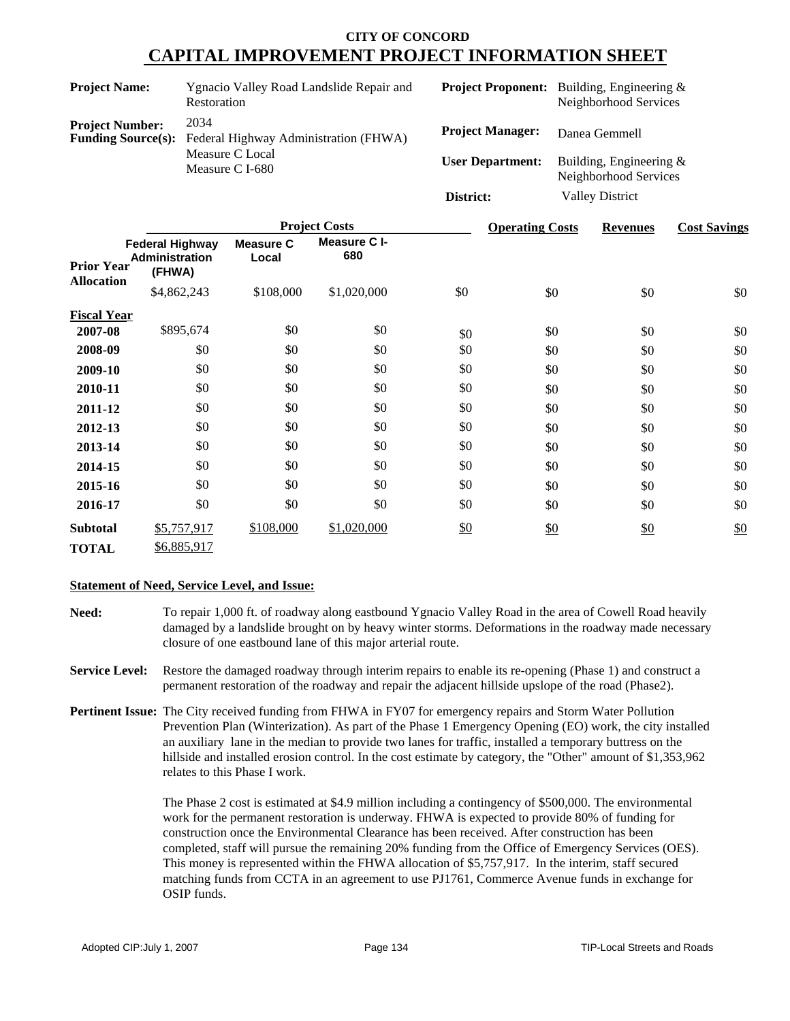| <b>Project Name:</b>                                | Ygnacio Valley Road Landslide Repair and<br>Restoration |                         | <b>Project Proponent:</b> Building, Engineering &<br>Neighborhood Services |
|-----------------------------------------------------|---------------------------------------------------------|-------------------------|----------------------------------------------------------------------------|
| <b>Project Number:</b><br><b>Funding Source(s):</b> | 2034<br>Federal Highway Administration (FHWA)           | <b>Project Manager:</b> | Danea Gemmell                                                              |
|                                                     | Measure C Local<br>Measure C I-680                      | <b>User Department:</b> | Building, Engineering $&$<br>Neighborhood Services                         |
|                                                     |                                                         | District:               | <b>Valley District</b>                                                     |
|                                                     |                                                         |                         |                                                                            |

|                                        |                                                           |                           | <b>Project Costs</b> |     | <b>Operating Costs</b> | <b>Revenues</b> | <b>Cost Savings</b> |
|----------------------------------------|-----------------------------------------------------------|---------------------------|----------------------|-----|------------------------|-----------------|---------------------|
| <b>Prior Year</b><br><b>Allocation</b> | <b>Federal Highway</b><br><b>Administration</b><br>(FHWA) | <b>Measure C</b><br>Local | Measure C I-<br>680  |     |                        |                 |                     |
|                                        | \$4,862,243                                               | \$108,000                 | \$1,020,000          | \$0 | \$0                    | \$0             | \$0                 |
| <b>Fiscal Year</b>                     |                                                           |                           |                      |     |                        |                 |                     |
| 2007-08                                | \$895,674                                                 | \$0                       | \$0                  | \$0 | \$0                    | \$0             | \$0                 |
| 2008-09                                | \$0                                                       | \$0                       | \$0                  | \$0 | \$0                    | \$0             | \$0                 |
| 2009-10                                | \$0                                                       | \$0                       | \$0                  | \$0 | \$0                    | \$0             | \$0                 |
| 2010-11                                | \$0                                                       | \$0                       | \$0                  | \$0 | \$0                    | \$0             | \$0                 |
| 2011-12                                | \$0                                                       | \$0                       | \$0                  | \$0 | \$0                    | \$0             | \$0                 |
| 2012-13                                | \$0                                                       | \$0                       | \$0                  | \$0 | \$0                    | \$0             | \$0                 |
| 2013-14                                | \$0                                                       | \$0                       | \$0                  | \$0 | \$0                    | \$0             | \$0                 |
| 2014-15                                | \$0                                                       | \$0                       | \$0                  | \$0 | \$0                    | \$0             | \$0                 |
| 2015-16                                | \$0                                                       | \$0                       | \$0                  | \$0 | \$0                    | \$0             | \$0                 |
| 2016-17                                | \$0                                                       | \$0                       | \$0                  | \$0 | \$0                    | \$0             | \$0                 |
| <b>Subtotal</b>                        | \$5,757,917                                               | \$108,000                 | \$1,020,000          | \$0 | \$0                    | \$0             | \$0                 |
| <b>TOTAL</b>                           | \$6,885,917                                               |                           |                      |     |                        |                 |                     |

#### **Statement of Need, Service Level, and Issue:**

- **Need:** To repair 1,000 ft. of roadway along eastbound Ygnacio Valley Road in the area of Cowell Road heavily damaged by a landslide brought on by heavy winter storms. Deformations in the roadway made necessary closure of one eastbound lane of this major arterial route.
- **Service Level:** Restore the damaged roadway through interim repairs to enable its re-opening (Phase 1) and construct a permanent restoration of the roadway and repair the adjacent hillside upslope of the road (Phase2).
- **Pertinent Issue:** The City received funding from FHWA in FY07 for emergency repairs and Storm Water Pollution Prevention Plan (Winterization). As part of the Phase 1 Emergency Opening (EO) work, the city installed an auxiliary lane in the median to provide two lanes for traffic, installed a temporary buttress on the hillside and installed erosion control. In the cost estimate by category, the "Other" amount of \$1,353,962 relates to this Phase I work.

The Phase 2 cost is estimated at \$4.9 million including a contingency of \$500,000. The environmental work for the permanent restoration is underway. FHWA is expected to provide 80% of funding for construction once the Environmental Clearance has been received. After construction has been completed, staff will pursue the remaining 20% funding from the Office of Emergency Services (OES). This money is represented within the FHWA allocation of \$5,757,917. In the interim, staff secured matching funds from CCTA in an agreement to use PJ1761, Commerce Avenue funds in exchange for OSIP funds.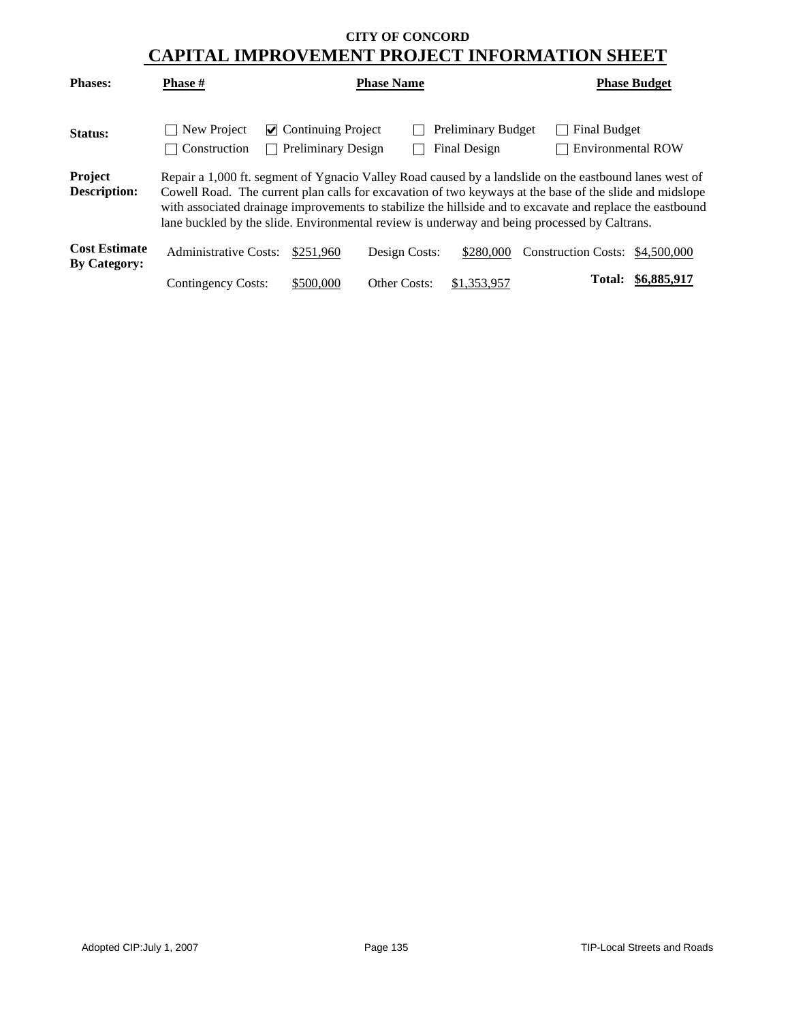| <b>Phases:</b>                              | <b>Phase</b> #               |                                                                  | <b>Phase Name</b> |                                           |                                                                                                                                                                                                                                                                                                                                                                                                                                | <b>Phase Budget</b> |
|---------------------------------------------|------------------------------|------------------------------------------------------------------|-------------------|-------------------------------------------|--------------------------------------------------------------------------------------------------------------------------------------------------------------------------------------------------------------------------------------------------------------------------------------------------------------------------------------------------------------------------------------------------------------------------------|---------------------|
| Status:                                     | New Project<br>Construction  | $\cup$ Continuing Project<br><b>Preliminary Design</b><br>$\sim$ |                   | <b>Preliminary Budget</b><br>Final Design | <b>Final Budget</b><br><b>Environmental ROW</b>                                                                                                                                                                                                                                                                                                                                                                                |                     |
| Project<br><b>Description:</b>              |                              |                                                                  |                   |                                           | Repair a 1,000 ft. segment of Ygnacio Valley Road caused by a landslide on the eastbound lanes west of<br>Cowell Road. The current plan calls for excavation of two keyways at the base of the slide and midslope<br>with associated drainage improvements to stabilize the hillside and to excavate and replace the eastbound<br>lane buckled by the slide. Environmental review is underway and being processed by Caltrans. |                     |
| <b>Cost Estimate</b><br><b>By Category:</b> | <b>Administrative Costs:</b> | \$251,960                                                        | Design Costs:     | \$280,000                                 | Construction Costs: \$4,500,000                                                                                                                                                                                                                                                                                                                                                                                                |                     |
|                                             | Contingency Costs:           | \$500,000                                                        | Other Costs:      | \$1,353,957                               | <b>Total:</b>                                                                                                                                                                                                                                                                                                                                                                                                                  | \$6,885,917         |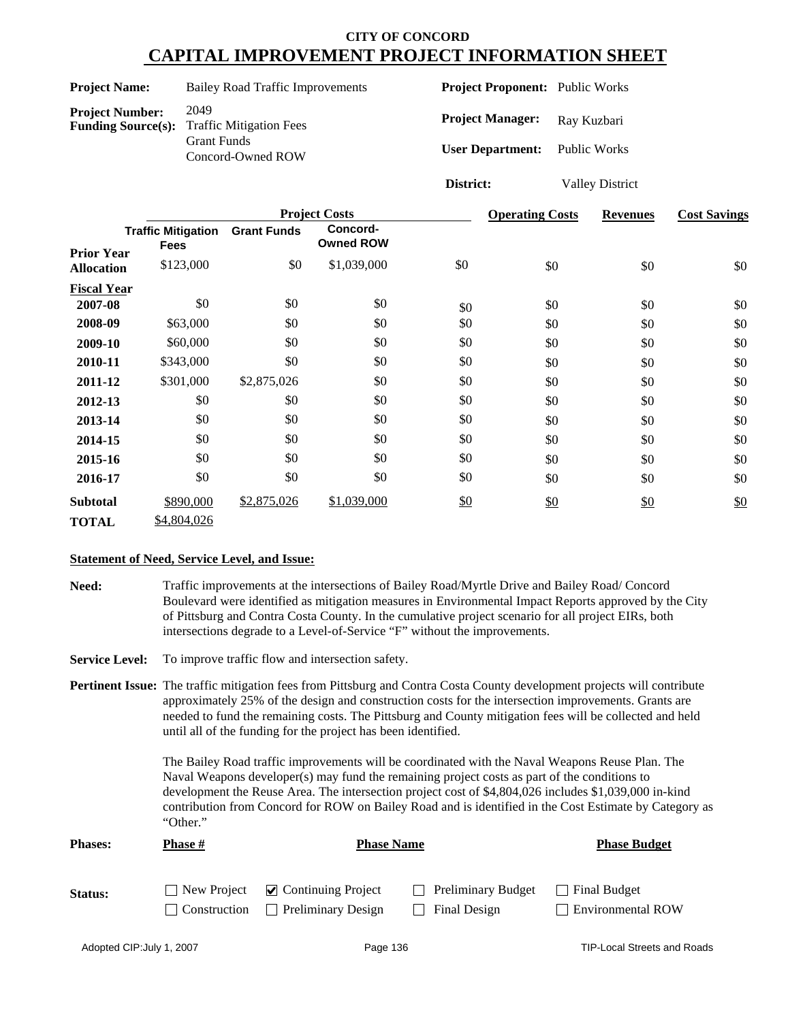| <b>Project Name:</b>                                | <b>Bailey Road Traffic Improvements</b>                                           | <b>Project Proponent:</b> Public Works                          |                        |
|-----------------------------------------------------|-----------------------------------------------------------------------------------|-----------------------------------------------------------------|------------------------|
| <b>Project Number:</b><br><b>Funding Source(s):</b> | 2049<br><b>Traffic Mitigation Fees</b><br><b>Grant Funds</b><br>Concord-Owned ROW | <b>Project Manager:</b><br><b>User Department:</b> Public Works | Ray Kuzbari            |
|                                                     |                                                                                   | District:                                                       | <b>Valley District</b> |

|                                        | <b>Project Costs</b>                     |                    |                              |     | <b>Operating Costs</b> | <b>Revenues</b>   | <b>Cost Savings</b> |
|----------------------------------------|------------------------------------------|--------------------|------------------------------|-----|------------------------|-------------------|---------------------|
|                                        | <b>Traffic Mitigation</b><br><b>Fees</b> | <b>Grant Funds</b> | Concord-<br><b>Owned ROW</b> |     |                        |                   |                     |
| <b>Prior Year</b><br><b>Allocation</b> | \$123,000                                | \$0                | \$1,039,000                  | \$0 | \$0                    | \$0               | \$0                 |
| <b>Fiscal Year</b>                     |                                          |                    |                              |     |                        |                   |                     |
| 2007-08                                | \$0                                      | \$0                | \$0                          | \$0 | \$0                    | \$0               | \$0                 |
| 2008-09                                | \$63,000                                 | \$0                | \$0                          | \$0 | \$0                    | \$0               | \$0                 |
| 2009-10                                | \$60,000                                 | \$0                | \$0                          | \$0 | \$0                    | \$0               | \$0                 |
| 2010-11                                | \$343,000                                | \$0                | \$0                          | \$0 | \$0                    | \$0               | \$0                 |
| 2011-12                                | \$301,000                                | \$2,875,026        | \$0                          | \$0 | \$0                    | \$0               | \$0                 |
| 2012-13                                | \$0                                      | \$0                | \$0                          | \$0 | \$0                    | \$0               | \$0                 |
| 2013-14                                | \$0                                      | \$0                | \$0                          | \$0 | \$0                    | \$0               | \$0                 |
| 2014-15                                | \$0                                      | \$0                | \$0                          | \$0 | \$0                    | \$0               | \$0                 |
| 2015-16                                | \$0                                      | \$0                | \$0                          | \$0 | \$0                    | \$0               | \$0                 |
| 2016-17                                | \$0                                      | \$0                | \$0                          | \$0 | \$0                    | \$0               | \$0                 |
| <b>Subtotal</b>                        | \$890,000                                | \$2,875,026        | \$1,039,000                  | \$0 | \$0                    | $\underline{\$0}$ | \$0                 |
| <b>TOTAL</b>                           | \$4,804,026                              |                    |                              |     |                        |                   |                     |

#### **Statement of Need, Service Level, and Issue:**

**Need:** Traffic improvements at the intersections of Bailey Road/Myrtle Drive and Bailey Road/ Concord Boulevard were identified as mitigation measures in Environmental Impact Reports approved by the City of Pittsburg and Contra Costa County. In the cumulative project scenario for all project EIRs, both intersections degrade to a Level-of-Service "F" without the improvements.

Service Level: To improve traffic flow and intersection safety.

**Pertinent Issue:** The traffic mitigation fees from Pittsburg and Contra Costa County development projects will contribute approximately 25% of the design and construction costs for the intersection improvements. Grants are needed to fund the remaining costs. The Pittsburg and County mitigation fees will be collected and held until all of the funding for the project has been identified.

> The Bailey Road traffic improvements will be coordinated with the Naval Weapons Reuse Plan. The Naval Weapons developer(s) may fund the remaining project costs as part of the conditions to development the Reuse Area. The intersection project cost of \$4,804,026 includes \$1,039,000 in-kind contribution from Concord for ROW on Bailey Road and is identified in the Cost Estimate by Category as "Other."

| <b>Phases:</b> | <b>Phase</b> #      |                                     | <b>Phase Name</b>         | <b>Phase Budget</b> |  |
|----------------|---------------------|-------------------------------------|---------------------------|---------------------|--|
| Status:        | New Project         | $\triangleright$ Continuing Project | <b>Preliminary Budget</b> | Final Budget        |  |
|                | $\Box$ Construction | <b>Preliminary Design</b>           | Final Design              | Environmental ROW   |  |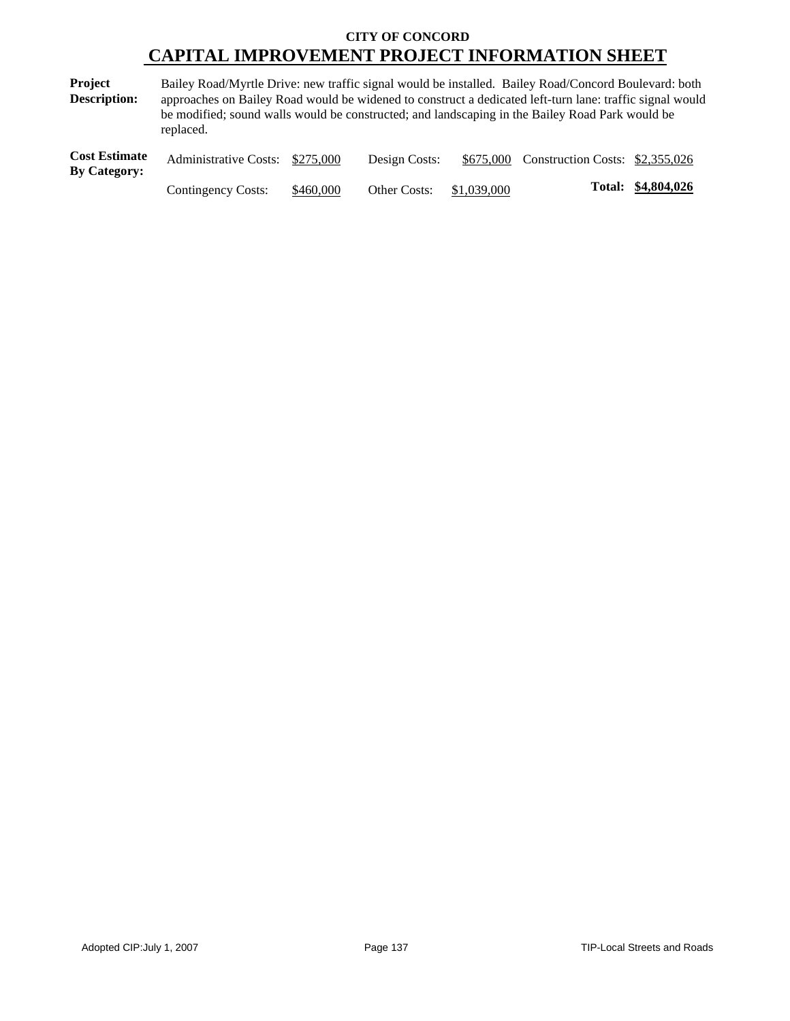**Project Description:** Bailey Road/Myrtle Drive: new traffic signal would be installed. Bailey Road/Concord Boulevard: both approaches on Bailey Road would be widened to construct a dedicated left-turn lane: traffic signal would be modified; sound walls would be constructed; and landscaping in the Bailey Road Park would be replaced.

| <b>Cost Estimate</b><br><b>By Category:</b> | Administrative Costs: \$275,000 |           | Design Costs:            | \$675,000 Construction Costs: \$2,355,026 |                    |
|---------------------------------------------|---------------------------------|-----------|--------------------------|-------------------------------------------|--------------------|
|                                             | Contingency Costs:              | \$460,000 | Other Costs: \$1,039,000 |                                           | Total: \$4,804,026 |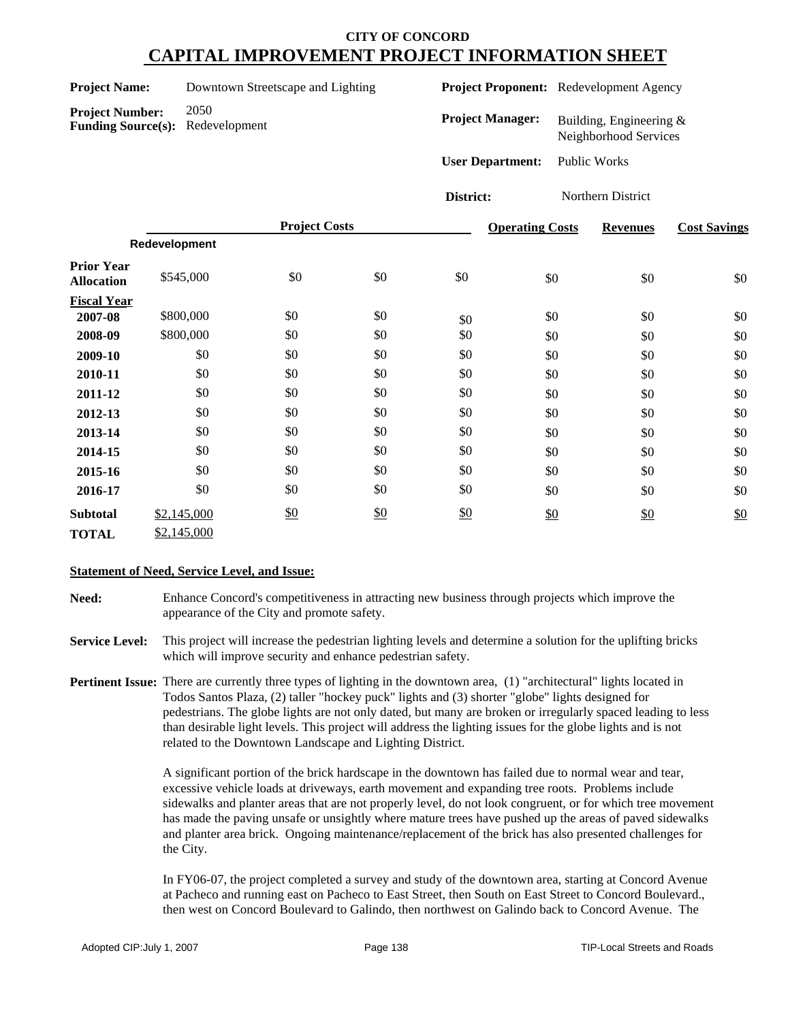| <b>Project Name:</b> | Downtown Streetscape and Lighting |  |
|----------------------|-----------------------------------|--|
|                      |                                   |  |

**Project Proponent:** Redevelopment Agency

**Project Number:** 2050 **Funding Source(s):** Redevelopment

**Project Manager:** Building, Engineering & Neighborhood Services

**User Department:** Public Works

**District:** Northern District

|                                        |               | <b>Project Costs</b> |               |     | <b>Operating Costs</b> | <b>Revenues</b> | <b>Cost Savings</b> |
|----------------------------------------|---------------|----------------------|---------------|-----|------------------------|-----------------|---------------------|
|                                        | Redevelopment |                      |               |     |                        |                 |                     |
| <b>Prior Year</b><br><b>Allocation</b> | \$545,000     | \$0                  | \$0           | \$0 | \$0                    | \$0             | \$0                 |
| <b>Fiscal Year</b>                     |               |                      |               |     |                        |                 |                     |
| 2007-08                                | \$800,000     | \$0                  | \$0           | \$0 | \$0                    | \$0             | \$0                 |
| 2008-09                                | \$800,000     | \$0                  | \$0           | \$0 | \$0                    | \$0             | \$0                 |
| 2009-10                                | \$0           | \$0                  | \$0           | \$0 | \$0                    | \$0             | \$0                 |
| 2010-11                                | \$0           | \$0                  | \$0           | \$0 | \$0                    | \$0             | \$0                 |
| 2011-12                                | \$0           | \$0                  | \$0           | \$0 | \$0                    | \$0             | \$0                 |
| 2012-13                                | \$0           | \$0                  | \$0           | \$0 | \$0                    | \$0             | \$0                 |
| 2013-14                                | \$0           | \$0                  | \$0           | \$0 | \$0                    | \$0             | \$0                 |
| 2014-15                                | \$0           | \$0                  | \$0           | \$0 | \$0                    | \$0             | \$0                 |
| 2015-16                                | \$0           | \$0                  | \$0           | \$0 | \$0                    | \$0             | \$0                 |
| 2016-17                                | \$0           | \$0                  | \$0           | \$0 | \$0                    | \$0             | \$0                 |
| <b>Subtotal</b>                        | \$2,145,000   | $\frac{$0}{}$        | $\frac{$0}{}$ | \$0 | \$0                    | \$0             | \$0                 |
| <b>TOTAL</b>                           | \$2,145,000   |                      |               |     |                        |                 |                     |

#### **Statement of Need, Service Level, and Issue:**

**Need:** Enhance Concord's competitiveness in attracting new business through projects which improve the appearance of the City and promote safety.

**Service Level:** This project will increase the pedestrian lighting levels and determine a solution for the uplifting bricks which will improve security and enhance pedestrian safety.

**Pertinent Issue:** There are currently three types of lighting in the downtown area, (1) "architectural" lights located in Todos Santos Plaza, (2) taller "hockey puck" lights and (3) shorter "globe" lights designed for pedestrians. The globe lights are not only dated, but many are broken or irregularly spaced leading to less than desirable light levels. This project will address the lighting issues for the globe lights and is not related to the Downtown Landscape and Lighting District.

> A significant portion of the brick hardscape in the downtown has failed due to normal wear and tear, excessive vehicle loads at driveways, earth movement and expanding tree roots. Problems include sidewalks and planter areas that are not properly level, do not look congruent, or for which tree movement has made the paving unsafe or unsightly where mature trees have pushed up the areas of paved sidewalks and planter area brick. Ongoing maintenance/replacement of the brick has also presented challenges for the City.

In FY06-07, the project completed a survey and study of the downtown area, starting at Concord Avenue at Pacheco and running east on Pacheco to East Street, then South on East Street to Concord Boulevard., then west on Concord Boulevard to Galindo, then northwest on Galindo back to Concord Avenue. The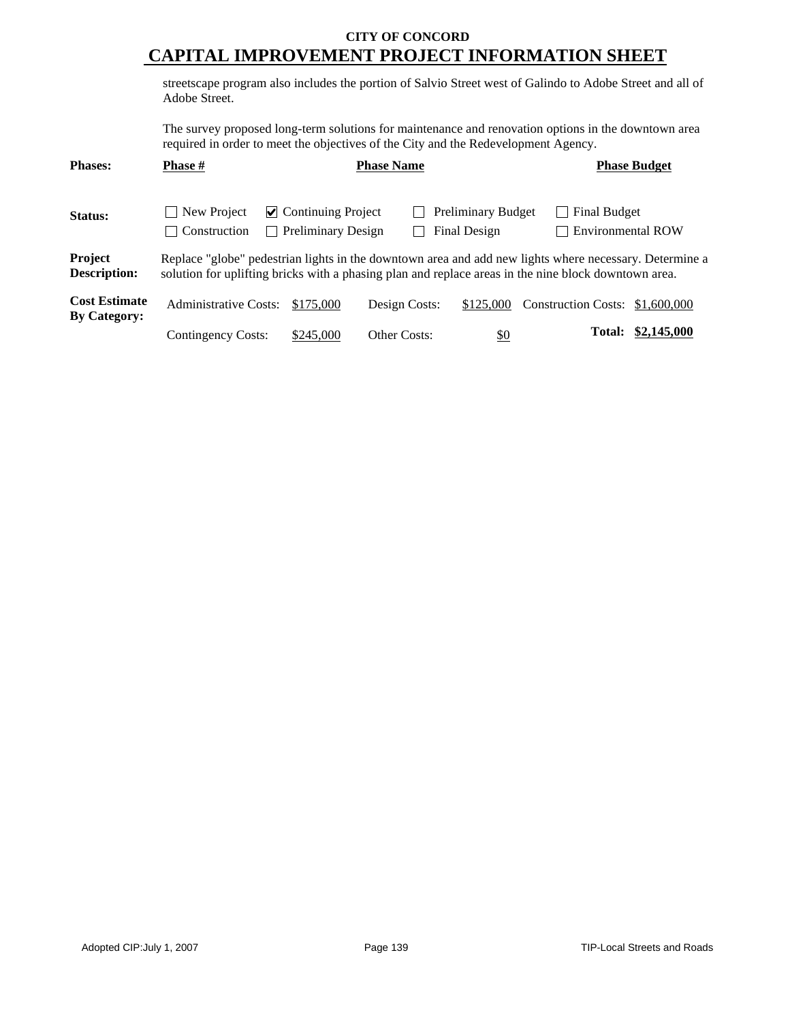streetscape program also includes the portion of Salvio Street west of Galindo to Adobe Street and all of Adobe Street.

The survey proposed long-term solutions for maintenance and renovation options in the downtown area required in order to meet the objectives of the City and the Redevelopment Agency.

| <b>Phases:</b>                              | <b>Phase</b> #                                                                                                                                                                                                 |                                                        | <b>Phase Name</b>   |                                           |                                          | <b>Phase Budget</b> |  |
|---------------------------------------------|----------------------------------------------------------------------------------------------------------------------------------------------------------------------------------------------------------------|--------------------------------------------------------|---------------------|-------------------------------------------|------------------------------------------|---------------------|--|
| Status:                                     | New Project<br>  Construction                                                                                                                                                                                  | $\vee$ Continuing Project<br><b>Preliminary Design</b> |                     | <b>Preliminary Budget</b><br>Final Design | Final Budget<br><b>Environmental ROW</b> |                     |  |
| <b>Project</b><br><b>Description:</b>       | Replace "globe" pedestrian lights in the downtown area and add new lights where necessary. Determine a<br>solution for uplifting bricks with a phasing plan and replace areas in the nine block downtown area. |                                                        |                     |                                           |                                          |                     |  |
| <b>Cost Estimate</b><br><b>By Category:</b> | <b>Administrative Costs:</b>                                                                                                                                                                                   | \$175,000                                              | Design Costs:       | \$125,000                                 | Construction Costs: \$1,600,000          |                     |  |
|                                             | <b>Contingency Costs:</b>                                                                                                                                                                                      | \$245,000                                              | <b>Other Costs:</b> | \$0                                       | <b>Total:</b>                            | \$2,145,000         |  |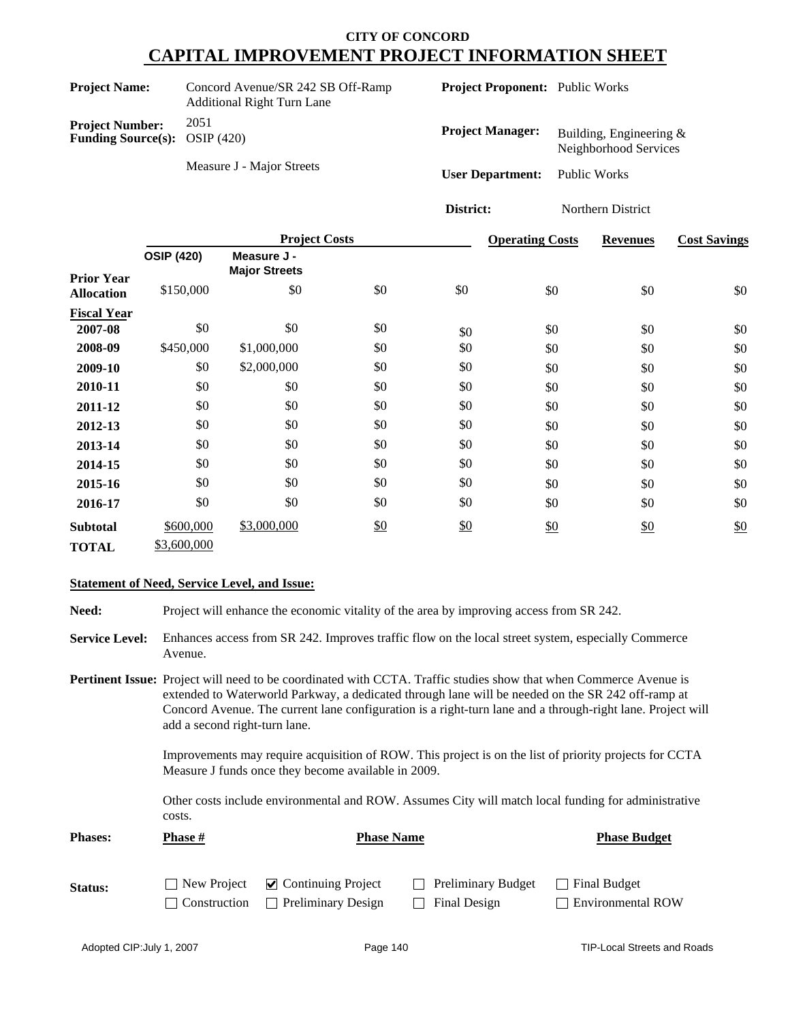| <b>Project Name:</b>                                             | Concord Avenue/SR 242 SB Off-Ramp<br><b>Additional Right Turn Lane</b> | <b>Project Proponent:</b> Public Works |                                                    |
|------------------------------------------------------------------|------------------------------------------------------------------------|----------------------------------------|----------------------------------------------------|
| <b>Project Number:</b><br><b>Funding Source(s):</b> OSIP $(420)$ | 2051                                                                   | <b>Project Manager:</b>                | Building, Engineering $&$<br>Neighborhood Services |
|                                                                  | Measure J - Major Streets                                              | <b>User Department:</b>                | Public Works                                       |

|                                        |                   | <b>Project Costs</b>                |               |     | <b>Operating Costs</b> | <b>Revenues</b> | <b>Cost Savings</b> |
|----------------------------------------|-------------------|-------------------------------------|---------------|-----|------------------------|-----------------|---------------------|
|                                        | <b>OSIP (420)</b> | Measure J -<br><b>Major Streets</b> |               |     |                        |                 |                     |
| <b>Prior Year</b><br><b>Allocation</b> | \$150,000         | \$0                                 | \$0           | \$0 | \$0                    | \$0             | \$0                 |
| <b>Fiscal Year</b>                     |                   |                                     |               |     |                        |                 |                     |
| 2007-08                                | \$0               | \$0                                 | \$0           | \$0 | \$0                    | \$0             | \$0                 |
| 2008-09                                | \$450,000         | \$1,000,000                         | \$0           | \$0 | \$0                    | \$0             | \$0                 |
| 2009-10                                | \$0               | \$2,000,000                         | \$0           | \$0 | \$0                    | \$0             | \$0                 |
| 2010-11                                | \$0               | \$0                                 | \$0           | \$0 | \$0                    | \$0             | \$0                 |
| 2011-12                                | \$0               | \$0                                 | \$0           | \$0 | \$0                    | \$0             | \$0                 |
| 2012-13                                | \$0               | \$0                                 | \$0           | \$0 | \$0                    | \$0             | \$0                 |
| 2013-14                                | \$0               | \$0                                 | \$0           | \$0 | \$0                    | \$0             | \$0                 |
| 2014-15                                | \$0               | \$0                                 | \$0           | \$0 | \$0                    | \$0             | \$0                 |
| 2015-16                                | \$0               | \$0                                 | \$0           | \$0 | \$0                    | \$0             | \$0                 |
| 2016-17                                | \$0               | \$0                                 | \$0           | \$0 | \$0                    | \$0             | \$0                 |
| <b>Subtotal</b>                        | \$600,000         | \$3,000,000                         | $\frac{$0}{}$ | \$0 | \$0                    | \$0             | \$0                 |
| <b>TOTAL</b>                           | \$3,600,000       |                                     |               |     |                        |                 |                     |

**District:** Northern District

#### **Statement of Need, Service Level, and Issue:**

**Need:** Project will enhance the economic vitality of the area by improving access from SR 242.

- **Service Level:** Enhances access from SR 242. Improves traffic flow on the local street system, especially Commerce Avenue.
- **Pertinent Issue:** Project will need to be coordinated with CCTA. Traffic studies show that when Commerce Avenue is extended to Waterworld Parkway, a dedicated through lane will be needed on the SR 242 off-ramp at Concord Avenue. The current lane configuration is a right-turn lane and a through-right lane. Project will add a second right-turn lane.

Improvements may require acquisition of ROW. This project is on the list of priority projects for CCTA Measure J funds once they become available in 2009.

Other costs include environmental and ROW. Assumes City will match local funding for administrative costs.

| <b>Phases:</b> | Phase #      | <b>Phase Name</b>                            |                           |                          |
|----------------|--------------|----------------------------------------------|---------------------------|--------------------------|
| <b>Status:</b> |              | $\Box$ New Project $\Box$ Continuing Project | <b>Preliminary Budget</b> | Final Budget             |
|                | Construction | <b>Preliminary Design</b>                    | Final Design              | <b>Environmental ROW</b> |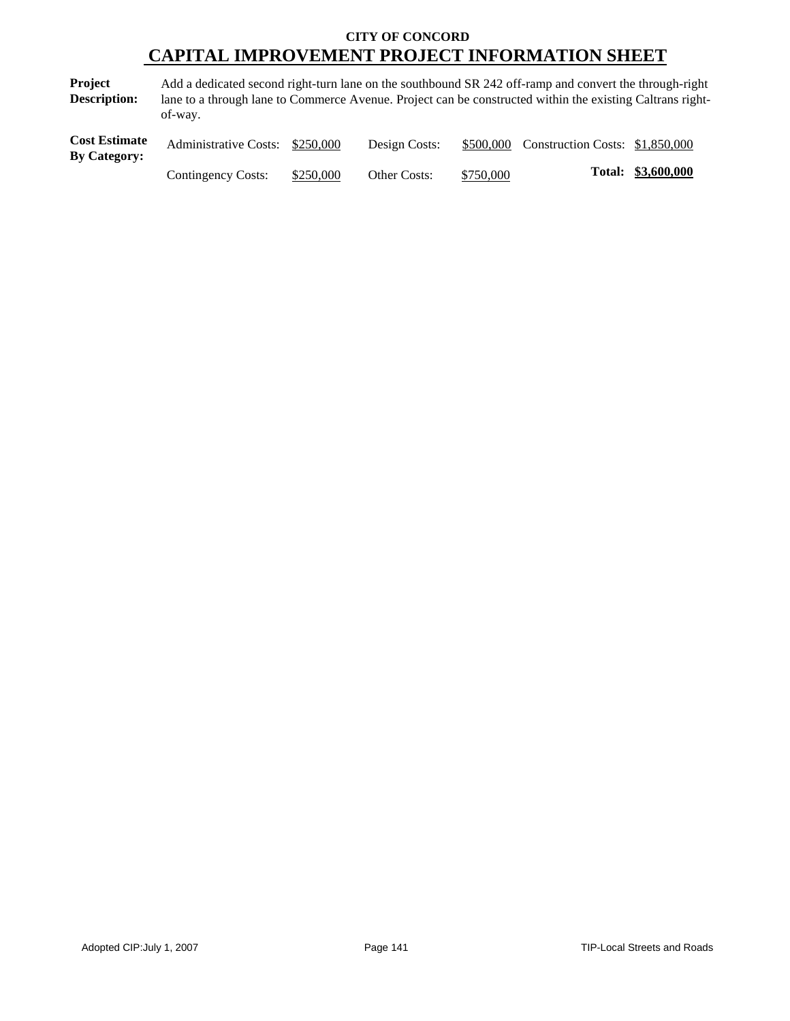**Project Description:** Add a dedicated second right-turn lane on the southbound SR 242 off-ramp and convert the through-right lane to a through lane to Commerce Avenue. Project can be constructed within the existing Caltrans rightof-way.

| <b>Cost Estimate</b><br><b>By Category:</b> | Administrative Costs: \$250,000 |           | Design Costs: |           | \$500,000 Construction Costs: \$1,850,000 |                    |
|---------------------------------------------|---------------------------------|-----------|---------------|-----------|-------------------------------------------|--------------------|
|                                             | Contingency Costs:              | \$250,000 | Other Costs:  | \$750,000 |                                           | Total: \$3,600,000 |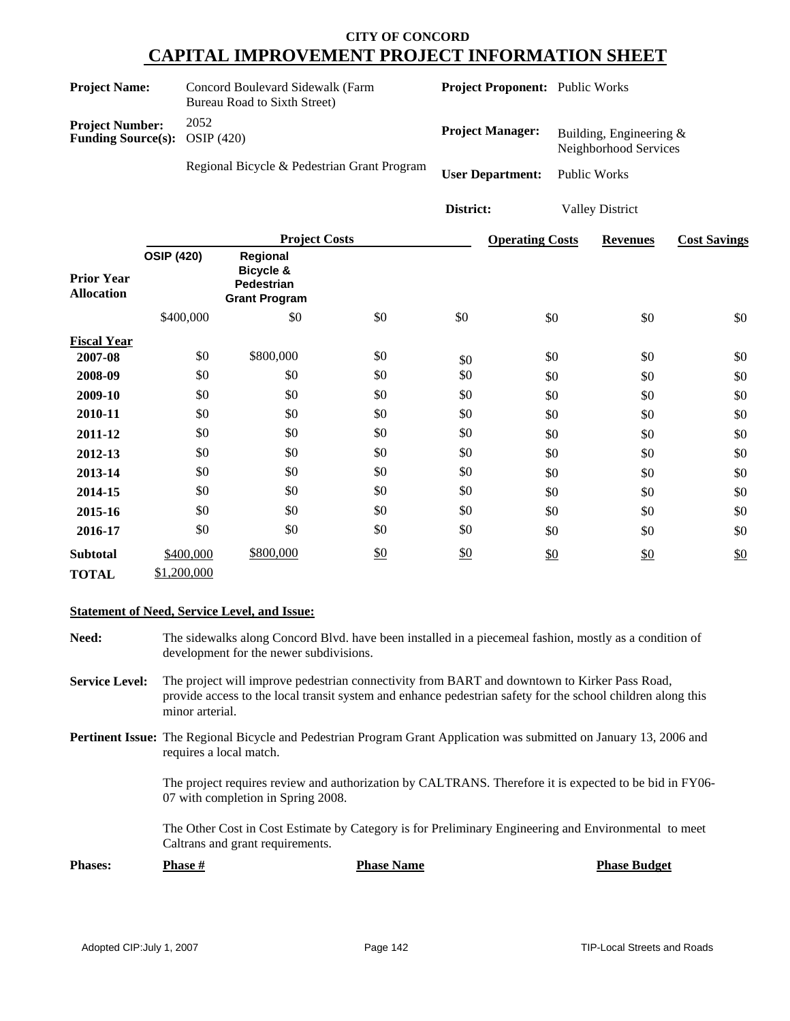|                                                     | Concord Boulevard Sidewalk (Farm<br><b>Project Name:</b><br><b>Bureau Road to Sixth Street)</b> |                                             |                                                                    | Project Proponent: Public Works |                         |                         |  |                                                  |                     |
|-----------------------------------------------------|-------------------------------------------------------------------------------------------------|---------------------------------------------|--------------------------------------------------------------------|---------------------------------|-------------------------|-------------------------|--|--------------------------------------------------|---------------------|
| <b>Project Number:</b><br><b>Funding Source(s):</b> |                                                                                                 | 2052<br><b>OSIP</b> (420)                   |                                                                    |                                 |                         | <b>Project Manager:</b> |  | Building, Engineering &<br>Neighborhood Services |                     |
|                                                     |                                                                                                 | Regional Bicycle & Pedestrian Grant Program |                                                                    |                                 | <b>User Department:</b> |                         |  | <b>Public Works</b>                              |                     |
|                                                     |                                                                                                 |                                             |                                                                    |                                 | District:               |                         |  | <b>Valley District</b>                           |                     |
|                                                     |                                                                                                 |                                             | <b>Project Costs</b>                                               |                                 |                         | <b>Operating Costs</b>  |  | <b>Revenues</b>                                  | <b>Cost Savings</b> |
| <b>Prior Year</b><br><b>Allocation</b>              | <b>OSIP (420)</b>                                                                               |                                             | Regional<br>Bicycle &<br><b>Pedestrian</b><br><b>Grant Program</b> |                                 |                         |                         |  |                                                  |                     |
|                                                     |                                                                                                 | \$400,000                                   | \$0                                                                | \$0                             | \$0                     | \$0                     |  | \$0                                              | \$0                 |
| <b>Fiscal Year</b>                                  |                                                                                                 |                                             |                                                                    |                                 |                         |                         |  |                                                  |                     |
| 2007-08                                             |                                                                                                 | \$0                                         | \$800,000                                                          | \$0                             | \$0                     | \$0                     |  | \$0                                              | \$0                 |
| 2008-09                                             |                                                                                                 | \$0                                         | \$0                                                                | \$0                             | \$0                     | \$0                     |  | \$0                                              | \$0                 |
| 2009-10                                             |                                                                                                 | \$0                                         | \$0                                                                | \$0                             | \$0                     | \$0                     |  | \$0                                              | \$0                 |
| 2010-11                                             |                                                                                                 | \$0                                         | \$0                                                                | \$0                             | \$0                     | \$0                     |  | \$0                                              | \$0                 |
| 2011-12                                             |                                                                                                 | \$0                                         | \$0                                                                | \$0                             | \$0                     | \$0                     |  | \$0                                              | \$0                 |
| 2012-13                                             |                                                                                                 | \$0                                         | \$0                                                                | \$0                             | \$0                     | \$0                     |  | \$0                                              | \$0                 |
| 2013-14                                             |                                                                                                 | \$0                                         | \$0                                                                | \$0                             | \$0                     | \$0                     |  | \$0                                              | \$0                 |
| 2014-15                                             |                                                                                                 | \$0                                         | \$0                                                                | \$0                             | \$0                     | \$0                     |  | \$0                                              | \$0                 |
| 2015-16                                             |                                                                                                 | \$0                                         | \$0                                                                | \$0                             | \$0                     | \$0                     |  | \$0                                              | \$0                 |
| 2016-17                                             |                                                                                                 | \$0                                         | \$0                                                                | \$0                             | \$0                     | \$0                     |  | \$0                                              | \$0                 |
| <b>Subtotal</b><br><b>TOTAL</b>                     |                                                                                                 | \$400,000<br>\$1,200,000                    | \$800,000                                                          | \$0                             | \$0                     | \$0                     |  | \$0                                              | \$0                 |

#### **Statement of Need, Service Level, and Issue:**

- **Need:** The sidewalks along Concord Blvd. have been installed in a piecemeal fashion, mostly as a condition of development for the newer subdivisions.
- **Service Level:** The project will improve pedestrian connectivity from BART and downtown to Kirker Pass Road, provide access to the local transit system and enhance pedestrian safety for the school children along this minor arterial.
- **Pertinent Issue:** The Regional Bicycle and Pedestrian Program Grant Application was submitted on January 13, 2006 and requires a local match.

The project requires review and authorization by CALTRANS. Therefore it is expected to be bid in FY06- 07 with completion in Spring 2008.

The Other Cost in Cost Estimate by Category is for Preliminary Engineering and Environmental to meet Caltrans and grant requirements.

**Phases: Phase # Phase Name Phase Name Phase Budget**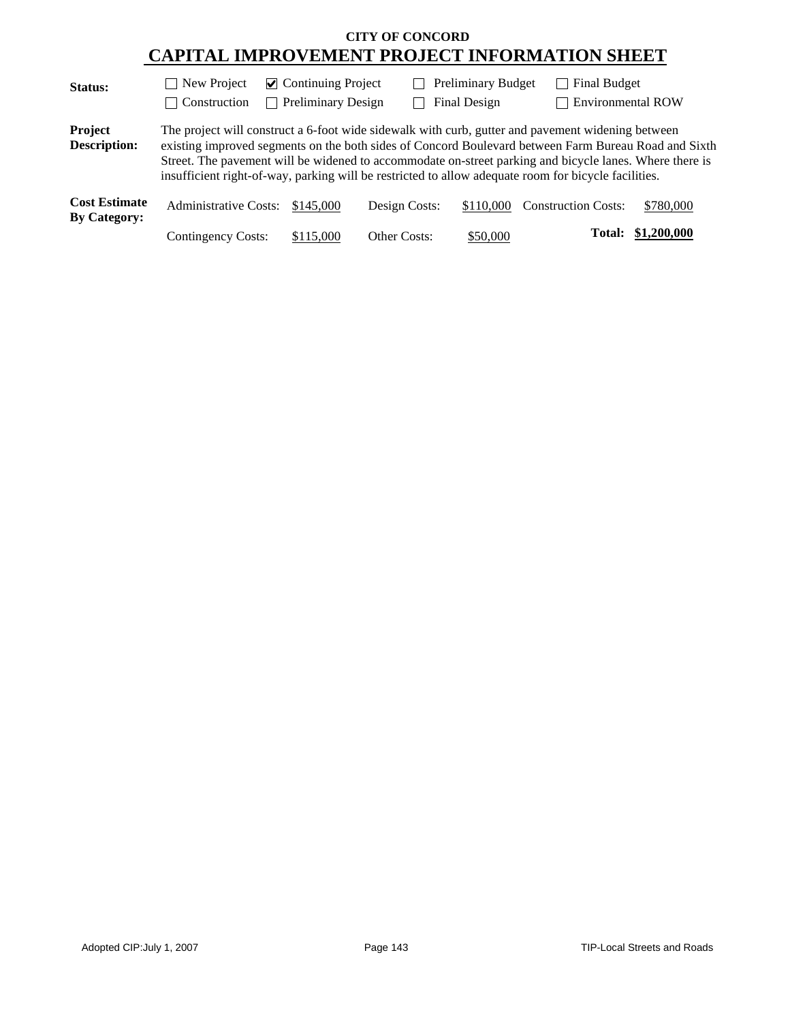| <b>Status:</b>                              | New Project<br>$\sim$ 1      | $\triangleright$ Continuing Project |               | <b>Preliminary Budget</b> | Final Budget                                                                                                                                                                                                                                                                                                                                                                                                                 |             |
|---------------------------------------------|------------------------------|-------------------------------------|---------------|---------------------------|------------------------------------------------------------------------------------------------------------------------------------------------------------------------------------------------------------------------------------------------------------------------------------------------------------------------------------------------------------------------------------------------------------------------------|-------------|
|                                             | Construction                 | <b>Preliminary Design</b>           |               | <b>Final Design</b>       | <b>Environmental ROW</b>                                                                                                                                                                                                                                                                                                                                                                                                     |             |
| Project<br><b>Description:</b>              |                              |                                     |               |                           | The project will construct a 6-foot wide sidewalk with curb, gutter and pavement widening between<br>existing improved segments on the both sides of Concord Boulevard between Farm Bureau Road and Sixth<br>Street. The pavement will be widened to accommodate on-street parking and bicycle lanes. Where there is<br>insufficient right-of-way, parking will be restricted to allow adequate room for bicycle facilities. |             |
| <b>Cost Estimate</b><br><b>By Category:</b> | <b>Administrative Costs:</b> | \$145,000                           | Design Costs: | \$110,000                 | <b>Construction Costs:</b>                                                                                                                                                                                                                                                                                                                                                                                                   | \$780,000   |
|                                             | Contingency Costs:           | \$115,000                           | Other Costs:  | \$50,000                  | <b>Total:</b>                                                                                                                                                                                                                                                                                                                                                                                                                | \$1,200,000 |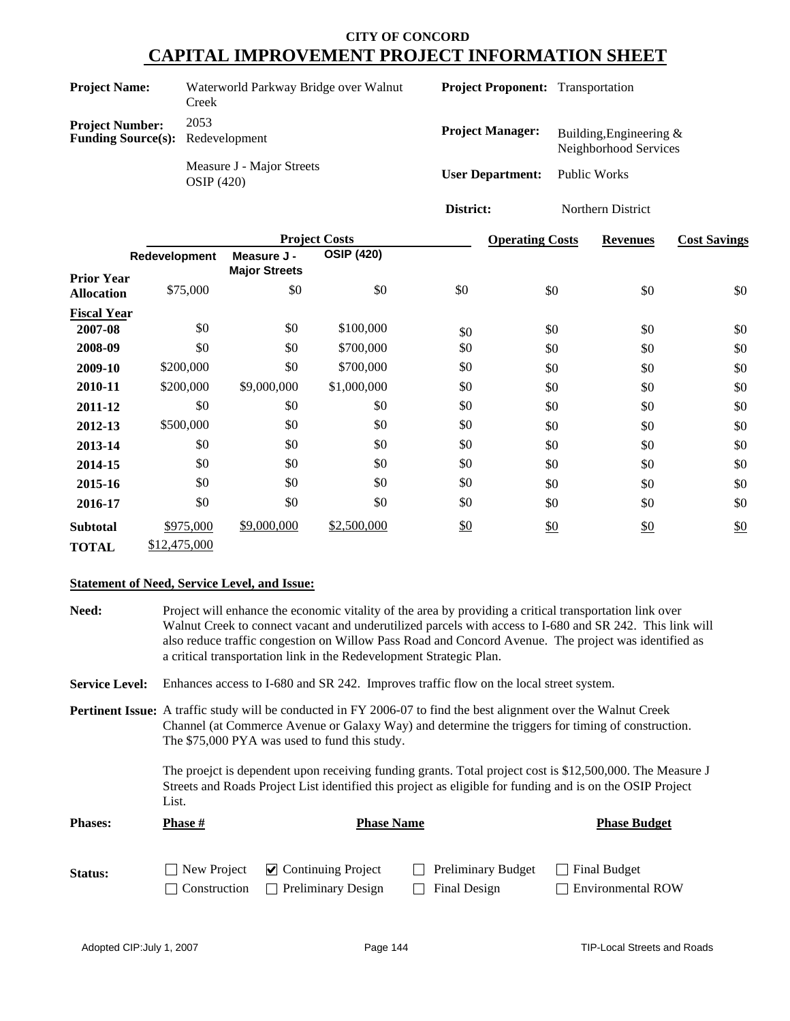| <b>Project Name:</b>                                              | Waterworld Parkway Bridge over Walnut<br>Creek | <b>Project Proponent:</b> Transportation |                                                    |
|-------------------------------------------------------------------|------------------------------------------------|------------------------------------------|----------------------------------------------------|
| <b>Project Number:</b><br><b>Funding Source(s):</b> Redevelopment | 2053                                           | <b>Project Manager:</b>                  | Building, Engineering $&$<br>Neighborhood Services |
|                                                                   | Measure J - Major Streets<br>OSIP(420)         | <b>User Department:</b>                  | Public Works                                       |
|                                                                   |                                                | District:                                | Northern District                                  |

|                                        |               | <b>Project Costs</b>                |                   |     | <b>Operating Costs</b> | <b>Revenues</b> | <b>Cost Savings</b> |  |
|----------------------------------------|---------------|-------------------------------------|-------------------|-----|------------------------|-----------------|---------------------|--|
|                                        | Redevelopment | Measure J -<br><b>Major Streets</b> | <b>OSIP (420)</b> |     |                        |                 |                     |  |
| <b>Prior Year</b><br><b>Allocation</b> | \$75,000      | \$0                                 | \$0               | \$0 | \$0                    | \$0             | \$0                 |  |
| <b>Fiscal Year</b>                     |               |                                     |                   |     |                        |                 |                     |  |
| 2007-08                                | \$0           | \$0                                 | \$100,000         | \$0 | \$0                    | \$0             | \$0                 |  |
| 2008-09                                | \$0           | \$0                                 | \$700,000         | \$0 | \$0                    | \$0             | \$0                 |  |
| 2009-10                                | \$200,000     | \$0                                 | \$700,000         | \$0 | \$0                    | \$0             | \$0                 |  |
| 2010-11                                | \$200,000     | \$9,000,000                         | \$1,000,000       | \$0 | \$0                    | \$0             | \$0                 |  |
| 2011-12                                | \$0           | \$0                                 | \$0               | \$0 | \$0                    | \$0             | \$0                 |  |
| 2012-13                                | \$500,000     | \$0                                 | \$0               | \$0 | \$0                    | \$0             | \$0                 |  |
| 2013-14                                | \$0           | \$0                                 | \$0               | \$0 | \$0                    | \$0             | \$0                 |  |
| 2014-15                                | \$0           | \$0                                 | \$0               | \$0 | \$0                    | \$0             | \$0                 |  |
| 2015-16                                | \$0           | \$0                                 | \$0               | \$0 | \$0                    | \$0             | \$0                 |  |
| 2016-17                                | \$0           | \$0                                 | \$0               | \$0 | \$0                    | \$0             | \$0                 |  |
| <b>Subtotal</b>                        | \$975,000     | \$9,000,000                         | \$2,500,000       | \$0 | \$0                    | $\frac{$0}{}$   | \$0                 |  |
| <b>TOTAL</b>                           | \$12,475,000  |                                     |                   |     |                        |                 |                     |  |

#### **Statement of Need, Service Level, and Issue:**

| Need:                 | Project will enhance the economic vitality of the area by providing a critical transportation link over<br>Walnut Creek to connect vacant and underutilized parcels with access to I-680 and SR 242. This link will<br>also reduce traffic congestion on Willow Pass Road and Concord Avenue. The project was identified as<br>a critical transportation link in the Redevelopment Strategic Plan.                                                                                                                |                                                        |                                    |                                          |
|-----------------------|-------------------------------------------------------------------------------------------------------------------------------------------------------------------------------------------------------------------------------------------------------------------------------------------------------------------------------------------------------------------------------------------------------------------------------------------------------------------------------------------------------------------|--------------------------------------------------------|------------------------------------|------------------------------------------|
| <b>Service Level:</b> | Enhances access to I-680 and SR 242. Improves traffic flow on the local street system.                                                                                                                                                                                                                                                                                                                                                                                                                            |                                                        |                                    |                                          |
|                       | <b>Pertinent Issue:</b> A traffic study will be conducted in FY 2006-07 to find the best alignment over the Walnut Creek<br>Channel (at Commerce Avenue or Galaxy Way) and determine the triggers for timing of construction.<br>The \$75,000 PYA was used to fund this study.<br>The proejct is dependent upon receiving funding grants. Total project cost is \$12,500,000. The Measure J<br>Streets and Roads Project List identified this project as eligible for funding and is on the OSIP Project<br>List. |                                                        |                                    |                                          |
| <b>Phases:</b>        | <b>Phase</b> #                                                                                                                                                                                                                                                                                                                                                                                                                                                                                                    | <b>Phase Name</b>                                      |                                    | <b>Phase Budget</b>                      |
| Status:               | New Project<br>Construction                                                                                                                                                                                                                                                                                                                                                                                                                                                                                       | $\vee$ Continuing Project<br><b>Preliminary Design</b> | Preliminary Budget<br>Final Design | Final Budget<br><b>Environmental ROW</b> |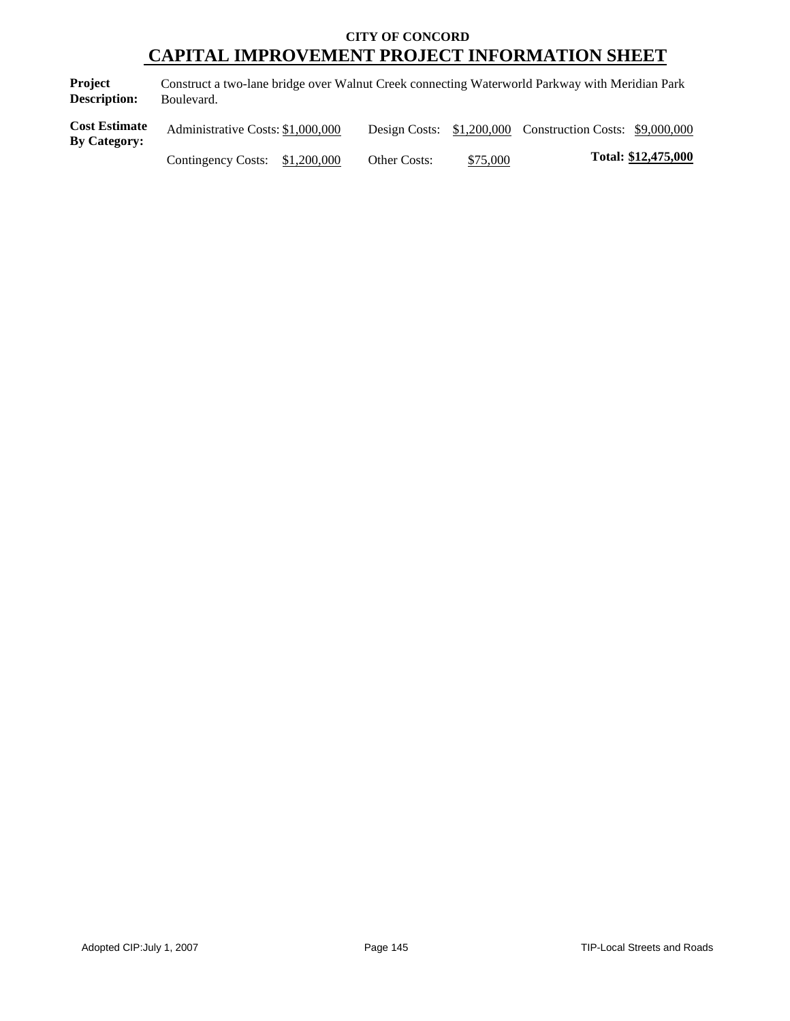**Project Description:** Construct a two-lane bridge over Walnut Creek connecting Waterworld Parkway with Meridian Park Boulevard.

| <b>Cost Estimate</b><br><b>By Category:</b> | Administrative Costs: \$1,000,000 |              |          | Design Costs: \$1,200,000 Construction Costs: \$9,000,000 |                     |
|---------------------------------------------|-----------------------------------|--------------|----------|-----------------------------------------------------------|---------------------|
|                                             | Contingency Costs: $$1,200,000$   | Other Costs: | \$75,000 |                                                           | Total: \$12,475,000 |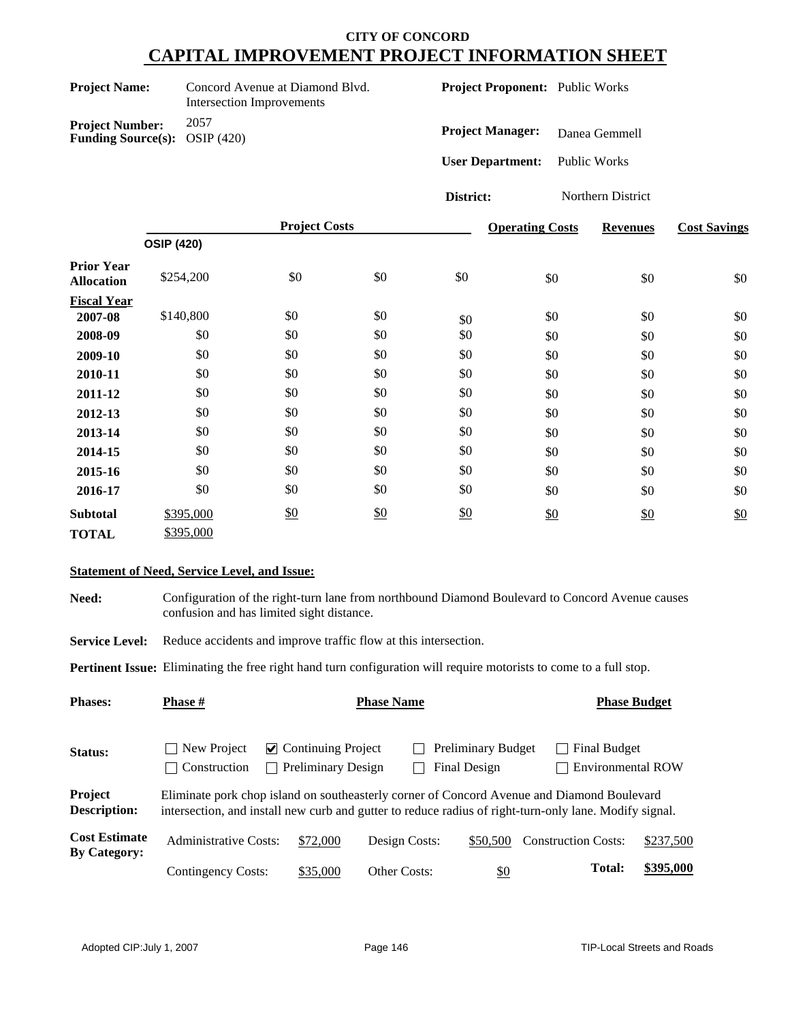| <b>Project Name:</b> |  |
|----------------------|--|
|----------------------|--|

**Project Number:** 2057 **Funding Source(s):** OSIP (420)

**Concord Avenue at Diamond Blvd.** Intersection Improvements

**Project Proponent:** Public Works

**Project Manager:** Danea Gemmell

**User Department:** Public Works

**District:** Northern District

|                                        | <b>Project Costs</b> |     |               | <b>Operating Costs</b> | <b>Revenues</b> | <b>Cost Savings</b> |     |
|----------------------------------------|----------------------|-----|---------------|------------------------|-----------------|---------------------|-----|
|                                        | <b>OSIP (420)</b>    |     |               |                        |                 |                     |     |
| <b>Prior Year</b><br><b>Allocation</b> | \$254,200            | \$0 | \$0           | \$0                    | \$0             | \$0                 | \$0 |
| <b>Fiscal Year</b>                     |                      |     |               |                        |                 |                     |     |
| 2007-08                                | \$140,800            | \$0 | \$0           | \$0                    | \$0             | \$0                 | \$0 |
| 2008-09                                | \$0                  | \$0 | \$0           | \$0                    | \$0             | \$0                 | \$0 |
| 2009-10                                | \$0                  | \$0 | \$0           | \$0                    | \$0             | \$0                 | \$0 |
| 2010-11                                | \$0                  | \$0 | \$0           | \$0                    | \$0             | \$0                 | \$0 |
| 2011-12                                | \$0                  | \$0 | \$0           | \$0                    | \$0             | \$0                 | \$0 |
| 2012-13                                | \$0                  | \$0 | \$0           | \$0                    | \$0             | \$0                 | \$0 |
| 2013-14                                | \$0                  | \$0 | \$0           | \$0                    | \$0             | \$0                 | \$0 |
| 2014-15                                | \$0                  | \$0 | \$0           | \$0                    | \$0             | \$0                 | \$0 |
| 2015-16                                | \$0                  | \$0 | \$0           | \$0                    | \$0             | \$0                 | \$0 |
| 2016-17                                | \$0                  | \$0 | \$0           | \$0                    | \$0             | \$0                 | \$0 |
| <b>Subtotal</b>                        | \$395,000            | \$0 | $\frac{$0}{}$ | \$0                    | \$0             | \$0                 | \$0 |
| <b>TOTAL</b>                           | \$395,000            |     |               |                        |                 |                     |     |

#### **Statement of Need, Service Level, and Issue:**

**Need:** Configuration of the right-turn lane from northbound Diamond Boulevard to Concord Avenue causes confusion and has limited sight distance.

**Service Level:** Reduce accidents and improve traffic flow at this intersection.

**Pertinent Issue:** Eliminating the free right hand turn configuration will require motorists to come to a full stop.

| <b>Phases:</b>                              | <b>Phase</b> #              | <b>Phase Name</b>                                                                                                                                                                                    |                     |                                           |                                          | <b>Phase Budget</b> |  |  |
|---------------------------------------------|-----------------------------|------------------------------------------------------------------------------------------------------------------------------------------------------------------------------------------------------|---------------------|-------------------------------------------|------------------------------------------|---------------------|--|--|
| Status:                                     | New Project<br>Construction | $\vee$ Continuing Project<br><b>Preliminary Design</b><br>$\sim$                                                                                                                                     |                     | <b>Preliminary Budget</b><br>Final Design | Final Budget<br><b>Environmental ROW</b> |                     |  |  |
| Project<br><b>Description:</b>              |                             | Eliminate pork chop island on southeasterly corner of Concord Avenue and Diamond Boulevard<br>intersection, and install new curb and gutter to reduce radius of right-turn-only lane. Modify signal. |                     |                                           |                                          |                     |  |  |
| <b>Cost Estimate</b><br><b>By Category:</b> | Administrative Costs:       | \$72,000                                                                                                                                                                                             | Design Costs:       | \$50,500                                  | <b>Construction Costs:</b>               | \$237,500           |  |  |
|                                             | <b>Contingency Costs:</b>   | \$35,000                                                                                                                                                                                             | <b>Other Costs:</b> | \$0                                       | <b>Total:</b>                            | \$395,000           |  |  |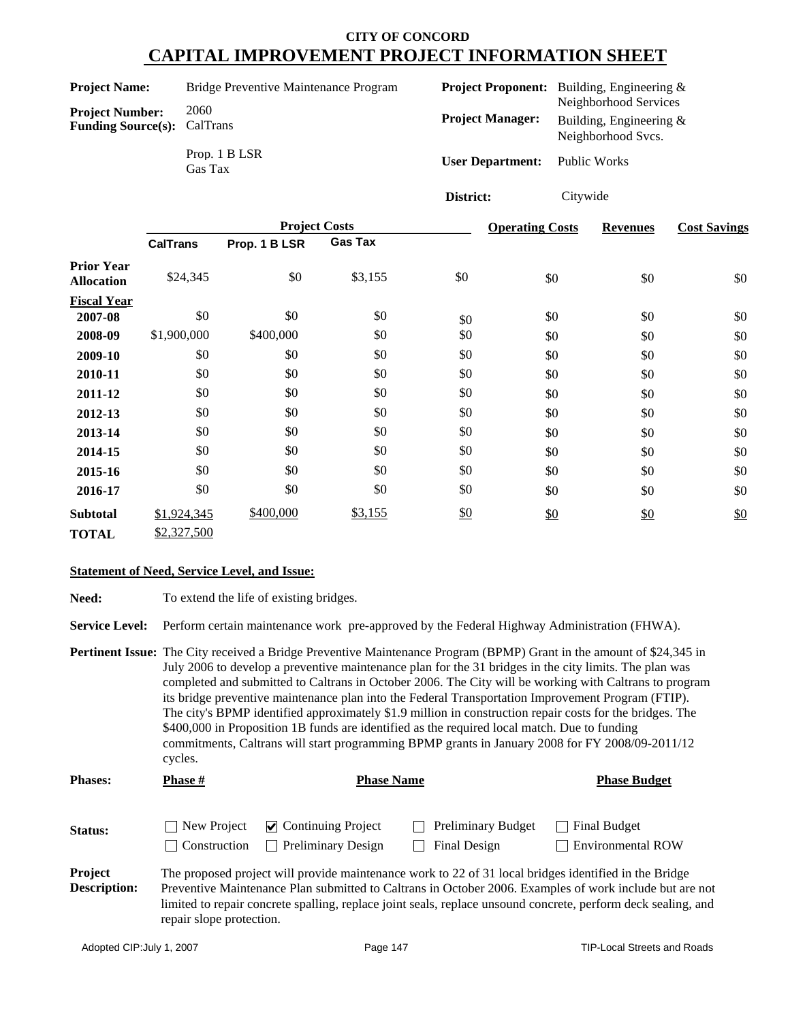|                                                              |                          | <b>Project Costs</b>                  | <b>Operating Costs</b>    |              | <b>Revenues</b>                                     | C) |
|--------------------------------------------------------------|--------------------------|---------------------------------------|---------------------------|--------------|-----------------------------------------------------|----|
|                                                              |                          |                                       | District:                 | Citywide     |                                                     |    |
|                                                              | Prop. 1 B LSR<br>Gas Tax |                                       | <b>User Department:</b>   | Public Works |                                                     |    |
| <b>Project Number:</b><br><b>Funding Source(s):</b> CalTrans |                          |                                       | <b>Project Manager:</b>   |              | Building, Engineering $&$<br>Neighborhood Svcs.     |    |
| <b>Project Name:</b>                                         | 2060                     | Bridge Preventive Maintenance Program | <b>Project Proponent:</b> |              | Building, Engineering $\&$<br>Neighborhood Services |    |
|                                                              |                          |                                       |                           |              |                                                     |    |

|                                        | <b>CalTrans</b> | Prop. 1 B LSR | <b>Gas Tax</b> |     |     |               |     |
|----------------------------------------|-----------------|---------------|----------------|-----|-----|---------------|-----|
| <b>Prior Year</b><br><b>Allocation</b> | \$24,345        | \$0           | \$3,155        | \$0 | \$0 | \$0           | \$0 |
| <b>Fiscal Year</b>                     |                 |               |                |     |     |               |     |
| 2007-08                                | \$0             | \$0           | \$0            | \$0 | \$0 | \$0           | \$0 |
| 2008-09                                | \$1,900,000     | \$400,000     | \$0            | \$0 | \$0 | \$0           | \$0 |
| 2009-10                                | \$0             | \$0           | \$0            | \$0 | \$0 | \$0           | \$0 |
| 2010-11                                | \$0             | \$0           | \$0            | \$0 | \$0 | \$0           | \$0 |
| 2011-12                                | \$0             | \$0           | \$0            | \$0 | \$0 | \$0           | \$0 |
| 2012-13                                | \$0             | \$0           | \$0            | \$0 | \$0 | \$0           | \$0 |
| 2013-14                                | \$0             | \$0           | \$0            | \$0 | \$0 | \$0           | \$0 |
| 2014-15                                | \$0             | \$0           | \$0            | \$0 | \$0 | \$0           | \$0 |
| 2015-16                                | \$0             | \$0           | \$0            | \$0 | \$0 | \$0           | \$0 |
| 2016-17                                | \$0             | \$0           | \$0            | \$0 | \$0 | \$0           | \$0 |
| <b>Subtotal</b>                        | \$1,924,345     | \$400,000     | \$3,155        | \$0 | \$0 | $\frac{$0}{}$ | \$0 |
| <b>TOTAL</b>                           | \$2,327,500     |               |                |     |     |               |     |

#### **Statement of Need, Service Level, and Issue:**

| <b>Need:</b> | To extend the life of existing bridges. |
|--------------|-----------------------------------------|
|--------------|-----------------------------------------|

**Service Level:** Perform certain maintenance work pre-approved by the Federal Highway Administration (FHWA).

|                | Pertinent Issue: The City received a Bridge Preventive Maintenance Program (BPMP) Grant in the amount of \$24,345 in<br>July 2006 to develop a preventive maintenance plan for the 31 bridges in the city limits. The plan was<br>completed and submitted to Caltrans in October 2006. The City will be working with Caltrans to program<br>its bridge preventive maintenance plan into the Federal Transportation Improvement Program (FTIP).<br>The city's BPMP identified approximately \$1.9 million in construction repair costs for the bridges. The<br>\$400,000 in Proposition 1B funds are identified as the required local match. Due to funding<br>commitments, Caltrans will start programming BPMP grants in January 2008 for FY 2008/09-2011/12<br>cycles. |                   |                     |  |  |
|----------------|--------------------------------------------------------------------------------------------------------------------------------------------------------------------------------------------------------------------------------------------------------------------------------------------------------------------------------------------------------------------------------------------------------------------------------------------------------------------------------------------------------------------------------------------------------------------------------------------------------------------------------------------------------------------------------------------------------------------------------------------------------------------------|-------------------|---------------------|--|--|
| <b>Phases:</b> | <b>Phase</b> #                                                                                                                                                                                                                                                                                                                                                                                                                                                                                                                                                                                                                                                                                                                                                           | <b>Phase Name</b> | <b>Phase Budget</b> |  |  |

| Status:             | $\Box$ New Project | $\triangledown$ Continuing Project | $\Box$ Preliminary Budget                                                                             | $\Box$ Final Budget                                                                                     |
|---------------------|--------------------|------------------------------------|-------------------------------------------------------------------------------------------------------|---------------------------------------------------------------------------------------------------------|
|                     |                    | Construction Preliminary Design    | Final Design                                                                                          | $\Box$ Environmental ROW                                                                                |
| <b>Project</b>      |                    |                                    | The proposed project will provide maintenance work to 22 of 31 local bridges identified in the Bridge |                                                                                                         |
| <b>Description:</b> |                    |                                    |                                                                                                       | Preventive Maintenance Plan submitted to Caltrans in October 2006. Examples of work include but are not |

limited to repair concrete spalling, replace joint seals, replace unsound concrete, perform deck sealing, and repair slope protection.

**Cost Savings**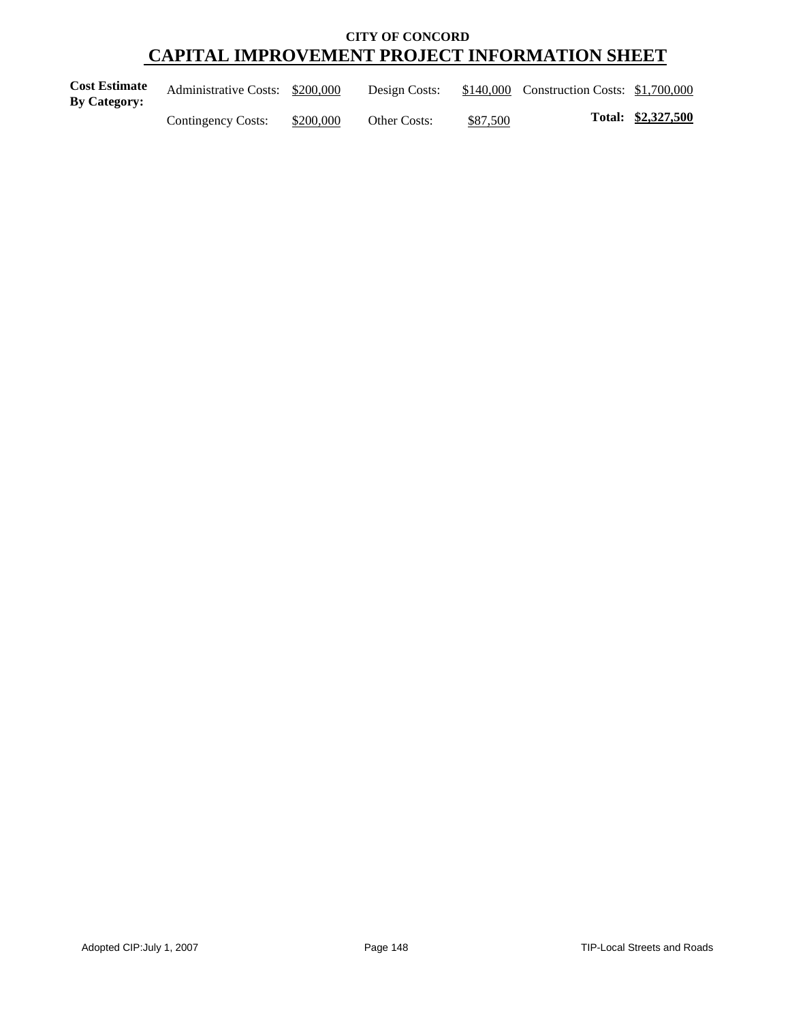| <b>Cost Estimate</b><br><b>By Category:</b> | Administrative Costs: \$200,000 |           | Design Costs:       |          | \$140,000 Construction Costs: \$1,700,000 |                    |
|---------------------------------------------|---------------------------------|-----------|---------------------|----------|-------------------------------------------|--------------------|
|                                             | Contingency Costs:              | \$200,000 | <b>Other Costs:</b> | \$87,500 |                                           | Total: \$2,327,500 |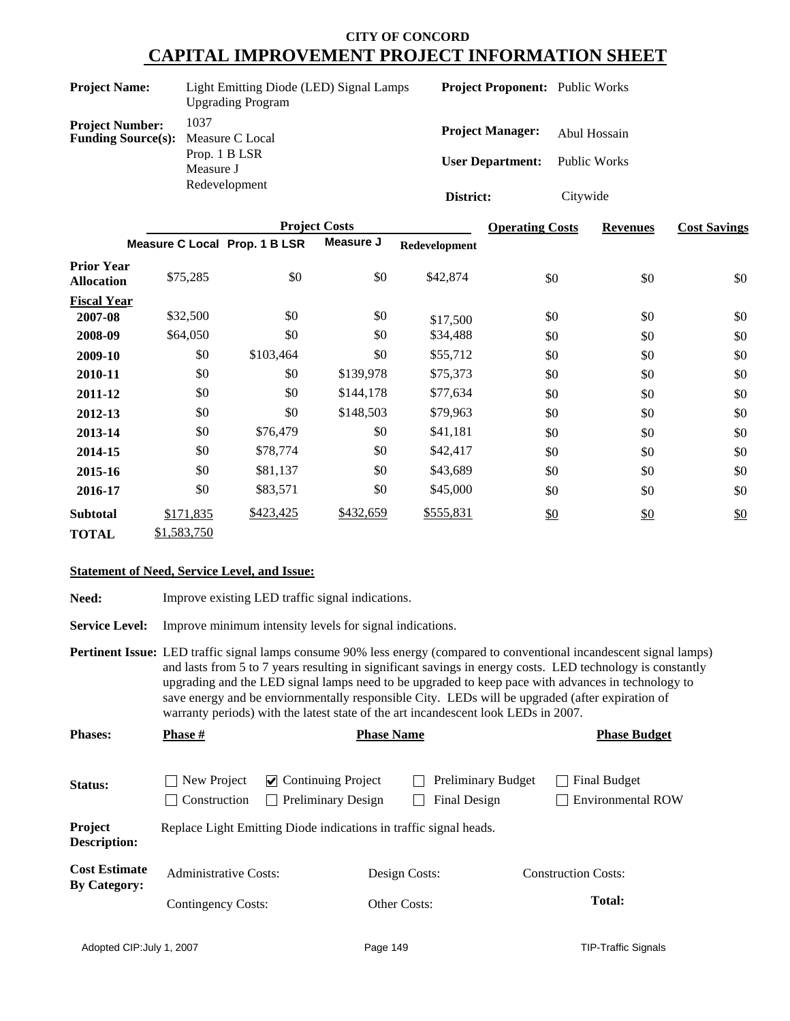| <b>Project Name:</b>                                                | Light Emitting Diode (LED) Signal Lamps<br><b>Upgrading Program</b> | <b>Project Proponent:</b> Public Works             |                              |
|---------------------------------------------------------------------|---------------------------------------------------------------------|----------------------------------------------------|------------------------------|
| <b>Project Number:</b><br><b>Funding Source(s):</b> Measure C Local | 1037<br>Prop. 1 B LSR                                               | <b>Project Manager:</b><br><b>User Department:</b> | Abul Hossain<br>Public Works |
|                                                                     | Measure J<br>Redevelopment                                          | District:                                          | Citywide                     |

|                                        |                               | <b>Project Costs</b> | <b>Operating Costs</b> | <b>Revenues</b> | <b>Cost Savings</b> |               |     |
|----------------------------------------|-------------------------------|----------------------|------------------------|-----------------|---------------------|---------------|-----|
|                                        | Measure C Local Prop. 1 B LSR |                      | Measure J              | Redevelopment   |                     |               |     |
| <b>Prior Year</b><br><b>Allocation</b> | \$75,285                      | \$0                  | \$0                    | \$42,874        | \$0                 | \$0           | \$0 |
| <b>Fiscal Year</b>                     |                               |                      |                        |                 |                     |               |     |
| 2007-08                                | \$32,500                      | \$0                  | \$0                    | \$17,500        | \$0                 | \$0           | \$0 |
| 2008-09                                | \$64,050                      | \$0                  | \$0                    | \$34,488        | \$0                 | \$0           | \$0 |
| 2009-10                                | \$0                           | \$103,464            | \$0                    | \$55,712        | \$0                 | \$0           | \$0 |
| 2010-11                                | \$0                           | \$0                  | \$139,978              | \$75,373        | \$0                 | \$0           | \$0 |
| 2011-12                                | \$0                           | \$0                  | \$144,178              | \$77,634        | \$0                 | \$0           | \$0 |
| 2012-13                                | \$0                           | \$0                  | \$148,503              | \$79,963        | \$0                 | \$0           | \$0 |
| 2013-14                                | \$0                           | \$76,479             | \$0                    | \$41,181        | \$0                 | \$0           | \$0 |
| 2014-15                                | \$0                           | \$78,774             | \$0                    | \$42,417        | \$0                 | \$0           | \$0 |
| 2015-16                                | \$0                           | \$81,137             | \$0                    | \$43,689        | \$0                 | \$0           | \$0 |
| 2016-17                                | \$0                           | \$83,571             | \$0                    | \$45,000        | \$0                 | \$0           | \$0 |
| <b>Subtotal</b>                        | \$171,835                     | \$423,425            | \$432,659              | \$555,831       | \$0                 | $\frac{$0}{}$ | \$0 |
| <b>TOTAL</b>                           | \$1,583,750                   |                      |                        |                 |                     |               |     |

### **Statement of Need, Service Level, and Issue:**

| Need:                                       | Improve existing LED traffic signal indications.                                                                                                                                                                                                                                                                                                                                                                                                                                                                                           |                                                                  |                   |                                           |                     |                                          |  |
|---------------------------------------------|--------------------------------------------------------------------------------------------------------------------------------------------------------------------------------------------------------------------------------------------------------------------------------------------------------------------------------------------------------------------------------------------------------------------------------------------------------------------------------------------------------------------------------------------|------------------------------------------------------------------|-------------------|-------------------------------------------|---------------------|------------------------------------------|--|
| <b>Service Level:</b>                       |                                                                                                                                                                                                                                                                                                                                                                                                                                                                                                                                            | Improve minimum intensity levels for signal indications.         |                   |                                           |                     |                                          |  |
|                                             | <b>Pertinent Issue:</b> LED traffic signal lamps consume 90% less energy (compared to conventional incandescent signal lamps)<br>and lasts from 5 to 7 years resulting in significant savings in energy costs. LED technology is constantly<br>upgrading and the LED signal lamps need to be upgraded to keep pace with advances in technology to<br>save energy and be enviormmentally responsible City. LEDs will be upgraded (after expiration of<br>warranty periods) with the latest state of the art incandescent look LEDs in 2007. |                                                                  |                   |                                           |                     |                                          |  |
| <b>Phases:</b>                              | <b>Phase</b> #                                                                                                                                                                                                                                                                                                                                                                                                                                                                                                                             |                                                                  | <b>Phase Name</b> |                                           | <b>Phase Budget</b> |                                          |  |
| Status:                                     | New Project<br>Construction                                                                                                                                                                                                                                                                                                                                                                                                                                                                                                                | $\triangleright$ Continuing Project<br>$\Box$ Preliminary Design |                   | <b>Preliminary Budget</b><br>Final Design |                     | Final Budget<br><b>Environmental ROW</b> |  |
| Project<br>Description:                     | Replace Light Emitting Diode indications in traffic signal heads.                                                                                                                                                                                                                                                                                                                                                                                                                                                                          |                                                                  |                   |                                           |                     |                                          |  |
| <b>Cost Estimate</b><br><b>By Category:</b> | <b>Administrative Costs:</b>                                                                                                                                                                                                                                                                                                                                                                                                                                                                                                               |                                                                  | Design Costs:     |                                           |                     | <b>Construction Costs:</b>               |  |
|                                             | Contingency Costs:                                                                                                                                                                                                                                                                                                                                                                                                                                                                                                                         |                                                                  | Other Costs:      |                                           |                     | <b>Total:</b>                            |  |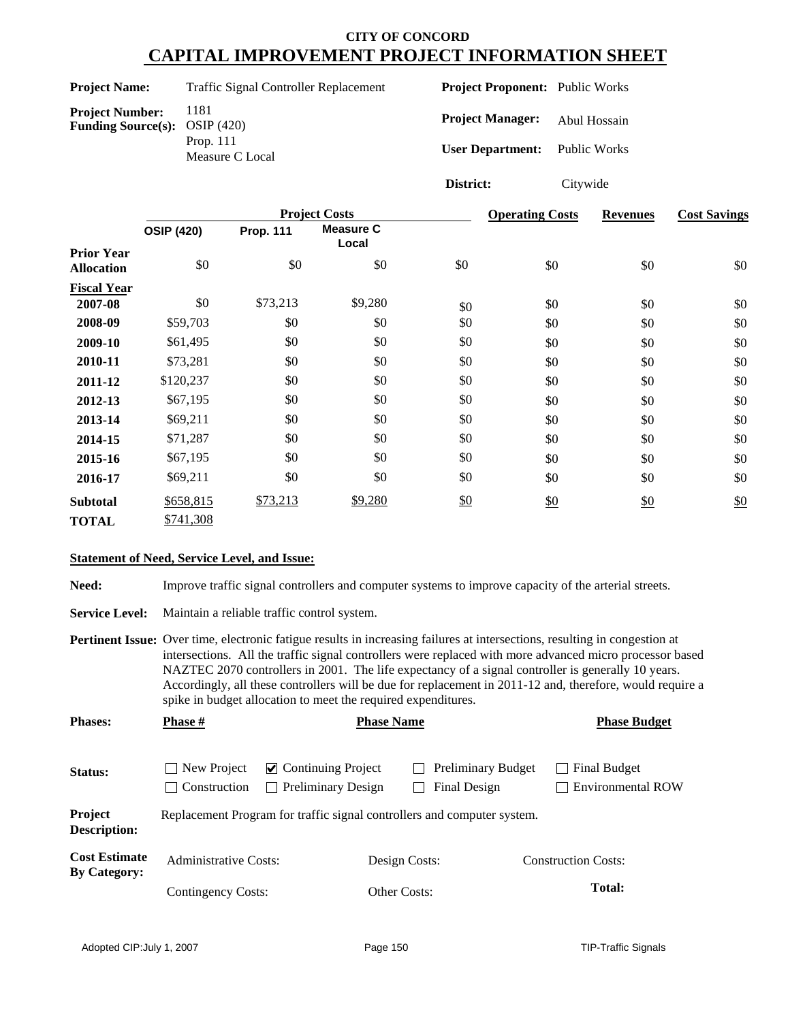| <b>Project Name:</b>                                             | <b>Traffic Signal Controller Replacement</b> | <b>Project Proponent:</b> Public Works                          |              |
|------------------------------------------------------------------|----------------------------------------------|-----------------------------------------------------------------|--------------|
| <b>Project Number:</b><br><b>Funding Source(s):</b> OSIP $(420)$ | 1181<br>Prop. $111$<br>Measure C Local       | <b>Project Manager:</b><br><b>User Department:</b> Public Works | Abul Hossain |
|                                                                  |                                              | District:                                                       | Citywide     |

|                                        | <b>Project Costs</b> |                  |                           |     | <b>Operating Costs</b> | <b>Revenues</b> | <b>Cost Savings</b> |
|----------------------------------------|----------------------|------------------|---------------------------|-----|------------------------|-----------------|---------------------|
|                                        | <b>OSIP (420)</b>    | <b>Prop. 111</b> | <b>Measure C</b><br>Local |     |                        |                 |                     |
| <b>Prior Year</b><br><b>Allocation</b> | \$0                  | \$0              | \$0                       | \$0 | \$0                    | \$0             | \$0                 |
| <b>Fiscal Year</b>                     |                      |                  |                           |     |                        |                 |                     |
| 2007-08                                | \$0                  | \$73,213         | \$9,280                   | \$0 | \$0                    | \$0             | \$0                 |
| 2008-09                                | \$59,703             | \$0              | \$0                       | \$0 | \$0                    | \$0             | \$0                 |
| 2009-10                                | \$61,495             | \$0              | \$0                       | \$0 | \$0                    | \$0             | \$0                 |
| 2010-11                                | \$73,281             | \$0              | \$0                       | \$0 | \$0                    | \$0             | \$0                 |
| 2011-12                                | \$120,237            | \$0              | \$0                       | \$0 | \$0                    | \$0             | \$0                 |
| 2012-13                                | \$67,195             | \$0              | \$0                       | \$0 | \$0                    | \$0             | \$0                 |
| 2013-14                                | \$69,211             | \$0              | \$0                       | \$0 | \$0                    | \$0             | \$0                 |
| 2014-15                                | \$71,287             | \$0              | \$0                       | \$0 | \$0                    | \$0             | \$0                 |
| 2015-16                                | \$67,195             | \$0              | \$0                       | \$0 | \$0                    | \$0             | \$0                 |
| 2016-17                                | \$69,211             | \$0              | \$0                       | \$0 | \$0                    | \$0             | \$0                 |
| <b>Subtotal</b>                        | \$658,815            | \$73,213         | \$9,280                   | \$0 | \$0                    | \$0             | \$0                 |
| <b>TOTAL</b>                           | \$741,308            |                  |                           |     |                        |                 |                     |

#### **Statement of Need, Service Level, and Issue:**

Need: Improve traffic signal controllers and computer systems to improve capacity of the arterial streets.

**Service Level:** Maintain a reliable traffic control system.

**Pertinent Issue:** Over time, electronic fatigue results in increasing failures at intersections, resulting in congestion at intersections. All the traffic signal controllers were replaced with more advanced micro processor based NAZTEC 2070 controllers in 2001. The life expectancy of a signal controller is generally 10 years. Accordingly, all these controllers will be due for replacement in 2011-12 and, therefore, would require a spike in budget allocation to meet the required expenditures.

| <b>Phases:</b>                              | Phase #                      | <b>Phase Name</b>                                                        |               | <b>Phase Budget</b>                       |                                          |  |  |  |  |
|---------------------------------------------|------------------------------|--------------------------------------------------------------------------|---------------|-------------------------------------------|------------------------------------------|--|--|--|--|
| <b>Status:</b>                              | New Project<br>Construction  | $\vee$ Continuing Project<br><b>Preliminary Design</b><br>$\blacksquare$ |               | <b>Preliminary Budget</b><br>Final Design | Final Budget<br><b>Environmental ROW</b> |  |  |  |  |
| Project<br><b>Description:</b>              |                              | Replacement Program for traffic signal controllers and computer system.  |               |                                           |                                          |  |  |  |  |
| <b>Cost Estimate</b><br><b>By Category:</b> | <b>Administrative Costs:</b> |                                                                          | Design Costs: |                                           | <b>Construction Costs:</b>               |  |  |  |  |
|                                             | Contingency Costs:           |                                                                          | Other Costs:  |                                           | <b>Total:</b>                            |  |  |  |  |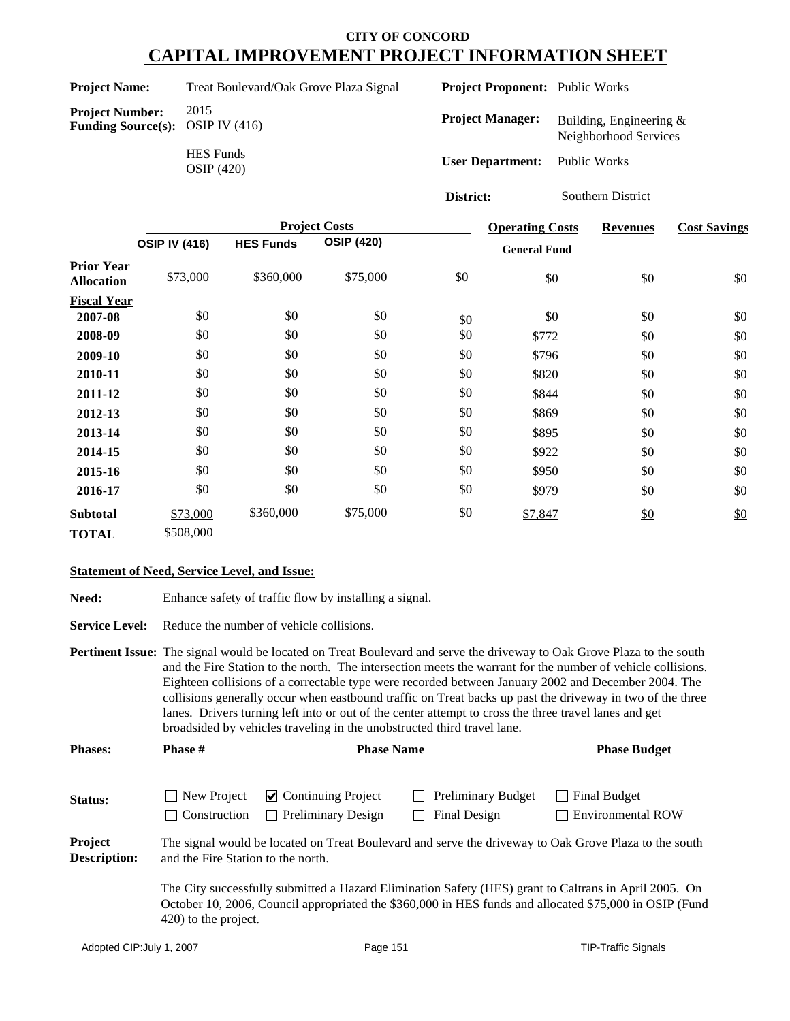Project Name: Treat Boulevard/Oak Grove Plaza Signal

**Project Number:** 2015<br>**Funding Source(s):** OSIP IV (416) **Funding Source(s):** 

HES Funds OSIP (420) **Project Proponent:** Public Works

**Project Manager:** Building, Engineering & Neighborhood Services

**User Department:** Public Works

**District:** Southern District

|                                        |                      |                  | <b>Project Costs</b> |     | <b>Operating Costs</b> | <b>Revenues</b> | <b>Cost Savings</b> |
|----------------------------------------|----------------------|------------------|----------------------|-----|------------------------|-----------------|---------------------|
|                                        | <b>OSIP IV (416)</b> | <b>HES Funds</b> | <b>OSIP (420)</b>    |     | <b>General Fund</b>    |                 |                     |
| <b>Prior Year</b><br><b>Allocation</b> | \$73,000             | \$360,000        | \$75,000             | \$0 | \$0                    | \$0             | \$0                 |
| <b>Fiscal Year</b>                     |                      |                  |                      |     |                        |                 |                     |
| 2007-08                                | \$0                  | \$0              | \$0                  | \$0 | \$0                    | \$0             | \$0                 |
| 2008-09                                | \$0                  | \$0              | \$0                  | \$0 | \$772                  | \$0             | \$0                 |
| 2009-10                                | \$0                  | \$0              | \$0                  | \$0 | \$796                  | \$0             | \$0                 |
| 2010-11                                | \$0                  | \$0              | \$0                  | \$0 | \$820                  | \$0             | \$0                 |
| 2011-12                                | \$0                  | \$0              | \$0                  | \$0 | \$844                  | \$0             | \$0                 |
| 2012-13                                | \$0                  | \$0              | \$0                  | \$0 | \$869                  | \$0             | \$0                 |
| 2013-14                                | \$0                  | \$0              | \$0                  | \$0 | \$895                  | \$0             | \$0                 |
| 2014-15                                | \$0                  | \$0              | \$0                  | \$0 | \$922                  | \$0             | \$0                 |
| 2015-16                                | \$0                  | \$0              | \$0                  | \$0 | \$950                  | \$0             | \$0                 |
| 2016-17                                | \$0                  | \$0              | \$0                  | \$0 | \$979                  | \$0             | \$0                 |
| <b>Subtotal</b>                        | \$73,000             | \$360,000        | \$75,000             | \$0 | \$7,847                | \$0             | \$0                 |
| <b>TOTAL</b>                           | \$508,000            |                  |                      |     |                        |                 |                     |

#### **Statement of Need, Service Level, and Issue:**

Need: Enhance safety of traffic flow by installing a signal.

**Service Level:** Reduce the number of vehicle collisions.

**Pertinent Issue:** The signal would be located on Treat Boulevard and serve the driveway to Oak Grove Plaza to the south and the Fire Station to the north. The intersection meets the warrant for the number of vehicle collisions. Eighteen collisions of a correctable type were recorded between January 2002 and December 2004. The collisions generally occur when eastbound traffic on Treat backs up past the driveway in two of the three lanes. Drivers turning left into or out of the center attempt to cross the three travel lanes and get broadsided by vehicles traveling in the unobstructed third travel lane.

| <b>Phases:</b>                 | <b>Phase #</b>                     | <b>Phase Name</b>                                                | <b>Phase Budget</b>                       |                                                                                                       |
|--------------------------------|------------------------------------|------------------------------------------------------------------|-------------------------------------------|-------------------------------------------------------------------------------------------------------|
| Status:                        | New Project<br><b>Construction</b> | $\triangleright$ Continuing Project<br><b>Preliminary Design</b> | <b>Preliminary Budget</b><br>Final Design | Final Budget<br><b>Environmental ROW</b>                                                              |
| Project<br><b>Description:</b> | and the Fire Station to the north. |                                                                  |                                           | The signal would be located on Treat Boulevard and serve the driveway to Oak Grove Plaza to the south |

The City successfully submitted a Hazard Elimination Safety (HES) grant to Caltrans in April 2005. On October 10, 2006, Council appropriated the \$360,000 in HES funds and allocated \$75,000 in OSIP (Fund 420) to the project.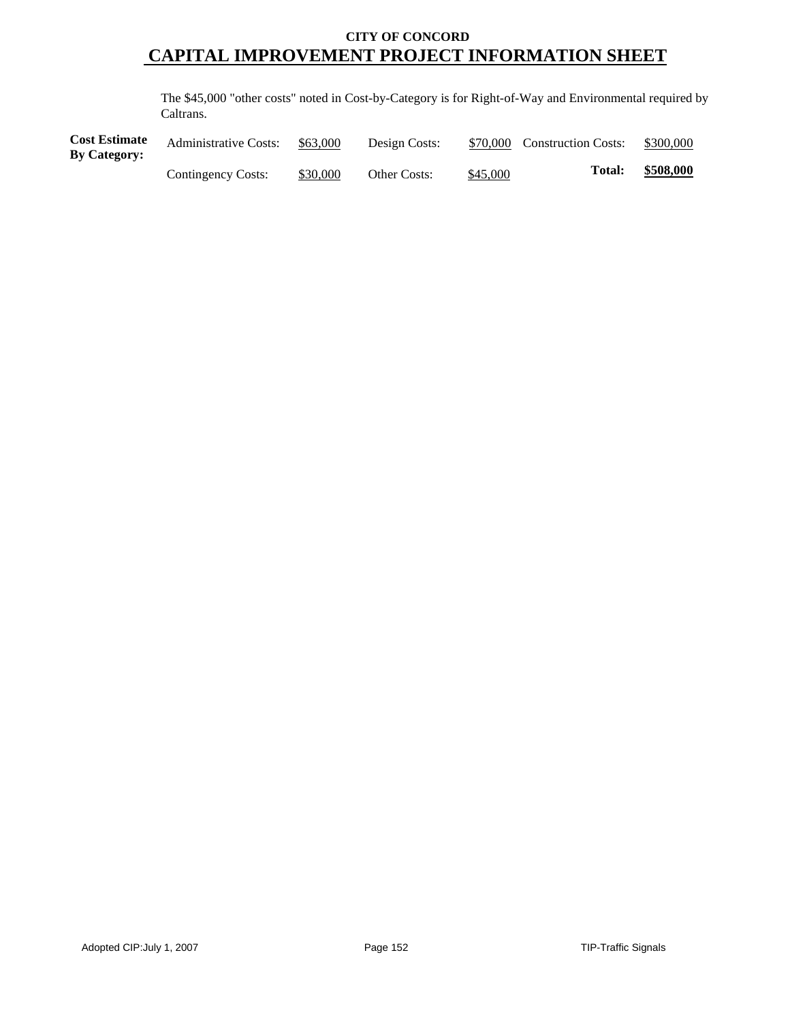The \$45,000 "other costs" noted in Cost-by-Category is for Right-of-Way and Environmental required by Caltrans.

| <b>Cost Estimate</b><br><b>By Category:</b> | <b>Administrative Costs:</b> | \$63,000 | Design Costs:       |          | \$70,000 Construction Costs: | \$300,000 |
|---------------------------------------------|------------------------------|----------|---------------------|----------|------------------------------|-----------|
|                                             | Contingency Costs:           | \$30,000 | <b>Other Costs:</b> | \$45,000 | Total:                       | \$508,000 |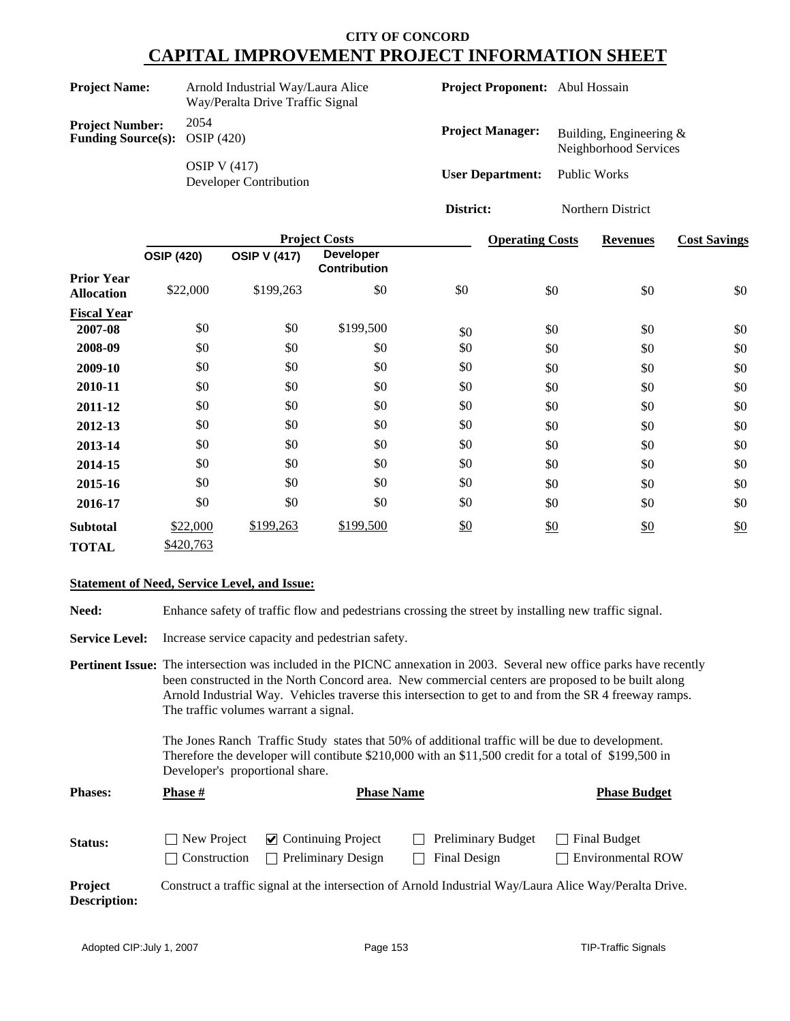| <b>Project Name:</b>                                             | Arnold Industrial Way/Laura Alice<br>Way/Peralta Drive Traffic Signal | <b>Project Proponent:</b> Abul Hossain |                                                    |
|------------------------------------------------------------------|-----------------------------------------------------------------------|----------------------------------------|----------------------------------------------------|
| <b>Project Number:</b><br><b>Funding Source(s):</b> OSIP $(420)$ | 2054                                                                  | <b>Project Manager:</b>                | Building, Engineering $&$<br>Neighborhood Services |
|                                                                  | OSIP V $(417)$<br>Developer Contribution                              | <b>User Department:</b> Public Works   |                                                    |

|                    |                   |                     | <b>Project Costs</b>                    |     | <b>Operating Costs</b> | <b>Revenues</b> | <b>Cost Savings</b> |
|--------------------|-------------------|---------------------|-----------------------------------------|-----|------------------------|-----------------|---------------------|
|                    | <b>OSIP (420)</b> | <b>OSIP V (417)</b> | <b>Developer</b><br><b>Contribution</b> |     |                        |                 |                     |
| <b>Prior Year</b>  |                   |                     |                                         |     |                        |                 |                     |
| <b>Allocation</b>  | \$22,000          | \$199,263           | \$0                                     | \$0 | \$0                    | \$0             | \$0                 |
| <b>Fiscal Year</b> |                   |                     |                                         |     |                        |                 |                     |
| 2007-08            | \$0               | \$0                 | \$199,500                               | \$0 | \$0                    | \$0             | \$0                 |
| 2008-09            | \$0               | \$0                 | \$0                                     | \$0 | \$0                    | \$0             | \$0                 |
| 2009-10            | \$0               | \$0                 | \$0                                     | \$0 | \$0                    | \$0             | \$0                 |
| 2010-11            | \$0               | \$0                 | \$0                                     | \$0 | \$0                    | \$0             | \$0                 |
| 2011-12            | \$0               | \$0                 | \$0                                     | \$0 | \$0                    | \$0             | \$0                 |
| 2012-13            | \$0               | \$0                 | \$0                                     | \$0 | \$0                    | \$0             | \$0                 |
| 2013-14            | \$0               | \$0                 | \$0                                     | \$0 | \$0                    | \$0             | \$0                 |
| 2014-15            | \$0               | \$0                 | \$0                                     | \$0 | \$0                    | \$0             | \$0                 |
| 2015-16            | \$0               | \$0                 | \$0                                     | \$0 | \$0                    | \$0             | \$0                 |
| 2016-17            | \$0               | \$0                 | \$0                                     | \$0 | \$0                    | \$0             | \$0                 |
| <b>Subtotal</b>    | \$22,000          | \$199,263           | \$199,500                               | \$0 | \$0                    | \$0             | \$0                 |
| <b>TOTAL</b>       | \$420,763         |                     |                                         |     |                        |                 |                     |

**District:** Northern District

#### **Statement of Need, Service Level, and Issue:**

Need: Enhance safety of traffic flow and pedestrians crossing the street by installing new traffic signal.

**Service Level:** Increase service capacity and pedestrian safety.

**Pertinent Issue:** The intersection was included in the PICNC annexation in 2003. Several new office parks have recently been constructed in the North Concord area. New commercial centers are proposed to be built along Arnold Industrial Way. Vehicles traverse this intersection to get to and from the SR 4 freeway ramps. The traffic volumes warrant a signal.

> The Jones Ranch Traffic Study states that 50% of additional traffic will be due to development. Therefore the developer will contibute \$210,000 with an \$11,500 credit for a total of \$199,500 in Developer's proportional share.

| <b>Phases:</b>                        | <b>Phase #</b>                      | <b>Phase Name</b>                                                | <b>Phase Budget</b>                                                                                    |                                          |
|---------------------------------------|-------------------------------------|------------------------------------------------------------------|--------------------------------------------------------------------------------------------------------|------------------------------------------|
| Status:                               | New Project<br>$\vert$ Construction | $\triangleright$ Continuing Project<br><b>Preliminary Design</b> | <b>Preliminary Budget</b><br>$\blacksquare$<br>Final Design                                            | Final Budget<br><b>Environmental ROW</b> |
| <b>Project</b><br><b>Description:</b> |                                     |                                                                  | Construct a traffic signal at the intersection of Arnold Industrial Way/Laura Alice Way/Peralta Drive. |                                          |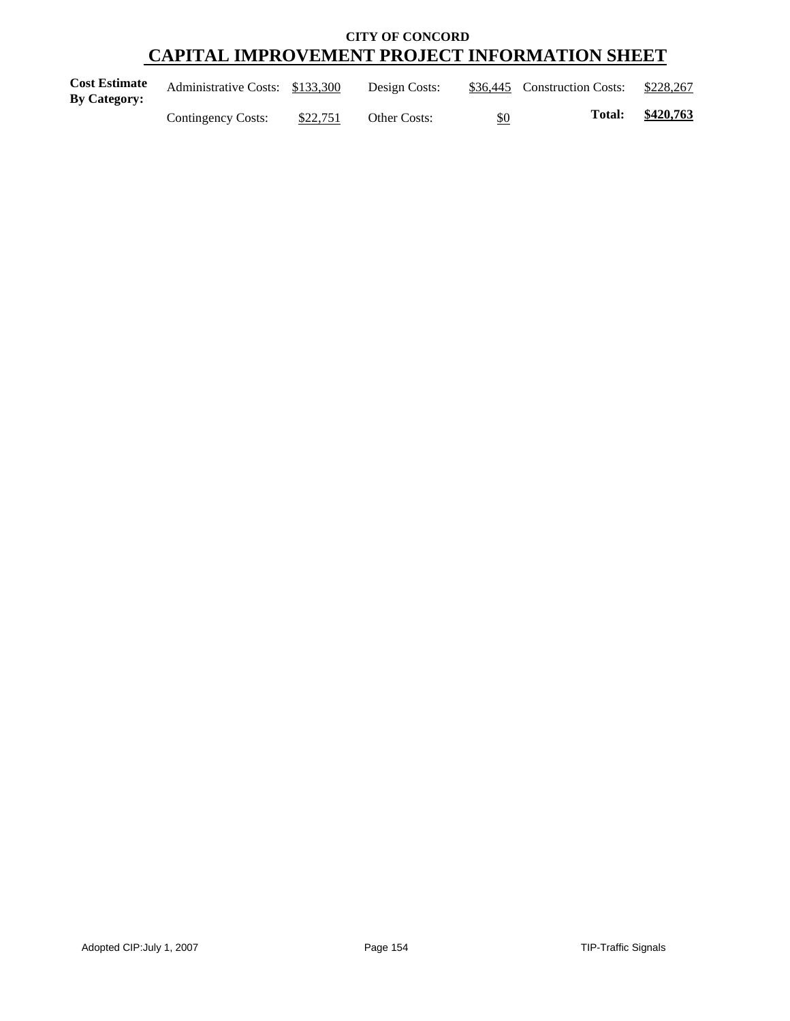| <b>Cost Estimate</b><br><b>By Category:</b> | Administrative Costs: \$133,300 |          | Design Costs:       |     | \$36,445 Construction Costs: | \$228,267 |
|---------------------------------------------|---------------------------------|----------|---------------------|-----|------------------------------|-----------|
|                                             | Contingency Costs:              | \$22,751 | <b>Other Costs:</b> | \$0 | <b>Total:</b>                | \$420,763 |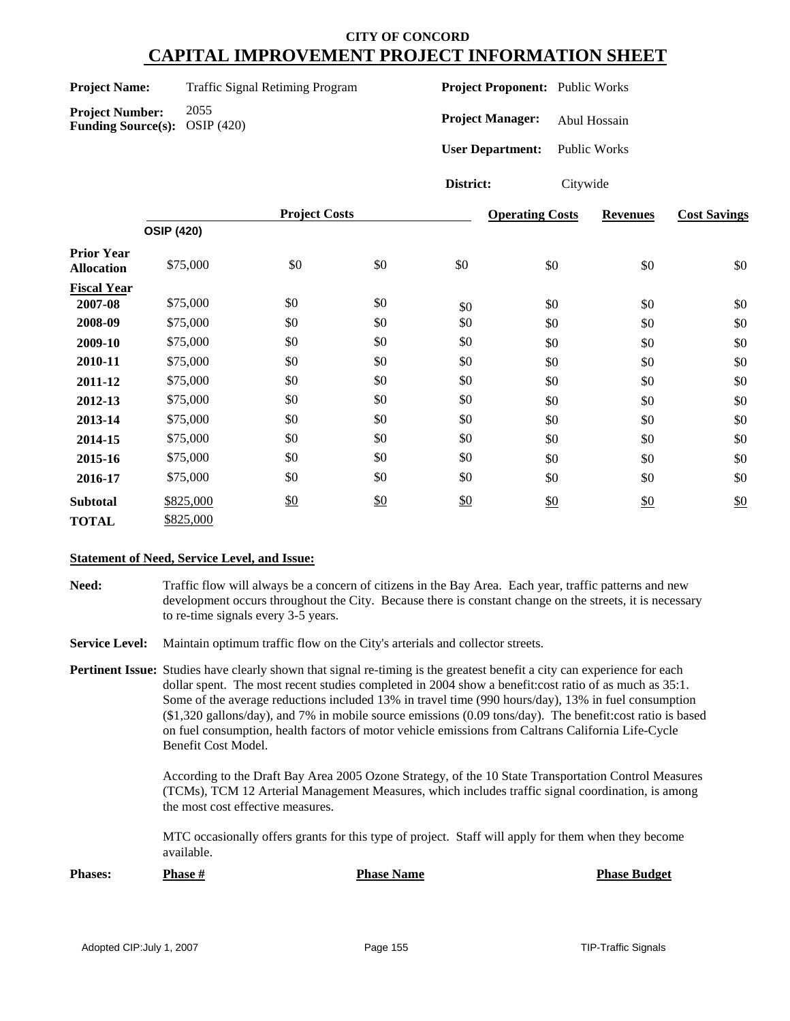**Project Number:** 2055 **Funding Source(s):** OSIP (420) **Project Proponent:** Public Works

**Project Manager:** Abul Hossain

**User Department:** Public Works

**District:** Citywide

|                                        |                   | <b>Project Costs</b> | <b>Operating Costs</b> | <b>Revenues</b> | <b>Cost Savings</b> |     |     |
|----------------------------------------|-------------------|----------------------|------------------------|-----------------|---------------------|-----|-----|
|                                        | <b>OSIP (420)</b> |                      |                        |                 |                     |     |     |
| <b>Prior Year</b><br><b>Allocation</b> | \$75,000          | \$0                  | $\$0$                  | \$0             | \$0                 | \$0 | \$0 |
| <b>Fiscal Year</b>                     |                   |                      |                        |                 |                     |     |     |
| 2007-08                                | \$75,000          | \$0                  | \$0                    | \$0             | \$0                 | \$0 | \$0 |
| 2008-09                                | \$75,000          | \$0                  | \$0                    | \$0             | \$0                 | \$0 | \$0 |
| 2009-10                                | \$75,000          | \$0                  | \$0                    | \$0             | \$0                 | \$0 | \$0 |
| 2010-11                                | \$75,000          | \$0                  | \$0                    | \$0             | \$0                 | \$0 | \$0 |
| 2011-12                                | \$75,000          | \$0                  | \$0                    | \$0             | \$0                 | \$0 | \$0 |
| 2012-13                                | \$75,000          | \$0                  | \$0                    | \$0             | \$0                 | \$0 | \$0 |
| 2013-14                                | \$75,000          | \$0                  | \$0                    | \$0             | \$0                 | \$0 | \$0 |
| 2014-15                                | \$75,000          | \$0                  | \$0                    | \$0             | \$0                 | \$0 | \$0 |
| 2015-16                                | \$75,000          | \$0                  | \$0                    | \$0             | \$0                 | \$0 | \$0 |
| 2016-17                                | \$75,000          | \$0                  | \$0                    | \$0             | \$0                 | \$0 | \$0 |
| <b>Subtotal</b>                        | \$825,000         | \$0                  | \$0                    | \$0             | \$0                 | \$0 | \$0 |
| <b>TOTAL</b>                           | \$825,000         |                      |                        |                 |                     |     |     |

#### **Statement of Need, Service Level, and Issue:**

**Need:** Traffic flow will always be a concern of citizens in the Bay Area. Each year, traffic patterns and new development occurs throughout the City. Because there is constant change on the streets, it is necessary to re-time signals every 3-5 years.

**Service Level:** Maintain optimum traffic flow on the City's arterials and collector streets.

**Pertinent Issue:** Studies have clearly shown that signal re-timing is the greatest benefit a city can experience for each dollar spent. The most recent studies completed in 2004 show a benefit:cost ratio of as much as 35:1. Some of the average reductions included 13% in travel time (990 hours/day), 13% in fuel consumption (\$1,320 gallons/day), and 7% in mobile source emissions (0.09 tons/day). The benefit:cost ratio is based on fuel consumption, health factors of motor vehicle emissions from Caltrans California Life-Cycle Benefit Cost Model.

> According to the Draft Bay Area 2005 Ozone Strategy, of the 10 State Transportation Control Measures (TCMs), TCM 12 Arterial Management Measures, which includes traffic signal coordination, is among the most cost effective measures.

MTC occasionally offers grants for this type of project. Staff will apply for them when they become available.

**Phases: Phase # Phase Name Phase Budget**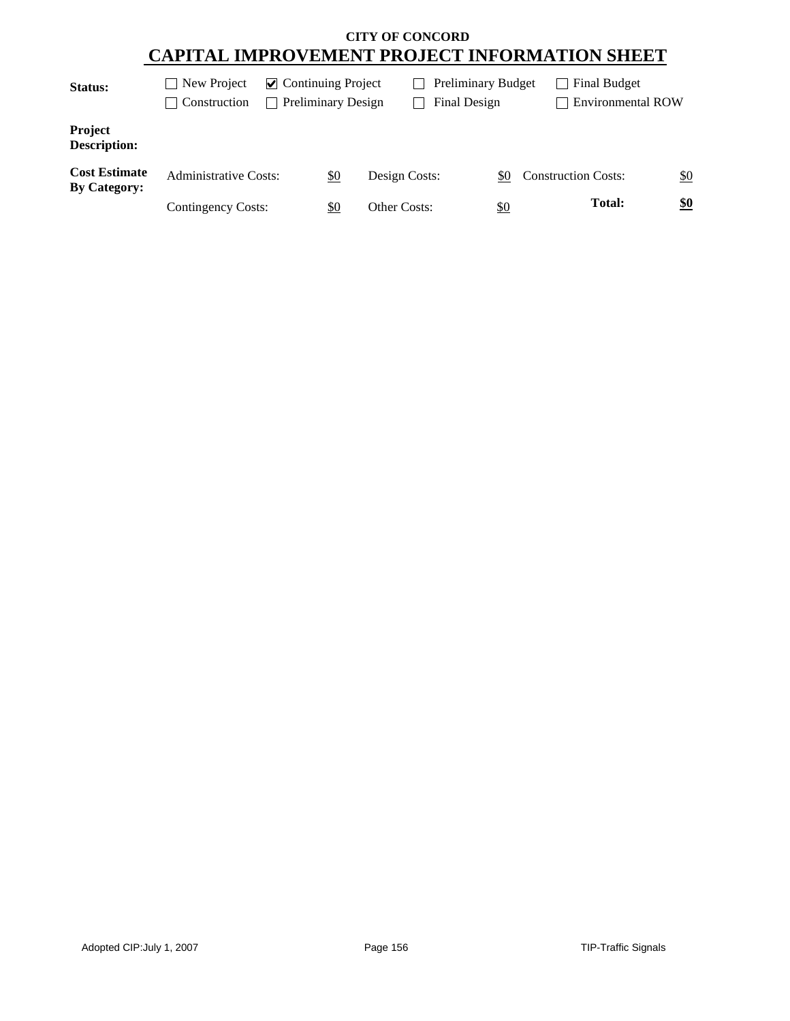| Status:                                     | New Project<br>Construction  | $\triangleright$ Continuing Project<br><b>Preliminary Design</b> |            |               | <b>Preliminary Budget</b><br>Final Design |            |                            | Final Budget<br><b>Environmental ROW</b> |     |
|---------------------------------------------|------------------------------|------------------------------------------------------------------|------------|---------------|-------------------------------------------|------------|----------------------------|------------------------------------------|-----|
| <b>Project</b><br><b>Description:</b>       |                              |                                                                  |            |               |                                           |            |                            |                                          |     |
| <b>Cost Estimate</b><br><b>By Category:</b> | <b>Administrative Costs:</b> |                                                                  | <u>\$0</u> | Design Costs: |                                           | SO.        | <b>Construction Costs:</b> |                                          | \$0 |
|                                             | Contingency Costs:           |                                                                  | \$0        | Other Costs:  |                                           | <u>\$0</u> |                            | <b>Total:</b>                            | \$0 |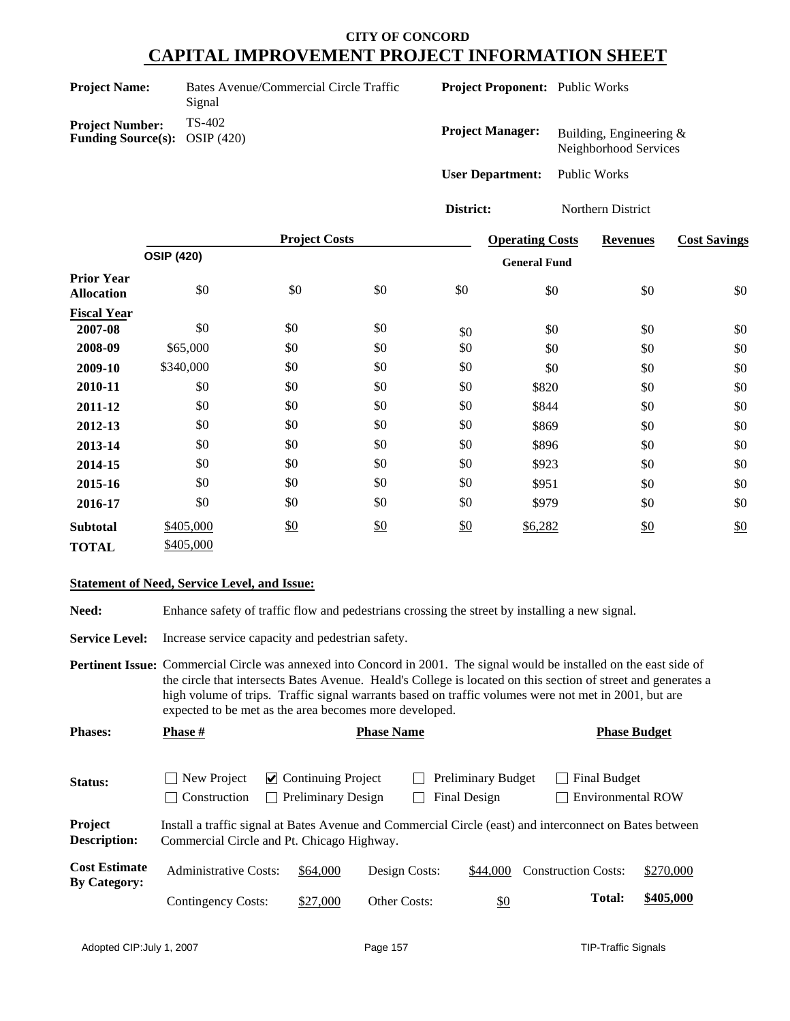| <b>Project Name:</b>                                             | Bates Avenue/Commercial Circle Traffic<br>Signal |
|------------------------------------------------------------------|--------------------------------------------------|
| <b>Project Number:</b><br><b>Funding Source(s):</b> OSIP $(420)$ | TS-402                                           |

**Project Proponent:** Public Works

| <b>Project Manager:</b> | Building, Engineering $\&$<br>Neighborhood Services |
|-------------------------|-----------------------------------------------------|
| <b>User Department:</b> | Public Works                                        |

**District:** Northern District

|                                        |                   | <b>Project Costs</b> |     |     | <b>Operating Costs</b> | <b>Revenues</b> | <b>Cost Savings</b> |
|----------------------------------------|-------------------|----------------------|-----|-----|------------------------|-----------------|---------------------|
|                                        | <b>OSIP (420)</b> |                      |     |     | <b>General Fund</b>    |                 |                     |
| <b>Prior Year</b><br><b>Allocation</b> | \$0               | \$0                  | \$0 | \$0 | \$0                    | \$0             | \$0                 |
| <b>Fiscal Year</b>                     |                   |                      |     |     |                        |                 |                     |
| 2007-08                                | \$0               | \$0                  | \$0 | \$0 | \$0                    | \$0             | \$0                 |
| 2008-09                                | \$65,000          | \$0                  | \$0 | \$0 | \$0                    | \$0             | \$0                 |
| 2009-10                                | \$340,000         | \$0                  | \$0 | \$0 | \$0                    | \$0             | \$0                 |
| 2010-11                                | \$0               | \$0                  | \$0 | \$0 | \$820                  | \$0             | \$0                 |
| 2011-12                                | \$0               | \$0                  | \$0 | \$0 | \$844                  | \$0             | \$0                 |
| 2012-13                                | \$0               | \$0                  | \$0 | \$0 | \$869                  | \$0             | \$0                 |
| 2013-14                                | \$0               | \$0                  | \$0 | \$0 | \$896                  | \$0             | \$0                 |
| 2014-15                                | \$0               | \$0                  | \$0 | \$0 | \$923                  | \$0             | \$0                 |
| 2015-16                                | \$0               | \$0                  | \$0 | \$0 | \$951                  | \$0             | \$0                 |
| 2016-17                                | \$0               | \$0                  | \$0 | \$0 | \$979                  | \$0             | \$0                 |
| <b>Subtotal</b>                        | \$405,000         | \$0                  | \$0 | \$0 | \$6,282                | $\frac{$0}{}$   | \$0                 |
| <b>TOTAL</b>                           | \$405,000         |                      |     |     |                        |                 |                     |

#### **Statement of Need, Service Level, and Issue:**

Need: Enhance safety of traffic flow and pedestrians crossing the street by installing a new signal.

**Service Level:** Increase service capacity and pedestrian safety.

**Pertinent Issue:** Commercial Circle was annexed into Concord in 2001. The signal would be installed on the east side of the circle that intersects Bates Avenue. Heald's College is located on this section of street and generates a high volume of trips. Traffic signal warrants based on traffic volumes were not met in 2001, but are expected to be met as the area becomes more developed.

| <b>Phases:</b>                              | <b>Phase #</b>                                                                                                                                        | <b>Phase Name</b>                                      |               |                                           | <b>Phase Budget</b>                                        |           |
|---------------------------------------------|-------------------------------------------------------------------------------------------------------------------------------------------------------|--------------------------------------------------------|---------------|-------------------------------------------|------------------------------------------------------------|-----------|
| Status:                                     | New Project<br>Construction                                                                                                                           | $\vee$ Continuing Project<br><b>Preliminary Design</b> |               | Preliminary Budget<br><b>Final Design</b> | Final Budget<br>$\blacksquare$<br><b>Environmental ROW</b> |           |
| Project<br><b>Description:</b>              | Install a traffic signal at Bates Avenue and Commercial Circle (east) and interconnect on Bates between<br>Commercial Circle and Pt. Chicago Highway. |                                                        |               |                                           |                                                            |           |
| <b>Cost Estimate</b><br><b>By Category:</b> | <b>Administrative Costs:</b>                                                                                                                          | \$64,000                                               | Design Costs: | \$44,000                                  | <b>Construction Costs:</b>                                 | \$270,000 |
|                                             | Contingency Costs:                                                                                                                                    | \$27,000                                               | Other Costs:  | <u>\$0</u>                                | <b>Total:</b>                                              | \$405,000 |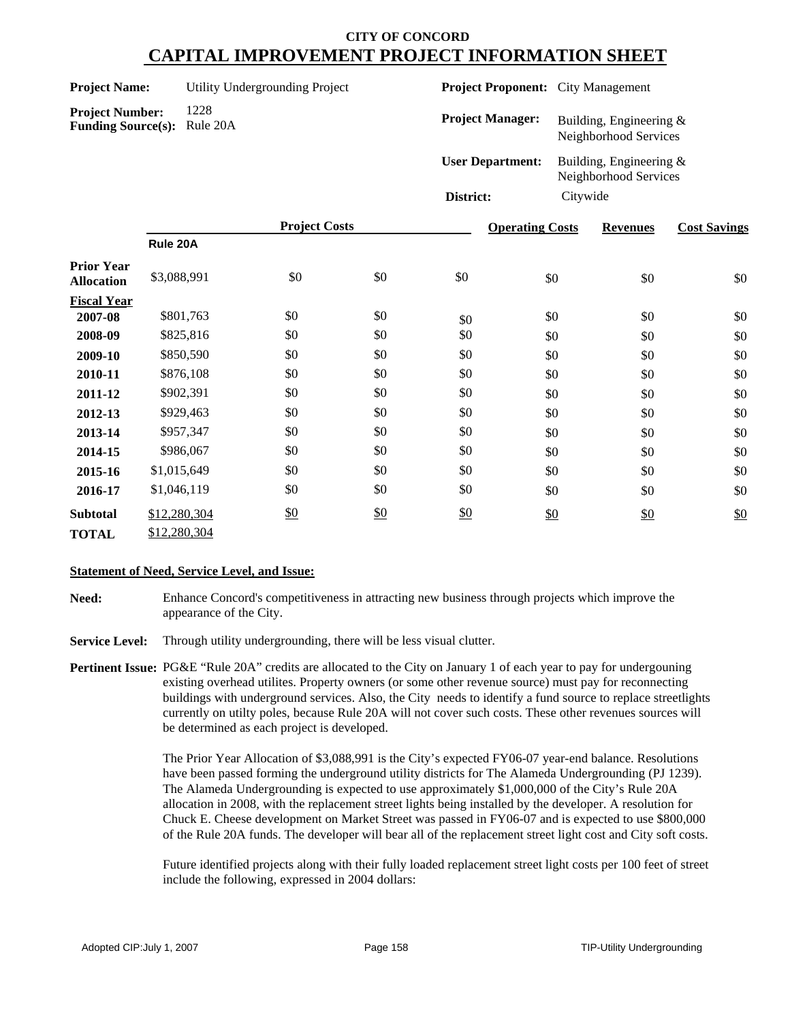Project

| <b>Project Name:</b> | Utility Undergrounding |  |
|----------------------|------------------------|--|
|                      |                        |  |

**Project Proponent:** City Management

| <b>Project Number:</b>             | 1228 |
|------------------------------------|------|
| <b>Funding Source(s):</b> Rule 20A |      |

| <b>Project Manager:</b> | Building, Engineering $&$<br>Neighborhood Services  |
|-------------------------|-----------------------------------------------------|
| <b>User Department:</b> | Building, Engineering $\&$<br>Neighborhood Services |
| District:               | Citywide                                            |

|                                        |              | <b>Project Costs</b> |     | <b>Operating Costs</b> | <b>Revenues</b> | <b>Cost Savings</b> |     |
|----------------------------------------|--------------|----------------------|-----|------------------------|-----------------|---------------------|-----|
|                                        | Rule 20A     |                      |     |                        |                 |                     |     |
| <b>Prior Year</b><br><b>Allocation</b> | \$3,088,991  | \$0                  | \$0 | \$0                    | \$0             | \$0                 | \$0 |
| <b>Fiscal Year</b>                     |              |                      |     |                        |                 |                     |     |
| 2007-08                                | \$801,763    | \$0                  | \$0 | \$0                    | \$0             | \$0                 | \$0 |
| 2008-09                                | \$825,816    | \$0                  | \$0 | \$0                    | \$0             | \$0                 | \$0 |
| 2009-10                                | \$850,590    | \$0                  | \$0 | \$0                    | \$0             | \$0                 | \$0 |
| 2010-11                                | \$876,108    | \$0                  | \$0 | \$0                    | \$0             | \$0                 | \$0 |
| 2011-12                                | \$902,391    | \$0                  | \$0 | \$0                    | \$0             | \$0                 | \$0 |
| 2012-13                                | \$929,463    | \$0                  | \$0 | \$0                    | \$0             | \$0                 | \$0 |
| 2013-14                                | \$957,347    | \$0                  | \$0 | \$0                    | \$0             | \$0                 | \$0 |
| 2014-15                                | \$986,067    | \$0                  | \$0 | \$0                    | \$0             | \$0                 | \$0 |
| 2015-16                                | \$1,015,649  | \$0                  | \$0 | \$0                    | \$0             | \$0                 | \$0 |
| 2016-17                                | \$1,046,119  | \$0                  | \$0 | \$0                    | \$0             | \$0                 | \$0 |
| <b>Subtotal</b>                        | \$12,280,304 | \$0                  | \$0 | \$0                    | \$0             | \$0                 | \$0 |
| <b>TOTAL</b>                           | \$12,280,304 |                      |     |                        |                 |                     |     |

#### **Statement of Need, Service Level, and Issue:**

- **Need:** Enhance Concord's competitiveness in attracting new business through projects which improve the appearance of the City.
- **Service Level:** Through utility undergrounding, there will be less visual clutter.
- **Pertinent Issue:** PG&E "Rule 20A" credits are allocated to the City on January 1 of each year to pay for undergouning existing overhead utilites. Property owners (or some other revenue source) must pay for reconnecting buildings with underground services. Also, the City needs to identify a fund source to replace streetlights currently on utilty poles, because Rule 20A will not cover such costs. These other revenues sources will be determined as each project is developed.

The Prior Year Allocation of \$3,088,991 is the City's expected FY06-07 year-end balance. Resolutions have been passed forming the underground utility districts for The Alameda Undergrounding (PJ 1239). The Alameda Undergrounding is expected to use approximately \$1,000,000 of the City's Rule 20A allocation in 2008, with the replacement street lights being installed by the developer. A resolution for Chuck E. Cheese development on Market Street was passed in FY06-07 and is expected to use \$800,000 of the Rule 20A funds. The developer will bear all of the replacement street light cost and City soft costs.

Future identified projects along with their fully loaded replacement street light costs per 100 feet of street include the following, expressed in 2004 dollars: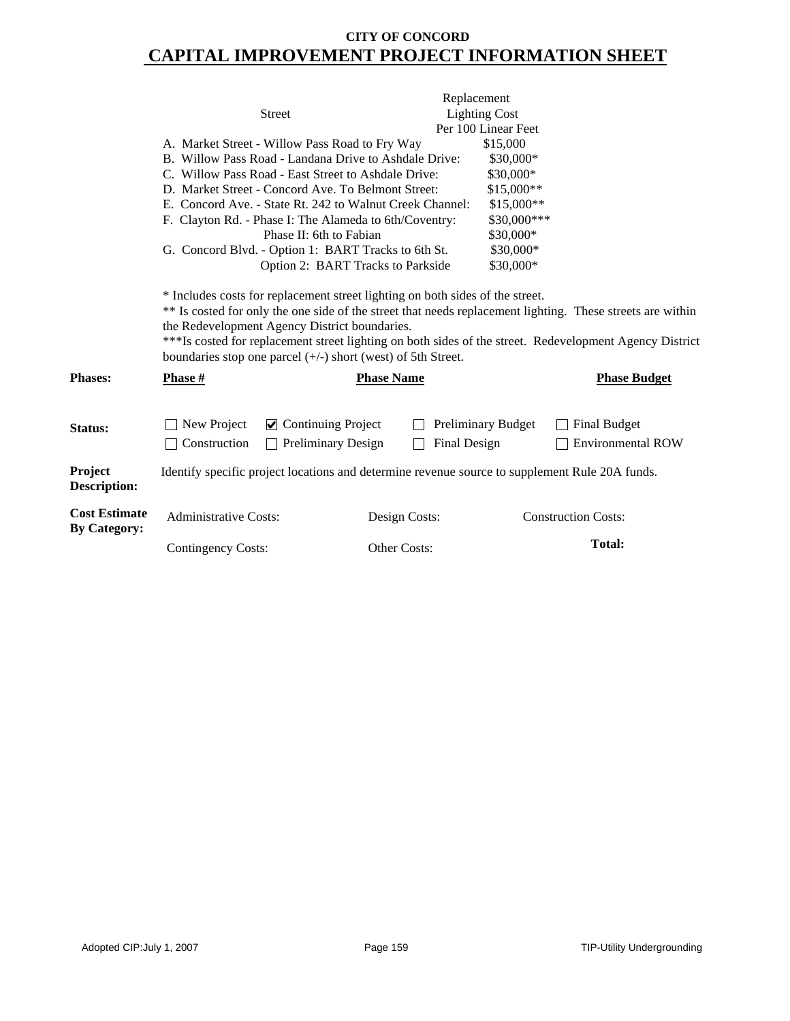|                                             |                              |                                                                                                                 |                                                                                                | Replacement               |                                                                                                                                                                                                                       |
|---------------------------------------------|------------------------------|-----------------------------------------------------------------------------------------------------------------|------------------------------------------------------------------------------------------------|---------------------------|-----------------------------------------------------------------------------------------------------------------------------------------------------------------------------------------------------------------------|
|                                             |                              | <b>Street</b>                                                                                                   |                                                                                                | <b>Lighting Cost</b>      |                                                                                                                                                                                                                       |
|                                             |                              |                                                                                                                 |                                                                                                | Per 100 Linear Feet       |                                                                                                                                                                                                                       |
|                                             |                              | A. Market Street - Willow Pass Road to Fry Way                                                                  |                                                                                                | \$15,000                  |                                                                                                                                                                                                                       |
|                                             |                              | B. Willow Pass Road - Landana Drive to Ashdale Drive:                                                           |                                                                                                | \$30,000*                 |                                                                                                                                                                                                                       |
|                                             |                              | C. Willow Pass Road - East Street to Ashdale Drive:                                                             |                                                                                                | \$30,000*                 |                                                                                                                                                                                                                       |
|                                             |                              | D. Market Street - Concord Ave. To Belmont Street:                                                              |                                                                                                | \$15,000**                |                                                                                                                                                                                                                       |
|                                             |                              |                                                                                                                 | E. Concord Ave. - State Rt. 242 to Walnut Creek Channel:                                       | \$15,000**                |                                                                                                                                                                                                                       |
|                                             |                              | F. Clayton Rd. - Phase I: The Alameda to 6th/Coventry:                                                          |                                                                                                | \$30,000***               |                                                                                                                                                                                                                       |
|                                             |                              | Phase II: 6th to Fabian                                                                                         |                                                                                                | \$30,000*                 |                                                                                                                                                                                                                       |
|                                             |                              | G. Concord Blvd. - Option 1: BART Tracks to 6th St.                                                             |                                                                                                | \$30,000*                 |                                                                                                                                                                                                                       |
|                                             |                              | Option 2: BART Tracks to Parkside                                                                               |                                                                                                | \$30,000*                 |                                                                                                                                                                                                                       |
|                                             |                              | the Redevelopment Agency District boundaries.<br>boundaries stop one parcel $(+/-)$ short (west) of 5th Street. |                                                                                                |                           | ** Is costed for only the one side of the street that needs replacement lighting. These streets are within<br>***Is costed for replacement street lighting on both sides of the street. Redevelopment Agency District |
| <b>Phases:</b>                              | Phase #                      |                                                                                                                 | <b>Phase Name</b>                                                                              |                           | <b>Phase Budget</b>                                                                                                                                                                                                   |
| Status:                                     | New Project                  | $\triangleright$ Continuing Project                                                                             |                                                                                                | <b>Preliminary Budget</b> | <b>Final Budget</b>                                                                                                                                                                                                   |
|                                             | Construction                 | <b>Preliminary Design</b>                                                                                       | <b>Final Design</b>                                                                            |                           | <b>Environmental ROW</b>                                                                                                                                                                                              |
| <b>Project</b><br><b>Description:</b>       |                              |                                                                                                                 | Identify specific project locations and determine revenue source to supplement Rule 20A funds. |                           |                                                                                                                                                                                                                       |
| <b>Cost Estimate</b><br><b>By Category:</b> | <b>Administrative Costs:</b> |                                                                                                                 | Design Costs:                                                                                  |                           | <b>Construction Costs:</b>                                                                                                                                                                                            |
|                                             | <b>Contingency Costs:</b>    |                                                                                                                 | Other Costs:                                                                                   |                           | <b>Total:</b>                                                                                                                                                                                                         |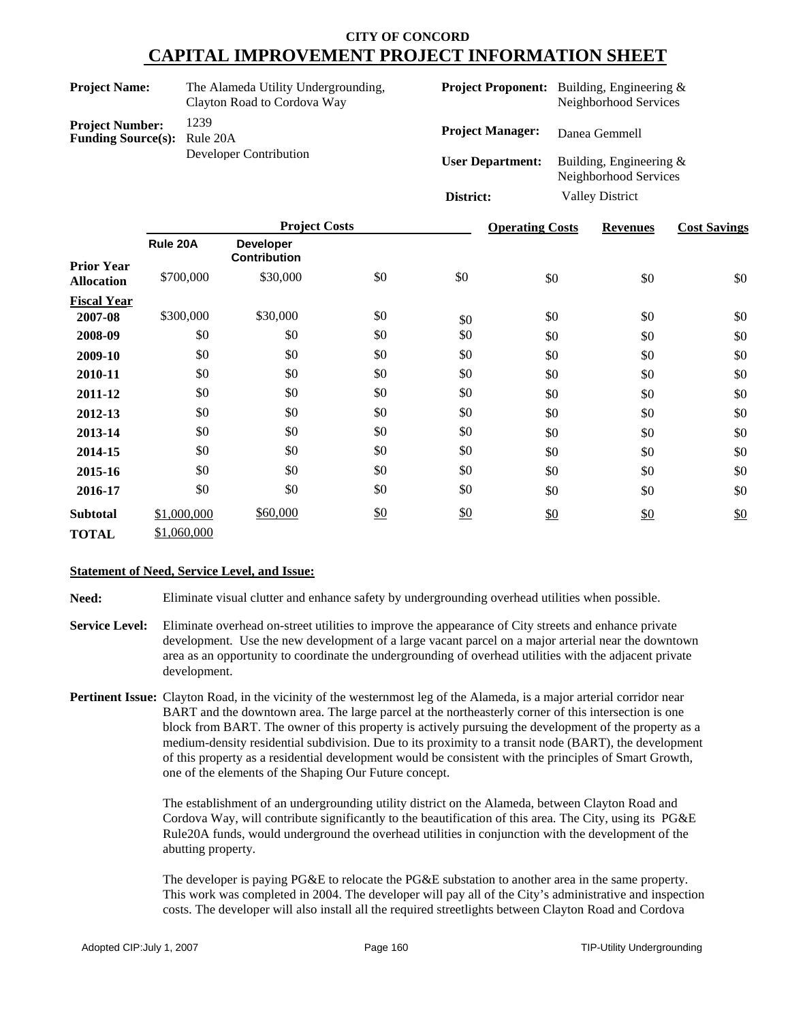| <b>Project Name:</b>                                | The Alameda Utility Undergrounding,<br>Clayton Road to Cordova Way |                         | <b>Project Proponent:</b> Building, Engineering &<br>Neighborhood Services |
|-----------------------------------------------------|--------------------------------------------------------------------|-------------------------|----------------------------------------------------------------------------|
| <b>Project Number:</b><br><b>Funding Source(s):</b> | 1239<br>Rule 20A                                                   | <b>Project Manager:</b> | Danea Gemmell                                                              |
|                                                     | Developer Contribution                                             | <b>User Department:</b> | Building, Engineering $\&$<br>Neighborhood Services                        |
|                                                     |                                                                    | District:               | <b>Valley District</b>                                                     |

|                    | <b>Project Costs</b> |                                         |     | <b>Operating Costs</b> | <b>Revenues</b> | <b>Cost Savings</b> |     |
|--------------------|----------------------|-----------------------------------------|-----|------------------------|-----------------|---------------------|-----|
| <b>Prior Year</b>  | Rule 20A             | <b>Developer</b><br><b>Contribution</b> |     |                        |                 |                     |     |
| <b>Allocation</b>  | \$700,000            | \$30,000                                | \$0 | \$0                    | \$0             | \$0                 | \$0 |
| <b>Fiscal Year</b> |                      |                                         |     |                        |                 |                     |     |
| 2007-08            | \$300,000            | \$30,000                                | \$0 | \$0                    | \$0             | \$0                 | \$0 |
| 2008-09            | \$0                  | \$0                                     | \$0 | \$0                    | \$0             | \$0                 | \$0 |
| 2009-10            | \$0                  | \$0                                     | \$0 | \$0                    | \$0             | \$0                 | \$0 |
| 2010-11            | \$0                  | \$0                                     | \$0 | \$0                    | \$0             | \$0                 | \$0 |
| 2011-12            | \$0                  | \$0                                     | \$0 | \$0                    | \$0             | \$0                 | \$0 |
| 2012-13            | \$0                  | \$0                                     | \$0 | \$0                    | \$0             | \$0                 | \$0 |
| 2013-14            | \$0                  | \$0                                     | \$0 | \$0                    | \$0             | \$0                 | \$0 |
| 2014-15            | \$0                  | \$0                                     | \$0 | \$0                    | \$0             | \$0                 | \$0 |
| 2015-16            | \$0                  | \$0                                     | \$0 | \$0                    | \$0             | \$0                 | \$0 |
| 2016-17            | \$0                  | \$0                                     | \$0 | \$0                    | \$0             | \$0                 | \$0 |
| <b>Subtotal</b>    | \$1,000,000          | \$60,000                                | \$0 | \$0                    | \$0             | $\frac{$0}{}$       | \$0 |
| <b>TOTAL</b>       | \$1,060,000          |                                         |     |                        |                 |                     |     |

#### **Statement of Need, Service Level, and Issue:**

**Need:** Eliminate visual clutter and enhance safety by undergrounding overhead utilities when possible.

- **Service Level:** Eliminate overhead on-street utilities to improve the appearance of City streets and enhance private development. Use the new development of a large vacant parcel on a major arterial near the downtown area as an opportunity to coordinate the undergrounding of overhead utilities with the adjacent private development.
- **Pertinent Issue:** Clayton Road, in the vicinity of the westernmost leg of the Alameda, is a major arterial corridor near BART and the downtown area. The large parcel at the northeasterly corner of this intersection is one block from BART. The owner of this property is actively pursuing the development of the property as a medium-density residential subdivision. Due to its proximity to a transit node (BART), the development of this property as a residential development would be consistent with the principles of Smart Growth, one of the elements of the Shaping Our Future concept.

The establishment of an undergrounding utility district on the Alameda, between Clayton Road and Cordova Way, will contribute significantly to the beautification of this area. The City, using its PG&E Rule20A funds, would underground the overhead utilities in conjunction with the development of the abutting property.

The developer is paying PG&E to relocate the PG&E substation to another area in the same property. This work was completed in 2004. The developer will pay all of the City's administrative and inspection costs. The developer will also install all the required streetlights between Clayton Road and Cordova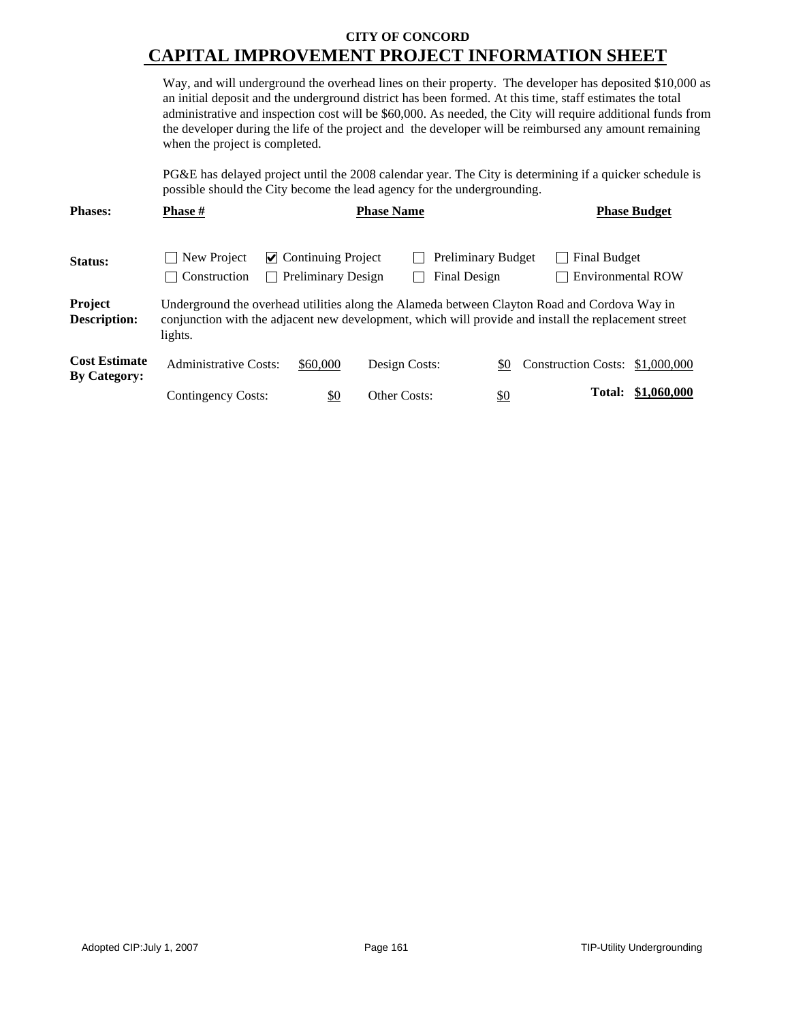Way, and will underground the overhead lines on their property. The developer has deposited \$10,000 as an initial deposit and the underground district has been formed. At this time, staff estimates the total administrative and inspection cost will be \$60,000. As needed, the City will require additional funds from the developer during the life of the project and the developer will be reimbursed any amount remaining when the project is completed.

PG&E has delayed project until the 2008 calendar year. The City is determining if a quicker schedule is possible should the City become the lead agency for the undergrounding.

| <b>Phases:</b>                              | <b>Phase #</b>                    | <b>Phase Name</b>                                                                                                                                                                                    |               |                                           | <b>Phase Budget</b>             |                          |  |  |  |
|---------------------------------------------|-----------------------------------|------------------------------------------------------------------------------------------------------------------------------------------------------------------------------------------------------|---------------|-------------------------------------------|---------------------------------|--------------------------|--|--|--|
| Status:                                     | New Project<br>Construction<br>×. | $\triangleright$ Continuing Project<br><b>Preliminary Design</b>                                                                                                                                     |               | <b>Preliminary Budget</b><br>Final Design | <b>Final Budget</b>             | <b>Environmental ROW</b> |  |  |  |
| <b>Project</b><br><b>Description:</b>       | lights.                           | Underground the overhead utilities along the Alameda between Clayton Road and Cordova Way in<br>conjunction with the adjacent new development, which will provide and install the replacement street |               |                                           |                                 |                          |  |  |  |
| <b>Cost Estimate</b><br><b>By Category:</b> | Administrative Costs:             | \$60,000                                                                                                                                                                                             | Design Costs: | \$0                                       | Construction Costs: \$1,000,000 |                          |  |  |  |
|                                             | Contingency Costs:                | <u>\$0</u>                                                                                                                                                                                           | Other Costs:  | <u>\$0</u>                                |                                 | Total: \$1,060,000       |  |  |  |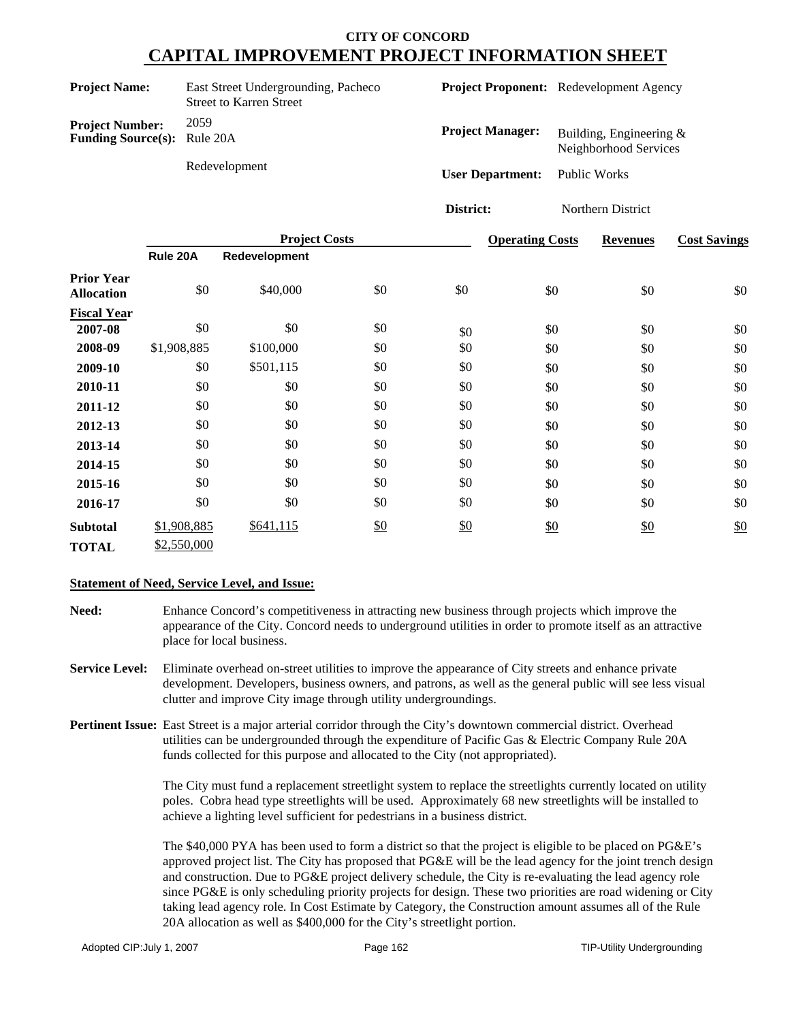| <b>Project Name:</b>                                         | East Street Undergrounding, Pacheco<br><b>Street to Karren Street</b> |                         | Project Proponent: Redevelopment Agency            |
|--------------------------------------------------------------|-----------------------------------------------------------------------|-------------------------|----------------------------------------------------|
| <b>Project Number:</b><br><b>Funding Source(s):</b> Rule 20A | 2059                                                                  | <b>Project Manager:</b> | Building, Engineering $&$<br>Neighborhood Services |
|                                                              | Redevelopment                                                         | <b>User Department:</b> | Public Works                                       |
|                                                              |                                                                       | District:               | Northern District                                  |

|                                        | <b>Project Costs</b> |               |     | <b>Operating Costs</b> | <b>Revenues</b> | <b>Cost Savings</b> |     |
|----------------------------------------|----------------------|---------------|-----|------------------------|-----------------|---------------------|-----|
|                                        | Rule 20A             | Redevelopment |     |                        |                 |                     |     |
| <b>Prior Year</b><br><b>Allocation</b> | \$0                  | \$40,000      | \$0 | \$0                    | \$0             | \$0                 | \$0 |
| <b>Fiscal Year</b>                     |                      |               |     |                        |                 |                     |     |
| 2007-08                                | \$0                  | \$0           | \$0 | \$0                    | \$0             | \$0                 | \$0 |
| 2008-09                                | \$1,908,885          | \$100,000     | \$0 | \$0                    | \$0             | \$0                 | \$0 |
| 2009-10                                | \$0                  | \$501,115     | \$0 | \$0                    | \$0             | \$0                 | \$0 |
| 2010-11                                | \$0                  | \$0           | \$0 | \$0                    | \$0             | \$0                 | \$0 |
| 2011-12                                | \$0                  | \$0           | \$0 | \$0                    | \$0             | \$0                 | \$0 |
| 2012-13                                | \$0                  | \$0           | \$0 | \$0                    | \$0             | \$0                 | \$0 |
| 2013-14                                | \$0                  | \$0           | \$0 | \$0                    | \$0             | \$0                 | \$0 |
| 2014-15                                | \$0                  | \$0           | \$0 | \$0                    | \$0             | \$0                 | \$0 |
| 2015-16                                | \$0                  | \$0           | \$0 | \$0                    | \$0             | \$0                 | \$0 |
| 2016-17                                | \$0                  | \$0           | \$0 | \$0                    | \$0             | \$0                 | \$0 |
| <b>Subtotal</b>                        | \$1,908,885          | \$641,115     | \$0 | $\frac{$0}{}$          | \$0             | \$0                 | \$0 |
| <b>TOTAL</b>                           | \$2,550,000          |               |     |                        |                 |                     |     |

#### **Statement of Need, Service Level, and Issue:**

**Need:** Enhance Concord's competitiveness in attracting new business through projects which improve the appearance of the City. Concord needs to underground utilities in order to promote itself as an attractive place for local business.

- **Service Level:** Eliminate overhead on-street utilities to improve the appearance of City streets and enhance private development. Developers, business owners, and patrons, as well as the general public will see less visual clutter and improve City image through utility undergroundings.
- **Pertinent Issue:** East Street is a major arterial corridor through the City's downtown commercial district. Overhead utilities can be undergrounded through the expenditure of Pacific Gas & Electric Company Rule 20A funds collected for this purpose and allocated to the City (not appropriated).

The City must fund a replacement streetlight system to replace the streetlights currently located on utility poles. Cobra head type streetlights will be used. Approximately 68 new streetlights will be installed to achieve a lighting level sufficient for pedestrians in a business district.

The \$40,000 PYA has been used to form a district so that the project is eligible to be placed on PG&E's approved project list. The City has proposed that PG&E will be the lead agency for the joint trench design and construction. Due to PG&E project delivery schedule, the City is re-evaluating the lead agency role since PG&E is only scheduling priority projects for design. These two priorities are road widening or City taking lead agency role. In Cost Estimate by Category, the Construction amount assumes all of the Rule 20A allocation as well as \$400,000 for the City's streetlight portion.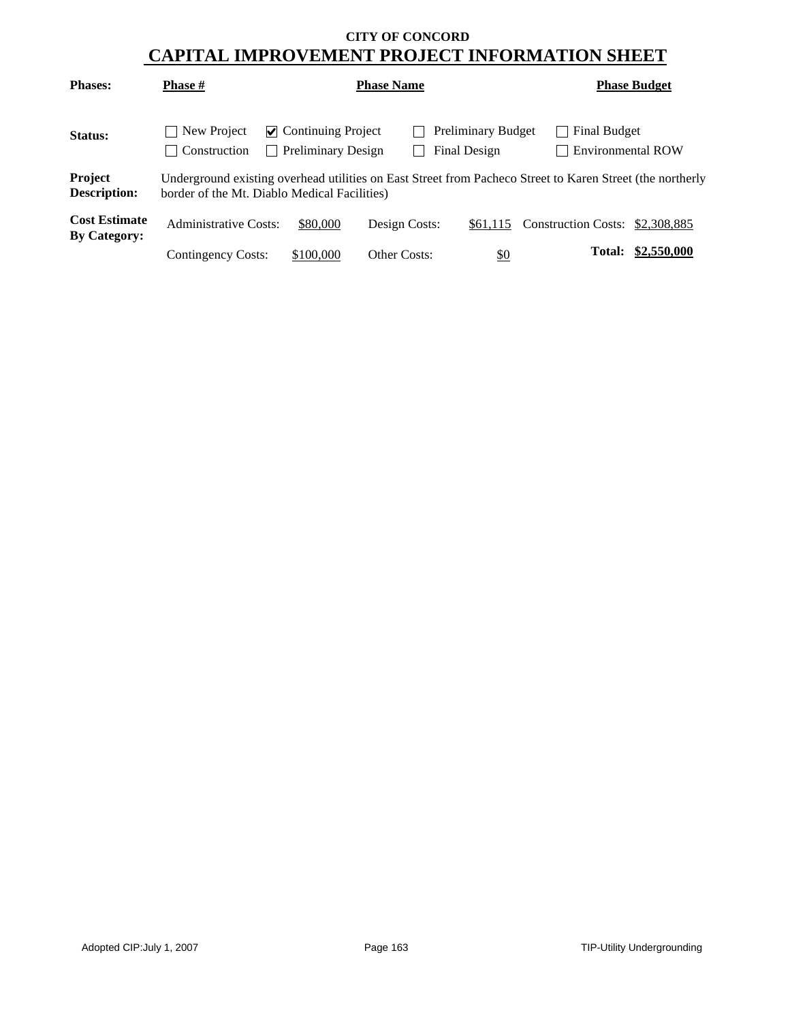| <b>Phases:</b>                              | <b>Phase</b> #                      | <b>Phase Name</b>                                                                                                                                         |               | <b>Phase Budget</b>                       |                                   |             |  |  |  |
|---------------------------------------------|-------------------------------------|-----------------------------------------------------------------------------------------------------------------------------------------------------------|---------------|-------------------------------------------|-----------------------------------|-------------|--|--|--|
| <b>Status:</b>                              | New Project<br>$\vert$ Construction | $\triangleright$ Continuing Project<br>  Preliminary Design                                                                                               |               | <b>Preliminary Budget</b><br>Final Design | Final Budget<br>Environmental ROW |             |  |  |  |
| <b>Project</b><br><b>Description:</b>       |                                     | Underground existing overhead utilities on East Street from Pacheco Street to Karen Street (the northerly<br>border of the Mt. Diablo Medical Facilities) |               |                                           |                                   |             |  |  |  |
| <b>Cost Estimate</b><br><b>By Category:</b> | Administrative Costs:               | \$80,000                                                                                                                                                  | Design Costs: | \$61,115                                  | Construction Costs: \$2,308,885   |             |  |  |  |
|                                             | Contingency Costs:                  | \$100,000                                                                                                                                                 | Other Costs:  | <u>\$0</u>                                | Total:                            | \$2,550,000 |  |  |  |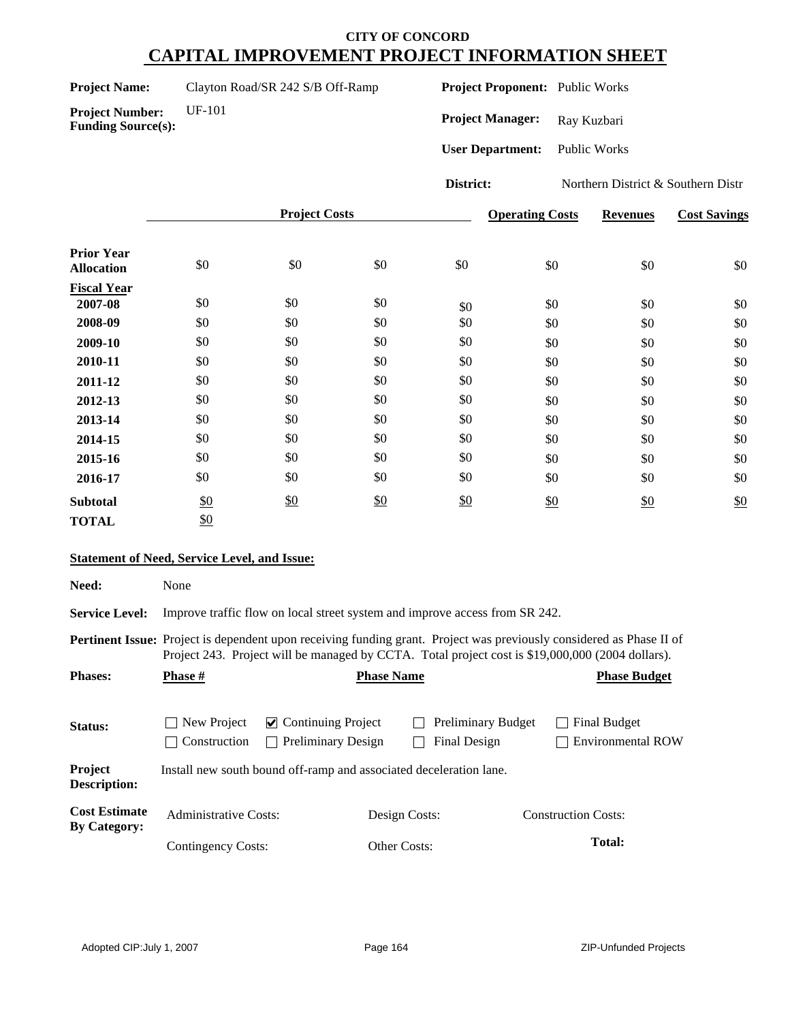| <b>Project Name:</b> | Clayton Road/SR 242 S/B Off-Ramp |
|----------------------|----------------------------------|
|----------------------|----------------------------------|

**Project Number:** UF-101

**Funding Source(s):**

**Project Proponent:** Public Works

Project Manager: Ray Kuzbari

**User Department:** Public Works

**District:** Northern District & Southern Distr

|                                        |     | <b>Project Costs</b> |     |     |     | <b>Revenues</b> | <b>Cost Savings</b> |
|----------------------------------------|-----|----------------------|-----|-----|-----|-----------------|---------------------|
| <b>Prior Year</b><br><b>Allocation</b> | \$0 | \$0                  | \$0 | \$0 | \$0 | \$0             | \$0                 |
| <b>Fiscal Year</b>                     |     |                      |     |     |     |                 |                     |
| 2007-08                                | \$0 | \$0                  | \$0 | \$0 | \$0 | \$0             | \$0                 |
| 2008-09                                | \$0 | \$0                  | \$0 | \$0 | \$0 | \$0             | \$0                 |
| 2009-10                                | \$0 | \$0                  | \$0 | \$0 | \$0 | \$0             | \$0                 |
| 2010-11                                | \$0 | \$0                  | \$0 | \$0 | \$0 | \$0             | \$0                 |
| 2011-12                                | \$0 | \$0                  | \$0 | \$0 | \$0 | \$0             | \$0                 |
| 2012-13                                | \$0 | \$0                  | \$0 | \$0 | \$0 | \$0             | \$0                 |
| 2013-14                                | \$0 | \$0                  | \$0 | \$0 | \$0 | \$0             | \$0                 |
| 2014-15                                | \$0 | \$0                  | \$0 | \$0 | \$0 | \$0             | \$0                 |
| 2015-16                                | \$0 | \$0                  | \$0 | \$0 | \$0 | \$0             | \$0                 |
| 2016-17                                | \$0 | \$0                  | \$0 | \$0 | \$0 | \$0             | \$0                 |
| <b>Subtotal</b>                        | \$0 | \$0                  | \$0 | \$0 | \$0 | \$0             | \$0                 |
| <b>TOTAL</b>                           | \$0 |                      |     |     |     |                 |                     |

#### **Statement of Need, Service Level, and Issue:**

| Need:                                       | None                                                                                  |                                                                                                                                                                                                                                 |                                                 |  |  |  |  |
|---------------------------------------------|---------------------------------------------------------------------------------------|---------------------------------------------------------------------------------------------------------------------------------------------------------------------------------------------------------------------------------|-------------------------------------------------|--|--|--|--|
| <b>Service Level:</b>                       | Improve traffic flow on local street system and improve access from SR 242.           |                                                                                                                                                                                                                                 |                                                 |  |  |  |  |
|                                             |                                                                                       | <b>Pertinent Issue:</b> Project is dependent upon receiving funding grant. Project was previously considered as Phase II of<br>Project 243. Project will be managed by CCTA. Total project cost is \$19,000,000 (2004 dollars). |                                                 |  |  |  |  |
| <b>Phases:</b>                              | <b>Phase #</b>                                                                        | <b>Phase Name</b>                                                                                                                                                                                                               | <b>Phase Budget</b>                             |  |  |  |  |
| Status:<br>Project                          | New Project<br>$\vee$ Continuing Project<br>Construction<br><b>Preliminary Design</b> | Preliminary Budget<br>Final Design                                                                                                                                                                                              | <b>Final Budget</b><br><b>Environmental ROW</b> |  |  |  |  |
| Description:                                | Install new south bound off-ramp and associated deceleration lane.                    |                                                                                                                                                                                                                                 |                                                 |  |  |  |  |
| <b>Cost Estimate</b><br><b>By Category:</b> | Administrative Costs:                                                                 | Design Costs:                                                                                                                                                                                                                   | <b>Construction Costs:</b>                      |  |  |  |  |
|                                             | Contingency Costs:                                                                    | <b>Other Costs:</b>                                                                                                                                                                                                             | Total:                                          |  |  |  |  |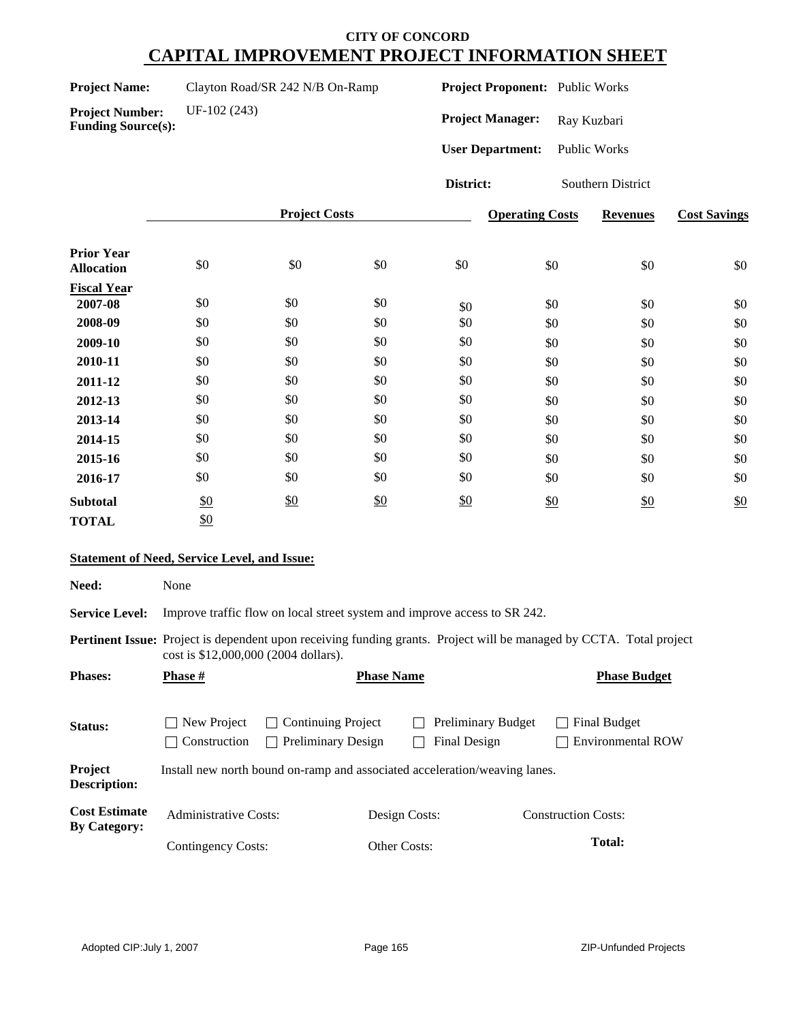| <b>Project Name:</b> | Clayton Road/SR 242 N/B On-Ramp |  |
|----------------------|---------------------------------|--|
|----------------------|---------------------------------|--|

**Project Proponent:** Public Works

**Project Number:** UF-102 (243) **Funding Source(s):**

Project Manager: Ray Kuzbari **User Department:** Public Works

**District:** Southern District

|                                        |     | <b>Project Costs</b> |     |     | <b>Operating Costs</b> | <b>Revenues</b> | <b>Cost Savings</b> |
|----------------------------------------|-----|----------------------|-----|-----|------------------------|-----------------|---------------------|
| <b>Prior Year</b><br><b>Allocation</b> | \$0 | \$0                  | \$0 | \$0 | \$0                    | \$0             | \$0                 |
| <b>Fiscal Year</b>                     |     |                      |     |     |                        |                 |                     |
| 2007-08                                | \$0 | \$0                  | \$0 | \$0 | \$0                    | \$0             | \$0                 |
| 2008-09                                | \$0 | \$0                  | \$0 | \$0 | \$0                    | \$0             | \$0                 |
| 2009-10                                | \$0 | \$0                  | \$0 | \$0 | \$0                    | \$0             | \$0                 |
| 2010-11                                | \$0 | \$0                  | \$0 | \$0 | \$0                    | \$0             | \$0                 |
| 2011-12                                | \$0 | \$0                  | \$0 | \$0 | \$0                    | \$0             | \$0                 |
| 2012-13                                | \$0 | \$0                  | \$0 | \$0 | \$0                    | \$0             | \$0                 |
| 2013-14                                | \$0 | \$0                  | \$0 | \$0 | \$0                    | \$0             | \$0                 |
| 2014-15                                | \$0 | \$0                  | \$0 | \$0 | \$0                    | \$0             | \$0                 |
| 2015-16                                | \$0 | \$0                  | \$0 | \$0 | \$0                    | \$0             | \$0                 |
| 2016-17                                | \$0 | \$0                  | \$0 | \$0 | \$0                    | \$0             | \$0                 |
| <b>Subtotal</b>                        | \$0 | \$0                  | \$0 | \$0 | \$0                    | \$0             | \$0                 |
| <b>TOTAL</b>                           | \$0 |                      |     |     |                        |                 |                     |

#### **Statement of Need, Service Level, and Issue:**

| Need:                                       | None                                                                                  |                                                                                                                            |                                                 |  |  |  |  |
|---------------------------------------------|---------------------------------------------------------------------------------------|----------------------------------------------------------------------------------------------------------------------------|-------------------------------------------------|--|--|--|--|
| <b>Service Level:</b>                       | Improve traffic flow on local street system and improve access to SR 242.             |                                                                                                                            |                                                 |  |  |  |  |
|                                             | cost is \$12,000,000 (2004 dollars).                                                  | <b>Pertinent Issue:</b> Project is dependent upon receiving funding grants. Project will be managed by CCTA. Total project |                                                 |  |  |  |  |
| <b>Phases:</b>                              | <b>Phase</b> #                                                                        | <b>Phase Name</b>                                                                                                          | <b>Phase Budget</b>                             |  |  |  |  |
| Status:                                     | <b>Continuing Project</b><br>New Project<br>Construction<br><b>Preliminary Design</b> | <b>Preliminary Budget</b><br>Final Design                                                                                  | <b>Final Budget</b><br><b>Environmental ROW</b> |  |  |  |  |
| Project<br>Description:                     | Install new north bound on-ramp and associated acceleration/weaving lanes.            |                                                                                                                            |                                                 |  |  |  |  |
| <b>Cost Estimate</b><br><b>By Category:</b> | <b>Administrative Costs:</b>                                                          | Design Costs:                                                                                                              | <b>Construction Costs:</b>                      |  |  |  |  |
|                                             | Contingency Costs:                                                                    | <b>Other Costs:</b>                                                                                                        | Total:                                          |  |  |  |  |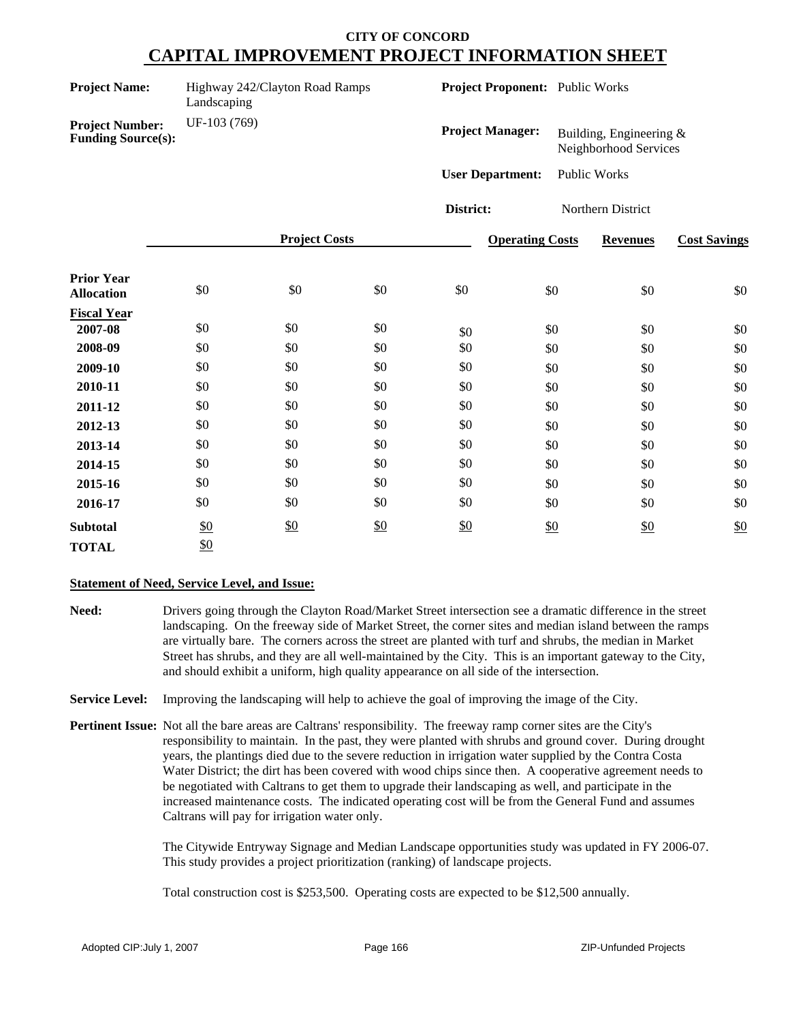| <b>Project Name:</b>                                | Highway 242/Clayton Road Ramps<br>Landscaping |                      | Project Proponent: Public Works |                         |                        |                                                  |                     |  |
|-----------------------------------------------------|-----------------------------------------------|----------------------|---------------------------------|-------------------------|------------------------|--------------------------------------------------|---------------------|--|
| <b>Project Number:</b><br><b>Funding Source(s):</b> | UF-103 (769)                                  |                      |                                 | <b>Project Manager:</b> |                        | Building, Engineering &<br>Neighborhood Services |                     |  |
|                                                     |                                               |                      |                                 | <b>User Department:</b> |                        | Public Works                                     |                     |  |
|                                                     |                                               |                      |                                 | District:               |                        | Northern District                                |                     |  |
|                                                     |                                               | <b>Project Costs</b> |                                 |                         | <b>Operating Costs</b> | <b>Revenues</b>                                  | <b>Cost Savings</b> |  |
| <b>Prior Year</b><br><b>Allocation</b>              | \$0                                           | \$0                  | \$0                             | \$0                     | \$0                    | \$0                                              | \$0                 |  |
| <b>Fiscal Year</b>                                  |                                               |                      |                                 |                         |                        |                                                  |                     |  |
| 2007-08                                             | \$0                                           | \$0                  | \$0                             | \$0                     | \$0                    | \$0                                              | $\$0$               |  |
| 2008-09                                             | \$0                                           | \$0                  | \$0                             | \$0                     | \$0                    | \$0                                              | \$0                 |  |
| 2009-10                                             | \$0                                           | \$0                  | \$0                             | \$0                     | \$0                    | \$0                                              | \$0                 |  |
| 2010-11                                             | \$0                                           | \$0                  | \$0                             | \$0                     | \$0                    | \$0                                              | \$0                 |  |
| 2011-12                                             | \$0                                           | \$0                  | \$0                             | \$0                     | \$0                    | \$0                                              | \$0                 |  |
| 2012-13                                             | \$0                                           | \$0                  | \$0                             | \$0                     | \$0                    | \$0                                              | \$0                 |  |
| 2013-14                                             | \$0                                           | \$0                  | \$0                             | \$0                     | \$0                    | \$0                                              | \$0                 |  |
| 2014-15                                             | \$0                                           | \$0                  | \$0                             | \$0                     | \$0                    | \$0                                              | \$0                 |  |
| 2015-16                                             | \$0                                           | \$0                  | \$0                             | \$0                     | \$0                    | \$0                                              | \$0                 |  |
| 2016-17                                             | $\$0$                                         | \$0                  | \$0                             | \$0                     | \$0                    | \$0                                              | \$0                 |  |
| <b>Subtotal</b>                                     | $\frac{$0}{}$                                 | \$0                  | \$0                             | \$0                     | \$0                    | \$0                                              | $\underline{\$0}$   |  |
| <b>TOTAL</b>                                        | \$0                                           |                      |                                 |                         |                        |                                                  |                     |  |

#### **Statement of Need, Service Level, and Issue:**

**Need:** Drivers going through the Clayton Road/Market Street intersection see a dramatic difference in the street landscaping. On the freeway side of Market Street, the corner sites and median island between the ramps are virtually bare. The corners across the street are planted with turf and shrubs, the median in Market Street has shrubs, and they are all well-maintained by the City. This is an important gateway to the City, and should exhibit a uniform, high quality appearance on all side of the intersection.

**Service Level:** Improving the landscaping will help to achieve the goal of improving the image of the City.

**Pertinent Issue:** Not all the bare areas are Caltrans' responsibility. The freeway ramp corner sites are the City's responsibility to maintain. In the past, they were planted with shrubs and ground cover. During drought years, the plantings died due to the severe reduction in irrigation water supplied by the Contra Costa Water District; the dirt has been covered with wood chips since then. A cooperative agreement needs to be negotiated with Caltrans to get them to upgrade their landscaping as well, and participate in the increased maintenance costs. The indicated operating cost will be from the General Fund and assumes Caltrans will pay for irrigation water only.

> The Citywide Entryway Signage and Median Landscape opportunities study was updated in FY 2006-07. This study provides a project prioritization (ranking) of landscape projects.

Total construction cost is \$253,500. Operating costs are expected to be \$12,500 annually.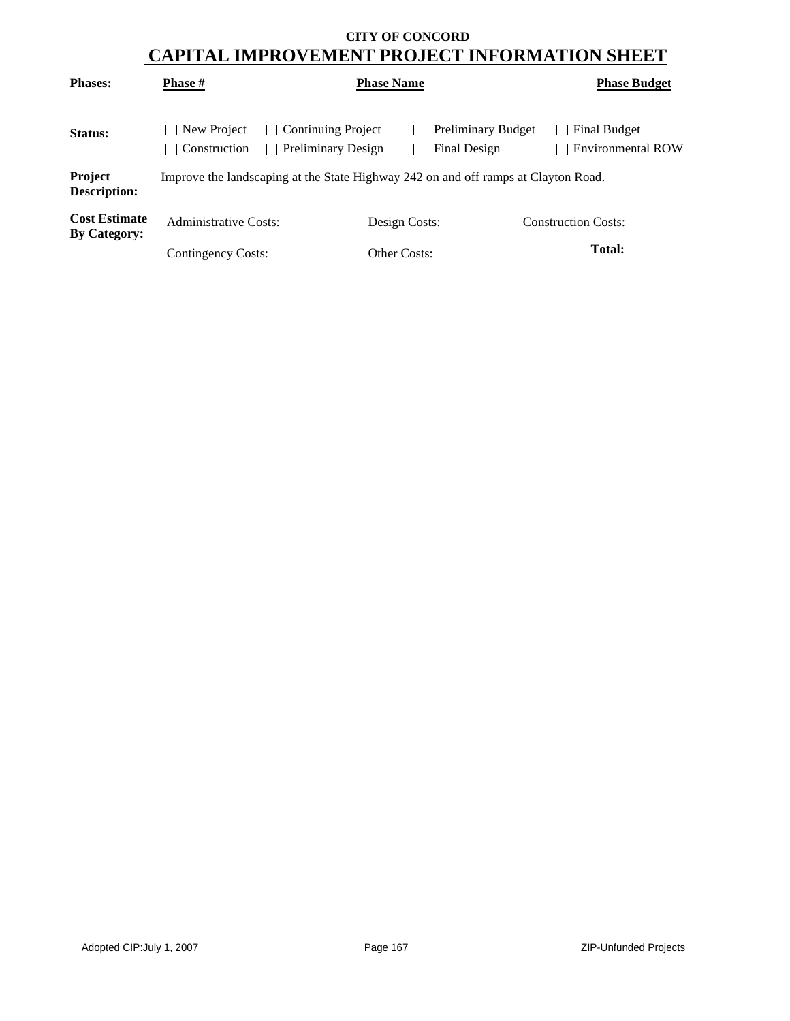| <b>Phases:</b>                              | <b>Phase</b> #                    | <b>Phase Name</b>                                      |               |                                                                                    | <b>Phase Budget</b>                      |
|---------------------------------------------|-----------------------------------|--------------------------------------------------------|---------------|------------------------------------------------------------------------------------|------------------------------------------|
| <b>Status:</b>                              | New Project<br>Construction<br>×. | <b>Continuing Project</b><br><b>Preliminary Design</b> |               | <b>Preliminary Budget</b><br>Final Design                                          | <b>Final Budget</b><br>Environmental ROW |
| Project<br>Description:                     |                                   |                                                        |               | Improve the landscaping at the State Highway 242 on and off ramps at Clayton Road. |                                          |
| <b>Cost Estimate</b><br><b>By Category:</b> | <b>Administrative Costs:</b>      |                                                        | Design Costs: |                                                                                    | <b>Construction Costs:</b>               |
|                                             | Contingency Costs:                |                                                        | Other Costs:  |                                                                                    | <b>Total:</b>                            |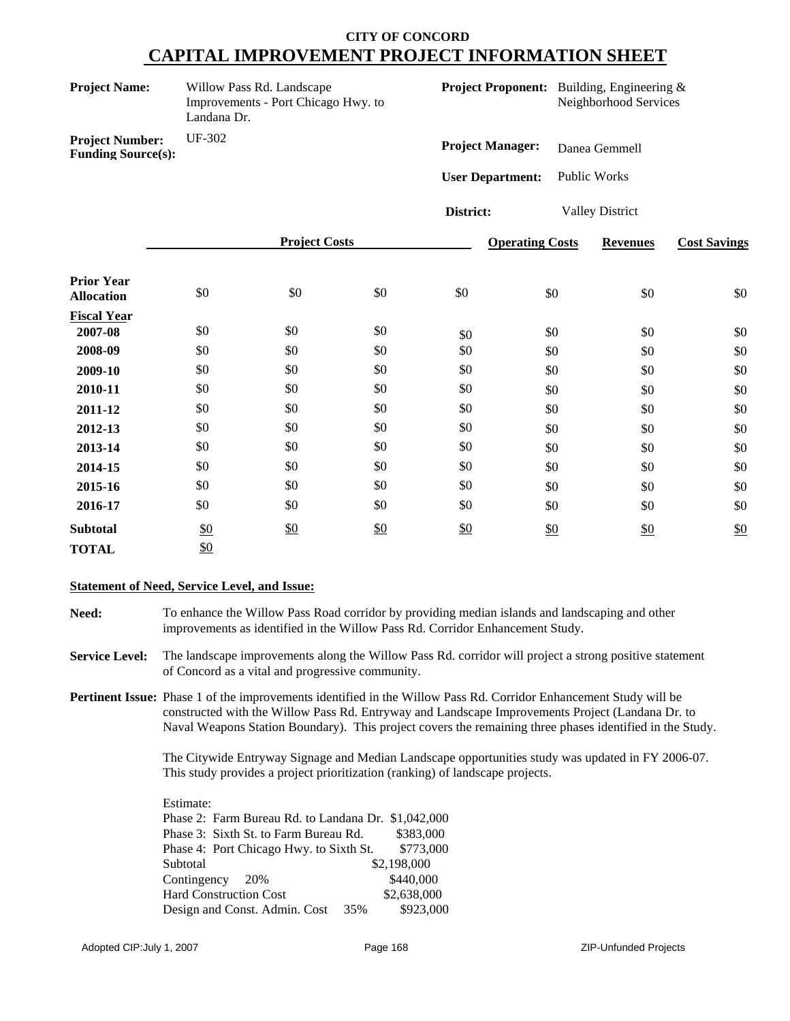| Willow Pass Rd. Landscape<br><b>Project Name:</b><br>Improvements - Port Chicago Hwy. to<br>Landana Dr. |        |                      |     | <b>Project Proponent:</b> Building, Engineering &<br>Neighborhood Services |                        |                        |                     |  |
|---------------------------------------------------------------------------------------------------------|--------|----------------------|-----|----------------------------------------------------------------------------|------------------------|------------------------|---------------------|--|
| <b>Project Number:</b><br><b>Funding Source(s):</b>                                                     | UF-302 |                      |     | <b>Project Manager:</b>                                                    |                        | Danea Gemmell          |                     |  |
|                                                                                                         |        |                      |     | <b>User Department:</b>                                                    |                        | Public Works           |                     |  |
|                                                                                                         |        |                      |     | District:                                                                  |                        | <b>Valley District</b> |                     |  |
|                                                                                                         |        | <b>Project Costs</b> |     |                                                                            | <b>Operating Costs</b> | <b>Revenues</b>        | <b>Cost Savings</b> |  |
| <b>Prior Year</b><br><b>Allocation</b>                                                                  | \$0    | \$0                  | \$0 | \$0                                                                        | \$0                    | \$0                    | \$0                 |  |
| <b>Fiscal Year</b>                                                                                      |        |                      |     |                                                                            |                        |                        |                     |  |
| 2007-08                                                                                                 | \$0    | \$0                  | \$0 | \$0                                                                        | \$0                    | \$0                    | \$0                 |  |
| 2008-09                                                                                                 | \$0    | \$0                  | \$0 | \$0                                                                        | \$0                    | \$0                    | \$0                 |  |
| 2009-10                                                                                                 | \$0    | \$0                  | \$0 | \$0                                                                        | \$0                    | \$0                    | \$0                 |  |
| 2010-11                                                                                                 | \$0    | \$0                  | \$0 | \$0                                                                        | \$0                    | \$0                    | \$0                 |  |
| 2011-12                                                                                                 | \$0    | \$0                  | \$0 | \$0                                                                        | \$0                    | \$0                    | \$0                 |  |
| 2012-13                                                                                                 | \$0    | \$0                  | \$0 | \$0                                                                        | \$0                    | \$0                    | \$0                 |  |
| 2013-14                                                                                                 | \$0    | \$0                  | \$0 | \$0                                                                        | \$0                    | \$0                    | \$0                 |  |
| 2014-15                                                                                                 | \$0    | \$0                  | \$0 | \$0                                                                        | \$0                    | \$0                    | \$0                 |  |
| 2015-16                                                                                                 | \$0    | \$0                  | \$0 | \$0                                                                        | \$0                    | \$0                    | \$0                 |  |
| 2016-17                                                                                                 | \$0    | \$0                  | \$0 | \$0                                                                        | \$0                    | \$0                    | \$0                 |  |
| <b>Subtotal</b>                                                                                         | \$0    | \$0                  | \$0 | \$0                                                                        | $\frac{$0}{}$          | \$0                    | $\frac{$0}{}$       |  |
| <b>TOTAL</b>                                                                                            | \$0    |                      |     |                                                                            |                        |                        |                     |  |

#### **Statement of Need, Service Level, and Issue:**

**Need:** To enhance the Willow Pass Road corridor by providing median islands and landscaping and other improvements as identified in the Willow Pass Rd. Corridor Enhancement Study.

**Service Level:** The landscape improvements along the Willow Pass Rd. corridor will project a strong positive statement of Concord as a vital and progressive community.

**Pertinent Issue:** Phase 1 of the improvements identified in the Willow Pass Rd. Corridor Enhancement Study will be constructed with the Willow Pass Rd. Entryway and Landscape Improvements Project (Landana Dr. to Naval Weapons Station Boundary). This project covers the remaining three phases identified in the Study.

> The Citywide Entryway Signage and Median Landscape opportunities study was updated in FY 2006-07. This study provides a project prioritization (ranking) of landscape projects.

Estimate: Phase 2: Farm Bureau Rd. to Landana Dr. \$1,042,000 Phase 3: Sixth St. to Farm Bureau Rd. \$383,000 Phase 4: Port Chicago Hwy. to Sixth St. \$773,000 Subtotal \$2,198,000 Contingency 20% \$440,000 Hard Construction Cost \$2,638,000 Design and Const. Admin. Cost 35% \$923,000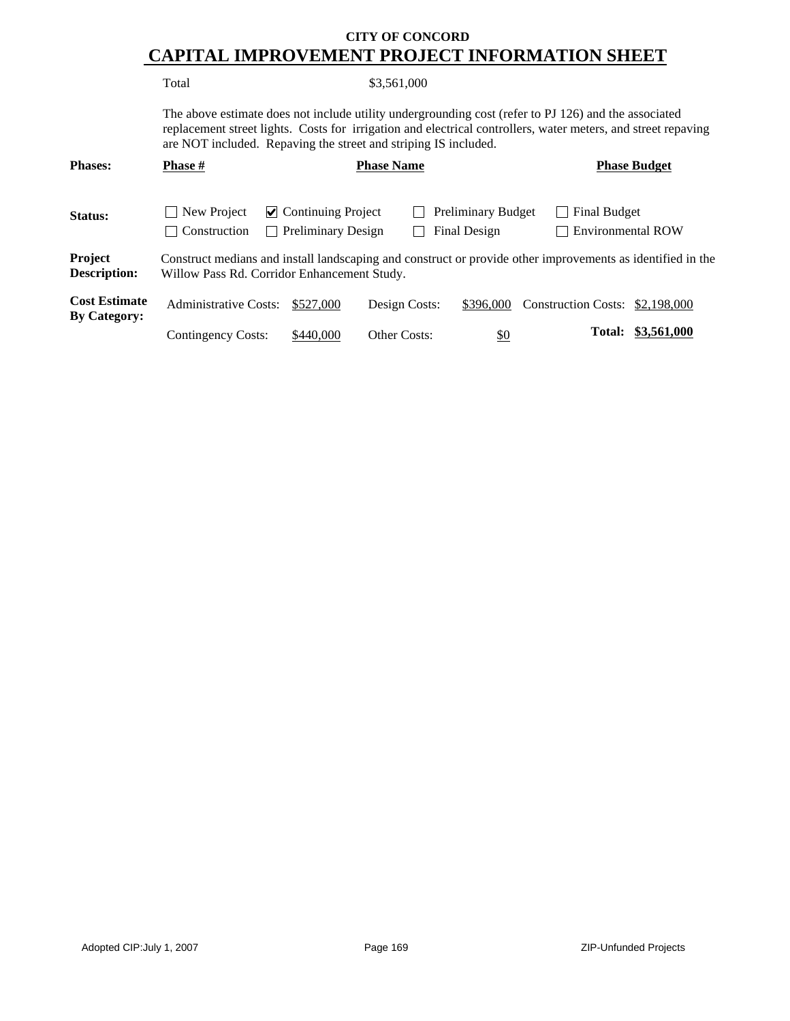Total \$3,561,000

The above estimate does not include utility undergrounding cost (refer to PJ 126) and the associated replacement street lights. Costs for irrigation and electrical controllers, water meters, and street repaving are NOT included. Repaving the street and striping IS included.

| <b>Phases:</b>                              | <b>Phase #</b>                | <b>Phase Name</b>                                                                                                                                         |                     |                                           |                                                 | <b>Phase Budget</b> |  |
|---------------------------------------------|-------------------------------|-----------------------------------------------------------------------------------------------------------------------------------------------------------|---------------------|-------------------------------------------|-------------------------------------------------|---------------------|--|
| <b>Status:</b>                              | New Project<br>  Construction | $\triangleright$ Continuing Project<br><b>Preliminary Design</b>                                                                                          |                     | <b>Preliminary Budget</b><br>Final Design | <b>Final Budget</b><br><b>Environmental ROW</b> |                     |  |
| Project<br><b>Description:</b>              |                               | Construct medians and install landscaping and construct or provide other improvements as identified in the<br>Willow Pass Rd. Corridor Enhancement Study. |                     |                                           |                                                 |                     |  |
| <b>Cost Estimate</b><br><b>By Category:</b> | <b>Administrative Costs:</b>  | \$527,000                                                                                                                                                 | Design Costs:       | \$396,000                                 | Construction Costs: \$2,198,000                 |                     |  |
|                                             | <b>Contingency Costs:</b>     | \$440,000                                                                                                                                                 | <b>Other Costs:</b> | <u>\$0</u>                                | Total:                                          | \$3,561,000         |  |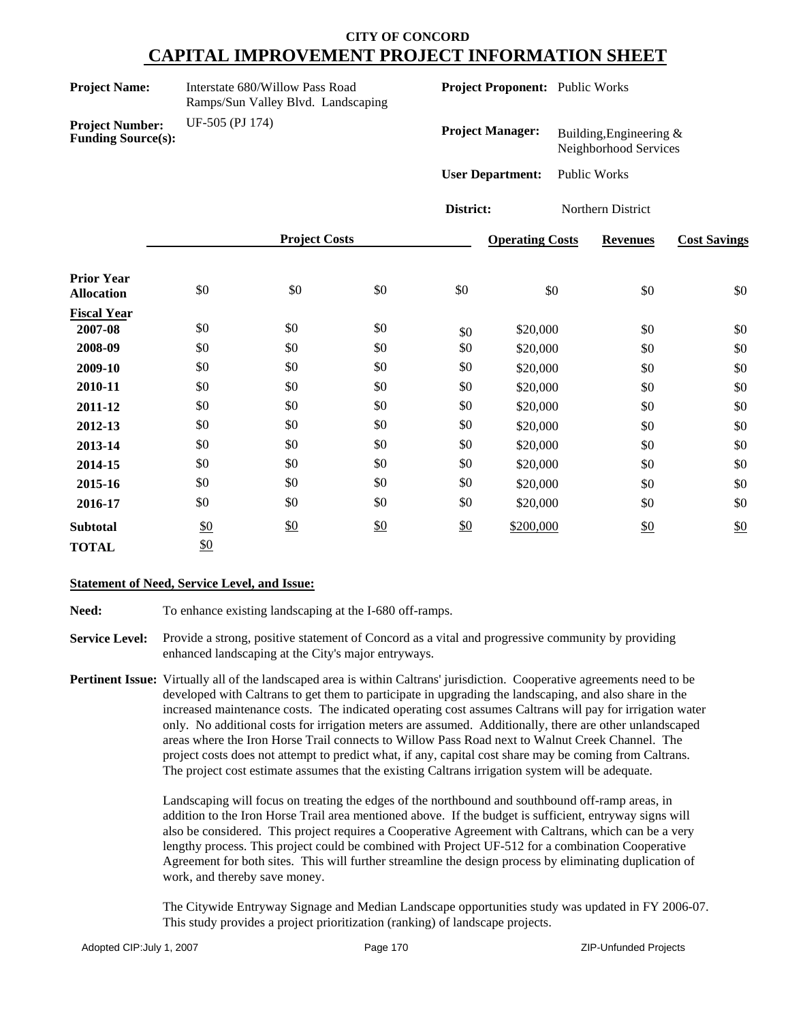| <b>Project Name:</b>                                | Interstate 680/Willow Pass Road<br>Ramps/Sun Valley Blvd. Landscaping |                      |            | Project Proponent: Public Works |                         |                                                  |                   |                     |
|-----------------------------------------------------|-----------------------------------------------------------------------|----------------------|------------|---------------------------------|-------------------------|--------------------------------------------------|-------------------|---------------------|
| <b>Project Number:</b><br><b>Funding Source(s):</b> | UF-505 (PJ 174)                                                       |                      |            | <b>Project Manager:</b>         |                         | Building, Engineering &<br>Neighborhood Services |                   |                     |
|                                                     |                                                                       |                      |            |                                 | <b>User Department:</b> |                                                  | Public Works      |                     |
|                                                     |                                                                       |                      |            | District:                       |                         |                                                  | Northern District |                     |
|                                                     |                                                                       | <b>Project Costs</b> |            |                                 | <b>Operating Costs</b>  |                                                  | <b>Revenues</b>   | <b>Cost Savings</b> |
| <b>Prior Year</b><br><b>Allocation</b>              | \$0                                                                   | \$0                  | \$0        | \$0                             |                         | \$0                                              | \$0               | \$0                 |
| <b>Fiscal Year</b><br>2007-08                       | \$0                                                                   | \$0                  | \$0        | \$0                             | \$20,000                |                                                  | \$0               | \$0                 |
| 2008-09<br>2009-10                                  | \$0<br>\$0                                                            | \$0<br>\$0           | \$0<br>\$0 | \$0<br>\$0                      | \$20,000<br>\$20,000    |                                                  | \$0<br>\$0        | \$0<br>\$0          |
| 2010-11                                             | \$0                                                                   | \$0                  | \$0        | \$0                             | \$20,000                |                                                  | \$0               | \$0                 |
| 2011-12<br>2012-13                                  | \$0<br>\$0                                                            | \$0<br>\$0           | \$0<br>\$0 | \$0<br>\$0                      | \$20,000<br>\$20,000    |                                                  | \$0<br>\$0        | \$0<br>\$0          |
| 2013-14                                             | \$0                                                                   | \$0                  | \$0        | \$0                             | \$20,000                |                                                  | \$0               | \$0                 |
| 2014-15<br>2015-16                                  | \$0<br>\$0                                                            | \$0<br>\$0           | \$0<br>\$0 | \$0<br>\$0                      | \$20,000<br>\$20,000    |                                                  | \$0<br>\$0        | \$0<br>\$0          |
| 2016-17                                             | \$0                                                                   | \$0                  | \$0        | \$0                             | \$20,000                |                                                  | \$0               | \$0                 |
| <b>Subtotal</b><br><b>TOTAL</b>                     | $\underline{\$0}$<br>$\underline{\$0}$                                | \$0                  | \$0        | \$0                             | \$200,000               |                                                  | \$0               | \$0                 |

#### **Statement of Need, Service Level, and Issue:**

Need: To enhance existing landscaping at the I-680 off-ramps.

**Service Level:** Provide a strong, positive statement of Concord as a vital and progressive community by providing enhanced landscaping at the City's major entryways.

**Pertinent Issue:** Virtually all of the landscaped area is within Caltrans' jurisdiction. Cooperative agreements need to be developed with Caltrans to get them to participate in upgrading the landscaping, and also share in the increased maintenance costs. The indicated operating cost assumes Caltrans will pay for irrigation water only. No additional costs for irrigation meters are assumed. Additionally, there are other unlandscaped areas where the Iron Horse Trail connects to Willow Pass Road next to Walnut Creek Channel. The project costs does not attempt to predict what, if any, capital cost share may be coming from Caltrans. The project cost estimate assumes that the existing Caltrans irrigation system will be adequate.

> Landscaping will focus on treating the edges of the northbound and southbound off-ramp areas, in addition to the Iron Horse Trail area mentioned above. If the budget is sufficient, entryway signs will also be considered. This project requires a Cooperative Agreement with Caltrans, which can be a very lengthy process. This project could be combined with Project UF-512 for a combination Cooperative Agreement for both sites. This will further streamline the design process by eliminating duplication of work, and thereby save money.

The Citywide Entryway Signage and Median Landscape opportunities study was updated in FY 2006-07. This study provides a project prioritization (ranking) of landscape projects.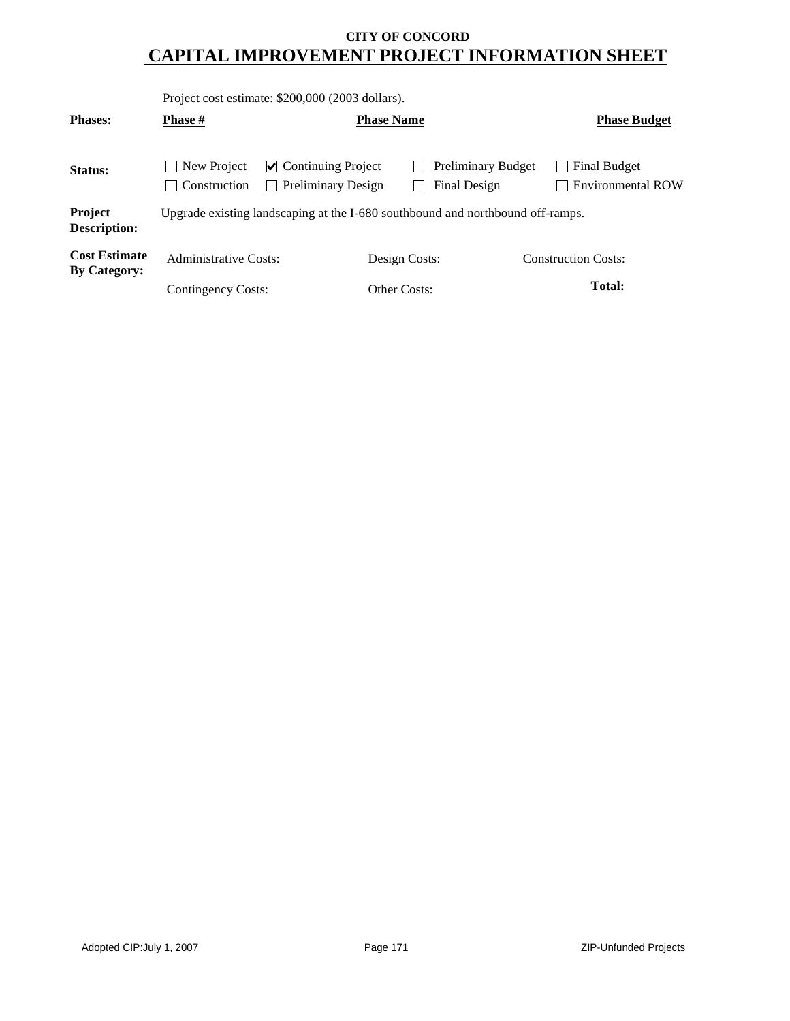|                                             |                             | Project cost estimate: \$200,000 (2003 dollars).       |               |                                                                                |  |                                          |  |
|---------------------------------------------|-----------------------------|--------------------------------------------------------|---------------|--------------------------------------------------------------------------------|--|------------------------------------------|--|
| <b>Phases:</b>                              | <b>Phase</b> #              | <b>Phase Name</b>                                      |               |                                                                                |  | <b>Phase Budget</b>                      |  |
| Status:                                     | New Project<br>Construction | $\vee$ Continuing Project<br><b>Preliminary Design</b> |               | <b>Preliminary Budget</b><br>Final Design                                      |  | Final Budget<br><b>Environmental ROW</b> |  |
| Project<br><b>Description:</b>              |                             |                                                        |               | Upgrade existing landscaping at the I-680 southbound and northbound off-ramps. |  |                                          |  |
| <b>Cost Estimate</b><br><b>By Category:</b> | Administrative Costs:       |                                                        | Design Costs: |                                                                                |  | <b>Construction Costs:</b>               |  |
|                                             | Contingency Costs:          |                                                        | Other Costs:  |                                                                                |  | Total:                                   |  |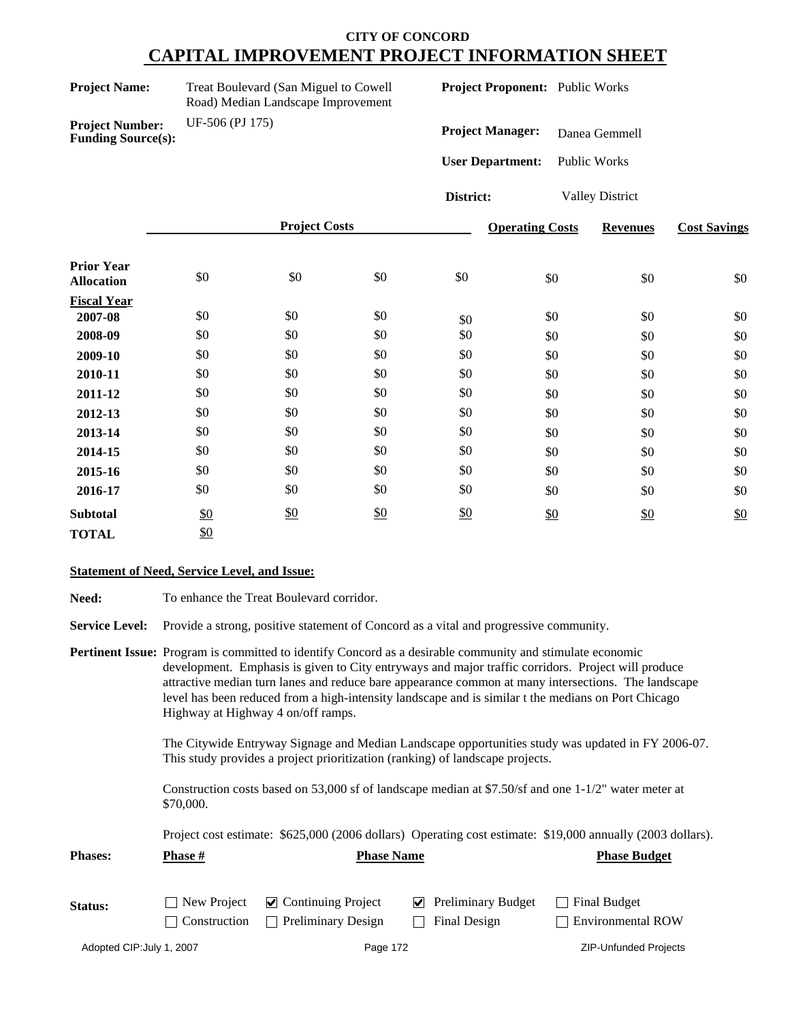**Funding Source(s):**

**Project Number:** UF-506 (PJ 175)

**Treat Boulevard (San Miguel to Cowell** Road) Median Landscape Improvement **Project Proponent:** Public Works

**Project Manager:** Danea Gemmell

**User Department:** Public Works

**District:** Valley District

|                                        |     | <b>Project Costs</b> |     |     | <b>Operating Costs</b> | <b>Revenues</b> | <b>Cost Savings</b> |
|----------------------------------------|-----|----------------------|-----|-----|------------------------|-----------------|---------------------|
| <b>Prior Year</b><br><b>Allocation</b> | \$0 | \$0                  | \$0 | \$0 | \$0                    | \$0             | \$0                 |
| <b>Fiscal Year</b>                     |     |                      |     |     |                        |                 |                     |
| 2007-08                                | \$0 | \$0                  | \$0 | \$0 | \$0                    | \$0             | \$0                 |
| 2008-09                                | \$0 | \$0                  | \$0 | \$0 | \$0                    | \$0             | \$0                 |
| 2009-10                                | \$0 | \$0                  | \$0 | \$0 | \$0                    | \$0             | \$0                 |
| 2010-11                                | \$0 | \$0                  | \$0 | \$0 | \$0                    | \$0             | \$0                 |
| 2011-12                                | \$0 | \$0                  | \$0 | \$0 | \$0                    | \$0             | \$0                 |
| 2012-13                                | \$0 | \$0                  | \$0 | \$0 | \$0                    | \$0             | \$0                 |
| 2013-14                                | \$0 | \$0                  | \$0 | \$0 | \$0                    | \$0             | \$0                 |
| 2014-15                                | \$0 | \$0                  | \$0 | \$0 | \$0                    | \$0             | \$0                 |
| 2015-16                                | \$0 | \$0                  | \$0 | \$0 | \$0                    | \$0             | \$0                 |
| 2016-17                                | \$0 | \$0                  | \$0 | \$0 | \$0                    | \$0             | \$0                 |
| <b>Subtotal</b>                        | \$0 | $\frac{$0}{}$        | \$0 | \$0 | \$0                    | \$0             | \$0                 |
| <b>TOTAL</b>                           | \$0 |                      |     |     |                        |                 |                     |

#### **Statement of Need, Service Level, and Issue:**

| <b>Need:</b>          | To enhance the Treat Boulevard corridor.                                                                                                                                                                                                                                                                                                                                                                                                                                   |
|-----------------------|----------------------------------------------------------------------------------------------------------------------------------------------------------------------------------------------------------------------------------------------------------------------------------------------------------------------------------------------------------------------------------------------------------------------------------------------------------------------------|
| <b>Service Level:</b> | Provide a strong, positive statement of Concord as a vital and progressive community.                                                                                                                                                                                                                                                                                                                                                                                      |
|                       | <b>Pertinent Issue:</b> Program is committed to identify Concord as a desirable community and stimulate economic<br>development. Emphasis is given to City entryways and major traffic corridors. Project will produce<br>attractive median turn lanes and reduce bare appearance common at many intersections. The landscape<br>level has been reduced from a high-intensity landscape and is similar t the medians on Port Chicago<br>Highway at Highway 4 on/off ramps. |
|                       | The Citywide Entryway Signage and Median Landscape opportunities study was updated in FY 2006-07.<br>This study provides a project prioritization (ranking) of landscape projects.                                                                                                                                                                                                                                                                                         |
|                       | Construction costs based on 53,000 sf of landscape median at \$7.50/sf and one $1-1/2$ " water meter at<br>\$70,000.                                                                                                                                                                                                                                                                                                                                                       |
|                       | Project cost estimate: \$625,000 (2006 dollars) Operating cost estimate: \$19,000 annually (2003 dollars).                                                                                                                                                                                                                                                                                                                                                                 |

| <b>Phases:</b>            | <b>Phase</b> #                | <b>Phase Name</b>                                                        | <b>Phase Budget</b>                       |                                   |
|---------------------------|-------------------------------|--------------------------------------------------------------------------|-------------------------------------------|-----------------------------------|
| Status:                   | New Project<br>  Construction | $\vert \mathbf{v} \vert$ Continuing Project<br><b>Preliminary Design</b> | $\vee$ Preliminary Budget<br>Final Design | Final Budget<br>Environmental ROW |
| Adopted CIP: July 1, 2007 |                               | Page 172                                                                 |                                           | <b>ZIP-Unfunded Projects</b>      |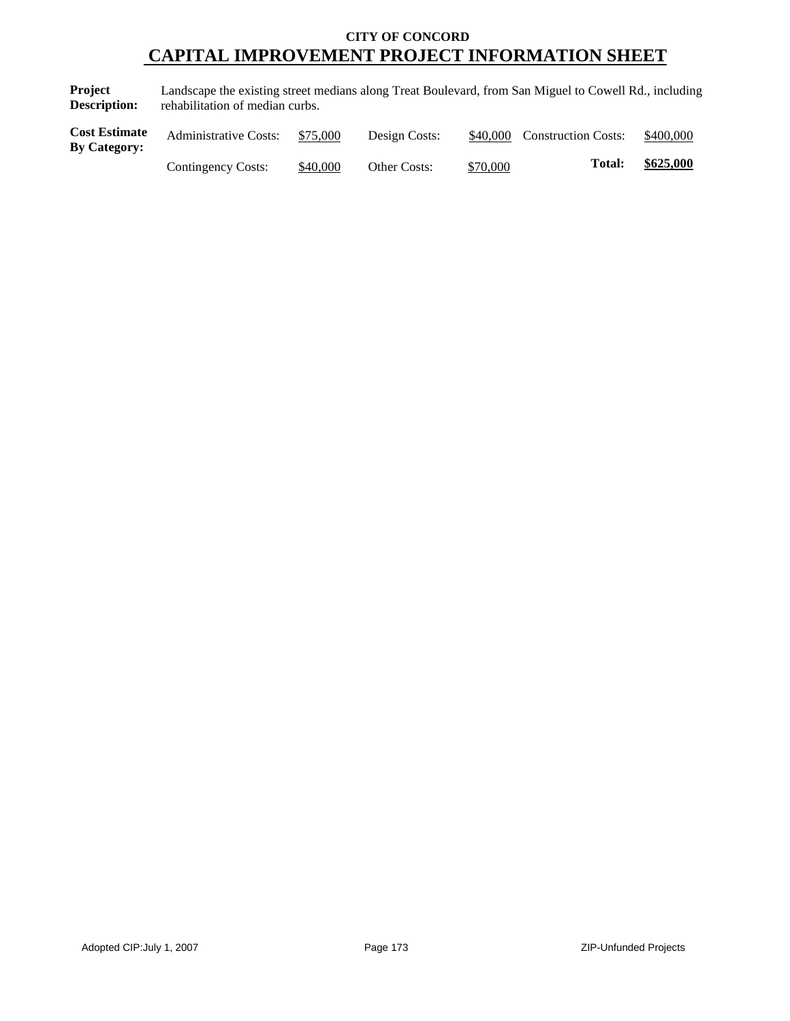**Project Description:** Landscape the existing street medians along Treat Boulevard, from San Miguel to Cowell Rd., including rehabilitation of median curbs.

| <b>Cost Estimate</b><br>By Category: | <b>Administrative Costs:</b> | \$75,000 | Design Costs:       | \$40,000 | <b>Construction Costs:</b> | \$400,000 |
|--------------------------------------|------------------------------|----------|---------------------|----------|----------------------------|-----------|
|                                      | Contingency Costs:           | \$40,000 | <b>Other Costs:</b> | \$70,000 | <b>Total:</b>              | \$625,000 |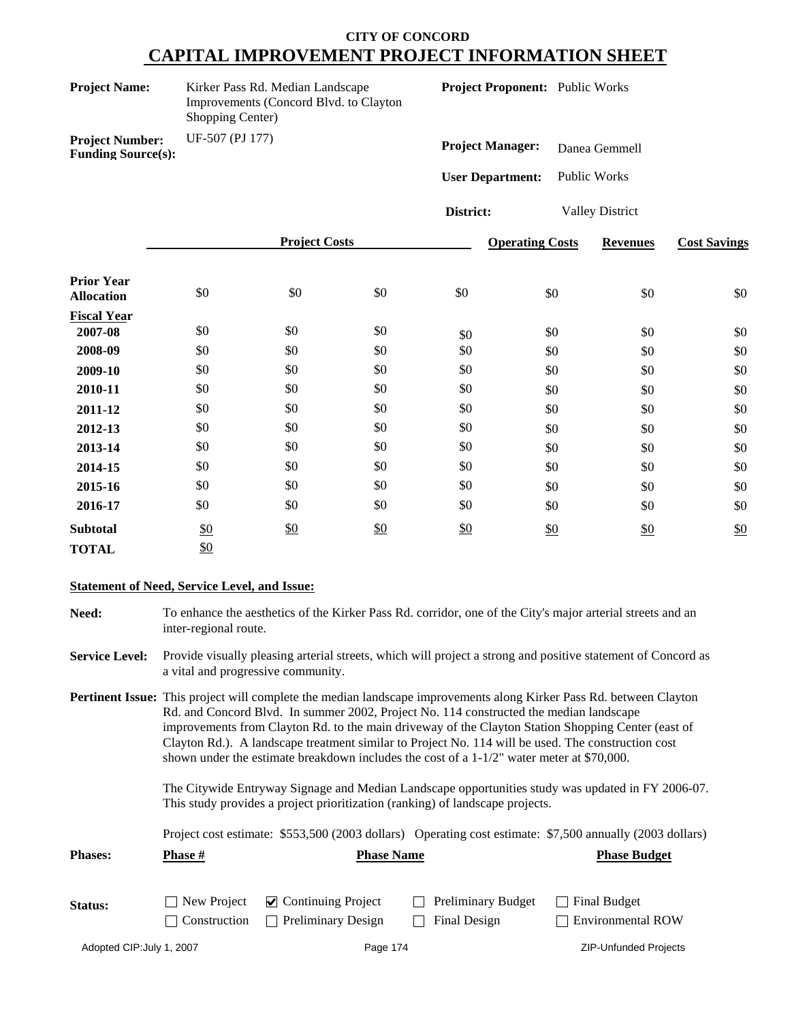| <b>Project Name:</b>                                | Kirker Pass Rd. Median Landscape<br>Improvements (Concord Blvd. to Clayton<br>Shopping Center) |                      |     | Project Proponent: Public Works |                        |                        |                     |  |
|-----------------------------------------------------|------------------------------------------------------------------------------------------------|----------------------|-----|---------------------------------|------------------------|------------------------|---------------------|--|
| <b>Project Number:</b><br><b>Funding Source(s):</b> | UF-507 (PJ 177)                                                                                |                      |     | <b>Project Manager:</b>         |                        | Danea Gemmell          |                     |  |
|                                                     |                                                                                                |                      |     | <b>User Department:</b>         |                        | <b>Public Works</b>    |                     |  |
|                                                     |                                                                                                |                      |     | District:                       |                        | <b>Valley District</b> |                     |  |
|                                                     |                                                                                                | <b>Project Costs</b> |     |                                 | <b>Operating Costs</b> | <b>Revenues</b>        | <b>Cost Savings</b> |  |
| <b>Prior Year</b><br><b>Allocation</b>              | \$0                                                                                            | \$0                  | \$0 | \$0                             | \$0                    | \$0                    | \$0                 |  |
| <b>Fiscal Year</b><br>2007-08                       | \$0                                                                                            | \$0                  | \$0 |                                 | \$0                    | \$0                    | \$0                 |  |
| 2008-09                                             | \$0                                                                                            | \$0                  | \$0 | \$0<br>\$0                      | \$0                    | \$0                    | \$0                 |  |
| 2009-10                                             | \$0                                                                                            | \$0                  | \$0 | \$0                             | \$0                    | \$0                    | \$0                 |  |
| 2010-11                                             | \$0                                                                                            | \$0                  | \$0 | \$0                             | \$0                    | \$0                    | \$0                 |  |
| 2011-12                                             | \$0                                                                                            | \$0                  | \$0 | \$0                             | \$0                    | \$0                    | \$0                 |  |
| 2012-13                                             | \$0                                                                                            | \$0                  | \$0 | \$0                             | \$0                    | \$0                    | \$0                 |  |
| 2013-14                                             | \$0                                                                                            | \$0                  | \$0 | \$0                             | \$0                    | \$0                    | \$0                 |  |
| 2014-15                                             | \$0                                                                                            | \$0                  | \$0 | \$0                             | \$0                    | \$0                    | \$0                 |  |
| 2015-16                                             | \$0                                                                                            | \$0                  | \$0 | \$0                             | \$0                    | \$0                    | \$0                 |  |
| 2016-17                                             | \$0                                                                                            | \$0                  | \$0 | \$0                             | \$0                    | \$0                    | \$0                 |  |
| <b>Subtotal</b>                                     | $\frac{$0}{}$                                                                                  | \$0                  | \$0 | $\frac{$0}{}$                   | \$0                    | \$0                    | \$0                 |  |
| <b>TOTAL</b>                                        | \$0                                                                                            |                      |     |                                 |                        |                        |                     |  |

#### **Statement of Need, Service Level, and Issue:**

| Need: | To enhance the aesthetics of the Kirker Pass Rd. corridor, one of the City's major arterial streets and an |
|-------|------------------------------------------------------------------------------------------------------------|
|       | inter-regional route.                                                                                      |

**Service Level:** Provide visually pleasing arterial streets, which will project a strong and positive statement of Concord as a vital and progressive community.

**Pertinent Issue:** This project will complete the median landscape improvements along Kirker Pass Rd. between Clayton Rd. and Concord Blvd. In summer 2002, Project No. 114 constructed the median landscape improvements from Clayton Rd. to the main driveway of the Clayton Station Shopping Center (east of Clayton Rd.). A landscape treatment similar to Project No. 114 will be used. The construction cost shown under the estimate breakdown includes the cost of a 1-1/2" water meter at \$70,000.

> The Citywide Entryway Signage and Median Landscape opportunities study was updated in FY 2006-07. This study provides a project prioritization (ranking) of landscape projects.

> Project cost estimate: \$553,500 (2003 dollars) Operating cost estimate: \$7,500 annually (2003 dollars)

| <b>Phases:</b> | <b>Phase #</b>     | <b>Phase Name</b>                   |                           | <b>Phase Budget</b>      |
|----------------|--------------------|-------------------------------------|---------------------------|--------------------------|
| Status:        | $\Box$ New Project | $\triangleright$ Continuing Project | <b>Preliminary Budget</b> | Final Budget             |
|                | Construction       | Preliminary Design                  | Final Design              | $\Box$ Environmental ROW |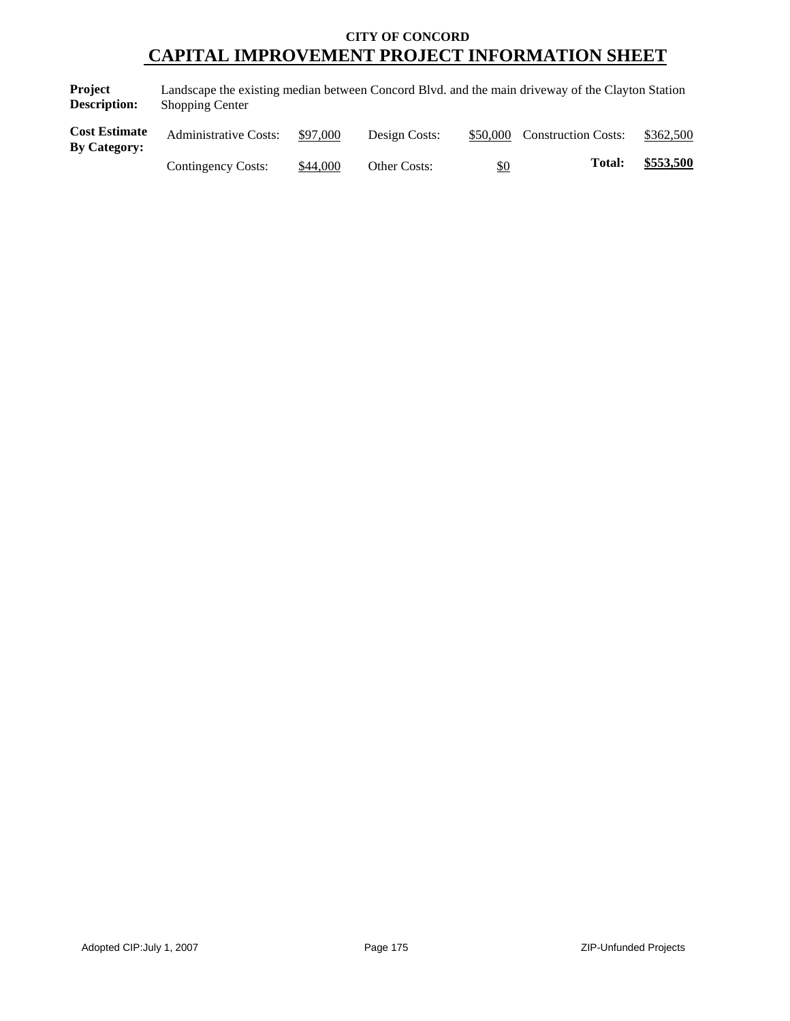**Project Description:** Landscape the existing median between Concord Blvd. and the main driveway of the Clayton Station Shopping Center

| <b>Cost Estimate</b><br><b>By Category:</b> | <b>Administrative Costs:</b> | \$97,000 | Design Costs: |     | \$50,000 Construction Costs: | \$362,500 |
|---------------------------------------------|------------------------------|----------|---------------|-----|------------------------------|-----------|
|                                             | Contingency Costs:           | \$44,000 | Other Costs:  | \$0 | <b>Total:</b>                | \$553,500 |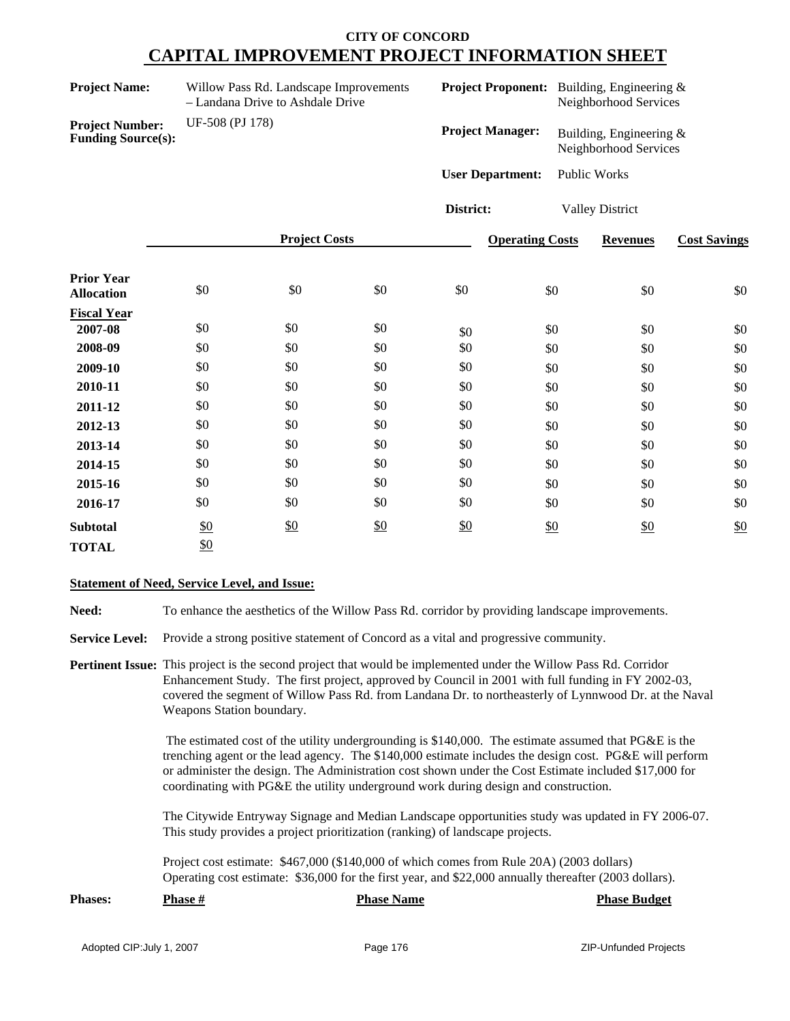| <b>Project Name:</b>                                |                 | Willow Pass Rd. Landscape Improvements<br>- Landana Drive to Ashdale Drive |     |                         |                        | <b>Project Proponent:</b> Building, Engineering &<br>Neighborhood Services |                     |
|-----------------------------------------------------|-----------------|----------------------------------------------------------------------------|-----|-------------------------|------------------------|----------------------------------------------------------------------------|---------------------|
| <b>Project Number:</b><br><b>Funding Source(s):</b> | UF-508 (PJ 178) |                                                                            |     | <b>Project Manager:</b> |                        | Building, Engineering &<br>Neighborhood Services                           |                     |
|                                                     |                 |                                                                            |     | <b>User Department:</b> |                        | <b>Public Works</b>                                                        |                     |
|                                                     |                 |                                                                            |     | District:               |                        | <b>Valley District</b>                                                     |                     |
|                                                     |                 | <b>Project Costs</b>                                                       |     |                         | <b>Operating Costs</b> | <b>Revenues</b>                                                            | <b>Cost Savings</b> |
| <b>Prior Year</b><br><b>Allocation</b>              | \$0             | \$0                                                                        | \$0 | \$0                     | \$0                    | \$0                                                                        | \$0                 |
| <b>Fiscal Year</b><br>2007-08                       | \$0             | \$0                                                                        | \$0 |                         | \$0                    | \$0                                                                        | \$0                 |
| 2008-09                                             | \$0             | \$0                                                                        | \$0 | \$0<br>\$0              | \$0                    | \$0                                                                        | \$0                 |
| 2009-10                                             | \$0             | \$0                                                                        | \$0 | \$0                     | \$0                    | \$0                                                                        | \$0                 |
| 2010-11                                             | \$0             | \$0                                                                        | \$0 | \$0                     | \$0                    | \$0                                                                        | \$0                 |
| 2011-12                                             | \$0             | \$0                                                                        | \$0 | \$0                     | \$0                    | \$0                                                                        | \$0                 |
| 2012-13                                             | \$0             | \$0                                                                        | \$0 | \$0                     | \$0                    | \$0                                                                        | \$0                 |
| 2013-14                                             | \$0             | \$0                                                                        | \$0 | \$0                     | \$0                    | \$0                                                                        | \$0                 |
| 2014-15                                             | \$0             | \$0                                                                        | \$0 | \$0                     | \$0                    | \$0                                                                        | \$0                 |
| 2015-16                                             | \$0             | \$0                                                                        | \$0 | \$0                     | \$0                    | \$0                                                                        | \$0                 |
| 2016-17                                             | \$0             | \$0                                                                        | \$0 | \$0                     | \$0                    | \$0                                                                        | \$0                 |
| <b>Subtotal</b>                                     | \$0             | \$0                                                                        | \$0 | \$0                     | \$0                    | \$0                                                                        | \$0                 |
| <b>TOTAL</b>                                        | \$0             |                                                                            |     |                         |                        |                                                                            |                     |

#### **Statement of Need, Service Level, and Issue:**

**Need:** To enhance the aesthetics of the Willow Pass Rd. corridor by providing landscape improvements.

**Service Level:** Provide a strong positive statement of Concord as a vital and progressive community.

**Pertinent Issue:** This project is the second project that would be implemented under the Willow Pass Rd. Corridor Enhancement Study. The first project, approved by Council in 2001 with full funding in FY 2002-03, covered the segment of Willow Pass Rd. from Landana Dr. to northeasterly of Lynnwood Dr. at the Naval Weapons Station boundary.

> The estimated cost of the utility undergrounding is \$140,000. The estimate assumed that PG&E is the trenching agent or the lead agency. The \$140,000 estimate includes the design cost. PG&E will perform or administer the design. The Administration cost shown under the Cost Estimate included \$17,000 for coordinating with PG&E the utility underground work during design and construction.

> The Citywide Entryway Signage and Median Landscape opportunities study was updated in FY 2006-07. This study provides a project prioritization (ranking) of landscape projects.

Project cost estimate: \$467,000 (\$140,000 of which comes from Rule 20A) (2003 dollars) Operating cost estimate: \$36,000 for the first year, and \$22,000 annually thereafter (2003 dollars).

| <b>Phases:</b> | Phase # | <b>Phase Name</b> | <b>Phase Budget</b> |
|----------------|---------|-------------------|---------------------|
|                |         |                   |                     |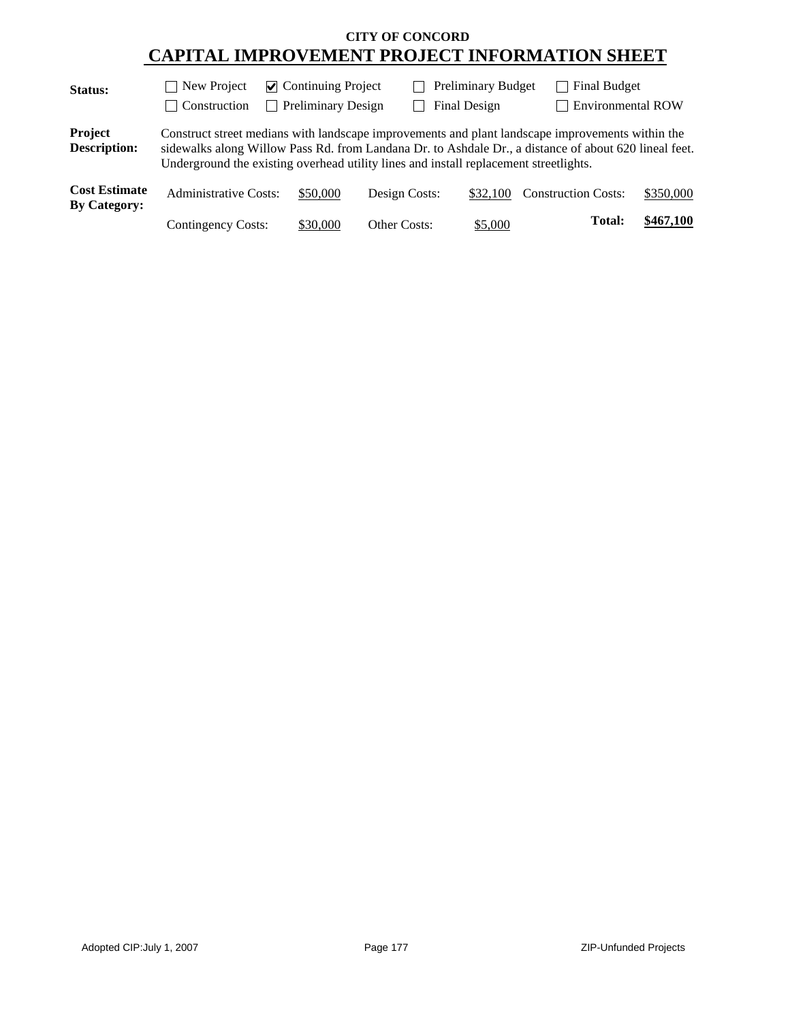| Status:                                     | $\Box$ New Project                                                                                                                                                                                                                                                                                 | $\triangleright$ Continuing Project |               | <b>Preliminary Budget</b> | Final Budget               |                          |
|---------------------------------------------|----------------------------------------------------------------------------------------------------------------------------------------------------------------------------------------------------------------------------------------------------------------------------------------------------|-------------------------------------|---------------|---------------------------|----------------------------|--------------------------|
|                                             | Construction                                                                                                                                                                                                                                                                                       | <b>Preliminary Design</b>           |               | Final Design              |                            | $\Box$ Environmental ROW |
| Project<br><b>Description:</b>              | Construct street medians with landscape improvements and plant landscape improvements within the<br>sidewalks along Willow Pass Rd. from Landana Dr. to Ashdale Dr., a distance of about 620 lineal feet.<br>Underground the existing overhead utility lines and install replacement streetlights. |                                     |               |                           |                            |                          |
| <b>Cost Estimate</b><br><b>By Category:</b> | <b>Administrative Costs:</b>                                                                                                                                                                                                                                                                       | \$50,000                            | Design Costs: | \$32,100                  | <b>Construction Costs:</b> | \$350,000                |
|                                             | Contingency Costs:                                                                                                                                                                                                                                                                                 | \$30,000                            | Other Costs:  | \$5,000                   | Total:                     | \$467,100                |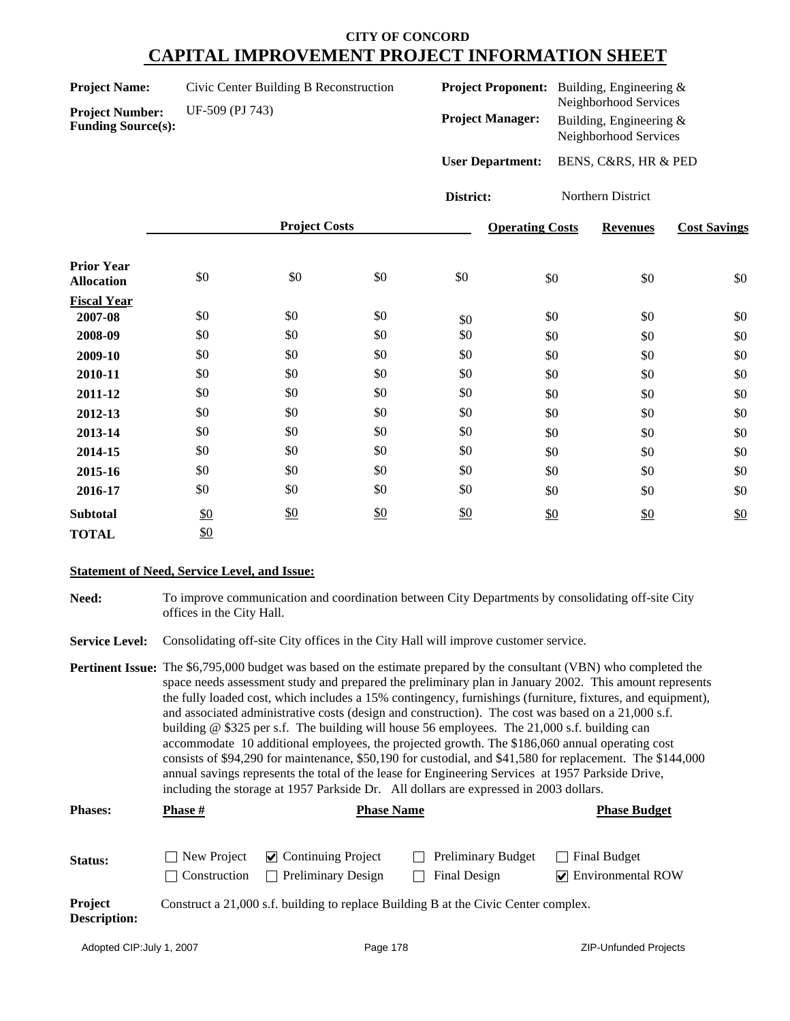| <b>Project Name:</b> | Civic Center Building B Reconstruction |
|----------------------|----------------------------------------|
|----------------------|----------------------------------------|

**Project Number:** UF-509 (PJ 743) **Funding Source(s):**

| <b>Project Proponent:</b> | Building, Engineering $\&$<br>Neighborhood Services |
|---------------------------|-----------------------------------------------------|
| <b>Project Manager:</b>   | Building, Engineering $\&$<br>Neighborhood Services |
| <b>User Department:</b>   | BENS, C&RS, HR & PED                                |

**District:** Northern District

|                                        |     | <b>Project Costs</b> |               |     | <b>Operating Costs</b> | <b>Revenues</b> | <b>Cost Savings</b> |
|----------------------------------------|-----|----------------------|---------------|-----|------------------------|-----------------|---------------------|
| <b>Prior Year</b><br><b>Allocation</b> | \$0 | \$0                  | \$0           | \$0 | \$0                    | \$0             | \$0                 |
| <b>Fiscal Year</b>                     |     |                      |               |     |                        |                 |                     |
| 2007-08                                | \$0 | \$0                  | \$0           | \$0 | \$0                    | \$0             | \$0                 |
| 2008-09                                | \$0 | \$0                  | \$0           | \$0 | \$0                    | \$0             | \$0                 |
| 2009-10                                | \$0 | \$0                  | \$0           | \$0 | \$0                    | \$0             | \$0                 |
| 2010-11                                | \$0 | \$0                  | \$0           | \$0 | \$0                    | \$0             | \$0                 |
| 2011-12                                | \$0 | \$0                  | \$0           | \$0 | \$0                    | \$0             | \$0                 |
| 2012-13                                | \$0 | \$0                  | \$0           | \$0 | \$0                    | \$0             | \$0                 |
| 2013-14                                | \$0 | \$0                  | \$0           | \$0 | \$0                    | \$0             | \$0                 |
| 2014-15                                | \$0 | \$0                  | \$0           | \$0 | \$0                    | \$0             | \$0                 |
| 2015-16                                | \$0 | \$0                  | \$0           | \$0 | \$0                    | \$0             | \$0                 |
| 2016-17                                | \$0 | \$0                  | \$0           | \$0 | \$0                    | \$0             | \$0                 |
| <b>Subtotal</b>                        | \$0 | \$0                  | $\frac{$0}{}$ | \$0 | \$0                    | \$0             | \$0                 |
| <b>TOTAL</b>                           | \$0 |                      |               |     |                        |                 |                     |

### **Statement of Need, Service Level, and Issue:**

| Need: | To improve communication and coordination between City Departments by consolidating off-site City |
|-------|---------------------------------------------------------------------------------------------------|
|       | offices in the City Hall.                                                                         |

Service Level: Consolidating off-site City offices in the City Hall will improve customer service.

| <b>Pertinent Issue:</b> The \$6,795,000 budget was based on the estimate prepared by the consultant (VBN) who completed the |
|-----------------------------------------------------------------------------------------------------------------------------|
| space needs assessment study and prepared the preliminary plan in January 2002. This amount represents                      |
| the fully loaded cost, which includes a 15% contingency, furnishings (furniture, fixtures, and equipment),                  |
| and associated administrative costs (design and construction). The cost was based on a 21,000 s.f.                          |
| building $\omega$ \$325 per s.f. The building will house 56 employees. The 21,000 s.f. building can                         |
| accommodate 10 additional employees, the projected growth. The \$186,060 annual operating cost                              |
| consists of \$94,290 for maintenance, \$50,190 for custodial, and \$41,580 for replacement. The \$144,000                   |
| annual savings represents the total of the lease for Engineering Services at 1957 Parkside Drive,                           |
| including the storage at 1957 Parkside Dr. All dollars are expressed in 2003 dollars.                                       |

| <b>Phases:</b>                 | <b>Phase</b> #                     | <b>Phase Name</b>                                                      |                                                                                     | <b>Phase Budget</b>                               |
|--------------------------------|------------------------------------|------------------------------------------------------------------------|-------------------------------------------------------------------------------------|---------------------------------------------------|
| Status:                        | New Project<br><b>Construction</b> | $\vee$ Continuing Project<br><b>Preliminary Design</b><br>$\mathbf{I}$ | <b>Preliminary Budget</b><br>Final Design                                           | Final Budget<br>$\triangledown$ Environmental ROW |
| Project<br><b>Description:</b> |                                    |                                                                        | Construct a 21,000 s.f. building to replace Building B at the Civic Center complex. |                                                   |

|  |  | Adopted CIP:July 1, 2007 |  |  |
|--|--|--------------------------|--|--|
|--|--|--------------------------|--|--|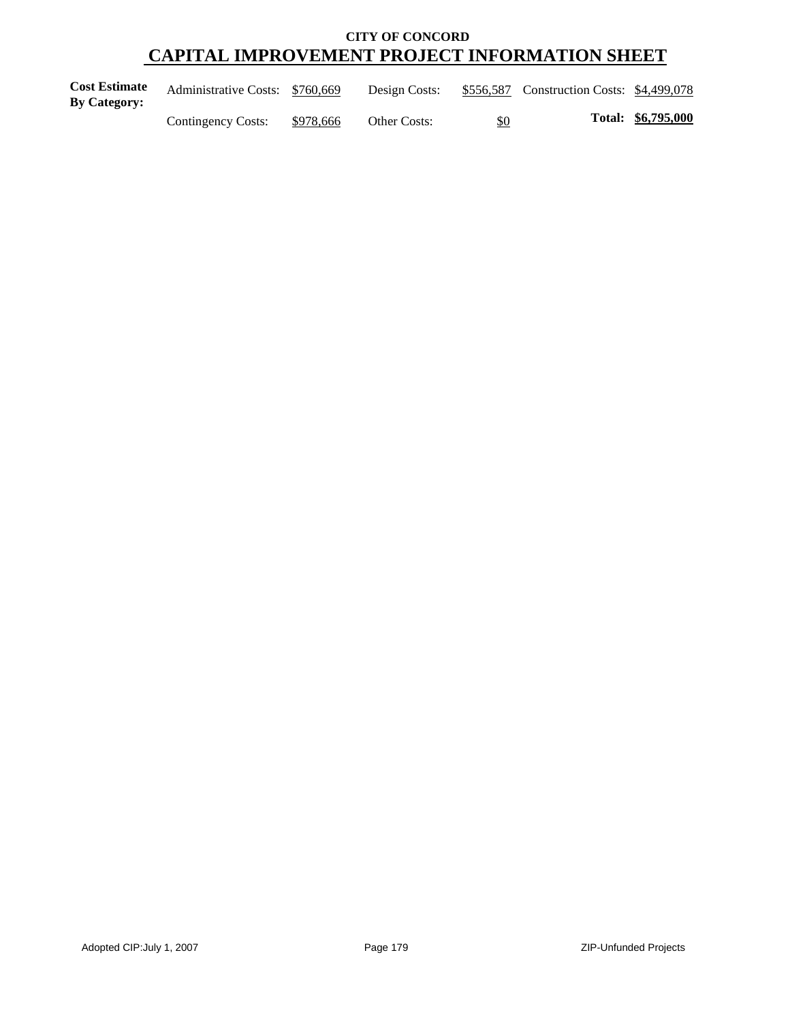| <b>Cost Estimate</b><br><b>By Category:</b> | Administrative Costs: \$760,669 |           | Design Costs: |     | \$556,587 Construction Costs: \$4,499,078 |                    |
|---------------------------------------------|---------------------------------|-----------|---------------|-----|-------------------------------------------|--------------------|
|                                             | Contingency Costs:              | \$978,666 | Other Costs:  | \$0 |                                           | Total: \$6,795,000 |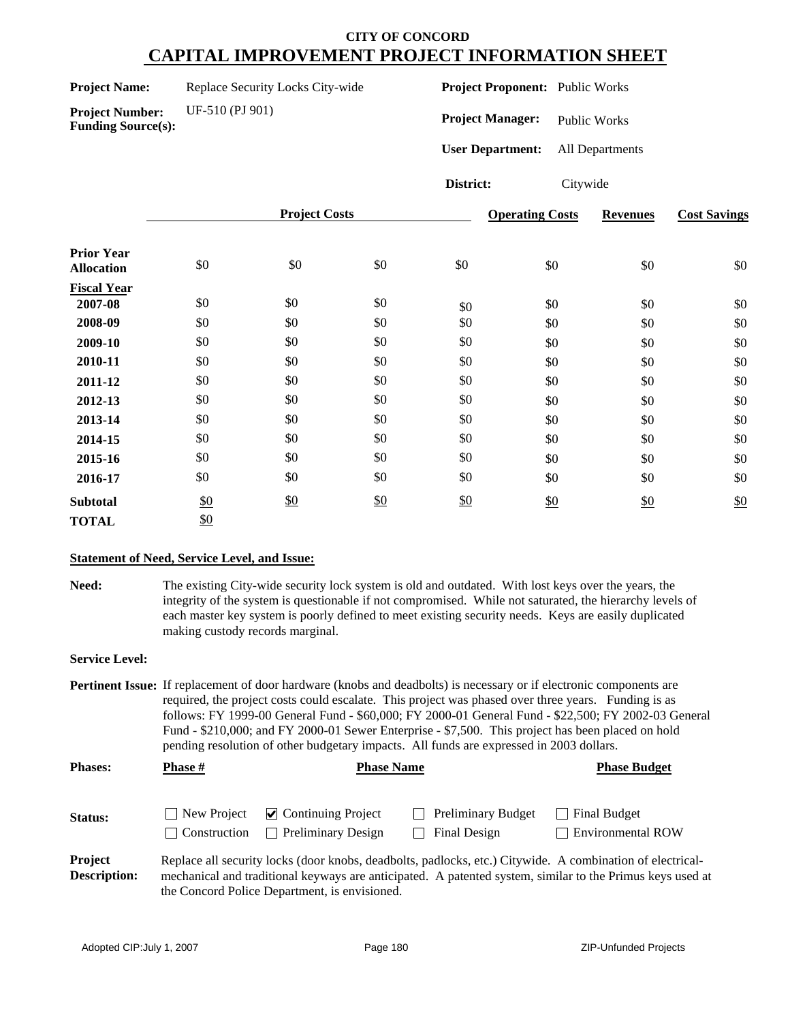**Project Number:** UF-510 (PJ 901)

**Funding Source(s):**

**Project Proponent:** Public Works

**Project Manager:** Public Works

**User Department:** All Departments

**District:** Citywide

|                                        | <b>Project Costs</b> |     |     |               | <b>Operating Costs</b> | <b>Revenues</b> | <b>Cost Savings</b> |
|----------------------------------------|----------------------|-----|-----|---------------|------------------------|-----------------|---------------------|
| <b>Prior Year</b><br><b>Allocation</b> | \$0                  | \$0 | \$0 | \$0           | \$0                    | \$0             | \$0                 |
| <b>Fiscal Year</b>                     |                      |     |     |               |                        |                 |                     |
| 2007-08                                | \$0                  | \$0 | \$0 | \$0           | \$0                    | \$0             | \$0                 |
| 2008-09                                | \$0                  | \$0 | \$0 | \$0           | \$0                    | \$0             | \$0                 |
| 2009-10                                | \$0                  | \$0 | \$0 | \$0           | \$0                    | \$0             | \$0                 |
| 2010-11                                | \$0                  | \$0 | \$0 | \$0           | \$0                    | \$0             | \$0                 |
| 2011-12                                | \$0                  | \$0 | \$0 | \$0           | \$0                    | \$0             | \$0                 |
| 2012-13                                | \$0                  | \$0 | \$0 | \$0           | \$0                    | \$0             | \$0                 |
| 2013-14                                | \$0                  | \$0 | \$0 | \$0           | \$0                    | \$0             | \$0                 |
| 2014-15                                | \$0                  | \$0 | \$0 | \$0           | \$0                    | \$0             | \$0                 |
| 2015-16                                | \$0                  | \$0 | \$0 | \$0           | \$0                    | \$0             | \$0                 |
| 2016-17                                | \$0                  | \$0 | \$0 | \$0           | \$0                    | \$0             | \$0                 |
| <b>Subtotal</b>                        | \$0                  | \$0 | \$0 | $\frac{$0}{}$ | \$0                    | $\frac{$0}{}$   | \$0                 |
| <b>TOTAL</b>                           | \$0                  |     |     |               |                        |                 |                     |

#### **Statement of Need, Service Level, and Issue:**

**Need:** The existing City-wide security lock system is old and outdated. With lost keys over the years, the integrity of the system is questionable if not compromised. While not saturated, the hierarchy levels of each master key system is poorly defined to meet existing security needs. Keys are easily duplicated making custody records marginal.

#### **Service Level:**

**Pertinent Issue:** If replacement of door hardware (knobs and deadbolts) is necessary or if electronic components are required, the project costs could escalate. This project was phased over three years. Funding is as follows: FY 1999-00 General Fund - \$60,000; FY 2000-01 General Fund - \$22,500; FY 2002-03 General Fund - \$210,000; and FY 2000-01 Sewer Enterprise - \$7,500. This project has been placed on hold pending resolution of other budgetary impacts. All funds are expressed in 2003 dollars.

| <b>Phases:</b> | <b>Phase</b> #              | <b>Phase Name</b>                                                | <b>Phase Budget</b>                       |                                                                                                           |
|----------------|-----------------------------|------------------------------------------------------------------|-------------------------------------------|-----------------------------------------------------------------------------------------------------------|
| <b>Status:</b> | New Project<br>Construction | $\triangleright$ Continuing Project<br><b>Preliminary Design</b> | <b>Preliminary Budget</b><br>Final Design | Final Budget<br><b>Environmental ROW</b>                                                                  |
| Project        |                             |                                                                  |                                           | Replace all security locks (door knobs, deadbolts, padlocks, etc.) Citywide. A combination of electrical- |

**Description:** mechanical and traditional keyways are anticipated. A patented system, similar to the Primus keys used at the Concord Police Department, is envisioned.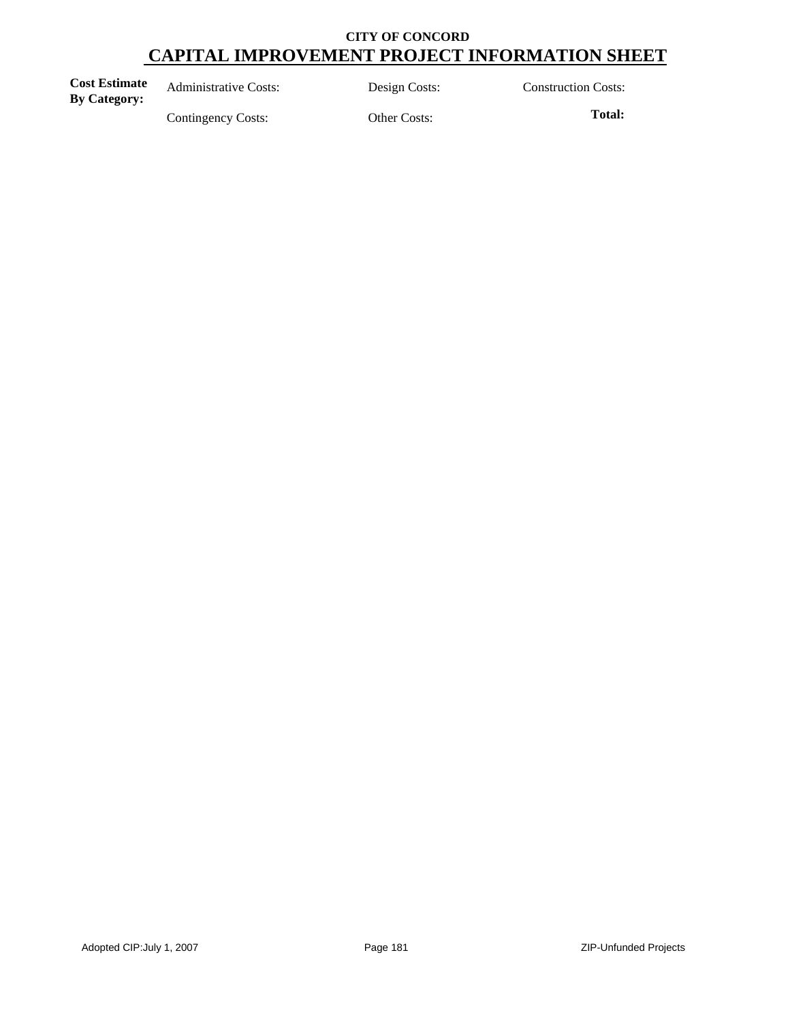| <b>Cost Estimate</b><br><b>By Category:</b> | <b>Administrative Costs:</b> | Design Costs: | <b>Construction Costs:</b> |
|---------------------------------------------|------------------------------|---------------|----------------------------|
|                                             | Contingency Costs:           | Other Costs:  | Total:                     |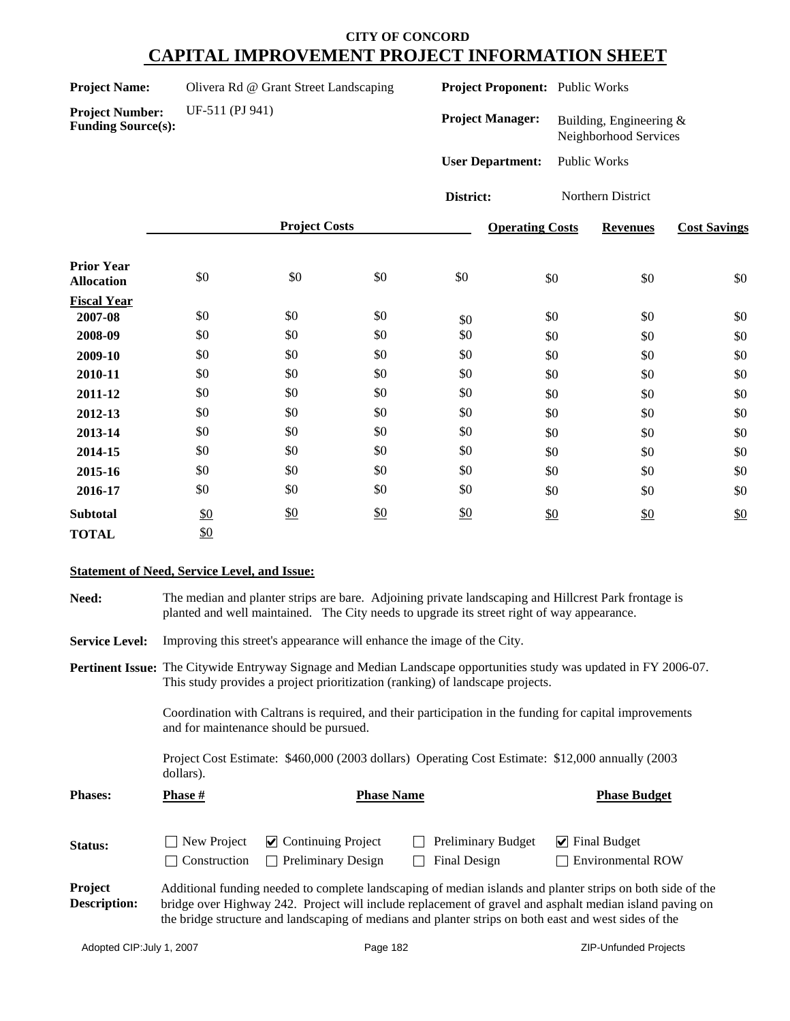| <b>Project Name:</b> | Olivera Rd @ Grant Street Landscaping |
|----------------------|---------------------------------------|
|----------------------|---------------------------------------|

**Project Proponent:** Public Works

**Funding Source(s):**

**Project Number:** UF-511 (PJ 941)

**Project Manager:** Building, Engineering & Neighborhood Services

**User Department:** Public Works

**District:** Northern District

|                                        |     | <b>Project Costs</b> |               |     | <b>Operating Costs</b> | <b>Revenues</b> | <b>Cost Savings</b> |
|----------------------------------------|-----|----------------------|---------------|-----|------------------------|-----------------|---------------------|
| <b>Prior Year</b><br><b>Allocation</b> | \$0 | \$0                  | \$0           | \$0 | \$0                    | \$0             | \$0                 |
| <b>Fiscal Year</b>                     |     |                      |               |     |                        |                 |                     |
| 2007-08                                | \$0 | \$0                  | \$0           | \$0 | \$0                    | \$0             | \$0                 |
| 2008-09                                | \$0 | \$0                  | \$0           | \$0 | \$0                    | \$0             | \$0                 |
| 2009-10                                | \$0 | \$0                  | \$0           | \$0 | \$0                    | \$0             | \$0                 |
| 2010-11                                | \$0 | \$0                  | \$0           | \$0 | \$0                    | \$0             | \$0                 |
| 2011-12                                | \$0 | \$0                  | \$0           | \$0 | \$0                    | \$0             | \$0                 |
| 2012-13                                | \$0 | \$0                  | \$0           | \$0 | \$0                    | \$0             | \$0                 |
| 2013-14                                | \$0 | \$0                  | \$0           | \$0 | \$0                    | \$0             | \$0                 |
| 2014-15                                | \$0 | \$0                  | \$0           | \$0 | \$0                    | \$0             | \$0                 |
| 2015-16                                | \$0 | \$0                  | \$0           | \$0 | \$0                    | \$0             | \$0                 |
| 2016-17                                | \$0 | \$0                  | \$0           | \$0 | \$0                    | \$0             | \$0                 |
| <b>Subtotal</b>                        | \$0 | \$0                  | $\frac{$0}{}$ | \$0 | \$0                    | \$0             | \$0                 |
| <b>TOTAL</b>                           | \$0 |                      |               |     |                        |                 |                     |

### **Statement of Need, Service Level, and Issue:**

| Need:                          | The median and planter strips are bare. Adjoining private landscaping and Hillcrest Park frontage is<br>planted and well maintained. The City needs to upgrade its street right of way appearance. |                                                                                                                                                                                                            |                                                                                                       |                                                                                                                                                                                                                       |  |  |  |  |  |  |
|--------------------------------|----------------------------------------------------------------------------------------------------------------------------------------------------------------------------------------------------|------------------------------------------------------------------------------------------------------------------------------------------------------------------------------------------------------------|-------------------------------------------------------------------------------------------------------|-----------------------------------------------------------------------------------------------------------------------------------------------------------------------------------------------------------------------|--|--|--|--|--|--|
| <b>Service Level:</b>          |                                                                                                                                                                                                    | Improving this street's appearance will enhance the image of the City.                                                                                                                                     |                                                                                                       |                                                                                                                                                                                                                       |  |  |  |  |  |  |
|                                |                                                                                                                                                                                                    | <b>Pertinent Issue:</b> The Citywide Entryway Signage and Median Landscape opportunities study was updated in FY 2006-07.<br>This study provides a project prioritization (ranking) of landscape projects. |                                                                                                       |                                                                                                                                                                                                                       |  |  |  |  |  |  |
|                                |                                                                                                                                                                                                    | Coordination with Caltrans is required, and their participation in the funding for capital improvements<br>and for maintenance should be pursued.                                                          |                                                                                                       |                                                                                                                                                                                                                       |  |  |  |  |  |  |
|                                | dollars).                                                                                                                                                                                          |                                                                                                                                                                                                            | Project Cost Estimate: \$460,000 (2003 dollars) Operating Cost Estimate: \$12,000 annually (2003      |                                                                                                                                                                                                                       |  |  |  |  |  |  |
| <b>Phases:</b>                 | Phase #                                                                                                                                                                                            | <b>Phase Name</b>                                                                                                                                                                                          |                                                                                                       | <b>Phase Budget</b>                                                                                                                                                                                                   |  |  |  |  |  |  |
| Status:                        | New Project<br>Construction                                                                                                                                                                        | $\triangleright$ Continuing Project<br><b>Preliminary Design</b><br>$\mathbf{I}$                                                                                                                           | Preliminary Budget<br>Final Design                                                                    | $\blacktriangleright$ Final Budget<br><b>Environmental ROW</b>                                                                                                                                                        |  |  |  |  |  |  |
| Project<br><b>Description:</b> |                                                                                                                                                                                                    |                                                                                                                                                                                                            | the bridge structure and landscaping of medians and planter strips on both east and west sides of the | Additional funding needed to complete landscaping of median islands and planter strips on both side of the<br>bridge over Highway 242. Project will include replacement of gravel and asphalt median island paving on |  |  |  |  |  |  |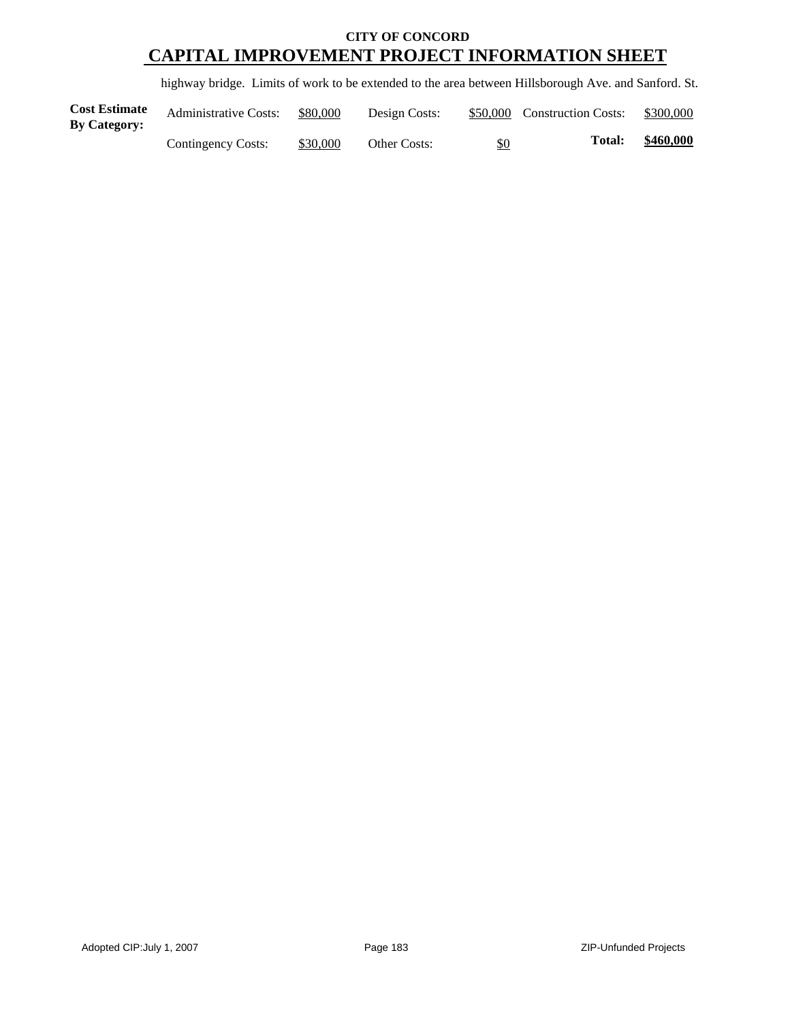highway bridge. Limits of work to be extended to the area between Hillsborough Ave. and Sanford. St.

| <b>Cost Estimate</b><br>By Category: | <b>Administrative Costs:</b> | \$80,000 | Design Costs: |     | \$50,000 Construction Costs: | \$300,000 |
|--------------------------------------|------------------------------|----------|---------------|-----|------------------------------|-----------|
|                                      | Contingency Costs:           | \$30,000 | Other Costs:  | \$0 | <b>Total:</b>                | \$460,000 |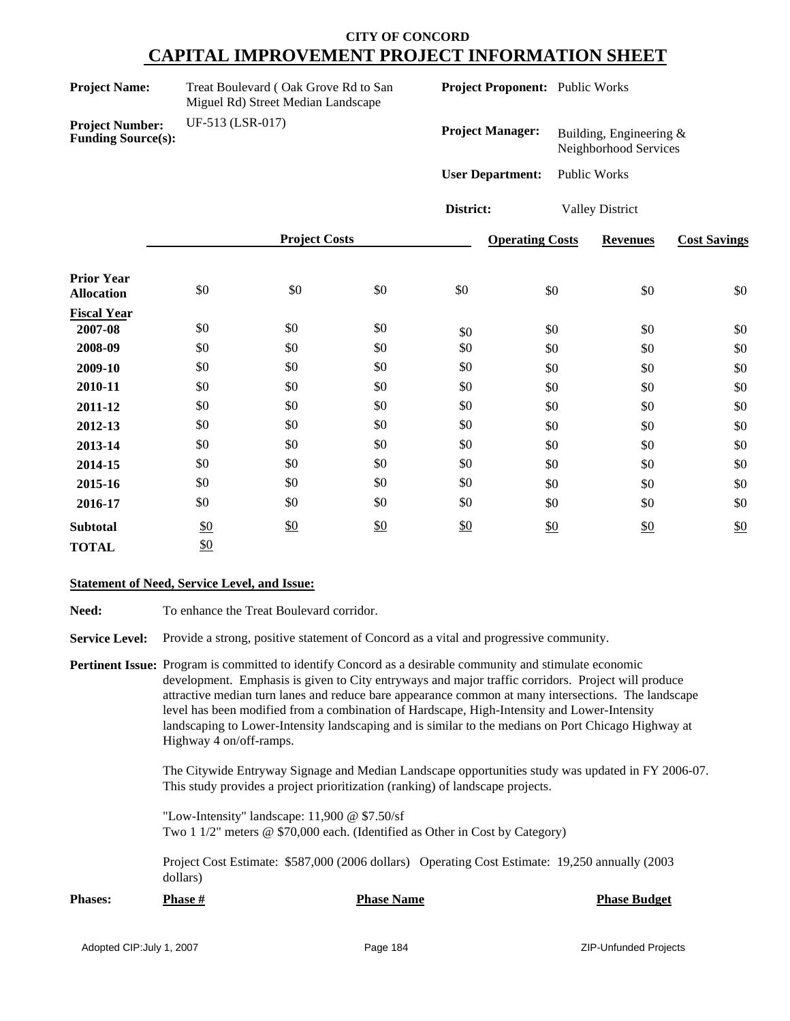| <b>Project Name:</b>                                |                  | Treat Boulevard (Oak Grove Rd to San<br>Miguel Rd) Street Median Landscape |     |                         | Project Proponent: Public Works |                                                     |                     |
|-----------------------------------------------------|------------------|----------------------------------------------------------------------------|-----|-------------------------|---------------------------------|-----------------------------------------------------|---------------------|
| <b>Project Number:</b><br><b>Funding Source(s):</b> | UF-513 (LSR-017) |                                                                            |     | <b>Project Manager:</b> |                                 | Building, Engineering $\&$<br>Neighborhood Services |                     |
|                                                     |                  |                                                                            |     | <b>User Department:</b> |                                 | <b>Public Works</b>                                 |                     |
|                                                     |                  |                                                                            |     | District:               |                                 | <b>Valley District</b>                              |                     |
|                                                     |                  | <b>Project Costs</b>                                                       |     |                         | <b>Operating Costs</b>          | <b>Revenues</b>                                     | <b>Cost Savings</b> |
| <b>Prior Year</b><br><b>Allocation</b>              | \$0              | \$0                                                                        | \$0 | \$0                     | \$0                             | \$0                                                 | \$0                 |
| <b>Fiscal Year</b>                                  |                  |                                                                            |     |                         |                                 |                                                     |                     |
| 2007-08                                             | \$0              | \$0                                                                        | \$0 | \$0                     | \$0                             | \$0                                                 | \$0                 |
| 2008-09                                             | \$0              | \$0                                                                        | \$0 | \$0                     | \$0                             | \$0                                                 | \$0                 |
| 2009-10                                             | \$0              | \$0                                                                        | \$0 | \$0                     | \$0                             | \$0                                                 | \$0                 |
| 2010-11                                             | \$0              | \$0                                                                        | \$0 | \$0                     | \$0                             | \$0                                                 | \$0                 |
| 2011-12                                             | \$0              | \$0                                                                        | \$0 | \$0                     | \$0                             | \$0                                                 | \$0                 |
| 2012-13                                             | $\$0$            | \$0                                                                        | \$0 | \$0                     | \$0                             | \$0                                                 | \$0                 |
| 2013-14                                             | \$0              | \$0                                                                        | \$0 | \$0                     | \$0                             | \$0                                                 | \$0                 |
| 2014-15                                             | \$0              | \$0                                                                        | \$0 | \$0                     | \$0                             | \$0                                                 | \$0                 |
| 2015-16                                             | \$0              | \$0                                                                        | \$0 | \$0                     | \$0                             | \$0                                                 | \$0                 |
| 2016-17                                             | \$0              | \$0                                                                        | \$0 | \$0                     | \$0                             | \$0                                                 | \$0                 |
| <b>Subtotal</b>                                     | \$0              | \$0                                                                        | \$0 | $\underline{\$0}$       | \$0                             | \$0                                                 | \$0                 |

#### **Statement of Need, Service Level, and Issue:**

TOTAL \$0

Need: To enhance the Treat Boulevard corridor.

**Service Level:** Provide a strong, positive statement of Concord as a vital and progressive community.

**Pertinent Issue:** Program is committed to identify Concord as a desirable community and stimulate economic development. Emphasis is given to City entryways and major traffic corridors. Project will produce attractive median turn lanes and reduce bare appearance common at many intersections. The landscape level has been modified from a combination of Hardscape, High-Intensity and Lower-Intensity landscaping to Lower-Intensity landscaping and is similar to the medians on Port Chicago Highway at Highway 4 on/off-ramps.

> The Citywide Entryway Signage and Median Landscape opportunities study was updated in FY 2006-07. This study provides a project prioritization (ranking) of landscape projects.

"Low-Intensity" landscape: 11,900 @ \$7.50/sf Two 1 1/2" meters @ \$70,000 each. (Identified as Other in Cost by Category)

Project Cost Estimate: \$587,000 (2006 dollars) Operating Cost Estimate: 19,250 annually (2003 dollars)

| <b>Phases:</b> | <b>Phase #</b> | <b>Phase Name</b> | <b>Phase Budget</b> |
|----------------|----------------|-------------------|---------------------|
|----------------|----------------|-------------------|---------------------|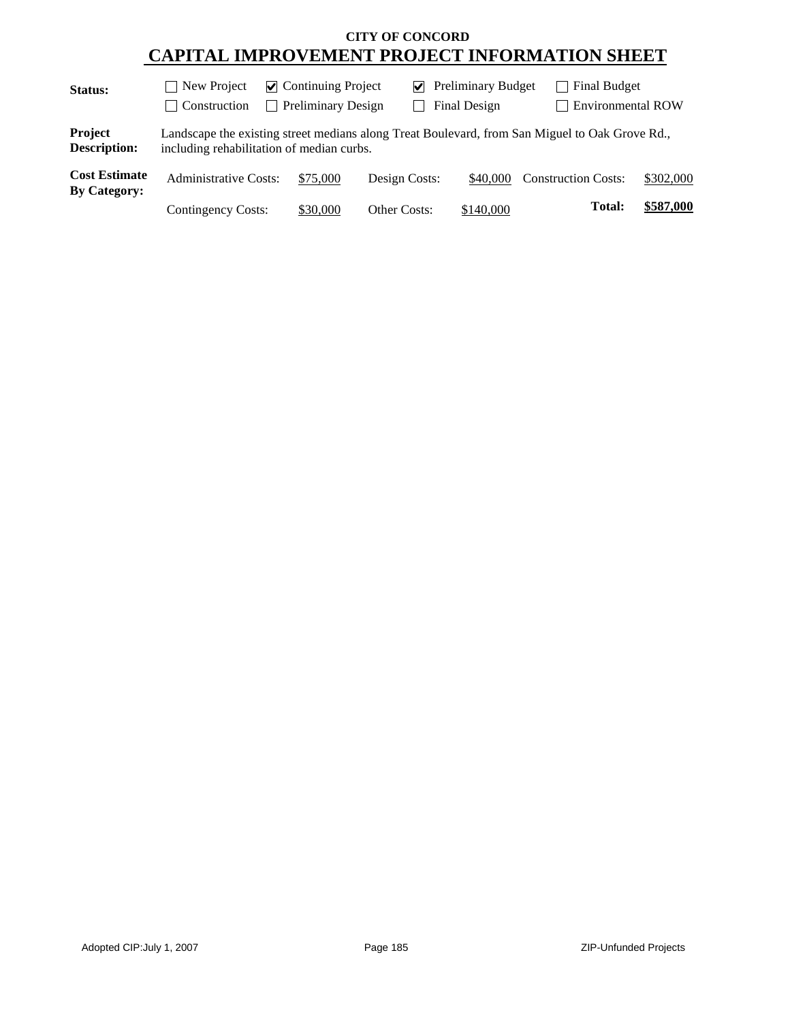| Status:                                     | $\triangleright$ Continuing Project<br>New Project<br>$\blacksquare$ |                                            |               | $\triangleright$ Preliminary Budget |                                                                                                | <b>Final Budget</b> |  |
|---------------------------------------------|----------------------------------------------------------------------|--------------------------------------------|---------------|-------------------------------------|------------------------------------------------------------------------------------------------|---------------------|--|
|                                             | Construction<br>$\blacksquare$                                       | <b>Preliminary Design</b><br>$\mathcal{L}$ |               | Final Design                        | <b>T</b> Environmental ROW                                                                     |                     |  |
| Project<br>Description:                     | including rehabilitation of median curbs.                            |                                            |               |                                     | Landscape the existing street medians along Treat Boulevard, from San Miguel to Oak Grove Rd., |                     |  |
| <b>Cost Estimate</b><br><b>By Category:</b> | <b>Administrative Costs:</b>                                         | \$75,000                                   | Design Costs: | \$40,000                            | <b>Construction Costs:</b>                                                                     | \$302,000           |  |
|                                             | Contingency Costs:                                                   | \$30,000                                   | Other Costs:  | \$140,000                           | <b>Total:</b>                                                                                  | \$587,000           |  |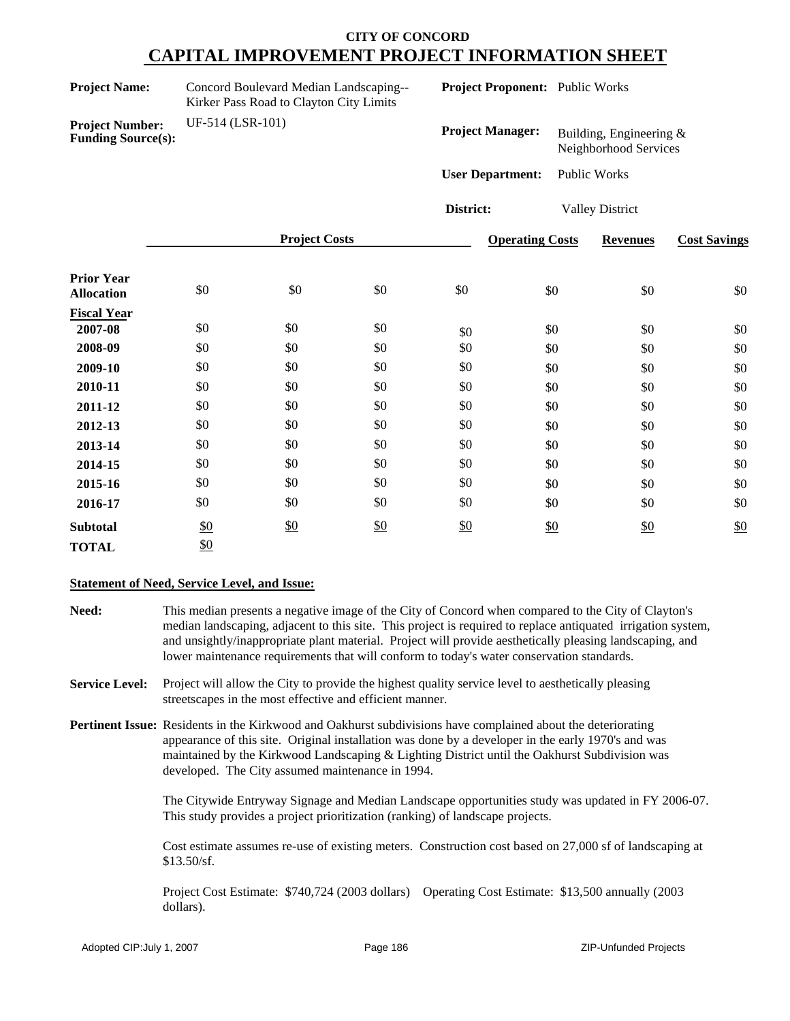| <b>Project Name:</b>                                | Concord Boulevard Median Landscaping--<br>Kirker Pass Road to Clayton City Limits |     | <b>Project Proponent:</b> Public Works |                         |                 |                                                  |     |
|-----------------------------------------------------|-----------------------------------------------------------------------------------|-----|----------------------------------------|-------------------------|-----------------|--------------------------------------------------|-----|
| <b>Project Number:</b><br><b>Funding Source(s):</b> | UF-514 (LSR-101)                                                                  |     |                                        | <b>Project Manager:</b> |                 | Building, Engineering &<br>Neighborhood Services |     |
|                                                     |                                                                                   |     |                                        | <b>User Department:</b> |                 | Public Works                                     |     |
|                                                     |                                                                                   |     |                                        | District:               |                 | <b>Valley District</b>                           |     |
|                                                     | <b>Project Costs</b>                                                              |     |                                        | <b>Operating Costs</b>  | <b>Revenues</b> | <b>Cost Savings</b>                              |     |
| <b>Prior Year</b><br><b>Allocation</b>              | \$0                                                                               | \$0 | \$0                                    | \$0                     | \$0             | \$0                                              | \$0 |
| <b>Fiscal Year</b>                                  | \$0                                                                               | \$0 | \$0                                    |                         |                 |                                                  |     |
| 2007-08                                             |                                                                                   |     |                                        | \$0                     | \$0             | \$0                                              | \$0 |
| 2008-09                                             | \$0                                                                               | \$0 | \$0                                    | \$0                     | \$0             | \$0                                              | \$0 |
| 2009-10                                             | \$0                                                                               | \$0 | \$0                                    | \$0                     | \$0             | \$0                                              | \$0 |
| 2010-11                                             | \$0                                                                               | \$0 | \$0                                    | \$0                     | \$0             | \$0                                              | \$0 |
| 2011-12                                             | \$0                                                                               | \$0 | \$0                                    | \$0                     | \$0             | \$0                                              | \$0 |
| 2012-13                                             | \$0                                                                               | \$0 | \$0                                    | \$0                     | \$0             | \$0                                              | \$0 |

#### **Statement of Need, Service Level, and Issue:**

\$0

**2013-14** \$0 **2014-15** \$0 **2015-16** \$0

TOTAL \$0

**Subtotal**

- **Need:** This median presents a negative image of the City of Concord when compared to the City of Clayton's median landscaping, adjacent to this site. This project is required to replace antiquated irrigation system, and unsightly/inappropriate plant material. Project will provide aesthetically pleasing landscaping, and lower maintenance requirements that will conform to today's water conservation standards.
- **Service Level:** Project will allow the City to provide the highest quality service level to aesthetically pleasing streetscapes in the most effective and efficient manner.

**2016-17** \$0 \$0 \$0 \$0 \$0 \$0 \$0

\$0 \$0 \$0 \$0 \$0 \$0 \$0 \$0 \$0 \$0 \$0 \$0 \$0  $\underline{\mathbf{50}}$ 

**Pertinent Issue:** Residents in the Kirkwood and Oakhurst subdivisions have complained about the deteriorating appearance of this site. Original installation was done by a developer in the early 1970's and was maintained by the Kirkwood Landscaping & Lighting District until the Oakhurst Subdivision was developed. The City assumed maintenance in 1994.

> The Citywide Entryway Signage and Median Landscape opportunities study was updated in FY 2006-07. This study provides a project prioritization (ranking) of landscape projects.

Cost estimate assumes re-use of existing meters. Construction cost based on 27,000 sf of landscaping at \$13.50/sf.

Project Cost Estimate: \$740,724 (2003 dollars) Operating Cost Estimate: \$13,500 annually (2003 dollars).

\$0 \$0 \$0

 $\frac{$0}{$0}$  \$0 \$0 \$0 \$0

\$0 \$0 \$0 \$0 \$0 \$0 \$0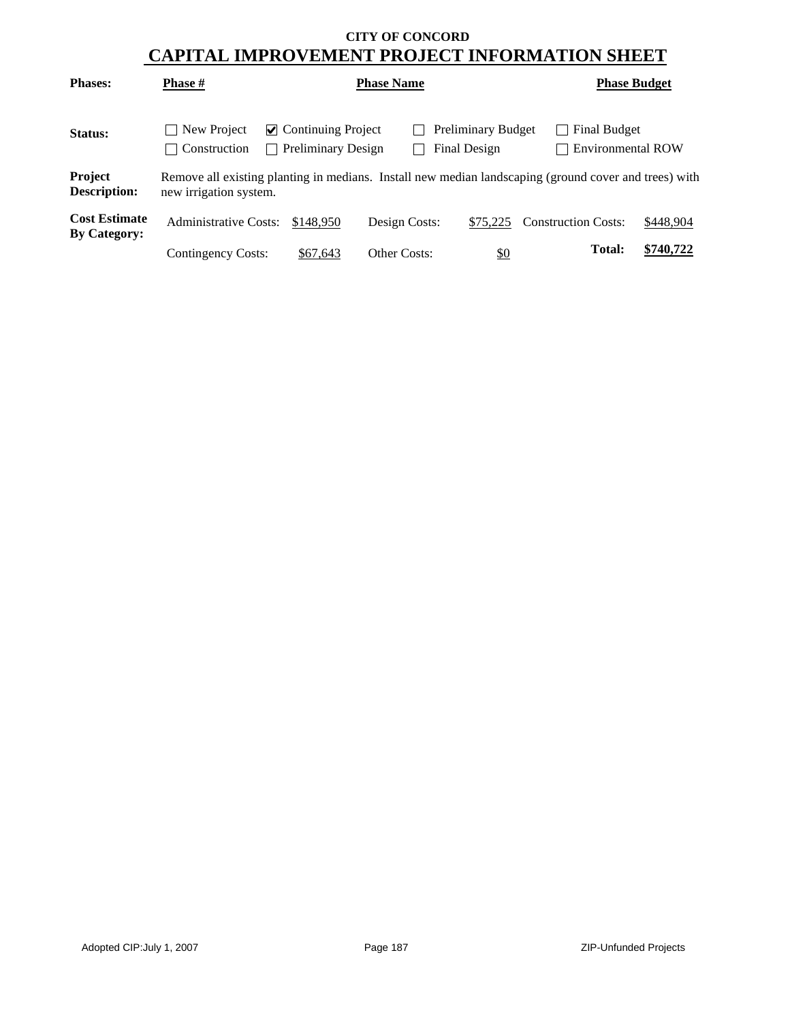| <b>Phases:</b>                              | <b>Phase #</b>                | <b>Phase Name</b>                                      | <b>Phase Budget</b> |                                           |                                                                                                       |           |
|---------------------------------------------|-------------------------------|--------------------------------------------------------|---------------------|-------------------------------------------|-------------------------------------------------------------------------------------------------------|-----------|
| Status:                                     | New Project<br>  Construction | $\vee$ Continuing Project<br><b>Preliminary Design</b> |                     | <b>Preliminary Budget</b><br>Final Design | <b>Final Budget</b><br>Environmental ROW                                                              |           |
| <b>Project</b><br><b>Description:</b>       | new irrigation system.        |                                                        |                     |                                           | Remove all existing planting in medians. Install new median landscaping (ground cover and trees) with |           |
| <b>Cost Estimate</b><br><b>By Category:</b> | <b>Administrative Costs:</b>  | \$148,950                                              | Design Costs:       | \$75.225                                  | <b>Construction Costs:</b>                                                                            | \$448,904 |
|                                             | Contingency Costs:            | \$67,643                                               | Other Costs:        | $\frac{$0}{}$                             | Total:                                                                                                | \$740,722 |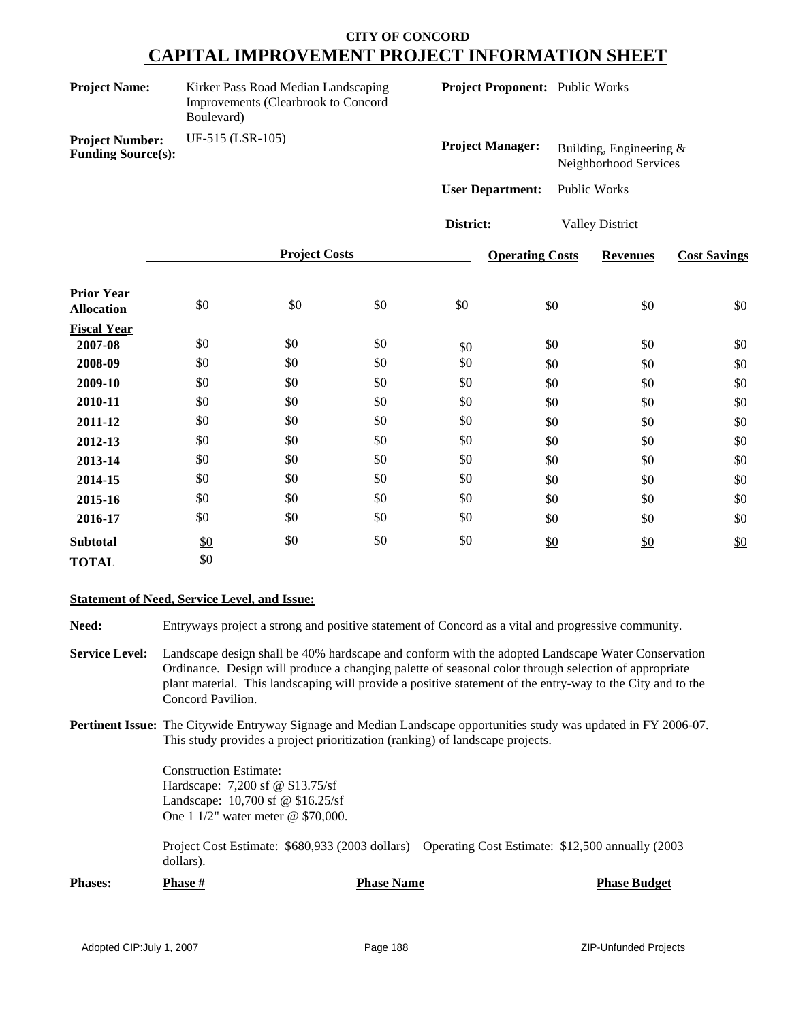| <b>Project Name:</b>                                | Kirker Pass Road Median Landscaping<br>Improvements (Clearbrook to Concord<br>Boulevard) |                      |                   |                         | Project Proponent: Public Works |                                                  |                     |
|-----------------------------------------------------|------------------------------------------------------------------------------------------|----------------------|-------------------|-------------------------|---------------------------------|--------------------------------------------------|---------------------|
| <b>Project Number:</b><br><b>Funding Source(s):</b> | UF-515 (LSR-105)                                                                         |                      |                   | <b>Project Manager:</b> |                                 | Building, Engineering &<br>Neighborhood Services |                     |
|                                                     |                                                                                          |                      |                   | <b>User Department:</b> |                                 | <b>Public Works</b>                              |                     |
|                                                     |                                                                                          |                      |                   | District:               |                                 | <b>Valley District</b>                           |                     |
|                                                     |                                                                                          | <b>Project Costs</b> |                   |                         | <b>Operating Costs</b>          | <b>Revenues</b>                                  | <b>Cost Savings</b> |
| <b>Prior Year</b><br><b>Allocation</b>              | \$0                                                                                      | \$0                  | \$0               | \$0                     | \$0                             | \$0                                              | \$0                 |
| <b>Fiscal Year</b>                                  |                                                                                          |                      |                   |                         |                                 |                                                  |                     |
| 2007-08                                             | \$0                                                                                      | \$0                  | \$0               | \$0                     | \$0                             | \$0                                              | \$0                 |
| 2008-09                                             | \$0                                                                                      | \$0                  | \$0               | \$0                     | \$0                             | \$0                                              | \$0                 |
| 2009-10                                             | \$0                                                                                      | \$0                  | \$0               | \$0                     | \$0                             | \$0                                              | \$0                 |
| 2010-11                                             | \$0                                                                                      | \$0                  | \$0               | \$0                     | \$0                             | \$0                                              | \$0                 |
| 2011-12                                             | \$0                                                                                      | \$0                  | \$0               | \$0                     | \$0                             | \$0                                              | \$0                 |
| 2012-13                                             | \$0                                                                                      | \$0                  | \$0               | \$0                     | \$0                             | \$0                                              | \$0                 |
| 2013-14                                             | \$0                                                                                      | \$0                  | \$0               | \$0                     | \$0                             | \$0                                              | \$0                 |
| 2014-15                                             | \$0                                                                                      | \$0                  | \$0               | \$0                     | \$0                             | \$0                                              | \$0                 |
| 2015-16                                             | \$0                                                                                      | \$0                  | \$0               | \$0                     | \$0                             | \$0                                              | \$0                 |
| 2016-17                                             | \$0                                                                                      | \$0                  | \$0               | \$0                     | \$0                             | \$0                                              | \$0                 |
| <b>Subtotal</b>                                     | $\frac{$0}{}$                                                                            | \$0                  | $\underline{\$0}$ | \$0                     | \$0                             | \$0                                              | \$0                 |
| <b>TOTAL</b>                                        | \$0                                                                                      |                      |                   |                         |                                 |                                                  |                     |

#### **Statement of Need, Service Level, and Issue:**

**Need:** Entryways project a strong and positive statement of Concord as a vital and progressive community.

- **Service Level:** Landscape design shall be 40% hardscape and conform with the adopted Landscape Water Conservation Ordinance. Design will produce a changing palette of seasonal color through selection of appropriate plant material. This landscaping will provide a positive statement of the entry-way to the City and to the Concord Pavilion.
- **Pertinent Issue:** The Citywide Entryway Signage and Median Landscape opportunities study was updated in FY 2006-07. This study provides a project prioritization (ranking) of landscape projects.

Construction Estimate: Hardscape: 7,200 sf @ \$13.75/sf Landscape: 10,700 sf @ \$16.25/sf One 1 1/2" water meter @ \$70,000.

Project Cost Estimate: \$680,933 (2003 dollars) Operating Cost Estimate: \$12,500 annually (2003 dollars).

**Phases: Phase # Phase Phase Name Phase Budget Phase Budget**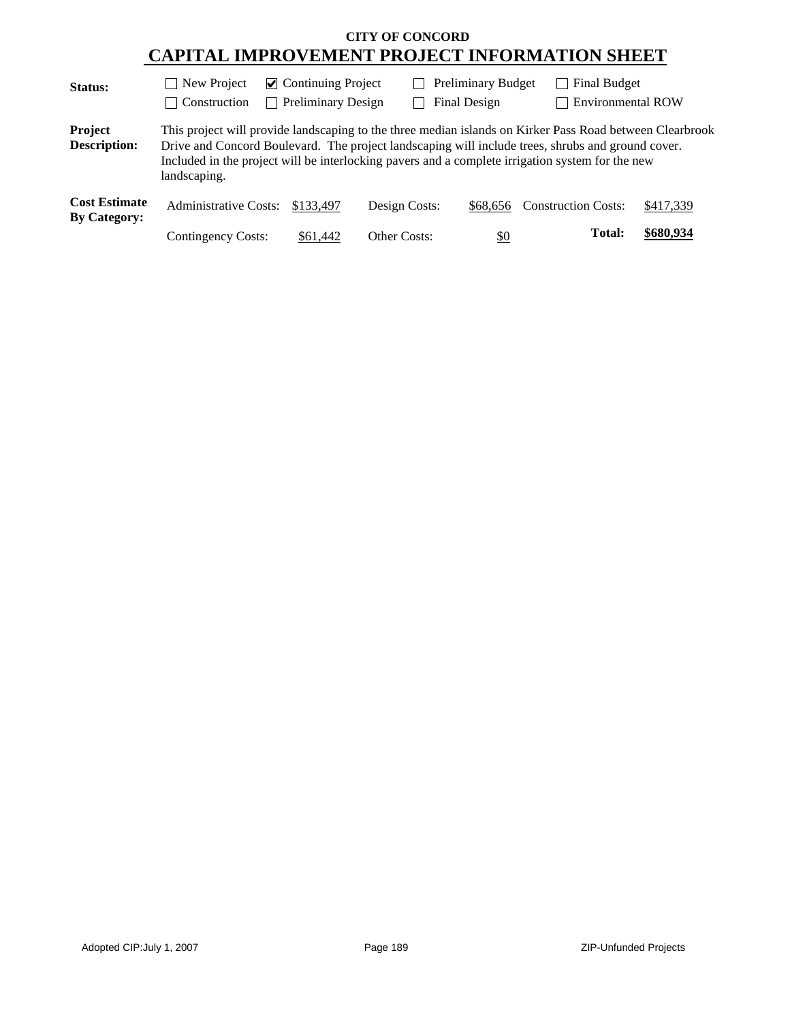| <b>Status:</b>                              | New Project                  | $\triangleright$ Continuing Project |               | <b>Preliminary Budget</b> | Final Budget                                                                                                                                                                                                                                                                                                      |           |
|---------------------------------------------|------------------------------|-------------------------------------|---------------|---------------------------|-------------------------------------------------------------------------------------------------------------------------------------------------------------------------------------------------------------------------------------------------------------------------------------------------------------------|-----------|
|                                             | Construction                 | <b>Preliminary Design</b>           |               | Final Design              | <b>Environmental ROW</b>                                                                                                                                                                                                                                                                                          |           |
| Project<br><b>Description:</b>              | landscaping.                 |                                     |               |                           | This project will provide landscaping to the three median islands on Kirker Pass Road between Clearbrook<br>Drive and Concord Boulevard. The project landscaping will include trees, shrubs and ground cover.<br>Included in the project will be interlocking pavers and a complete irrigation system for the new |           |
| <b>Cost Estimate</b><br><b>By Category:</b> | <b>Administrative Costs:</b> | \$133,497                           | Design Costs: | \$68.656                  | <b>Construction Costs:</b>                                                                                                                                                                                                                                                                                        | \$417,339 |
|                                             | <b>Contingency Costs:</b>    | \$61,442                            | Other Costs:  | $\underline{\$0}$         | Total:                                                                                                                                                                                                                                                                                                            | \$680,934 |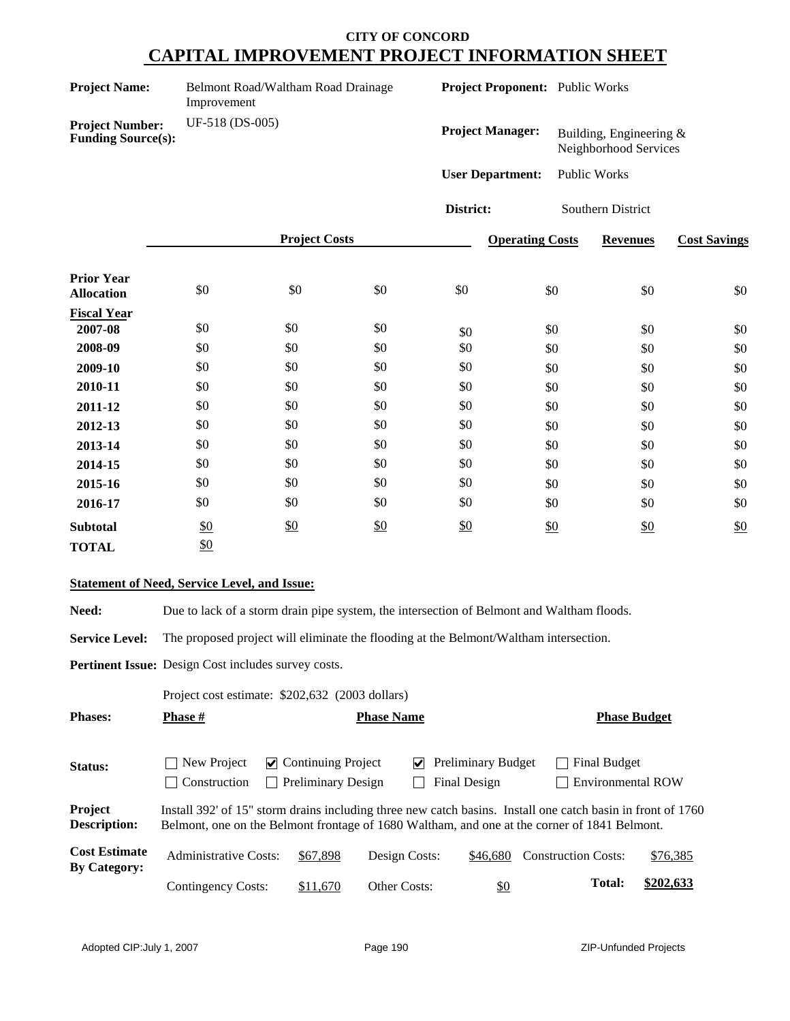| <b>Project Name:</b>                                | Belmont Road/Waltham Road Drainage<br>Improvement |                      |     | <b>Project Proponent:</b> Public Works |                        |                                                     |                     |
|-----------------------------------------------------|---------------------------------------------------|----------------------|-----|----------------------------------------|------------------------|-----------------------------------------------------|---------------------|
| <b>Project Number:</b><br><b>Funding Source(s):</b> | UF-518 (DS-005)                                   |                      |     | <b>Project Manager:</b>                |                        | Building, Engineering $\&$<br>Neighborhood Services |                     |
|                                                     |                                                   |                      |     | <b>User Department:</b>                |                        | Public Works                                        |                     |
|                                                     |                                                   |                      |     | District:                              |                        | Southern District                                   |                     |
|                                                     |                                                   | <b>Project Costs</b> |     |                                        | <b>Operating Costs</b> | <b>Revenues</b>                                     | <b>Cost Savings</b> |
| <b>Prior Year</b><br><b>Allocation</b>              | \$0                                               | \$0                  | \$0 | \$0                                    | \$0                    | \$0                                                 | \$0                 |
| <b>Fiscal Year</b>                                  |                                                   |                      |     |                                        |                        |                                                     |                     |
| 2007-08                                             | \$0                                               | \$0                  | \$0 | \$0                                    | \$0                    | \$0                                                 | \$0                 |
| 2008-09                                             | \$0                                               | \$0                  | \$0 | \$0                                    | \$0                    | \$0                                                 | \$0                 |
| 2009-10                                             | \$0                                               | \$0                  | \$0 | \$0                                    | \$0                    | \$0                                                 | \$0                 |
| 2010-11                                             | \$0                                               | \$0                  | \$0 | \$0                                    | \$0                    | \$0                                                 | \$0                 |
| 2011-12                                             | \$0                                               | \$0                  | \$0 | \$0                                    | \$0                    | \$0                                                 | \$0                 |
| 2012-13                                             | \$0                                               | \$0                  | \$0 | \$0                                    | \$0                    | \$0                                                 | $\$0$               |
| 2013-14                                             | \$0                                               | \$0                  | \$0 | \$0                                    | \$0                    | \$0                                                 | \$0                 |
| 2014-15                                             | \$0                                               | \$0                  | \$0 | \$0                                    | \$0                    | \$0                                                 | \$0                 |
| 2015-16                                             | \$0                                               | \$0                  | \$0 | \$0                                    | \$0                    | \$0                                                 | \$0                 |
| 2016-17                                             | \$0                                               | \$0                  | \$0 | \$0                                    | \$0                    | \$0                                                 | \$0                 |
| <b>Subtotal</b>                                     | \$0                                               | \$0                  | \$0 | \$0                                    | \$0                    | \$0                                                 | \$0                 |

### **Statement of Need, Service Level, and Issue:**

TOTAL \$0

Need: Due to lack of a storm drain pipe system, the intersection of Belmont and Waltham floods.

**Service Level:** The proposed project will eliminate the flooding at the Belmont/Waltham intersection.

**Pertinent Issue:** Design Cost includes survey costs.

|                                             | Project cost estimate: \$202,632 (2003 dollars)                                                                                                                                                             |                                                        |                     |                                           |                                                 |           |
|---------------------------------------------|-------------------------------------------------------------------------------------------------------------------------------------------------------------------------------------------------------------|--------------------------------------------------------|---------------------|-------------------------------------------|-------------------------------------------------|-----------|
| <b>Phases:</b>                              | <b>Phase</b> #                                                                                                                                                                                              |                                                        | <b>Phase Name</b>   |                                           | <b>Phase Budget</b>                             |           |
| <b>Status:</b>                              | New Project<br>Construction<br>n.                                                                                                                                                                           | $\vee$ Continuing Project<br><b>Preliminary Design</b> | V                   | <b>Preliminary Budget</b><br>Final Design | <b>Final Budget</b><br><b>Environmental ROW</b> |           |
| Project<br><b>Description:</b>              | Install 392' of 15" storm drains including three new catch basins. Install one catch basin in front of 1760<br>Belmont, one on the Belmont frontage of 1680 Waltham, and one at the corner of 1841 Belmont. |                                                        |                     |                                           |                                                 |           |
| <b>Cost Estimate</b><br><b>By Category:</b> | Administrative Costs:                                                                                                                                                                                       | \$67,898                                               | Design Costs:       | \$46,680                                  | <b>Construction Costs:</b>                      | \$76,385  |
|                                             | Contingency Costs:                                                                                                                                                                                          | \$11,670                                               | <b>Other Costs:</b> | \$0                                       | <b>Total:</b>                                   | \$202,633 |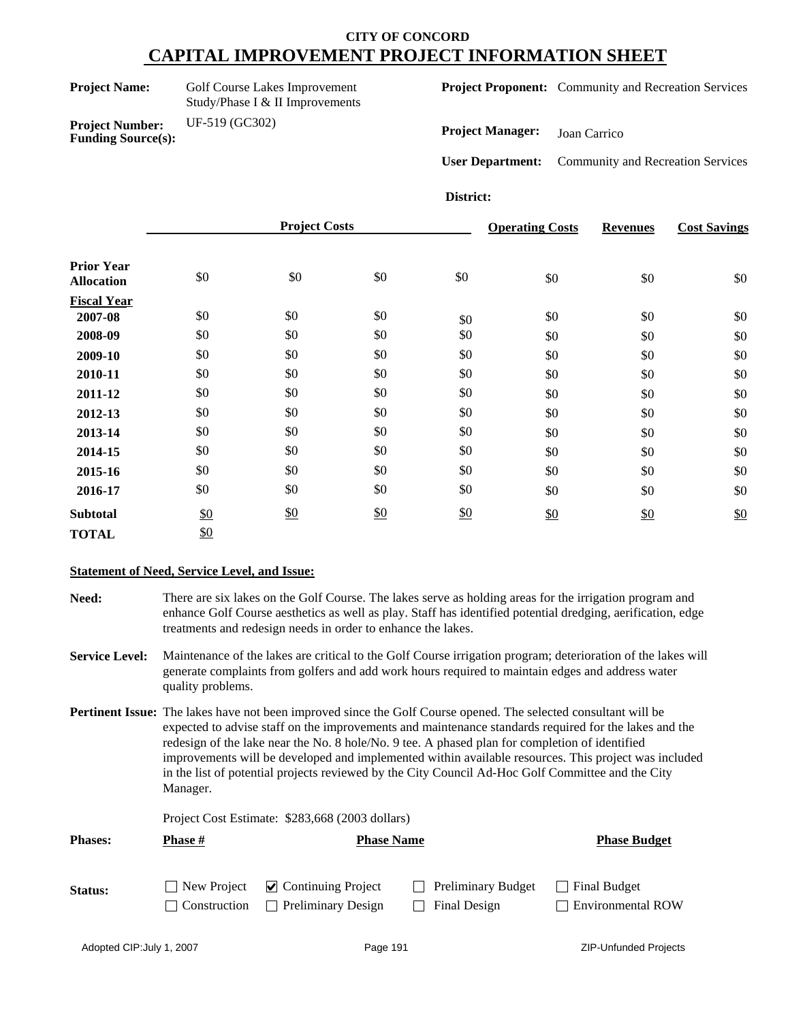**Funding Source(s):**

**Project Number:** UF-519 (GC302)

**Project Name:** Golf Course Lakes Improvement Study/Phase I & II Improvements **Project Proponent:** Community and Recreation Services

**Project Manager:** Joan Carrico

**User Department:** Community and Recreation Services

**District:**

|                                        |     | <b>Project Costs</b> |     |     | <b>Operating Costs</b> | <b>Revenues</b> | <b>Cost Savings</b> |
|----------------------------------------|-----|----------------------|-----|-----|------------------------|-----------------|---------------------|
| <b>Prior Year</b><br><b>Allocation</b> | \$0 | \$0                  | \$0 | \$0 | \$0                    | \$0             | \$0                 |
| <b>Fiscal Year</b>                     |     |                      |     |     |                        |                 |                     |
| 2007-08                                | \$0 | \$0                  | \$0 | \$0 | \$0                    | \$0             | \$0                 |
| 2008-09                                | \$0 | \$0                  | \$0 | \$0 | \$0                    | \$0             | \$0                 |
| 2009-10                                | \$0 | \$0                  | \$0 | \$0 | \$0                    | \$0             | \$0                 |
| 2010-11                                | \$0 | \$0                  | \$0 | \$0 | \$0                    | \$0             | \$0                 |
| 2011-12                                | \$0 | \$0                  | \$0 | \$0 | \$0                    | \$0             | \$0                 |
| 2012-13                                | \$0 | \$0                  | \$0 | \$0 | \$0                    | \$0             | \$0                 |
| 2013-14                                | \$0 | \$0                  | \$0 | \$0 | \$0                    | \$0             | \$0                 |
| 2014-15                                | \$0 | \$0                  | \$0 | \$0 | \$0                    | \$0             | \$0                 |
| 2015-16                                | \$0 | \$0                  | \$0 | \$0 | \$0                    | \$0             | \$0                 |
| 2016-17                                | \$0 | \$0                  | \$0 | \$0 | \$0                    | \$0             | \$0                 |
| <b>Subtotal</b>                        | \$0 | \$0                  | \$0 | \$0 | \$0                    | \$0             | \$0                 |
| <b>TOTAL</b>                           | \$0 |                      |     |     |                        |                 |                     |

### **Statement of Need, Service Level, and Issue:**

**Need:** There are six lakes on the Golf Course. The lakes serve as holding areas for the irrigation program and enhance Golf Course aesthetics as well as play. Staff has identified potential dredging, aerification, edge treatments and redesign needs in order to enhance the lakes.

**Service Level:** Maintenance of the lakes are critical to the Golf Course irrigation program; deterioration of the lakes will generate complaints from golfers and add work hours required to maintain edges and address water quality problems.

**Pertinent Issue:** The lakes have not been improved since the Golf Course opened. The selected consultant will be expected to advise staff on the improvements and maintenance standards required for the lakes and the redesign of the lake near the No. 8 hole/No. 9 tee. A phased plan for completion of identified improvements will be developed and implemented within available resources. This project was included in the list of potential projects reviewed by the City Council Ad-Hoc Golf Committee and the City Manager.

Project Cost Estimate: \$283,668 (2003 dollars)

| <b>Phases:</b> | Phase #                            | <b>Phase Name</b>                                      |                                                             | <b>Phase Budget</b>                             |
|----------------|------------------------------------|--------------------------------------------------------|-------------------------------------------------------------|-------------------------------------------------|
| Status:        | New Project<br>$\Box$ Construction | $\vee$ Continuing Project<br><b>Preliminary Design</b> | <b>Preliminary Budget</b><br>$\blacksquare$<br>Final Design | <b>Final Budget</b><br><b>Environmental ROW</b> |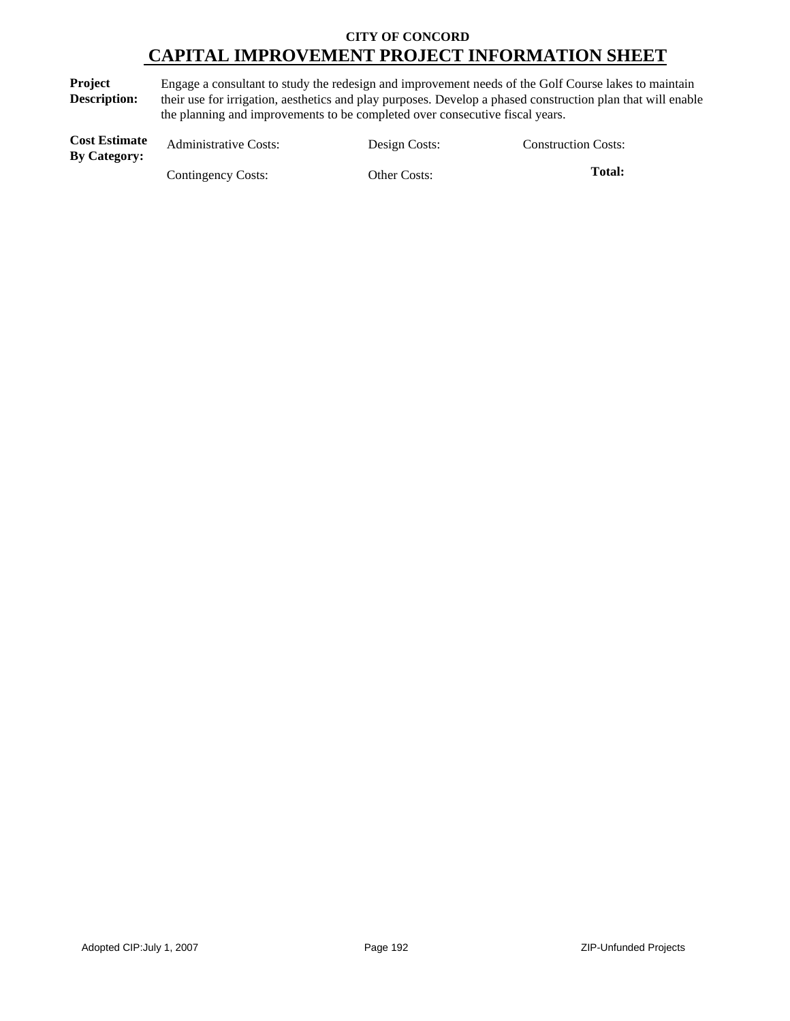**Project Description:** Engage a consultant to study the redesign and improvement needs of the Golf Course lakes to maintain their use for irrigation, aesthetics and play purposes. Develop a phased construction plan that will enable the planning and improvements to be completed over consecutive fiscal years.

| <b>Cost Estimate</b><br><b>By Category:</b> | <b>Administrative Costs:</b> | Design Costs: | <b>Construction Costs:</b> |
|---------------------------------------------|------------------------------|---------------|----------------------------|
|                                             | Contingency Costs:           | Other Costs:  | Total:                     |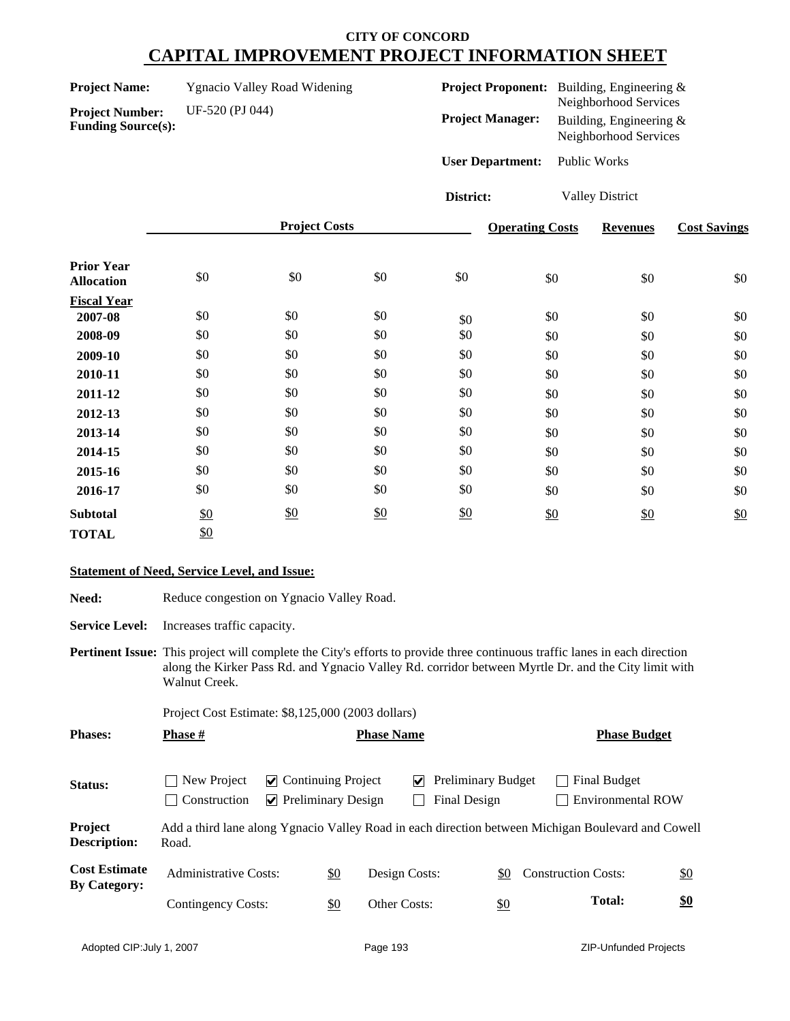| <b>Project Name:</b> | <b>Ygnacio Valley Road Widening</b> |
|----------------------|-------------------------------------|
|----------------------|-------------------------------------|

**Project Number:** UF-520 (PJ 044) **Funding Source(s):**

| <b>Project Proponent:</b> | Building, Engineering $\&$<br>Neighborhood Services |
|---------------------------|-----------------------------------------------------|
| <b>Project Manager:</b>   | Building, Engineering $\&$<br>Neighborhood Services |
| <b>User Department:</b>   | <b>Public Works</b>                                 |

**District:** Valley District

|                                        |     | <b>Project Costs</b> |     |     | <b>Operating Costs</b> | <b>Revenues</b> | <b>Cost Savings</b> |
|----------------------------------------|-----|----------------------|-----|-----|------------------------|-----------------|---------------------|
| <b>Prior Year</b><br><b>Allocation</b> | \$0 | \$0                  | \$0 | \$0 | \$0                    | \$0             | \$0                 |
| <b>Fiscal Year</b>                     |     |                      |     |     |                        |                 |                     |
| 2007-08                                | \$0 | \$0                  | \$0 | \$0 | \$0                    | \$0             | \$0                 |
| 2008-09                                | \$0 | \$0                  | \$0 | \$0 | \$0                    | \$0             | \$0                 |
| 2009-10                                | \$0 | \$0                  | \$0 | \$0 | \$0                    | \$0             | \$0                 |
| 2010-11                                | \$0 | \$0                  | \$0 | \$0 | \$0                    | \$0             | \$0                 |
| 2011-12                                | \$0 | \$0                  | \$0 | \$0 | \$0                    | \$0             | \$0                 |
| 2012-13                                | \$0 | \$0                  | \$0 | \$0 | \$0                    | \$0             | \$0                 |
| 2013-14                                | \$0 | \$0                  | \$0 | \$0 | \$0                    | \$0             | \$0                 |
| 2014-15                                | \$0 | \$0                  | \$0 | \$0 | \$0                    | \$0             | \$0                 |
| 2015-16                                | \$0 | \$0                  | \$0 | \$0 | \$0                    | \$0             | \$0                 |
| 2016-17                                | \$0 | \$0                  | \$0 | \$0 | \$0                    | \$0             | \$0                 |
| <b>Subtotal</b>                        | \$0 | \$0                  | \$0 | \$0 | \$0                    | \$0             | \$0                 |
| <b>TOTAL</b>                           | \$0 |                      |     |     |                        |                 |                     |

### **Statement of Need, Service Level, and Issue:**

| <b>Need:</b>                                |                                                   | Reduce congestion on Ygnacio Valley Road.                                                                                                                                                                                                 |                   |                   |                                           |                                                                                                    |                   |
|---------------------------------------------|---------------------------------------------------|-------------------------------------------------------------------------------------------------------------------------------------------------------------------------------------------------------------------------------------------|-------------------|-------------------|-------------------------------------------|----------------------------------------------------------------------------------------------------|-------------------|
| <b>Service Level:</b>                       | Increases traffic capacity.                       |                                                                                                                                                                                                                                           |                   |                   |                                           |                                                                                                    |                   |
|                                             | Walnut Creek.                                     | <b>Pertinent Issue:</b> This project will complete the City's efforts to provide three continuous traffic lanes in each direction<br>along the Kirker Pass Rd. and Ygnacio Valley Rd. corridor between Myrtle Dr. and the City limit with |                   |                   |                                           |                                                                                                    |                   |
|                                             | Project Cost Estimate: \$8,125,000 (2003 dollars) |                                                                                                                                                                                                                                           |                   |                   |                                           |                                                                                                    |                   |
| <b>Phases:</b>                              | <b>Phase</b> #                                    |                                                                                                                                                                                                                                           |                   | <b>Phase Name</b> |                                           | <b>Phase Budget</b>                                                                                |                   |
| Status:                                     | New Project<br>Construction                       | $\vee$ Continuing Project<br>$\triangleright$ Preliminary Design                                                                                                                                                                          |                   | M                 | <b>Preliminary Budget</b><br>Final Design | Final Budget<br><b>Environmental ROW</b>                                                           |                   |
| Project<br><b>Description:</b>              | Road.                                             |                                                                                                                                                                                                                                           |                   |                   |                                           | Add a third lane along Ygnacio Valley Road in each direction between Michigan Boulevard and Cowell |                   |
| <b>Cost Estimate</b><br><b>By Category:</b> | <b>Administrative Costs:</b>                      |                                                                                                                                                                                                                                           | $\frac{$0}{}$     | Design Costs:     | \$0                                       | <b>Construction Costs:</b>                                                                         | $\underline{\$0}$ |
|                                             | Contingency Costs:                                |                                                                                                                                                                                                                                           | $\underline{\$0}$ | Other Costs:      | $\frac{$0}{}$                             | <b>Total:</b>                                                                                      | $\underline{\$0}$ |
|                                             |                                                   |                                                                                                                                                                                                                                           |                   |                   |                                           |                                                                                                    |                   |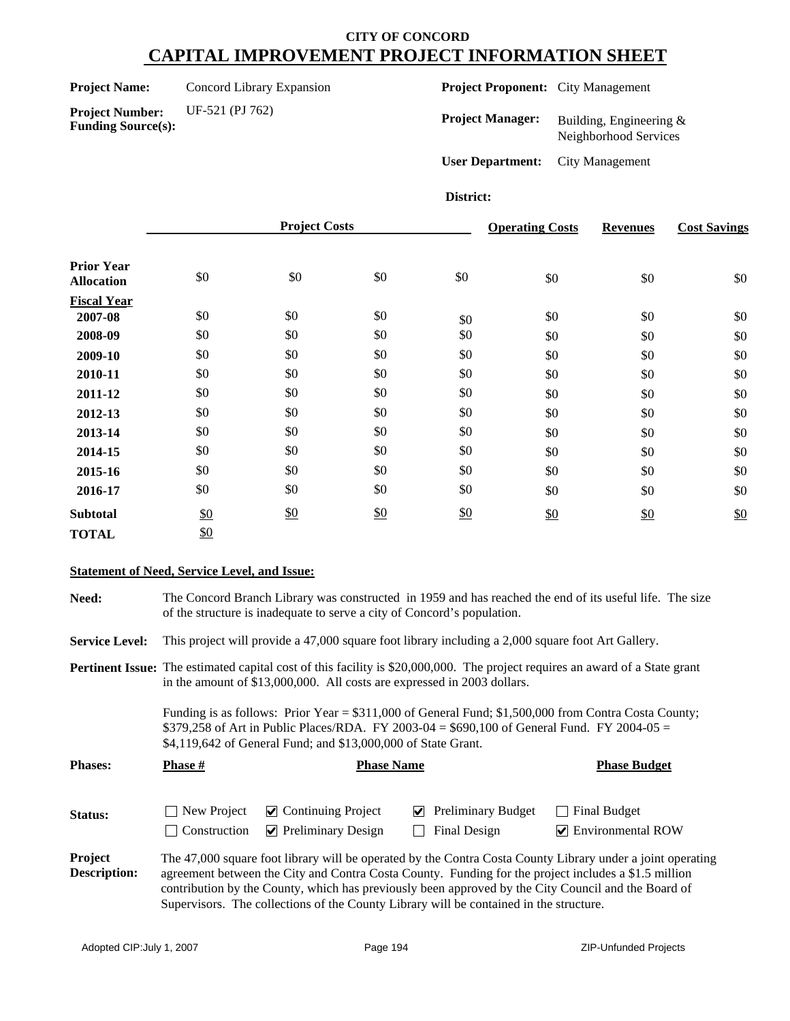**Project Name:** Concord Library Expansion

**Funding Source(s):**

**Project Number:** UF-521 (PJ 762)

**Project Proponent:** City Management

**Project Manager:** Building, Engineering & Neighborhood Services

**User Department:** City Management

#### **District:**

|                                        |     | <b>Project Costs</b> |     |     | <b>Operating Costs</b> | <b>Revenues</b> | <b>Cost Savings</b> |
|----------------------------------------|-----|----------------------|-----|-----|------------------------|-----------------|---------------------|
| <b>Prior Year</b><br><b>Allocation</b> | \$0 | \$0                  | \$0 | \$0 | \$0                    | \$0             | $\$0$               |
| <b>Fiscal Year</b>                     |     |                      |     |     |                        |                 |                     |
| 2007-08                                | \$0 | \$0                  | \$0 | \$0 | \$0                    | \$0             | \$0                 |
| 2008-09                                | \$0 | \$0                  | \$0 | \$0 | \$0                    | \$0             | \$0                 |
| 2009-10                                | \$0 | \$0                  | \$0 | \$0 | \$0                    | \$0             | \$0                 |
| 2010-11                                | \$0 | \$0                  | \$0 | \$0 | \$0                    | \$0             | \$0                 |
| 2011-12                                | \$0 | \$0                  | \$0 | \$0 | \$0                    | \$0             | \$0                 |
| 2012-13                                | \$0 | \$0                  | \$0 | \$0 | \$0                    | \$0             | \$0                 |
| 2013-14                                | \$0 | \$0                  | \$0 | \$0 | \$0                    | \$0             | \$0                 |
| 2014-15                                | \$0 | \$0                  | \$0 | \$0 | \$0                    | \$0             | \$0                 |
| 2015-16                                | \$0 | \$0                  | \$0 | \$0 | \$0                    | \$0             | \$0                 |
| 2016-17                                | \$0 | \$0                  | \$0 | \$0 | \$0                    | \$0             | \$0                 |
| <b>Subtotal</b>                        | \$0 | $\frac{$0}{}$        | \$0 | \$0 | \$0                    | \$0             | \$0                 |
| <b>TOTAL</b>                           | \$0 |                      |     |     |                        |                 |                     |

### **Statement of Need, Service Level, and Issue:**

**Need:** The Concord Branch Library was constructed in 1959 and has reached the end of its useful life. The size of the structure is inadequate to serve a city of Concord's population. **Service Level:** This project will provide a 47,000 square foot library including a 2,000 square foot Art Gallery. **Status:** New Project **O** Continuing Project **O** Preliminary Budget **C** Final Budget  $\Box$  Construction  $\Box$  Preliminary Design  $\Box$  Final Design  $\Box$  Environmental ROW **Project Description:** The 47,000 square foot library will be operated by the Contra Costa County Library under a joint operating agreement between the City and Contra Costa County. Funding for the project includes a \$1.5 million contribution by the County, which has previously been approved by the City Council and the Board of Supervisors. The collections of the County Library will be contained in the structure. **Pertinent Issue:** The estimated capital cost of this facility is \$20,000,000. The project requires an award of a State grant in the amount of \$13,000,000. All costs are expressed in 2003 dollars. Funding is as follows: Prior Year = \$311,000 of General Fund; \$1,500,000 from Contra Costa County; \$379,258 of Art in Public Places/RDA. FY 2003-04 = \$690,100 of General Fund. FY 2004-05 = \$4,119,642 of General Fund; and \$13,000,000 of State Grant. **Phases:** Phase # **Phase Phase Name Phase Budget Phase Budget**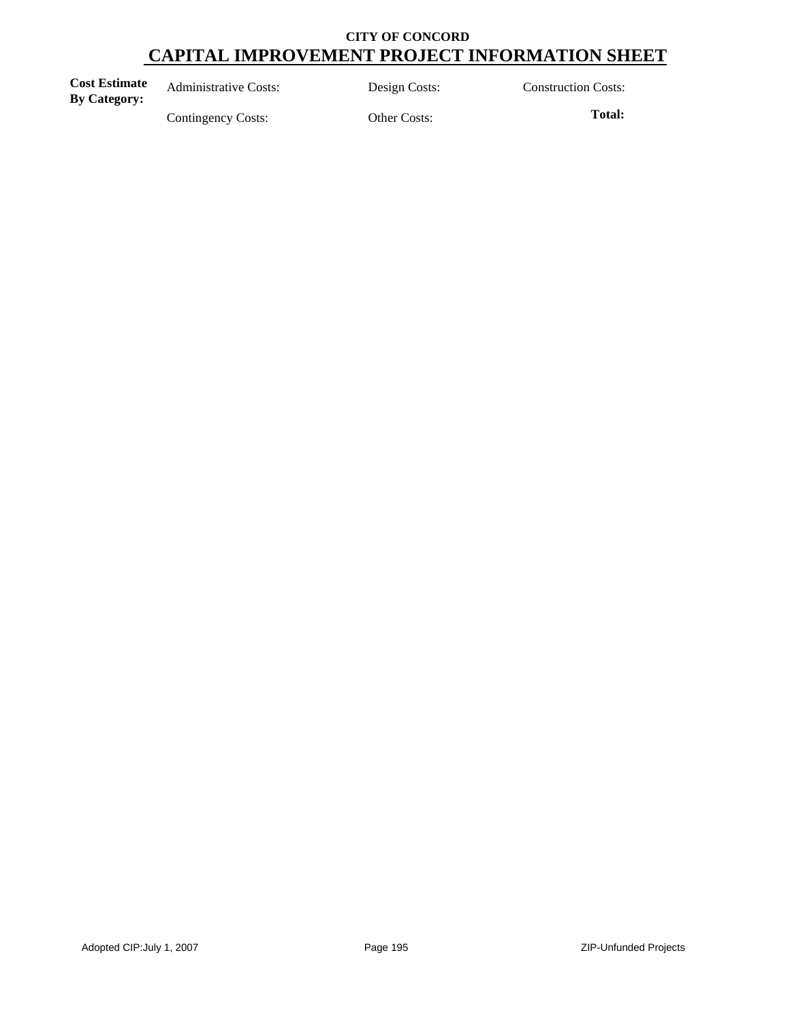| <b>Cost Estimate</b><br><b>By Category:</b> | <b>Administrative Costs:</b> | Design Costs: | <b>Construction Costs:</b> |
|---------------------------------------------|------------------------------|---------------|----------------------------|
|                                             | Contingency Costs:           | Other Costs:  | Total:                     |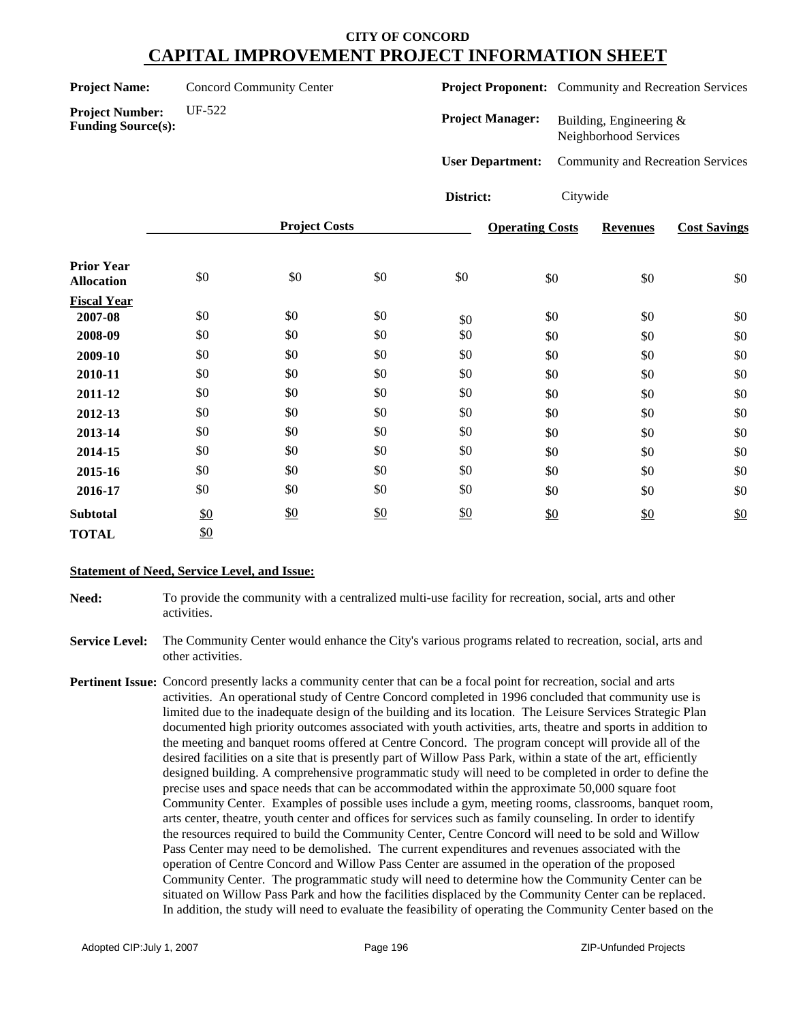| <b>Project Name:</b>   | <b>Concord Community Center</b> |  |  |
|------------------------|---------------------------------|--|--|
| <b>Droigot Numbers</b> | $IIF-522$                       |  |  |

**Project Proponent:** Community and Recreation Services

| <b>Project Number:</b> |                           |
|------------------------|---------------------------|
|                        | <b>Funding Source(s):</b> |

**Project Manager:** Building, Engineering & Neighborhood Services

**User Department:** Community and Recreation Services

**District:** Citywide

|                                        |     | <b>Project Costs</b> |     |     | <b>Operating Costs</b> | <b>Revenues</b> | <b>Cost Savings</b> |
|----------------------------------------|-----|----------------------|-----|-----|------------------------|-----------------|---------------------|
| <b>Prior Year</b><br><b>Allocation</b> | \$0 | \$0                  | \$0 | \$0 | $\$0$                  | \$0             | \$0                 |
| <b>Fiscal Year</b>                     |     |                      |     |     |                        |                 |                     |
| 2007-08                                | \$0 | \$0                  | \$0 | \$0 | \$0                    | \$0             | \$0                 |
| 2008-09                                | \$0 | \$0                  | \$0 | \$0 | \$0                    | \$0             | \$0                 |
| 2009-10                                | \$0 | \$0                  | \$0 | \$0 | \$0                    | \$0             | \$0                 |
| 2010-11                                | \$0 | \$0                  | \$0 | \$0 | \$0                    | \$0             | \$0                 |
| 2011-12                                | \$0 | \$0                  | \$0 | \$0 | \$0                    | \$0             | \$0                 |
| 2012-13                                | \$0 | \$0                  | \$0 | \$0 | \$0                    | \$0             | \$0                 |
| 2013-14                                | \$0 | \$0                  | \$0 | \$0 | \$0                    | \$0             | \$0                 |
| 2014-15                                | \$0 | \$0                  | \$0 | \$0 | \$0                    | \$0             | \$0                 |
| 2015-16                                | \$0 | \$0                  | \$0 | \$0 | \$0                    | \$0             | \$0                 |
| 2016-17                                | \$0 | \$0                  | \$0 | \$0 | \$0                    | \$0             | \$0                 |
| <b>Subtotal</b>                        | \$0 | \$0                  | \$0 | \$0 | \$0                    | \$0             | \$0                 |
| <b>TOTAL</b>                           | \$0 |                      |     |     |                        |                 |                     |

### **Statement of Need, Service Level, and Issue:**

**Need:** To provide the community with a centralized multi-use facility for recreation, social, arts and other activities.

**Service Level:** The Community Center would enhance the City's various programs related to recreation, social, arts and other activities.

**Pertinent Issue:** Concord presently lacks a community center that can be a focal point for recreation, social and arts activities. An operational study of Centre Concord completed in 1996 concluded that community use is limited due to the inadequate design of the building and its location. The Leisure Services Strategic Plan documented high priority outcomes associated with youth activities, arts, theatre and sports in addition to the meeting and banquet rooms offered at Centre Concord. The program concept will provide all of the desired facilities on a site that is presently part of Willow Pass Park, within a state of the art, efficiently designed building. A comprehensive programmatic study will need to be completed in order to define the precise uses and space needs that can be accommodated within the approximate 50,000 square foot Community Center. Examples of possible uses include a gym, meeting rooms, classrooms, banquet room, arts center, theatre, youth center and offices for services such as family counseling. In order to identify the resources required to build the Community Center, Centre Concord will need to be sold and Willow Pass Center may need to be demolished. The current expenditures and revenues associated with the operation of Centre Concord and Willow Pass Center are assumed in the operation of the proposed Community Center. The programmatic study will need to determine how the Community Center can be situated on Willow Pass Park and how the facilities displaced by the Community Center can be replaced. In addition, the study will need to evaluate the feasibility of operating the Community Center based on the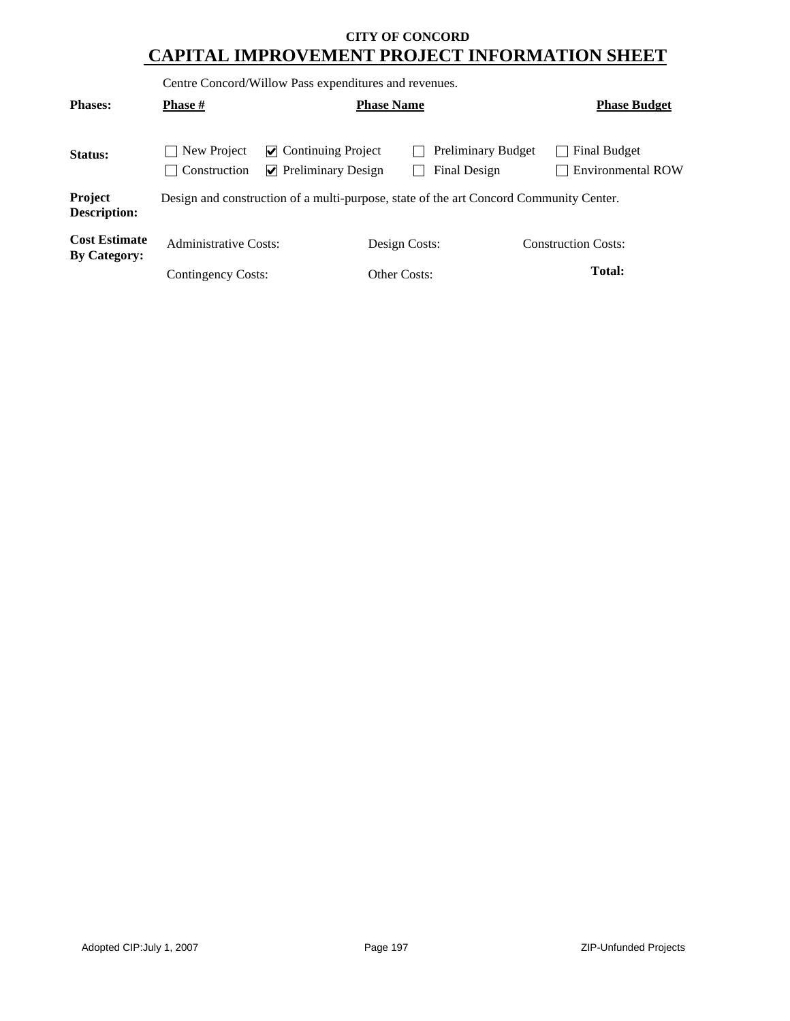Centre Concord/Willow Pass expenditures and revenues.

| <b>Phases:</b>                              | <b>Phase #</b>              |                                                                                        | <b>Phase Name</b> |                                           | <b>Phase Budget</b>                      |
|---------------------------------------------|-----------------------------|----------------------------------------------------------------------------------------|-------------------|-------------------------------------------|------------------------------------------|
| Status:                                     | New Project<br>Construction | $\vee$ Continuing Project<br>$\triangleright$ Preliminary Design                       |                   | <b>Preliminary Budget</b><br>Final Design | Final Budget<br><b>Environmental ROW</b> |
| Project<br><b>Description:</b>              |                             | Design and construction of a multi-purpose, state of the art Concord Community Center. |                   |                                           |                                          |
| <b>Cost Estimate</b><br><b>By Category:</b> | Administrative Costs:       |                                                                                        | Design Costs:     |                                           | <b>Construction Costs:</b>               |
|                                             | Contingency Costs:          |                                                                                        | Other Costs:      |                                           | Total:                                   |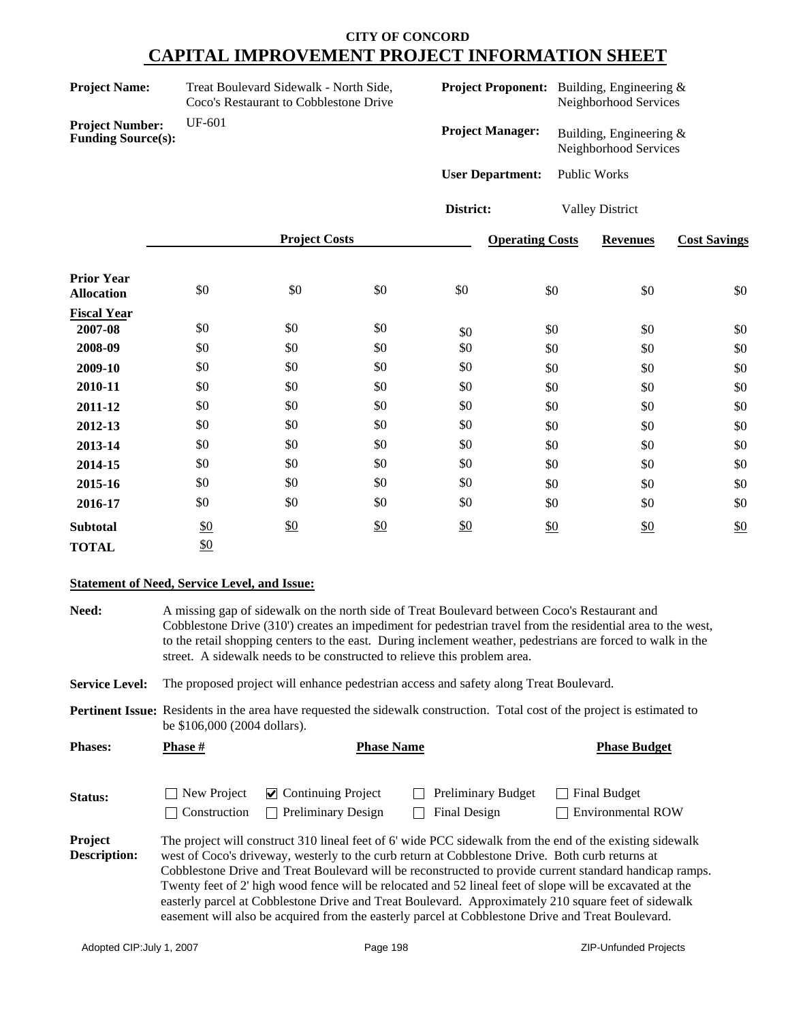| <b>Project Name:</b>                                | Treat Boulevard Sidewalk - North Side,<br>Coco's Restaurant to Cobblestone Drive |                      |     |                         | <b>Project Proponent:</b> Building, Engineering &<br>Neighborhood Services |                                                  |                     |
|-----------------------------------------------------|----------------------------------------------------------------------------------|----------------------|-----|-------------------------|----------------------------------------------------------------------------|--------------------------------------------------|---------------------|
| <b>Project Number:</b><br><b>Funding Source(s):</b> | UF-601                                                                           |                      |     | <b>Project Manager:</b> |                                                                            | Building, Engineering &<br>Neighborhood Services |                     |
|                                                     |                                                                                  |                      |     | <b>User Department:</b> |                                                                            | Public Works                                     |                     |
|                                                     |                                                                                  |                      |     | District:               |                                                                            | <b>Valley District</b>                           |                     |
|                                                     |                                                                                  | <b>Project Costs</b> |     |                         | <b>Operating Costs</b>                                                     | <b>Revenues</b>                                  | <b>Cost Savings</b> |
| <b>Prior Year</b><br><b>Allocation</b>              | \$0                                                                              | \$0                  | \$0 | \$0                     | \$0                                                                        | \$0                                              | \$0                 |
| <b>Fiscal Year</b><br>2007-08                       | \$0                                                                              | \$0                  | \$0 | \$0                     | \$0                                                                        | \$0                                              | \$0                 |
| 2008-09                                             | \$0                                                                              | \$0                  | \$0 | \$0                     | \$0                                                                        | \$0                                              | \$0                 |
| 2009-10                                             | \$0                                                                              | \$0                  | \$0 | \$0                     | \$0                                                                        | \$0                                              | \$0                 |
| 2010-11                                             | \$0                                                                              | \$0                  | \$0 | \$0                     | \$0                                                                        | \$0                                              | \$0                 |
| 2011-12                                             | \$0                                                                              | \$0                  | \$0 | \$0                     | \$0                                                                        | \$0                                              | \$0                 |
| 2012-13                                             | \$0                                                                              | \$0                  | \$0 | \$0                     | \$0                                                                        | \$0                                              | \$0                 |
| 2013-14                                             | \$0                                                                              | \$0                  | \$0 | \$0                     | \$0                                                                        | \$0                                              | \$0                 |
| 2014-15                                             | \$0                                                                              | \$0                  | \$0 | \$0                     | \$0                                                                        | \$0                                              | \$0                 |
| 2015-16                                             | \$0                                                                              | \$0                  | \$0 | \$0                     | \$0                                                                        | \$0                                              | \$0                 |
| 2016-17                                             | \$0                                                                              | \$0                  | \$0 | \$0                     | \$0                                                                        | \$0                                              | \$0                 |
| <b>Subtotal</b>                                     | \$0                                                                              | \$0                  | \$0 | \$0                     | \$0                                                                        | \$0                                              | \$0                 |
| <b>TOTAL</b>                                        | \$0                                                                              |                      |     |                         |                                                                            |                                                  |                     |

### **Statement of Need, Service Level, and Issue:**

| Need:                          |                             | A missing gap of sidewalk on the north side of Treat Boulevard between Coco's Restaurant and<br>Cobblestone Drive (310') creates an impediment for pedestrian travel from the residential area to the west,<br>to the retail shopping centers to the east. During inclement weather, pedestrians are forced to walk in the<br>street. A sidewalk needs to be constructed to relieve this problem area. |                                                                                                                                                                                                                                                                                                                  |                                                                                                                                                                                                                                                                                                                            |  |  |  |  |  |  |
|--------------------------------|-----------------------------|--------------------------------------------------------------------------------------------------------------------------------------------------------------------------------------------------------------------------------------------------------------------------------------------------------------------------------------------------------------------------------------------------------|------------------------------------------------------------------------------------------------------------------------------------------------------------------------------------------------------------------------------------------------------------------------------------------------------------------|----------------------------------------------------------------------------------------------------------------------------------------------------------------------------------------------------------------------------------------------------------------------------------------------------------------------------|--|--|--|--|--|--|
| <b>Service Level:</b>          |                             | The proposed project will enhance pedestrian access and safety along Treat Boulevard.                                                                                                                                                                                                                                                                                                                  |                                                                                                                                                                                                                                                                                                                  |                                                                                                                                                                                                                                                                                                                            |  |  |  |  |  |  |
|                                |                             | Pertinent Issue: Residents in the area have requested the sidewalk construction. Total cost of the project is estimated to<br>be \$106,000 (2004 dollars).                                                                                                                                                                                                                                             |                                                                                                                                                                                                                                                                                                                  |                                                                                                                                                                                                                                                                                                                            |  |  |  |  |  |  |
| <b>Phases:</b>                 | <b>Phase</b> #              | <b>Phase Name</b>                                                                                                                                                                                                                                                                                                                                                                                      |                                                                                                                                                                                                                                                                                                                  | <b>Phase Budget</b>                                                                                                                                                                                                                                                                                                        |  |  |  |  |  |  |
| Status:                        | New Project<br>Construction | $\vee$ Continuing Project<br><b>Preliminary Design</b><br>$\mathcal{L}$                                                                                                                                                                                                                                                                                                                                | <b>Preliminary Budget</b><br>Final Design                                                                                                                                                                                                                                                                        | <b>Final Budget</b><br><b>Environmental ROW</b>                                                                                                                                                                                                                                                                            |  |  |  |  |  |  |
| Project<br><b>Description:</b> |                             |                                                                                                                                                                                                                                                                                                                                                                                                        | west of Coco's driveway, westerly to the curb return at Cobblestone Drive. Both curb returns at<br>Twenty feet of 2' high wood fence will be relocated and 52 lineal feet of slope will be excavated at the<br>easement will also be acquired from the easterly parcel at Cobblestone Drive and Treat Boulevard. | The project will construct 310 lineal feet of 6' wide PCC sidewalk from the end of the existing sidewalk<br>Cobblestone Drive and Treat Boulevard will be reconstructed to provide current standard handicap ramps.<br>easterly parcel at Cobblestone Drive and Treat Boulevard. Approximately 210 square feet of sidewalk |  |  |  |  |  |  |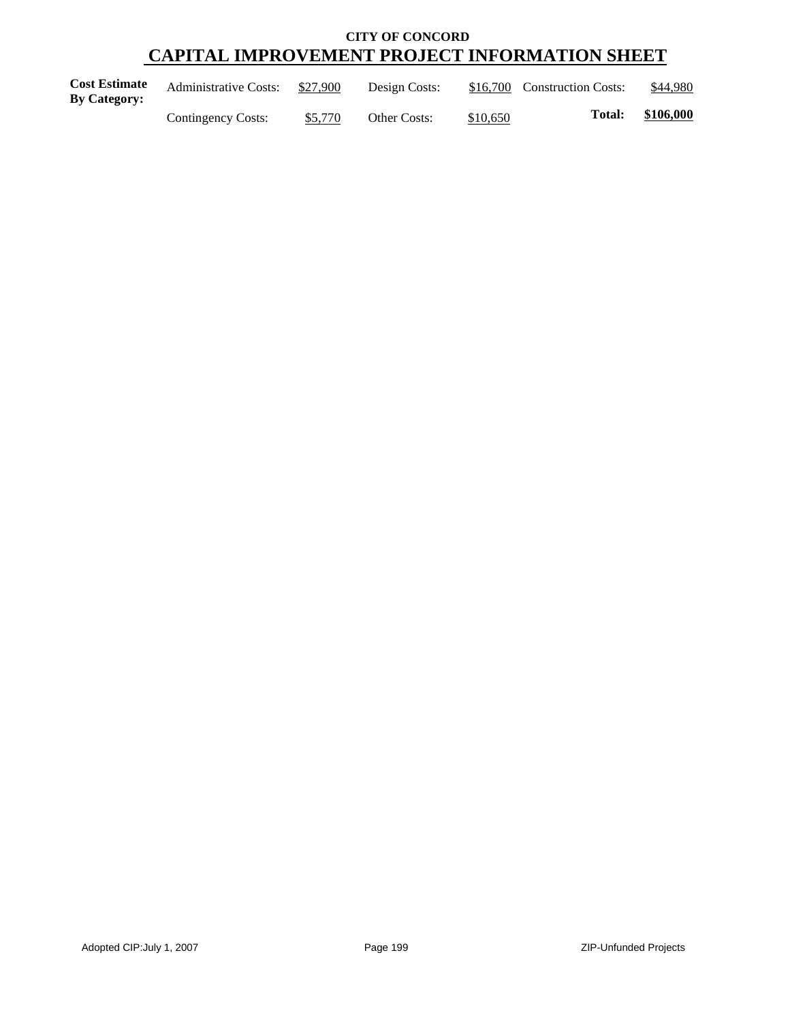| <b>Cost Estimate</b><br><b>By Category:</b> | <b>Administrative Costs:</b> | \$27,900 | Design Costs: |          | \$16,700 Construction Costs: | \$44,980  |
|---------------------------------------------|------------------------------|----------|---------------|----------|------------------------------|-----------|
|                                             | Contingency Costs:           | \$5,770  | Other Costs:  | \$10,650 | <b>Total:</b>                | \$106,000 |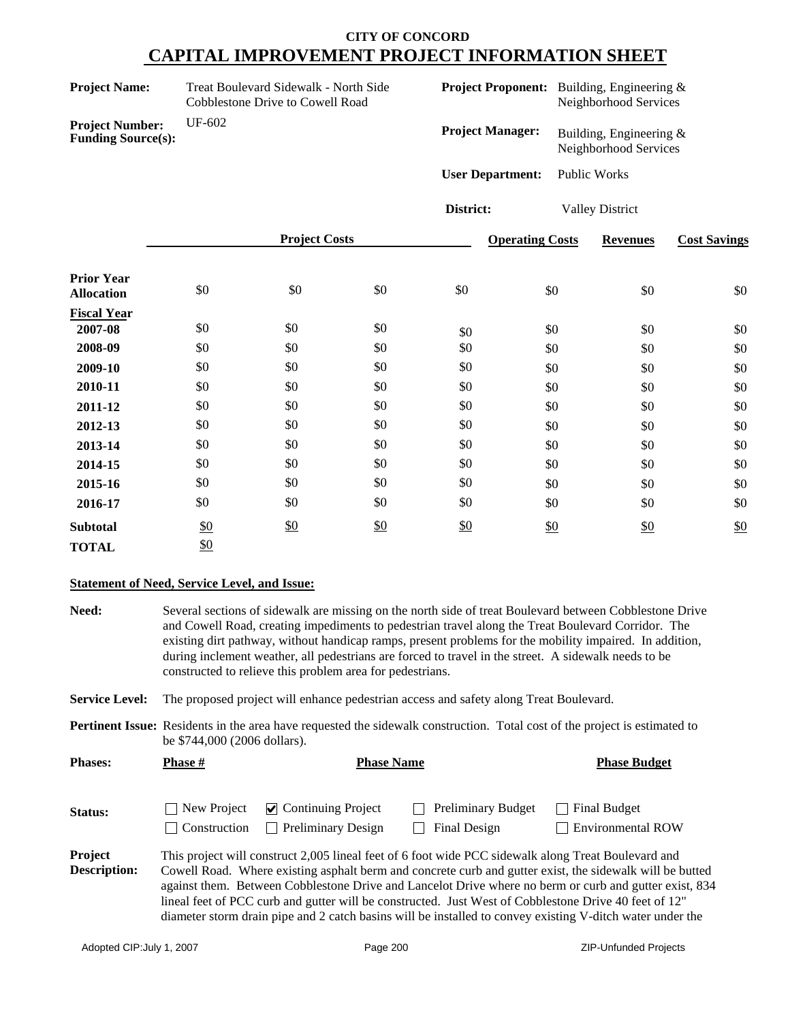| <b>Project Name:</b>                                | Treat Boulevard Sidewalk - North Side<br><b>Cobblestone Drive to Cowell Road</b> |                      |     |                         | <b>Project Proponent:</b> Building, Engineering &<br>Neighborhood Services |                                                  |                     |
|-----------------------------------------------------|----------------------------------------------------------------------------------|----------------------|-----|-------------------------|----------------------------------------------------------------------------|--------------------------------------------------|---------------------|
| <b>Project Number:</b><br><b>Funding Source(s):</b> | UF-602                                                                           |                      |     | <b>Project Manager:</b> |                                                                            | Building, Engineering &<br>Neighborhood Services |                     |
|                                                     |                                                                                  |                      |     | <b>User Department:</b> |                                                                            | Public Works                                     |                     |
|                                                     |                                                                                  |                      |     | District:               |                                                                            | <b>Valley District</b>                           |                     |
|                                                     |                                                                                  | <b>Project Costs</b> |     |                         | <b>Operating Costs</b>                                                     | <b>Revenues</b>                                  | <b>Cost Savings</b> |
| <b>Prior Year</b><br><b>Allocation</b>              | \$0                                                                              | \$0                  | \$0 | \$0                     | \$0                                                                        | \$0                                              | \$0                 |
| <b>Fiscal Year</b><br>2007-08                       | \$0                                                                              | \$0                  | \$0 | \$0                     | \$0                                                                        | \$0                                              | \$0                 |
| 2008-09                                             | \$0                                                                              | \$0                  | \$0 | \$0                     | \$0                                                                        | \$0                                              | \$0                 |
| 2009-10                                             | \$0                                                                              | \$0                  | \$0 | \$0                     | \$0                                                                        | \$0                                              | \$0                 |
| 2010-11                                             | \$0                                                                              | \$0                  | \$0 | \$0                     | \$0                                                                        | \$0                                              | \$0                 |
| 2011-12                                             | \$0                                                                              | \$0                  | \$0 | \$0                     | \$0                                                                        | \$0                                              | \$0                 |
| 2012-13                                             | \$0                                                                              | \$0                  | \$0 | \$0                     | \$0                                                                        | \$0                                              | \$0                 |
| 2013-14                                             | \$0                                                                              | \$0                  | \$0 | \$0                     | \$0                                                                        | \$0                                              | \$0                 |
| 2014-15                                             | \$0                                                                              | \$0                  | \$0 | \$0                     | \$0                                                                        | \$0                                              | \$0                 |
| 2015-16                                             | \$0                                                                              | \$0                  | \$0 | \$0                     | \$0                                                                        | \$0                                              | \$0                 |
| 2016-17                                             | \$0                                                                              | \$0                  | \$0 | \$0                     | \$0                                                                        | \$0                                              | \$0                 |
| <b>Subtotal</b>                                     | \$0                                                                              | \$0                  | \$0 | \$0                     | \$0                                                                        | \$0                                              | \$0                 |
| <b>TOTAL</b>                                        | \$0                                                                              |                      |     |                         |                                                                            |                                                  |                     |

### **Statement of Need, Service Level, and Issue:**

| Need:                          |                             | Several sections of sidewalk are missing on the north side of treat Boulevard between Cobblestone Drive<br>and Cowell Road, creating impediments to pedestrian travel along the Treat Boulevard Corridor. The<br>existing dirt pathway, without handicap ramps, present problems for the mobility impaired. In addition,<br>during inclement weather, all pedestrians are forced to travel in the street. A sidewalk needs to be<br>constructed to relieve this problem area for pedestrians. |                                           |                                                                                                                                                                                                                                                                                                                                 |  |  |  |  |  |
|--------------------------------|-----------------------------|-----------------------------------------------------------------------------------------------------------------------------------------------------------------------------------------------------------------------------------------------------------------------------------------------------------------------------------------------------------------------------------------------------------------------------------------------------------------------------------------------|-------------------------------------------|---------------------------------------------------------------------------------------------------------------------------------------------------------------------------------------------------------------------------------------------------------------------------------------------------------------------------------|--|--|--|--|--|
| <b>Service Level:</b>          |                             | The proposed project will enhance pedestrian access and safety along Treat Boulevard.                                                                                                                                                                                                                                                                                                                                                                                                         |                                           |                                                                                                                                                                                                                                                                                                                                 |  |  |  |  |  |
|                                |                             | <b>Pertinent Issue:</b> Residents in the area have requested the sidewalk construction. Total cost of the project is estimated to<br>be \$744,000 (2006 dollars).                                                                                                                                                                                                                                                                                                                             |                                           |                                                                                                                                                                                                                                                                                                                                 |  |  |  |  |  |
| <b>Phases:</b>                 | Phase #                     | <b>Phase Name</b>                                                                                                                                                                                                                                                                                                                                                                                                                                                                             |                                           | <b>Phase Budget</b>                                                                                                                                                                                                                                                                                                             |  |  |  |  |  |
| <b>Status:</b>                 | New Project<br>Construction | $\triangleright$ Continuing Project<br><b>Preliminary Design</b>                                                                                                                                                                                                                                                                                                                                                                                                                              | <b>Preliminary Budget</b><br>Final Design | <b>Final Budget</b><br><b>Environmental ROW</b>                                                                                                                                                                                                                                                                                 |  |  |  |  |  |
| <b>Project</b><br>Description: |                             | This project will construct 2,005 lineal feet of 6 foot wide PCC sidewalk along Treat Boulevard and<br>lineal feet of PCC curb and gutter will be constructed. Just West of Cobblestone Drive 40 feet of 12"                                                                                                                                                                                                                                                                                  |                                           | Cowell Road. Where existing asphalt berm and concrete curb and gutter exist, the sidewalk will be butted<br>against them. Between Cobblestone Drive and Lancelot Drive where no berm or curb and gutter exist, 834<br>diameter storm drain pipe and 2 catch basins will be installed to convey existing V-ditch water under the |  |  |  |  |  |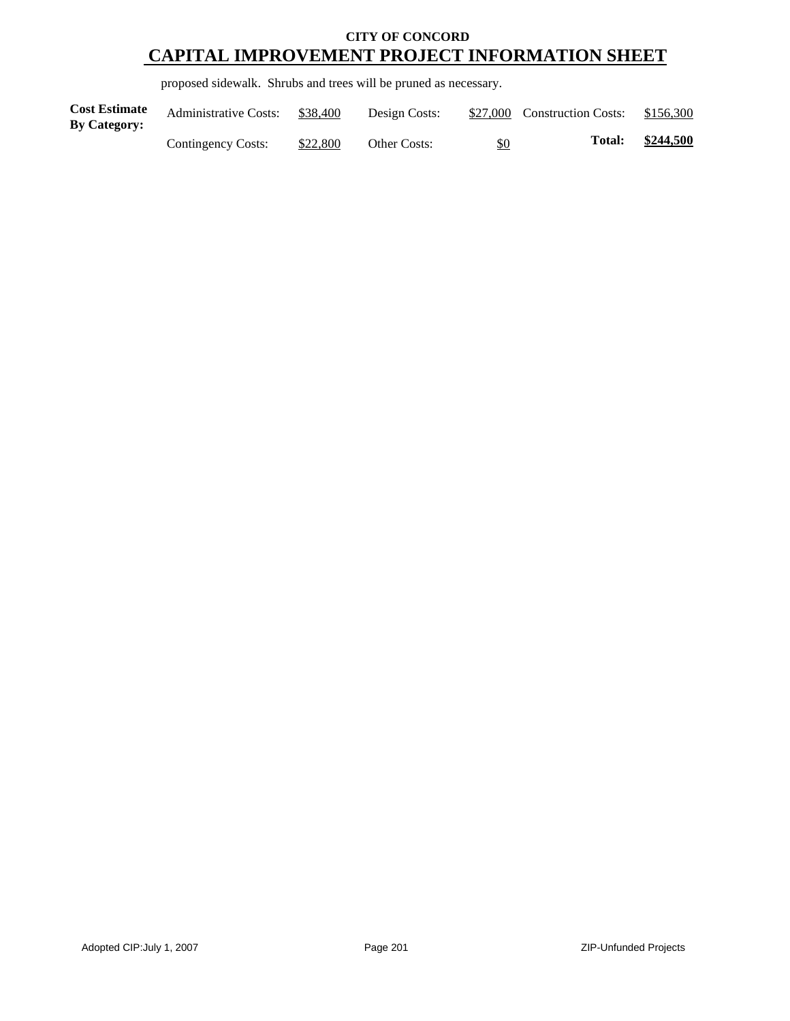proposed sidewalk. Shrubs and trees will be pruned as necessary.

| <b>Cost Estimate</b><br><b>By Category:</b> | <b>Administrative Costs:</b> | \$38,400 | Design Costs:       |     | \$27,000 Construction Costs: | \$156,300 |
|---------------------------------------------|------------------------------|----------|---------------------|-----|------------------------------|-----------|
|                                             | Contingency Costs:           | \$22,800 | <b>Other Costs:</b> | \$0 | <b>Total:</b>                | \$244,500 |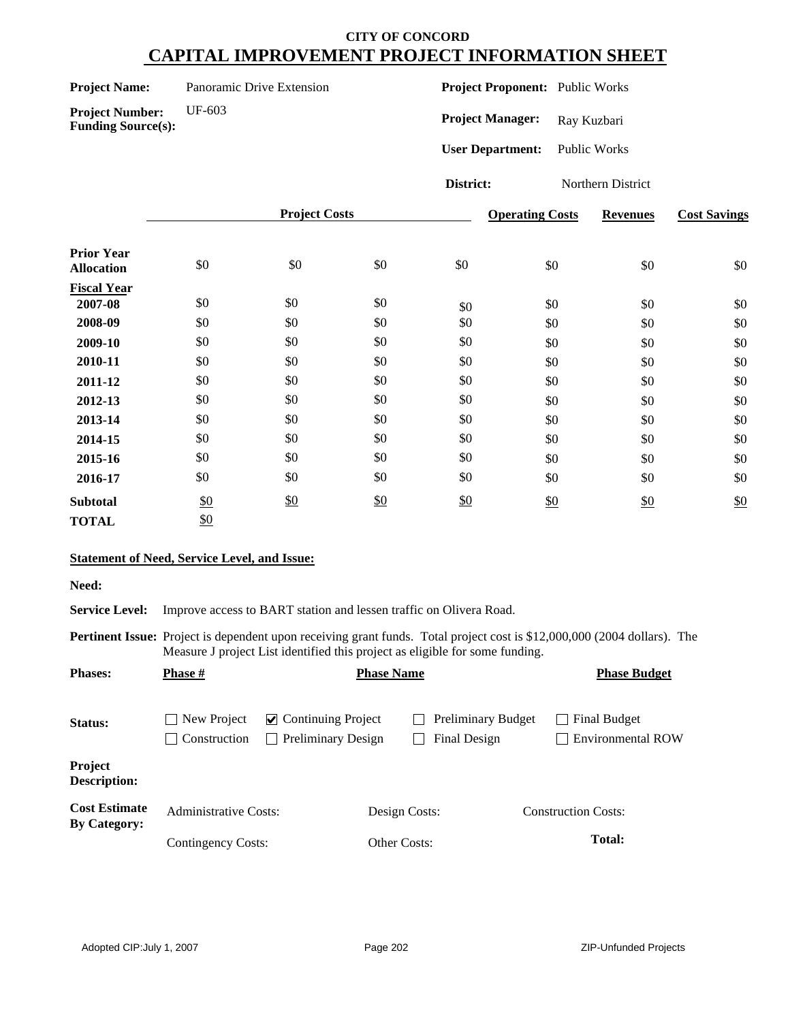| <b>Project Name:</b> | Panoramic Drive Extension |
|----------------------|---------------------------|
|----------------------|---------------------------|

**Project Proponent:** Public Works

**Project Number:** UF-603 **Funding Source(s):**

Project Manager: Ray Kuzbari **User Department:** Public Works

**District:** Northern District

|                                        |     | <b>Project Costs</b> |     |     | <b>Operating Costs</b> | <b>Revenues</b> | <b>Cost Savings</b> |
|----------------------------------------|-----|----------------------|-----|-----|------------------------|-----------------|---------------------|
| <b>Prior Year</b><br><b>Allocation</b> | \$0 | \$0                  | \$0 | \$0 | \$0                    | \$0             | \$0                 |
| <b>Fiscal Year</b>                     |     |                      |     |     |                        |                 |                     |
| 2007-08                                | \$0 | \$0                  | \$0 | \$0 | \$0                    | \$0             | \$0                 |
| 2008-09                                | \$0 | \$0                  | \$0 | \$0 | \$0                    | \$0             | \$0                 |
| 2009-10                                | \$0 | \$0                  | \$0 | \$0 | \$0                    | \$0             | \$0                 |
| 2010-11                                | \$0 | \$0                  | \$0 | \$0 | \$0                    | \$0             | \$0                 |
| 2011-12                                | \$0 | \$0                  | \$0 | \$0 | \$0                    | \$0             | \$0                 |
| 2012-13                                | \$0 | \$0                  | \$0 | \$0 | \$0                    | \$0             | \$0                 |
| 2013-14                                | \$0 | \$0                  | \$0 | \$0 | \$0                    | \$0             | \$0                 |
| 2014-15                                | \$0 | \$0                  | \$0 | \$0 | \$0                    | \$0             | \$0                 |
| 2015-16                                | \$0 | \$0                  | \$0 | \$0 | \$0                    | \$0             | \$0                 |
| 2016-17                                | \$0 | \$0                  | \$0 | \$0 | \$0                    | \$0             | \$0                 |
| <b>Subtotal</b>                        | \$0 | \$0                  | \$0 | \$0 | \$0                    | $\frac{$0}{}$   | \$0                 |
| <b>TOTAL</b>                           | \$0 |                      |     |     |                        |                 |                     |

### **Statement of Need, Service Level, and Issue:**

**Need:**

**Service Level:** Improve access to BART station and lessen traffic on Olivera Road.

**Pertinent Issue:** Project is dependent upon receiving grant funds. Total project cost is \$12,000,000 (2004 dollars). The Measure J project List identified this project as eligible for some funding.

| <b>Phases:</b>                              | <b>Phase #</b>               |                                                                  | <b>Phase Name</b>   |                                           |                            | <b>Phase Budget</b>                      |
|---------------------------------------------|------------------------------|------------------------------------------------------------------|---------------------|-------------------------------------------|----------------------------|------------------------------------------|
| Status:                                     | New Project<br>Construction  | $\triangleright$ Continuing Project<br><b>Preliminary Design</b> |                     | <b>Preliminary Budget</b><br>Final Design |                            | Final Budget<br><b>Environmental ROW</b> |
| Project<br><b>Description:</b>              |                              |                                                                  |                     |                                           |                            |                                          |
| <b>Cost Estimate</b><br><b>By Category:</b> | <b>Administrative Costs:</b> |                                                                  | Design Costs:       |                                           | <b>Construction Costs:</b> |                                          |
|                                             | Contingency Costs:           |                                                                  | <b>Other Costs:</b> |                                           |                            | <b>Total:</b>                            |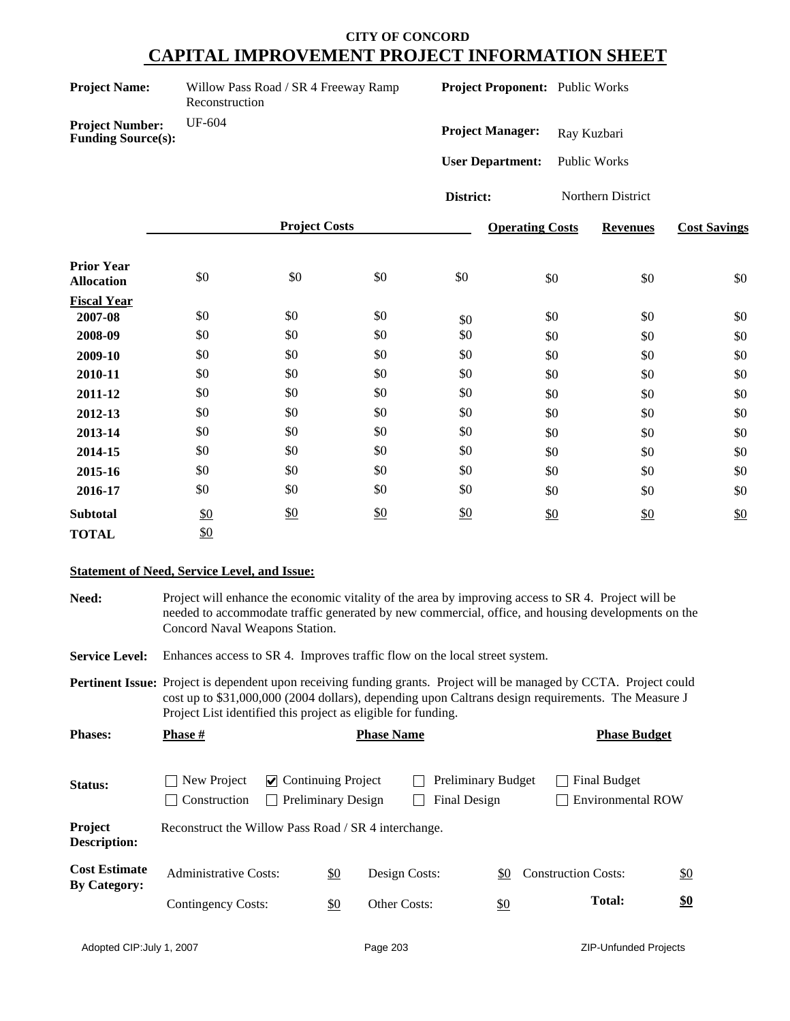| <b>Project Name:</b> | Willow |
|----------------------|--------|
|                      |        |

Pass Road / SR 4 Freeway Ramp Reconstruction

**Project Proponent:** Public Works

**Project Number:** UF-604 **Funding Source(s):**

Project Manager: Ray Kuzbari

**User Department:** Public Works

**District:** Northern District

|                                        |     | <b>Project Costs</b> |               |     | <b>Operating Costs</b> | <b>Revenues</b> | <b>Cost Savings</b> |
|----------------------------------------|-----|----------------------|---------------|-----|------------------------|-----------------|---------------------|
| <b>Prior Year</b><br><b>Allocation</b> | \$0 | \$0                  | \$0           | \$0 | \$0                    | \$0             | \$0                 |
| <b>Fiscal Year</b>                     |     |                      |               |     |                        |                 |                     |
| 2007-08                                | \$0 | \$0                  | \$0           | \$0 | \$0                    | \$0             | \$0                 |
| 2008-09                                | \$0 | \$0                  | \$0           | \$0 | \$0                    | \$0             | \$0                 |
| 2009-10                                | \$0 | \$0                  | \$0           | \$0 | \$0                    | \$0             | \$0                 |
| 2010-11                                | \$0 | \$0                  | \$0           | \$0 | \$0                    | \$0             | \$0                 |
| 2011-12                                | \$0 | \$0                  | \$0           | \$0 | \$0                    | \$0             | \$0                 |
| 2012-13                                | \$0 | \$0                  | \$0           | \$0 | \$0                    | \$0             | \$0                 |
| 2013-14                                | \$0 | \$0                  | \$0           | \$0 | \$0                    | \$0             | \$0                 |
| 2014-15                                | \$0 | \$0                  | \$0           | \$0 | \$0                    | \$0             | \$0                 |
| 2015-16                                | \$0 | \$0                  | \$0           | \$0 | \$0                    | \$0             | \$0                 |
| 2016-17                                | \$0 | \$0                  | \$0           | \$0 | \$0                    | \$0             | \$0                 |
| <b>Subtotal</b>                        | \$0 | \$0                  | $\frac{$0}{}$ | \$0 | \$0                    | \$0             | \$0                 |
| <b>TOTAL</b>                           | \$0 |                      |               |     |                        |                 |                     |

### **Statement of Need, Service Level, and Issue:**

**Need:** Project will enhance the economic vitality of the area by improving access to SR 4. Project will be needed to accommodate traffic generated by new commercial, office, and housing developments on the Concord Naval Weapons Station.

**Service Level:** Enhances access to SR 4. Improves traffic flow on the local street system.

**Pertinent Issue:** Project is dependent upon receiving funding grants. Project will be managed by CCTA. Project could cost up to \$31,000,000 (2004 dollars), depending upon Caltrans design requirements. The Measure J Project List identified this project as eligible for funding.

| <b>Phases:</b>                              | Phase #                                              |                           |                           | <b>Phase Name</b> |                                           |                   |                            | <b>Phase Budget</b>                      |               |
|---------------------------------------------|------------------------------------------------------|---------------------------|---------------------------|-------------------|-------------------------------------------|-------------------|----------------------------|------------------------------------------|---------------|
| Status:                                     | New Project<br>Construction                          | $\vee$ Continuing Project | <b>Preliminary Design</b> |                   | <b>Preliminary Budget</b><br>Final Design |                   |                            | Final Budget<br><b>Environmental ROW</b> |               |
| Project<br><b>Description:</b>              | Reconstruct the Willow Pass Road / SR 4 interchange. |                           |                           |                   |                                           |                   |                            |                                          |               |
| <b>Cost Estimate</b><br><b>By Category:</b> | <b>Administrative Costs:</b>                         |                           | \$0                       | Design Costs:     |                                           | \$0               | <b>Construction Costs:</b> |                                          | $\frac{$0}{}$ |
|                                             | Contingency Costs:                                   |                           | \$0                       | Other Costs:      |                                           | $\underline{\$0}$ |                            | <b>Total:</b>                            | \$0           |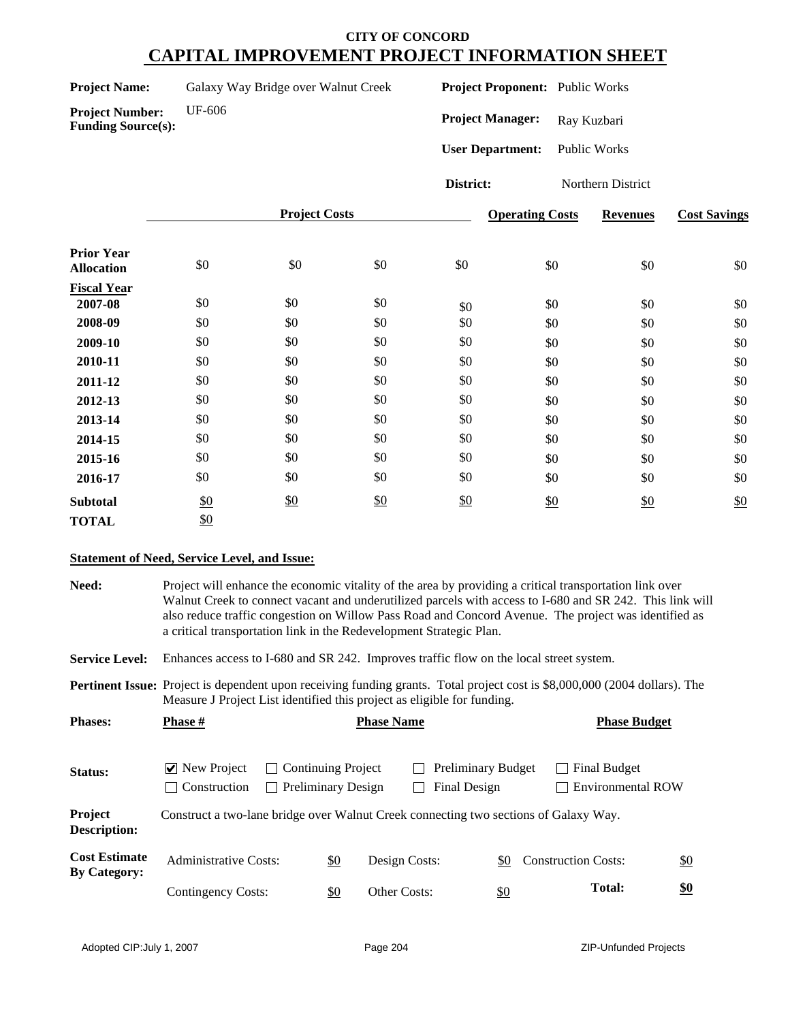| Galaxy Way Bridge over Walnut Creek<br><b>Project Name:</b> |  |
|-------------------------------------------------------------|--|
|-------------------------------------------------------------|--|

**Project Number:** UF-606

**Funding Source(s):**

**Project Proponent:** Public Works

Project Manager: Ray Kuzbari

**User Department:** Public Works

**District:** Northern District

|                                        |     | <b>Project Costs</b> |     |     | <b>Operating Costs</b> | <b>Revenues</b> | <b>Cost Savings</b> |
|----------------------------------------|-----|----------------------|-----|-----|------------------------|-----------------|---------------------|
| <b>Prior Year</b><br><b>Allocation</b> | \$0 | \$0                  | \$0 | \$0 | \$0                    | \$0             | \$0                 |
| <b>Fiscal Year</b>                     |     |                      |     |     |                        |                 |                     |
| 2007-08                                | \$0 | \$0                  | \$0 | \$0 | \$0                    | \$0             | \$0                 |
| 2008-09                                | \$0 | \$0                  | \$0 | \$0 | \$0                    | \$0             | \$0                 |
| 2009-10                                | \$0 | \$0                  | \$0 | \$0 | \$0                    | \$0             | \$0                 |
| 2010-11                                | \$0 | \$0                  | \$0 | \$0 | \$0                    | \$0             | \$0                 |
| 2011-12                                | \$0 | \$0                  | \$0 | \$0 | \$0                    | \$0             | \$0                 |
| 2012-13                                | \$0 | \$0                  | \$0 | \$0 | \$0                    | \$0             | \$0                 |
| 2013-14                                | \$0 | \$0                  | \$0 | \$0 | \$0                    | \$0             | \$0                 |
| 2014-15                                | \$0 | \$0                  | \$0 | \$0 | \$0                    | \$0             | \$0                 |
| 2015-16                                | \$0 | \$0                  | \$0 | \$0 | \$0                    | \$0             | \$0                 |
| 2016-17                                | \$0 | \$0                  | \$0 | \$0 | \$0                    | \$0             | \$0                 |
| <b>Subtotal</b>                        | \$0 | \$0                  | \$0 | \$0 | \$0                    | $\frac{$0}{}$   | \$0                 |
| <b>TOTAL</b>                           | \$0 |                      |     |     |                        |                 |                     |

### **Statement of Need, Service Level, and Issue:**

**Need:** Project will enhance the economic vitality of the area by providing a critical transportation link over Walnut Creek to connect vacant and underutilized parcels with access to I-680 and SR 242. This link will also reduce traffic congestion on Willow Pass Road and Concord Avenue. The project was identified as a critical transportation link in the Redevelopment Strategic Plan. **Service Level:** Enhances access to I-680 and SR 242. Improves traffic flow on the local street system. Status: **Now Project** Continuing Project **Preliminary Budget** Final Budget Construction Preliminary Design Final Design Environmental ROW **Project Description:** Construct a two-lane bridge over Walnut Creek connecting two sections of Galaxy Way. **Pertinent Issue:** Project is dependent upon receiving funding grants. Total project cost is \$8,000,000 (2004 dollars). The Measure J Project List identified this project as eligible for funding. Cost Estimate Administrative Costs: <u>\$0</u> Design Costs: <u>\$0</u> Construction Costs: <u>\$0</u><br>By Category: \$0 Other Costs: \$0 **Cost Estimate** Contingency Costs: **Total: \$0 Phases: Phase # Phase Name Phase Name Phase Budget**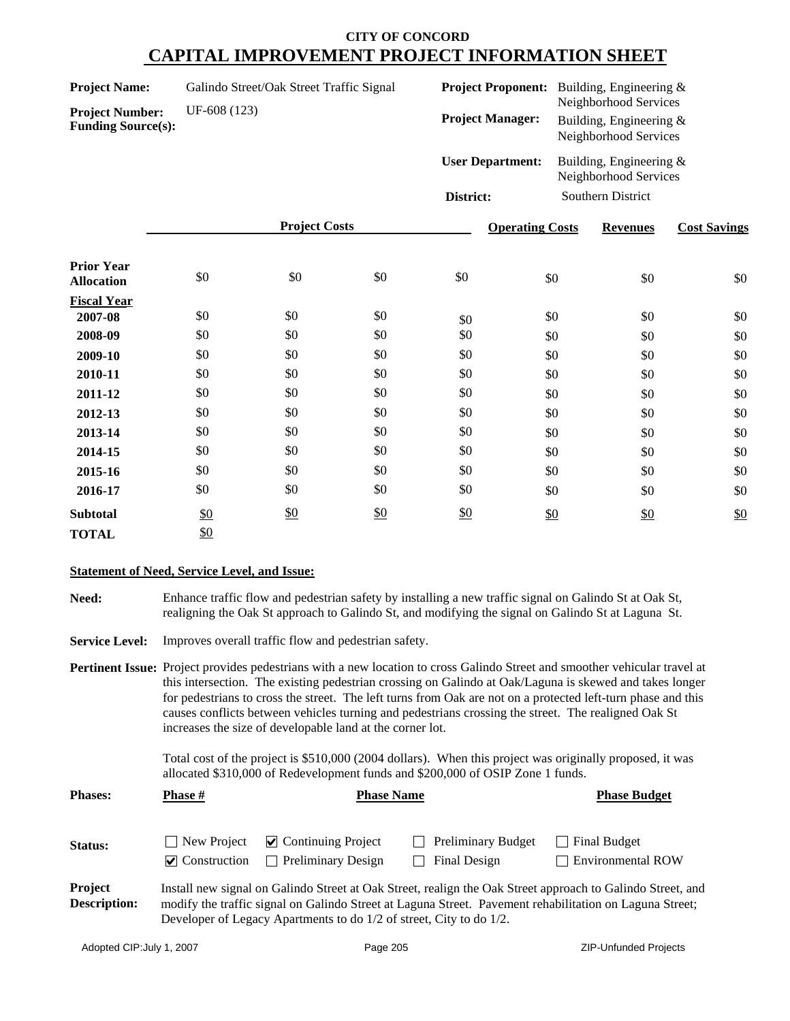| <b>Project Name:</b><br><b>Project Number:</b><br><b>Funding Source(s):</b> | Galindo Street/Oak Street Traffic Signal<br>UF-608 (123) |                      | <b>Project Proponent:</b><br><b>Project Manager:</b> |                         | Building, Engineering $\&$<br>Neighborhood Services<br>Building, Engineering &<br>Neighborhood Services |                                                     |                     |
|-----------------------------------------------------------------------------|----------------------------------------------------------|----------------------|------------------------------------------------------|-------------------------|---------------------------------------------------------------------------------------------------------|-----------------------------------------------------|---------------------|
|                                                                             |                                                          |                      |                                                      | <b>User Department:</b> |                                                                                                         | Building, Engineering $\&$<br>Neighborhood Services |                     |
|                                                                             |                                                          |                      |                                                      | District:               |                                                                                                         | Southern District                                   |                     |
|                                                                             |                                                          | <b>Project Costs</b> |                                                      |                         | <b>Operating Costs</b>                                                                                  | <b>Revenues</b>                                     | <b>Cost Savings</b> |
| <b>Prior Year</b><br><b>Allocation</b>                                      | \$0                                                      | \$0                  | \$0                                                  | \$0                     | \$0                                                                                                     | \$0                                                 | \$0                 |
| <b>Fiscal Year</b>                                                          |                                                          |                      |                                                      |                         |                                                                                                         |                                                     |                     |
| 2007-08                                                                     | \$0                                                      | \$0                  | \$0                                                  | \$0                     | \$0                                                                                                     | \$0                                                 | \$0                 |
| 2008-09                                                                     | \$0                                                      | \$0                  | \$0                                                  | \$0                     | \$0                                                                                                     | \$0                                                 | \$0                 |
| 2009-10                                                                     | \$0                                                      | \$0                  | \$0                                                  | \$0                     | \$0                                                                                                     | \$0                                                 | \$0                 |
| 2010-11                                                                     | \$0                                                      | \$0                  | \$0                                                  | \$0                     | \$0                                                                                                     | \$0                                                 | \$0                 |
| 2011-12                                                                     | \$0                                                      | \$0                  | \$0                                                  | \$0                     | \$0                                                                                                     | \$0                                                 | \$0                 |
| 2012-13                                                                     | \$0                                                      | \$0                  | \$0                                                  | \$0                     | \$0                                                                                                     | \$0                                                 | \$0                 |
| 2013-14                                                                     | \$0                                                      | \$0                  | \$0                                                  | \$0                     | \$0                                                                                                     | \$0                                                 | \$0                 |
| 2014-15                                                                     | \$0                                                      | \$0                  | \$0                                                  | \$0                     | \$0                                                                                                     | \$0                                                 | \$0                 |
| 2015-16                                                                     | \$0                                                      | \$0                  | \$0                                                  | \$0                     | \$0                                                                                                     | \$0                                                 | \$0                 |
| 2016-17                                                                     | \$0                                                      | \$0                  | \$0                                                  | \$0                     | \$0                                                                                                     | \$0                                                 | \$0                 |

### **Statement of Need, Service Level, and Issue:**

\$0

**Subtotal**

TOTAL \$0

**Need:** Enhance traffic flow and pedestrian safety by installing a new traffic signal on Galindo St at Oak St, realigning the Oak St approach to Galindo St, and modifying the signal on Galindo St at Laguna St.

Service Level: Improves overall traffic flow and pedestrian safety.

\$0

**Pertinent Issue:** Project provides pedestrians with a new location to cross Galindo Street and smoother vehicular travel at this intersection. The existing pedestrian crossing on Galindo at Oak/Laguna is skewed and takes longer for pedestrians to cross the street. The left turns from Oak are not on a protected left-turn phase and this causes conflicts between vehicles turning and pedestrians crossing the street. The realigned Oak St increases the size of developable land at the corner lot.

> Total cost of the project is \$510,000 (2004 dollars). When this project was originally proposed, it was allocated \$310,000 of Redevelopment funds and \$200,000 of OSIP Zone 1 funds.

\$0

| <b>Phases:</b>                 | <b>Phase #</b>                               | <b>Phase Name</b>                                                   | <b>Phase Budget</b>                       |                                                                                                                                                                                                                       |
|--------------------------------|----------------------------------------------|---------------------------------------------------------------------|-------------------------------------------|-----------------------------------------------------------------------------------------------------------------------------------------------------------------------------------------------------------------------|
| <b>Status:</b>                 | New Project<br>$\triangleright$ Construction | $\vee$ Continuing Project<br><b>Preliminary Design</b>              | <b>Preliminary Budget</b><br>Final Design | <b>Final Budget</b><br><b>Environmental ROW</b>                                                                                                                                                                       |
| Project<br><b>Description:</b> |                                              | Developer of Legacy Apartments to do 1/2 of street, City to do 1/2. |                                           | Install new signal on Galindo Street at Oak Street, realign the Oak Street approach to Galindo Street, and<br>modify the traffic signal on Galindo Street at Laguna Street. Pavement rehabilitation on Laguna Street; |

 $\frac{$0}{$0}$  \$0 \$0 \$0 \$0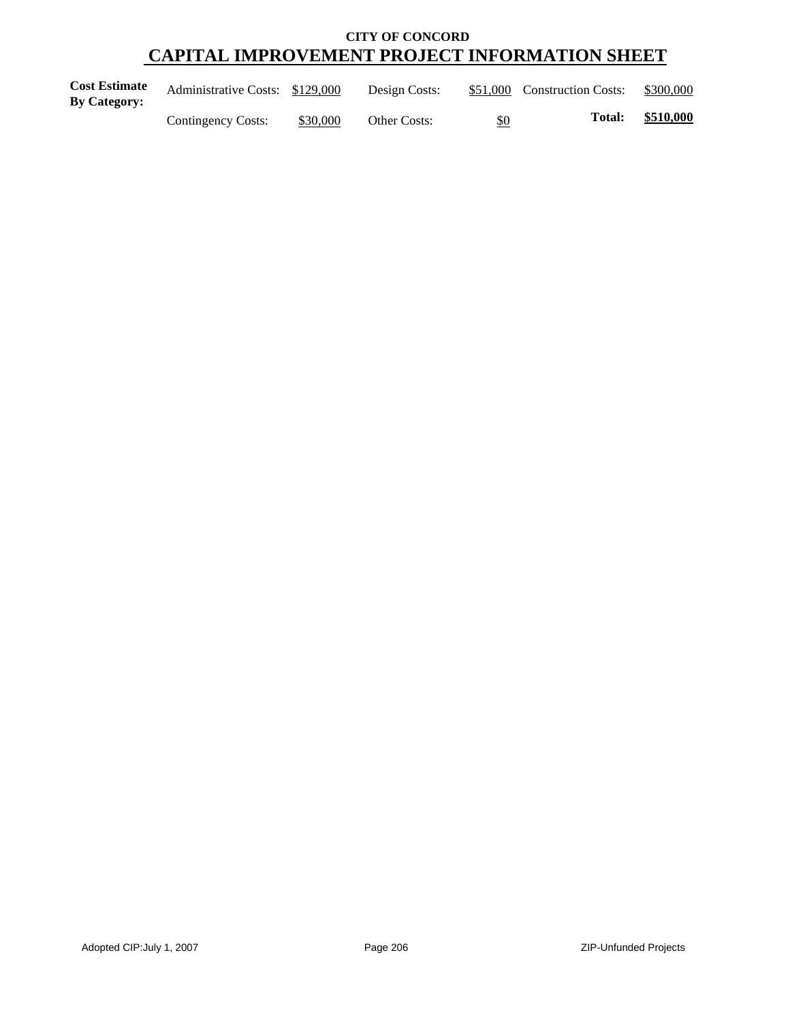| <b>Cost Estimate</b> | Administrative Costs: \$129,000 |          | Design Costs:       |     | \$51,000 Construction Costs: | \$300,000 |
|----------------------|---------------------------------|----------|---------------------|-----|------------------------------|-----------|
| <b>By Category:</b>  | Contingency Costs:              | \$30,000 | <b>Other Costs:</b> | \$0 | <b>Total:</b>                | \$510,000 |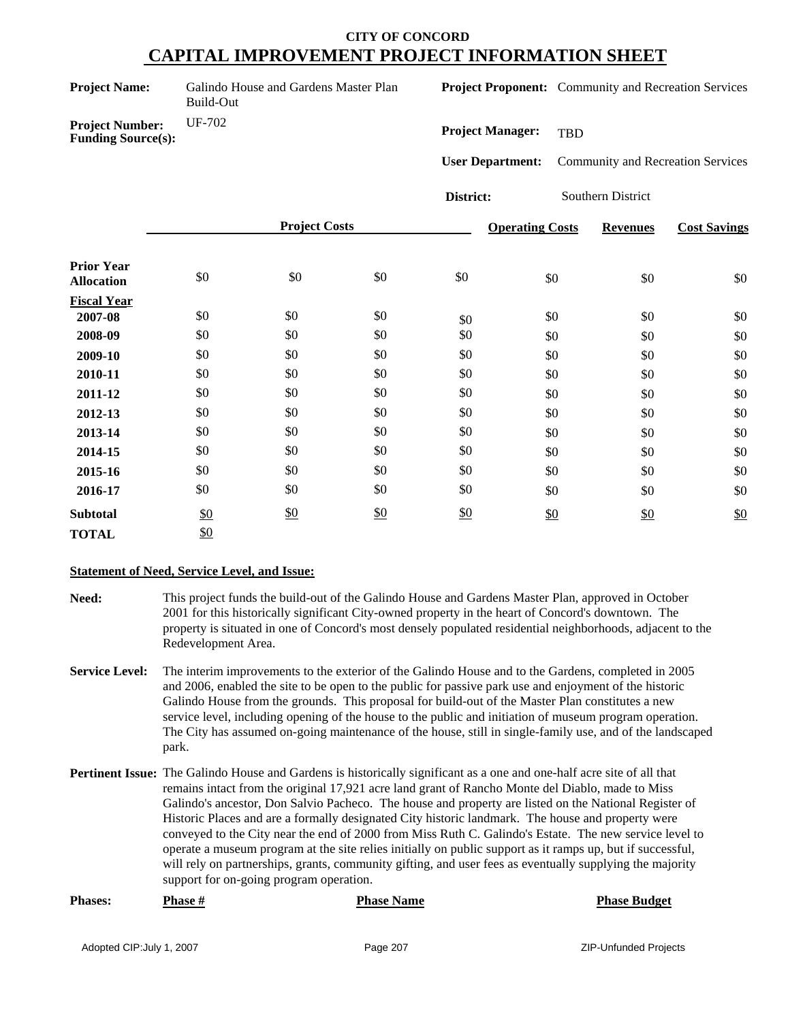Galindo House and Gardens Master Plan Build-Out

**Project Proponent:** Community and Recreation Services

**Project Number:** UF-702 **Funding Source(s):**

**Project Manager:** TBD

**User Department:** Community and Recreation Services

**District:** Southern District

|                                        |     | <b>Project Costs</b> |     |     | <b>Operating Costs</b> | <b>Revenues</b> | <b>Cost Savings</b> |
|----------------------------------------|-----|----------------------|-----|-----|------------------------|-----------------|---------------------|
| <b>Prior Year</b><br><b>Allocation</b> | \$0 | \$0                  | \$0 | \$0 | \$0                    | \$0             | \$0                 |
| <b>Fiscal Year</b>                     |     |                      |     |     |                        |                 |                     |
| 2007-08                                | \$0 | \$0                  | \$0 | \$0 | \$0                    | \$0             | \$0                 |
| 2008-09                                | \$0 | \$0                  | \$0 | \$0 | \$0                    | \$0             | \$0                 |
| 2009-10                                | \$0 | \$0                  | \$0 | \$0 | \$0                    | \$0             | \$0                 |
| 2010-11                                | \$0 | \$0                  | \$0 | \$0 | \$0                    | \$0             | \$0                 |
| 2011-12                                | \$0 | \$0                  | \$0 | \$0 | \$0                    | \$0             | \$0                 |
| 2012-13                                | \$0 | \$0                  | \$0 | \$0 | \$0                    | \$0             | \$0                 |
| 2013-14                                | \$0 | \$0                  | \$0 | \$0 | \$0                    | \$0             | \$0                 |
| 2014-15                                | \$0 | \$0                  | \$0 | \$0 | \$0                    | \$0             | \$0                 |
| 2015-16                                | \$0 | \$0                  | \$0 | \$0 | \$0                    | \$0             | \$0                 |
| 2016-17                                | \$0 | \$0                  | \$0 | \$0 | \$0                    | \$0             | \$0                 |
| <b>Subtotal</b>                        | \$0 | $\frac{$0}{}$        | \$0 | \$0 | \$0                    | \$0             | \$0                 |
| <b>TOTAL</b>                           | \$0 |                      |     |     |                        |                 |                     |

### **Statement of Need, Service Level, and Issue:**

- **Need:** This project funds the build-out of the Galindo House and Gardens Master Plan, approved in October 2001 for this historically significant City-owned property in the heart of Concord's downtown. The property is situated in one of Concord's most densely populated residential neighborhoods, adjacent to the Redevelopment Area.
- **Service Level:** The interim improvements to the exterior of the Galindo House and to the Gardens, completed in 2005 and 2006, enabled the site to be open to the public for passive park use and enjoyment of the historic Galindo House from the grounds. This proposal for build-out of the Master Plan constitutes a new service level, including opening of the house to the public and initiation of museum program operation. The City has assumed on-going maintenance of the house, still in single-family use, and of the landscaped park.
- **Pertinent Issue:** The Galindo House and Gardens is historically significant as a one and one-half acre site of all that remains intact from the original 17,921 acre land grant of Rancho Monte del Diablo, made to Miss Galindo's ancestor, Don Salvio Pacheco. The house and property are listed on the National Register of Historic Places and are a formally designated City historic landmark. The house and property were conveyed to the City near the end of 2000 from Miss Ruth C. Galindo's Estate. The new service level to operate a museum program at the site relies initially on public support as it ramps up, but if successful, will rely on partnerships, grants, community gifting, and user fees as eventually supplying the majority support for on-going program operation.

| <b>Phases:</b> | <b>Phase #</b> | <b>Phase Name</b> | <b>Phase Budget</b> |
|----------------|----------------|-------------------|---------------------|
|                |                |                   |                     |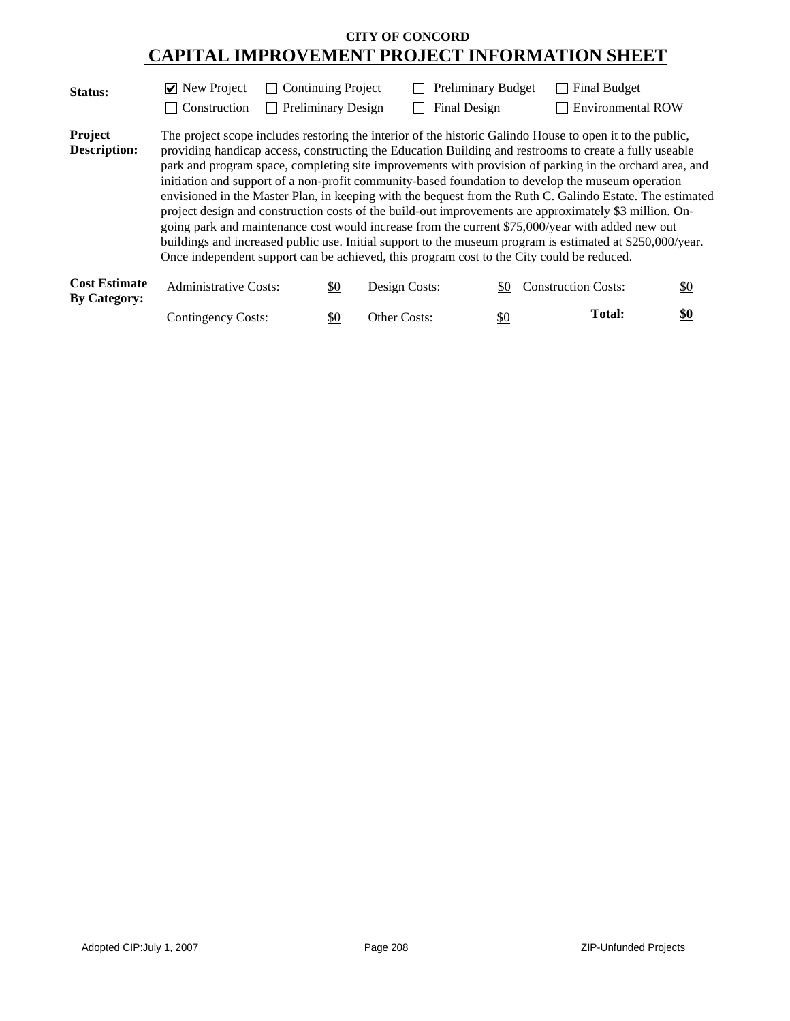| Status:                        | $\triangledown$ New Project<br>Construction                                                                                                                                                                                                                                                                                                                                                                                                                                                                                                                                                                                                                                                                                                                                                                                                                                                                                                          | <b>Continuing Project</b> |               | <b>Preliminary Budget</b> | <b>Final Budget</b>                                                                                                     |     |  |  |
|--------------------------------|------------------------------------------------------------------------------------------------------------------------------------------------------------------------------------------------------------------------------------------------------------------------------------------------------------------------------------------------------------------------------------------------------------------------------------------------------------------------------------------------------------------------------------------------------------------------------------------------------------------------------------------------------------------------------------------------------------------------------------------------------------------------------------------------------------------------------------------------------------------------------------------------------------------------------------------------------|---------------------------|---------------|---------------------------|-------------------------------------------------------------------------------------------------------------------------|-----|--|--|
| Project<br><b>Description:</b> | Final Design<br><b>Preliminary Design</b><br><b>Environmental ROW</b><br>The project scope includes restoring the interior of the historic Galindo House to open it to the public,<br>providing handicap access, constructing the Education Building and restrooms to create a fully useable<br>park and program space, completing site improvements with provision of parking in the orchard area, and<br>initiation and support of a non-profit community-based foundation to develop the museum operation<br>envisioned in the Master Plan, in keeping with the bequest from the Ruth C. Galindo Estate. The estimated<br>project design and construction costs of the build-out improvements are approximately \$3 million. On-<br>going park and maintenance cost would increase from the current \$75,000/year with added new out<br>buildings and increased public use. Initial support to the museum program is estimated at \$250,000/year. |                           |               |                           |                                                                                                                         |     |  |  |
| <b>Cost Estimate</b>           | <b>Administrative Costs:</b>                                                                                                                                                                                                                                                                                                                                                                                                                                                                                                                                                                                                                                                                                                                                                                                                                                                                                                                         | \$0                       | Design Costs: | \$0                       | Once independent support can be achieved, this program cost to the City could be reduced.<br><b>Construction Costs:</b> | \$0 |  |  |
| <b>By Category:</b>            |                                                                                                                                                                                                                                                                                                                                                                                                                                                                                                                                                                                                                                                                                                                                                                                                                                                                                                                                                      |                           |               |                           |                                                                                                                         |     |  |  |

| $\cdots$ |                           |              |     |               |     |
|----------|---------------------------|--------------|-----|---------------|-----|
|          | <b>Contingency Costs:</b> | Other Costs: | \$0 | <b>Total:</b> | \$0 |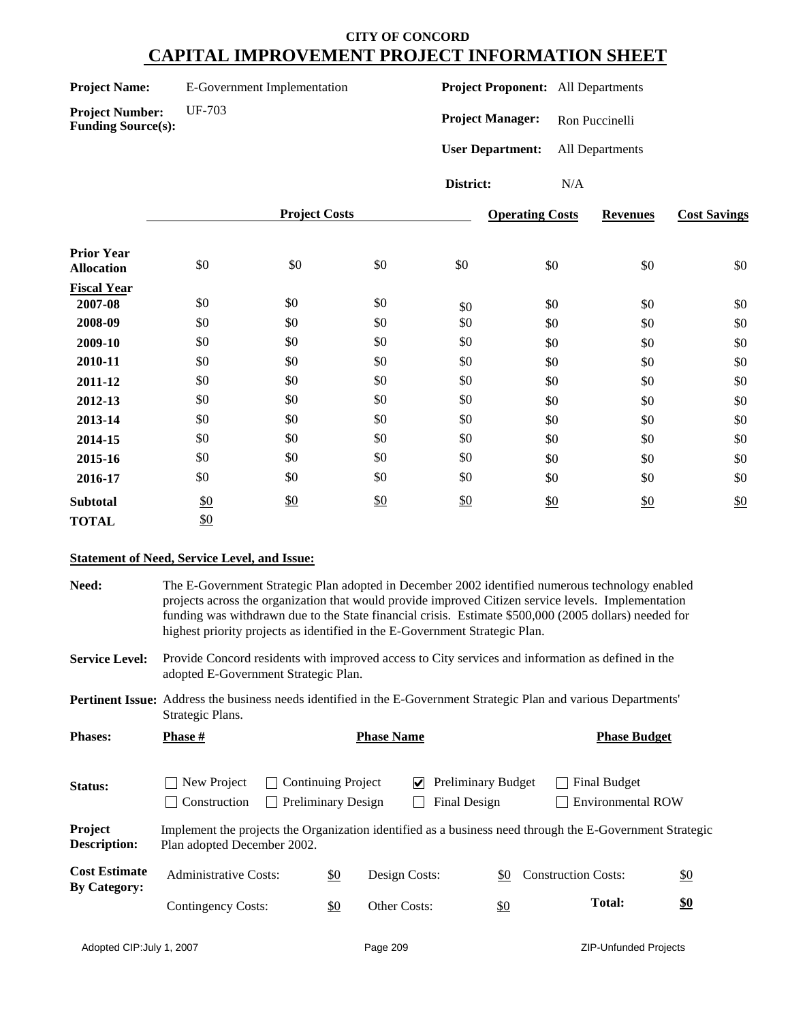| <b>Project Name:</b>                                | E-Government Implementation | <b>Project Proponent:</b> All Departments |                 |                     |
|-----------------------------------------------------|-----------------------------|-------------------------------------------|-----------------|---------------------|
| <b>Project Number:</b><br><b>Funding Source(s):</b> | UF-703                      | <b>Project Manager:</b>                   | Ron Puccinelli  |                     |
|                                                     |                             | <b>User Department:</b>                   | All Departments |                     |
|                                                     |                             | District:                                 | N/A             |                     |
|                                                     | <b>Project Costs</b>        | <b>Operating Costs</b>                    | <b>Revenues</b> | <b>Cost Savings</b> |

| <b>Prior Year</b><br><b>Allocation</b> | \$0 | \$0 | \$0 | \$0 | \$0 | \$0 | \$0 |
|----------------------------------------|-----|-----|-----|-----|-----|-----|-----|
| <b>Fiscal Year</b>                     |     |     |     |     |     |     |     |
| 2007-08                                | \$0 | \$0 | \$0 | \$0 | \$0 | \$0 | \$0 |
| 2008-09                                | \$0 | \$0 | \$0 | \$0 | \$0 | \$0 | \$0 |
| 2009-10                                | \$0 | \$0 | \$0 | \$0 | \$0 | \$0 | \$0 |
| 2010-11                                | \$0 | \$0 | \$0 | \$0 | \$0 | \$0 | \$0 |
| 2011-12                                | \$0 | \$0 | \$0 | \$0 | \$0 | \$0 | \$0 |
| 2012-13                                | \$0 | \$0 | \$0 | \$0 | \$0 | \$0 | \$0 |
| 2013-14                                | \$0 | \$0 | \$0 | \$0 | \$0 | \$0 | \$0 |
| 2014-15                                | \$0 | \$0 | \$0 | \$0 | \$0 | \$0 | \$0 |
| 2015-16                                | \$0 | \$0 | \$0 | \$0 | \$0 | \$0 | \$0 |
| 2016-17                                | \$0 | \$0 | \$0 | \$0 | \$0 | \$0 | \$0 |
| <b>Subtotal</b>                        | \$0 | \$0 | \$0 | \$0 | \$0 | \$0 | \$0 |
| <b>TOTAL</b>                           | \$0 |     |     |     |     |     |     |

### **Statement of Need, Service Level, and Issue:**

| <b>Need:</b>                                | The E-Government Strategic Plan adopted in December 2002 identified numerous technology enabled<br>projects across the organization that would provide improved Citizen service levels. Implementation<br>funding was withdrawn due to the State financial crisis. Estimate \$500,000 (2005 dollars) needed for<br>highest priority projects as identified in the E-Government Strategic Plan. |                                                                                                                                           |               |                   |                                           |  |                                                 |                   |  |  |
|---------------------------------------------|------------------------------------------------------------------------------------------------------------------------------------------------------------------------------------------------------------------------------------------------------------------------------------------------------------------------------------------------------------------------------------------------|-------------------------------------------------------------------------------------------------------------------------------------------|---------------|-------------------|-------------------------------------------|--|-------------------------------------------------|-------------------|--|--|
| <b>Service Level:</b>                       |                                                                                                                                                                                                                                                                                                                                                                                                | Provide Concord residents with improved access to City services and information as defined in the<br>adopted E-Government Strategic Plan. |               |                   |                                           |  |                                                 |                   |  |  |
|                                             | Pertinent Issue: Address the business needs identified in the E-Government Strategic Plan and various Departments'<br>Strategic Plans.                                                                                                                                                                                                                                                         |                                                                                                                                           |               |                   |                                           |  |                                                 |                   |  |  |
| <b>Phases:</b>                              | Phase #                                                                                                                                                                                                                                                                                                                                                                                        |                                                                                                                                           |               | <b>Phase Name</b> |                                           |  | <b>Phase Budget</b>                             |                   |  |  |
| Status:                                     | New Project<br>Construction                                                                                                                                                                                                                                                                                                                                                                    | <b>Continuing Project</b><br><b>Preliminary Design</b>                                                                                    |               | M                 | <b>Preliminary Budget</b><br>Final Design |  | <b>Final Budget</b><br><b>Environmental ROW</b> |                   |  |  |
| Project<br><b>Description:</b>              | Implement the projects the Organization identified as a business need through the E-Government Strategic<br>Plan adopted December 2002.                                                                                                                                                                                                                                                        |                                                                                                                                           |               |                   |                                           |  |                                                 |                   |  |  |
| <b>Cost Estimate</b><br><b>By Category:</b> | <b>Administrative Costs:</b>                                                                                                                                                                                                                                                                                                                                                                   |                                                                                                                                           | $\frac{$0}{}$ | Design Costs:     | \$0                                       |  | <b>Construction Costs:</b>                      | $\underline{\$0}$ |  |  |
|                                             | <b>Contingency Costs:</b>                                                                                                                                                                                                                                                                                                                                                                      |                                                                                                                                           | $\frac{$0}{}$ | Other Costs:      | \$0                                       |  | <b>Total:</b>                                   | $\underline{\$0}$ |  |  |
|                                             |                                                                                                                                                                                                                                                                                                                                                                                                |                                                                                                                                           |               |                   |                                           |  |                                                 |                   |  |  |

Adopted CIP: July 1, 2007 **Page 209** Page 209 **Page 209** ZIP-Unfunded Projects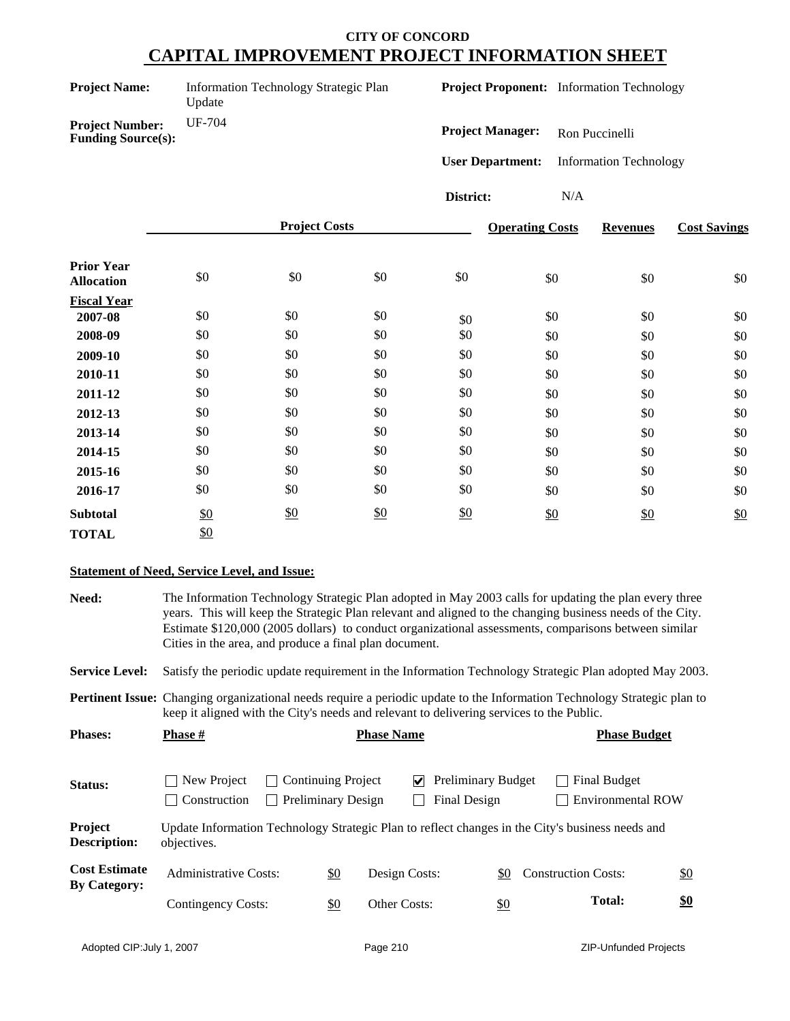| <b>Project Name:</b> |  |
|----------------------|--|
|----------------------|--|

**Information Technology Strategic Plan** Update

**Project Proponent:** Information Technology

**Project Number:** UF-704 **Funding Source(s):**

**Project Manager:** Ron Puccinelli

**User Department:** Information Technology

**District:** N/A

|                                        |     | <b>Project Costs</b> |               |     | <b>Operating Costs</b> | <b>Revenues</b> | <b>Cost Savings</b> |
|----------------------------------------|-----|----------------------|---------------|-----|------------------------|-----------------|---------------------|
| <b>Prior Year</b><br><b>Allocation</b> | \$0 | \$0                  | \$0           | \$0 | \$0                    | \$0             | \$0                 |
| <b>Fiscal Year</b>                     |     |                      |               |     |                        |                 |                     |
| 2007-08                                | \$0 | \$0                  | \$0           | \$0 | \$0                    | \$0             | \$0                 |
| 2008-09                                | \$0 | \$0                  | \$0           | \$0 | \$0                    | \$0             | \$0                 |
| 2009-10                                | \$0 | \$0                  | \$0           | \$0 | \$0                    | \$0             | \$0                 |
| 2010-11                                | \$0 | \$0                  | \$0           | \$0 | \$0                    | \$0             | \$0                 |
| 2011-12                                | \$0 | \$0                  | \$0           | \$0 | \$0                    | \$0             | \$0                 |
| 2012-13                                | \$0 | \$0                  | \$0           | \$0 | \$0                    | \$0             | \$0                 |
| 2013-14                                | \$0 | \$0                  | \$0           | \$0 | \$0                    | \$0             | \$0                 |
| 2014-15                                | \$0 | \$0                  | \$0           | \$0 | \$0                    | \$0             | \$0                 |
| 2015-16                                | \$0 | \$0                  | \$0           | \$0 | \$0                    | \$0             | \$0                 |
| 2016-17                                | \$0 | \$0                  | \$0           | \$0 | \$0                    | \$0             | \$0                 |
| <b>Subtotal</b>                        | \$0 | $\frac{$0}{}$        | $\frac{$0}{}$ | \$0 | \$0                    | \$0             | \$0                 |
| <b>TOTAL</b>                           | \$0 |                      |               |     |                        |                 |                     |

### **Statement of Need, Service Level, and Issue:**

**Need:** The Information Technology Strategic Plan adopted in May 2003 calls for updating the plan every three years. This will keep the Strategic Plan relevant and aligned to the changing business needs of the City. Estimate \$120,000 (2005 dollars) to conduct organizational assessments, comparisons between similar Cities in the area, and produce a final plan document. **Service Level:** Satisfy the periodic update requirement in the Information Technology Strategic Plan adopted May 2003. Status: Status: New Project Continuing Project **V** Preliminary Budget Final Budget Construction Preliminary Design Final Design Environmental ROW **Project Description:** Update Information Technology Strategic Plan to reflect changes in the City's business needs and objectives. **Pertinent Issue:** Changing organizational needs require a periodic update to the Information Technology Strategic plan to keep it aligned with the City's needs and relevant to delivering services to the Public. Cost Estimate Administrative Costs: <u>\$0</u> Design Costs: <u>\$0</u> Construction Costs: <u>\$0</u><br>By Category: \$0 Other Costs: \$0 **Cost Estimate** Contingency Costs: **Total: \$0 Phases: Phase**  $\frac{H}{I}$  **<b>Phase Phase Phase Budget Phase Budget Phase Budget**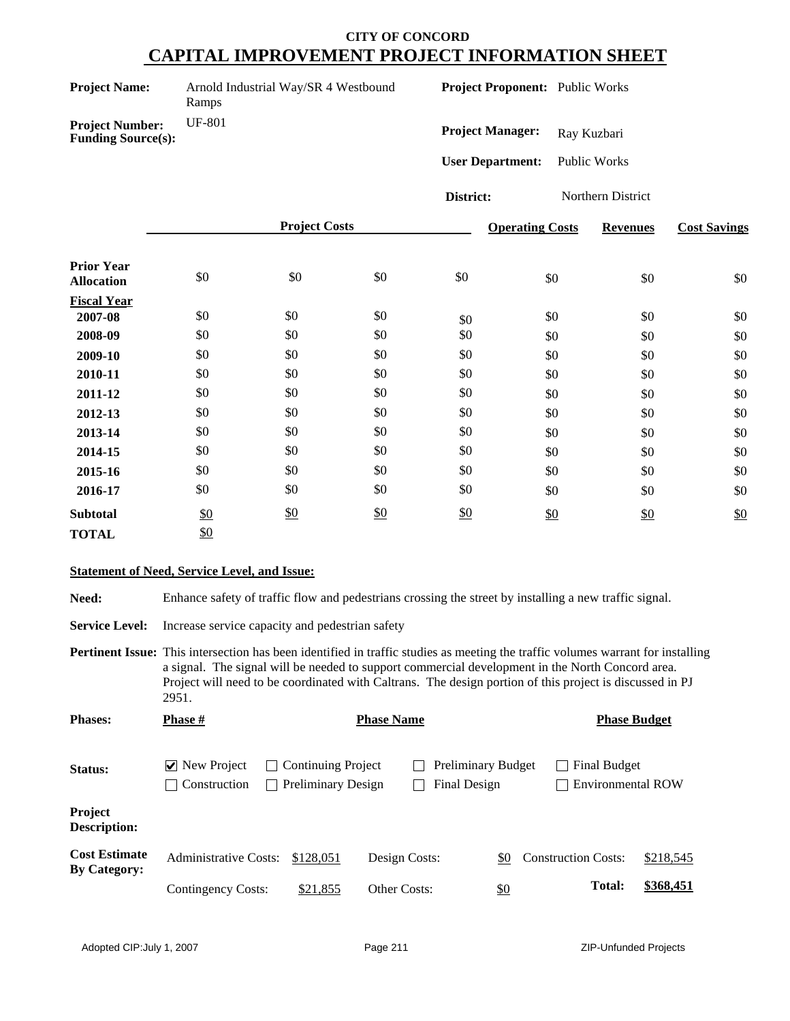| <b>Project Name:</b> | Arno |
|----------------------|------|
|                      |      |

**Produstrial Way/SR 4 Westbound** Ramps

**Project Proponent:** Public Works

**Project Number:** UF-801 **Funding Source(s):**

Project Manager: Ray Kuzbari

**User Department:** Public Works

**District:** Northern District

|                                        |     | <b>Project Costs</b> |               |     | <b>Operating Costs</b> | <b>Revenues</b> | <b>Cost Savings</b> |
|----------------------------------------|-----|----------------------|---------------|-----|------------------------|-----------------|---------------------|
| <b>Prior Year</b><br><b>Allocation</b> | \$0 | \$0                  | \$0           | \$0 | \$0                    | \$0             | \$0                 |
| <b>Fiscal Year</b>                     |     |                      |               |     |                        |                 |                     |
| 2007-08                                | \$0 | \$0                  | \$0           | \$0 | \$0                    | \$0             | \$0                 |
| 2008-09                                | \$0 | \$0                  | \$0           | \$0 | \$0                    | \$0             | \$0                 |
| 2009-10                                | \$0 | \$0                  | \$0           | \$0 | \$0                    | \$0             | \$0                 |
| 2010-11                                | \$0 | \$0                  | \$0           | \$0 | \$0                    | \$0             | \$0                 |
| 2011-12                                | \$0 | \$0                  | \$0           | \$0 | \$0                    | \$0             | \$0                 |
| 2012-13                                | \$0 | \$0                  | \$0           | \$0 | \$0                    | \$0             | \$0                 |
| 2013-14                                | \$0 | \$0                  | \$0           | \$0 | \$0                    | \$0             | \$0                 |
| 2014-15                                | \$0 | \$0                  | \$0           | \$0 | \$0                    | \$0             | \$0                 |
| 2015-16                                | \$0 | \$0                  | \$0           | \$0 | \$0                    | \$0             | \$0                 |
| 2016-17                                | \$0 | \$0                  | \$0           | \$0 | \$0                    | \$0             | \$0                 |
| <b>Subtotal</b>                        | \$0 | $\frac{$0}{}$        | $\frac{$0}{}$ | \$0 | \$0                    | \$0             | \$0                 |
| <b>TOTAL</b>                           | \$0 |                      |               |     |                        |                 |                     |

### **Statement of Need, Service Level, and Issue:**

Need: Enhance safety of traffic flow and pedestrians crossing the street by installing a new traffic signal.

**Service Level:** Increase service capacity and pedestrian safety

**Pertinent Issue:** This intersection has been identified in traffic studies as meeting the traffic volumes warrant for installing a signal. The signal will be needed to support commercial development in the North Concord area. Project will need to be coordinated with Caltrans. The design portion of this project is discussed in PJ 2951.

| <b>Phases:</b>                              | <b>Phase #</b>                                                     |                                                        | <b>Phase Name</b> |                                           |                                                 | <b>Phase Budget</b> |
|---------------------------------------------|--------------------------------------------------------------------|--------------------------------------------------------|-------------------|-------------------------------------------|-------------------------------------------------|---------------------|
| Status:                                     | $ $ New Project<br>$\mathcal{L}$<br>Construction<br>$\blacksquare$ | <b>Continuing Project</b><br><b>Preliminary Design</b> |                   | <b>Preliminary Budget</b><br>Final Design | <b>Final Budget</b><br><b>Environmental ROW</b> |                     |
| Project<br><b>Description:</b>              |                                                                    |                                                        |                   |                                           |                                                 |                     |
| <b>Cost Estimate</b><br><b>By Category:</b> | <b>Administrative Costs:</b>                                       | \$128,051                                              | Design Costs:     | \$0                                       | <b>Construction Costs:</b>                      | \$218,545           |
|                                             | <b>Contingency Costs:</b>                                          | \$21,855                                               | Other Costs:      | \$0                                       | <b>Total:</b>                                   | \$368,451           |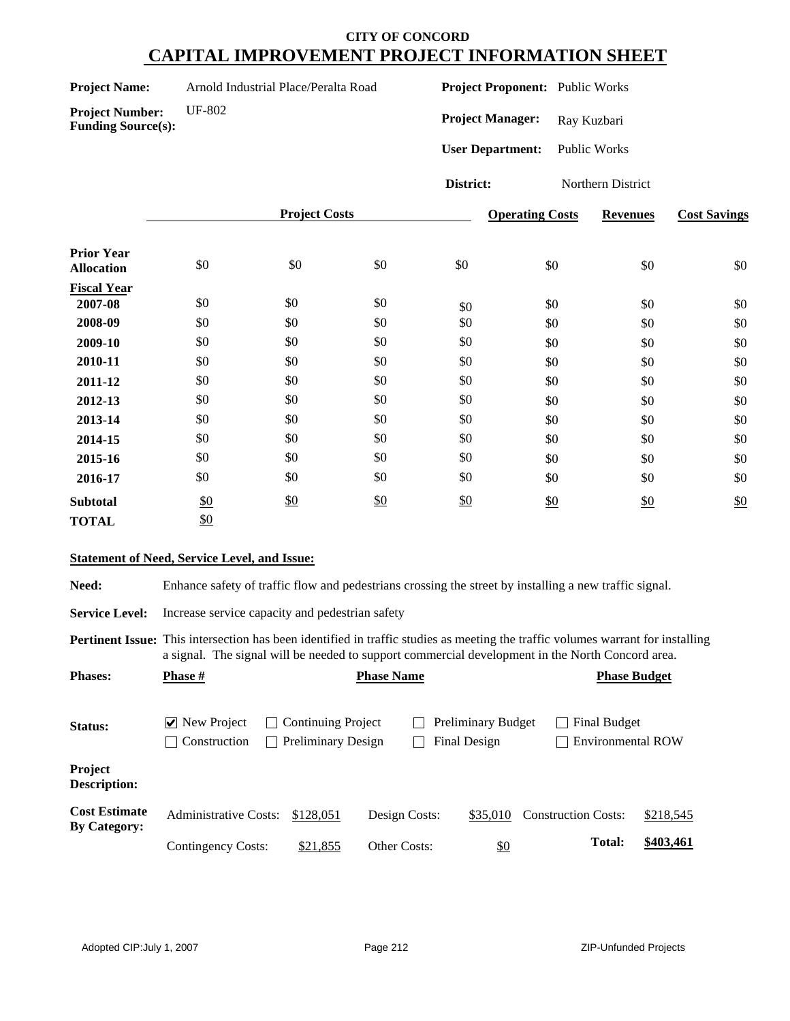| <b>Project Name:</b> | Arnold Industrial Place/Peralta Road |
|----------------------|--------------------------------------|
|----------------------|--------------------------------------|

**Project Proponent:** Public Works

**Project Number:** UF-802 **Funding Source(s):**

Project Manager: Ray Kuzbari

**User Department:** Public Works

**District:** Northern District

|                                        |               | <b>Project Costs</b> |       |     | <b>Operating Costs</b> | <b>Revenues</b> | <b>Cost Savings</b> |
|----------------------------------------|---------------|----------------------|-------|-----|------------------------|-----------------|---------------------|
| <b>Prior Year</b><br><b>Allocation</b> | \$0           | \$0                  | $\$0$ | \$0 | \$0                    | \$0             | \$0                 |
| <b>Fiscal Year</b>                     |               |                      |       |     |                        |                 |                     |
| 2007-08                                | \$0           | \$0                  | \$0   | \$0 | \$0                    | \$0             | \$0                 |
| 2008-09                                | \$0           | \$0                  | \$0   | \$0 | \$0                    | \$0             | \$0                 |
| 2009-10                                | \$0           | \$0                  | \$0   | \$0 | \$0                    | \$0             | \$0                 |
| 2010-11                                | \$0           | \$0                  | \$0   | \$0 | \$0                    | \$0             | \$0                 |
| 2011-12                                | \$0           | \$0                  | \$0   | \$0 | \$0                    | \$0             | \$0                 |
| 2012-13                                | \$0           | \$0                  | \$0   | \$0 | \$0                    | \$0             | \$0                 |
| 2013-14                                | \$0           | \$0                  | \$0   | \$0 | \$0                    | \$0             | \$0                 |
| 2014-15                                | \$0           | \$0                  | \$0   | \$0 | \$0                    | \$0             | \$0                 |
| 2015-16                                | \$0           | \$0                  | \$0   | \$0 | \$0                    | \$0             | \$0                 |
| 2016-17                                | \$0           | \$0                  | \$0   | \$0 | \$0                    | \$0             | \$0                 |
| <b>Subtotal</b>                        | $\frac{$0}{}$ | \$0                  | \$0   | \$0 | \$0                    | \$0             | \$0                 |
| <b>TOTAL</b>                           | \$0           |                      |       |     |                        |                 |                     |

### **Statement of Need, Service Level, and Issue:**

Need: Enhance safety of traffic flow and pedestrians crossing the street by installing a new traffic signal.

**Service Level:** Increase service capacity and pedestrian safety

**Pertinent Issue:** This intersection has been identified in traffic studies as meeting the traffic volumes warrant for installing a signal. The signal will be needed to support commercial development in the North Concord area.

| <b>Phases:</b>                              | <b>Phase</b> #                                                                   | <b>Phase Name</b>                                      |               |                                           |                                          | <b>Phase Budget</b> |
|---------------------------------------------|----------------------------------------------------------------------------------|--------------------------------------------------------|---------------|-------------------------------------------|------------------------------------------|---------------------|
| Status:                                     | $\triangleright$ New Project<br>$\blacksquare$<br>Construction<br>$\blacksquare$ | <b>Continuing Project</b><br><b>Preliminary Design</b> |               | <b>Preliminary Budget</b><br>Final Design | Final Budget<br><b>Environmental ROW</b> |                     |
| Project<br><b>Description:</b>              |                                                                                  |                                                        |               |                                           |                                          |                     |
| <b>Cost Estimate</b><br><b>By Category:</b> | <b>Administrative Costs:</b>                                                     | \$128,051                                              | Design Costs: | \$35,010                                  | <b>Construction Costs:</b>               | \$218,545           |
|                                             | Contingency Costs:                                                               | \$21,855                                               | Other Costs:  | \$0                                       | <b>Total:</b>                            | \$403,461           |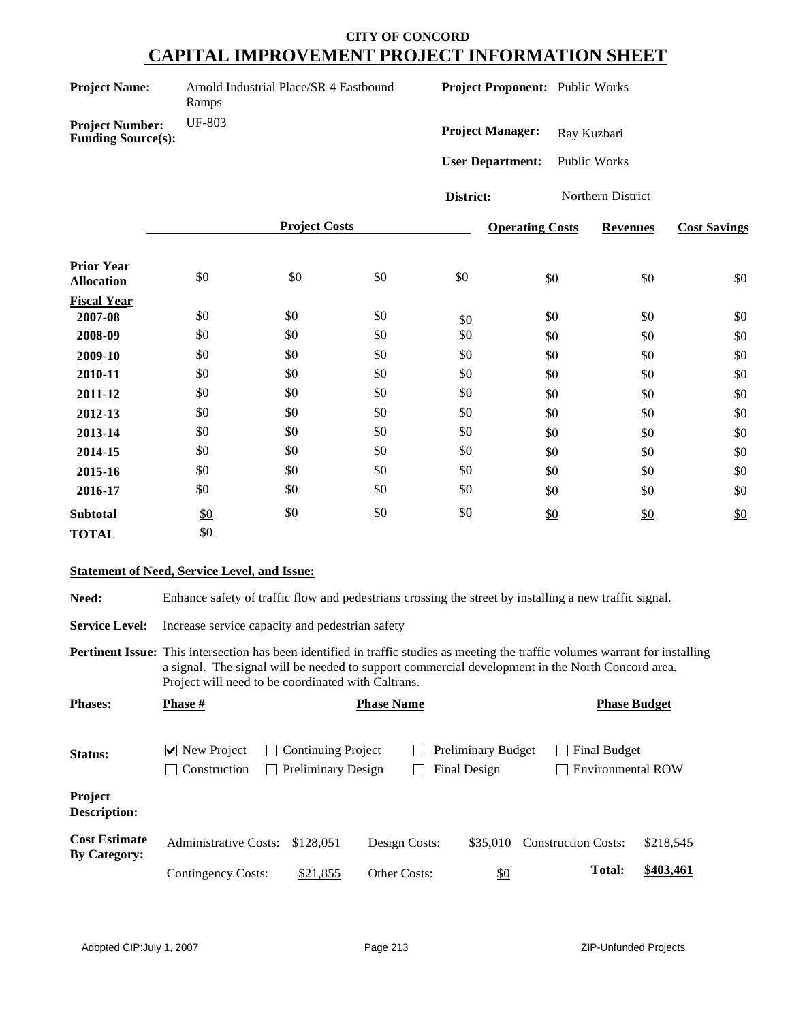Arnold Industrial Place/SR 4 Eastbound Ramps

**Project Proponent:** Public Works

**Project Number:** UF-803 **Funding Source(s):**

Project Manager: Ray Kuzbari

**User Department:** Public Works

**District:** Northern District

|                                        |     | <b>Project Costs</b> |               |     | <b>Operating Costs</b> | <b>Revenues</b> | <b>Cost Savings</b> |
|----------------------------------------|-----|----------------------|---------------|-----|------------------------|-----------------|---------------------|
| <b>Prior Year</b><br><b>Allocation</b> | \$0 | \$0                  | \$0           | \$0 | \$0                    | \$0             | \$0                 |
| <b>Fiscal Year</b>                     |     |                      |               |     |                        |                 |                     |
| 2007-08                                | \$0 | \$0                  | \$0           | \$0 | \$0                    | \$0             | \$0                 |
| 2008-09                                | \$0 | \$0                  | \$0           | \$0 | \$0                    | \$0             | \$0                 |
| 2009-10                                | \$0 | \$0                  | \$0           | \$0 | \$0                    | \$0             | \$0                 |
| 2010-11                                | \$0 | \$0                  | \$0           | \$0 | \$0                    | \$0             | \$0                 |
| 2011-12                                | \$0 | \$0                  | \$0           | \$0 | \$0                    | \$0             | \$0                 |
| 2012-13                                | \$0 | \$0                  | \$0           | \$0 | \$0                    | \$0             | \$0                 |
| 2013-14                                | \$0 | \$0                  | \$0           | \$0 | \$0                    | \$0             | \$0                 |
| 2014-15                                | \$0 | \$0                  | \$0           | \$0 | \$0                    | \$0             | \$0                 |
| 2015-16                                | \$0 | \$0                  | \$0           | \$0 | \$0                    | \$0             | \$0                 |
| 2016-17                                | \$0 | \$0                  | \$0           | \$0 | \$0                    | \$0             | \$0                 |
| <b>Subtotal</b>                        | \$0 | \$0                  | $\frac{$0}{}$ | \$0 | \$0                    | $\frac{$0}{}$   | \$0                 |
| <b>TOTAL</b>                           | \$0 |                      |               |     |                        |                 |                     |

### **Statement of Need, Service Level, and Issue:**

Need: Enhance safety of traffic flow and pedestrians crossing the street by installing a new traffic signal.

**Service Level:** Increase service capacity and pedestrian safety

**Pertinent Issue:** This intersection has been identified in traffic studies as meeting the traffic volumes warrant for installing a signal. The signal will be needed to support commercial development in the North Concord area. Project will need to be coordinated with Caltrans.

| <b>Phases:</b>                              | <b>Phase</b> #                     |                                                                         | <b>Phase Name</b>   |                                           |                                          | <b>Phase Budget</b> |
|---------------------------------------------|------------------------------------|-------------------------------------------------------------------------|---------------------|-------------------------------------------|------------------------------------------|---------------------|
| Status:                                     | $\vee$ New Project<br>Construction | <b>Continuing Project</b><br>$\mathcal{L}$<br><b>Preliminary Design</b> |                     | <b>Preliminary Budget</b><br>Final Design | Final Budget<br><b>Environmental ROW</b> |                     |
| Project<br><b>Description:</b>              |                                    |                                                                         |                     |                                           |                                          |                     |
| <b>Cost Estimate</b><br><b>By Category:</b> | <b>Administrative Costs:</b>       | \$128,051                                                               | Design Costs:       | \$35,010                                  | <b>Construction Costs:</b>               | \$218,545           |
|                                             | <b>Contingency Costs:</b>          | \$21,855                                                                | <b>Other Costs:</b> | <u>\$0</u>                                | <b>Total:</b>                            | \$403,461           |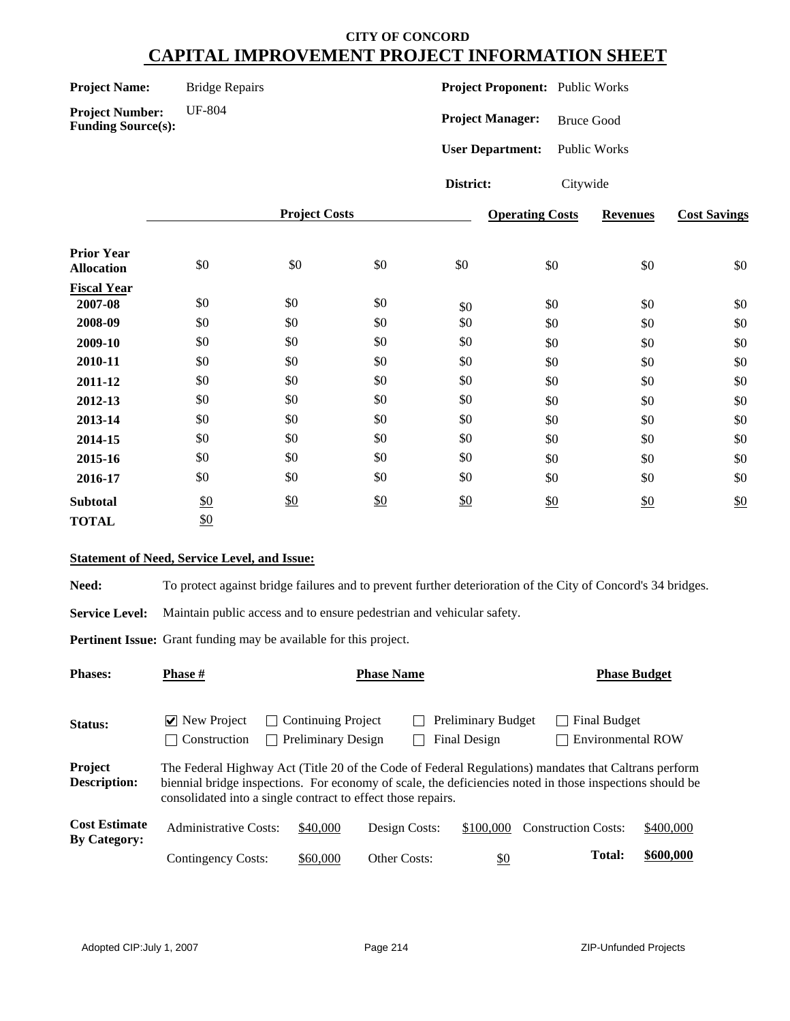**Project Name:** Bridge Repairs

**Project Number:** UF-804 **Funding Source(s):**

**Project Proponent:** Public Works

**Project Manager:** Bruce Good

**User Department:** Public Works

**District:** Citywide

|                                        |     | <b>Project Costs</b> |               |     | <b>Operating Costs</b> | <b>Revenues</b> | <b>Cost Savings</b> |
|----------------------------------------|-----|----------------------|---------------|-----|------------------------|-----------------|---------------------|
| <b>Prior Year</b><br><b>Allocation</b> | \$0 | \$0                  | \$0           | \$0 | \$0                    | \$0             | \$0                 |
| <b>Fiscal Year</b>                     |     |                      |               |     |                        |                 |                     |
| 2007-08                                | \$0 | \$0                  | \$0           | \$0 | \$0                    | \$0             | \$0                 |
| 2008-09                                | \$0 | \$0                  | \$0           | \$0 | \$0                    | \$0             | \$0                 |
| 2009-10                                | \$0 | \$0                  | \$0           | \$0 | \$0                    | \$0             | \$0                 |
| 2010-11                                | \$0 | \$0                  | \$0           | \$0 | \$0                    | \$0             | \$0                 |
| 2011-12                                | \$0 | \$0                  | \$0           | \$0 | \$0                    | \$0             | \$0                 |
| 2012-13                                | \$0 | \$0                  | \$0           | \$0 | \$0                    | \$0             | \$0                 |
| 2013-14                                | \$0 | \$0                  | \$0           | \$0 | \$0                    | \$0             | \$0                 |
| 2014-15                                | \$0 | \$0                  | \$0           | \$0 | \$0                    | \$0             | \$0                 |
| 2015-16                                | \$0 | \$0                  | \$0           | \$0 | \$0                    | \$0             | \$0                 |
| 2016-17                                | \$0 | \$0                  | \$0           | \$0 | \$0                    | \$0             | \$0                 |
| <b>Subtotal</b>                        | \$0 | \$0                  | $\frac{$0}{}$ | \$0 | \$0                    | \$0             | \$0                 |
| <b>TOTAL</b>                           | \$0 |                      |               |     |                        |                 |                     |

### **Statement of Need, Service Level, and Issue:**

**Need:** To protect against bridge failures and to prevent further deterioration of the City of Concord's 34 bridges.

**Service Level:** Maintain public access and to ensure pedestrian and vehicular safety.

**Pertinent Issue:** Grant funding may be available for this project.

| <b>Phases:</b>                              | <b>Phase #</b>                                                                                                                                                                                                                                                                   | <b>Phase Name</b>                                                      |               |                                           |                                          | <b>Phase Budget</b> |  |
|---------------------------------------------|----------------------------------------------------------------------------------------------------------------------------------------------------------------------------------------------------------------------------------------------------------------------------------|------------------------------------------------------------------------|---------------|-------------------------------------------|------------------------------------------|---------------------|--|
| <b>Status:</b>                              | $ $ New Project<br>Construction                                                                                                                                                                                                                                                  | <b>Continuing Project</b><br>$\mathbf{L}$<br><b>Preliminary Design</b> |               | <b>Preliminary Budget</b><br>Final Design | Final Budget<br><b>Environmental ROW</b> |                     |  |
| Project<br><b>Description:</b>              | The Federal Highway Act (Title 20 of the Code of Federal Regulations) mandates that Caltrans perform<br>biennial bridge inspections. For economy of scale, the deficiencies noted in those inspections should be<br>consolidated into a single contract to effect those repairs. |                                                                        |               |                                           |                                          |                     |  |
| <b>Cost Estimate</b><br><b>By Category:</b> | Administrative Costs:                                                                                                                                                                                                                                                            | \$40,000                                                               | Design Costs: | \$100,000                                 | <b>Construction Costs:</b>               | \$400,000           |  |
|                                             | Contingency Costs:                                                                                                                                                                                                                                                               | \$60,000                                                               | Other Costs:  | <u>\$0</u>                                | <b>Total:</b>                            | \$600,000           |  |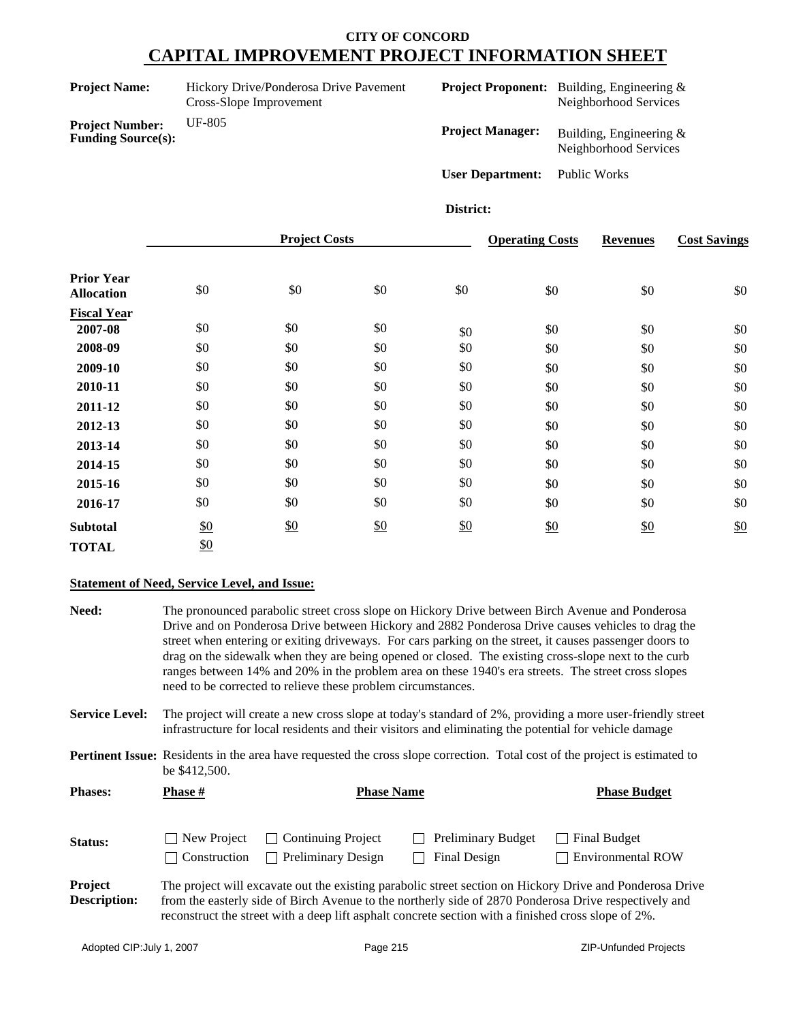| <b>Project Name:</b>                                | Hickory Drive/Ponderosa Drive Pavement<br>Cross-Slope Improvement |                         | <b>Project Proponent:</b> Building, Engineering &<br>Neighborhood Services |
|-----------------------------------------------------|-------------------------------------------------------------------|-------------------------|----------------------------------------------------------------------------|
| <b>Project Number:</b><br><b>Funding Source(s):</b> | UF-805                                                            | <b>Project Manager:</b> | Building, Engineering $\&$<br>Neighborhood Services                        |
|                                                     |                                                                   | <b>User Department:</b> | Public Works                                                               |

#### **District:**

|                                        |               | <b>Project Costs</b> |               |     | <b>Operating Costs</b> | <b>Revenues</b> | <b>Cost Savings</b> |
|----------------------------------------|---------------|----------------------|---------------|-----|------------------------|-----------------|---------------------|
| <b>Prior Year</b><br><b>Allocation</b> | \$0           | \$0                  | \$0           | \$0 | \$0                    | \$0             | \$0                 |
| <b>Fiscal Year</b>                     |               |                      |               |     |                        |                 |                     |
| 2007-08                                | \$0           | \$0                  | \$0           | \$0 | \$0                    | \$0             | \$0                 |
| 2008-09                                | \$0           | \$0                  | \$0           | \$0 | \$0                    | \$0             | \$0                 |
| 2009-10                                | \$0           | \$0                  | \$0           | \$0 | \$0                    | \$0             | \$0                 |
| 2010-11                                | \$0           | \$0                  | \$0           | \$0 | \$0                    | \$0             | \$0                 |
| 2011-12                                | \$0           | \$0                  | \$0           | \$0 | \$0                    | \$0             | \$0                 |
| 2012-13                                | \$0           | \$0                  | \$0           | \$0 | \$0                    | \$0             | \$0                 |
| 2013-14                                | \$0           | \$0                  | \$0           | \$0 | \$0                    | \$0             | \$0                 |
| 2014-15                                | \$0           | \$0                  | \$0           | \$0 | \$0                    | \$0             | \$0                 |
| 2015-16                                | \$0           | \$0                  | \$0           | \$0 | \$0                    | \$0             | \$0                 |
| 2016-17                                | \$0           | \$0                  | \$0           | \$0 | \$0                    | \$0             | \$0                 |
| <b>Subtotal</b>                        | $\frac{$0}{}$ | \$0                  | $\frac{$0}{}$ | \$0 | \$0                    | \$0             | \$0                 |
| <b>TOTAL</b>                           | \$0           |                      |               |     |                        |                 |                     |

### **Statement of Need, Service Level, and Issue:**

| Need:                          | The pronounced parabolic street cross slope on Hickory Drive between Birch Avenue and Ponderosa<br>Drive and on Ponderosa Drive between Hickory and 2882 Ponderosa Drive causes vehicles to drag the<br>street when entering or exiting driveways. For cars parking on the street, it causes passenger doors to<br>drag on the sidewalk when they are being opened or closed. The existing cross-slope next to the curb<br>ranges between 14% and 20% in the problem area on these 1940's era streets. The street cross slopes<br>need to be corrected to relieve these problem circumstances. |                                                                                                     |                                           |                                                                                                                                                                                                                   |  |  |  |  |
|--------------------------------|------------------------------------------------------------------------------------------------------------------------------------------------------------------------------------------------------------------------------------------------------------------------------------------------------------------------------------------------------------------------------------------------------------------------------------------------------------------------------------------------------------------------------------------------------------------------------------------------|-----------------------------------------------------------------------------------------------------|-------------------------------------------|-------------------------------------------------------------------------------------------------------------------------------------------------------------------------------------------------------------------|--|--|--|--|
| <b>Service Level:</b>          | The project will create a new cross slope at today's standard of 2%, providing a more user-friendly street<br>infrastructure for local residents and their visitors and eliminating the potential for vehicle damage                                                                                                                                                                                                                                                                                                                                                                           |                                                                                                     |                                           |                                                                                                                                                                                                                   |  |  |  |  |
|                                | Pertinent Issue: Residents in the area have requested the cross slope correction. Total cost of the project is estimated to<br>be \$412,500.                                                                                                                                                                                                                                                                                                                                                                                                                                                   |                                                                                                     |                                           |                                                                                                                                                                                                                   |  |  |  |  |
| <b>Phases:</b>                 | <b>Phase</b> #                                                                                                                                                                                                                                                                                                                                                                                                                                                                                                                                                                                 | <b>Phase Name</b>                                                                                   |                                           | <b>Phase Budget</b>                                                                                                                                                                                               |  |  |  |  |
| Status:                        | New Project<br>Construction                                                                                                                                                                                                                                                                                                                                                                                                                                                                                                                                                                    | Continuing Project<br><b>Preliminary Design</b>                                                     | <b>Preliminary Budget</b><br>Final Design | Final Budget<br><b>Environmental ROW</b>                                                                                                                                                                          |  |  |  |  |
| <b>Project</b><br>Description: |                                                                                                                                                                                                                                                                                                                                                                                                                                                                                                                                                                                                | reconstruct the street with a deep lift asphalt concrete section with a finished cross slope of 2%. |                                           | The project will excavate out the existing parabolic street section on Hickory Drive and Ponderosa Drive<br>from the easterly side of Birch Avenue to the northerly side of 2870 Ponderosa Drive respectively and |  |  |  |  |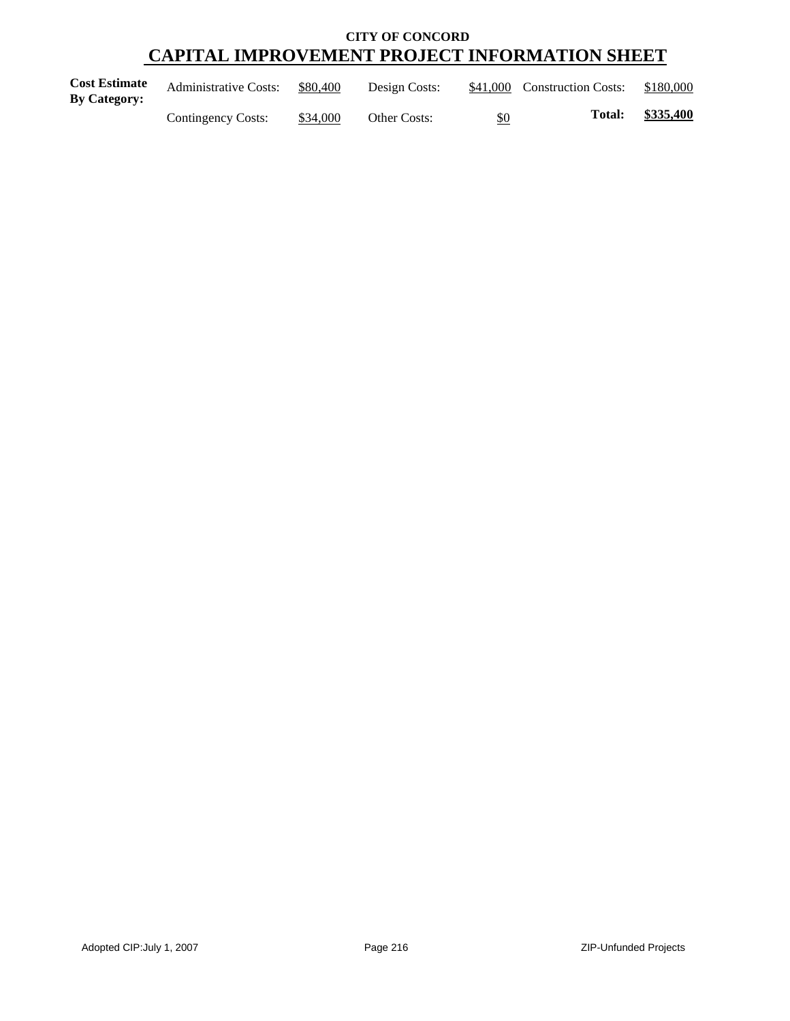| <b>Cost Estimate</b><br>By Category: | <b>Administrative Costs:</b> | \$80,400 | Design Costs: |     | \$41,000 Construction Costs: | \$180,000 |
|--------------------------------------|------------------------------|----------|---------------|-----|------------------------------|-----------|
|                                      | Contingency Costs:           | \$34,000 | Other Costs:  | \$0 | Total:                       | \$335,400 |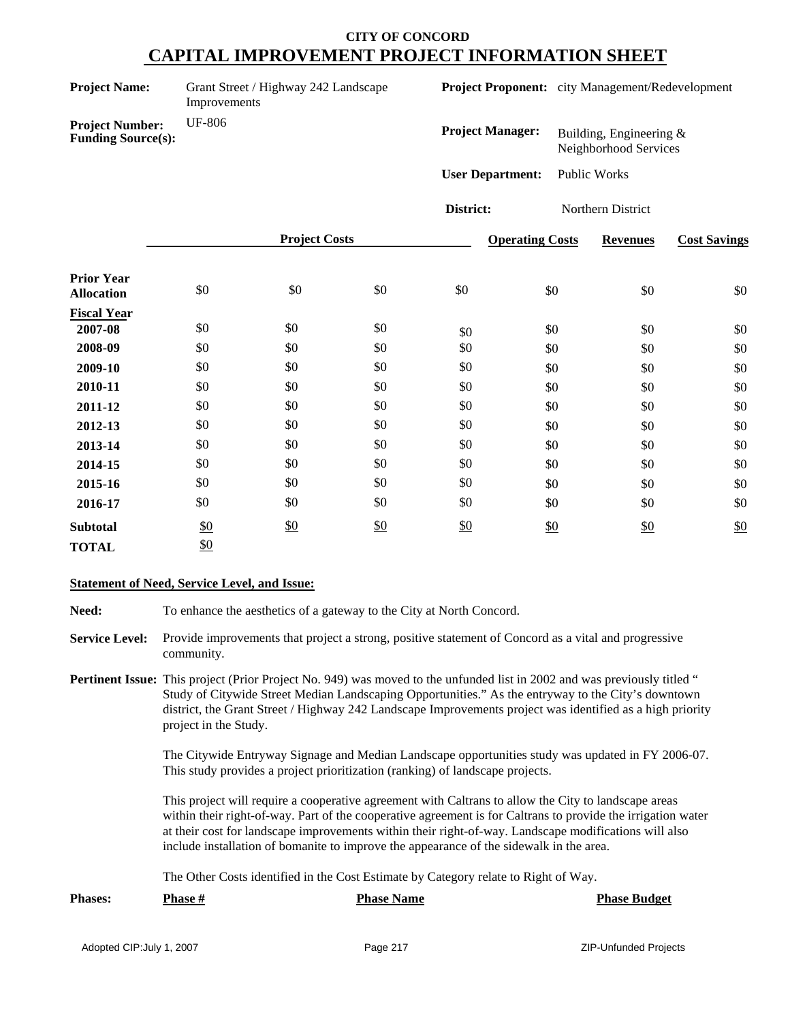| <b>Project Name:</b>                                                 | Grant Street / Highway 242 Landscape<br>Improvements |                      |               | <b>Project Proponent:</b> city Management/Redevelopment |                        |                                                    |                     |
|----------------------------------------------------------------------|------------------------------------------------------|----------------------|---------------|---------------------------------------------------------|------------------------|----------------------------------------------------|---------------------|
| <b>UF-806</b><br><b>Project Number:</b><br><b>Funding Source(s):</b> |                                                      |                      |               | <b>Project Manager:</b>                                 |                        | Building, Engineering $&$<br>Neighborhood Services |                     |
|                                                                      |                                                      |                      |               | <b>User Department:</b>                                 |                        | Public Works                                       |                     |
|                                                                      |                                                      |                      |               | District:                                               |                        | Northern District                                  |                     |
|                                                                      |                                                      | <b>Project Costs</b> |               |                                                         | <b>Operating Costs</b> | <b>Revenues</b>                                    | <b>Cost Savings</b> |
| <b>Prior Year</b><br><b>Allocation</b>                               | $\$0$                                                | \$0                  | \$0           | \$0                                                     | \$0                    | \$0                                                | \$0                 |
| <b>Fiscal Year</b><br>2007-08                                        | \$0                                                  | \$0                  | \$0           | \$0                                                     | \$0                    | \$0                                                | \$0                 |
| 2008-09                                                              | \$0                                                  | \$0                  | \$0           | \$0                                                     | \$0                    | \$0                                                | $\$0$               |
| 2009-10                                                              | \$0                                                  | \$0                  | \$0           | \$0                                                     | \$0                    | \$0                                                | \$0                 |
| 2010-11                                                              | \$0                                                  | \$0                  | \$0           | \$0                                                     | \$0                    | \$0                                                | \$0                 |
| 2011-12                                                              | \$0                                                  | \$0                  | \$0           | \$0                                                     | \$0                    | \$0                                                | \$0                 |
| 2012-13                                                              | \$0                                                  | \$0                  | \$0           | \$0                                                     | \$0                    | \$0                                                | \$0                 |
| 2013-14                                                              | \$0                                                  | \$0                  | \$0           | \$0                                                     | \$0                    | \$0                                                | \$0                 |
| 2014-15                                                              | \$0                                                  | \$0                  | \$0           | \$0                                                     | \$0                    | \$0                                                | \$0                 |
| 2015-16                                                              | \$0                                                  | \$0                  | \$0           | \$0                                                     | \$0                    | \$0                                                | \$0                 |
| 2016-17                                                              | \$0                                                  | \$0                  | \$0           | \$0                                                     | \$0                    | \$0                                                | \$0                 |
| <b>Subtotal</b>                                                      | \$0                                                  | \$0                  | $\frac{$0}{}$ | \$0                                                     | \$0                    | \$0                                                | \$0                 |
| <b>TOTAL</b>                                                         | \$0                                                  |                      |               |                                                         |                        |                                                    |                     |

#### **Statement of Need, Service Level, and Issue:**

Need: To enhance the aesthetics of a gateway to the City at North Concord.

- **Service Level:** Provide improvements that project a strong, positive statement of Concord as a vital and progressive community.
- **Pertinent Issue:** This project (Prior Project No. 949) was moved to the unfunded list in 2002 and was previously titled " Study of Citywide Street Median Landscaping Opportunities." As the entryway to the City's downtown district, the Grant Street / Highway 242 Landscape Improvements project was identified as a high priority project in the Study.

The Citywide Entryway Signage and Median Landscape opportunities study was updated in FY 2006-07. This study provides a project prioritization (ranking) of landscape projects.

This project will require a cooperative agreement with Caltrans to allow the City to landscape areas within their right-of-way. Part of the cooperative agreement is for Caltrans to provide the irrigation water at their cost for landscape improvements within their right-of-way. Landscape modifications will also include installation of bomanite to improve the appearance of the sidewalk in the area.

The Other Costs identified in the Cost Estimate by Category relate to Right of Way.

| <b>Phases:</b> | <b>Phase #</b> | <b>Phase Name</b> | <b>Phase Budget</b> |
|----------------|----------------|-------------------|---------------------|
|                |                |                   |                     |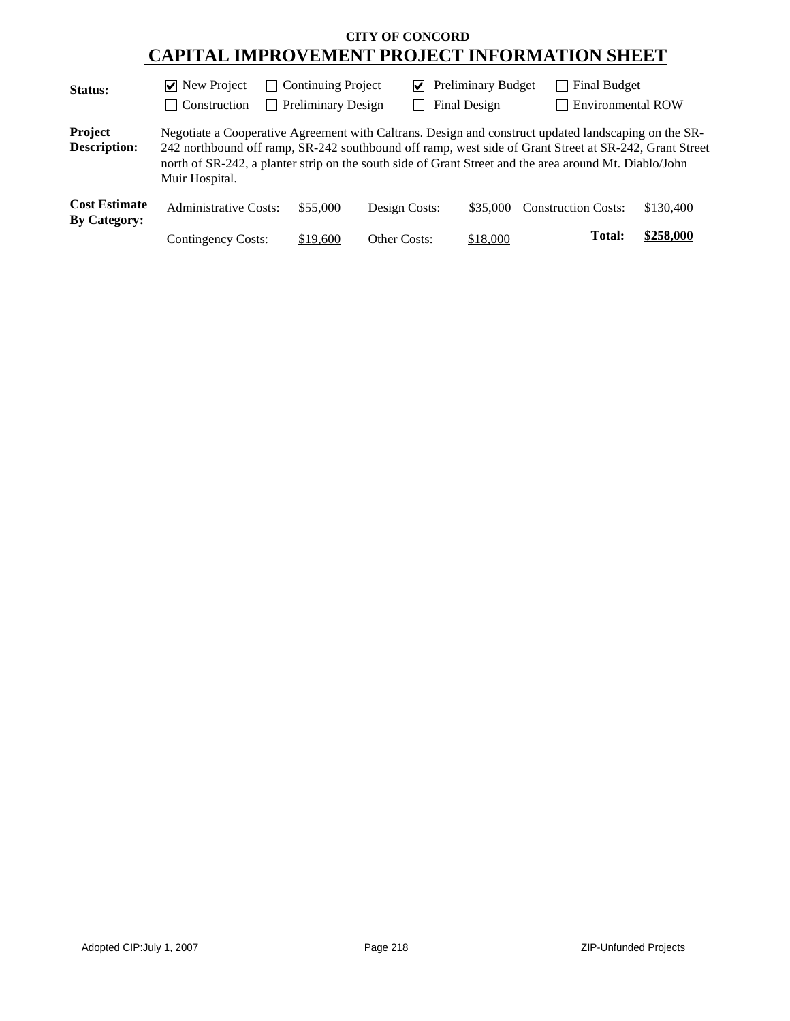| <b>Status:</b>                              | $\vee$ New Project        | <b>Continuing Project</b><br>$\Box$ | V             | <b>Preliminary Budget</b> | <b>Final Budget</b>                                                                                                                                                                                                                                                                                                      |           |
|---------------------------------------------|---------------------------|-------------------------------------|---------------|---------------------------|--------------------------------------------------------------------------------------------------------------------------------------------------------------------------------------------------------------------------------------------------------------------------------------------------------------------------|-----------|
|                                             | $\Box$ Construction       | <b>Preliminary Design</b>           |               | Final Design              | <b>Environmental ROW</b>                                                                                                                                                                                                                                                                                                 |           |
| Project<br><b>Description:</b>              | Muir Hospital.            |                                     |               |                           | Negotiate a Cooperative Agreement with Caltrans. Design and construct updated landscaping on the SR-<br>242 northbound off ramp, SR-242 southbound off ramp, west side of Grant Street at SR-242, Grant Street<br>north of SR-242, a planter strip on the south side of Grant Street and the area around Mt. Diablo/John |           |
| <b>Cost Estimate</b><br><b>By Category:</b> | Administrative Costs:     | \$55,000                            | Design Costs: | \$35,000                  | <b>Construction Costs:</b>                                                                                                                                                                                                                                                                                               | \$130,400 |
|                                             | <b>Contingency Costs:</b> | \$19,600                            | Other Costs:  | \$18,000                  | Total:                                                                                                                                                                                                                                                                                                                   | \$258,000 |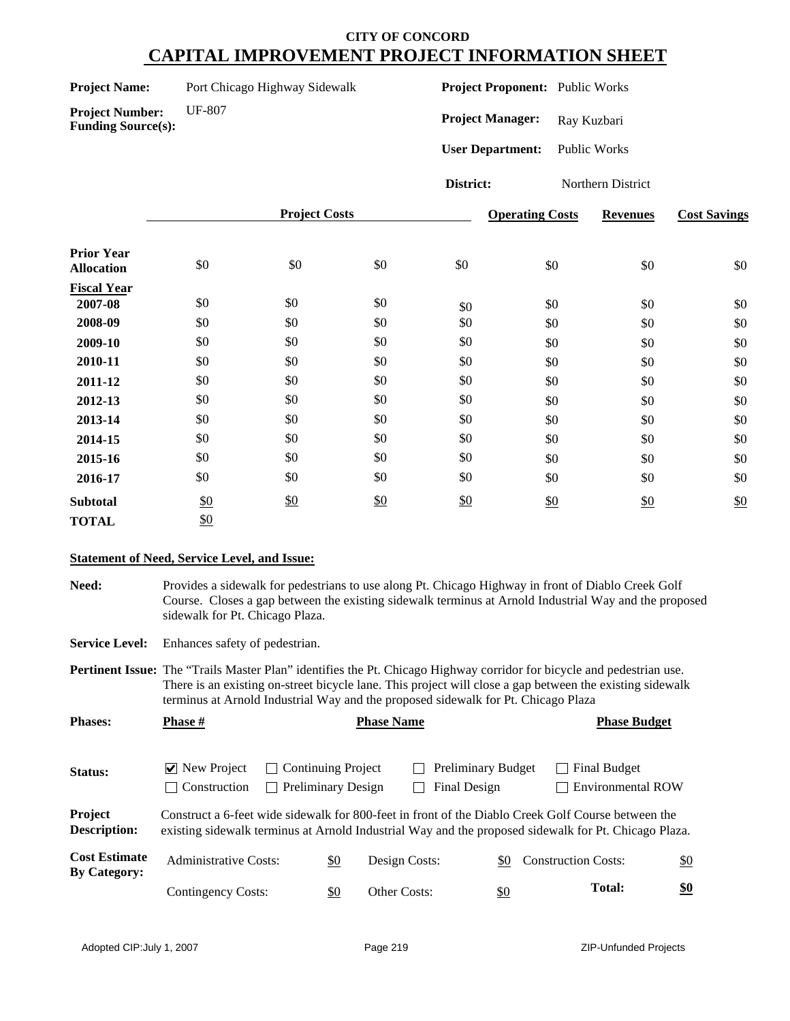| <b>Project Name:</b> | Port Chicago Highway Sidewalk |
|----------------------|-------------------------------|
|----------------------|-------------------------------|

**Funding Source(s):**

**Project Proponent:** Public Works

**Project Number:** UF-807

Project Manager: Ray Kuzbari

**User Department:** Public Works

**District:** Northern District

|                                        |     | <b>Project Costs</b> |     |     | <b>Operating Costs</b> | <b>Revenues</b> | <b>Cost Savings</b> |
|----------------------------------------|-----|----------------------|-----|-----|------------------------|-----------------|---------------------|
| <b>Prior Year</b><br><b>Allocation</b> | \$0 | \$0                  | \$0 | \$0 | \$0                    | \$0             | \$0                 |
| <b>Fiscal Year</b>                     |     |                      |     |     |                        |                 |                     |
| 2007-08                                | \$0 | \$0                  | \$0 | \$0 | \$0                    | \$0             | \$0                 |
| 2008-09                                | \$0 | \$0                  | \$0 | \$0 | \$0                    | \$0             | \$0                 |
| 2009-10                                | \$0 | \$0                  | \$0 | \$0 | \$0                    | \$0             | \$0                 |
| 2010-11                                | \$0 | \$0                  | \$0 | \$0 | \$0                    | \$0             | \$0                 |
| 2011-12                                | \$0 | \$0                  | \$0 | \$0 | \$0                    | \$0             | \$0                 |
| 2012-13                                | \$0 | \$0                  | \$0 | \$0 | \$0                    | \$0             | \$0                 |
| 2013-14                                | \$0 | \$0                  | \$0 | \$0 | \$0                    | \$0             | \$0                 |
| 2014-15                                | \$0 | \$0                  | \$0 | \$0 | \$0                    | \$0             | \$0                 |
| 2015-16                                | \$0 | \$0                  | \$0 | \$0 | \$0                    | \$0             | \$0                 |
| 2016-17                                | \$0 | \$0                  | \$0 | \$0 | \$0                    | \$0             | \$0                 |
| <b>Subtotal</b>                        | \$0 | \$0                  | \$0 | \$0 | \$0                    | \$0             | \$0                 |
| <b>TOTAL</b>                           | \$0 |                      |     |     |                        |                 |                     |

### **Statement of Need, Service Level, and Issue:**

**Need:** Provides a sidewalk for pedestrians to use along Pt. Chicago Highway in front of Diablo Creek Golf Course. Closes a gap between the existing sidewalk terminus at Arnold Industrial Way and the proposed sidewalk for Pt. Chicago Plaza.

**Service Level:** Enhances safety of pedestrian.

**Pertinent Issue:** The "Trails Master Plan" identifies the Pt. Chicago Highway corridor for bicycle and pedestrian use. There is an existing on-street bicycle lane. This project will close a gap between the existing sidewalk terminus at Arnold Industrial Way and the proposed sidewalk for Pt. Chicago Plaza

| <b>Phases:</b>                              | <b>Phase</b> #                                               |                                                                 | <b>Phase Name</b> |                                           |                                                                                                                                                                                                            | <b>Phase Budget</b> |  |  |
|---------------------------------------------|--------------------------------------------------------------|-----------------------------------------------------------------|-------------------|-------------------------------------------|------------------------------------------------------------------------------------------------------------------------------------------------------------------------------------------------------------|---------------------|--|--|
| Status:                                     | $\triangledown$ New Project<br>Construction<br>$\mathcal{L}$ | <b>Continuing Project</b><br>$\mathsf{L}$<br>Preliminary Design |                   | <b>Preliminary Budget</b><br>Final Design | Final Budget<br><b>Environmental ROW</b>                                                                                                                                                                   |                     |  |  |
| Project<br><b>Description:</b>              |                                                              |                                                                 |                   |                                           | Construct a 6-feet wide sidewalk for 800-feet in front of the Diablo Creek Golf Course between the<br>existing sidewalk terminus at Arnold Industrial Way and the proposed sidewalk for Pt. Chicago Plaza. |                     |  |  |
| <b>Cost Estimate</b><br><b>By Category:</b> | Administrative Costs:                                        | <u>\$0</u>                                                      | Design Costs:     | \$0                                       | <b>Construction Costs:</b>                                                                                                                                                                                 | \$0                 |  |  |
|                                             | Contingency Costs:                                           | \$0                                                             | Other Costs:      | <u>\$0</u>                                | <b>Total:</b>                                                                                                                                                                                              | \$0                 |  |  |